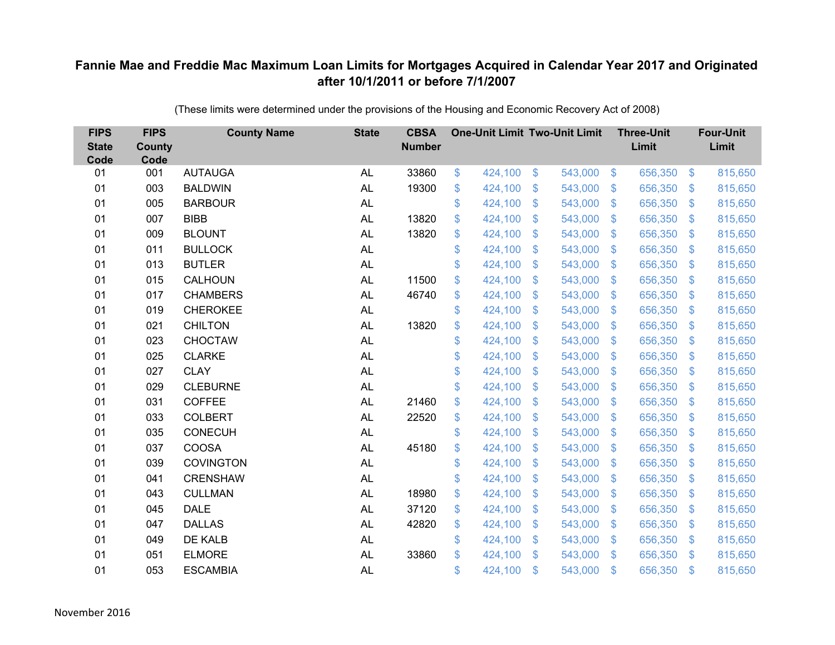| <b>FIPS</b><br><b>State</b><br>Code | <b>FIPS</b><br><b>County</b><br>Code | <b>County Name</b> | <b>State</b> | <b>CBSA</b><br><b>Number</b> |             | <b>One-Unit Limit Two-Unit Limit</b> |                           |         |                           | <b>Three-Unit</b><br>Limit |                | <b>Four-Unit</b><br>Limit |
|-------------------------------------|--------------------------------------|--------------------|--------------|------------------------------|-------------|--------------------------------------|---------------------------|---------|---------------------------|----------------------------|----------------|---------------------------|
| 01                                  | 001                                  | <b>AUTAUGA</b>     | <b>AL</b>    | 33860                        | \$          | 424,100                              | \$                        | 543,000 | $\sqrt[6]{5}$             | 656,350                    | $\sqrt{3}$     | 815,650                   |
| 01                                  | 003                                  | <b>BALDWIN</b>     | <b>AL</b>    | 19300                        | \$          | 424,100                              | \$                        | 543,000 | $\mathcal{L}$             | 656,350                    | $\mathcal{S}$  | 815,650                   |
| 01                                  | 005                                  | <b>BARBOUR</b>     | <b>AL</b>    |                              | \$          | 424,100                              | $\mathcal{S}$             | 543,000 | $\mathfrak{S}$            | 656,350                    | $\mathbf{\$}$  | 815,650                   |
| 01                                  | 007                                  | <b>BIBB</b>        | <b>AL</b>    | 13820                        | \$          | 424,100                              | $\boldsymbol{\mathsf{S}}$ | 543,000 | $\mathfrak{S}$            | 656,350                    | $\mathbf{\$}$  | 815,650                   |
| 01                                  | 009                                  | <b>BLOUNT</b>      | <b>AL</b>    | 13820                        | \$          | 424,100                              | $\boldsymbol{\mathsf{S}}$ | 543,000 | $\boldsymbol{\mathsf{S}}$ | 656,350                    | \$             | 815,650                   |
| 01                                  | 011                                  | <b>BULLOCK</b>     | <b>AL</b>    |                              | \$          | 424,100                              | $\mathcal{S}$             | 543,000 | $\mathfrak{S}$            | 656,350                    | $\mathbf{\$}$  | 815,650                   |
| 01                                  | 013                                  | <b>BUTLER</b>      | <b>AL</b>    |                              | \$          | 424,100                              | $\mathcal{S}$             | 543,000 | $\mathfrak{S}$            | 656,350                    | $\mathfrak{S}$ | 815,650                   |
| 01                                  | 015                                  | CALHOUN            | <b>AL</b>    | 11500                        | \$          | 424,100                              | $\mathfrak{F}$            | 543,000 | $\mathcal{L}$             | 656,350                    | $\mathcal{S}$  | 815,650                   |
| 01                                  | 017                                  | <b>CHAMBERS</b>    | <b>AL</b>    | 46740                        | \$          | 424,100                              | \$                        | 543,000 | $\mathfrak{S}$            | 656,350                    | $\mathfrak{S}$ | 815,650                   |
| 01                                  | 019                                  | <b>CHEROKEE</b>    | <b>AL</b>    |                              | \$          | 424,100                              | $\mathcal{S}$             | 543,000 | $\mathfrak{S}$            | 656,350                    | $\mathbf{\$}$  | 815,650                   |
| 01                                  | 021                                  | <b>CHILTON</b>     | <b>AL</b>    | 13820                        | \$          | 424,100                              | $\boldsymbol{\mathsf{S}}$ | 543,000 | $\mathcal{L}$             | 656,350                    | $\mathcal{S}$  | 815,650                   |
| 01                                  | 023                                  | <b>CHOCTAW</b>     | <b>AL</b>    |                              | \$          | 424,100                              | $\boldsymbol{\mathsf{S}}$ | 543,000 | \$.                       | 656,350                    | $\mathcal{S}$  | 815,650                   |
| 01                                  | 025                                  | <b>CLARKE</b>      | <b>AL</b>    |                              | \$          | 424,100                              | \$                        | 543,000 | $\mathfrak{S}$            | 656,350                    | \$.            | 815,650                   |
| 01                                  | 027                                  | <b>CLAY</b>        | AL           |                              | \$          | 424,100                              | $\boldsymbol{\mathsf{S}}$ | 543,000 | $\mathfrak{F}$            | 656,350                    | $\mathcal{S}$  | 815,650                   |
| 01                                  | 029                                  | <b>CLEBURNE</b>    | <b>AL</b>    |                              | \$          | 424,100                              | $\boldsymbol{\mathsf{S}}$ | 543,000 | $\sqrt[6]{3}$             | 656,350                    | $\mathcal{S}$  | 815,650                   |
| 01                                  | 031                                  | <b>COFFEE</b>      | <b>AL</b>    | 21460                        | $\mathbb S$ | 424,100                              | $\mathcal{S}$             | 543,000 | $\mathfrak{S}$            | 656,350                    | $\mathcal{S}$  | 815,650                   |
| 01                                  | 033                                  | <b>COLBERT</b>     | <b>AL</b>    | 22520                        | \$          | 424,100                              | \$                        | 543,000 | $\sqrt[6]{\frac{1}{2}}$   | 656,350                    | $\sqrt{3}$     | 815,650                   |
| 01                                  | 035                                  | <b>CONECUH</b>     | <b>AL</b>    |                              | \$          | 424,100                              | $\mathbf{\$}$             | 543,000 | $\mathbb{S}$              | 656,350                    | $\mathcal{S}$  | 815,650                   |
| 01                                  | 037                                  | <b>COOSA</b>       | <b>AL</b>    | 45180                        | \$          | 424,100                              | $\boldsymbol{\mathsf{S}}$ | 543,000 | $\mathfrak{S}$            | 656,350                    | $\mathcal{S}$  | 815,650                   |
| 01                                  | 039                                  | <b>COVINGTON</b>   | <b>AL</b>    |                              | \$          | 424,100                              | $\$\$                     | 543,000 | $\sqrt[6]{\frac{1}{2}}$   | 656,350                    | $\sqrt{3}$     | 815,650                   |
| 01                                  | 041                                  | <b>CRENSHAW</b>    | <b>AL</b>    |                              | \$          | 424,100                              | $\boldsymbol{\mathsf{S}}$ | 543,000 | $\mathcal{L}$             | 656,350                    | $\mathcal{S}$  | 815,650                   |
| 01                                  | 043                                  | <b>CULLMAN</b>     | <b>AL</b>    | 18980                        | \$          | 424,100                              | $\mathcal{S}$             | 543,000 | $\mathfrak{S}$            | 656,350                    | $\mathbf{\$}$  | 815,650                   |
| 01                                  | 045                                  | <b>DALE</b>        | <b>AL</b>    | 37120                        | \$          | 424,100                              | $\$\$                     | 543,000 | $\mathfrak{S}$            | 656,350                    | $\mathbf{\$}$  | 815,650                   |
| 01                                  | 047                                  | <b>DALLAS</b>      | <b>AL</b>    | 42820                        | \$          | 424,100                              | $\boldsymbol{\mathsf{S}}$ | 543,000 | $\boldsymbol{\mathsf{S}}$ | 656,350                    | \$             | 815,650                   |
| 01                                  | 049                                  | DE KALB            | <b>AL</b>    |                              | \$          | 424,100                              | $\boldsymbol{\mathsf{S}}$ | 543,000 | $\mathbb{S}$              | 656,350                    | $\mathcal{S}$  | 815,650                   |
| 01                                  | 051                                  | <b>ELMORE</b>      | <b>AL</b>    | 33860                        | \$          | 424,100                              | $\mathcal{S}$             | 543,000 | $\mathbf{\$}$             | 656,350                    | <sup>\$</sup>  | 815,650                   |
| 01                                  | 053                                  | <b>ESCAMBIA</b>    | <b>AL</b>    |                              | \$          | 424,100                              | $\mathfrak{s}$            | 543,000 | $\mathbf{\$}$             | 656,350                    | \$             | 815,650                   |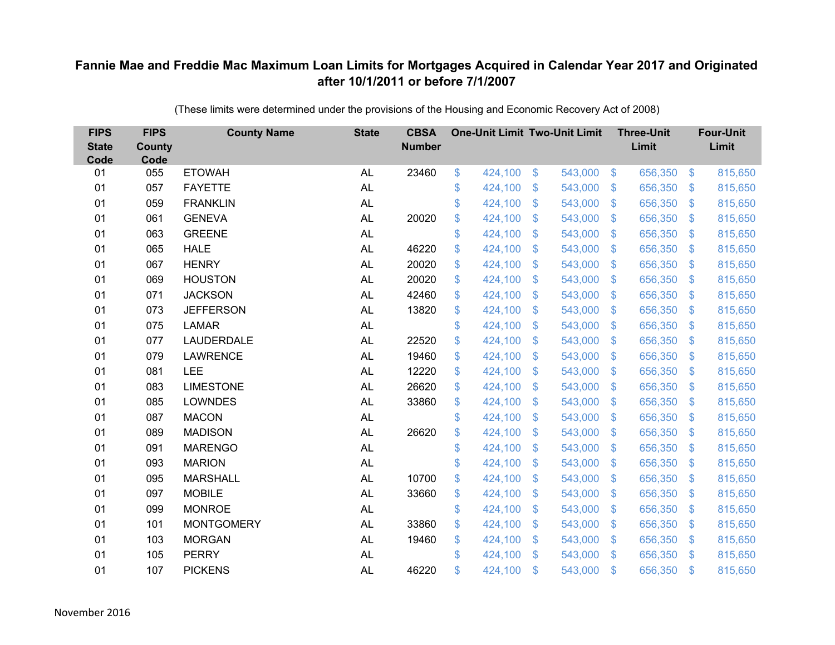| <b>FIPS</b><br><b>State</b><br>Code | <b>FIPS</b><br>County<br>Code | <b>County Name</b> | <b>State</b> | <b>CBSA</b><br><b>Number</b> | <b>One-Unit Limit Two-Unit Limit</b> |                |         |                           | <b>Three-Unit</b><br>Limit |                         | <b>Four-Unit</b><br>Limit |
|-------------------------------------|-------------------------------|--------------------|--------------|------------------------------|--------------------------------------|----------------|---------|---------------------------|----------------------------|-------------------------|---------------------------|
| 01                                  | 055                           | <b>ETOWAH</b>      | <b>AL</b>    | 23460                        | \$<br>424,100                        | \$             | 543,000 | $\sqrt[3]{5}$             | 656,350                    | $\sqrt[6]{3}$           | 815,650                   |
| 01                                  | 057                           | <b>FAYETTE</b>     | <b>AL</b>    |                              | \$<br>424,100                        | \$             | 543,000 | $\sqrt[6]{3}$             | 656,350                    | $\mathbb{S}$            | 815,650                   |
| 01                                  | 059                           | <b>FRANKLIN</b>    | <b>AL</b>    |                              | \$<br>424,100                        | $\mathfrak{S}$ | 543,000 | $\mathbb{S}$              | 656,350                    | $\mathfrak{S}$          | 815,650                   |
| 01                                  | 061                           | <b>GENEVA</b>      | <b>AL</b>    | 20020                        | \$<br>424,100                        | $\mathfrak{S}$ | 543,000 | $\mathbb{S}$              | 656,350                    | $\mathfrak{S}$          | 815,650                   |
| 01                                  | 063                           | <b>GREENE</b>      | <b>AL</b>    |                              | \$<br>424,100                        | \$             | 543,000 | $\boldsymbol{\mathsf{S}}$ | 656,350                    | $\mathbb{S}$            | 815,650                   |
| 01                                  | 065                           | <b>HALE</b>        | <b>AL</b>    | 46220                        | \$<br>424,100                        | $\mathfrak{S}$ | 543,000 | $\mathbb{S}$              | 656,350                    | $\mathbb{S}$            | 815,650                   |
| 01                                  | 067                           | <b>HENRY</b>       | <b>AL</b>    | 20020                        | \$<br>424,100                        | $\mathfrak{S}$ | 543,000 | $\mathbb{S}$              | 656,350                    | $\mathfrak{S}$          | 815,650                   |
| 01                                  | 069                           | <b>HOUSTON</b>     | <b>AL</b>    | 20020                        | \$<br>424,100                        | \$             | 543,000 | $\mathfrak{F}$            | 656,350                    | $\mathcal{L}$           | 815,650                   |
| 01                                  | 071                           | <b>JACKSON</b>     | <b>AL</b>    | 42460                        | \$<br>424,100                        | $\mathfrak{S}$ | 543,000 | $\mathbb{S}$              | 656,350                    | $\mathfrak{S}$          | 815,650                   |
| 01                                  | 073                           | <b>JEFFERSON</b>   | <b>AL</b>    | 13820                        | \$<br>424,100                        | $\mathfrak{S}$ | 543,000 | $\mathbb{S}$              | 656,350                    | $\mathfrak{S}$          | 815,650                   |
| 01                                  | 075                           | <b>LAMAR</b>       | <b>AL</b>    |                              | \$<br>424,100                        | \$             | 543,000 | $\mathcal{S}$             | 656,350                    | $\mathcal{L}$           | 815,650                   |
| 01                                  | 077                           | LAUDERDALE         | <b>AL</b>    | 22520                        | \$<br>424,100                        | \$             | 543,000 | S.                        | 656,350                    | $\mathcal{L}$           | 815,650                   |
| 01                                  | 079                           | <b>LAWRENCE</b>    | <b>AL</b>    | 19460                        | \$<br>424,100                        | $\mathfrak{S}$ | 543,000 | $\mathbb{S}$              | 656,350                    | $\mathfrak{S}$          | 815,650                   |
| 01                                  | 081                           | LEE                | AL           | 12220                        | \$<br>424,100                        | \$             | 543,000 | $\mathcal{S}$             | 656,350                    | $\mathcal{L}$           | 815,650                   |
| 01                                  | 083                           | <b>LIMESTONE</b>   | <b>AL</b>    | 26620                        | \$<br>424,100                        | \$             | 543,000 | $\mathcal{S}$             | 656,350                    | $\mathcal{L}$           | 815,650                   |
| 01                                  | 085                           | <b>LOWNDES</b>     | <b>AL</b>    | 33860                        | \$<br>424,100                        | $\mathfrak{S}$ | 543,000 | $\mathbb{S}$              | 656,350                    | $\sqrt[6]{\frac{1}{2}}$ | 815,650                   |
| 01                                  | 087                           | <b>MACON</b>       | <b>AL</b>    |                              | \$<br>424,100                        | \$             | 543,000 | $\sqrt[6]{3}$             | 656,350                    | $\sqrt[6]{\frac{1}{2}}$ | 815,650                   |
| 01                                  | 089                           | <b>MADISON</b>     | <b>AL</b>    | 26620                        | \$<br>424,100                        | \$             | 543,000 | S.                        | 656,350                    | $\mathcal{L}$           | 815,650                   |
| 01                                  | 091                           | <b>MARENGO</b>     | <b>AL</b>    |                              | \$<br>424,100                        | $\mathfrak{S}$ | 543,000 | $\mathbf{\$}$             | 656,350                    | $\mathbb{S}$            | 815,650                   |
| 01                                  | 093                           | <b>MARION</b>      | <b>AL</b>    |                              | \$<br>424,100                        | \$             | 543,000 | $\mathfrak{S}$            | 656,350                    | $\sqrt[6]{\frac{1}{2}}$ | 815,650                   |
| 01                                  | 095                           | <b>MARSHALL</b>    | <b>AL</b>    | 10700                        | \$<br>424,100                        | \$             | 543,000 | $\sqrt[6]{3}$             | 656,350                    | $\mathcal{L}$           | 815,650                   |
| 01                                  | 097                           | <b>MOBILE</b>      | AL           | 33660                        | \$<br>424,100                        | $\mathfrak{S}$ | 543,000 | $\mathbb{S}$              | 656,350                    | $\mathfrak{S}$          | 815,650                   |
| 01                                  | 099                           | <b>MONROE</b>      | <b>AL</b>    |                              | \$<br>424,100                        | \$             | 543,000 | $\mathbb{S}$              | 656,350                    | $\mathfrak{S}$          | 815,650                   |
| 01                                  | 101                           | <b>MONTGOMERY</b>  | <b>AL</b>    | 33860                        | \$<br>424,100                        | \$             | 543,000 | $\boldsymbol{\mathsf{S}}$ | 656,350                    | $\mathbb{S}$            | 815,650                   |
| 01                                  | 103                           | <b>MORGAN</b>      | <b>AL</b>    | 19460                        | \$<br>424,100                        | \$             | 543,000 | $\sqrt[6]{3}$             | 656,350                    | $\mathbb{S}$            | 815,650                   |
| 01                                  | 105                           | <b>PERRY</b>       | <b>AL</b>    |                              | \$<br>424,100                        | \$             | 543,000 | $\mathbf{\$}$             | 656,350                    | $\mathbf{\$}$           | 815,650                   |
| 01                                  | 107                           | <b>PICKENS</b>     | <b>AL</b>    | 46220                        | \$<br>424,100                        | \$             | 543,000 | $\mathfrak{s}$            | 656,350                    | \$                      | 815,650                   |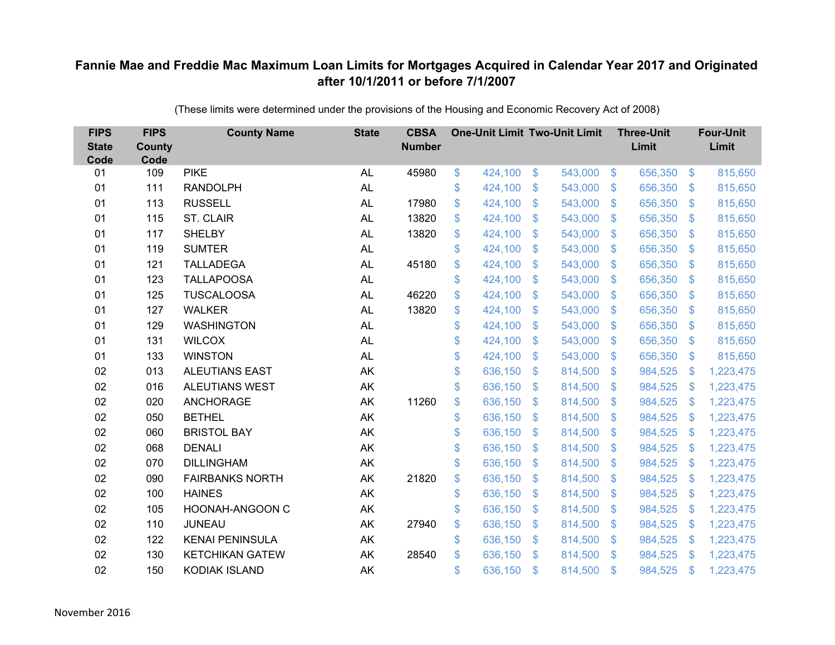| <b>FIPS</b><br><b>State</b><br>Code | <b>FIPS</b><br><b>County</b><br>Code | <b>County Name</b>     | <b>State</b> | <b>CBSA</b><br><b>Number</b> | <b>One-Unit Limit Two-Unit Limit</b> |                |         |                | <b>Three-Unit</b><br>Limit |                           | <b>Four-Unit</b><br>Limit |
|-------------------------------------|--------------------------------------|------------------------|--------------|------------------------------|--------------------------------------|----------------|---------|----------------|----------------------------|---------------------------|---------------------------|
| 01                                  | 109                                  | <b>PIKE</b>            | <b>AL</b>    | 45980                        | \$<br>424,100                        | \$             | 543,000 | $\sqrt{3}$     | 656,350                    | $\sqrt[6]{\frac{1}{2}}$   | 815,650                   |
| 01                                  | 111                                  | <b>RANDOLPH</b>        | <b>AL</b>    |                              | \$<br>424,100                        | \$             | 543,000 | $\mathbf{\$}$  | 656,350                    | $\mathbb{S}$              | 815,650                   |
| 01                                  | 113                                  | <b>RUSSELL</b>         | <b>AL</b>    | 17980                        | \$<br>424,100                        | $\mathfrak{S}$ | 543,000 | $\mathbf{\$}$  | 656,350                    | $\mathfrak{S}$            | 815,650                   |
| 01                                  | 115                                  | ST. CLAIR              | <b>AL</b>    | 13820                        | \$<br>424,100                        | \$             | 543,000 | $\mathfrak{S}$ | 656,350                    | $\mathfrak{S}$            | 815,650                   |
| 01                                  | 117                                  | <b>SHELBY</b>          | <b>AL</b>    | 13820                        | \$<br>424,100                        | $\mathfrak{S}$ | 543,000 | $\mathbf{\$}$  | 656,350                    | $\mathfrak{S}$            | 815,650                   |
| 01                                  | 119                                  | <b>SUMTER</b>          | <b>AL</b>    |                              | \$<br>424,100                        | $\mathfrak{S}$ | 543,000 | $\mathbf{\$}$  | 656,350                    | $\mathfrak{S}$            | 815,650                   |
| 01                                  | 121                                  | <b>TALLADEGA</b>       | AL           | 45180                        | \$<br>424,100                        | \$             | 543,000 | $\mathbb{S}$   | 656,350                    | $\mathbb{S}$              | 815,650                   |
| 01                                  | 123                                  | <b>TALLAPOOSA</b>      | <b>AL</b>    |                              | \$<br>424,100                        | $\mathfrak{S}$ | 543,000 | $\mathcal{S}$  | 656,350                    | $\mathcal{L}$             | 815,650                   |
| 01                                  | 125                                  | <b>TUSCALOOSA</b>      | <b>AL</b>    | 46220                        | \$<br>424,100                        | $\mathfrak{S}$ | 543,000 | $\mathbb{S}$   | 656,350                    | $\mathfrak{S}$            | 815,650                   |
| 01                                  | 127                                  | <b>WALKER</b>          | AL           | 13820                        | \$<br>424,100                        | \$             | 543,000 | S.             | 656,350                    | $\mathbb{S}$              | 815,650                   |
| 01                                  | 129                                  | <b>WASHINGTON</b>      | AL           |                              | \$<br>424,100                        | $\mathfrak{S}$ | 543,000 | $\mathbb{S}$   | 656,350                    | $\mathbb{S}$              | 815,650                   |
| 01                                  | 131                                  | <b>WILCOX</b>          | <b>AL</b>    |                              | \$<br>424,100                        | $\mathfrak{S}$ | 543,000 | $\mathbb{S}$   | 656,350                    | $\mathbb{S}$              | 815,650                   |
| 01                                  | 133                                  | <b>WINSTON</b>         | <b>AL</b>    |                              | \$<br>424,100                        | \$             | 543,000 | S.             | 656,350                    | $\mathfrak{S}$            | 815,650                   |
| 02                                  | 013                                  | <b>ALEUTIANS EAST</b>  | AK           |                              | \$<br>636,150                        | \$             | 814,500 | S.             | 984,525                    | <sup>\$</sup>             | 1,223,475                 |
| 02                                  | 016                                  | ALEUTIANS WEST         | AK           |                              | \$<br>636,150                        | \$             | 814,500 | $\mathfrak{S}$ | 984,525                    | $\mathcal{L}$             | 1,223,475                 |
| 02                                  | 020                                  | <b>ANCHORAGE</b>       | AK           | 11260                        | \$<br>636,150                        | $\mathfrak{F}$ | 814,500 | $\mathbb{S}$   | 984,525                    | $\mathcal{L}$             | 1,223,475                 |
| 02                                  | 050                                  | <b>BETHEL</b>          | AK           |                              | \$<br>636,150                        | $\mathfrak{S}$ | 814,500 | $\mathbf{\$}$  | 984,525                    | $\mathcal{S}$             | 1,223,475                 |
| 02                                  | 060                                  | <b>BRISTOL BAY</b>     | AK           |                              | \$<br>636,150                        | \$             | 814,500 | $\mathbb{S}$   | 984,525                    | $\mathcal{L}$             | 1,223,475                 |
| 02                                  | 068                                  | <b>DENALI</b>          | AK           |                              | \$<br>636,150                        | $\mathfrak{F}$ | 814,500 | $\sqrt[6]{3}$  | 984,525                    | -\$                       | 1,223,475                 |
| 02                                  | 070                                  | <b>DILLINGHAM</b>      | AK           |                              | \$<br>636,150                        | $\mathfrak{S}$ | 814,500 | $\mathbb{S}$   | 984,525                    | $\boldsymbol{\mathsf{S}}$ | 1,223,475                 |
| 02                                  | 090                                  | <b>FAIRBANKS NORTH</b> | AK           | 21820                        | \$<br>636,150                        | \$             | 814,500 | $\sqrt[6]{3}$  | 984,525                    | $\frac{1}{2}$             | 1,223,475                 |
| 02                                  | 100                                  | <b>HAINES</b>          | AK           |                              | \$<br>636,150                        | $\mathfrak{S}$ | 814,500 | S.             | 984,525                    | -\$                       | 1,223,475                 |
| 02                                  | 105                                  | HOONAH-ANGOON C        | AK           |                              | \$<br>636,150                        | \$             | 814,500 | $\sqrt[6]{3}$  | 984,525                    | $\mathcal{L}$             | 1,223,475                 |
| 02                                  | 110                                  | <b>JUNEAU</b>          | AK           | 27940                        | \$<br>636,150                        | $\mathfrak{S}$ | 814,500 | $\mathcal{S}$  | 984,525                    | \$                        | 1,223,475                 |
| 02                                  | 122                                  | <b>KENAI PENINSULA</b> | AK           |                              | \$<br>636,150                        | $\mathfrak{S}$ | 814,500 | $\sqrt[6]{3}$  | 984,525                    | <sup>\$</sup>             | 1,223,475                 |
| 02                                  | 130                                  | <b>KETCHIKAN GATEW</b> | AK           | 28540                        | \$<br>636,150                        | $\mathfrak{S}$ | 814,500 | $\mathbb{S}$   | 984,525                    | S.                        | 1,223,475                 |
| 02                                  | 150                                  | <b>KODIAK ISLAND</b>   | AK           |                              | \$<br>636,150                        | <sup>\$</sup>  | 814,500 | $\mathfrak{s}$ | 984,525                    | \$                        | 1,223,475                 |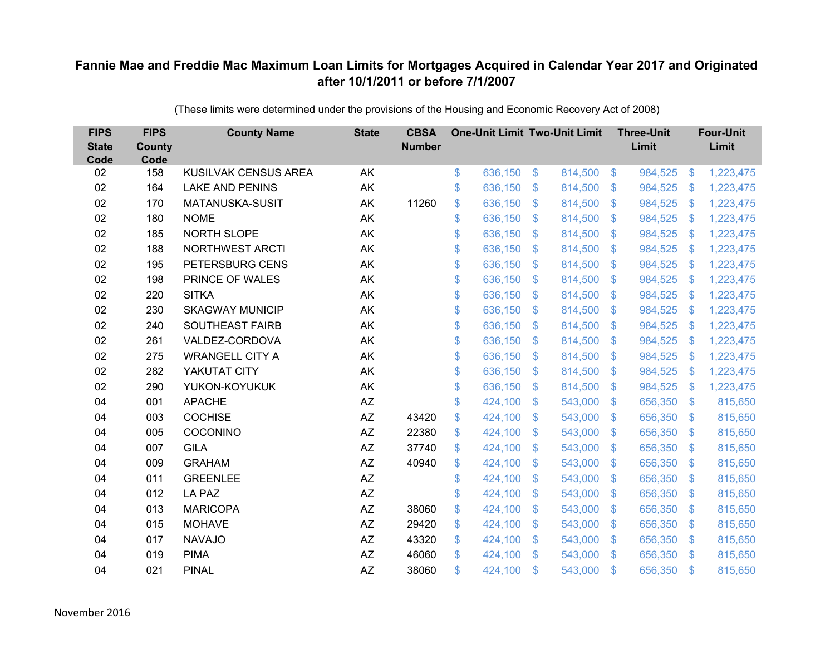| <b>FIPS</b><br><b>State</b><br>Code | <b>FIPS</b><br><b>County</b><br>Code | <b>County Name</b>     | <b>State</b> | <b>CBSA</b><br><b>Number</b> | <b>One-Unit Limit Two-Unit Limit</b> |                |         |               | <b>Three-Unit</b><br>Limit |                | <b>Four-Unit</b><br>Limit |
|-------------------------------------|--------------------------------------|------------------------|--------------|------------------------------|--------------------------------------|----------------|---------|---------------|----------------------------|----------------|---------------------------|
| 02                                  | 158                                  | KUSILVAK CENSUS AREA   | AK           |                              | \$<br>636,150                        | $\frac{1}{2}$  | 814,500 | $\sqrt[6]{3}$ | 984,525                    | $\frac{1}{2}$  | 1,223,475                 |
| 02                                  | 164                                  | <b>LAKE AND PENINS</b> | AK           |                              | \$<br>636,150                        | $\mathfrak{S}$ | 814,500 | $\mathbf{\$}$ | 984,525                    | <sup>\$</sup>  | 1,223,475                 |
| 02                                  | 170                                  | MATANUSKA-SUSIT        | AK           | 11260                        | \$<br>636,150                        | -S             | 814,500 | $\mathbf{\$}$ | 984,525                    | \$             | 1,223,475                 |
| 02                                  | 180                                  | <b>NOME</b>            | AK           |                              | \$<br>636,150                        | \$             | 814,500 | $\sqrt{3}$    | 984,525                    | \$             | 1,223,475                 |
| 02                                  | 185                                  | NORTH SLOPE            | AK           |                              | \$<br>636,150                        | \$             | 814,500 | $\mathbf{\$}$ | 984,525                    | \$             | 1,223,475                 |
| 02                                  | 188                                  | <b>NORTHWEST ARCTI</b> | AK           |                              | \$<br>636,150                        | \$             | 814,500 | -\$           | 984,525                    | $\mathcal{S}$  | 1,223,475                 |
| 02                                  | 195                                  | PETERSBURG CENS        | AK           |                              | \$<br>636,150                        | $\mathcal{S}$  | 814,500 | $\mathbf{\$}$ | 984,525                    | \$             | 1,223,475                 |
| 02                                  | 198                                  | PRINCE OF WALES        | AK           |                              | \$<br>636,150                        | $\mathfrak{S}$ | 814,500 | $\sqrt[6]{3}$ | 984,525                    | -S             | 1,223,475                 |
| 02                                  | 220                                  | <b>SITKA</b>           | AK           |                              | \$<br>636,150                        | $\mathfrak{S}$ | 814,500 | $\mathbf{\$}$ | 984,525                    | \$             | 1,223,475                 |
| 02                                  | 230                                  | <b>SKAGWAY MUNICIP</b> | AK           |                              | \$<br>636,150                        | $\mathcal{S}$  | 814,500 | -\$           | 984,525                    | $\mathbf{\$}$  | 1,223,475                 |
| 02                                  | 240                                  | <b>SOUTHEAST FAIRB</b> | AK           |                              | \$<br>636,150                        | $\mathfrak{S}$ | 814,500 | $\mathcal{S}$ | 984,525                    | \$             | 1,223,475                 |
| 02                                  | 261                                  | VALDEZ-CORDOVA         | AK           |                              | \$<br>636,150                        | $\sqrt[6]{3}$  | 814,500 | $\mathbf{\$}$ | 984,525                    | \$             | 1,223,475                 |
| 02                                  | 275                                  | <b>WRANGELL CITY A</b> | AK           |                              | \$<br>636,150                        | $\mathfrak{S}$ | 814,500 | $\mathbf{\$}$ | 984,525                    | \$             | 1,223,475                 |
| 02                                  | 282                                  | YAKUTAT CITY           | AK           |                              | \$<br>636,150                        | $\mathfrak{F}$ | 814,500 | -S            | 984,525                    | -S             | 1,223,475                 |
| 02                                  | 290                                  | YUKON-KOYUKUK          | AK           |                              | \$<br>636,150                        | \$             | 814,500 | $\mathbf{\$}$ | 984,525                    | $\mathcal{L}$  | 1,223,475                 |
| 04                                  | 001                                  | <b>APACHE</b>          | AZ           |                              | \$<br>424,100                        | $\mathfrak{S}$ | 543,000 | \$            | 656,350                    | $\mathbf{\$}$  | 815,650                   |
| 04                                  | 003                                  | <b>COCHISE</b>         | AZ           | 43420                        | \$<br>424,100                        | \$             | 543,000 | $\mathbf{\$}$ | 656,350                    | $\mathfrak{S}$ | 815,650                   |
| 04                                  | 005                                  | COCONINO               | AZ           | 22380                        | \$<br>424,100                        | \$             | 543,000 | $\mathbf{\$}$ | 656,350                    | S.             | 815,650                   |
| 04                                  | 007                                  | <b>GILA</b>            | AZ           | 37740                        | \$<br>424,100                        | \$             | 543,000 | $\mathbf{\$}$ | 656,350                    | S.             | 815,650                   |
| 04                                  | 009                                  | <b>GRAHAM</b>          | $A\!Z$       | 40940                        | \$<br>424,100                        | \$             | 543,000 | \$            | 656,350                    | $\mathfrak{S}$ | 815,650                   |
| 04                                  | 011                                  | <b>GREENLEE</b>        | $A\!Z$       |                              | \$<br>424,100                        | $\mathfrak{F}$ | 543,000 | $\mathbf{\$}$ | 656,350                    | $\mathcal{S}$  | 815,650                   |
| 04                                  | 012                                  | <b>LA PAZ</b>          | AZ           |                              | \$<br>424,100                        | $\mathfrak{S}$ | 543,000 | $\mathbf{\$}$ | 656,350                    | S.             | 815,650                   |
| 04                                  | 013                                  | <b>MARICOPA</b>        | AZ           | 38060                        | \$<br>424,100                        | \$             | 543,000 | $\sqrt{3}$    | 656,350                    | $\mathfrak{S}$ | 815,650                   |
| 04                                  | 015                                  | <b>MOHAVE</b>          | AZ           | 29420                        | \$<br>424,100                        | \$             | 543,000 | $\mathcal{S}$ | 656,350                    | $\mathcal{L}$  | 815,650                   |
| 04                                  | 017                                  | <b>NAVAJO</b>          | AZ           | 43320                        | \$<br>424,100                        | \$             | 543,000 | -\$           | 656,350                    | $\mathfrak{F}$ | 815,650                   |
| 04                                  | 019                                  | <b>PIMA</b>            | <b>AZ</b>    | 46060                        | \$<br>424,100                        | $\mathfrak{S}$ | 543,000 | $\mathbf{\$}$ | 656,350                    | $\mathbf{\$}$  | 815,650                   |
| 04                                  | 021                                  | <b>PINAL</b>           | AZ           | 38060                        | \$<br>424,100                        | \$             | 543,000 | \$            | 656,350                    | $\mathfrak{s}$ | 815,650                   |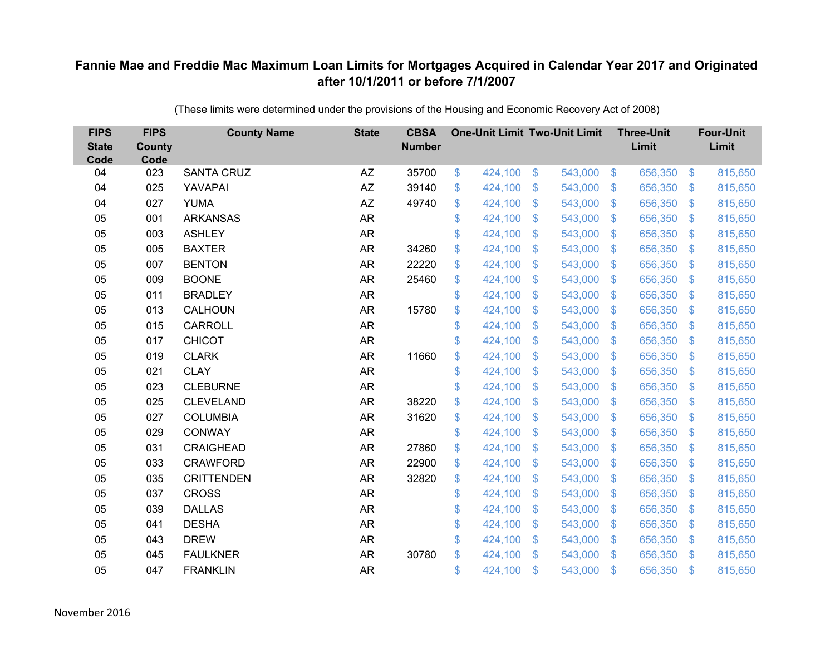| <b>FIPS</b><br><b>State</b><br>Code | <b>FIPS</b><br><b>County</b><br>Code | <b>County Name</b> | <b>State</b> | <b>CBSA</b><br><b>Number</b> | <b>One-Unit Limit Two-Unit Limit</b> |                |         |                           | <b>Three-Unit</b><br>Limit |                           | <b>Four-Unit</b><br>Limit |
|-------------------------------------|--------------------------------------|--------------------|--------------|------------------------------|--------------------------------------|----------------|---------|---------------------------|----------------------------|---------------------------|---------------------------|
| 04                                  | 023                                  | <b>SANTA CRUZ</b>  | AZ           | 35700                        | \$<br>424,100                        | \$             | 543,000 | $\sqrt[6]{3}$             | 656,350                    | $\boldsymbol{\$}$         | 815,650                   |
| 04                                  | 025                                  | YAVAPAI            | AZ           | 39140                        | \$<br>424,100                        | \$             | 543,000 | $\sqrt[6]{3}$             | 656,350                    | $\mathfrak{S}$            | 815,650                   |
| 04                                  | 027                                  | <b>YUMA</b>        | AZ           | 49740                        | \$<br>424,100                        | $\mathfrak{S}$ | 543,000 | $\mathcal{S}$             | 656,350                    | $\mathfrak{S}$            | 815,650                   |
| 05                                  | 001                                  | <b>ARKANSAS</b>    | AR           |                              | \$<br>424,100                        | \$             | 543,000 | $\mathfrak{S}$            | 656,350                    | $\sqrt[6]{3}$             | 815,650                   |
| 05                                  | 003                                  | <b>ASHLEY</b>      | <b>AR</b>    |                              | \$<br>424,100                        | \$             | 543,000 | $\mathcal{S}$             | 656,350                    | $\mathfrak{s}$            | 815,650                   |
| 05                                  | 005                                  | <b>BAXTER</b>      | <b>AR</b>    | 34260                        | \$<br>424,100                        | $\mathcal{S}$  | 543,000 | $\mathcal{S}$             | 656,350                    | $\mathbb{S}$              | 815,650                   |
| 05                                  | 007                                  | <b>BENTON</b>      | <b>AR</b>    | 22220                        | \$<br>424,100                        | \$             | 543,000 | $\mathfrak{S}$            | 656,350                    | $\mathfrak{S}$            | 815,650                   |
| 05                                  | 009                                  | <b>BOONE</b>       | AR           | 25460                        | \$<br>424,100                        | \$             | 543,000 | $\mathfrak{S}$            | 656,350                    | $\mathfrak{S}$            | 815,650                   |
| 05                                  | 011                                  | <b>BRADLEY</b>     | <b>AR</b>    |                              | \$<br>424,100                        | $\mathcal{S}$  | 543,000 | $\mathbb{S}$              | 656,350                    | $\mathfrak{F}$            | 815,650                   |
| 05                                  | 013                                  | CALHOUN            | <b>AR</b>    | 15780                        | \$<br>424,100                        | \$             | 543,000 | S.                        | 656,350                    | $\mathfrak{S}$            | 815,650                   |
| 05                                  | 015                                  | CARROLL            | <b>AR</b>    |                              | \$<br>424,100                        | \$             | 543,000 | $\mathfrak{S}$            | 656,350                    | $\mathfrak{S}$            | 815,650                   |
| 05                                  | 017                                  | <b>CHICOT</b>      | <b>AR</b>    |                              | \$<br>424,100                        | $\mathcal{S}$  | 543,000 | $\mathbb{S}$              | 656,350                    | $\mathbb{S}$              | 815,650                   |
| 05                                  | 019                                  | <b>CLARK</b>       | <b>AR</b>    | 11660                        | \$<br>424,100                        | \$             | 543,000 | $\mathfrak{F}$            | 656,350                    | $\mathfrak{S}$            | 815,650                   |
| 05                                  | 021                                  | <b>CLAY</b>        | AR           |                              | \$<br>424,100                        | \$             | 543,000 | S.                        | 656,350                    | $\mathfrak{S}$            | 815,650                   |
| 05                                  | 023                                  | <b>CLEBURNE</b>    | <b>AR</b>    |                              | \$<br>424,100                        | \$             | 543,000 | $\mathfrak{S}$            | 656,350                    | $\mathfrak{S}$            | 815,650                   |
| 05                                  | 025                                  | <b>CLEVELAND</b>   | <b>AR</b>    | 38220                        | \$<br>424,100                        | \$             | 543,000 | $\mathfrak{S}$            | 656,350                    | $\mathfrak{S}$            | 815,650                   |
| 05                                  | 027                                  | <b>COLUMBIA</b>    | <b>AR</b>    | 31620                        | \$<br>424,100                        | $\mathcal{S}$  | 543,000 | $\mathcal{S}$             | 656,350                    | $\mathbb{S}$              | 815,650                   |
| 05                                  | 029                                  | <b>CONWAY</b>      | <b>AR</b>    |                              | \$<br>424,100                        | \$             | 543,000 | $\mathfrak{S}$            | 656,350                    | $\sqrt[6]{3}$             | 815,650                   |
| 05                                  | 031                                  | <b>CRAIGHEAD</b>   | <b>AR</b>    | 27860                        | \$<br>424,100                        | \$             | 543,000 | $\sqrt[6]{3}$             | 656,350                    | $\mathcal{L}$             | 815,650                   |
| 05                                  | 033                                  | <b>CRAWFORD</b>    | <b>AR</b>    | 22900                        | \$<br>424,100                        | \$             | 543,000 | $\mathbb{S}$              | 656,350                    | $\mathfrak{F}$            | 815,650                   |
| 05                                  | 035                                  | <b>CRITTENDEN</b>  | <b>AR</b>    | 32820                        | \$<br>424,100                        | \$             | 543,000 | $\sqrt[6]{3}$             | 656,350                    | $\sqrt[6]{\frac{1}{2}}$   | 815,650                   |
| 05                                  | 037                                  | <b>CROSS</b>       | <b>AR</b>    |                              | \$<br>424,100                        | \$             | 543,000 | $\mathbb{S}$              | 656,350                    | $\mathbb{S}$              | 815,650                   |
| 05                                  | 039                                  | <b>DALLAS</b>      | <b>AR</b>    |                              | \$<br>424,100                        | \$             | 543,000 | $\mathfrak{S}$            | 656,350                    | $\mathfrak{S}$            | 815,650                   |
| 05                                  | 041                                  | <b>DESHA</b>       | AR           |                              | \$<br>424,100                        | \$             | 543,000 | $\boldsymbol{\mathsf{S}}$ | 656,350                    | $\boldsymbol{\mathsf{S}}$ | 815,650                   |
| 05                                  | 043                                  | <b>DREW</b>        | AR           |                              | \$<br>424,100                        | \$             | 543,000 | $\sqrt[6]{3}$             | 656,350                    | $\mathcal{L}$             | 815,650                   |
| 05                                  | 045                                  | <b>FAULKNER</b>    | <b>AR</b>    | 30780                        | \$<br>424,100                        | $\mathcal{S}$  | 543,000 | $\mathbf{\$}$             | 656,350                    | $\mathbf{\$}$             | 815,650                   |
| 05                                  | 047                                  | <b>FRANKLIN</b>    | <b>AR</b>    |                              | \$<br>424,100                        | \$             | 543,000 | $\mathfrak{s}$            | 656,350                    | \$                        | 815,650                   |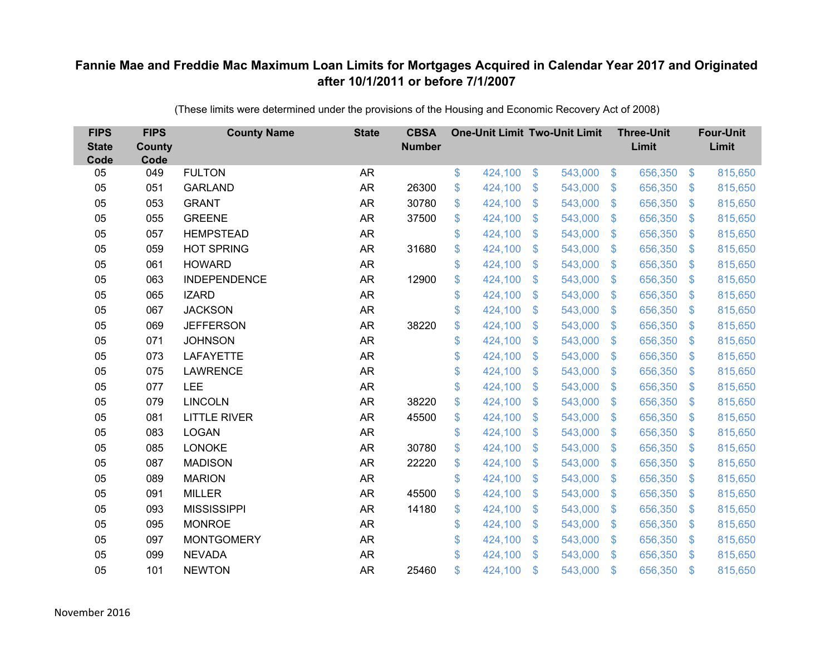| <b>FIPS</b><br><b>State</b><br>Code | <b>FIPS</b><br><b>County</b><br>Code | <b>County Name</b>  | <b>State</b> | <b>CBSA</b><br><b>Number</b> | <b>One-Unit Limit Two-Unit Limit</b> |                           |         |                         | <b>Three-Unit</b><br>Limit |                | <b>Four-Unit</b><br>Limit |
|-------------------------------------|--------------------------------------|---------------------|--------------|------------------------------|--------------------------------------|---------------------------|---------|-------------------------|----------------------------|----------------|---------------------------|
| 05                                  | 049                                  | <b>FULTON</b>       | <b>AR</b>    |                              | \$<br>424,100                        | \$                        | 543,000 | $\sqrt[6]{3}$           | 656,350                    | $\sqrt[6]{3}$  | 815,650                   |
| 05                                  | 051                                  | <b>GARLAND</b>      | <b>AR</b>    | 26300                        | \$<br>424,100                        | $\mathcal{S}$             | 543,000 | $\mathfrak{S}$          | 656,350                    | $\mathbf{\$}$  | 815,650                   |
| 05                                  | 053                                  | <b>GRANT</b>        | <b>AR</b>    | 30780                        | \$<br>424,100                        | $\boldsymbol{\mathsf{S}}$ | 543,000 | $\mathfrak{S}$          | 656,350                    | \$             | 815,650                   |
| 05                                  | 055                                  | <b>GREENE</b>       | AR           | 37500                        | \$<br>424,100                        | $\boldsymbol{\mathsf{S}}$ | 543,000 | $\sqrt[6]{\frac{1}{2}}$ | 656,350                    | $\mathcal{S}$  | 815,650                   |
| 05                                  | 057                                  | <b>HEMPSTEAD</b>    | <b>AR</b>    |                              | \$<br>424,100                        | $\mathcal{S}$             | 543,000 | $\mathfrak{S}$          | 656,350                    | $\mathfrak{S}$ | 815,650                   |
| 05                                  | 059                                  | <b>HOT SPRING</b>   | <b>AR</b>    | 31680                        | \$<br>424,100                        | \$                        | 543,000 | $\mathbb{S}$            | 656,350                    | $\mathcal{S}$  | 815,650                   |
| 05                                  | 061                                  | <b>HOWARD</b>       | <b>AR</b>    |                              | \$<br>424,100                        | $\mathfrak{S}$            | 543,000 | $\mathfrak{S}$          | 656,350                    | $\mathbf{\$}$  | 815,650                   |
| 05                                  | 063                                  | <b>INDEPENDENCE</b> | AR           | 12900                        | \$<br>424,100                        | $\mathfrak{S}$            | 543,000 | $\mathcal{L}$           | 656,350                    | $\mathcal{S}$  | 815,650                   |
| 05                                  | 065                                  | <b>IZARD</b>        | <b>AR</b>    |                              | \$<br>424,100                        | \$                        | 543,000 | $\mathfrak{S}$          | 656,350                    | \$.            | 815,650                   |
| 05                                  | 067                                  | <b>JACKSON</b>      | <b>AR</b>    |                              | \$<br>424,100                        | $\boldsymbol{\mathsf{S}}$ | 543,000 | $\mathfrak{S}$          | 656,350                    | $\mathcal{S}$  | 815,650                   |
| 05                                  | 069                                  | <b>JEFFERSON</b>    | <b>AR</b>    | 38220                        | \$<br>424,100                        | \$                        | 543,000 | $\sqrt[6]{\frac{1}{2}}$ | 656,350                    | $\mathfrak{F}$ | 815,650                   |
| 05                                  | 071                                  | <b>JOHNSON</b>      | <b>AR</b>    |                              | \$<br>424,100                        | $\boldsymbol{\mathsf{S}}$ | 543,000 | $\mathfrak{S}$          | 656,350                    | $\mathbf{\$}$  | 815,650                   |
| 05                                  | 073                                  | <b>LAFAYETTE</b>    | <b>AR</b>    |                              | \$<br>424,100                        | \$                        | 543,000 | $\mathcal{L}$           | 656,350                    | $\mathfrak{F}$ | 815,650                   |
| 05                                  | 075                                  | <b>LAWRENCE</b>     | <b>AR</b>    |                              | \$<br>424,100                        | $\mathbf{\$}$             | 543,000 | $\mathbb{S}$            | 656,350                    | $\mathbf{\$}$  | 815,650                   |
| 05                                  | 077                                  | LEE                 | <b>AR</b>    |                              | \$<br>424,100                        | $\boldsymbol{\mathsf{S}}$ | 543,000 | $\mathcal{L}$           | 656,350                    | $\mathcal{S}$  | 815,650                   |
| 05                                  | 079                                  | <b>LINCOLN</b>      | <b>AR</b>    | 38220                        | \$<br>424,100                        | $\boldsymbol{\mathsf{S}}$ | 543,000 | $\mathcal{S}$           | 656,350                    | $\mathcal{S}$  | 815,650                   |
| 05                                  | 081                                  | <b>LITTLE RIVER</b> | <b>AR</b>    | 45500                        | \$<br>424,100                        | $\boldsymbol{\mathsf{S}}$ | 543,000 | $\sqrt[6]{3}$           | 656,350                    | $\mathcal{S}$  | 815,650                   |
| 05                                  | 083                                  | <b>LOGAN</b>        | <b>AR</b>    |                              | \$<br>424,100                        | $\boldsymbol{\mathsf{S}}$ | 543,000 | $\mathbb{S}$            | 656,350                    | $\mathcal{S}$  | 815,650                   |
| 05                                  | 085                                  | <b>LONOKE</b>       | <b>AR</b>    | 30780                        | \$<br>424,100                        | $\boldsymbol{\mathsf{S}}$ | 543,000 | \$                      | 656,350                    | $\mathcal{S}$  | 815,650                   |
| 05                                  | 087                                  | <b>MADISON</b>      | <b>AR</b>    | 22220                        | \$<br>424,100                        | $\boldsymbol{\mathsf{S}}$ | 543,000 | $\sqrt[6]{3}$           | 656,350                    | $\mathcal{S}$  | 815,650                   |
| 05                                  | 089                                  | <b>MARION</b>       | <b>AR</b>    |                              | \$<br>424,100                        | $\mathcal{S}$             | 543,000 | \$                      | 656,350                    | $\mathcal{S}$  | 815,650                   |
| 05                                  | 091                                  | <b>MILLER</b>       | <b>AR</b>    | 45500                        | \$<br>424,100                        | $\boldsymbol{\mathsf{S}}$ | 543,000 | $\mathfrak{S}$          | 656,350                    | $\sqrt{3}$     | 815,650                   |
| 05                                  | 093                                  | <b>MISSISSIPPI</b>  | <b>AR</b>    | 14180                        | \$<br>424,100                        | $\boldsymbol{\mathsf{S}}$ | 543,000 | $\sqrt[6]{3}$           | 656,350                    | $\mathcal{S}$  | 815,650                   |
| 05                                  | 095                                  | <b>MONROE</b>       | <b>AR</b>    |                              | \$<br>424,100                        | $\frac{1}{2}$             | 543,000 | $\mathfrak{F}$          | 656,350                    | $\mathfrak{S}$ | 815,650                   |
| 05                                  | 097                                  | <b>MONTGOMERY</b>   | <b>AR</b>    |                              | \$<br>424,100                        | $\boldsymbol{\mathsf{S}}$ | 543,000 | $\mathfrak{S}$          | 656,350                    | $\mathcal{S}$  | 815,650                   |
| 05                                  | 099                                  | <b>NEVADA</b>       | <b>AR</b>    |                              | \$<br>424,100                        | $\mathcal{S}$             | 543,000 | $\mathbf{\$}$           | 656,350                    | <sup>\$</sup>  | 815,650                   |
| 05                                  | 101                                  | <b>NEWTON</b>       | <b>AR</b>    | 25460                        | \$<br>424,100                        | $\mathcal{S}$             | 543,000 | $\mathfrak{F}$          | 656,350                    | \$             | 815,650                   |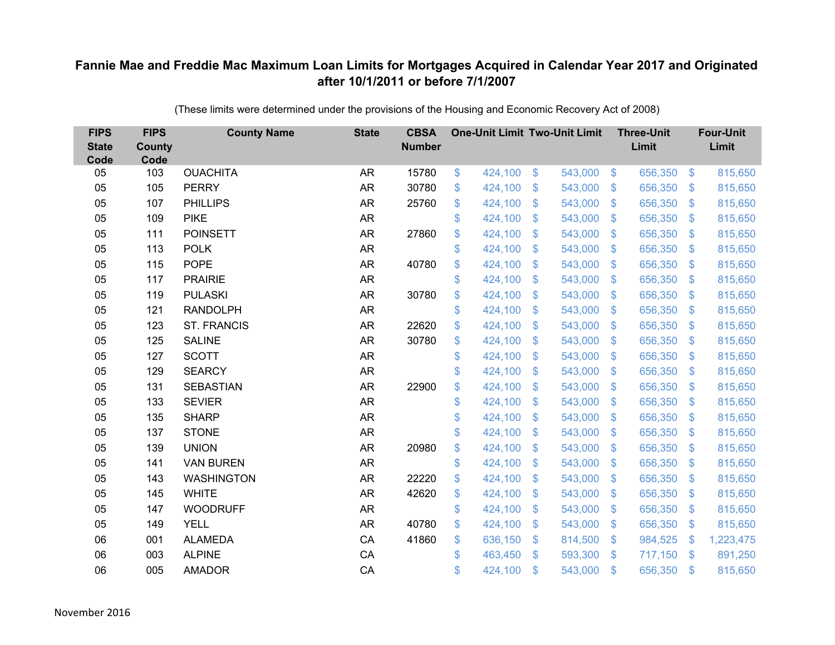| <b>FIPS</b><br><b>State</b><br>Code | <b>FIPS</b><br><b>County</b><br>Code | <b>County Name</b> | <b>State</b> | <b>CBSA</b><br><b>Number</b> | <b>One-Unit Limit Two-Unit Limit</b> |                           |         |                           | <b>Three-Unit</b><br>Limit |                | <b>Four-Unit</b><br>Limit |
|-------------------------------------|--------------------------------------|--------------------|--------------|------------------------------|--------------------------------------|---------------------------|---------|---------------------------|----------------------------|----------------|---------------------------|
| 05                                  | 103                                  | <b>OUACHITA</b>    | <b>AR</b>    | 15780                        | \$<br>424,100                        | $\$\$                     | 543,000 | $\sqrt[6]{3}$             | 656,350                    | $\frac{3}{2}$  | 815,650                   |
| 05                                  | 105                                  | <b>PERRY</b>       | <b>AR</b>    | 30780                        | \$<br>424,100                        | \$                        | 543,000 | $\sqrt[6]{3}$             | 656,350                    | $\mathcal{S}$  | 815,650                   |
| 05                                  | 107                                  | <b>PHILLIPS</b>    | <b>AR</b>    | 25760                        | \$<br>424,100                        | $\mathcal{S}$             | 543,000 | $\mathfrak{S}$            | 656,350                    | $\mathbf{\$}$  | 815,650                   |
| 05                                  | 109                                  | <b>PIKE</b>        | <b>AR</b>    |                              | \$<br>424,100                        | $\boldsymbol{\mathsf{S}}$ | 543,000 | $\sqrt[6]{3}$             | 656,350                    | $\mathcal{S}$  | 815,650                   |
| 05                                  | 111                                  | <b>POINSETT</b>    | <b>AR</b>    | 27860                        | \$<br>424,100                        | $\boldsymbol{\mathsf{S}}$ | 543,000 | $\mathfrak{S}$            | 656,350                    | \$.            | 815,650                   |
| 05                                  | 113                                  | <b>POLK</b>        | <b>AR</b>    |                              | \$<br>424,100                        | $\mathcal{S}$             | 543,000 | $\mathfrak{S}$            | 656,350                    | $\mathbf{\$}$  | 815,650                   |
| 05                                  | 115                                  | <b>POPE</b>        | <b>AR</b>    | 40780                        | \$<br>424,100                        | $\mathfrak{F}$            | 543,000 | $\sqrt[6]{3}$             | 656,350                    | $\mathcal{S}$  | 815,650                   |
| 05                                  | 117                                  | <b>PRAIRIE</b>     | <b>AR</b>    |                              | \$<br>424,100                        | \$                        | 543,000 | $\mathfrak{S}$            | 656,350                    | $\mathcal{S}$  | 815,650                   |
| 05                                  | 119                                  | <b>PULASKI</b>     | <b>AR</b>    | 30780                        | \$<br>424,100                        | \$                        | 543,000 | $\mathfrak{S}$            | 656,350                    | $\mathfrak{S}$ | 815,650                   |
| 05                                  | 121                                  | <b>RANDOLPH</b>    | <b>AR</b>    |                              | \$<br>424,100                        | $\boldsymbol{\mathsf{S}}$ | 543,000 | $\mathbb{S}$              | 656,350                    | <sup>\$</sup>  | 815,650                   |
| 05                                  | 123                                  | <b>ST. FRANCIS</b> | <b>AR</b>    | 22620                        | \$<br>424,100                        | \$                        | 543,000 | $\sqrt[6]{3}$             | 656,350                    | \$             | 815,650                   |
| 05                                  | 125                                  | <b>SALINE</b>      | <b>AR</b>    | 30780                        | \$<br>424,100                        | $\boldsymbol{\mathsf{S}}$ | 543,000 | $\mathfrak{S}$            | 656,350                    | $\mathbf{\$}$  | 815,650                   |
| 05                                  | 127                                  | <b>SCOTT</b>       | <b>AR</b>    |                              | \$<br>424,100                        | \$                        | 543,000 | $\mathcal{L}$             | 656,350                    | \$             | 815,650                   |
| 05                                  | 129                                  | <b>SEARCY</b>      | <b>AR</b>    |                              | \$<br>424,100                        | $\mathbf{\$}$             | 543,000 | $\mathbb{S}$              | 656,350                    | <sup>\$</sup>  | 815,650                   |
| 05                                  | 131                                  | <b>SEBASTIAN</b>   | <b>AR</b>    | 22900                        | \$<br>424,100                        | $\boldsymbol{\mathsf{S}}$ | 543,000 | $\sqrt[6]{3}$             | 656,350                    | $\mathcal{S}$  | 815,650                   |
| 05                                  | 133                                  | <b>SEVIER</b>      | <b>AR</b>    |                              | \$<br>424,100                        | $\boldsymbol{\mathsf{S}}$ | 543,000 | $\sqrt[6]{3}$             | 656,350                    | $\mathcal{S}$  | 815,650                   |
| 05                                  | 135                                  | <b>SHARP</b>       | <b>AR</b>    |                              | \$<br>424,100                        | $\mathcal{S}$             | 543,000 | \$                        | 656,350                    | $\mathcal{S}$  | 815,650                   |
| 05                                  | 137                                  | <b>STONE</b>       | <b>AR</b>    |                              | \$<br>424,100                        | $\boldsymbol{\mathsf{S}}$ | 543,000 | $\sqrt[6]{\frac{1}{2}}$   | 656,350                    | $\sqrt{3}$     | 815,650                   |
| 05                                  | 139                                  | <b>UNION</b>       | <b>AR</b>    | 20980                        | \$<br>424,100                        | $\boldsymbol{\mathsf{S}}$ | 543,000 | $\sqrt[6]{3}$             | 656,350                    | $\mathcal{S}$  | 815,650                   |
| 05                                  | 141                                  | <b>VAN BUREN</b>   | <b>AR</b>    |                              | \$<br>424,100                        | $\boldsymbol{\mathsf{S}}$ | 543,000 | $\mathfrak{S}$            | 656,350                    | $\mathbf{\$}$  | 815,650                   |
| 05                                  | 143                                  | <b>WASHINGTON</b>  | <b>AR</b>    | 22220                        | \$<br>424,100                        | $\boldsymbol{\mathsf{S}}$ | 543,000 | $\sqrt[6]{3}$             | 656,350                    | $\sqrt{3}$     | 815,650                   |
| 05                                  | 145                                  | <b>WHITE</b>       | <b>AR</b>    | 42620                        | \$<br>424,100                        | $\boldsymbol{\mathsf{S}}$ | 543,000 | $\mathfrak{S}$            | 656,350                    | $\mathcal{S}$  | 815,650                   |
| 05                                  | 147                                  | <b>WOODRUFF</b>    | <b>AR</b>    |                              | \$<br>424,100                        | $\boldsymbol{\mathsf{S}}$ | 543,000 | $\sqrt[6]{\frac{1}{2}}$   | 656,350                    | $\mathbf{\$}$  | 815,650                   |
| 05                                  | 149                                  | <b>YELL</b>        | <b>AR</b>    | 40780                        | \$<br>424,100                        | $\boldsymbol{\mathsf{S}}$ | 543,000 | $\boldsymbol{\mathsf{S}}$ | 656,350                    | \$             | 815,650                   |
| 06                                  | 001                                  | <b>ALAMEDA</b>     | CA           | 41860                        | \$<br>636,150                        | $\boldsymbol{\mathsf{S}}$ | 814,500 | $\sqrt[6]{3}$             | 984,525                    | -\$            | 1,223,475                 |
| 06                                  | 003                                  | <b>ALPINE</b>      | CA           |                              | \$<br>463,450                        | $\mathcal{S}$             | 593,300 | $\mathfrak{S}$            | 717,150                    | \$.            | 891,250                   |
| 06                                  | 005                                  | <b>AMADOR</b>      | CA           |                              | \$<br>424,100                        | $\mathcal{S}$             | 543,000 | $\mathfrak{s}$            | 656,350                    | $\mathbf{\$}$  | 815,650                   |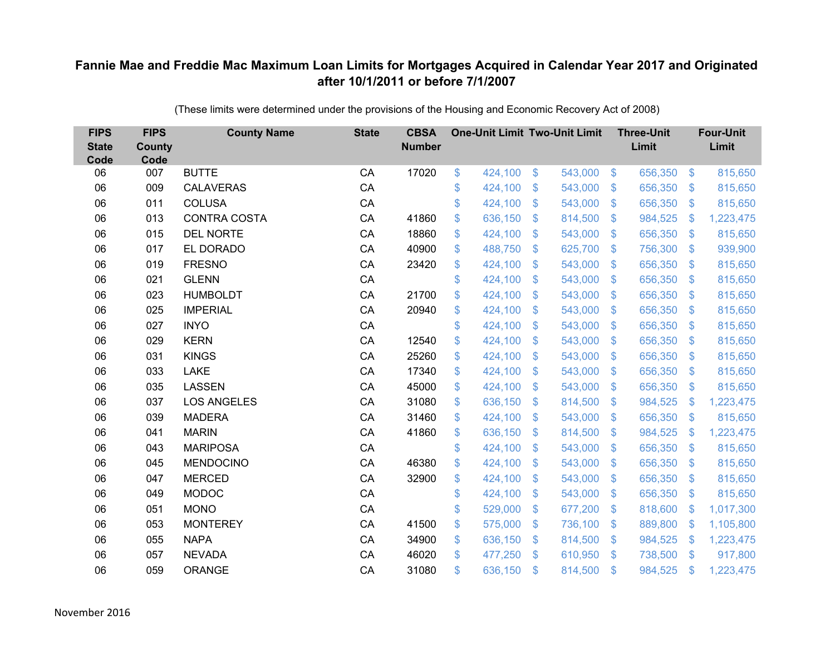| <b>FIPS</b><br><b>State</b><br>Code | <b>FIPS</b><br><b>County</b><br>Code | <b>County Name</b>  | <b>State</b> | <b>CBSA</b><br><b>Number</b> | <b>One-Unit Limit Two-Unit Limit</b> |                |         |                | <b>Three-Unit</b><br>Limit |                | <b>Four-Unit</b><br>Limit |
|-------------------------------------|--------------------------------------|---------------------|--------------|------------------------------|--------------------------------------|----------------|---------|----------------|----------------------------|----------------|---------------------------|
| 06                                  | 007                                  | <b>BUTTE</b>        | CA           | 17020                        | \$<br>424,100                        | $\$\$          | 543,000 | $\sqrt[6]{3}$  | 656,350                    | $\frac{3}{2}$  | 815,650                   |
| 06                                  | 009                                  | <b>CALAVERAS</b>    | CA           |                              | \$<br>424,100                        | \$             | 543,000 | $\mathbf{\$}$  | 656,350                    | $\mathbb{S}$   | 815,650                   |
| 06                                  | 011                                  | <b>COLUSA</b>       | CA           |                              | \$<br>424,100                        | $\mathfrak{S}$ | 543,000 | $\mathbb{S}$   | 656,350                    | $\mathfrak{S}$ | 815,650                   |
| 06                                  | 013                                  | <b>CONTRA COSTA</b> | CA           | 41860                        | \$<br>636,150                        | \$             | 814,500 | $\sqrt[6]{3}$  | 984,525                    | $\mathcal{L}$  | 1,223,475                 |
| 06                                  | 015                                  | <b>DEL NORTE</b>    | CA           | 18860                        | \$<br>424,100                        | \$             | 543,000 | $\mathfrak{F}$ | 656,350                    | $\mathfrak{S}$ | 815,650                   |
| 06                                  | 017                                  | EL DORADO           | CA           | 40900                        | \$<br>488,750                        | $\mathfrak{S}$ | 625,700 | $\mathbf{\$}$  | 756,300                    | $\mathfrak{S}$ | 939,900                   |
| 06                                  | 019                                  | <b>FRESNO</b>       | CA           | 23420                        | \$<br>424,100                        | \$             | 543,000 | $\mathfrak{S}$ | 656,350                    | $\mathbb{S}$   | 815,650                   |
| 06                                  | 021                                  | <b>GLENN</b>        | CA           |                              | \$<br>424,100                        | \$             | 543,000 | S.             | 656,350                    | $\mathbb{S}$   | 815,650                   |
| 06                                  | 023                                  | <b>HUMBOLDT</b>     | CA           | 21700                        | \$<br>424,100                        | $\mathfrak{S}$ | 543,000 | $\mathbb{S}$   | 656,350                    | $\mathfrak{S}$ | 815,650                   |
| 06                                  | 025                                  | <b>IMPERIAL</b>     | CA           | 20940                        | \$<br>424,100                        | \$             | 543,000 | $\mathcal{S}$  | 656,350                    | $\mathcal{L}$  | 815,650                   |
| 06                                  | 027                                  | <b>INYO</b>         | CA           |                              | \$<br>424,100                        | $\mathfrak{S}$ | 543,000 | $\mathbb{S}$   | 656,350                    | $\mathfrak{S}$ | 815,650                   |
| 06                                  | 029                                  | <b>KERN</b>         | CA           | 12540                        | \$<br>424,100                        | $\mathfrak{S}$ | 543,000 | $\mathbb{S}$   | 656,350                    | $\mathfrak{S}$ | 815,650                   |
| 06                                  | 031                                  | <b>KINGS</b>        | CA           | 25260                        | \$<br>424,100                        | $\mathfrak{S}$ | 543,000 | $\mathbb{S}$   | 656,350                    | $\mathbb{S}$   | 815,650                   |
| 06                                  | 033                                  | LAKE                | CA           | 17340                        | \$<br>424,100                        | \$             | 543,000 | S.             | 656,350                    | $\mathbb{S}$   | 815,650                   |
| 06                                  | 035                                  | LASSEN              | CA           | 45000                        | \$<br>424,100                        | \$             | 543,000 | $\mathfrak{S}$ | 656,350                    | $\sqrt[6]{3}$  | 815,650                   |
| 06                                  | 037                                  | <b>LOS ANGELES</b>  | CA           | 31080                        | \$<br>636,150                        | $\mathfrak{F}$ | 814,500 | $\mathfrak{S}$ | 984,525                    | $\mathcal{L}$  | 1,223,475                 |
| 06                                  | 039                                  | <b>MADERA</b>       | CA           | 31460                        | \$<br>424,100                        | $\mathfrak{S}$ | 543,000 | $\mathbf{\$}$  | 656,350                    | $\mathfrak{S}$ | 815,650                   |
| 06                                  | 041                                  | <b>MARIN</b>        | CA           | 41860                        | \$<br>636,150                        | \$             | 814,500 | $\mathfrak{S}$ | 984,525                    | $\mathcal{L}$  | 1,223,475                 |
| 06                                  | 043                                  | <b>MARIPOSA</b>     | CA           |                              | \$<br>424,100                        | \$             | 543,000 | $\sqrt[6]{3}$  | 656,350                    | $\mathfrak{S}$ | 815,650                   |
| 06                                  | 045                                  | MENDOCINO           | CA           | 46380                        | \$<br>424,100                        | $\mathfrak{S}$ | 543,000 | $\mathbb{S}$   | 656,350                    | $\mathfrak{S}$ | 815,650                   |
| 06                                  | 047                                  | <b>MERCED</b>       | CA           | 32900                        | \$<br>424,100                        | \$             | 543,000 | $\sqrt[6]{3}$  | 656,350                    | $\mathfrak{S}$ | 815,650                   |
| 06                                  | 049                                  | <b>MODOC</b>        | CA           |                              | \$<br>424,100                        | $\mathfrak{S}$ | 543,000 | $\mathbb{S}$   | 656,350                    | $\mathfrak{S}$ | 815,650                   |
| 06                                  | 051                                  | <b>MONO</b>         | CA           |                              | \$<br>529,000                        | \$             | 677,200 | $\mathbf{\$}$  | 818,600                    | $\mathfrak{F}$ | 1,017,300                 |
| 06                                  | 053                                  | <b>MONTEREY</b>     | CA           | 41500                        | \$<br>575,000                        | \$             | 736,100 | $\mathfrak{S}$ | 889,800                    | $\mathcal{L}$  | 1,105,800                 |
| 06                                  | 055                                  | <b>NAPA</b>         | CA           | 34900                        | \$<br>636,150                        | \$             | 814,500 | $\sqrt[6]{3}$  | 984,525                    | <sup>\$</sup>  | 1,223,475                 |
| 06                                  | 057                                  | <b>NEVADA</b>       | CA           | 46020                        | \$<br>477,250                        | $\mathfrak{S}$ | 610,950 | $\mathbb{S}$   | 738,500                    | $\mathbf{\$}$  | 917,800                   |
| 06                                  | 059                                  | <b>ORANGE</b>       | CA           | 31080                        | \$<br>636,150                        | \$             | 814,500 | $\mathfrak{s}$ | 984,525                    | \$             | 1,223,475                 |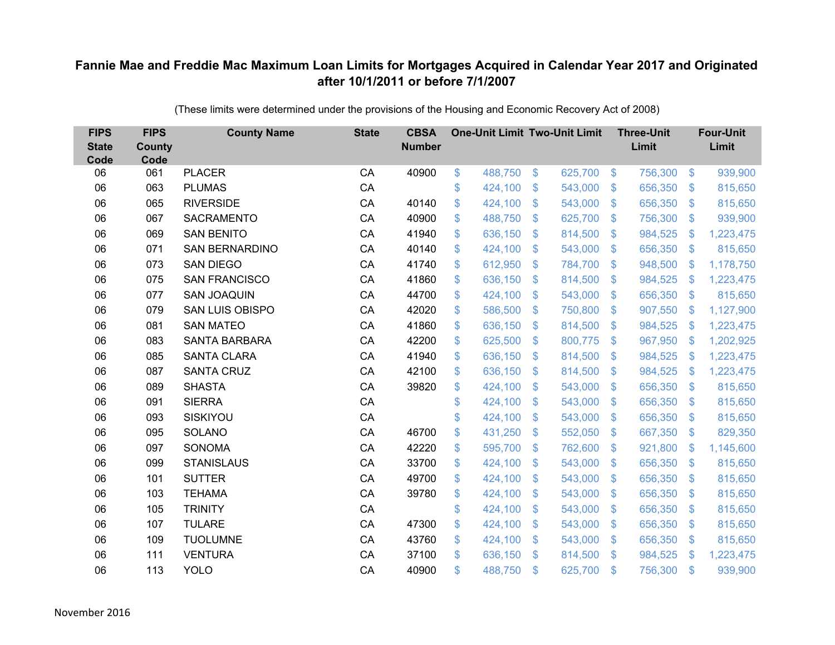| <b>FIPS</b><br><b>State</b><br>Code | <b>FIPS</b><br><b>County</b><br>Code | <b>County Name</b>     | <b>State</b> | <b>CBSA</b><br><b>Number</b> |               | <b>One-Unit Limit Two-Unit Limit</b> |                |         |                           | <b>Three-Unit</b><br>Limit |                | <b>Four-Unit</b><br>Limit |
|-------------------------------------|--------------------------------------|------------------------|--------------|------------------------------|---------------|--------------------------------------|----------------|---------|---------------------------|----------------------------|----------------|---------------------------|
| 06                                  | 061                                  | <b>PLACER</b>          | CA           | 40900                        | $\frac{1}{2}$ | 488,750                              | \$             | 625,700 | $\sqrt[6]{3}$             | 756,300                    | $\frac{3}{2}$  | 939,900                   |
| 06                                  | 063                                  | <b>PLUMAS</b>          | CA           |                              | \$            | 424,100                              | \$             | 543,000 | $\mathfrak{F}$            | 656,350                    | $\mathfrak{S}$ | 815,650                   |
| 06                                  | 065                                  | <b>RIVERSIDE</b>       | CA           | 40140                        | \$            | 424,100                              | $\mathfrak{S}$ | 543,000 | $\mathbf{\$}$             | 656,350                    | $\mathfrak{S}$ | 815,650                   |
| 06                                  | 067                                  | <b>SACRAMENTO</b>      | CA           | 40900                        | \$            | 488,750                              | \$             | 625,700 | $\sqrt[6]{3}$             | 756,300                    | $\mathfrak{S}$ | 939,900                   |
| 06                                  | 069                                  | <b>SAN BENITO</b>      | CA           | 41940                        | \$            | 636,150                              | \$             | 814,500 | $\mathfrak{F}$            | 984,525                    | \$             | 1,223,475                 |
| 06                                  | 071                                  | <b>SAN BERNARDINO</b>  | CA           | 40140                        | \$            | 424,100                              | $\mathfrak{S}$ | 543,000 | $\mathfrak{F}$            | 656,350                    | $\mathfrak{S}$ | 815,650                   |
| 06                                  | 073                                  | <b>SAN DIEGO</b>       | CA           | 41740                        | \$            | 612,950                              | \$             | 784,700 | $\mathfrak{F}$            | 948,500                    | \$             | 1,178,750                 |
| 06                                  | 075                                  | <b>SAN FRANCISCO</b>   | CA           | 41860                        | \$            | 636,150                              | \$             | 814,500 | $\mathcal{L}$             | 984,525                    | <sup>\$</sup>  | 1,223,475                 |
| 06                                  | 077                                  | <b>SAN JOAQUIN</b>     | CA           | 44700                        | \$            | 424,100                              | $\mathfrak{S}$ | 543,000 | $\mathfrak{F}$            | 656,350                    | $\mathfrak{S}$ | 815,650                   |
| 06                                  | 079                                  | <b>SAN LUIS OBISPO</b> | CA           | 42020                        | \$            | 586,500                              | $\mathfrak{F}$ | 750,800 | S.                        | 907,550                    | <sup>\$</sup>  | 1,127,900                 |
| 06                                  | 081                                  | <b>SAN MATEO</b>       | CA           | 41860                        | \$            | 636,150                              | $\mathfrak{S}$ | 814,500 | $\mathbb{S}$              | 984,525                    | $\mathcal{L}$  | 1,223,475                 |
| 06                                  | 083                                  | <b>SANTA BARBARA</b>   | CA           | 42200                        | \$            | 625,500                              | $\mathfrak{S}$ | 800,775 | $\mathfrak{F}$            | 967,950                    | $\mathbf{\$}$  | 1,202,925                 |
| 06                                  | 085                                  | <b>SANTA CLARA</b>     | CA           | 41940                        | \$            | 636,150                              | \$             | 814,500 | $\mathfrak{F}$            | 984,525                    | <sup>\$</sup>  | 1,223,475                 |
| 06                                  | 087                                  | <b>SANTA CRUZ</b>      | CA           | 42100                        | \$            | 636,150                              | $\mathfrak{S}$ | 814,500 | S.                        | 984,525                    | $\mathbf{\$}$  | 1,223,475                 |
| 06                                  | 089                                  | <b>SHASTA</b>          | CA           | 39820                        | \$            | 424,100                              | \$             | 543,000 | $\mathfrak{S}$            | 656,350                    | $\mathcal{L}$  | 815,650                   |
| 06                                  | 091                                  | <b>SIERRA</b>          | CA           |                              | \$            | 424,100                              | \$             | 543,000 | $\mathcal{S}$             | 656,350                    | $\mathcal{L}$  | 815,650                   |
| 06                                  | 093                                  | SISKIYOU               | CA           |                              | \$            | 424,100                              | $\mathfrak{S}$ | 543,000 | $\mathbb{S}$              | 656,350                    | $\mathbb{S}$   | 815,650                   |
| 06                                  | 095                                  | SOLANO                 | CA           | 46700                        | \$            | 431,250                              | \$             | 552,050 | $\boldsymbol{\mathsf{S}}$ | 667,350                    | $\mathcal{L}$  | 829,350                   |
| 06                                  | 097                                  | <b>SONOMA</b>          | CA           | 42220                        | \$            | 595,700                              | $\mathfrak{F}$ | 762,600 | S.                        | 921,800                    | $\mathcal{L}$  | 1,145,600                 |
| 06                                  | 099                                  | <b>STANISLAUS</b>      | CA           | 33700                        | \$            | 424,100                              | $\mathfrak{S}$ | 543,000 | $\mathfrak{F}$            | 656,350                    | $\sqrt[6]{3}$  | 815,650                   |
| 06                                  | 101                                  | <b>SUTTER</b>          | CA           | 49700                        | \$            | 424,100                              | \$             | 543,000 | $\mathcal{S}$             | 656,350                    | $\mathcal{L}$  | 815,650                   |
| 06                                  | 103                                  | <b>TEHAMA</b>          | CA           | 39780                        | \$            | 424,100                              | $\mathfrak{S}$ | 543,000 | $\mathfrak{F}$            | 656,350                    | $\mathbb{S}$   | 815,650                   |
| 06                                  | 105                                  | <b>TRINITY</b>         | CA           |                              | \$            | 424,100                              | \$             | 543,000 | $\mathbb{S}$              | 656,350                    | $\mathfrak{S}$ | 815,650                   |
| 06                                  | 107                                  | <b>TULARE</b>          | CA           | 47300                        | \$            | 424,100                              | \$             | 543,000 | $\boldsymbol{\mathsf{S}}$ | 656,350                    | $\mathcal{L}$  | 815,650                   |
| 06                                  | 109                                  | <b>TUOLUMNE</b>        | CA           | 43760                        | \$            | 424,100                              | \$             | 543,000 | $\mathcal{S}$             | 656,350                    | $\mathcal{L}$  | 815,650                   |
| 06                                  | 111                                  | <b>VENTURA</b>         | CA           | 37100                        | \$            | 636,150                              | $\mathfrak{S}$ | 814,500 | $\mathbf{\$}$             | 984,525                    | <sup>\$</sup>  | 1,223,475                 |
| 06                                  | 113                                  | <b>YOLO</b>            | CA           | 40900                        | \$            | 488,750                              | \$             | 625,700 | $\mathfrak{s}$            | 756,300                    | $\mathfrak{s}$ | 939,900                   |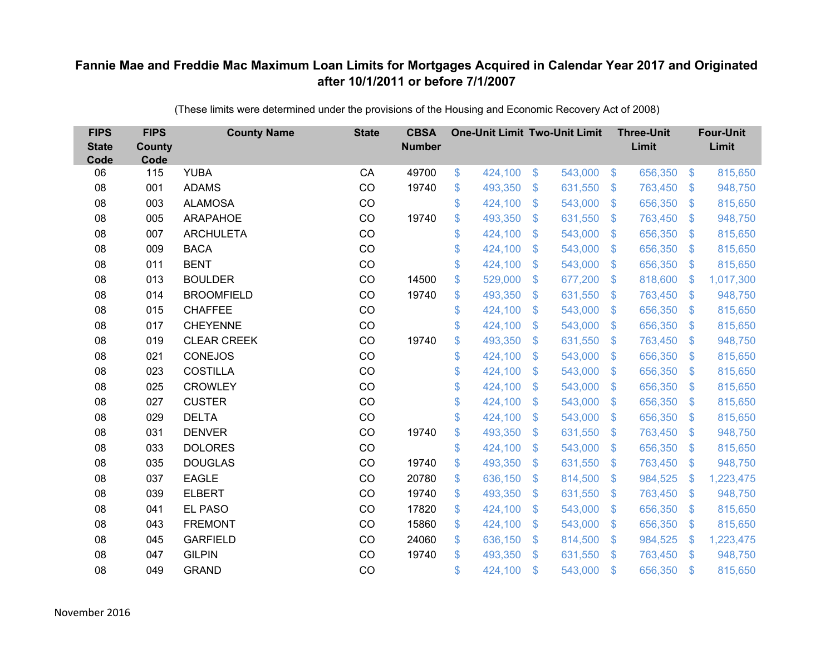| <b>FIPS</b><br><b>State</b><br>Code | <b>FIPS</b><br><b>County</b><br>Code | <b>County Name</b> | <b>State</b> | <b>CBSA</b><br><b>Number</b> | <b>One-Unit Limit Two-Unit Limit</b> |                |         |                | <b>Three-Unit</b><br>Limit |                           | <b>Four-Unit</b><br>Limit |
|-------------------------------------|--------------------------------------|--------------------|--------------|------------------------------|--------------------------------------|----------------|---------|----------------|----------------------------|---------------------------|---------------------------|
| 06                                  | 115                                  | <b>YUBA</b>        | CA           | 49700                        | \$<br>424,100                        | \$             | 543,000 | $\sqrt[6]{5}$  | 656,350                    | $\mathfrak{S}$            | 815,650                   |
| 08                                  | 001                                  | <b>ADAMS</b>       | CO           | 19740                        | \$<br>493,350                        | \$             | 631,550 | $\mathcal{S}$  | 763,450                    | $\mathcal{S}$             | 948,750                   |
| 08                                  | 003                                  | <b>ALAMOSA</b>     | CO           |                              | \$<br>424,100                        | $\mathfrak{S}$ | 543,000 | $\mathbf{\$}$  | 656,350                    | $\boldsymbol{\mathsf{S}}$ | 815,650                   |
| 08                                  | 005                                  | ARAPAHOE           | CO           | 19740                        | \$<br>493,350                        | \$             | 631,550 | $\sqrt{3}$     | 763,450                    | $\mathfrak{S}$            | 948,750                   |
| 08                                  | 007                                  | <b>ARCHULETA</b>   | CO           |                              | \$<br>424,100                        | \$             | 543,000 | \$             | 656,350                    | $\mathcal{L}$             | 815,650                   |
| 08                                  | 009                                  | <b>BACA</b>        | CO           |                              | \$<br>424,100                        | $\mathfrak{S}$ | 543,000 | $\mathfrak{S}$ | 656,350                    | S.                        | 815,650                   |
| 08                                  | 011                                  | <b>BENT</b>        | CO           |                              | \$<br>424,100                        | \$             | 543,000 | \$             | 656,350                    | $\mathcal{L}$             | 815,650                   |
| 08                                  | 013                                  | <b>BOULDER</b>     | CO           | 14500                        | \$<br>529,000                        | \$             | 677,200 | \$             | 818,600                    | $\mathcal{L}$             | 1,017,300                 |
| 08                                  | 014                                  | <b>BROOMFIELD</b>  | CO           | 19740                        | \$<br>493,350                        | \$             | 631,550 | $\mathbf{\$}$  | 763,450                    | $\mathcal{L}$             | 948,750                   |
| 08                                  | 015                                  | <b>CHAFFEE</b>     | CO           |                              | \$<br>424,100                        | $\mathfrak{S}$ | 543,000 | \$.            | 656,350                    | $\mathcal{S}$             | 815,650                   |
| 08                                  | 017                                  | <b>CHEYENNE</b>    | CO           |                              | \$<br>424,100                        | \$             | 543,000 | \$             | 656,350                    | $\mathcal{S}$             | 815,650                   |
| 08                                  | 019                                  | <b>CLEAR CREEK</b> | CO           | 19740                        | \$<br>493,350                        | \$             | 631,550 | $\mathfrak{S}$ | 763,450                    | $\mathcal{L}$             | 948,750                   |
| 08                                  | 021                                  | <b>CONEJOS</b>     | CO           |                              | \$<br>424,100                        | \$             | 543,000 | $\mathcal{S}$  | 656,350                    | $\mathcal{S}$             | 815,650                   |
| 08                                  | 023                                  | <b>COSTILLA</b>    | CO           |                              | \$<br>424,100                        | \$             | 543,000 | \$.            | 656,350                    | $\mathcal{L}$             | 815,650                   |
| 08                                  | 025                                  | <b>CROWLEY</b>     | CO           |                              | \$<br>424,100                        | \$             | 543,000 | $\mathbf{\$}$  | 656,350                    | $\mathbb{S}$              | 815,650                   |
| 08                                  | 027                                  | <b>CUSTER</b>      | CO           |                              | \$<br>424,100                        | \$             | 543,000 | \$             | 656,350                    | $\mathcal{L}$             | 815,650                   |
| 08                                  | 029                                  | <b>DELTA</b>       | CO           |                              | \$<br>424,100                        | \$             | 543,000 | $\sqrt{3}$     | 656,350                    | $\mathcal{L}$             | 815,650                   |
| 08                                  | 031                                  | <b>DENVER</b>      | CO           | 19740                        | \$<br>493,350                        | \$             | 631,550 | \$             | 763,450                    | $\boldsymbol{\mathsf{S}}$ | 948,750                   |
| 08                                  | 033                                  | <b>DOLORES</b>     | CO           |                              | \$<br>424,100                        | \$             | 543,000 | $\sqrt{3}$     | 656,350                    | $\mathcal{S}$             | 815,650                   |
| 08                                  | 035                                  | <b>DOUGLAS</b>     | CO           | 19740                        | \$<br>493,350                        | \$             | 631,550 | $\sqrt{3}$     | 763,450                    | $\mathfrak{F}$            | 948,750                   |
| 08                                  | 037                                  | <b>EAGLE</b>       | CO           | 20780                        | \$<br>636,150                        | \$             | 814,500 | $\sqrt{3}$     | 984,525                    | \$                        | 1,223,475                 |
| 08                                  | 039                                  | <b>ELBERT</b>      | CO           | 19740                        | \$<br>493,350                        | \$             | 631,550 | $\sqrt{3}$     | 763,450                    | $\mathcal{L}$             | 948,750                   |
| 08                                  | 041                                  | <b>EL PASO</b>     | CO           | 17820                        | \$<br>424,100                        | \$             | 543,000 | $\sqrt{3}$     | 656,350                    | $\mathcal{S}$             | 815,650                   |
| 08                                  | 043                                  | <b>FREMONT</b>     | CO           | 15860                        | \$<br>424,100                        | \$             | 543,000 | $\sqrt{3}$     | 656,350                    | $\boldsymbol{\mathsf{S}}$ | 815,650                   |
| 08                                  | 045                                  | <b>GARFIELD</b>    | CO           | 24060                        | \$<br>636,150                        | $\mathfrak{F}$ | 814,500 | $\mathcal{S}$  | 984,525                    | $\mathcal{L}$             | 1,223,475                 |
| 08                                  | 047                                  | <b>GILPIN</b>      | CO           | 19740                        | \$<br>493,350                        | $\mathfrak{S}$ | 631,550 | $\mathfrak{S}$ | 763,450                    | $\mathfrak{F}$            | 948,750                   |
| 08                                  | 049                                  | <b>GRAND</b>       | CO           |                              | \$<br>424,100                        | \$             | 543,000 | \$             | 656,350                    | \$                        | 815,650                   |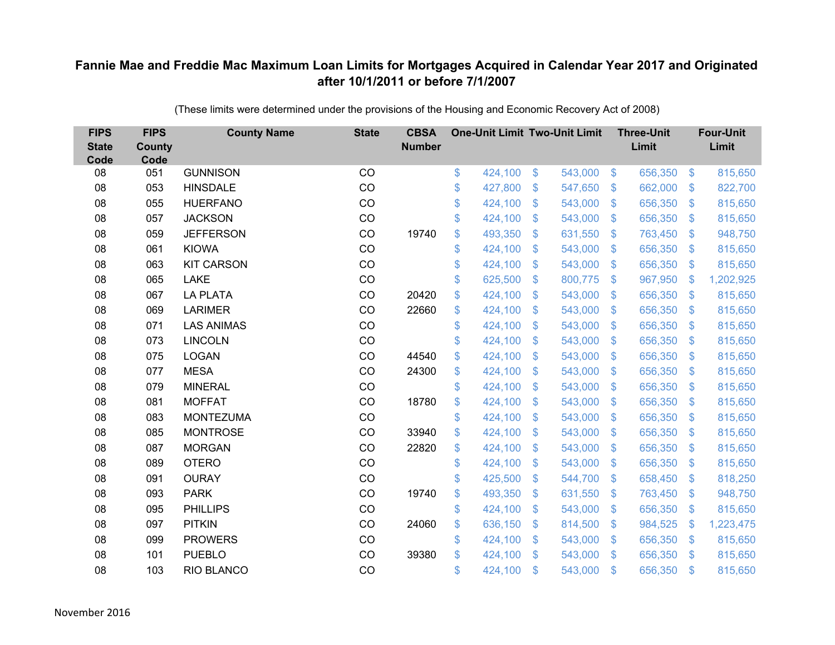| <b>FIPS</b><br><b>State</b><br>Code | <b>FIPS</b><br><b>County</b><br>Code | <b>County Name</b> | <b>State</b> | <b>CBSA</b><br><b>Number</b> | <b>One-Unit Limit Two-Unit Limit</b> |                |         |                           | <b>Three-Unit</b><br>Limit |                         | <b>Four-Unit</b><br>Limit |
|-------------------------------------|--------------------------------------|--------------------|--------------|------------------------------|--------------------------------------|----------------|---------|---------------------------|----------------------------|-------------------------|---------------------------|
| 08                                  | 051                                  | <b>GUNNISON</b>    | CO           |                              | \$<br>424,100                        | \$             | 543,000 | $\sqrt[6]{3}$             | 656,350                    | $\sqrt{3}$              | 815,650                   |
| 08                                  | 053                                  | <b>HINSDALE</b>    | CO           |                              | \$<br>427,800                        | \$             | 547,650 | $\mathcal{S}$             | 662,000                    | \$                      | 822,700                   |
| 08                                  | 055                                  | <b>HUERFANO</b>    | CO           |                              | \$<br>424,100                        | \$             | 543,000 | $\mathfrak{F}$            | 656,350                    | $\mathbb{S}$            | 815,650                   |
| 08                                  | 057                                  | <b>JACKSON</b>     | CO           |                              | \$<br>424,100                        | \$             | 543,000 | $\mathfrak{F}$            | 656,350                    | $\mathbb{S}$            | 815,650                   |
| 08                                  | 059                                  | <b>JEFFERSON</b>   | CO           | 19740                        | \$<br>493,350                        | $\mathfrak{S}$ | 631,550 | $\mathfrak{F}$            | 763,450                    | $\mathfrak{s}$          | 948,750                   |
| 08                                  | 061                                  | <b>KIOWA</b>       | CO           |                              | \$<br>424,100                        | \$             | 543,000 | S.                        | 656,350                    | $\mathcal{L}$           | 815,650                   |
| 08                                  | 063                                  | <b>KIT CARSON</b>  | CO           |                              | \$<br>424,100                        | $\mathfrak{S}$ | 543,000 | $\mathfrak{F}$            | 656,350                    | $\mathcal{L}$           | 815,650                   |
| 08                                  | 065                                  | <b>LAKE</b>        | CO           |                              | \$<br>625,500                        | $\mathfrak{S}$ | 800,775 | $\mathbf{\$}$             | 967,950                    | $\mathbf{\$}$           | 1,202,925                 |
| 08                                  | 067                                  | <b>LA PLATA</b>    | CO           | 20420                        | \$<br>424,100                        | \$             | 543,000 | $\mathbf{\$}$             | 656,350                    | $\mathcal{L}$           | 815,650                   |
| 08                                  | 069                                  | <b>LARIMER</b>     | CO           | 22660                        | \$<br>424,100                        | \$             | 543,000 | S.                        | 656,350                    | $\mathbb{S}$            | 815,650                   |
| 08                                  | 071                                  | <b>LAS ANIMAS</b>  | CO           |                              | \$<br>424,100                        | \$             | 543,000 | $\mathbb{S}$              | 656,350                    | $\mathfrak{F}$          | 815,650                   |
| 08                                  | 073                                  | <b>LINCOLN</b>     | CO           |                              | \$<br>424,100                        | $\mathfrak{S}$ | 543,000 | $\mathfrak{F}$            | 656,350                    | $\mathbb{S}$            | 815,650                   |
| 08                                  | 075                                  | <b>LOGAN</b>       | CO           | 44540                        | \$<br>424,100                        | \$             | 543,000 | $\mathbf{\$}$             | 656,350                    | $\mathcal{L}$           | 815,650                   |
| 08                                  | 077                                  | <b>MESA</b>        | CO           | 24300                        | \$<br>424,100                        | \$             | 543,000 | $\mathbf{\$}$             | 656,350                    | $\mathbb{S}$            | 815,650                   |
| 08                                  | 079                                  | <b>MINERAL</b>     | CO           |                              | \$<br>424,100                        | $\mathfrak{S}$ | 543,000 | $\mathbb{S}$              | 656,350                    | $\mathcal{L}$           | 815,650                   |
| 08                                  | 081                                  | <b>MOFFAT</b>      | CO           | 18780                        | \$<br>424,100                        | \$             | 543,000 | $\mathcal{L}$             | 656,350                    | $\sqrt[6]{\frac{1}{2}}$ | 815,650                   |
| 08                                  | 083                                  | <b>MONTEZUMA</b>   | CO           |                              | \$<br>424,100                        | \$             | 543,000 | S.                        | 656,350                    | $\mathcal{L}$           | 815,650                   |
| 08                                  | 085                                  | <b>MONTROSE</b>    | CO           | 33940                        | \$<br>424,100                        | $\mathfrak{S}$ | 543,000 | $\mathfrak{F}$            | 656,350                    | $\mathbb{S}$            | 815,650                   |
| 08                                  | 087                                  | <b>MORGAN</b>      | CO           | 22820                        | \$<br>424,100                        | \$             | 543,000 | $\mathbb{S}$              | 656,350                    | $\mathfrak{S}$          | 815,650                   |
| 08                                  | 089                                  | <b>OTERO</b>       | CO           |                              | \$<br>424,100                        | \$             | 543,000 | $\mathcal{L}$             | 656,350                    | $\mathcal{L}$           | 815,650                   |
| 08                                  | 091                                  | <b>OURAY</b>       | CO           |                              | \$<br>425,500                        | \$             | 544,700 | $\mathcal{S}$             | 658,450                    | $\mathcal{L}$           | 818,250                   |
| 08                                  | 093                                  | <b>PARK</b>        | CO           | 19740                        | \$<br>493,350                        | \$             | 631,550 | $\mathfrak{F}$            | 763,450                    | $\mathbb{S}$            | 948,750                   |
| 08                                  | 095                                  | <b>PHILLIPS</b>    | CO           |                              | \$<br>424,100                        | \$             | 543,000 | $\boldsymbol{\mathsf{S}}$ | 656,350                    | $\sqrt[6]{\frac{1}{2}}$ | 815,650                   |
| 08                                  | 097                                  | <b>PITKIN</b>      | CO           | 24060                        | \$<br>636,150                        | \$             | 814,500 | $\boldsymbol{\mathsf{S}}$ | 984,525                    | $\mathcal{L}$           | 1,223,475                 |
| 08                                  | 099                                  | <b>PROWERS</b>     | CO           |                              | \$<br>424,100                        | \$             | 543,000 | S.                        | 656,350                    | $\mathcal{L}$           | 815,650                   |
| 08                                  | 101                                  | <b>PUEBLO</b>      | CO           | 39380                        | \$<br>424,100                        | $\mathfrak{S}$ | 543,000 | $\mathbf{\$}$             | 656,350                    | $\mathbf{\$}$           | 815,650                   |
| 08                                  | 103                                  | RIO BLANCO         | CO           |                              | \$<br>424,100                        | $\mathfrak{S}$ | 543,000 | \$                        | 656,350                    | <sup>\$</sup>           | 815,650                   |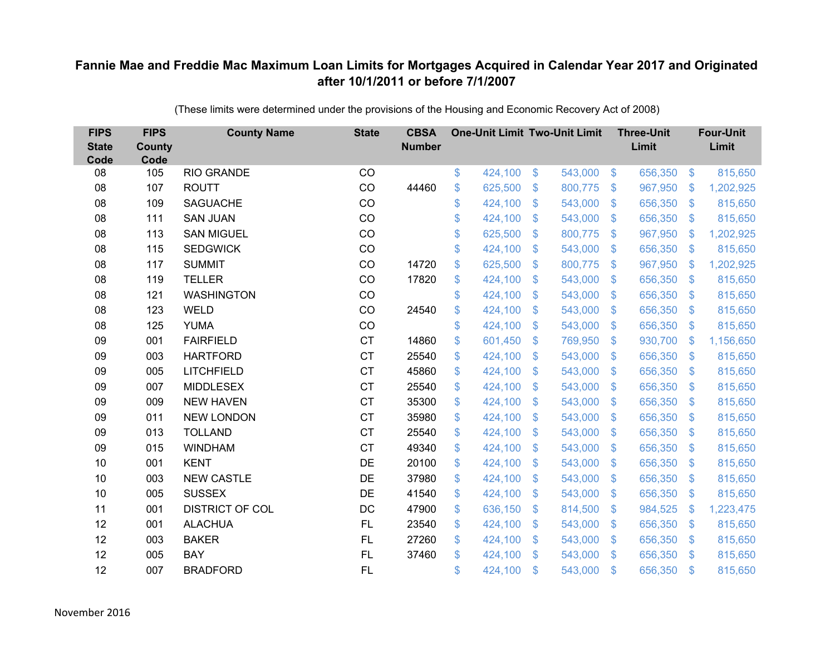| <b>FIPS</b><br><b>State</b><br>Code | <b>FIPS</b><br><b>County</b><br>Code | <b>County Name</b>     | <b>State</b> | <b>CBSA</b><br><b>Number</b> | <b>One-Unit Limit Two-Unit Limit</b> |                |         |                           | <b>Three-Unit</b><br>Limit |                           | <b>Four-Unit</b><br>Limit |
|-------------------------------------|--------------------------------------|------------------------|--------------|------------------------------|--------------------------------------|----------------|---------|---------------------------|----------------------------|---------------------------|---------------------------|
| 08                                  | 105                                  | <b>RIO GRANDE</b>      | CO           |                              | \$<br>424,100                        | \$             | 543,000 | $\sqrt[6]{5}$             | 656,350                    | $\sqrt{3}$                | 815,650                   |
| 08                                  | 107                                  | <b>ROUTT</b>           | CO           | 44460                        | \$<br>625,500                        | \$             | 800,775 | \$                        | 967,950                    | $\mathcal{L}$             | 1,202,925                 |
| 08                                  | 109                                  | <b>SAGUACHE</b>        | CO           |                              | \$<br>424,100                        | $\mathfrak{S}$ | 543,000 | $\mathfrak{F}$            | 656,350                    | $\mathbb{S}$              | 815,650                   |
| 08                                  | 111                                  | <b>SAN JUAN</b>        | CO           |                              | \$<br>424,100                        | \$             | 543,000 | $\mathfrak{F}$            | 656,350                    | $\sqrt[6]{\frac{1}{2}}$   | 815,650                   |
| 08                                  | 113                                  | <b>SAN MIGUEL</b>      | CO           |                              | \$<br>625,500                        | \$             | 800,775 | $\boldsymbol{\mathsf{S}}$ | 967,950                    | \$                        | 1,202,925                 |
| 08                                  | 115                                  | <b>SEDGWICK</b>        | CO           |                              | \$<br>424,100                        | $\mathfrak{S}$ | 543,000 | $\mathfrak{F}$            | 656,350                    | $\mathcal{L}$             | 815,650                   |
| 08                                  | 117                                  | <b>SUMMIT</b>          | CO           | 14720                        | \$<br>625,500                        | $\mathfrak{S}$ | 800,775 | $\mathfrak{F}$            | 967,950                    | $\mathfrak{F}$            | 1,202,925                 |
| 08                                  | 119                                  | <b>TELLER</b>          | CO           | 17820                        | \$<br>424,100                        | \$             | 543,000 | $\mathcal{L}$             | 656,350                    | $\mathcal{L}$             | 815,650                   |
| 08                                  | 121                                  | <b>WASHINGTON</b>      | CO           |                              | \$<br>424,100                        | $\mathfrak{S}$ | 543,000 | $\mathfrak{F}$            | 656,350                    | $\mathbb{S}$              | 815,650                   |
| 08                                  | 123                                  | <b>WELD</b>            | CO           | 24540                        | \$<br>424,100                        | $\mathfrak{S}$ | 543,000 | $\mathbb{S}$              | 656,350                    | $\mathbb{S}$              | 815,650                   |
| 08                                  | 125                                  | <b>YUMA</b>            | CO           |                              | \$<br>424,100                        | \$             | 543,000 | $\mathcal{S}$             | 656,350                    | $\mathcal{L}$             | 815,650                   |
| 09                                  | 001                                  | <b>FAIRFIELD</b>       | <b>CT</b>    | 14860                        | \$<br>601,450                        | \$             | 769,950 | $\mathcal{L}$             | 930,700                    | $\mathcal{L}$             | 1,156,650                 |
| 09                                  | 003                                  | <b>HARTFORD</b>        | <b>CT</b>    | 25540                        | \$<br>424,100                        | $\mathfrak{S}$ | 543,000 | $\mathfrak{F}$            | 656,350                    | $\mathcal{L}$             | 815,650                   |
| 09                                  | 005                                  | <b>LITCHFIELD</b>      | <b>CT</b>    | 45860                        | \$<br>424,100                        | \$             | 543,000 | S.                        | 656,350                    | $\mathcal{L}$             | 815,650                   |
| 09                                  | 007                                  | <b>MIDDLESEX</b>       | <b>CT</b>    | 25540                        | \$<br>424,100                        | \$             | 543,000 | S.                        | 656,350                    | $\mathcal{L}$             | 815,650                   |
| 09                                  | 009                                  | <b>NEW HAVEN</b>       | <b>CT</b>    | 35300                        | \$<br>424,100                        | $\mathfrak{S}$ | 543,000 | $\mathbb{S}$              | 656,350                    | $\mathbb{S}$              | 815,650                   |
| 09                                  | 011                                  | <b>NEW LONDON</b>      | <b>CT</b>    | 35980                        | \$<br>424,100                        | \$             | 543,000 | $\mathfrak{S}$            | 656,350                    | $\sqrt[6]{\frac{1}{2}}$   | 815,650                   |
| 09                                  | 013                                  | <b>TOLLAND</b>         | <b>CT</b>    | 25540                        | \$<br>424,100                        | \$             | 543,000 | $\mathbf{\$}$             | 656,350                    | $\mathcal{L}$             | 815,650                   |
| 09                                  | 015                                  | <b>WINDHAM</b>         | <b>CT</b>    | 49340                        | \$<br>424,100                        | $\mathfrak{S}$ | 543,000 | $\mathbb{S}$              | 656,350                    | $\mathbb{S}$              | 815,650                   |
| 10                                  | 001                                  | <b>KENT</b>            | DE           | 20100                        | \$<br>424,100                        | \$             | 543,000 | $\boldsymbol{\mathsf{S}}$ | 656,350                    | $\sqrt[6]{\frac{1}{2}}$   | 815,650                   |
| 10                                  | 003                                  | <b>NEW CASTLE</b>      | DE           | 37980                        | \$<br>424,100                        | \$             | 543,000 | S.                        | 656,350                    | $\mathcal{L}$             | 815,650                   |
| 10                                  | 005                                  | <b>SUSSEX</b>          | <b>DE</b>    | 41540                        | \$<br>424,100                        | $\mathfrak{S}$ | 543,000 | $\mathfrak{F}$            | 656,350                    | $\mathfrak{S}$            | 815,650                   |
| 11                                  | 001                                  | <b>DISTRICT OF COL</b> | DC           | 47900                        | \$<br>636,150                        | \$             | 814,500 | $\mathfrak{F}$            | 984,525                    | $\mathcal{L}$             | 1,223,475                 |
| 12                                  | 001                                  | <b>ALACHUA</b>         | FL           | 23540                        | \$<br>424,100                        | \$             | 543,000 | $\boldsymbol{\mathsf{S}}$ | 656,350                    | $\boldsymbol{\mathsf{S}}$ | 815,650                   |
| 12                                  | 003                                  | <b>BAKER</b>           | <b>FL</b>    | 27260                        | \$<br>424,100                        | \$             | 543,000 | $\mathbb{S}$              | 656,350                    | $\mathcal{L}$             | 815,650                   |
| 12                                  | 005                                  | <b>BAY</b>             | FL           | 37460                        | \$<br>424,100                        | $\mathfrak{S}$ | 543,000 | $\mathbf{\$}$             | 656,350                    | $\mathbb{S}$              | 815,650                   |
| 12                                  | 007                                  | <b>BRADFORD</b>        | <b>FL</b>    |                              | \$<br>424,100                        | \$             | 543,000 | \$                        | 656,350                    | $\mathbf{\$}$             | 815,650                   |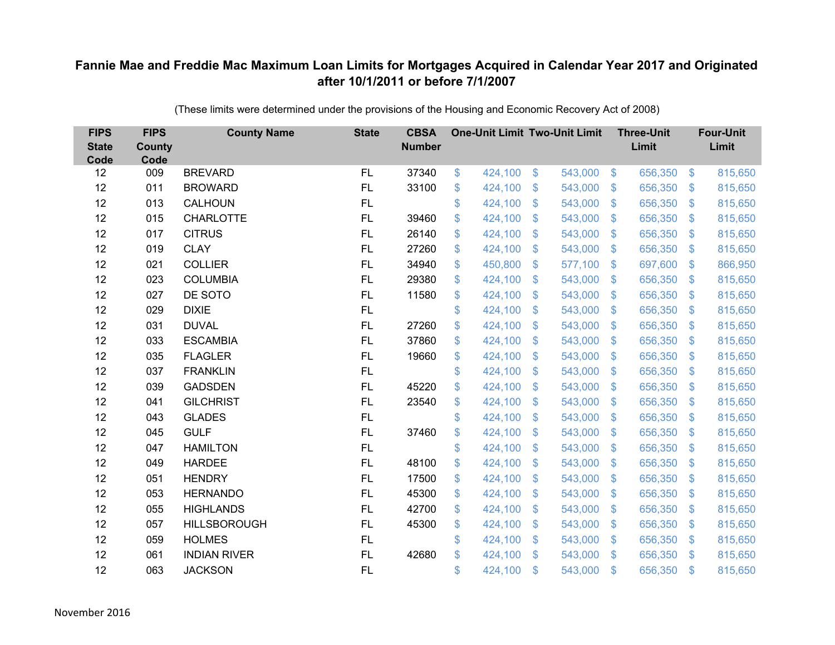| <b>FIPS</b><br><b>State</b><br>Code | <b>FIPS</b><br>County<br>Code | <b>County Name</b>  | <b>State</b> | <b>CBSA</b><br><b>Number</b> | <b>One-Unit Limit Two-Unit Limit</b> |                |         |                           | <b>Three-Unit</b><br>Limit |                         | <b>Four-Unit</b><br>Limit |
|-------------------------------------|-------------------------------|---------------------|--------------|------------------------------|--------------------------------------|----------------|---------|---------------------------|----------------------------|-------------------------|---------------------------|
| 12                                  | 009                           | <b>BREVARD</b>      | FL           | 37340                        | \$<br>424,100                        | $\$\$          | 543,000 | $\sqrt[6]{3}$             | 656,350                    | $\sqrt[6]{\frac{1}{2}}$ | 815,650                   |
| 12                                  | 011                           | <b>BROWARD</b>      | FL           | 33100                        | \$<br>424,100                        | \$             | 543,000 | $\mathcal{S}$             | 656,350                    | $\mathbb{S}$            | 815,650                   |
| 12                                  | 013                           | CALHOUN             | FL           |                              | \$<br>424,100                        | $\mathfrak{S}$ | 543,000 | $\mathcal{S}$             | 656,350                    | $\mathfrak{S}$          | 815,650                   |
| 12                                  | 015                           | <b>CHARLOTTE</b>    | FL           | 39460                        | \$<br>424,100                        | \$             | 543,000 | $\mathfrak{S}$            | 656,350                    | $\sqrt[6]{3}$           | 815,650                   |
| 12                                  | 017                           | <b>CITRUS</b>       | FL           | 26140                        | \$<br>424,100                        | $\mathfrak{S}$ | 543,000 | $\mathcal{S}$             | 656,350                    | $\mathfrak{S}$          | 815,650                   |
| 12                                  | 019                           | <b>CLAY</b>         | FL           | 27260                        | \$<br>424,100                        | $\mathfrak{S}$ | 543,000 | $\mathcal{S}$             | 656,350                    | $\mathfrak{S}$          | 815,650                   |
| 12                                  | 021                           | <b>COLLIER</b>      | FL           | 34940                        | \$<br>450,800                        | \$             | 577,100 | $\sqrt[6]{3}$             | 697,600                    | $\mathbb{S}$            | 866,950                   |
| 12                                  | 023                           | <b>COLUMBIA</b>     | FL           | 29380                        | \$<br>424,100                        | $\mathfrak{S}$ | 543,000 | $\mathbb{S}$              | 656,350                    | $\mathfrak{S}$          | 815,650                   |
| 12                                  | 027                           | DE SOTO             | FL           | 11580                        | \$<br>424,100                        | $\mathfrak{S}$ | 543,000 | $\mathbb{S}$              | 656,350                    | $\mathfrak{S}$          | 815,650                   |
| 12                                  | 029                           | <b>DIXIE</b>        | FL           |                              | \$<br>424,100                        | \$             | 543,000 | S.                        | 656,350                    | $\mathfrak{S}$          | 815,650                   |
| 12                                  | 031                           | <b>DUVAL</b>        | FL           | 27260                        | \$<br>424,100                        | $\mathfrak{S}$ | 543,000 | $\mathbb{S}$              | 656,350                    | $\mathfrak{S}$          | 815,650                   |
| 12                                  | 033                           | <b>ESCAMBIA</b>     | FL           | 37860                        | \$<br>424,100                        | $\mathfrak{S}$ | 543,000 | $\mathbb{S}$              | 656,350                    | $\mathbb{S}$            | 815,650                   |
| 12                                  | 035                           | <b>FLAGLER</b>      | FL           | 19660                        | \$<br>424,100                        | \$             | 543,000 | S.                        | 656,350                    | $\mathfrak{S}$          | 815,650                   |
| 12                                  | 037                           | <b>FRANKLIN</b>     | FL           |                              | \$<br>424,100                        | \$             | 543,000 | S.                        | 656,350                    | $\mathbb{S}$            | 815,650                   |
| 12                                  | 039                           | <b>GADSDEN</b>      | FL           | 45220                        | \$<br>424,100                        | \$             | 543,000 | $\mathfrak{S}$            | 656,350                    | $\sqrt[6]{3}$           | 815,650                   |
| 12                                  | 041                           | <b>GILCHRIST</b>    | FL           | 23540                        | \$<br>424,100                        | \$             | 543,000 | $\mathfrak{S}$            | 656,350                    | $\mathfrak{S}$          | 815,650                   |
| 12                                  | 043                           | <b>GLADES</b>       | FL           |                              | \$<br>424,100                        | $\mathfrak{S}$ | 543,000 | $\mathcal{S}$             | 656,350                    | $\mathbb{S}$            | 815,650                   |
| 12                                  | 045                           | <b>GULF</b>         | FL           | 37460                        | \$<br>424,100                        | \$             | 543,000 | $\mathfrak{S}$            | 656,350                    | $\sqrt[6]{3}$           | 815,650                   |
| 12                                  | 047                           | <b>HAMILTON</b>     | FL           |                              | \$<br>424,100                        | \$             | 543,000 | $\sqrt[6]{3}$             | 656,350                    | $\mathfrak{S}$          | 815,650                   |
| 12                                  | 049                           | <b>HARDEE</b>       | FL           | 48100                        | \$<br>424,100                        | $\mathfrak{S}$ | 543,000 | $\mathbb{S}$              | 656,350                    | $\mathfrak{S}$          | 815,650                   |
| 12                                  | 051                           | <b>HENDRY</b>       | FL           | 17500                        | \$<br>424,100                        | \$             | 543,000 | $\sqrt[6]{3}$             | 656,350                    | $\sqrt[6]{3}$           | 815,650                   |
| 12                                  | 053                           | <b>HERNANDO</b>     | <b>FL</b>    | 45300                        | \$<br>424,100                        | $\mathfrak{S}$ | 543,000 | $\mathbb{S}$              | 656,350                    | $\mathfrak{S}$          | 815,650                   |
| 12                                  | 055                           | <b>HIGHLANDS</b>    | FL           | 42700                        | \$<br>424,100                        | \$             | 543,000 | $\mathbb{S}$              | 656,350                    | $\mathfrak{S}$          | 815,650                   |
| 12                                  | 057                           | <b>HILLSBOROUGH</b> | FL           | 45300                        | \$<br>424,100                        | \$             | 543,000 | $\boldsymbol{\mathsf{S}}$ | 656,350                    | $\mathfrak{F}$          | 815,650                   |
| 12                                  | 059                           | <b>HOLMES</b>       | FL           |                              | \$<br>424,100                        | \$             | 543,000 | $\sqrt[6]{3}$             | 656,350                    | $\mathbb{S}$            | 815,650                   |
| 12                                  | 061                           | <b>INDIAN RIVER</b> | FL           | 42680                        | \$<br>424,100                        | $\mathfrak{S}$ | 543,000 | $\mathbb{S}$              | 656,350                    | $\mathbf{\$}$           | 815,650                   |
| 12                                  | 063                           | <b>JACKSON</b>      | <b>FL</b>    |                              | \$<br>424,100                        | \$             | 543,000 | $\mathfrak{s}$            | 656,350                    | \$                      | 815,650                   |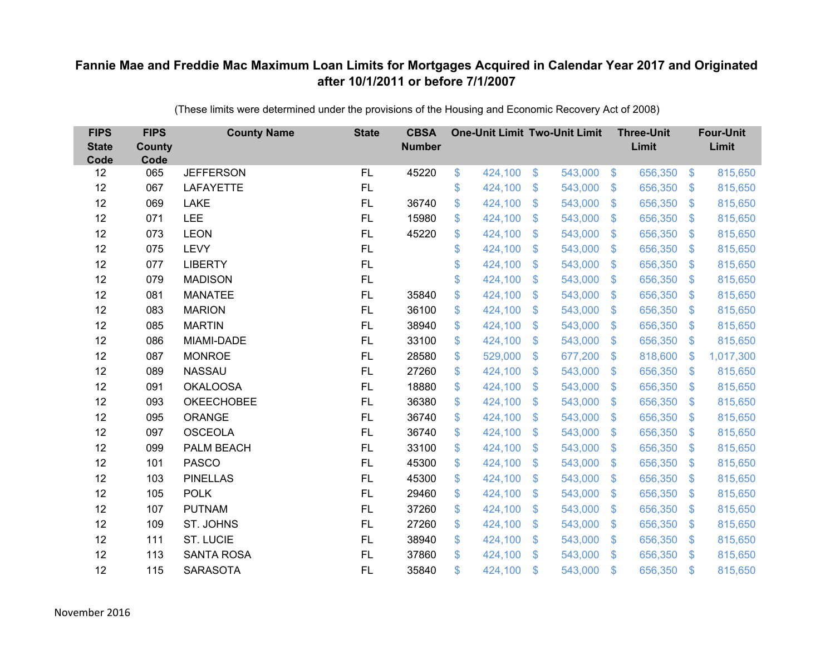| <b>FIPS</b><br><b>State</b><br>Code | <b>FIPS</b><br><b>County</b><br>Code | <b>County Name</b> | <b>State</b> | <b>CBSA</b><br><b>Number</b> | <b>One-Unit Limit Two-Unit Limit</b> |               |         |                           | <b>Three-Unit</b><br>Limit |                | <b>Four-Unit</b><br>Limit |
|-------------------------------------|--------------------------------------|--------------------|--------------|------------------------------|--------------------------------------|---------------|---------|---------------------------|----------------------------|----------------|---------------------------|
| 12                                  | 065                                  | <b>JEFFERSON</b>   | FL.          | 45220                        | \$<br>424,100                        | $\frac{3}{2}$ | 543,000 | $\sqrt[6]{3}$             | 656,350                    | $\frac{1}{2}$  | 815,650                   |
| 12                                  | 067                                  | <b>LAFAYETTE</b>   | FL           |                              | \$<br>424,100                        | \$            | 543,000 | $\mathcal{S}$             | 656,350                    | $\mathfrak{F}$ | 815,650                   |
| 12                                  | 069                                  | <b>LAKE</b>        | FL.          | 36740                        | \$<br>424,100                        | \$            | 543,000 | $\mathcal{S}$             | 656,350                    | $\mathbb{S}$   | 815,650                   |
| 12                                  | 071                                  | <b>LEE</b>         | FL.          | 15980                        | \$<br>424,100                        | \$            | 543,000 | $\mathcal{S}$             | 656,350                    | $\mathfrak{F}$ | 815,650                   |
| 12                                  | 073                                  | <b>LEON</b>        | FL           | 45220                        | \$<br>424,100                        | \$            | 543,000 | $\mathbf{\$}$             | 656,350                    | $\mathbf{\$}$  | 815,650                   |
| 12                                  | 075                                  | <b>LEVY</b>        | FL           |                              | \$<br>424,100                        | \$            | 543,000 | $\mathbf{\$}$             | 656,350                    | S.             | 815,650                   |
| 12                                  | 077                                  | <b>LIBERTY</b>     | <b>FL</b>    |                              | \$<br>424,100                        | \$            | 543,000 | $\boldsymbol{\mathsf{S}}$ | 656,350                    | $\mathcal{L}$  | 815,650                   |
| 12                                  | 079                                  | <b>MADISON</b>     | FL           |                              | \$<br>424,100                        | \$            | 543,000 | $\mathbf{\$}$             | 656,350                    | $\mathcal{S}$  | 815,650                   |
| 12                                  | 081                                  | <b>MANATEE</b>     | FL           | 35840                        | \$<br>424,100                        | \$            | 543,000 | $\mathsf{\$}$             | 656,350                    | $\mathfrak{F}$ | 815,650                   |
| 12                                  | 083                                  | <b>MARION</b>      | <b>FL</b>    | 36100                        | \$<br>424,100                        | \$            | 543,000 | $\mathbf{\$}$             | 656,350                    | $\mathcal{S}$  | 815,650                   |
| 12                                  | 085                                  | <b>MARTIN</b>      | FL           | 38940                        | \$<br>424,100                        | \$            | 543,000 | $\mathcal{S}$             | 656,350                    | $\mathcal{S}$  | 815,650                   |
| 12                                  | 086                                  | MIAMI-DADE         | FL           | 33100                        | \$<br>424,100                        | \$            | 543,000 | $\mathfrak{F}$            | 656,350                    | $\mathfrak{F}$ | 815,650                   |
| 12                                  | 087                                  | <b>MONROE</b>      | FL           | 28580                        | \$<br>529,000                        | \$            | 677,200 | $\mathbf{\$}$             | 818,600                    | \$             | 1,017,300                 |
| 12                                  | 089                                  | <b>NASSAU</b>      | FL.          | 27260                        | \$<br>424,100                        | \$            | 543,000 | S.                        | 656,350                    | $\mathcal{S}$  | 815,650                   |
| 12                                  | 091                                  | <b>OKALOOSA</b>    | FL           | 18880                        | \$<br>424,100                        | \$            | 543,000 | $\mathfrak{S}$            | 656,350                    | $\mathfrak{S}$ | 815,650                   |
| 12                                  | 093                                  | <b>OKEECHOBEE</b>  | FL           | 36380                        | \$<br>424,100                        | \$            | 543,000 | $\mathcal{S}$             | 656,350                    | $\mathcal{L}$  | 815,650                   |
| 12                                  | 095                                  | ORANGE             | FL           | 36740                        | \$<br>424,100                        | \$            | 543,000 | $\mathfrak{F}$            | 656,350                    | S.             | 815,650                   |
| 12                                  | 097                                  | <b>OSCEOLA</b>     | <b>FL</b>    | 36740                        | \$<br>424,100                        | \$            | 543,000 | $\mathfrak{F}$            | 656,350                    | $\mathcal{S}$  | 815,650                   |
| 12                                  | 099                                  | PALM BEACH         | FL           | 33100                        | \$<br>424,100                        | \$            | 543,000 | $\mathcal{S}$             | 656,350                    | $\mathcal{S}$  | 815,650                   |
| 12                                  | 101                                  | <b>PASCO</b>       | FL           | 45300                        | \$<br>424,100                        | \$            | 543,000 | $\mathfrak{F}$            | 656,350                    | $\mathfrak{F}$ | 815,650                   |
| 12                                  | 103                                  | <b>PINELLAS</b>    | FL           | 45300                        | \$<br>424,100                        | \$            | 543,000 | $\sqrt[6]{3}$             | 656,350                    | $\mathcal{S}$  | 815,650                   |
| 12                                  | 105                                  | <b>POLK</b>        | FL.          | 29460                        | \$<br>424,100                        | \$            | 543,000 | $\mathfrak{F}$            | 656,350                    | S.             | 815,650                   |
| 12                                  | 107                                  | <b>PUTNAM</b>      | FL           | 37260                        | \$<br>424,100                        | \$            | 543,000 | $\mathcal{S}$             | 656,350                    | $\mathbb{S}$   | 815,650                   |
| 12                                  | 109                                  | ST. JOHNS          | FL           | 27260                        | \$<br>424,100                        | \$            | 543,000 | $\sqrt[6]{3}$             | 656,350                    | $\mathcal{L}$  | 815,650                   |
| 12                                  | 111                                  | <b>ST. LUCIE</b>   | FL           | 38940                        | \$<br>424,100                        | \$            | 543,000 | $\sqrt[6]{3}$             | 656,350                    | $\mathcal{S}$  | 815,650                   |
| 12                                  | 113                                  | <b>SANTA ROSA</b>  | FL           | 37860                        | \$<br>424,100                        | \$            | 543,000 | $\mathbf{\$}$             | 656,350                    | <sup>\$</sup>  | 815,650                   |
| 12                                  | 115                                  | <b>SARASOTA</b>    | <b>FL</b>    | 35840                        | \$<br>424,100                        | \$            | 543,000 | $\mathfrak{s}$            | 656,350                    | $\mathbf{\$}$  | 815,650                   |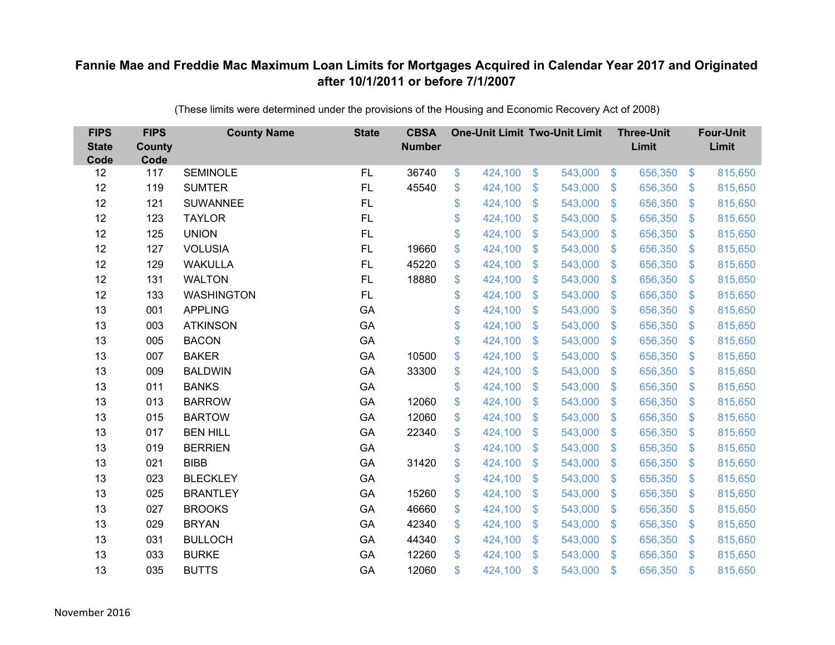| <b>FIPS</b><br><b>State</b><br>Code | <b>FIPS</b><br><b>County</b><br>Code | <b>County Name</b> | <b>State</b> | <b>CBSA</b><br><b>Number</b> |               | <b>One-Unit Limit Two-Unit Limit</b> |                           |         |                         | <b>Three-Unit</b><br>Limit |                         | <b>Four-Unit</b><br>Limit |
|-------------------------------------|--------------------------------------|--------------------|--------------|------------------------------|---------------|--------------------------------------|---------------------------|---------|-------------------------|----------------------------|-------------------------|---------------------------|
| 12                                  | 117                                  | <b>SEMINOLE</b>    | FL           | 36740                        | \$            | 424,100                              | $\boldsymbol{\mathsf{S}}$ | 543,000 | $\sqrt{3}$              | 656,350                    | $\boldsymbol{\$}$       | 815,650                   |
| 12                                  | 119                                  | <b>SUMTER</b>      | <b>FL</b>    | 45540                        | \$            | 424,100                              | \$                        | 543,000 | $\sqrt[6]{\frac{1}{2}}$ | 656,350                    | $\mathcal{L}$           | 815,650                   |
| 12                                  | 121                                  | <b>SUWANNEE</b>    | FL           |                              | \$            | 424,100                              | $\boldsymbol{\mathsf{S}}$ | 543,000 | $\sqrt[6]{\frac{1}{2}}$ | 656,350                    | $\sqrt[6]{\frac{1}{2}}$ | 815,650                   |
| 12                                  | 123                                  | <b>TAYLOR</b>      | FL           |                              | \$            | 424,100                              | \$                        | 543,000 | $\mathcal{L}$           | 656,350                    | $\mathcal{L}$           | 815,650                   |
| 12                                  | 125                                  | <b>UNION</b>       | FL           |                              | \$            | 424,100                              | $\mathcal{S}$             | 543,000 | $\mathfrak{S}$          | 656,350                    | $\mathfrak{S}$          | 815,650                   |
| 12                                  | 127                                  | <b>VOLUSIA</b>     | <b>FL</b>    | 19660                        | \$            | 424,100                              | \$                        | 543,000 | $\sqrt[6]{3}$           | 656,350                    | $\sqrt[6]{\frac{1}{2}}$ | 815,650                   |
| 12                                  | 129                                  | <b>WAKULLA</b>     | <b>FL</b>    | 45220                        | \$            | 424,100                              | $\mathfrak{S}$            | 543,000 | $\sqrt[6]{\frac{1}{2}}$ | 656,350                    | $\mathfrak{S}$          | 815,650                   |
| 12                                  | 131                                  | <b>WALTON</b>      | FL           | 18880                        | \$            | 424,100                              | $\mathfrak{S}$            | 543,000 | $\mathfrak{S}$          | 656,350                    | $\sqrt[6]{\frac{1}{2}}$ | 815,650                   |
| 12                                  | 133                                  | <b>WASHINGTON</b>  | <b>FL</b>    |                              | \$            | 424,100                              | $\mathcal{S}$             | 543,000 | $\sqrt[6]{\frac{1}{2}}$ | 656,350                    | \$                      | 815,650                   |
| 13                                  | 001                                  | <b>APPLING</b>     | GA           |                              | \$            | 424,100                              | $\mathfrak{S}$            | 543,000 | $\mathfrak{S}$          | 656,350                    | $\mathbb{S}$            | 815,650                   |
| 13                                  | 003                                  | <b>ATKINSON</b>    | GA           |                              | \$            | 424,100                              | \$                        | 543,000 | $\sqrt[6]{2}$           | 656,350                    | $\sqrt[6]{\frac{1}{2}}$ | 815,650                   |
| 13                                  | 005                                  | <b>BACON</b>       | GA           |                              | \$            | 424,100                              | \$                        | 543,000 | $\mathcal{L}$           | 656,350                    | $\mathcal{L}$           | 815,650                   |
| 13                                  | 007                                  | <b>BAKER</b>       | GA           | 10500                        | \$            | 424,100                              | $\mathcal{S}$             | 543,000 | $\mathfrak{S}$          | 656,350                    | $\mathfrak{S}$          | 815,650                   |
| 13                                  | 009                                  | <b>BALDWIN</b>     | GA           | 33300                        | \$            | 424,100                              | $\mathfrak{S}$            | 543,000 | $\sqrt[6]{3}$           | 656,350                    | $\mathbb{S}$            | 815,650                   |
| 13                                  | 011                                  | <b>BANKS</b>       | GA           |                              | \$            | 424,100                              | $\boldsymbol{\mathsf{S}}$ | 543,000 | $\sqrt[6]{\frac{1}{2}}$ | 656,350                    | $\mathcal{L}$           | 815,650                   |
| 13                                  | 013                                  | <b>BARROW</b>      | GA           | 12060                        | \$            | 424,100                              | $\boldsymbol{\mathsf{S}}$ | 543,000 | $\sqrt[6]{3}$           | 656,350                    | $\sqrt[6]{\frac{1}{2}}$ | 815,650                   |
| 13                                  | 015                                  | <b>BARTOW</b>      | GA           | 12060                        | \$            | 424,100                              | $\boldsymbol{\mathsf{S}}$ | 543,000 | $\sqrt[6]{3}$           | 656,350                    | $\mathcal{L}$           | 815,650                   |
| 13                                  | 017                                  | <b>BEN HILL</b>    | GA           | 22340                        | \$            | 424,100                              | $\mathcal{S}$             | 543,000 | $\mathfrak{S}$          | 656,350                    | $\mathfrak{S}$          | 815,650                   |
| 13                                  | 019                                  | <b>BERRIEN</b>     | GA           |                              | \$            | 424,100                              | $\mathfrak{S}$            | 543,000 | $\sqrt[6]{3}$           | 656,350                    | $\mathfrak{S}$          | 815,650                   |
| 13                                  | 021                                  | <b>BIBB</b>        | GA           | 31420                        | \$            | 424,100                              | \$                        | 543,000 | $\sqrt[6]{\frac{1}{2}}$ | 656,350                    | $\sqrt[6]{\frac{1}{2}}$ | 815,650                   |
| 13                                  | 023                                  | <b>BLECKLEY</b>    | GA           |                              | \$            | 424,100                              | $\mathfrak{S}$            | 543,000 | $\sqrt{3}$              | 656,350                    | $\mathbb{S}$            | 815,650                   |
| 13                                  | 025                                  | <b>BRANTLEY</b>    | GA           | 15260                        | \$            | 424,100                              | $\boldsymbol{\mathsf{S}}$ | 543,000 | $\mathfrak{S}$          | 656,350                    | $\mathfrak{S}$          | 815,650                   |
| 13                                  | 027                                  | <b>BROOKS</b>      | GA           | 46660                        | \$            | 424,100                              | \$                        | 543,000 | $\sqrt[6]{\frac{1}{2}}$ | 656,350                    | $\mathfrak{S}$          | 815,650                   |
| 13                                  | 029                                  | <b>BRYAN</b>       | GA           | 42340                        | \$            | 424,100                              | $\$\$                     | 543,000 | $\$\$                   | 656,350                    | \$                      | 815,650                   |
| 13                                  | 031                                  | <b>BULLOCH</b>     | GA           | 44340                        | \$            | 424,100                              | $\boldsymbol{\mathsf{S}}$ | 543,000 | $\sqrt[6]{3}$           | 656,350                    | $\mathfrak{S}$          | 815,650                   |
| 13                                  | 033                                  | <b>BURKE</b>       | GA           | 12260                        | \$            | 424,100                              | $\mathcal{S}$             | 543,000 | $\mathbb{S}$            | 656,350                    | $\mathbf{\$}$           | 815,650                   |
| 13                                  | 035                                  | <b>BUTTS</b>       | GA           | 12060                        | $\mathsf{\$}$ | 424,100                              | $\mathcal{S}$             | 543,000 | $\mathfrak{F}$          | 656,350                    | $\mathbf{\$}$           | 815,650                   |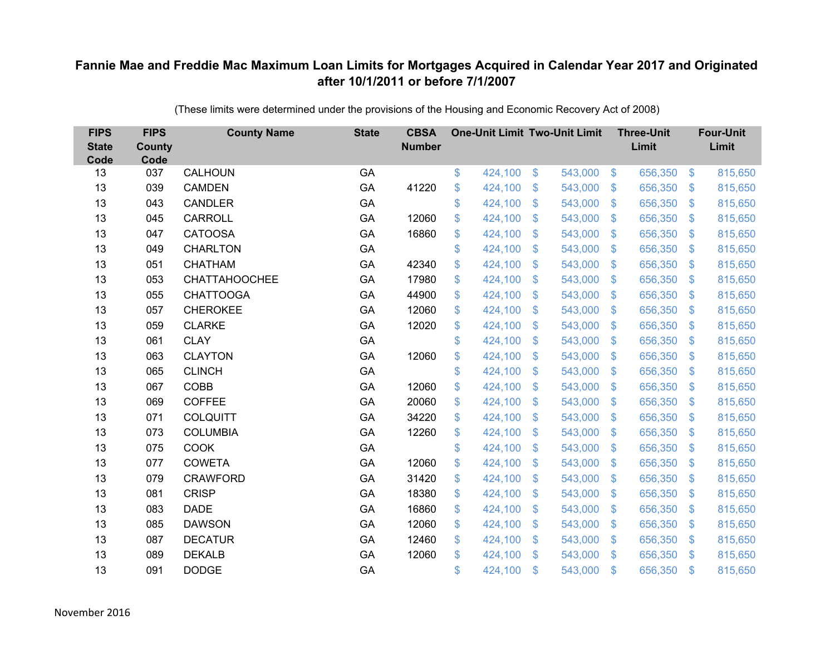| <b>FIPS</b><br><b>State</b><br>Code | <b>FIPS</b><br><b>County</b><br>Code | <b>County Name</b>   | <b>State</b> | <b>CBSA</b><br><b>Number</b> | <b>One-Unit Limit Two-Unit Limit</b> |                           |         |                           | <b>Three-Unit</b><br>Limit |                | <b>Four-Unit</b><br>Limit |
|-------------------------------------|--------------------------------------|----------------------|--------------|------------------------------|--------------------------------------|---------------------------|---------|---------------------------|----------------------------|----------------|---------------------------|
| 13                                  | 037                                  | CALHOUN              | GA           |                              | \$<br>424,100                        | \$                        | 543,000 | $\sqrt[6]{3}$             | 656,350                    | $\sqrt{3}$     | 815,650                   |
| 13                                  | 039                                  | <b>CAMDEN</b>        | GA           | 41220                        | \$<br>424,100                        | \$                        | 543,000 | $\mathfrak{S}$            | 656,350                    | $\mathfrak{F}$ | 815,650                   |
| 13                                  | 043                                  | CANDLER              | GA           |                              | \$<br>424,100                        | $\mathcal{S}$             | 543,000 | $\mathfrak{S}$            | 656,350                    | $\mathbf{\$}$  | 815,650                   |
| 13                                  | 045                                  | <b>CARROLL</b>       | GA           | 12060                        | \$<br>424,100                        | $\boldsymbol{\mathsf{S}}$ | 543,000 | $\mathfrak{S}$            | 656,350                    | $\mathbf{\$}$  | 815,650                   |
| 13                                  | 047                                  | <b>CATOOSA</b>       | GA           | 16860                        | \$<br>424,100                        | $\boldsymbol{\mathsf{S}}$ | 543,000 | $\boldsymbol{\mathsf{S}}$ | 656,350                    | \$             | 815,650                   |
| 13                                  | 049                                  | <b>CHARLTON</b>      | GA           |                              | \$<br>424,100                        | $\mathcal{S}$             | 543,000 | $\mathfrak{S}$            | 656,350                    | \$.            | 815,650                   |
| 13                                  | 051                                  | <b>CHATHAM</b>       | GA           | 42340                        | \$<br>424,100                        | $\mathcal{S}$             | 543,000 | $\mathfrak{S}$            | 656,350                    | $\mathfrak{S}$ | 815,650                   |
| 13                                  | 053                                  | <b>CHATTAHOOCHEE</b> | GA           | 17980                        | \$<br>424,100                        | $\boldsymbol{\mathsf{S}}$ | 543,000 | $\mathfrak{S}$            | 656,350                    | $\mathcal{S}$  | 815,650                   |
| 13                                  | 055                                  | <b>CHATTOOGA</b>     | GA           | 44900                        | \$<br>424,100                        | \$                        | 543,000 | $\mathfrak{S}$            | 656,350                    | \$.            | 815,650                   |
| 13                                  | 057                                  | <b>CHEROKEE</b>      | GA           | 12060                        | \$<br>424,100                        | $\mathcal{S}$             | 543,000 | $\mathfrak{S}$            | 656,350                    | $\mathbf{\$}$  | 815,650                   |
| 13                                  | 059                                  | <b>CLARKE</b>        | GA           | 12020                        | \$<br>424,100                        | $\boldsymbol{\mathsf{S}}$ | 543,000 | $\mathfrak{S}$            | 656,350                    | $\mathcal{S}$  | 815,650                   |
| 13                                  | 061                                  | <b>CLAY</b>          | GA           |                              | \$<br>424,100                        | $\boldsymbol{\mathsf{S}}$ | 543,000 | \$.                       | 656,350                    | $\mathcal{S}$  | 815,650                   |
| 13                                  | 063                                  | <b>CLAYTON</b>       | GA           | 12060                        | \$<br>424,100                        | \$                        | 543,000 | $\mathfrak{S}$            | 656,350                    | \$.            | 815,650                   |
| 13                                  | 065                                  | <b>CLINCH</b>        | GA           |                              | \$<br>424,100                        | $\boldsymbol{\mathsf{S}}$ | 543,000 | \$                        | 656,350                    | $\mathcal{S}$  | 815,650                   |
| 13                                  | 067                                  | <b>COBB</b>          | GA           | 12060                        | \$<br>424,100                        | $\boldsymbol{\mathsf{S}}$ | 543,000 | $\mathbb{S}$              | 656,350                    | $\mathcal{S}$  | 815,650                   |
| 13                                  | 069                                  | <b>COFFEE</b>        | GA           | 20060                        | \$<br>424,100                        | $\mathcal{S}$             | 543,000 | $\mathfrak{S}$            | 656,350                    | $\mathcal{S}$  | 815,650                   |
| 13                                  | 071                                  | <b>COLQUITT</b>      | GA           | 34220                        | \$<br>424,100                        | \$                        | 543,000 | $\sqrt[6]{\frac{1}{2}}$   | 656,350                    | $\sqrt{3}$     | 815,650                   |
| 13                                  | 073                                  | <b>COLUMBIA</b>      | GA           | 12260                        | \$<br>424,100                        | $\mathbf{\$}$             | 543,000 | $\mathbb{S}$              | 656,350                    | $\mathcal{S}$  | 815,650                   |
| 13                                  | 075                                  | <b>COOK</b>          | GA           |                              | \$<br>424,100                        | $\boldsymbol{\mathsf{S}}$ | 543,000 | $\mathfrak{S}$            | 656,350                    | $\mathbf{\$}$  | 815,650                   |
| 13                                  | 077                                  | <b>COWETA</b>        | GA           | 12060                        | \$<br>424,100                        | $\frac{1}{2}$             | 543,000 | $\sqrt[6]{\frac{1}{2}}$   | 656,350                    | $\sqrt{3}$     | 815,650                   |
| 13                                  | 079                                  | <b>CRAWFORD</b>      | GA           | 31420                        | \$<br>424,100                        | $\boldsymbol{\mathsf{S}}$ | 543,000 | $\mathfrak{S}$            | 656,350                    | $\mathcal{S}$  | 815,650                   |
| 13                                  | 081                                  | <b>CRISP</b>         | GA           | 18380                        | \$<br>424,100                        | $\mathcal{S}$             | 543,000 | $\mathfrak{S}$            | 656,350                    | $\mathbf{\$}$  | 815,650                   |
| 13                                  | 083                                  | <b>DADE</b>          | GA           | 16860                        | \$<br>424,100                        | $\frac{1}{2}$             | 543,000 | $\mathfrak{S}$            | 656,350                    | $\mathbf{\$}$  | 815,650                   |
| 13                                  | 085                                  | <b>DAWSON</b>        | GA           | 12060                        | \$<br>424,100                        | $\boldsymbol{\mathsf{S}}$ | 543,000 | $\boldsymbol{\mathsf{S}}$ | 656,350                    | \$             | 815,650                   |
| 13                                  | 087                                  | <b>DECATUR</b>       | GA           | 12460                        | \$<br>424,100                        | $\boldsymbol{\mathsf{S}}$ | 543,000 | $\mathfrak{S}$            | 656,350                    | $\mathcal{S}$  | 815,650                   |
| 13                                  | 089                                  | <b>DEKALB</b>        | GA           | 12060                        | \$<br>424,100                        | $\mathfrak{s}$            | 543,000 | $\mathbf{\$}$             | 656,350                    | <sup>\$</sup>  | 815,650                   |
| 13                                  | 091                                  | <b>DODGE</b>         | GA           |                              | \$<br>424,100                        | $\mathfrak{s}$            | 543,000 | $\mathbf{\$}$             | 656,350                    | \$             | 815,650                   |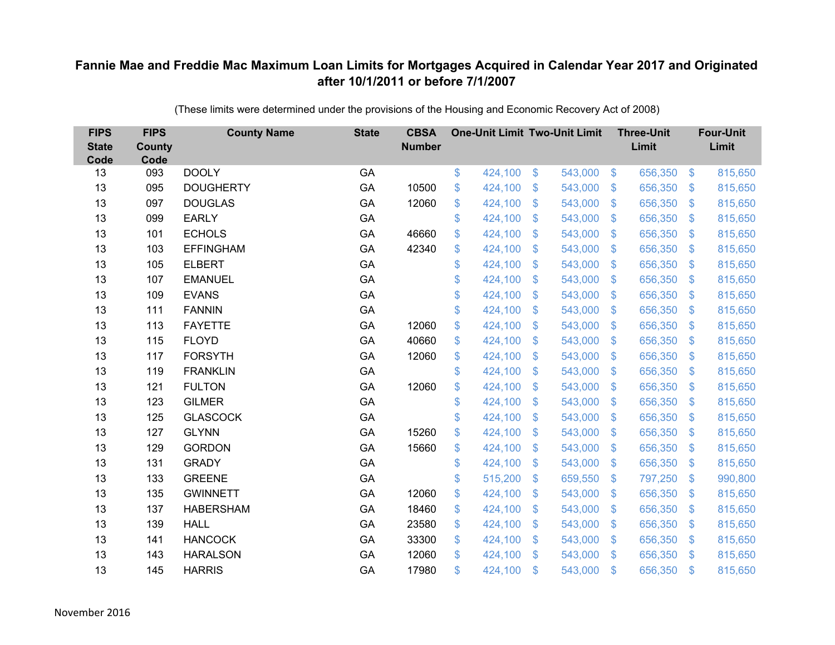| <b>FIPS</b><br><b>State</b><br>Code | <b>FIPS</b><br><b>County</b><br>Code | <b>County Name</b> | <b>State</b> | <b>CBSA</b><br><b>Number</b> | <b>One-Unit Limit Two-Unit Limit</b> |                           |         |                         | <b>Three-Unit</b><br>Limit |                | <b>Four-Unit</b><br>Limit |
|-------------------------------------|--------------------------------------|--------------------|--------------|------------------------------|--------------------------------------|---------------------------|---------|-------------------------|----------------------------|----------------|---------------------------|
| 13                                  | 093                                  | <b>DOOLY</b>       | GA           |                              | \$<br>424,100                        | $\$\$                     | 543,000 | $\sqrt[6]{3}$           | 656,350                    | $\sqrt{3}$     | 815,650                   |
| 13                                  | 095                                  | <b>DOUGHERTY</b>   | GA           | 10500                        | \$<br>424,100                        | \$                        | 543,000 | $\mathcal{L}$           | 656,350                    | \$             | 815,650                   |
| 13                                  | 097                                  | <b>DOUGLAS</b>     | GA           | 12060                        | \$<br>424,100                        | $\mathfrak{s}$            | 543,000 | $\mathfrak{S}$          | 656,350                    | $\mathbf{\$}$  | 815,650                   |
| 13                                  | 099                                  | <b>EARLY</b>       | GA           |                              | \$<br>424,100                        | $\boldsymbol{\mathsf{S}}$ | 543,000 | $\mathfrak{S}$          | 656,350                    | $\mathbf{\$}$  | 815,650                   |
| 13                                  | 101                                  | <b>ECHOLS</b>      | GA           | 46660                        | \$<br>424,100                        | $\mathsf{\$}$             | 543,000 | $\mathsf{\$}$           | 656,350                    | \$             | 815,650                   |
| 13                                  | 103                                  | <b>EFFINGHAM</b>   | GA           | 42340                        | \$<br>424,100                        | $\boldsymbol{\mathsf{S}}$ | 543,000 | $\sqrt[6]{\frac{1}{2}}$ | 656,350                    | $\mathcal{S}$  | 815,650                   |
| 13                                  | 105                                  | <b>ELBERT</b>      | GA           |                              | \$<br>424,100                        | $\boldsymbol{\mathsf{S}}$ | 543,000 | $\mathfrak{S}$          | 656,350                    | \$.            | 815,650                   |
| 13                                  | 107                                  | <b>EMANUEL</b>     | GA           |                              | \$<br>424,100                        | $\boldsymbol{\mathsf{S}}$ | 543,000 | $\mathfrak{S}$          | 656,350                    | $\mathbf{\$}$  | 815,650                   |
| 13                                  | 109                                  | <b>EVANS</b>       | GA           |                              | \$<br>424,100                        | \$                        | 543,000 | $\sqrt[6]{\frac{1}{2}}$ | 656,350                    | \$             | 815,650                   |
| 13                                  | 111                                  | <b>FANNIN</b>      | GA           |                              | \$<br>424,100                        | $\mathbf{\$}$             | 543,000 | $\mathbb{S}$            | 656,350                    | $\mathcal{S}$  | 815,650                   |
| 13                                  | 113                                  | <b>FAYETTE</b>     | GA           | 12060                        | \$<br>424,100                        | $\boldsymbol{\mathsf{S}}$ | 543,000 | $\mathfrak{S}$          | 656,350                    | \$             | 815,650                   |
| 13                                  | 115                                  | <b>FLOYD</b>       | GA           | 40660                        | \$<br>424,100                        | $\mathcal{S}$             | 543,000 | $\mathfrak{S}$          | 656,350                    | $\mathbf{\$}$  | 815,650                   |
| 13                                  | 117                                  | <b>FORSYTH</b>     | GA           | 12060                        | \$<br>424,100                        | \$                        | 543,000 | $\sqrt[6]{\frac{1}{2}}$ | 656,350                    | \$             | 815,650                   |
| 13                                  | 119                                  | <b>FRANKLIN</b>    | GA           |                              | \$<br>424,100                        | $\mathbf{\$}$             | 543,000 | $\mathbb{S}$            | 656,350                    | <sup>\$</sup>  | 815,650                   |
| 13                                  | 121                                  | <b>FULTON</b>      | GA           | 12060                        | \$<br>424,100                        | $\boldsymbol{\mathsf{S}}$ | 543,000 | $\mathfrak{S}$          | 656,350                    | $\mathcal{S}$  | 815,650                   |
| 13                                  | 123                                  | <b>GILMER</b>      | GA           |                              | \$<br>424,100                        | $\boldsymbol{\mathsf{S}}$ | 543,000 | $\mathfrak{S}$          | 656,350                    | $\sqrt{3}$     | 815,650                   |
| 13                                  | 125                                  | <b>GLASCOCK</b>    | GA           |                              | \$<br>424,100                        | $\boldsymbol{\mathsf{S}}$ | 543,000 | $\sqrt[6]{\frac{1}{2}}$ | 656,350                    | $\mathcal{S}$  | 815,650                   |
| 13                                  | 127                                  | <b>GLYNN</b>       | GA           | 15260                        | \$<br>424,100                        | $\mathcal{S}$             | 543,000 | $\mathfrak{S}$          | 656,350                    | $\mathcal{S}$  | 815,650                   |
| 13                                  | 129                                  | <b>GORDON</b>      | GA           | 15660                        | \$<br>424,100                        | $\$\$                     | 543,000 | $\mathfrak{S}$          | 656,350                    | $\mathbf{\$}$  | 815,650                   |
| 13                                  | 131                                  | <b>GRADY</b>       | GA           |                              | \$<br>424,100                        | $\boldsymbol{\mathsf{S}}$ | 543,000 | $\sqrt[6]{\frac{1}{2}}$ | 656,350                    | \$             | 815,650                   |
| 13                                  | 133                                  | <b>GREENE</b>      | GA           |                              | \$<br>515,200                        | $\boldsymbol{\mathsf{S}}$ | 659,550 | $\mathcal{L}$           | 797,250                    | $\mathcal{S}$  | 990,800                   |
| 13                                  | 135                                  | <b>GWINNETT</b>    | GA           | 12060                        | \$<br>424,100                        | $\boldsymbol{\mathsf{S}}$ | 543,000 | $\mathfrak{S}$          | 656,350                    | $\mathbf{\$}$  | 815,650                   |
| 13                                  | 137                                  | <b>HABERSHAM</b>   | GA           | 18460                        | \$<br>424,100                        | $\$\$                     | 543,000 | $\sqrt[6]{\frac{1}{2}}$ | 656,350                    | $\sqrt{3}$     | 815,650                   |
| 13                                  | 139                                  | <b>HALL</b>        | GA           | 23580                        | \$<br>424,100                        | $\boldsymbol{\mathsf{S}}$ | 543,000 | $\sqrt[6]{\frac{1}{2}}$ | 656,350                    | \$             | 815,650                   |
| 13                                  | 141                                  | <b>HANCOCK</b>     | GA           | 33300                        | \$<br>424,100                        | $\mathbf{\$}$             | 543,000 | $\mathfrak{S}$          | 656,350                    | $\mathcal{S}$  | 815,650                   |
| 13                                  | 143                                  | <b>HARALSON</b>    | GA           | 12060                        | \$<br>424,100                        | $\mathcal{S}$             | 543,000 | $\mathbb{S}$            | 656,350                    | $\mathfrak{S}$ | 815,650                   |
| 13                                  | 145                                  | <b>HARRIS</b>      | GA           | 17980                        | \$<br>424,100                        | \$                        | 543,000 | $\mathfrak{s}$          | 656,350                    | \$             | 815,650                   |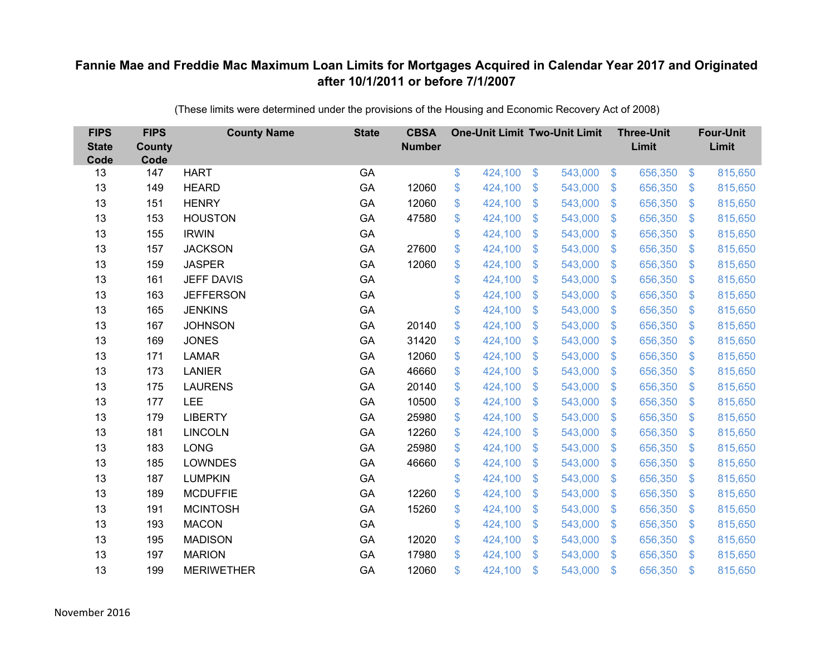| <b>FIPS</b><br><b>State</b><br>Code | <b>FIPS</b><br><b>County</b><br>Code | <b>County Name</b> | <b>State</b> | <b>CBSA</b><br><b>Number</b> | <b>One-Unit Limit Two-Unit Limit</b> |                           |         |                           | <b>Three-Unit</b><br>Limit |                | <b>Four-Unit</b><br>Limit |
|-------------------------------------|--------------------------------------|--------------------|--------------|------------------------------|--------------------------------------|---------------------------|---------|---------------------------|----------------------------|----------------|---------------------------|
| 13                                  | 147                                  | <b>HART</b>        | GA           |                              | \$<br>424,100                        | $\$\$                     | 543,000 | $\sqrt{3}$                | 656,350                    | $\frac{3}{2}$  | 815,650                   |
| 13                                  | 149                                  | <b>HEARD</b>       | GA           | 12060                        | \$<br>424,100                        | \$                        | 543,000 | $\sqrt[6]{\frac{1}{2}}$   | 656,350                    | \$             | 815,650                   |
| 13                                  | 151                                  | <b>HENRY</b>       | GA           | 12060                        | \$<br>424,100                        | $\mathcal{S}$             | 543,000 | $\mathfrak{S}$            | 656,350                    | $\mathbf{\$}$  | 815,650                   |
| 13                                  | 153                                  | <b>HOUSTON</b>     | GA           | 47580                        | \$<br>424,100                        | $\boldsymbol{\mathsf{S}}$ | 543,000 | $\sqrt[6]{\frac{1}{2}}$   | 656,350                    | $\mathcal{S}$  | 815,650                   |
| 13                                  | 155                                  | <b>IRWIN</b>       | GA           |                              | \$<br>424,100                        | $\boldsymbol{\mathsf{S}}$ | 543,000 | $\mathfrak{S}$            | 656,350                    | $\mathfrak{S}$ | 815,650                   |
| 13                                  | 157                                  | <b>JACKSON</b>     | GA           | 27600                        | \$<br>424,100                        | $\mathcal{S}$             | 543,000 | $\mathfrak{S}$            | 656,350                    | $\mathbf{\$}$  | 815,650                   |
| 13                                  | 159                                  | <b>JASPER</b>      | GA           | 12060                        | \$<br>424,100                        | $\boldsymbol{\mathsf{S}}$ | 543,000 | $\sqrt[6]{\frac{1}{2}}$   | 656,350                    | \$             | 815,650                   |
| 13                                  | 161                                  | <b>JEFF DAVIS</b>  | GA           |                              | \$<br>424,100                        | \$                        | 543,000 | $\sqrt[6]{\frac{1}{2}}$   | 656,350                    | $\mathcal{S}$  | 815,650                   |
| 13                                  | 163                                  | <b>JEFFERSON</b>   | GA           |                              | \$<br>424,100                        | \$                        | 543,000 | $\mathfrak{S}$            | 656,350                    | $\mathfrak{S}$ | 815,650                   |
| 13                                  | 165                                  | <b>JENKINS</b>     | GA           |                              | \$<br>424,100                        | $\boldsymbol{\mathsf{S}}$ | 543,000 | \$.                       | 656,350                    | <sup>\$</sup>  | 815,650                   |
| 13                                  | 167                                  | <b>JOHNSON</b>     | GA           | 20140                        | \$<br>424,100                        | \$                        | 543,000 | $\sqrt[6]{3}$             | 656,350                    | \$             | 815,650                   |
| 13                                  | 169                                  | <b>JONES</b>       | GA           | 31420                        | \$<br>424,100                        | $\boldsymbol{\mathsf{S}}$ | 543,000 | $\mathfrak{S}$            | 656,350                    | $\mathbf{\$}$  | 815,650                   |
| 13                                  | 171                                  | <b>LAMAR</b>       | GA           | 12060                        | \$<br>424,100                        | \$                        | 543,000 | $\sqrt[6]{3}$             | 656,350                    | \$             | 815,650                   |
| 13                                  | 173                                  | <b>LANIER</b>      | GA           | 46660                        | \$<br>424,100                        | $\mathbf{\$}$             | 543,000 | $\mathbb{S}$              | 656,350                    | $\mathcal{S}$  | 815,650                   |
| 13                                  | 175                                  | <b>LAURENS</b>     | GA           | 20140                        | \$<br>424,100                        | $\boldsymbol{\mathsf{S}}$ | 543,000 | $\sqrt[6]{3}$             | 656,350                    | $\mathcal{S}$  | 815,650                   |
| 13                                  | 177                                  | <b>LEE</b>         | GA           | 10500                        | \$<br>424,100                        | $\boldsymbol{\mathsf{S}}$ | 543,000 | $\mathfrak{S}$            | 656,350                    | $\mathcal{S}$  | 815,650                   |
| 13                                  | 179                                  | <b>LIBERTY</b>     | GA           | 25980                        | \$<br>424,100                        | $\mathcal{S}$             | 543,000 | $\mathfrak{S}$            | 656,350                    | $\mathcal{S}$  | 815,650                   |
| 13                                  | 181                                  | <b>LINCOLN</b>     | GA           | 12260                        | \$<br>424,100                        | $\boldsymbol{\mathsf{S}}$ | 543,000 | $\sqrt[6]{3}$             | 656,350                    | $\sqrt{3}$     | 815,650                   |
| 13                                  | 183                                  | <b>LONG</b>        | GA           | 25980                        | \$<br>424,100                        | $\boldsymbol{\mathsf{S}}$ | 543,000 | $\sqrt[6]{2}$             | 656,350                    | $\mathcal{S}$  | 815,650                   |
| 13                                  | 185                                  | <b>LOWNDES</b>     | GA           | 46660                        | \$<br>424,100                        | $\boldsymbol{\mathsf{S}}$ | 543,000 | $\mathfrak{S}$            | 656,350                    | $\mathbf{\$}$  | 815,650                   |
| 13                                  | 187                                  | <b>LUMPKIN</b>     | GA           |                              | \$<br>424,100                        | $\boldsymbol{\mathsf{S}}$ | 543,000 | $\sqrt[6]{3}$             | 656,350                    | $\sqrt{3}$     | 815,650                   |
| 13                                  | 189                                  | <b>MCDUFFIE</b>    | GA           | 12260                        | \$<br>424,100                        | $\boldsymbol{\mathsf{S}}$ | 543,000 | $\mathfrak{S}$            | 656,350                    | $\mathcal{S}$  | 815,650                   |
| 13                                  | 191                                  | <b>MCINTOSH</b>    | GA           | 15260                        | \$<br>424,100                        | $\$\$                     | 543,000 | $\sqrt[6]{3}$             | 656,350                    | $\mathbf{\$}$  | 815,650                   |
| 13                                  | 193                                  | <b>MACON</b>       | GA           |                              | \$<br>424,100                        | $\boldsymbol{\mathsf{S}}$ | 543,000 | $\boldsymbol{\mathsf{S}}$ | 656,350                    | \$             | 815,650                   |
| 13                                  | 195                                  | <b>MADISON</b>     | GA           | 12020                        | \$<br>424,100                        | $\boldsymbol{\mathsf{S}}$ | 543,000 | $\sqrt[6]{3}$             | 656,350                    | $\mathcal{S}$  | 815,650                   |
| 13                                  | 197                                  | <b>MARION</b>      | GA           | 17980                        | \$<br>424,100                        | $\mathcal{S}$             | 543,000 | $\mathbf{\$}$             | 656,350                    | <sup>\$</sup>  | 815,650                   |
| 13                                  | 199                                  | <b>MERIWETHER</b>  | GA           | 12060                        | \$<br>424,100                        | $\mathcal{S}$             | 543,000 | $\mathfrak{s}$            | 656,350                    | $\mathbf{\$}$  | 815,650                   |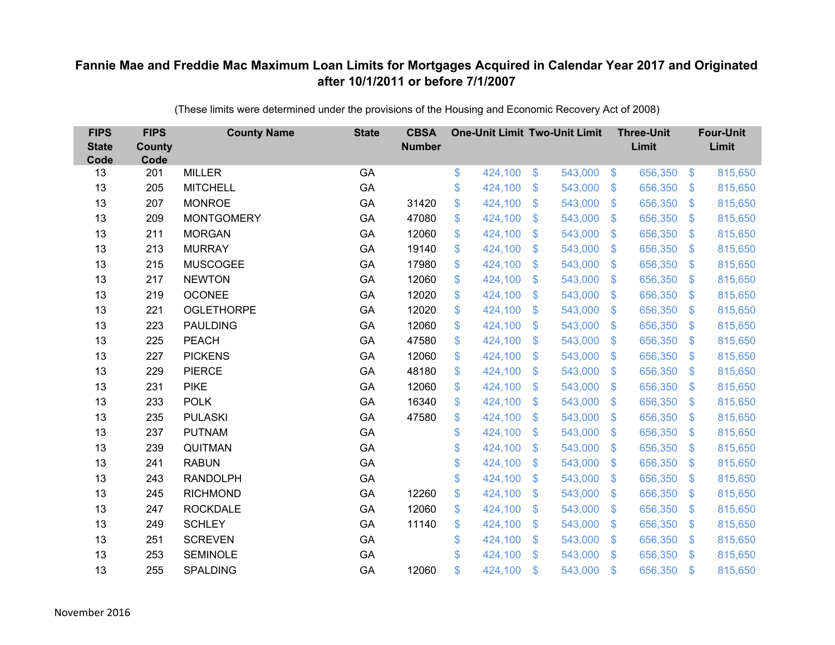| <b>FIPS</b><br><b>State</b><br>Code | <b>FIPS</b><br><b>County</b><br>Code | <b>County Name</b> | <b>State</b> | <b>CBSA</b><br><b>Number</b> | <b>One-Unit Limit Two-Unit Limit</b> |                |         |                | <b>Three-Unit</b><br>Limit |                         | <b>Four-Unit</b><br>Limit |
|-------------------------------------|--------------------------------------|--------------------|--------------|------------------------------|--------------------------------------|----------------|---------|----------------|----------------------------|-------------------------|---------------------------|
| 13                                  | 201                                  | <b>MILLER</b>      | GA           |                              | \$<br>424,100                        | $\$\$          | 543,000 | $\sqrt[6]{3}$  | 656,350                    | $\frac{3}{2}$           | 815,650                   |
| 13                                  | 205                                  | <b>MITCHELL</b>    | GA           |                              | \$<br>424,100                        | \$             | 543,000 | $\sqrt[6]{3}$  | 656,350                    | $\mathbb{S}$            | 815,650                   |
| 13                                  | 207                                  | <b>MONROE</b>      | GA           | 31420                        | \$<br>424,100                        | $\mathfrak{S}$ | 543,000 | $\mathbb{S}$   | 656,350                    | $\mathfrak{S}$          | 815,650                   |
| 13                                  | 209                                  | <b>MONTGOMERY</b>  | GA           | 47080                        | \$<br>424,100                        | \$             | 543,000 | $\sqrt[6]{3}$  | 656,350                    | $\mathfrak{S}$          | 815,650                   |
| 13                                  | 211                                  | <b>MORGAN</b>      | GA           | 12060                        | \$<br>424,100                        | \$             | 543,000 | $\mathfrak{F}$ | 656,350                    | $\mathbb{S}$            | 815,650                   |
| 13                                  | 213                                  | <b>MURRAY</b>      | GA           | 19140                        | \$<br>424,100                        | $\mathfrak{S}$ | 543,000 | $\mathcal{S}$  | 656,350                    | $\mathfrak{S}$          | 815,650                   |
| 13                                  | 215                                  | <b>MUSCOGEE</b>    | GA           | 17980                        | \$<br>424,100                        | \$             | 543,000 | $\mathfrak{S}$ | 656,350                    | $\mathbb{S}$            | 815,650                   |
| 13                                  | 217                                  | <b>NEWTON</b>      | GA           | 12060                        | \$<br>424,100                        | \$             | 543,000 | $\mathfrak{F}$ | 656,350                    | $\mathbb{S}$            | 815,650                   |
| 13                                  | 219                                  | <b>OCONEE</b>      | GA           | 12020                        | \$<br>424,100                        | $\mathfrak{S}$ | 543,000 | $\mathbb{S}$   | 656,350                    | $\mathfrak{S}$          | 815,650                   |
| 13                                  | 221                                  | <b>OGLETHORPE</b>  | GA           | 12020                        | \$<br>424,100                        | \$             | 543,000 | $\mathbf{\$}$  | 656,350                    | $\mathfrak{S}$          | 815,650                   |
| 13                                  | 223                                  | <b>PAULDING</b>    | GA           | 12060                        | \$<br>424,100                        | $\mathfrak{S}$ | 543,000 | $\mathbb{S}$   | 656,350                    | $\mathfrak{S}$          | 815,650                   |
| 13                                  | 225                                  | <b>PEACH</b>       | GA           | 47580                        | \$<br>424,100                        | $\mathfrak{S}$ | 543,000 | $\mathbb{S}$   | 656,350                    | $\mathfrak{S}$          | 815,650                   |
| 13                                  | 227                                  | <b>PICKENS</b>     | GA           | 12060                        | \$<br>424,100                        | $\mathfrak{S}$ | 543,000 | $\mathbb{S}$   | 656,350                    | $\mathfrak{S}$          | 815,650                   |
| 13                                  | 229                                  | <b>PIERCE</b>      | GA           | 48180                        | \$<br>424,100                        | \$             | 543,000 | S.             | 656,350                    | $\mathbb{S}$            | 815,650                   |
| 13                                  | 231                                  | <b>PIKE</b>        | GA           | 12060                        | \$<br>424,100                        | \$             | 543,000 | $\mathfrak{S}$ | 656,350                    | $\sqrt[6]{\frac{1}{2}}$ | 815,650                   |
| 13                                  | 233                                  | <b>POLK</b>        | GA           | 16340                        | \$<br>424,100                        | \$             | 543,000 | $\mathfrak{S}$ | 656,350                    | $\mathcal{L}$           | 815,650                   |
| 13                                  | 235                                  | <b>PULASKI</b>     | GA           | 47580                        | \$<br>424,100                        | $\mathfrak{S}$ | 543,000 | $\mathcal{S}$  | 656,350                    | $\mathbb{S}$            | 815,650                   |
| 13                                  | 237                                  | <b>PUTNAM</b>      | GA           |                              | \$<br>424,100                        | \$             | 543,000 | $\mathfrak{S}$ | 656,350                    | $\mathcal{L}$           | 815,650                   |
| 13                                  | 239                                  | QUITMAN            | GA           |                              | \$<br>424,100                        | \$             | 543,000 | $\sqrt[6]{3}$  | 656,350                    | $\mathcal{L}$           | 815,650                   |
| 13                                  | 241                                  | <b>RABUN</b>       | GA           |                              | \$<br>424,100                        | $\mathfrak{S}$ | 543,000 | $\mathbb{S}$   | 656,350                    | $\mathfrak{S}$          | 815,650                   |
| 13                                  | 243                                  | <b>RANDOLPH</b>    | GA           |                              | \$<br>424,100                        | \$             | 543,000 | $\sqrt[6]{3}$  | 656,350                    | $\mathcal{L}$           | 815,650                   |
| 13                                  | 245                                  | <b>RICHMOND</b>    | GA           | 12260                        | \$<br>424,100                        | $\mathfrak{S}$ | 543,000 | $\mathbb{S}$   | 656,350                    | $\mathbb{S}$            | 815,650                   |
| 13                                  | 247                                  | <b>ROCKDALE</b>    | GA           | 12060                        | \$<br>424,100                        | \$             | 543,000 | $\mathbb{S}$   | 656,350                    | $\mathfrak{S}$          | 815,650                   |
| 13                                  | 249                                  | <b>SCHLEY</b>      | GA           | 11140                        | \$<br>424,100                        | \$             | 543,000 | $\mathfrak{S}$ | 656,350                    | \$                      | 815,650                   |
| 13                                  | 251                                  | <b>SCREVEN</b>     | GA           |                              | \$<br>424,100                        | \$             | 543,000 | $\sqrt[6]{3}$  | 656,350                    | $\mathbb{S}$            | 815,650                   |
| 13                                  | 253                                  | <b>SEMINOLE</b>    | GA           |                              | \$<br>424,100                        | $\mathfrak{S}$ | 543,000 | $\mathbf{\$}$  | 656,350                    | <sup>\$</sup>           | 815,650                   |
| 13                                  | 255                                  | <b>SPALDING</b>    | GA           | 12060                        | \$<br>424,100                        | \$             | 543,000 | $\mathfrak{s}$ | 656,350                    | $\mathbf{\$}$           | 815,650                   |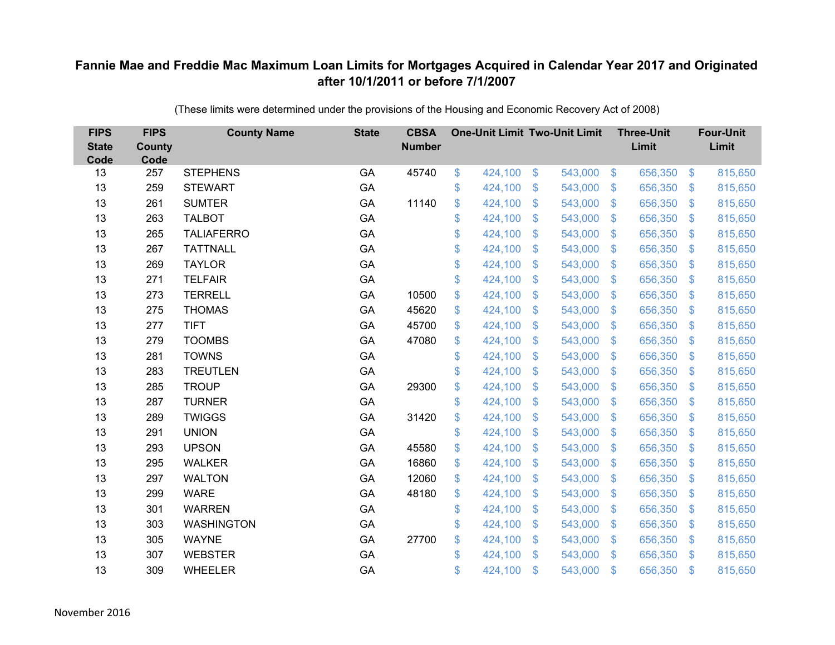| <b>FIPS</b><br><b>State</b><br>Code | <b>FIPS</b><br><b>County</b><br>Code | <b>County Name</b> | <b>State</b> | <b>CBSA</b><br><b>Number</b> | <b>One-Unit Limit Two-Unit Limit</b> |               |         |                           | <b>Three-Unit</b><br>Limit |                | <b>Four-Unit</b><br>Limit |
|-------------------------------------|--------------------------------------|--------------------|--------------|------------------------------|--------------------------------------|---------------|---------|---------------------------|----------------------------|----------------|---------------------------|
| 13                                  | 257                                  | <b>STEPHENS</b>    | GA           | 45740                        | \$<br>424,100                        | $\frac{3}{2}$ | 543,000 | $\sqrt[6]{3}$             | 656,350                    | $\frac{1}{2}$  | 815,650                   |
| 13                                  | 259                                  | <b>STEWART</b>     | GA           |                              | \$<br>424,100                        | \$            | 543,000 | $\mathcal{S}$             | 656,350                    | $\mathfrak{F}$ | 815,650                   |
| 13                                  | 261                                  | <b>SUMTER</b>      | GA           | 11140                        | \$<br>424,100                        | \$            | 543,000 | $\mathbf{\$}$             | 656,350                    | $\mathbb{S}$   | 815,650                   |
| 13                                  | 263                                  | <b>TALBOT</b>      | GA           |                              | \$<br>424,100                        | \$            | 543,000 | $\mathcal{S}$             | 656,350                    | $\mathfrak{F}$ | 815,650                   |
| 13                                  | 265                                  | <b>TALIAFERRO</b>  | GA           |                              | \$<br>424,100                        | \$            | 543,000 | $\mathfrak{F}$            | 656,350                    | $\mathbf{\$}$  | 815,650                   |
| 13                                  | 267                                  | <b>TATTNALL</b>    | GA           |                              | \$<br>424,100                        | \$            | 543,000 | $\mathbf{\$}$             | 656,350                    | S.             | 815,650                   |
| 13                                  | 269                                  | <b>TAYLOR</b>      | GA           |                              | \$<br>424,100                        | \$            | 543,000 | $\boldsymbol{\mathsf{S}}$ | 656,350                    | $\mathcal{L}$  | 815,650                   |
| 13                                  | 271                                  | <b>TELFAIR</b>     | GA           |                              | \$<br>424,100                        | \$            | 543,000 | $\boldsymbol{\mathsf{S}}$ | 656,350                    | $\mathfrak{F}$ | 815,650                   |
| 13                                  | 273                                  | <b>TERRELL</b>     | GA           | 10500                        | \$<br>424,100                        | \$            | 543,000 | $\mathfrak{F}$            | 656,350                    | $\mathfrak{F}$ | 815,650                   |
| 13                                  | 275                                  | <b>THOMAS</b>      | GA           | 45620                        | \$<br>424,100                        | \$            | 543,000 | $\mathbf{\$}$             | 656,350                    | $\mathfrak{F}$ | 815,650                   |
| 13                                  | 277                                  | <b>TIFT</b>        | GA           | 45700                        | \$<br>424,100                        | \$            | 543,000 | $\mathbb{S}$              | 656,350                    | $\mathfrak{F}$ | 815,650                   |
| 13                                  | 279                                  | <b>TOOMBS</b>      | GA           | 47080                        | \$<br>424,100                        | \$            | 543,000 | $\mathfrak{F}$            | 656,350                    | $\mathbb{S}$   | 815,650                   |
| 13                                  | 281                                  | <b>TOWNS</b>       | GA           |                              | \$<br>424,100                        | \$            | 543,000 | $\mathfrak{F}$            | 656,350                    | $\mathcal{L}$  | 815,650                   |
| 13                                  | 283                                  | <b>TREUTLEN</b>    | GA           |                              | \$<br>424,100                        | \$            | 543,000 | S.                        | 656,350                    | $\mathfrak{F}$ | 815,650                   |
| 13                                  | 285                                  | <b>TROUP</b>       | GA           | 29300                        | \$<br>424,100                        | \$            | 543,000 | $\mathfrak{S}$            | 656,350                    | $\frac{1}{2}$  | 815,650                   |
| 13                                  | 287                                  | <b>TURNER</b>      | GA           |                              | \$<br>424,100                        | \$            | 543,000 | $\mathcal{S}$             | 656,350                    | $\mathcal{L}$  | 815,650                   |
| 13                                  | 289                                  | <b>TWIGGS</b>      | GA           | 31420                        | \$<br>424,100                        | \$            | 543,000 | $\mathfrak{F}$            | 656,350                    | $\mathfrak{F}$ | 815,650                   |
| 13                                  | 291                                  | <b>UNION</b>       | GA           |                              | \$<br>424,100                        | \$            | 543,000 | $\boldsymbol{\mathsf{S}}$ | 656,350                    | $\mathcal{L}$  | 815,650                   |
| 13                                  | 293                                  | <b>UPSON</b>       | GA           | 45580                        | \$<br>424,100                        | \$            | 543,000 | $\mathfrak{S}$            | 656,350                    | $\mathfrak{F}$ | 815,650                   |
| 13                                  | 295                                  | <b>WALKER</b>      | GA           | 16860                        | \$<br>424,100                        | \$            | 543,000 | $\mathfrak{F}$            | 656,350                    | $\mathfrak{F}$ | 815,650                   |
| 13                                  | 297                                  | <b>WALTON</b>      | GA           | 12060                        | \$<br>424,100                        | \$            | 543,000 | $\sqrt[6]{3}$             | 656,350                    | $\mathfrak{F}$ | 815,650                   |
| 13                                  | 299                                  | <b>WARE</b>        | GA           | 48180                        | \$<br>424,100                        | \$            | 543,000 | $\mathfrak{F}$            | 656,350                    | $\mathfrak{F}$ | 815,650                   |
| 13                                  | 301                                  | <b>WARREN</b>      | GA           |                              | \$<br>424,100                        | \$            | 543,000 | $\mathcal{S}$             | 656,350                    | $\mathfrak{S}$ | 815,650                   |
| 13                                  | 303                                  | <b>WASHINGTON</b>  | GA           |                              | \$<br>424,100                        | \$            | 543,000 | $\boldsymbol{\mathsf{S}}$ | 656,350                    | $\mathcal{L}$  | 815,650                   |
| 13                                  | 305                                  | <b>WAYNE</b>       | GA           | 27700                        | \$<br>424,100                        | \$            | 543,000 | $\mathcal{S}$             | 656,350                    | $\mathfrak{F}$ | 815,650                   |
| 13                                  | 307                                  | <b>WEBSTER</b>     | GA           |                              | \$<br>424,100                        | \$            | 543,000 | $\mathbf{\$}$             | 656,350                    | <sup>\$</sup>  | 815,650                   |
| 13                                  | 309                                  | <b>WHEELER</b>     | GA           |                              | \$<br>424,100                        | \$            | 543,000 | $\mathfrak{s}$            | 656,350                    | $\mathbf{\$}$  | 815,650                   |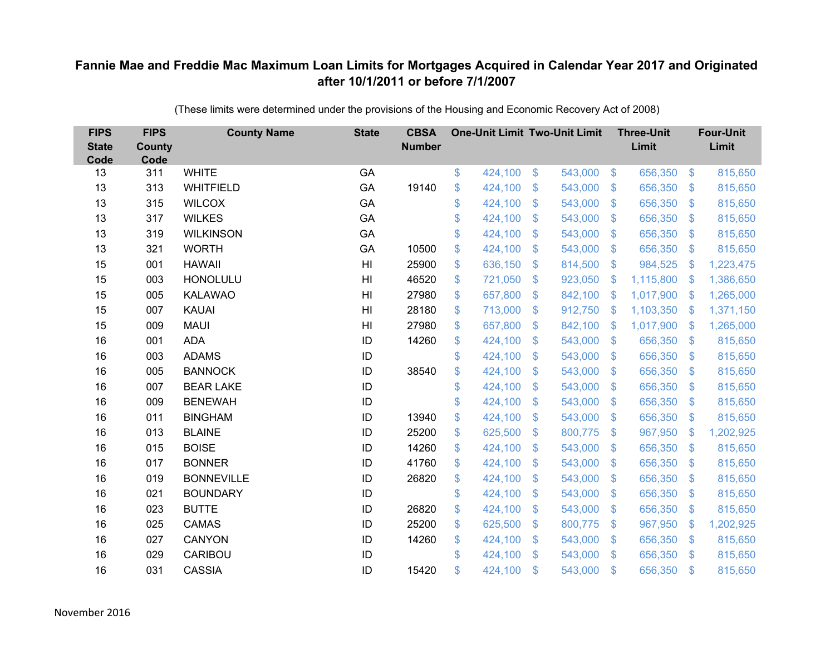| <b>FIPS</b><br><b>State</b><br>Code | <b>FIPS</b><br><b>County</b><br>Code | <b>County Name</b> | <b>State</b>   | <b>CBSA</b><br><b>Number</b> | <b>One-Unit Limit Two-Unit Limit</b> |                |         |                           | <b>Three-Unit</b><br>Limit |                         | <b>Four-Unit</b><br>Limit |
|-------------------------------------|--------------------------------------|--------------------|----------------|------------------------------|--------------------------------------|----------------|---------|---------------------------|----------------------------|-------------------------|---------------------------|
| 13                                  | 311                                  | <b>WHITE</b>       | GA             |                              | \$<br>424,100                        | $\$\$          | 543,000 | $\sqrt[6]{3}$             | 656,350                    | $\frac{3}{2}$           | 815,650                   |
| 13                                  | 313                                  | <b>WHITFIELD</b>   | GA             | 19140                        | \$<br>424,100                        | \$             | 543,000 | $\sqrt[6]{3}$             | 656,350                    | $\mathbb{S}$            | 815,650                   |
| 13                                  | 315                                  | <b>WILCOX</b>      | GA             |                              | \$<br>424,100                        | $\mathfrak{S}$ | 543,000 | $\mathbb{S}$              | 656,350                    | $\mathfrak{S}$          | 815,650                   |
| 13                                  | 317                                  | <b>WILKES</b>      | GA             |                              | \$<br>424,100                        | \$             | 543,000 | $\mathfrak{F}$            | 656,350                    | $\mathcal{L}$           | 815,650                   |
| 13                                  | 319                                  | <b>WILKINSON</b>   | GA             |                              | \$<br>424,100                        | \$             | 543,000 | $\mathfrak{F}$            | 656,350                    | \$.                     | 815,650                   |
| 13                                  | 321                                  | <b>WORTH</b>       | GA             | 10500                        | \$<br>424,100                        | $\mathfrak{S}$ | 543,000 | $\mathcal{S}$             | 656,350                    | $\mathfrak{S}$          | 815,650                   |
| 15                                  | 001                                  | <b>HAWAII</b>      | H <sub>l</sub> | 25900                        | \$<br>636,150                        | \$             | 814,500 | $\sqrt[6]{3}$             | 984,525                    | S.                      | 1,223,475                 |
| 15                                  | 003                                  | <b>HONOLULU</b>    | H <sub>l</sub> | 46520                        | \$<br>721,050                        | \$             | 923,050 | \$                        | 1,115,800                  | $\mathbf{\$}$           | 1,386,650                 |
| 15                                  | 005                                  | <b>KALAWAO</b>     | H <sub>l</sub> | 27980                        | \$<br>657,800                        | $\mathfrak{S}$ | 842,100 | -\$                       | 1,017,900                  | S.                      | 1,265,000                 |
| 15                                  | 007                                  | <b>KAUAI</b>       | H <sub>l</sub> | 28180                        | \$<br>713,000                        | \$             | 912,750 | -\$                       | 1,103,350                  | -S                      | 1,371,150                 |
| 15                                  | 009                                  | <b>MAUI</b>        | H <sub>l</sub> | 27980                        | \$<br>657,800                        | $\mathfrak{S}$ | 842,100 | $\mathcal{S}$             | 1,017,900                  | $\mathbb{S}$            | 1,265,000                 |
| 16                                  | 001                                  | <b>ADA</b>         | ID             | 14260                        | \$<br>424,100                        | $\mathfrak{S}$ | 543,000 | $\mathcal{S}$             | 656,350                    | $\sqrt[6]{\frac{1}{2}}$ | 815,650                   |
| 16                                  | 003                                  | <b>ADAMS</b>       | ID             |                              | \$<br>424,100                        | $\mathfrak{S}$ | 543,000 | $\mathfrak{S}$            | 656,350                    | \$                      | 815,650                   |
| 16                                  | 005                                  | <b>BANNOCK</b>     | ID             | 38540                        | \$<br>424,100                        | \$             | 543,000 | $\mathbb{S}$              | 656,350                    | $\mathcal{L}$           | 815,650                   |
| 16                                  | 007                                  | <b>BEAR LAKE</b>   | ID             |                              | \$<br>424,100                        | \$             | 543,000 | $\mathfrak{S}$            | 656,350                    | $\sqrt[6]{\frac{1}{2}}$ | 815,650                   |
| 16                                  | 009                                  | <b>BENEWAH</b>     | ID             |                              | \$<br>424,100                        | \$             | 543,000 | $\mathfrak{S}$            | 656,350                    | $\mathcal{L}$           | 815,650                   |
| 16                                  | 011                                  | <b>BINGHAM</b>     | ID             | 13940                        | \$<br>424,100                        | $\mathfrak{S}$ | 543,000 | $\mathcal{S}$             | 656,350                    | $\sqrt[6]{\frac{1}{2}}$ | 815,650                   |
| 16                                  | 013                                  | <b>BLAINE</b>      | ID             | 25200                        | \$<br>625,500                        | \$             | 800,775 | $\mathfrak{S}$            | 967,950                    | $\mathcal{L}$           | 1,202,925                 |
| 16                                  | 015                                  | <b>BOISE</b>       | ID             | 14260                        | \$<br>424,100                        | \$             | 543,000 | $\sqrt[6]{3}$             | 656,350                    | $\mathcal{L}$           | 815,650                   |
| 16                                  | 017                                  | <b>BONNER</b>      | ID             | 41760                        | \$<br>424,100                        | $\mathfrak{S}$ | 543,000 | $\mathbb{S}$              | 656,350                    | $\mathfrak{S}$          | 815,650                   |
| 16                                  | 019                                  | <b>BONNEVILLE</b>  | ID             | 26820                        | \$<br>424,100                        | \$             | 543,000 | $\sqrt[6]{3}$             | 656,350                    | $\mathcal{L}$           | 815,650                   |
| 16                                  | 021                                  | <b>BOUNDARY</b>    | ID             |                              | \$<br>424,100                        | $\mathcal{S}$  | 543,000 | $\mathbb{S}$              | 656,350                    | $\mathbb{S}$            | 815,650                   |
| 16                                  | 023                                  | <b>BUTTE</b>       | ID             | 26820                        | \$<br>424,100                        | \$             | 543,000 | $\mathcal{S}$             | 656,350                    | $\mathfrak{S}$          | 815,650                   |
| 16                                  | 025                                  | <b>CAMAS</b>       | ID             | 25200                        | \$<br>625,500                        | \$             | 800,775 | $\boldsymbol{\mathsf{S}}$ | 967,950                    | $\mathcal{L}$           | 1,202,925                 |
| 16                                  | 027                                  | <b>CANYON</b>      | ID             | 14260                        | \$<br>424,100                        | \$             | 543,000 | $\sqrt[6]{3}$             | 656,350                    | $\mathcal{L}$           | 815,650                   |
| 16                                  | 029                                  | <b>CARIBOU</b>     | ID             |                              | \$<br>424,100                        | \$             | 543,000 | $\mathbf{\$}$             | 656,350                    | $\mathbf{\$}$           | 815,650                   |
| 16                                  | 031                                  | <b>CASSIA</b>      | ID             | 15420                        | \$<br>424,100                        | \$             | 543,000 | $\mathfrak{s}$            | 656,350                    | $\mathbf{\$}$           | 815,650                   |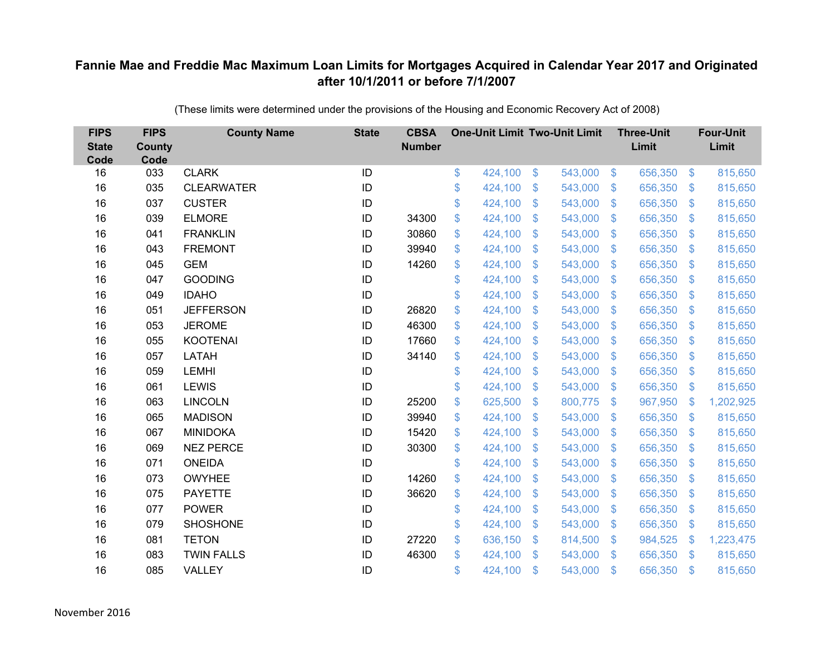| <b>FIPS</b><br><b>State</b><br>Code | <b>FIPS</b><br><b>County</b><br>Code | <b>County Name</b> | <b>State</b> | <b>CBSA</b><br><b>Number</b> | <b>One-Unit Limit Two-Unit Limit</b> |                |         |                           | <b>Three-Unit</b><br>Limit |                           | <b>Four-Unit</b><br>Limit |
|-------------------------------------|--------------------------------------|--------------------|--------------|------------------------------|--------------------------------------|----------------|---------|---------------------------|----------------------------|---------------------------|---------------------------|
| 16                                  | 033                                  | <b>CLARK</b>       | ID           |                              | \$<br>424,100                        | $\frac{3}{2}$  | 543,000 | $\sqrt[6]{3}$             | 656,350                    | \$                        | 815,650                   |
| 16                                  | 035                                  | <b>CLEARWATER</b>  | ID           |                              | \$<br>424,100                        | \$             | 543,000 | $\mathcal{L}$             | 656,350                    | $\mathfrak{F}$            | 815,650                   |
| 16                                  | 037                                  | <b>CUSTER</b>      | ID           |                              | \$<br>424,100                        | \$             | 543,000 | $\mathfrak{F}$            | 656,350                    | $\mathfrak{S}$            | 815,650                   |
| 16                                  | 039                                  | <b>ELMORE</b>      | ID           | 34300                        | \$<br>424,100                        | \$             | 543,000 | $\mathcal{L}$             | 656,350                    | $\mathfrak{F}$            | 815,650                   |
| 16                                  | 041                                  | <b>FRANKLIN</b>    | ID           | 30860                        | \$<br>424,100                        | \$             | 543,000 | $\boldsymbol{\mathsf{S}}$ | 656,350                    | $\boldsymbol{\mathsf{S}}$ | 815,650                   |
| 16                                  | 043                                  | <b>FREMONT</b>     | ID           | 39940                        | \$<br>424,100                        | \$             | 543,000 | $\mathcal{S}$             | 656,350                    | $\mathfrak{S}$            | 815,650                   |
| 16                                  | 045                                  | <b>GEM</b>         | ID           | 14260                        | \$<br>424,100                        | \$             | 543,000 | $\boldsymbol{\mathsf{S}}$ | 656,350                    | $\mathfrak{F}$            | 815,650                   |
| 16                                  | 047                                  | <b>GOODING</b>     | ID           |                              | \$<br>424,100                        | \$             | 543,000 | \$                        | 656,350                    | $\mathfrak{F}$            | 815,650                   |
| 16                                  | 049                                  | <b>IDAHO</b>       | ID           |                              | \$<br>424,100                        | \$             | 543,000 | $\mathfrak{F}$            | 656,350                    | $\mathfrak{S}$            | 815,650                   |
| 16                                  | 051                                  | <b>JEFFERSON</b>   | ID           | 26820                        | \$<br>424,100                        | $\mathbb{S}$   | 543,000 | $\mathbb{S}$              | 656,350                    | $\mathfrak{F}$            | 815,650                   |
| 16                                  | 053                                  | <b>JEROME</b>      | ID           | 46300                        | \$<br>424,100                        | $\mathfrak{S}$ | 543,000 | $\mathfrak{S}$            | 656,350                    | \$                        | 815,650                   |
| 16                                  | 055                                  | <b>KOOTENAI</b>    | ID           | 17660                        | \$<br>424,100                        | $\mathsf{\$}$  | 543,000 | $\mathfrak{S}$            | 656,350                    | $\mathfrak{S}$            | 815,650                   |
| 16                                  | 057                                  | LATAH              | ID           | 34140                        | \$<br>424,100                        | \$             | 543,000 | $\boldsymbol{\mathsf{S}}$ | 656,350                    | \$                        | 815,650                   |
| 16                                  | 059                                  | <b>LEMHI</b>       | ID           |                              | \$<br>424,100                        | $\mathbb{S}$   | 543,000 | $\mathbb{S}$              | 656,350                    | \$                        | 815,650                   |
| 16                                  | 061                                  | <b>LEWIS</b>       | ID           |                              | \$<br>424,100                        | \$             | 543,000 | $\sqrt[6]{3}$             | 656,350                    | \$                        | 815,650                   |
| 16                                  | 063                                  | <b>LINCOLN</b>     | ID           | 25200                        | \$<br>625,500                        | \$             | 800,775 | $\boldsymbol{\mathsf{S}}$ | 967,950                    | \$                        | 1,202,925                 |
| 16                                  | 065                                  | <b>MADISON</b>     | ID           | 39940                        | \$<br>424,100                        | \$             | 543,000 | $\mathfrak{F}$            | 656,350                    | $\mathcal{L}$             | 815,650                   |
| 16                                  | 067                                  | <b>MINIDOKA</b>    | ID           | 15420                        | \$<br>424,100                        | \$             | 543,000 | \$                        | 656,350                    | \$                        | 815,650                   |
| 16                                  | 069                                  | <b>NEZ PERCE</b>   | ID           | 30300                        | \$<br>424,100                        | \$             | 543,000 | $\mathfrak{S}$            | 656,350                    | $\mathcal{L}$             | 815,650                   |
| 16                                  | 071                                  | <b>ONEIDA</b>      | ID           |                              | \$<br>424,100                        | \$             | 543,000 | $\mathbf{\$}$             | 656,350                    | $\mathfrak{S}$            | 815,650                   |
| 16                                  | 073                                  | <b>OWYHEE</b>      | ID           | 14260                        | \$<br>424,100                        | \$             | 543,000 | $\mathfrak{S}$            | 656,350                    | $\mathcal{L}$             | 815,650                   |
| 16                                  | 075                                  | <b>PAYETTE</b>     | ID           | 36620                        | \$<br>424,100                        | \$             | 543,000 | $\mathbb{S}$              | 656,350                    | \$                        | 815,650                   |
| 16                                  | 077                                  | <b>POWER</b>       | ID           |                              | \$<br>424,100                        | \$             | 543,000 | $\mathfrak{F}$            | 656,350                    | \$                        | 815,650                   |
| 16                                  | 079                                  | <b>SHOSHONE</b>    | ID           |                              | \$<br>424,100                        | \$             | 543,000 | $\boldsymbol{\mathsf{S}}$ | 656,350                    | $\boldsymbol{\mathsf{S}}$ | 815,650                   |
| 16                                  | 081                                  | <b>TETON</b>       | ID           | 27220                        | \$<br>636,150                        | \$             | 814,500 | $\mathcal{S}$             | 984,525                    | \$                        | 1,223,475                 |
| 16                                  | 083                                  | <b>TWIN FALLS</b>  | ID           | 46300                        | \$<br>424,100                        | $\mathbf{\$}$  | 543,000 | $\mathbf{\$}$             | 656,350                    | \$                        | 815,650                   |
| 16                                  | 085                                  | VALLEY             | ID           |                              | \$<br>424,100                        | \$             | 543,000 | $\mathbf{\$}$             | 656,350                    | \$                        | 815,650                   |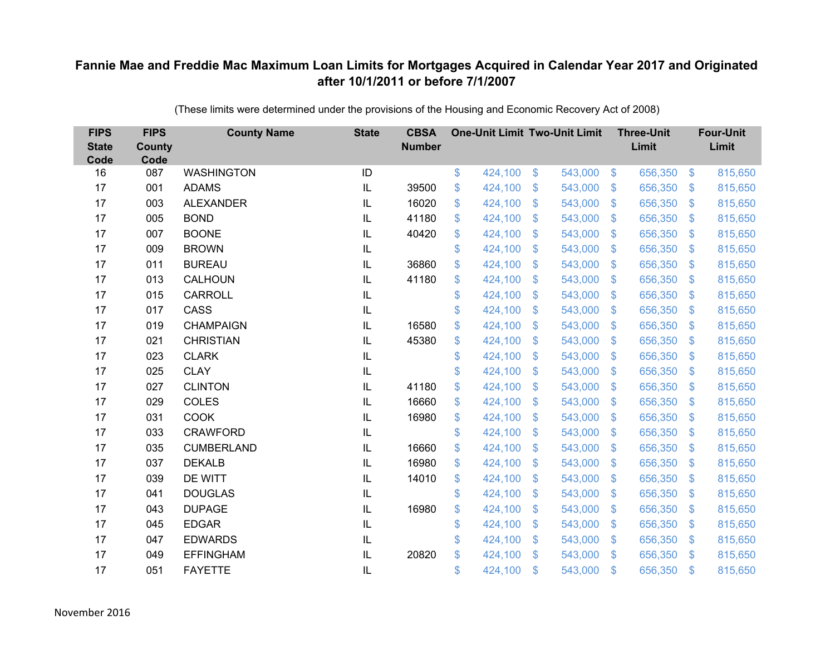| <b>FIPS</b><br><b>State</b><br>Code | <b>FIPS</b><br><b>County</b><br>Code | <b>County Name</b> | <b>State</b> | <b>CBSA</b><br><b>Number</b> | <b>One-Unit Limit Two-Unit Limit</b> |                           |         |                           | <b>Three-Unit</b><br>Limit |                | <b>Four-Unit</b><br>Limit |
|-------------------------------------|--------------------------------------|--------------------|--------------|------------------------------|--------------------------------------|---------------------------|---------|---------------------------|----------------------------|----------------|---------------------------|
| 16                                  | 087                                  | <b>WASHINGTON</b>  | ID           |                              | \$<br>424,100                        | $\$\$                     | 543,000 | $\sqrt[6]{3}$             | 656,350                    | $\frac{3}{2}$  | 815,650                   |
| 17                                  | 001                                  | <b>ADAMS</b>       | IL           | 39500                        | \$<br>424,100                        | \$                        | 543,000 | $\mathbb{S}$              | 656,350                    | $\mathcal{S}$  | 815,650                   |
| 17                                  | 003                                  | <b>ALEXANDER</b>   | IL           | 16020                        | \$<br>424,100                        | $\mathcal{S}$             | 543,000 | $\mathbb{S}$              | 656,350                    | $\mathbf{\$}$  | 815,650                   |
| 17                                  | 005                                  | <b>BOND</b>        | IL           | 41180                        | \$<br>424,100                        | $\boldsymbol{\mathsf{S}}$ | 543,000 | $\mathfrak{S}$            | 656,350                    | $\mathcal{S}$  | 815,650                   |
| 17                                  | 007                                  | <b>BOONE</b>       | IL           | 40420                        | \$<br>424,100                        | $\boldsymbol{\mathsf{S}}$ | 543,000 | $\mathfrak{F}$            | 656,350                    | <sup>\$</sup>  | 815,650                   |
| 17                                  | 009                                  | <b>BROWN</b>       | IL           |                              | \$<br>424,100                        | $\mathcal{S}$             | 543,000 | $\mathfrak{S}$            | 656,350                    | \$.            | 815,650                   |
| 17                                  | 011                                  | <b>BUREAU</b>      | IL           | 36860                        | \$<br>424,100                        | $\boldsymbol{\mathsf{S}}$ | 543,000 | $\mathfrak{S}$            | 656,350                    | $\mathfrak{F}$ | 815,650                   |
| 17                                  | 013                                  | CALHOUN            | IL           | 41180                        | \$<br>424,100                        | $\boldsymbol{\mathsf{S}}$ | 543,000 | $\mathfrak{S}$            | 656,350                    | $\mathcal{S}$  | 815,650                   |
| 17                                  | 015                                  | <b>CARROLL</b>     | IL           |                              | \$<br>424,100                        | \$                        | 543,000 | $\mathfrak{S}$            | 656,350                    | $\mathfrak{S}$ | 815,650                   |
| 17                                  | 017                                  | CASS               | IL           |                              | \$<br>424,100                        | \$                        | 543,000 | $\mathbb{S}$              | 656,350                    | $\mathcal{S}$  | 815,650                   |
| 17                                  | 019                                  | <b>CHAMPAIGN</b>   | IL           | 16580                        | \$<br>424,100                        | $\mathcal{S}$             | 543,000 | $\mathfrak{S}$            | 656,350                    | $\mathbf{\$}$  | 815,650                   |
| 17                                  | 021                                  | <b>CHRISTIAN</b>   | IL           | 45380                        | \$<br>424,100                        | $\mathcal{S}$             | 543,000 | $\mathfrak{S}$            | 656,350                    | $\mathbf{\$}$  | 815,650                   |
| 17                                  | 023                                  | <b>CLARK</b>       | IL           |                              | \$<br>424,100                        | \$                        | 543,000 | $\mathfrak{S}$            | 656,350                    | $\mathfrak{F}$ | 815,650                   |
| 17                                  | 025                                  | <b>CLAY</b>        | IL           |                              | \$<br>424,100                        | $\mathbf{\$}$             | 543,000 | $\mathbb{S}$              | 656,350                    | $\mathcal{S}$  | 815,650                   |
| 17                                  | 027                                  | <b>CLINTON</b>     | IL           | 41180                        | \$<br>424,100                        | $\boldsymbol{\mathsf{S}}$ | 543,000 | $\sqrt[6]{3}$             | 656,350                    | $\mathfrak{F}$ | 815,650                   |
| 17                                  | 029                                  | <b>COLES</b>       | IL           | 16660                        | \$<br>424,100                        | $\boldsymbol{\mathsf{S}}$ | 543,000 | \$                        | 656,350                    | $\mathcal{S}$  | 815,650                   |
| 17                                  | 031                                  | <b>COOK</b>        | IL           | 16980                        | \$<br>424,100                        | \$                        | 543,000 | $\mathfrak{S}$            | 656,350                    | $\mathbf{\$}$  | 815,650                   |
| 17                                  | 033                                  | <b>CRAWFORD</b>    | IL           |                              | \$<br>424,100                        | $\boldsymbol{\mathsf{S}}$ | 543,000 | $\mathfrak{S}$            | 656,350                    | $\mathcal{S}$  | 815,650                   |
| 17                                  | 035                                  | <b>CUMBERLAND</b>  | IL           | 16660                        | \$<br>424,100                        | $\boldsymbol{\mathsf{S}}$ | 543,000 | $\mathbb{S}$              | 656,350                    | $\mathcal{S}$  | 815,650                   |
| 17                                  | 037                                  | <b>DEKALB</b>      | IL           | 16980                        | \$<br>424,100                        | $\mathcal{S}$             | 543,000 | $\mathfrak{S}$            | 656,350                    | $\mathbf{\$}$  | 815,650                   |
| 17                                  | 039                                  | DE WITT            | IL           | 14010                        | \$<br>424,100                        | $\boldsymbol{\mathsf{S}}$ | 543,000 | $\mathfrak{S}$            | 656,350                    | $\mathcal{S}$  | 815,650                   |
| 17                                  | 041                                  | <b>DOUGLAS</b>     | IL           |                              | \$<br>424,100                        | $\mathcal{S}$             | 543,000 | $\mathfrak{S}$            | 656,350                    | $\mathcal{S}$  | 815,650                   |
| 17                                  | 043                                  | <b>DUPAGE</b>      | IL           | 16980                        | \$<br>424,100                        | $\boldsymbol{\mathsf{S}}$ | 543,000 | $\mathfrak{S}$            | 656,350                    | $\mathbf{\$}$  | 815,650                   |
| 17                                  | 045                                  | <b>EDGAR</b>       | IL           |                              | \$<br>424,100                        | $\boldsymbol{\mathsf{S}}$ | 543,000 | $\boldsymbol{\mathsf{S}}$ | 656,350                    | $\mathfrak{F}$ | 815,650                   |
| 17                                  | 047                                  | <b>EDWARDS</b>     | IL           |                              | \$<br>424,100                        | $\boldsymbol{\mathsf{S}}$ | 543,000 | $\mathfrak{S}$            | 656,350                    | $\mathcal{S}$  | 815,650                   |
| 17                                  | 049                                  | <b>EFFINGHAM</b>   | IL           | 20820                        | \$<br>424,100                        | $\mathcal{S}$             | 543,000 | $\mathbf{\$}$             | 656,350                    | <sup>\$</sup>  | 815,650                   |
| 17                                  | 051                                  | <b>FAYETTE</b>     | IL           |                              | \$<br>424,100                        | $\mathcal{S}$             | 543,000 | $\mathfrak{s}$            | 656,350                    | $\mathbf{\$}$  | 815,650                   |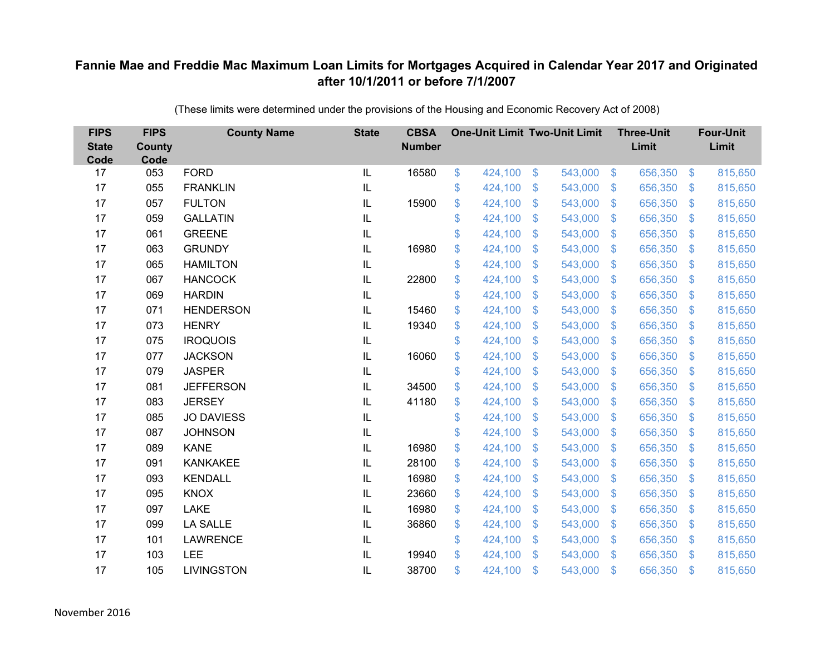| <b>FIPS</b><br><b>State</b><br>Code | <b>FIPS</b><br><b>County</b><br>Code | <b>County Name</b> | <b>State</b>  | <b>CBSA</b><br><b>Number</b> | <b>One-Unit Limit Two-Unit Limit</b> |               |         |                           | <b>Three-Unit</b><br>Limit |                           | <b>Four-Unit</b><br>Limit |
|-------------------------------------|--------------------------------------|--------------------|---------------|------------------------------|--------------------------------------|---------------|---------|---------------------------|----------------------------|---------------------------|---------------------------|
| 17                                  | 053                                  | <b>FORD</b>        | IL            | 16580                        | \$<br>424,100                        | $\mathcal{L}$ | 543,000 | $\sqrt[6]{5}$             | 656,350                    | $\mathfrak{S}$            | 815,650                   |
| 17                                  | 055                                  | <b>FRANKLIN</b>    | $\sf IL$      |                              | \$<br>424,100                        | \$            | 543,000 | $\mathcal{S}$             | 656,350                    | $\mathcal{S}$             | 815,650                   |
| 17                                  | 057                                  | <b>FULTON</b>      | IL            | 15900                        | \$<br>424,100                        | \$            | 543,000 | $\mathfrak{F}$            | 656,350                    | $\mathfrak{F}$            | 815,650                   |
| 17                                  | 059                                  | <b>GALLATIN</b>    | $\mathsf{IL}$ |                              | \$<br>424,100                        | \$            | 543,000 | $\mathcal{S}$             | 656,350                    | S.                        | 815,650                   |
| 17                                  | 061                                  | <b>GREENE</b>      | IL            |                              | \$<br>424,100                        | \$            | 543,000 | $\boldsymbol{\mathsf{S}}$ | 656,350                    | $\mathcal{L}$             | 815,650                   |
| 17                                  | 063                                  | <b>GRUNDY</b>      | $\sf IL$      | 16980                        | \$<br>424,100                        | \$            | 543,000 | $\mathcal{S}$             | 656,350                    | $\mathcal{S}$             | 815,650                   |
| 17                                  | 065                                  | <b>HAMILTON</b>    | $\sf IL$      |                              | \$<br>424,100                        | \$            | 543,000 | $\mathfrak{F}$            | 656,350                    | $\mathfrak{F}$            | 815,650                   |
| 17                                  | 067                                  | <b>HANCOCK</b>     | $\sf IL$      | 22800                        | \$<br>424,100                        | \$            | 543,000 | $\mathcal{L}$             | 656,350                    | $\mathcal{S}$             | 815,650                   |
| 17                                  | 069                                  | <b>HARDIN</b>      | $\sf IL$      |                              | \$<br>424,100                        | \$            | 543,000 | $\mathfrak{F}$            | 656,350                    | $\mathcal{L}$             | 815,650                   |
| 17                                  | 071                                  | <b>HENDERSON</b>   | $\sf IL$      | 15460                        | \$<br>424,100                        | \$            | 543,000 | $\mathbf{\$}$             | 656,350                    | S.                        | 815,650                   |
| 17                                  | 073                                  | <b>HENRY</b>       | IL            | 19340                        | \$<br>424,100                        | \$            | 543,000 | $\mathcal{S}$             | 656,350                    | $\mathcal{L}$             | 815,650                   |
| 17                                  | 075                                  | <b>IROQUOIS</b>    | $\sf IL$      |                              | \$<br>424,100                        | \$            | 543,000 | $\mathbf{\$}$             | 656,350                    | $\mathcal{L}$             | 815,650                   |
| 17                                  | 077                                  | <b>JACKSON</b>     | $\sf IL$      | 16060                        | \$<br>424,100                        | \$            | 543,000 | $\mathfrak{F}$            | 656,350                    | $\mathfrak{F}$            | 815,650                   |
| 17                                  | 079                                  | <b>JASPER</b>      | IL            |                              | \$<br>424,100                        | \$            | 543,000 | $\mathbf{\$}$             | 656,350                    | $\mathcal{S}$             | 815,650                   |
| 17                                  | 081                                  | <b>JEFFERSON</b>   | IL            | 34500                        | \$<br>424,100                        | \$            | 543,000 | $\mathcal{L}$             | 656,350                    | $\mathcal{L}$             | 815,650                   |
| 17                                  | 083                                  | <b>JERSEY</b>      | IL            | 41180                        | \$<br>424,100                        | \$            | 543,000 | $\mathfrak{F}$            | 656,350                    | $\mathbf{\$}$             | 815,650                   |
| 17                                  | 085                                  | <b>JO DAVIESS</b>  | IL            |                              | \$<br>424,100                        | \$            | 543,000 | $\sqrt[6]{3}$             | 656,350                    | $\mathfrak{S}$            | 815,650                   |
| 17                                  | 087                                  | <b>JOHNSON</b>     | $\sf IL$      |                              | \$<br>424,100                        | \$            | 543,000 | $\mathbf{\$}$             | 656,350                    | $\mathcal{L}$             | 815,650                   |
| 17                                  | 089                                  | <b>KANE</b>        | IL            | 16980                        | \$<br>424,100                        | \$            | 543,000 | $\mathcal{S}$             | 656,350                    | $\mathcal{S}$             | 815,650                   |
| 17                                  | 091                                  | <b>KANKAKEE</b>    | IL            | 28100                        | \$<br>424,100                        | \$            | 543,000 | $\boldsymbol{\mathsf{S}}$ | 656,350                    | $\boldsymbol{\mathsf{S}}$ | 815,650                   |
| 17                                  | 093                                  | <b>KENDALL</b>     | $\sf IL$      | 16980                        | \$<br>424,100                        | \$            | 543,000 | $\mathcal{S}$             | 656,350                    | $\mathcal{S}$             | 815,650                   |
| 17                                  | 095                                  | <b>KNOX</b>        | $\sf IL$      | 23660                        | \$<br>424,100                        | \$            | 543,000 | $\mathfrak{F}$            | 656,350                    | $\mathfrak{F}$            | 815,650                   |
| 17                                  | 097                                  | <b>LAKE</b>        | $\mathsf{IL}$ | 16980                        | \$<br>424,100                        | \$            | 543,000 | $\mathfrak{F}$            | 656,350                    | $\mathbb{S}$              | 815,650                   |
| 17                                  | 099                                  | <b>LA SALLE</b>    | $\sf IL$      | 36860                        | \$<br>424,100                        | \$            | 543,000 | $\boldsymbol{\mathsf{S}}$ | 656,350                    | $\mathcal{L}$             | 815,650                   |
| 17                                  | 101                                  | <b>LAWRENCE</b>    | $\sf IL$      |                              | \$<br>424,100                        | \$            | 543,000 | \$                        | 656,350                    | $\mathcal{S}$             | 815,650                   |
| 17                                  | 103                                  | LEE                | $\sf IL$      | 19940                        | \$<br>424,100                        | \$            | 543,000 | $\mathbf{\$}$             | 656,350                    | $\mathbf{\$}$             | 815,650                   |
| 17                                  | 105                                  | <b>LIVINGSTON</b>  | IL            | 38700                        | \$<br>424,100                        | \$            | 543,000 | $\mathfrak{s}$            | 656,350                    | \$.                       | 815,650                   |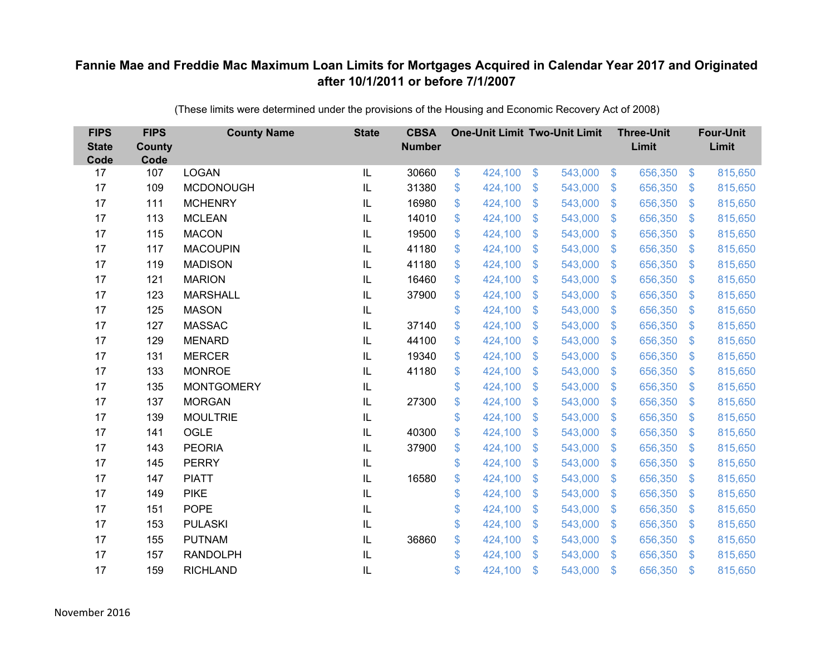| <b>FIPS</b><br><b>State</b><br>Code | <b>FIPS</b><br><b>County</b><br>Code | <b>County Name</b> | <b>State</b> | <b>CBSA</b><br><b>Number</b> | <b>One-Unit Limit Two-Unit Limit</b> |                           |         |                           | <b>Three-Unit</b><br>Limit |                | <b>Four-Unit</b><br>Limit |
|-------------------------------------|--------------------------------------|--------------------|--------------|------------------------------|--------------------------------------|---------------------------|---------|---------------------------|----------------------------|----------------|---------------------------|
| 17                                  | 107                                  | <b>LOGAN</b>       | IL           | 30660                        | \$<br>424,100                        | $\$\$                     | 543,000 | $\sqrt[6]{3}$             | 656,350                    | $\frac{3}{2}$  | 815,650                   |
| 17                                  | 109                                  | <b>MCDONOUGH</b>   | IL           | 31380                        | \$<br>424,100                        | \$                        | 543,000 | $\mathfrak{S}$            | 656,350                    | $\mathbf{\$}$  | 815,650                   |
| 17                                  | 111                                  | <b>MCHENRY</b>     | IL           | 16980                        | \$<br>424,100                        | $\mathcal{S}$             | 543,000 | $\mathbb{S}$              | 656,350                    | $\mathbf{\$}$  | 815,650                   |
| 17                                  | 113                                  | <b>MCLEAN</b>      | IL           | 14010                        | \$<br>424,100                        | $\boldsymbol{\mathsf{S}}$ | 543,000 | $\mathfrak{S}$            | 656,350                    | $\mathcal{S}$  | 815,650                   |
| 17                                  | 115                                  | <b>MACON</b>       | IL           | 19500                        | \$<br>424,100                        | $\boldsymbol{\mathsf{S}}$ | 543,000 | $\mathfrak{F}$            | 656,350                    | <sup>\$</sup>  | 815,650                   |
| 17                                  | 117                                  | <b>MACOUPIN</b>    | IL           | 41180                        | \$<br>424,100                        | $\mathcal{S}$             | 543,000 | $\mathfrak{S}$            | 656,350                    | \$.            | 815,650                   |
| 17                                  | 119                                  | <b>MADISON</b>     | IL           | 41180                        | \$<br>424,100                        | $\boldsymbol{\mathsf{S}}$ | 543,000 | $\mathfrak{S}$            | 656,350                    | \$             | 815,650                   |
| 17                                  | 121                                  | <b>MARION</b>      | IL           | 16460                        | \$<br>424,100                        | $\boldsymbol{\mathsf{S}}$ | 543,000 | $\mathfrak{S}$            | 656,350                    | $\mathcal{S}$  | 815,650                   |
| 17                                  | 123                                  | <b>MARSHALL</b>    | IL           | 37900                        | \$<br>424,100                        | \$                        | 543,000 | $\mathfrak{S}$            | 656,350                    | $\mathfrak{S}$ | 815,650                   |
| 17                                  | 125                                  | <b>MASON</b>       | IL           |                              | \$<br>424,100                        | \$                        | 543,000 | $\mathbb{S}$              | 656,350                    | $\mathcal{S}$  | 815,650                   |
| 17                                  | 127                                  | <b>MASSAC</b>      | IL           | 37140                        | \$<br>424,100                        | $\mathcal{S}$             | 543,000 | $\mathfrak{S}$            | 656,350                    | $\mathbf{\$}$  | 815,650                   |
| 17                                  | 129                                  | <b>MENARD</b>      | IL           | 44100                        | \$<br>424,100                        | $\mathcal{S}$             | 543,000 | $\mathfrak{S}$            | 656,350                    | $\mathbf{\$}$  | 815,650                   |
| 17                                  | 131                                  | <b>MERCER</b>      | IL           | 19340                        | \$<br>424,100                        | \$                        | 543,000 | $\mathfrak{S}$            | 656,350                    | \$             | 815,650                   |
| 17                                  | 133                                  | <b>MONROE</b>      | IL           | 41180                        | \$<br>424,100                        | $\mathbf{\$}$             | 543,000 | $\mathbb{S}$              | 656,350                    | $\mathcal{S}$  | 815,650                   |
| 17                                  | 135                                  | <b>MONTGOMERY</b>  | IL           |                              | \$<br>424,100                        | $\boldsymbol{\mathsf{S}}$ | 543,000 | $\sqrt[6]{3}$             | 656,350                    | $\mathcal{S}$  | 815,650                   |
| 17                                  | 137                                  | <b>MORGAN</b>      | IL           | 27300                        | \$<br>424,100                        | $\boldsymbol{\mathsf{S}}$ | 543,000 | \$                        | 656,350                    | $\mathcal{S}$  | 815,650                   |
| 17                                  | 139                                  | <b>MOULTRIE</b>    | IL           |                              | \$<br>424,100                        | \$                        | 543,000 | $\mathfrak{S}$            | 656,350                    | $\mathbf{\$}$  | 815,650                   |
| 17                                  | 141                                  | OGLE               | IL           | 40300                        | \$<br>424,100                        | $\boldsymbol{\mathsf{S}}$ | 543,000 | $\mathfrak{S}$            | 656,350                    | $\mathcal{S}$  | 815,650                   |
| 17                                  | 143                                  | <b>PEORIA</b>      | IL           | 37900                        | \$<br>424,100                        | $\boldsymbol{\mathsf{S}}$ | 543,000 | $\mathbb{S}$              | 656,350                    | $\mathcal{S}$  | 815,650                   |
| 17                                  | 145                                  | <b>PERRY</b>       | IL           |                              | \$<br>424,100                        | $\mathcal{S}$             | 543,000 | $\mathfrak{S}$            | 656,350                    | $\mathbf{\$}$  | 815,650                   |
| 17                                  | 147                                  | <b>PIATT</b>       | IL           | 16580                        | \$<br>424,100                        | $\boldsymbol{\mathsf{S}}$ | 543,000 | $\mathcal{L}$             | 656,350                    | $\mathcal{S}$  | 815,650                   |
| 17                                  | 149                                  | <b>PIKE</b>        | IL           |                              | \$<br>424,100                        | $\mathcal{S}$             | 543,000 | $\mathfrak{S}$            | 656,350                    | $\mathbf{\$}$  | 815,650                   |
| 17                                  | 151                                  | <b>POPE</b>        | IL           |                              | \$<br>424,100                        | $\boldsymbol{\mathsf{S}}$ | 543,000 | $\mathfrak{S}$            | 656,350                    | $\mathbf{\$}$  | 815,650                   |
| 17                                  | 153                                  | <b>PULASKI</b>     | IL           |                              | \$<br>424,100                        | $\boldsymbol{\mathsf{S}}$ | 543,000 | $\boldsymbol{\mathsf{S}}$ | 656,350                    | \$             | 815,650                   |
| 17                                  | 155                                  | <b>PUTNAM</b>      | IL           | 36860                        | \$<br>424,100                        | $\boldsymbol{\mathsf{S}}$ | 543,000 | $\mathcal{L}$             | 656,350                    | $\mathcal{S}$  | 815,650                   |
| 17                                  | 157                                  | <b>RANDOLPH</b>    | IL           |                              | \$<br>424,100                        | $\mathcal{S}$             | 543,000 | $\mathbf{\$}$             | 656,350                    | <sup>\$</sup>  | 815,650                   |
| 17                                  | 159                                  | <b>RICHLAND</b>    | IL           |                              | \$<br>424,100                        | $\mathcal{S}$             | 543,000 | $\mathfrak{s}$            | 656,350                    | $\mathbf{\$}$  | 815,650                   |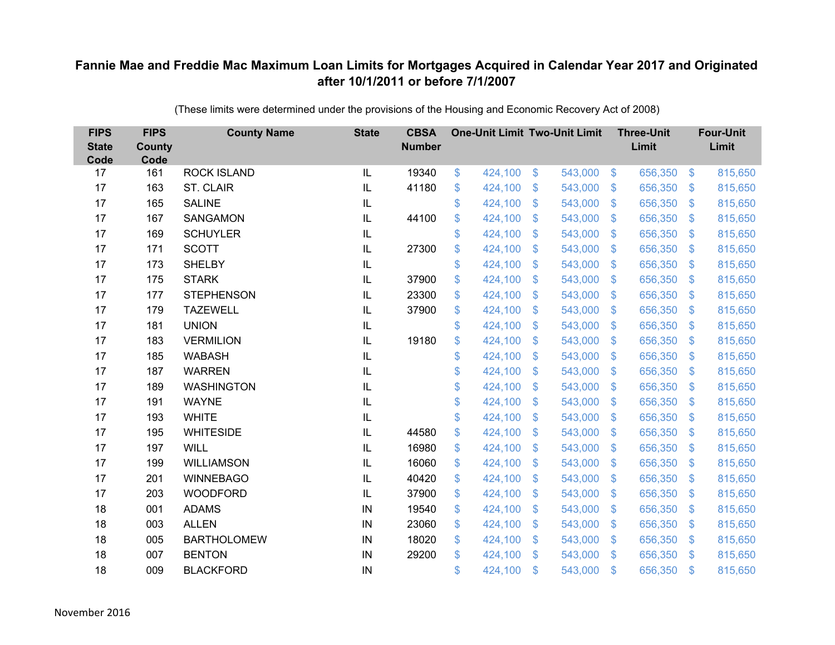| <b>FIPS</b><br><b>State</b><br>Code | <b>FIPS</b><br>County<br>Code | <b>County Name</b> | <b>State</b>  | <b>CBSA</b><br><b>Number</b> | <b>One-Unit Limit Two-Unit Limit</b> |                           |         |                           | <b>Three-Unit</b><br>Limit |                | <b>Four-Unit</b><br>Limit |
|-------------------------------------|-------------------------------|--------------------|---------------|------------------------------|--------------------------------------|---------------------------|---------|---------------------------|----------------------------|----------------|---------------------------|
| 17                                  | 161                           | <b>ROCK ISLAND</b> | $\mathsf{IL}$ | 19340                        | \$<br>424,100                        | \$                        | 543,000 | $\sqrt[6]{3}$             | 656,350                    | $\sqrt{3}$     | 815,650                   |
| 17                                  | 163                           | ST. CLAIR          | IL            | 41180                        | \$<br>424,100                        | \$                        | 543,000 | $\mathbb{S}$              | 656,350                    | $\mathcal{S}$  | 815,650                   |
| 17                                  | 165                           | <b>SALINE</b>      | IL            |                              | \$<br>424,100                        | $\mathcal{S}$             | 543,000 | $\mathfrak{S}$            | 656,350                    | $\mathbf{\$}$  | 815,650                   |
| 17                                  | 167                           | <b>SANGAMON</b>    | IL            | 44100                        | \$<br>424,100                        | $\boldsymbol{\mathsf{S}}$ | 543,000 | $\mathfrak{S}$            | 656,350                    | $\mathbf{\$}$  | 815,650                   |
| 17                                  | 169                           | <b>SCHUYLER</b>    | IL            |                              | \$<br>424,100                        | $\boldsymbol{\mathsf{S}}$ | 543,000 | $\mathfrak{F}$            | 656,350                    | <sup>\$</sup>  | 815,650                   |
| 17                                  | 171                           | <b>SCOTT</b>       | IL            | 27300                        | \$<br>424,100                        | $\mathcal{S}$             | 543,000 | $\mathfrak{S}$            | 656,350                    | $\mathbf{\$}$  | 815,650                   |
| 17                                  | 173                           | <b>SHELBY</b>      | IL            |                              | \$<br>424,100                        | $\mathcal{S}$             | 543,000 | $\mathfrak{S}$            | 656,350                    | $\mathfrak{S}$ | 815,650                   |
| 17                                  | 175                           | <b>STARK</b>       | IL            | 37900                        | \$<br>424,100                        | $\mathfrak{F}$            | 543,000 | $\mathcal{L}$             | 656,350                    | $\mathcal{S}$  | 815,650                   |
| 17                                  | 177                           | <b>STEPHENSON</b>  | IL            | 23300                        | \$<br>424,100                        | \$                        | 543,000 | $\mathfrak{S}$            | 656,350                    | $\mathfrak{S}$ | 815,650                   |
| 17                                  | 179                           | <b>TAZEWELL</b>    | IL            | 37900                        | \$<br>424,100                        | $\mathfrak{S}$            | 543,000 | $\mathbb{S}$              | 656,350                    | $\mathbf{\$}$  | 815,650                   |
| 17                                  | 181                           | <b>UNION</b>       | IL            |                              | \$<br>424,100                        | $\boldsymbol{\mathsf{S}}$ | 543,000 | $\mathcal{L}$             | 656,350                    | $\mathcal{S}$  | 815,650                   |
| 17                                  | 183                           | <b>VERMILION</b>   | IL            | 19180                        | \$<br>424,100                        | $\boldsymbol{\mathsf{S}}$ | 543,000 | \$.                       | 656,350                    | $\mathcal{S}$  | 815,650                   |
| 17                                  | 185                           | <b>WABASH</b>      | IL            |                              | \$<br>424,100                        | \$                        | 543,000 | $\mathfrak{S}$            | 656,350                    | \$.            | 815,650                   |
| 17                                  | 187                           | <b>WARREN</b>      | IL            |                              | \$<br>424,100                        | $\boldsymbol{\mathsf{S}}$ | 543,000 | \$.                       | 656,350                    | $\mathcal{S}$  | 815,650                   |
| 17                                  | 189                           | <b>WASHINGTON</b>  | IL            |                              | \$<br>424,100                        | $\boldsymbol{\mathsf{S}}$ | 543,000 | $\mathbb{S}$              | 656,350                    | $\mathcal{S}$  | 815,650                   |
| 17                                  | 191                           | <b>WAYNE</b>       | IL            |                              | \$<br>424,100                        | $\mathcal{S}$             | 543,000 | $\mathfrak{S}$            | 656,350                    | $\mathbf{\$}$  | 815,650                   |
| 17                                  | 193                           | <b>WHITE</b>       | IL            |                              | \$<br>424,100                        | $\boldsymbol{\mathsf{S}}$ | 543,000 | $\sqrt[6]{2}$             | 656,350                    | $\sqrt{3}$     | 815,650                   |
| 17                                  | 195                           | <b>WHITESIDE</b>   | IL            | 44580                        | \$<br>424,100                        | $\mathbf{\$}$             | 543,000 | $\mathbb{S}$              | 656,350                    | $\mathcal{S}$  | 815,650                   |
| 17                                  | 197                           | <b>WILL</b>        | IL            | 16980                        | \$<br>424,100                        | $\mathcal{S}$             | 543,000 | $\mathfrak{S}$            | 656,350                    | $\mathbf{\$}$  | 815,650                   |
| 17                                  | 199                           | <b>WILLIAMSON</b>  | IL            | 16060                        | \$<br>424,100                        | $\$\$                     | 543,000 | $\sqrt[6]{3}$             | 656,350                    | $\sqrt{3}$     | 815,650                   |
| 17                                  | 201                           | <b>WINNEBAGO</b>   | IL            | 40420                        | \$<br>424,100                        | $\boldsymbol{\mathsf{S}}$ | 543,000 | $\mathcal{L}$             | 656,350                    | $\mathcal{S}$  | 815,650                   |
| 17                                  | 203                           | <b>WOODFORD</b>    | IL            | 37900                        | \$<br>424,100                        | $\mathcal{S}$             | 543,000 | $\mathfrak{S}$            | 656,350                    | $\mathbf{\$}$  | 815,650                   |
| 18                                  | 001                           | <b>ADAMS</b>       | IN            | 19540                        | \$<br>424,100                        | $\$\$                     | 543,000 | $\mathfrak{S}$            | 656,350                    | $\mathbf{\$}$  | 815,650                   |
| 18                                  | 003                           | <b>ALLEN</b>       | IN            | 23060                        | \$<br>424,100                        | $\boldsymbol{\mathsf{S}}$ | 543,000 | $\boldsymbol{\mathsf{S}}$ | 656,350                    | \$             | 815,650                   |
| 18                                  | 005                           | <b>BARTHOLOMEW</b> | IN            | 18020                        | \$<br>424,100                        | $\mathcal{S}$             | 543,000 | $\mathbb{S}$              | 656,350                    | $\mathcal{S}$  | 815,650                   |
| 18                                  | 007                           | <b>BENTON</b>      | IN            | 29200                        | \$<br>424,100                        | $\mathcal{S}$             | 543,000 | $\mathbf{\$}$             | 656,350                    | <sup>\$</sup>  | 815,650                   |
| 18                                  | 009                           | <b>BLACKFORD</b>   | IN            |                              | \$<br>424,100                        | $\mathcal{S}$             | 543,000 | \$                        | 656,350                    | \$             | 815,650                   |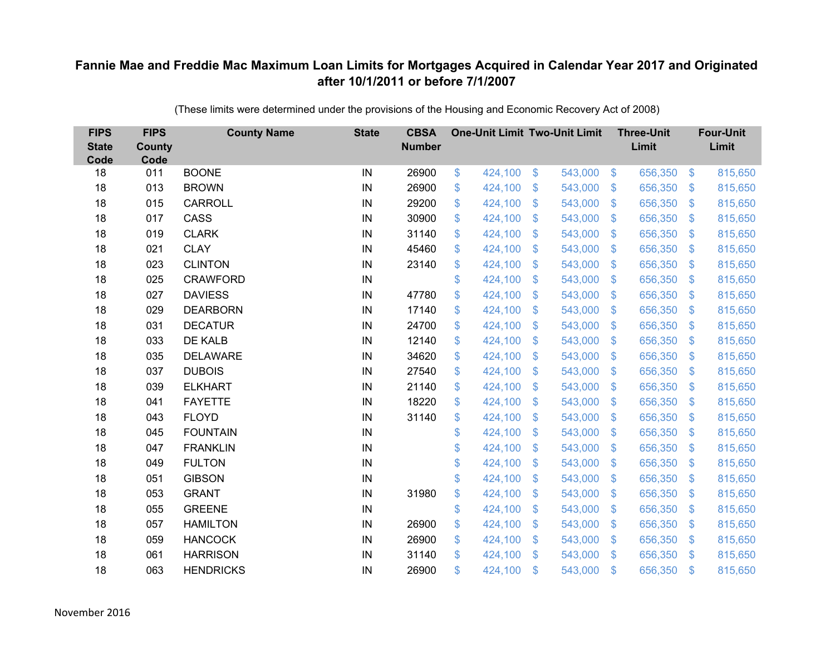| <b>FIPS</b><br><b>State</b><br>Code | <b>FIPS</b><br><b>County</b><br>Code | <b>County Name</b> | <b>State</b> | <b>CBSA</b><br><b>Number</b> | <b>One-Unit Limit Two-Unit Limit</b> |                           |         |                         | <b>Three-Unit</b><br>Limit |                | <b>Four-Unit</b><br>Limit |
|-------------------------------------|--------------------------------------|--------------------|--------------|------------------------------|--------------------------------------|---------------------------|---------|-------------------------|----------------------------|----------------|---------------------------|
| 18                                  | 011                                  | <b>BOONE</b>       | IN           | 26900                        | \$<br>424,100                        | $\$\$                     | 543,000 | $\sqrt{3}$              | 656,350                    | $\frac{3}{2}$  | 815,650                   |
| 18                                  | 013                                  | <b>BROWN</b>       | IN           | 26900                        | \$<br>424,100                        | \$                        | 543,000 | $\mathfrak{S}$          | 656,350                    | \$             | 815,650                   |
| 18                                  | 015                                  | <b>CARROLL</b>     | IN           | 29200                        | \$<br>424,100                        | $\boldsymbol{\mathsf{S}}$ | 543,000 | $\sqrt[6]{\frac{1}{2}}$ | 656,350                    | $\sqrt{3}$     | 815,650                   |
| 18                                  | 017                                  | CASS               | IN           | 30900                        | \$<br>424,100                        | $\boldsymbol{\mathsf{S}}$ | 543,000 | $\sqrt[6]{\frac{1}{2}}$ | 656,350                    | $\mathcal{S}$  | 815,650                   |
| 18                                  | 019                                  | <b>CLARK</b>       | IN           | 31140                        | \$<br>424,100                        | $\boldsymbol{\mathsf{S}}$ | 543,000 | $\mathfrak{F}$          | 656,350                    | $\mathfrak{S}$ | 815,650                   |
| 18                                  | 021                                  | <b>CLAY</b>        | IN           | 45460                        | \$<br>424,100                        | $\boldsymbol{\mathsf{S}}$ | 543,000 | $\sqrt[6]{\frac{1}{2}}$ | 656,350                    | $\sqrt{3}$     | 815,650                   |
| 18                                  | 023                                  | <b>CLINTON</b>     | IN           | 23140                        | \$<br>424,100                        | $\boldsymbol{\mathsf{S}}$ | 543,000 | $\mathfrak{S}$          | 656,350                    | \$             | 815,650                   |
| 18                                  | 025                                  | <b>CRAWFORD</b>    | IN           |                              | \$<br>424,100                        | \$                        | 543,000 | $\mathfrak{S}$          | 656,350                    | $\sqrt{3}$     | 815,650                   |
| 18                                  | 027                                  | <b>DAVIESS</b>     | IN           | 47780                        | \$<br>424,100                        | \$                        | 543,000 | $\sqrt[6]{\frac{1}{2}}$ | 656,350                    | \$             | 815,650                   |
| 18                                  | 029                                  | <b>DEARBORN</b>    | IN           | 17140                        | \$<br>424,100                        | $\mathcal{S}$             | 543,000 | $\mathfrak{S}$          | 656,350                    | $\mathcal{S}$  | 815,650                   |
| 18                                  | 031                                  | <b>DECATUR</b>     | IN           | 24700                        | \$<br>424,100                        | \$                        | 543,000 | $\sqrt[6]{\frac{1}{2}}$ | 656,350                    | \$             | 815,650                   |
| 18                                  | 033                                  | <b>DE KALB</b>     | IN           | 12140                        | \$<br>424,100                        | $\boldsymbol{\mathsf{S}}$ | 543,000 | $\mathfrak{F}$          | 656,350                    | $\mathcal{S}$  | 815,650                   |
| 18                                  | 035                                  | <b>DELAWARE</b>    | IN           | 34620                        | \$<br>424,100                        | \$                        | 543,000 | $\mathfrak{S}$          | 656,350                    | \$.            | 815,650                   |
| 18                                  | 037                                  | <b>DUBOIS</b>      | IN           | 27540                        | \$<br>424,100                        | $\boldsymbol{\mathsf{S}}$ | 543,000 | $\mathfrak{F}$          | 656,350                    | <sup>\$</sup>  | 815,650                   |
| 18                                  | 039                                  | <b>ELKHART</b>     | IN           | 21140                        | \$<br>424,100                        | $\boldsymbol{\mathsf{S}}$ | 543,000 | $\sqrt[6]{\frac{1}{2}}$ | 656,350                    | $\mathcal{S}$  | 815,650                   |
| 18                                  | 041                                  | <b>FAYETTE</b>     | IN           | 18220                        | \$<br>424,100                        | $\boldsymbol{\mathsf{S}}$ | 543,000 | \$                      | 656,350                    | $\mathcal{S}$  | 815,650                   |
| 18                                  | 043                                  | <b>FLOYD</b>       | IN           | 31140                        | \$<br>424,100                        | $\boldsymbol{\mathsf{S}}$ | 543,000 | $\mathcal{L}$           | 656,350                    | $\mathcal{S}$  | 815,650                   |
| 18                                  | 045                                  | <b>FOUNTAIN</b>    | IN           |                              | \$<br>424,100                        | $\mathbf{\$}$             | 543,000 | $\mathfrak{S}$          | 656,350                    | $\mathcal{S}$  | 815,650                   |
| 18                                  | 047                                  | <b>FRANKLIN</b>    | IN           |                              | \$<br>424,100                        | $\boldsymbol{\mathsf{S}}$ | 543,000 | $\sqrt[6]{3}$           | 656,350                    | $\mathcal{S}$  | 815,650                   |
| 18                                  | 049                                  | <b>FULTON</b>      | IN           |                              | \$<br>424,100                        | $\boldsymbol{\mathsf{S}}$ | 543,000 | $\sqrt[6]{\frac{1}{2}}$ | 656,350                    | $\sqrt{3}$     | 815,650                   |
| 18                                  | 051                                  | <b>GIBSON</b>      | IN           |                              | \$<br>424,100                        | $\mathcal{S}$             | 543,000 | $\mathfrak{S}$          | 656,350                    | $\mathcal{S}$  | 815,650                   |
| 18                                  | 053                                  | <b>GRANT</b>       | IN           | 31980                        | \$<br>424,100                        | $\boldsymbol{\mathsf{S}}$ | 543,000 | $\mathfrak{S}$          | 656,350                    | $\mathcal{S}$  | 815,650                   |
| 18                                  | 055                                  | <b>GREENE</b>      | IN           |                              | \$<br>424,100                        | $\boldsymbol{\mathsf{S}}$ | 543,000 | $\sqrt[6]{\frac{1}{2}}$ | 656,350                    | $\sqrt{3}$     | 815,650                   |
| 18                                  | 057                                  | <b>HAMILTON</b>    | IN           | 26900                        | \$<br>424,100                        | $\$\$                     | 543,000 | $\sqrt[6]{\frac{1}{2}}$ | 656,350                    | \$             | 815,650                   |
| 18                                  | 059                                  | <b>HANCOCK</b>     | IN           | 26900                        | \$<br>424,100                        | $\boldsymbol{\mathsf{S}}$ | 543,000 | $\mathcal{L}$           | 656,350                    | $\mathcal{S}$  | 815,650                   |
| 18                                  | 061                                  | <b>HARRISON</b>    | IN           | 31140                        | \$<br>424,100                        | $\mathcal{S}$             | 543,000 | $\mathbf{\$}$           | 656,350                    | <sup>\$</sup>  | 815,650                   |
| 18                                  | 063                                  | <b>HENDRICKS</b>   | IN           | 26900                        | \$<br>424,100                        | $\mathcal{S}$             | 543,000 | $\mathfrak{s}$          | 656,350                    | $\mathbf{\$}$  | 815,650                   |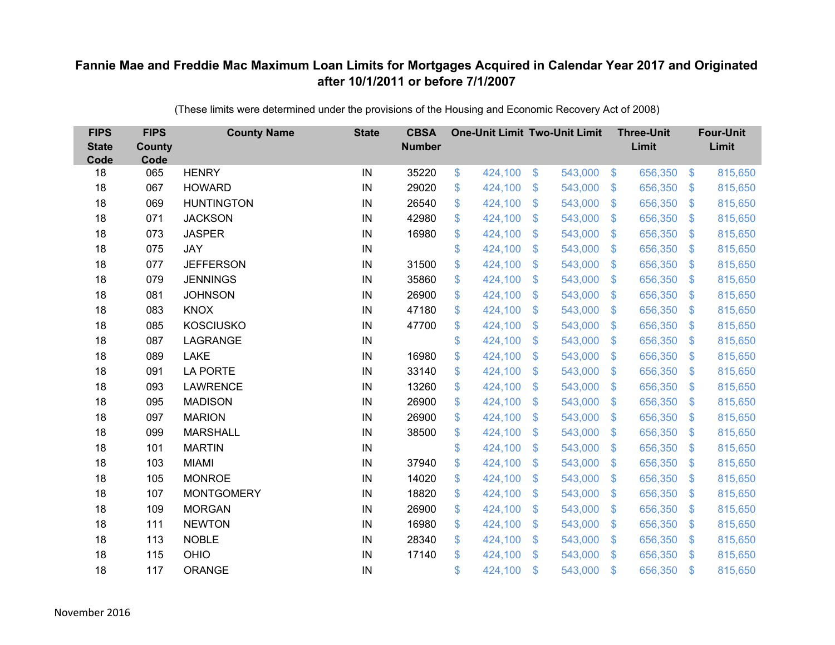| <b>FIPS</b><br><b>State</b><br>Code | <b>FIPS</b><br><b>County</b><br>Code | <b>County Name</b> | <b>State</b> | <b>CBSA</b><br><b>Number</b> | <b>One-Unit Limit Two-Unit Limit</b> |                           |         |                           | <b>Three-Unit</b><br>Limit |                | <b>Four-Unit</b><br>Limit |
|-------------------------------------|--------------------------------------|--------------------|--------------|------------------------------|--------------------------------------|---------------------------|---------|---------------------------|----------------------------|----------------|---------------------------|
| 18                                  | 065                                  | <b>HENRY</b>       | IN           | 35220                        | \$<br>424,100                        | \$                        | 543,000 | $\frac{3}{2}$             | 656,350                    | $\frac{3}{2}$  | 815,650                   |
| 18                                  | 067                                  | <b>HOWARD</b>      | IN           | 29020                        | \$<br>424,100                        | \$                        | 543,000 | $\sqrt[6]{3}$             | 656,350                    | $\mathfrak{F}$ | 815,650                   |
| 18                                  | 069                                  | <b>HUNTINGTON</b>  | IN           | 26540                        | \$<br>424,100                        | $\mathcal{S}$             | 543,000 | $\mathfrak{S}$            | 656,350                    | $\mathbf{\$}$  | 815,650                   |
| 18                                  | 071                                  | <b>JACKSON</b>     | IN           | 42980                        | \$<br>424,100                        | $\boldsymbol{\mathsf{S}}$ | 543,000 | $\sqrt[6]{3}$             | 656,350                    | $\mathcal{S}$  | 815,650                   |
| 18                                  | 073                                  | <b>JASPER</b>      | IN           | 16980                        | \$<br>424,100                        | $\boldsymbol{\mathsf{S}}$ | 543,000 | $\mathfrak{S}$            | 656,350                    | \$.            | 815,650                   |
| 18                                  | 075                                  | <b>JAY</b>         | IN           |                              | \$<br>424,100                        | $\mathcal{S}$             | 543,000 | $\mathfrak{S}$            | 656,350                    | $\mathbf{\$}$  | 815,650                   |
| 18                                  | 077                                  | <b>JEFFERSON</b>   | IN           | 31500                        | \$<br>424,100                        | $\boldsymbol{\mathsf{S}}$ | 543,000 | $\sqrt[6]{3}$             | 656,350                    | $\mathcal{S}$  | 815,650                   |
| 18                                  | 079                                  | <b>JENNINGS</b>    | IN           | 35860                        | \$<br>424,100                        | \$                        | 543,000 | $\sqrt[6]{3}$             | 656,350                    | $\mathcal{S}$  | 815,650                   |
| 18                                  | 081                                  | <b>JOHNSON</b>     | IN           | 26900                        | \$<br>424,100                        | \$                        | 543,000 | $\mathfrak{S}$            | 656,350                    | $\mathfrak{S}$ | 815,650                   |
| 18                                  | 083                                  | <b>KNOX</b>        | IN           | 47180                        | \$<br>424,100                        | $\boldsymbol{\mathsf{S}}$ | 543,000 | \$.                       | 656,350                    | <sup>\$</sup>  | 815,650                   |
| 18                                  | 085                                  | <b>KOSCIUSKO</b>   | IN           | 47700                        | \$<br>424,100                        | \$                        | 543,000 | $\sqrt[6]{3}$             | 656,350                    | $\mathfrak{F}$ | 815,650                   |
| 18                                  | 087                                  | LAGRANGE           | IN           |                              | \$<br>424,100                        | $\boldsymbol{\mathsf{S}}$ | 543,000 | $\mathfrak{S}$            | 656,350                    | $\mathbf{\$}$  | 815,650                   |
| 18                                  | 089                                  | <b>LAKE</b>        | IN           | 16980                        | \$<br>424,100                        | \$                        | 543,000 | $\sqrt[6]{3}$             | 656,350                    | $\mathfrak{F}$ | 815,650                   |
| 18                                  | 091                                  | <b>LA PORTE</b>    | IN           | 33140                        | \$<br>424,100                        | $\mathbf{\$}$             | 543,000 | $\mathbb{S}$              | 656,350                    | $\mathcal{S}$  | 815,650                   |
| 18                                  | 093                                  | <b>LAWRENCE</b>    | IN           | 13260                        | \$<br>424,100                        | $\boldsymbol{\mathsf{S}}$ | 543,000 | $\sqrt[6]{3}$             | 656,350                    | $\mathcal{S}$  | 815,650                   |
| 18                                  | 095                                  | <b>MADISON</b>     | IN           | 26900                        | \$<br>424,100                        | $\boldsymbol{\mathsf{S}}$ | 543,000 | $\mathcal{S}$             | 656,350                    | $\mathcal{S}$  | 815,650                   |
| 18                                  | 097                                  | <b>MARION</b>      | IN           | 26900                        | \$<br>424,100                        | $\mathfrak{s}$            | 543,000 | $\mathfrak{S}$            | 656,350                    | $\mathcal{S}$  | 815,650                   |
| 18                                  | 099                                  | <b>MARSHALL</b>    | IN           | 38500                        | \$<br>424,100                        | $\boldsymbol{\mathsf{S}}$ | 543,000 | $\sqrt[6]{3}$             | 656,350                    | $\sqrt{3}$     | 815,650                   |
| 18                                  | 101                                  | <b>MARTIN</b>      | IN           |                              | \$<br>424,100                        | $\boldsymbol{\mathsf{S}}$ | 543,000 | $\sqrt[6]{3}$             | 656,350                    | $\mathcal{S}$  | 815,650                   |
| 18                                  | 103                                  | <b>MIAMI</b>       | IN           | 37940                        | \$<br>424,100                        | $\boldsymbol{\mathsf{S}}$ | 543,000 | $\mathfrak{S}$            | 656,350                    | $\mathbf{\$}$  | 815,650                   |
| 18                                  | 105                                  | <b>MONROE</b>      | IN           | 14020                        | \$<br>424,100                        | $\boldsymbol{\mathsf{S}}$ | 543,000 | $\sqrt[6]{3}$             | 656,350                    | $\sqrt{3}$     | 815,650                   |
| 18                                  | 107                                  | <b>MONTGOMERY</b>  | IN           | 18820                        | \$<br>424,100                        | $\boldsymbol{\mathsf{S}}$ | 543,000 | $\mathfrak{S}$            | 656,350                    | $\mathcal{S}$  | 815,650                   |
| 18                                  | 109                                  | <b>MORGAN</b>      | IN           | 26900                        | \$<br>424,100                        | $\$\$                     | 543,000 | $\sqrt[6]{3}$             | 656,350                    | $\mathbf{\$}$  | 815,650                   |
| 18                                  | 111                                  | <b>NEWTON</b>      | IN           | 16980                        | \$<br>424,100                        | $\boldsymbol{\mathsf{S}}$ | 543,000 | $\boldsymbol{\mathsf{S}}$ | 656,350                    | \$             | 815,650                   |
| 18                                  | 113                                  | <b>NOBLE</b>       | IN           | 28340                        | \$<br>424,100                        | $\boldsymbol{\mathsf{S}}$ | 543,000 | $\sqrt[6]{3}$             | 656,350                    | $\mathcal{S}$  | 815,650                   |
| 18                                  | 115                                  | OHIO               | IN           | 17140                        | \$<br>424,100                        | $\mathfrak{s}$            | 543,000 | $\mathfrak{F}$            | 656,350                    | <sup>\$</sup>  | 815,650                   |
| 18                                  | 117                                  | ORANGE             | IN           |                              | \$<br>424,100                        | $\mathfrak{s}$            | 543,000 | $\mathbf{\$}$             | 656,350                    | $\mathbf{\$}$  | 815,650                   |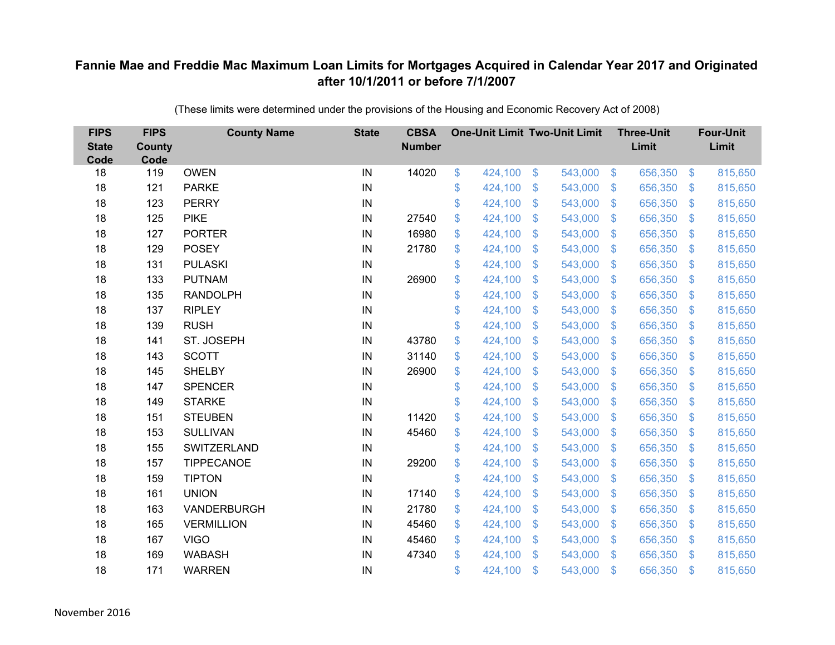| <b>FIPS</b><br><b>State</b><br>Code | <b>FIPS</b><br><b>County</b><br>Code | <b>County Name</b> | <b>State</b> | <b>CBSA</b><br><b>Number</b> | <b>One-Unit Limit Two-Unit Limit</b> |               |         |                           | <b>Three-Unit</b><br>Limit |                | <b>Four-Unit</b><br>Limit |
|-------------------------------------|--------------------------------------|--------------------|--------------|------------------------------|--------------------------------------|---------------|---------|---------------------------|----------------------------|----------------|---------------------------|
| 18                                  | 119                                  | <b>OWEN</b>        | IN           | 14020                        | \$<br>424,100                        | $\frac{3}{2}$ | 543,000 | $\sqrt[6]{3}$             | 656,350                    | $\frac{1}{2}$  | 815,650                   |
| 18                                  | 121                                  | <b>PARKE</b>       | IN           |                              | \$<br>424,100                        | \$            | 543,000 | $\mathcal{S}$             | 656,350                    | $\mathcal{S}$  | 815,650                   |
| 18                                  | 123                                  | <b>PERRY</b>       | IN           |                              | \$<br>424,100                        | \$            | 543,000 | $\mathcal{S}$             | 656,350                    | $\mathbf{\$}$  | 815,650                   |
| 18                                  | 125                                  | <b>PIKE</b>        | IN           | 27540                        | \$<br>424,100                        | \$            | 543,000 | $\sqrt[6]{3}$             | 656,350                    | $\mathfrak{S}$ | 815,650                   |
| 18                                  | 127                                  | <b>PORTER</b>      | IN           | 16980                        | \$<br>424,100                        | \$            | 543,000 | $\mathcal{S}$             | 656,350                    | $\mathcal{L}$  | 815,650                   |
| 18                                  | 129                                  | <b>POSEY</b>       | IN           | 21780                        | \$<br>424,100                        | \$            | 543,000 | $\mathcal{S}$             | 656,350                    | S.             | 815,650                   |
| 18                                  | 131                                  | <b>PULASKI</b>     | IN           |                              | \$<br>424,100                        | \$            | 543,000 | $\sqrt[6]{3}$             | 656,350                    | $\mathcal{S}$  | 815,650                   |
| 18                                  | 133                                  | <b>PUTNAM</b>      | IN           | 26900                        | \$<br>424,100                        | \$            | 543,000 | $\mathbb{S}$              | 656,350                    | $\mathcal{S}$  | 815,650                   |
| 18                                  | 135                                  | <b>RANDOLPH</b>    | IN           |                              | \$<br>424,100                        | \$            | 543,000 | $\mathfrak{F}$            | 656,350                    | $\mathfrak{F}$ | 815,650                   |
| 18                                  | 137                                  | <b>RIPLEY</b>      | IN           |                              | \$<br>424,100                        | \$            | 543,000 | S.                        | 656,350                    | \$.            | 815,650                   |
| 18                                  | 139                                  | <b>RUSH</b>        | IN           |                              | \$<br>424,100                        | \$            | 543,000 | $\mathfrak{S}$            | 656,350                    | $\mathcal{S}$  | 815,650                   |
| 18                                  | 141                                  | ST. JOSEPH         | IN           | 43780                        | \$<br>424,100                        | \$            | 543,000 | $\mathfrak{F}$            | 656,350                    | $\mathbf{\$}$  | 815,650                   |
| 18                                  | 143                                  | <b>SCOTT</b>       | IN           | 31140                        | \$<br>424,100                        | \$            | 543,000 | $\mathbf{\$}$             | 656,350                    | $\mathcal{S}$  | 815,650                   |
| 18                                  | 145                                  | <b>SHELBY</b>      | IN           | 26900                        | \$<br>424,100                        | \$            | 543,000 | $\mathbf{\$}$             | 656,350                    | S.             | 815,650                   |
| 18                                  | 147                                  | <b>SPENCER</b>     | IN           |                              | \$<br>424,100                        | \$            | 543,000 | $\mathfrak{S}$            | 656,350                    | $\mathcal{S}$  | 815,650                   |
| 18                                  | 149                                  | <b>STARKE</b>      | IN           |                              | \$<br>424,100                        | \$            | 543,000 | $\mathfrak{S}$            | 656,350                    | $\mathcal{L}$  | 815,650                   |
| 18                                  | 151                                  | <b>STEUBEN</b>     | IN           | 11420                        | \$<br>424,100                        | \$            | 543,000 | $\mathcal{S}$             | 656,350                    | $\mathcal{S}$  | 815,650                   |
| 18                                  | 153                                  | <b>SULLIVAN</b>    | IN           | 45460                        | \$<br>424,100                        | \$            | 543,000 | $\boldsymbol{\mathsf{S}}$ | 656,350                    | $\mathfrak{S}$ | 815,650                   |
| 18                                  | 155                                  | SWITZERLAND        | IN           |                              | \$<br>424,100                        | \$            | 543,000 | $\sqrt[6]{3}$             | 656,350                    | $\mathcal{S}$  | 815,650                   |
| 18                                  | 157                                  | TIPPECANOE         | IN           | 29200                        | \$<br>424,100                        | \$            | 543,000 | $\mathfrak{F}$            | 656,350                    | $\mathfrak{F}$ | 815,650                   |
| 18                                  | 159                                  | <b>TIPTON</b>      | IN           |                              | \$<br>424,100                        | \$            | 543,000 | $\sqrt[6]{3}$             | 656,350                    | $\mathfrak{S}$ | 815,650                   |
| 18                                  | 161                                  | <b>UNION</b>       | IN           | 17140                        | \$<br>424,100                        | \$            | 543,000 | $\mathfrak{F}$            | 656,350                    | $\mathcal{L}$  | 815,650                   |
| 18                                  | 163                                  | VANDERBURGH        | IN           | 21780                        | \$<br>424,100                        | \$            | 543,000 | $\sqrt[6]{3}$             | 656,350                    | $\mathbb{S}$   | 815,650                   |
| 18                                  | 165                                  | <b>VERMILLION</b>  | IN           | 45460                        | \$<br>424,100                        | \$            | 543,000 | $\boldsymbol{\mathsf{S}}$ | 656,350                    | $\mathcal{L}$  | 815,650                   |
| 18                                  | 167                                  | <b>VIGO</b>        | IN           | 45460                        | \$<br>424,100                        | \$            | 543,000 | $\mathcal{S}$             | 656,350                    | $\mathcal{S}$  | 815,650                   |
| 18                                  | 169                                  | <b>WABASH</b>      | IN           | 47340                        | \$<br>424,100                        | \$            | 543,000 | $\mathbf{\$}$             | 656,350                    | $\mathbf{\$}$  | 815,650                   |
| 18                                  | 171                                  | <b>WARREN</b>      | IN           |                              | \$<br>424,100                        | \$            | 543,000 | $\mathfrak{s}$            | 656,350                    | $\mathfrak{s}$ | 815,650                   |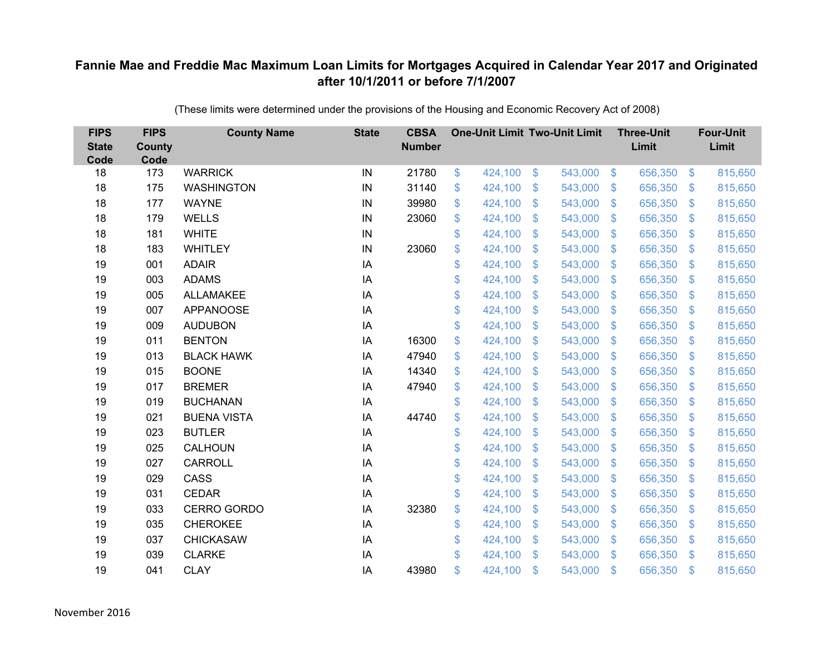| <b>FIPS</b><br><b>State</b><br>Code | <b>FIPS</b><br><b>County</b><br>Code | <b>County Name</b> | <b>State</b> | <b>CBSA</b><br><b>Number</b> | <b>One-Unit Limit Two-Unit Limit</b> |                           |         |                           | <b>Three-Unit</b><br>Limit |                | <b>Four-Unit</b><br>Limit |
|-------------------------------------|--------------------------------------|--------------------|--------------|------------------------------|--------------------------------------|---------------------------|---------|---------------------------|----------------------------|----------------|---------------------------|
| 18                                  | 173                                  | <b>WARRICK</b>     | IN           | 21780                        | \$<br>424,100                        | \$                        | 543,000 | $\sqrt{3}$                | 656,350                    | $\sqrt{3}$     | 815,650                   |
| 18                                  | 175                                  | <b>WASHINGTON</b>  | IN           | 31140                        | \$<br>424,100                        | \$                        | 543,000 | $\mathfrak{S}$            | 656,350                    | $\mathbf{\$}$  | 815,650                   |
| 18                                  | 177                                  | <b>WAYNE</b>       | IN           | 39980                        | \$<br>424,100                        | $\mathcal{S}$             | 543,000 | $\mathfrak{S}$            | 656,350                    | $\mathbf{\$}$  | 815,650                   |
| 18                                  | 179                                  | <b>WELLS</b>       | IN           | 23060                        | \$<br>424,100                        | $\boldsymbol{\mathsf{S}}$ | 543,000 | $\mathfrak{S}$            | 656,350                    | $\mathbf{\$}$  | 815,650                   |
| 18                                  | 181                                  | <b>WHITE</b>       | IN           |                              | \$<br>424,100                        | $\boldsymbol{\mathsf{S}}$ | 543,000 | $\boldsymbol{\mathsf{S}}$ | 656,350                    | \$             | 815,650                   |
| 18                                  | 183                                  | <b>WHITLEY</b>     | IN           | 23060                        | \$<br>424,100                        | $\mathcal{S}$             | 543,000 | $\mathfrak{S}$            | 656,350                    | $\mathbf{\$}$  | 815,650                   |
| 19                                  | 001                                  | <b>ADAIR</b>       | IA           |                              | \$<br>424,100                        | $\boldsymbol{\mathsf{S}}$ | 543,000 | $\mathfrak{S}$            | 656,350                    | \$             | 815,650                   |
| 19                                  | 003                                  | <b>ADAMS</b>       | IA           |                              | \$<br>424,100                        | $\boldsymbol{\mathsf{S}}$ | 543,000 | $\sqrt[6]{3}$             | 656,350                    | $\mathcal{S}$  | 815,650                   |
| 19                                  | 005                                  | <b>ALLAMAKEE</b>   | IA           |                              | \$<br>424,100                        | $\boldsymbol{\mathsf{S}}$ | 543,000 | $\sqrt[6]{3}$             | 656,350                    | \$             | 815,650                   |
| 19                                  | 007                                  | <b>APPANOOSE</b>   | IA           |                              | \$<br>424,100                        | $\mathfrak{S}$            | 543,000 | $\mathbb{S}$              | 656,350                    | $\sqrt[6]{3}$  | 815,650                   |
| 19                                  | 009                                  | <b>AUDUBON</b>     | IA           |                              | \$<br>424,100                        | \$                        | 543,000 | $\sqrt[6]{3}$             | 656,350                    | $\sqrt{3}$     | 815,650                   |
| 19                                  | 011                                  | <b>BENTON</b>      | IA           | 16300                        | \$<br>424,100                        | \$                        | 543,000 | $\mathbb{S}$              | 656,350                    | $\mathcal{S}$  | 815,650                   |
| 19                                  | 013                                  | <b>BLACK HAWK</b>  | IA           | 47940                        | \$<br>424,100                        | $\mathcal{S}$             | 543,000 | $\mathfrak{S}$            | 656,350                    | $\mathfrak{S}$ | 815,650                   |
| 19                                  | 015                                  | <b>BOONE</b>       | IA           | 14340                        | \$<br>424,100                        | \$                        | 543,000 | $\mathbb{S}$              | 656,350                    | $\sqrt[6]{3}$  | 815,650                   |
| 19                                  | 017                                  | <b>BREMER</b>      | IA           | 47940                        | \$<br>424,100                        | $\mathcal{S}$             | 543,000 | $\mathfrak{S}$            | 656,350                    | $\mathbf{\$}$  | 815,650                   |
| 19                                  | 019                                  | <b>BUCHANAN</b>    | IA           |                              | \$<br>424,100                        | $\boldsymbol{\mathsf{S}}$ | 543,000 | $\mathcal{S}$             | 656,350                    | $\mathcal{S}$  | 815,650                   |
| 19                                  | 021                                  | <b>BUENA VISTA</b> | IA           | 44740                        | \$<br>424,100                        | \$                        | 543,000 | $\mathfrak{S}$            | 656,350                    | \$.            | 815,650                   |
| 19                                  | 023                                  | <b>BUTLER</b>      | IA           |                              | \$<br>424,100                        | $\boldsymbol{\mathsf{S}}$ | 543,000 | \$.                       | 656,350                    | $\mathcal{S}$  | 815,650                   |
| 19                                  | 025                                  | CALHOUN            | IA           |                              | \$<br>424,100                        | \$                        | 543,000 | $\mathbb{S}$              | 656,350                    | $\mathcal{S}$  | 815,650                   |
| 19                                  | 027                                  | <b>CARROLL</b>     | IA           |                              | \$<br>424,100                        | \$                        | 543,000 | \$                        | 656,350                    | $\mathcal{S}$  | 815,650                   |
| 19                                  | 029                                  | CASS               | IA           |                              | \$<br>424,100                        | \$                        | 543,000 | $\mathbb{S}$              | 656,350                    | \$             | 815,650                   |
| 19                                  | 031                                  | <b>CEDAR</b>       | IA           |                              | \$<br>424,100                        | $\boldsymbol{\mathsf{S}}$ | 543,000 | $\mathfrak{S}$            | 656,350                    | $\mathcal{S}$  | 815,650                   |
| 19                                  | 033                                  | CERRO GORDO        | IA           | 32380                        | \$<br>424,100                        | $\boldsymbol{\mathsf{S}}$ | 543,000 | $\sqrt[6]{3}$             | 656,350                    | $\mathcal{S}$  | 815,650                   |
| 19                                  | 035                                  | <b>CHEROKEE</b>    | IA           |                              | \$<br>424,100                        | $\mathcal{S}$             | 543,000 | $\mathfrak{S}$            | 656,350                    | $\mathbf{\$}$  | 815,650                   |
| 19                                  | 037                                  | <b>CHICKASAW</b>   | IA           |                              | \$<br>424,100                        | $\boldsymbol{\mathsf{S}}$ | 543,000 | $\sqrt[6]{3}$             | 656,350                    | $\mathcal{S}$  | 815,650                   |
| 19                                  | 039                                  | <b>CLARKE</b>      | IA           |                              | \$<br>424,100                        | $\mathbf{\$}$             | 543,000 | $\mathbb{S}$              | 656,350                    | $\mathbf{\$}$  | 815,650                   |
| 19                                  | 041                                  | <b>CLAY</b>        | IA           | 43980                        | \$<br>424,100                        | $\mathcal{S}$             | 543,000 | $\mathfrak{F}$            | 656,350                    | \$             | 815,650                   |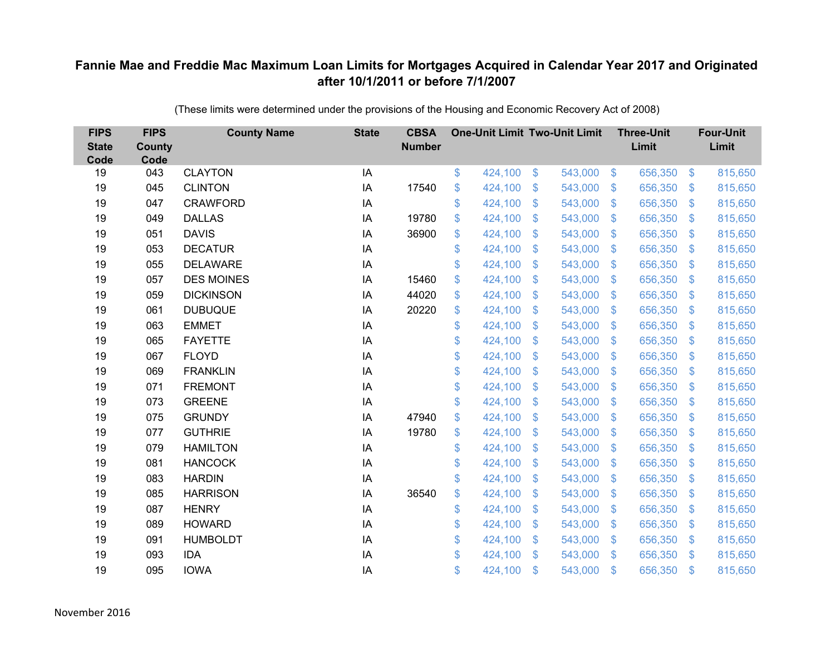| <b>FIPS</b><br><b>State</b><br>Code | <b>FIPS</b><br><b>County</b><br>Code | <b>County Name</b> | <b>State</b> | <b>CBSA</b><br><b>Number</b> | <b>One-Unit Limit Two-Unit Limit</b> |                |         |                | <b>Three-Unit</b><br>Limit |                           | <b>Four-Unit</b><br>Limit |
|-------------------------------------|--------------------------------------|--------------------|--------------|------------------------------|--------------------------------------|----------------|---------|----------------|----------------------------|---------------------------|---------------------------|
| 19                                  | 043                                  | <b>CLAYTON</b>     | IA           |                              | \$<br>424,100                        | \$             | 543,000 | $\sqrt[6]{3}$  | 656,350                    | $\frac{1}{2}$             | 815,650                   |
| 19                                  | 045                                  | <b>CLINTON</b>     | IA           | 17540                        | \$<br>424,100                        | \$             | 543,000 | $\sqrt{3}$     | 656,350                    | $\mathcal{S}$             | 815,650                   |
| 19                                  | 047                                  | <b>CRAWFORD</b>    | IA           |                              | \$<br>424,100                        | \$             | 543,000 | $\sqrt{3}$     | 656,350                    | $\boldsymbol{\mathsf{S}}$ | 815,650                   |
| 19                                  | 049                                  | <b>DALLAS</b>      | IA           | 19780                        | \$<br>424,100                        | \$             | 543,000 | $\sqrt{3}$     | 656,350                    | $\mathcal{L}$             | 815,650                   |
| 19                                  | 051                                  | <b>DAVIS</b>       | IA           | 36900                        | \$<br>424,100                        | \$             | 543,000 | $\sqrt{3}$     | 656,350                    | $\mathfrak{F}$            | 815,650                   |
| 19                                  | 053                                  | <b>DECATUR</b>     | IA           |                              | \$<br>424,100                        | \$             | 543,000 | $\sqrt{3}$     | 656,350                    | $\mathfrak{S}$            | 815,650                   |
| 19                                  | 055                                  | <b>DELAWARE</b>    | IA           |                              | \$<br>424,100                        | \$             | 543,000 | $\sqrt{3}$     | 656,350                    | $\boldsymbol{\mathsf{S}}$ | 815,650                   |
| 19                                  | 057                                  | <b>DES MOINES</b>  | IA           | 15460                        | \$<br>424,100                        | $\mathfrak{S}$ | 543,000 | $\mathbf{\$}$  | 656,350                    | $\mathbb{S}$              | 815,650                   |
| 19                                  | 059                                  | <b>DICKINSON</b>   | IA           | 44020                        | \$<br>424,100                        | \$             | 543,000 | \$             | 656,350                    | $\mathcal{L}$             | 815,650                   |
| 19                                  | 061                                  | <b>DUBUQUE</b>     | IA           | 20220                        | \$<br>424,100                        | $\mathfrak{S}$ | 543,000 | $\mathfrak{S}$ | 656,350                    | S.                        | 815,650                   |
| 19                                  | 063                                  | <b>EMMET</b>       | IA           |                              | \$<br>424,100                        | \$             | 543,000 | \$             | 656,350                    | $\boldsymbol{\theta}$     | 815,650                   |
| 19                                  | 065                                  | <b>FAYETTE</b>     | IA           |                              | \$<br>424,100                        | \$             | 543,000 | \$             | 656,350                    | $\mathcal{L}$             | 815,650                   |
| 19                                  | 067                                  | <b>FLOYD</b>       | IA           |                              | \$<br>424,100                        | $\mathfrak{S}$ | 543,000 | $\mathfrak{S}$ | 656,350                    | $\mathfrak{F}$            | 815,650                   |
| 19                                  | 069                                  | <b>FRANKLIN</b>    | IA           |                              | \$<br>424,100                        | \$             | 543,000 | $\mathfrak{F}$ | 656,350                    | \$.                       | 815,650                   |
| 19                                  | 071                                  | <b>FREMONT</b>     | IA           |                              | \$<br>424,100                        | \$             | 543,000 | $\mathfrak{F}$ | 656,350                    | $\mathcal{L}$             | 815,650                   |
| 19                                  | 073                                  | <b>GREENE</b>      | IA           |                              | \$<br>424,100                        | \$             | 543,000 | \$             | 656,350                    | $\boldsymbol{\mathsf{S}}$ | 815,650                   |
| 19                                  | 075                                  | <b>GRUNDY</b>      | IA           | 47940                        | \$<br>424,100                        | \$             | 543,000 | $\mathcal{S}$  | 656,350                    | $\mathfrak{F}$            | 815,650                   |
| 19                                  | 077                                  | <b>GUTHRIE</b>     | IA           | 19780                        | \$<br>424,100                        | $\mathfrak{S}$ | 543,000 | $\mathfrak{S}$ | 656,350                    | $\mathbf{\$}$             | 815,650                   |
| 19                                  | 079                                  | <b>HAMILTON</b>    | IA           |                              | \$<br>424,100                        | $\mathfrak{S}$ | 543,000 | $\mathcal{S}$  | 656,350                    | $\mathfrak{F}$            | 815,650                   |
| 19                                  | 081                                  | <b>HANCOCK</b>     | IA           |                              | \$<br>424,100                        | \$             | 543,000 | \$             | 656,350                    | $\boldsymbol{\mathsf{S}}$ | 815,650                   |
| 19                                  | 083                                  | <b>HARDIN</b>      | IA           |                              | \$<br>424,100                        | $\mathfrak{S}$ | 543,000 | $\mathbf{\$}$  | 656,350                    | $\mathfrak{F}$            | 815,650                   |
| 19                                  | 085                                  | <b>HARRISON</b>    | IA           | 36540                        | \$<br>424,100                        | \$             | 543,000 | \$.            | 656,350                    | $\mathcal{L}$             | 815,650                   |
| 19                                  | 087                                  | <b>HENRY</b>       | IA           |                              | \$<br>424,100                        | \$             | 543,000 | $\sqrt{3}$     | 656,350                    | $\mathfrak{S}$            | 815,650                   |
| 19                                  | 089                                  | <b>HOWARD</b>      | IA           |                              | \$<br>424,100                        | \$             | 543,000 | \$             | 656,350                    | $\boldsymbol{\mathsf{S}}$ | 815,650                   |
| 19                                  | 091                                  | <b>HUMBOLDT</b>    | IA           |                              | \$<br>424,100                        | \$             | 543,000 | $\mathcal{S}$  | 656,350                    | $\mathfrak{F}$            | 815,650                   |
| 19                                  | 093                                  | <b>IDA</b>         | IA           |                              | \$<br>424,100                        | $\mathfrak{S}$ | 543,000 | \$             | 656,350                    | $\mathfrak{F}$            | 815,650                   |
| 19                                  | 095                                  | <b>IOWA</b>        | IA           |                              | \$<br>424,100                        | \$             | 543,000 | \$             | 656,350                    | $\mathfrak{s}$            | 815,650                   |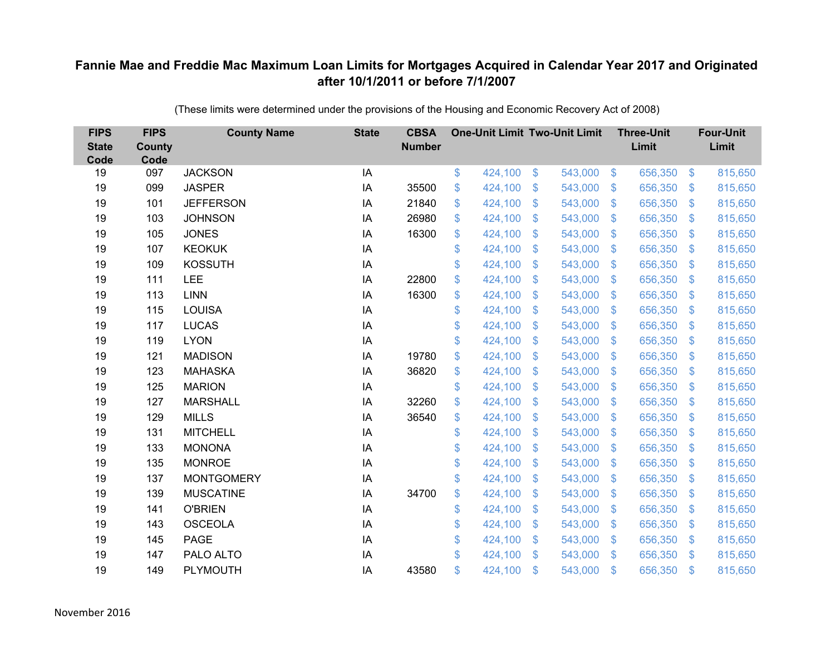| <b>FIPS</b><br><b>State</b><br>Code | <b>FIPS</b><br><b>County</b><br>Code | <b>County Name</b> | <b>State</b> | <b>CBSA</b><br><b>Number</b> | <b>One-Unit Limit Two-Unit Limit</b> |                |         |                | <b>Three-Unit</b><br>Limit |                           | <b>Four-Unit</b><br>Limit |
|-------------------------------------|--------------------------------------|--------------------|--------------|------------------------------|--------------------------------------|----------------|---------|----------------|----------------------------|---------------------------|---------------------------|
| 19                                  | 097                                  | <b>JACKSON</b>     | IA           |                              | \$<br>424,100                        | $\frac{1}{2}$  | 543,000 | $\sqrt[6]{3}$  | 656,350                    | $\mathfrak{F}$            | 815,650                   |
| 19                                  | 099                                  | <b>JASPER</b>      | IA           | 35500                        | \$<br>424,100                        | \$             | 543,000 | $\mathbf{\$}$  | 656,350                    | $\mathfrak{F}$            | 815,650                   |
| 19                                  | 101                                  | <b>JEFFERSON</b>   | IA           | 21840                        | \$<br>424,100                        | \$             | 543,000 | $\sqrt{3}$     | 656,350                    | $\boldsymbol{\mathsf{S}}$ | 815,650                   |
| 19                                  | 103                                  | <b>JOHNSON</b>     | IA           | 26980                        | \$<br>424,100                        | \$             | 543,000 | $\mathcal{S}$  | 656,350                    | $\mathcal{L}$             | 815,650                   |
| 19                                  | 105                                  | <b>JONES</b>       | IA           | 16300                        | \$<br>424,100                        | $\mathfrak{S}$ | 543,000 | $\mathbf{\$}$  | 656,350                    | $\mathfrak{F}$            | 815,650                   |
| 19                                  | 107                                  | <b>KEOKUK</b>      | IA           |                              | \$<br>424,100                        | \$             | 543,000 | $\mathcal{S}$  | 656,350                    | $\mathcal{L}$             | 815,650                   |
| 19                                  | 109                                  | <b>KOSSUTH</b>     | IA           |                              | \$<br>424,100                        | $\mathfrak{S}$ | 543,000 | $\sqrt{3}$     | 656,350                    | $\mathcal{L}$             | 815,650                   |
| 19                                  | 111                                  | LEE                | IA           | 22800                        | \$<br>424,100                        | $\mathfrak{S}$ | 543,000 | $\mathbf{\$}$  | 656,350                    | $\mathbf{\$}$             | 815,650                   |
| 19                                  | 113                                  | <b>LINN</b>        | IA           | 16300                        | \$<br>424,100                        | \$             | 543,000 | $\sqrt{3}$     | 656,350                    | $\mathcal{L}$             | 815,650                   |
| 19                                  | 115                                  | <b>LOUISA</b>      | IA           |                              | \$<br>424,100                        | $\mathfrak{S}$ | 543,000 | $\mathbf{\$}$  | 656,350                    | S.                        | 815,650                   |
| 19                                  | 117                                  | <b>LUCAS</b>       | IA           |                              | \$<br>424,100                        | \$             | 543,000 | $\sqrt{3}$     | 656,350                    | $\boldsymbol{\mathsf{S}}$ | 815,650                   |
| 19                                  | 119                                  | <b>LYON</b>        | IA           |                              | \$<br>424,100                        | \$             | 543,000 | $\mathbf{\$}$  | 656,350                    | $\mathcal{L}$             | 815,650                   |
| 19                                  | 121                                  | <b>MADISON</b>     | IA           | 19780                        | \$<br>424,100                        | $\mathfrak{S}$ | 543,000 | $\mathbf{\$}$  | 656,350                    | $\mathfrak{F}$            | 815,650                   |
| 19                                  | 123                                  | <b>MAHASKA</b>     | IA           | 36820                        | \$<br>424,100                        | $\mathfrak{S}$ | 543,000 | $\mathbf{\$}$  | 656,350                    | $\mathfrak{F}$            | 815,650                   |
| 19                                  | 125                                  | <b>MARION</b>      | IA           |                              | \$<br>424,100                        | \$             | 543,000 | $\mathfrak{S}$ | 656,350                    | $\mathcal{L}$             | 815,650                   |
| 19                                  | 127                                  | <b>MARSHALL</b>    | IA           | 32260                        | \$<br>424,100                        | \$             | 543,000 | \$             | 656,350                    | $\boldsymbol{\mathsf{S}}$ | 815,650                   |
| 19                                  | 129                                  | <b>MILLS</b>       | IA           | 36540                        | \$<br>424,100                        | \$             | 543,000 | \$             | 656,350                    | $\mathcal{L}$             | 815,650                   |
| 19                                  | 131                                  | <b>MITCHELL</b>    | IA           |                              | \$<br>424,100                        | \$             | 543,000 | \$.            | 656,350                    | S.                        | 815,650                   |
| 19                                  | 133                                  | <b>MONONA</b>      | IA           |                              | \$<br>424,100                        | $\mathfrak{S}$ | 543,000 | $\mathfrak{F}$ | 656,350                    | $\mathfrak{F}$            | 815,650                   |
| 19                                  | 135                                  | <b>MONROE</b>      | IA           |                              | \$<br>424,100                        | \$             | 543,000 | $\mathfrak{S}$ | 656,350                    | $\mathcal{L}$             | 815,650                   |
| 19                                  | 137                                  | <b>MONTGOMERY</b>  | IA           |                              | \$<br>424,100                        | \$             | 543,000 | $\sqrt{3}$     | 656,350                    | $\mathfrak{F}$            | 815,650                   |
| 19                                  | 139                                  | <b>MUSCATINE</b>   | IA           | 34700                        | \$<br>424,100                        | \$             | 543,000 | \$.            | 656,350                    | $\mathcal{L}$             | 815,650                   |
| 19                                  | 141                                  | <b>O'BRIEN</b>     | IA           |                              | \$<br>424,100                        | \$             | 543,000 | $\mathbf{\$}$  | 656,350                    | $\mathcal{S}$             | 815,650                   |
| 19                                  | 143                                  | <b>OSCEOLA</b>     | IA           |                              | \$<br>424,100                        | \$             | 543,000 | \$             | 656,350                    | $\boldsymbol{\mathsf{S}}$ | 815,650                   |
| 19                                  | 145                                  | <b>PAGE</b>        | IA           |                              | \$<br>424,100                        | $\mathfrak{F}$ | 543,000 | $\mathcal{S}$  | 656,350                    | $\mathcal{S}$             | 815,650                   |
| 19                                  | 147                                  | PALO ALTO          | IA           |                              | \$<br>424,100                        | $\mathbb{S}$   | 543,000 | $\mathbb{S}$   | 656,350                    | $\mathfrak{F}$            | 815,650                   |
| 19                                  | 149                                  | PLYMOUTH           | IA           | 43580                        | \$<br>424,100                        | \$             | 543,000 | \$             | 656,350                    | $\mathfrak{s}$            | 815,650                   |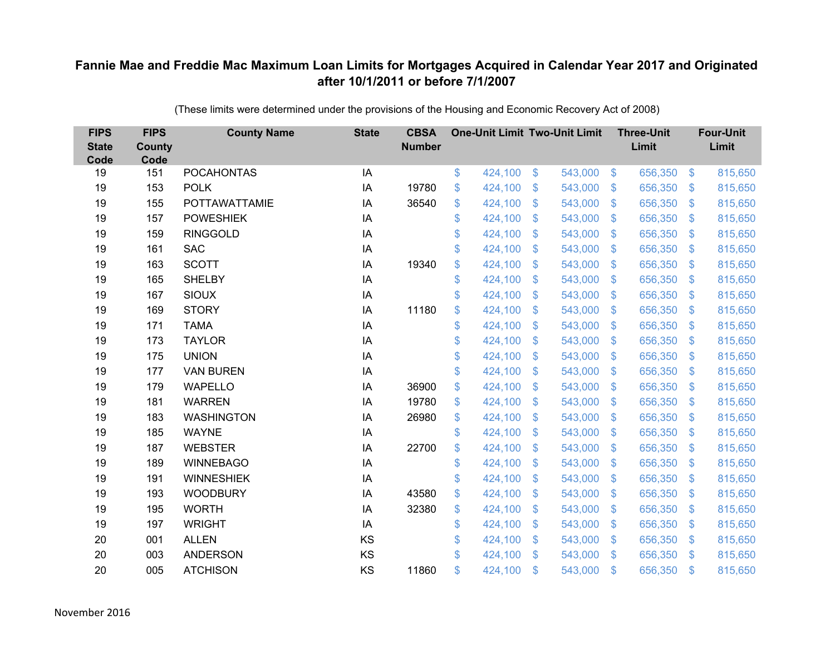| <b>FIPS</b><br><b>State</b><br>Code | <b>FIPS</b><br><b>County</b><br>Code | <b>County Name</b>   | <b>State</b> | <b>CBSA</b><br><b>Number</b> | <b>One-Unit Limit Two-Unit Limit</b> |                |         |                | <b>Three-Unit</b><br>Limit |                           | <b>Four-Unit</b><br>Limit |
|-------------------------------------|--------------------------------------|----------------------|--------------|------------------------------|--------------------------------------|----------------|---------|----------------|----------------------------|---------------------------|---------------------------|
| 19                                  | 151                                  | <b>POCAHONTAS</b>    | IA           |                              | \$<br>424,100                        | $\frac{1}{2}$  | 543,000 | $\sqrt[6]{3}$  | 656,350                    | $\frac{1}{2}$             | 815,650                   |
| 19                                  | 153                                  | <b>POLK</b>          | IA           | 19780                        | \$<br>424,100                        | \$             | 543,000 | $\sqrt{3}$     | 656,350                    | $\mathcal{S}$             | 815,650                   |
| 19                                  | 155                                  | <b>POTTAWATTAMIE</b> | IA           | 36540                        | \$<br>424,100                        | \$             | 543,000 | $\sqrt{3}$     | 656,350                    | $\boldsymbol{\mathsf{S}}$ | 815,650                   |
| 19                                  | 157                                  | <b>POWESHIEK</b>     | IA           |                              | \$<br>424,100                        | \$             | 543,000 | $\mathcal{S}$  | 656,350                    | $\mathcal{L}$             | 815,650                   |
| 19                                  | 159                                  | <b>RINGGOLD</b>      | IA           |                              | \$<br>424,100                        | \$             | 543,000 | $\mathbf{\$}$  | 656,350                    | $\mathfrak{F}$            | 815,650                   |
| 19                                  | 161                                  | <b>SAC</b>           | IA           |                              | \$<br>424,100                        | \$             | 543,000 | $\mathcal{S}$  | 656,350                    | $\mathcal{L}$             | 815,650                   |
| 19                                  | 163                                  | <b>SCOTT</b>         | IA           | 19340                        | \$<br>424,100                        | \$             | 543,000 | $\sqrt{3}$     | 656,350                    | $\mathcal{L}$             | 815,650                   |
| 19                                  | 165                                  | <b>SHELBY</b>        | IA           |                              | \$<br>424,100                        | \$             | 543,000 | $\mathbf{\$}$  | 656,350                    | $\mathbf{\$}$             | 815,650                   |
| 19                                  | 167                                  | <b>SIOUX</b>         | IA           |                              | \$<br>424,100                        | \$             | 543,000 | $\sqrt{3}$     | 656,350                    | $\mathcal{L}$             | 815,650                   |
| 19                                  | 169                                  | <b>STORY</b>         | IA           | 11180                        | \$<br>424,100                        | $\mathfrak{S}$ | 543,000 | $\mathbf{\$}$  | 656,350                    | S.                        | 815,650                   |
| 19                                  | 171                                  | <b>TAMA</b>          | IA           |                              | \$<br>424,100                        | \$             | 543,000 | $\sqrt{3}$     | 656,350                    | $\boldsymbol{\mathsf{S}}$ | 815,650                   |
| 19                                  | 173                                  | <b>TAYLOR</b>        | IA           |                              | \$<br>424,100                        | \$             | 543,000 | $\mathbf{\$}$  | 656,350                    | $\mathcal{L}$             | 815,650                   |
| 19                                  | 175                                  | <b>UNION</b>         | IA           |                              | \$<br>424,100                        | $\mathfrak{S}$ | 543,000 | $\mathbf{\$}$  | 656,350                    | $\mathfrak{F}$            | 815,650                   |
| 19                                  | 177                                  | <b>VAN BUREN</b>     | IA           |                              | \$<br>424,100                        | $\mathfrak{S}$ | 543,000 | $\mathbf{\$}$  | 656,350                    | $\mathcal{S}$             | 815,650                   |
| 19                                  | 179                                  | <b>WAPELLO</b>       | IA           | 36900                        | \$<br>424,100                        | \$             | 543,000 | $\mathfrak{S}$ | 656,350                    | $\mathcal{L}$             | 815,650                   |
| 19                                  | 181                                  | <b>WARREN</b>        | IA           | 19780                        | \$<br>424,100                        | \$             | 543,000 | \$             | 656,350                    | $\boldsymbol{\mathsf{S}}$ | 815,650                   |
| 19                                  | 183                                  | <b>WASHINGTON</b>    | IA           | 26980                        | \$<br>424,100                        | \$             | 543,000 | \$             | 656,350                    | $\mathcal{L}$             | 815,650                   |
| 19                                  | 185                                  | <b>WAYNE</b>         | IA           |                              | \$<br>424,100                        | \$             | 543,000 | \$.            | 656,350                    | $\mathbf{\$}$             | 815,650                   |
| 19                                  | 187                                  | <b>WEBSTER</b>       | IA           | 22700                        | \$<br>424,100                        | $\mathfrak{F}$ | 543,000 | \$             | 656,350                    | $\mathcal{S}$             | 815,650                   |
| 19                                  | 189                                  | <b>WINNEBAGO</b>     | IA           |                              | \$<br>424,100                        | \$             | 543,000 | $\mathfrak{S}$ | 656,350                    | $\mathcal{L}$             | 815,650                   |
| 19                                  | 191                                  | <b>WINNESHIEK</b>    | IA           |                              | \$<br>424,100                        | \$             | 543,000 | $\sqrt{3}$     | 656,350                    | $\mathcal{S}$             | 815,650                   |
| 19                                  | 193                                  | <b>WOODBURY</b>      | IA           | 43580                        | \$<br>424,100                        | $\mathfrak{F}$ | 543,000 | \$.            | 656,350                    | $\mathcal{S}$             | 815,650                   |
| 19                                  | 195                                  | <b>WORTH</b>         | IA           | 32380                        | \$<br>424,100                        | \$             | 543,000 | $\mathbf{\$}$  | 656,350                    | $\mathcal{S}$             | 815,650                   |
| 19                                  | 197                                  | <b>WRIGHT</b>        | IA           |                              | \$<br>424,100                        | \$             | 543,000 | \$             | 656,350                    | $\boldsymbol{\mathsf{S}}$ | 815,650                   |
| 20                                  | 001                                  | <b>ALLEN</b>         | KS           |                              | \$<br>424,100                        | $\mathfrak{F}$ | 543,000 | $\mathcal{S}$  | 656,350                    | $\mathfrak{F}$            | 815,650                   |
| 20                                  | 003                                  | <b>ANDERSON</b>      | KS           |                              | \$<br>424,100                        | $\mathbb{S}$   | 543,000 | $\mathbb{S}$   | 656,350                    | $\mathfrak{F}$            | 815,650                   |
| 20                                  | 005                                  | <b>ATCHISON</b>      | KS           | 11860                        | \$<br>424,100                        | \$             | 543,000 | \$             | 656,350                    | $\mathfrak{s}$            | 815,650                   |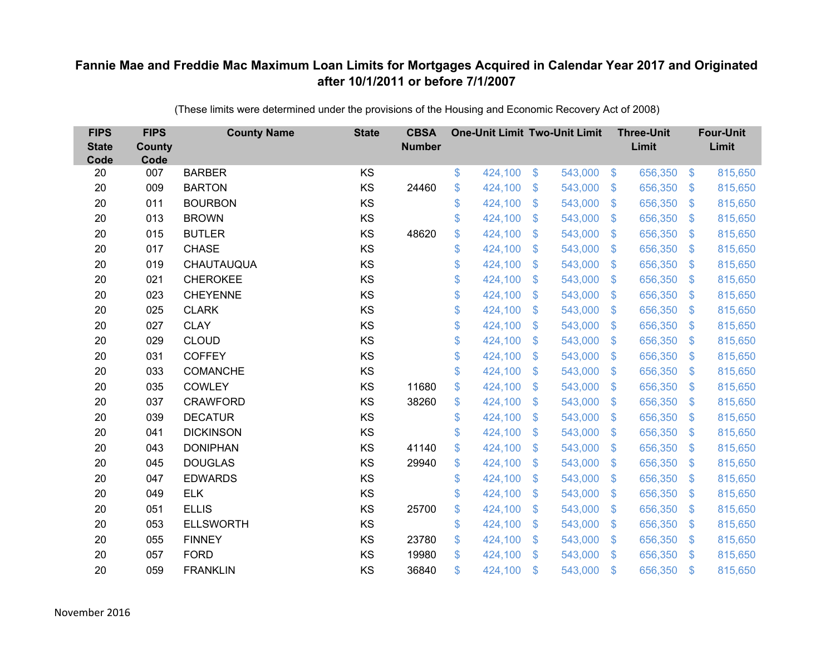| <b>FIPS</b><br><b>State</b><br>Code | <b>FIPS</b><br><b>County</b><br>Code | <b>County Name</b> | <b>State</b> | <b>CBSA</b><br><b>Number</b> | <b>One-Unit Limit Two-Unit Limit</b> |                |         |                           | <b>Three-Unit</b><br>Limit |                           | <b>Four-Unit</b><br>Limit |
|-------------------------------------|--------------------------------------|--------------------|--------------|------------------------------|--------------------------------------|----------------|---------|---------------------------|----------------------------|---------------------------|---------------------------|
| 20                                  | 007                                  | <b>BARBER</b>      | KS           |                              | \$<br>424,100                        | $\sqrt[6]{3}$  | 543,000 | $\sqrt[6]{3}$             | 656,350                    | $\mathfrak{S}$            | 815,650                   |
| 20                                  | 009                                  | <b>BARTON</b>      | KS           | 24460                        | \$<br>424,100                        | \$             | 543,000 | $\mathcal{S}$             | 656,350                    | $\mathcal{L}$             | 815,650                   |
| 20                                  | 011                                  | <b>BOURBON</b>     | KS           |                              | \$<br>424,100                        | $\mathfrak{S}$ | 543,000 | $\mathfrak{S}$            | 656,350                    | $\boldsymbol{\mathsf{S}}$ | 815,650                   |
| 20                                  | 013                                  | <b>BROWN</b>       | KS           |                              | \$<br>424,100                        | \$             | 543,000 | $\mathbf{\$}$             | 656,350                    | $\boldsymbol{\mathsf{S}}$ | 815,650                   |
| 20                                  | 015                                  | <b>BUTLER</b>      | KS           | 48620                        | \$<br>424,100                        | \$             | 543,000 | $\boldsymbol{\mathsf{S}}$ | 656,350                    | \$                        | 815,650                   |
| 20                                  | 017                                  | <b>CHASE</b>       | KS           |                              | \$<br>424,100                        | \$             | 543,000 | $\mathbf{\$}$             | 656,350                    | $\mathfrak{F}$            | 815,650                   |
| 20                                  | 019                                  | CHAUTAUQUA         | KS           |                              | \$<br>424,100                        | $\mathfrak{S}$ | 543,000 | $\mathbf{\$}$             | 656,350                    | $\mathfrak{F}$            | 815,650                   |
| 20                                  | 021                                  | <b>CHEROKEE</b>    | KS           |                              | \$<br>424,100                        | \$             | 543,000 | $\mathcal{S}$             | 656,350                    | $\mathcal{L}$             | 815,650                   |
| 20                                  | 023                                  | <b>CHEYENNE</b>    | KS           |                              | \$<br>424,100                        | $\mathfrak{S}$ | 543,000 | $\mathfrak{S}$            | 656,350                    | $\mathcal{L}$             | 815,650                   |
| 20                                  | 025                                  | <b>CLARK</b>       | KS           |                              | \$<br>424,100                        | $\mathfrak{S}$ | 543,000 | $\mathbf{\$}$             | 656,350                    | $\mathbf{\$}$             | 815,650                   |
| 20                                  | 027                                  | <b>CLAY</b>        | KS           |                              | \$<br>424,100                        | \$             | 543,000 | \$                        | 656,350                    | $\mathcal{L}$             | 815,650                   |
| 20                                  | 029                                  | <b>CLOUD</b>       | KS           |                              | \$<br>424,100                        | \$             | 543,000 | \$                        | 656,350                    | $\mathcal{L}$             | 815,650                   |
| 20                                  | 031                                  | <b>COFFEY</b>      | KS           |                              | \$<br>424,100                        | $\mathfrak{S}$ | 543,000 | $\mathfrak{S}$            | 656,350                    | $\mathbf{\$}$             | 815,650                   |
| 20                                  | 033                                  | <b>COMANCHE</b>    | KS           |                              | \$<br>424,100                        | \$             | 543,000 | \$                        | 656,350                    | $\mathfrak{F}$            | 815,650                   |
| 20                                  | 035                                  | <b>COWLEY</b>      | KS           | 11680                        | \$<br>424,100                        | \$             | 543,000 | \$                        | 656,350                    | $\mathcal{L}$             | 815,650                   |
| 20                                  | 037                                  | <b>CRAWFORD</b>    | KS           | 38260                        | \$<br>424,100                        | \$             | 543,000 | $\mathfrak{S}$            | 656,350                    | $\mathcal{L}$             | 815,650                   |
| 20                                  | 039                                  | <b>DECATUR</b>     | KS           |                              | \$<br>424,100                        | \$             | 543,000 | $\sqrt{3}$                | 656,350                    | $\mathfrak{S}$            | 815,650                   |
| 20                                  | 041                                  | <b>DICKINSON</b>   | KS           |                              | \$<br>424,100                        | $\mathfrak{F}$ | 543,000 | \$.                       | 656,350                    | $\mathcal{L}$             | 815,650                   |
| 20                                  | 043                                  | <b>DONIPHAN</b>    | KS           | 41140                        | \$<br>424,100                        | \$             | 543,000 | $\mathbf{\$}$             | 656,350                    | $\mathfrak{F}$            | 815,650                   |
| 20                                  | 045                                  | <b>DOUGLAS</b>     | KS           | 29940                        | \$<br>424,100                        | \$             | 543,000 | \$                        | 656,350                    | $\boldsymbol{\mathsf{S}}$ | 815,650                   |
| 20                                  | 047                                  | <b>EDWARDS</b>     | KS           |                              | \$<br>424,100                        | \$             | 543,000 | $\mathcal{S}$             | 656,350                    | $\mathfrak{F}$            | 815,650                   |
| 20                                  | 049                                  | <b>ELK</b>         | KS           |                              | \$<br>424,100                        | \$             | 543,000 | $\mathfrak{S}$            | 656,350                    | $\boldsymbol{\mathsf{S}}$ | 815,650                   |
| 20                                  | 051                                  | <b>ELLIS</b>       | KS           | 25700                        | \$<br>424,100                        | \$             | 543,000 | $\sqrt{3}$                | 656,350                    | $\mathfrak{F}$            | 815,650                   |
| 20                                  | 053                                  | <b>ELLSWORTH</b>   | KS           |                              | \$<br>424,100                        | \$             | 543,000 | $\boldsymbol{\mathsf{S}}$ | 656,350                    | \$                        | 815,650                   |
| 20                                  | 055                                  | <b>FINNEY</b>      | KS           | 23780                        | \$<br>424,100                        | \$             | 543,000 | $\mathcal{S}$             | 656,350                    | $\mathcal{L}$             | 815,650                   |
| 20                                  | 057                                  | <b>FORD</b>        | KS           | 19980                        | \$<br>424,100                        | $\mathfrak{S}$ | 543,000 | \$                        | 656,350                    | \$                        | 815,650                   |
| 20                                  | 059                                  | <b>FRANKLIN</b>    | KS           | 36840                        | \$<br>424,100                        | \$             | 543,000 | \$                        | 656,350                    | $\mathfrak{s}$            | 815,650                   |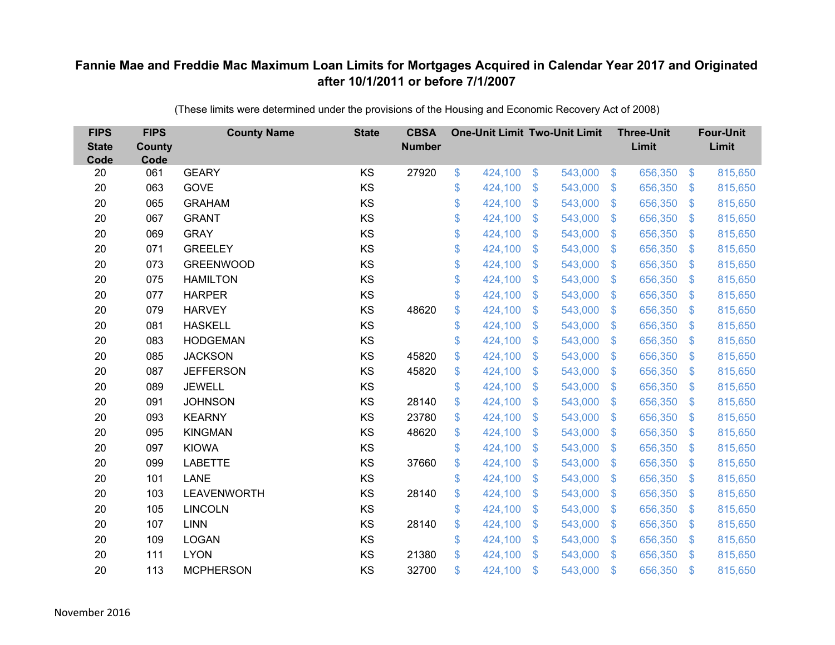| <b>FIPS</b><br><b>State</b><br>Code | <b>FIPS</b><br><b>County</b><br>Code | <b>County Name</b> | <b>State</b> | <b>CBSA</b><br><b>Number</b> | <b>One-Unit Limit Two-Unit Limit</b> |                |         |                | <b>Three-Unit</b><br>Limit |                           | <b>Four-Unit</b><br>Limit |
|-------------------------------------|--------------------------------------|--------------------|--------------|------------------------------|--------------------------------------|----------------|---------|----------------|----------------------------|---------------------------|---------------------------|
| 20                                  | 061                                  | <b>GEARY</b>       | KS           | 27920                        | \$<br>424,100                        | $\frac{3}{2}$  | 543,000 | $\sqrt[6]{3}$  | 656,350                    | $\frac{1}{2}$             | 815,650                   |
| 20                                  | 063                                  | GOVE               | KS           |                              | \$<br>424,100                        | \$             | 543,000 | $\mathcal{S}$  | 656,350                    | $\mathcal{L}$             | 815,650                   |
| 20                                  | 065                                  | <b>GRAHAM</b>      | KS           |                              | \$<br>424,100                        | $\mathfrak{S}$ | 543,000 | $\mathbf{\$}$  | 656,350                    | $\mathfrak{F}$            | 815,650                   |
| 20                                  | 067                                  | <b>GRANT</b>       | KS           |                              | \$<br>424,100                        | \$             | 543,000 | $\mathcal{S}$  | 656,350                    | $\mathcal{L}$             | 815,650                   |
| 20                                  | 069                                  | <b>GRAY</b>        | KS           |                              | \$<br>424,100                        | \$             | 543,000 | $\sqrt{3}$     | 656,350                    | $\mathbf{\$}$             | 815,650                   |
| 20                                  | 071                                  | <b>GREELEY</b>     | KS           |                              | \$<br>424,100                        | $\mathfrak{S}$ | 543,000 | $\mathbf{\$}$  | 656,350                    | S.                        | 815,650                   |
| 20                                  | 073                                  | <b>GREENWOOD</b>   | KS           |                              | \$<br>424,100                        | \$             | 543,000 | $\sqrt{3}$     | 656,350                    | $\mathcal{L}$             | 815,650                   |
| 20                                  | 075                                  | <b>HAMILTON</b>    | KS           |                              | \$<br>424,100                        | \$             | 543,000 | $\sqrt{3}$     | 656,350                    | $\mathcal{L}$             | 815,650                   |
| 20                                  | 077                                  | <b>HARPER</b>      | KS           |                              | \$<br>424,100                        | $\mathfrak{S}$ | 543,000 | $\mathbf{\$}$  | 656,350                    | $\mathfrak{F}$            | 815,650                   |
| 20                                  | 079                                  | <b>HARVEY</b>      | KS           | 48620                        | \$<br>424,100                        | $\mathfrak{F}$ | 543,000 | $\mathbf{\$}$  | 656,350                    | $\mathcal{S}$             | 815,650                   |
| 20                                  | 081                                  | <b>HASKELL</b>     | KS           |                              | \$<br>424,100                        | $\mathfrak{S}$ | 543,000 | $\mathbf{\$}$  | 656,350                    | $\mathcal{L}$             | 815,650                   |
| 20                                  | 083                                  | <b>HODGEMAN</b>    | KS           |                              | \$<br>424,100                        | $\mathfrak{S}$ | 543,000 | $\mathfrak{S}$ | 656,350                    | $\mathfrak{F}$            | 815,650                   |
| 20                                  | 085                                  | <b>JACKSON</b>     | KS           | 45820                        | \$<br>424,100                        | \$             | 543,000 | \$             | 656,350                    | $\mathcal{L}$             | 815,650                   |
| 20                                  | 087                                  | <b>JEFFERSON</b>   | KS           | 45820                        | \$<br>424,100                        | \$             | 543,000 | \$.            | 656,350                    | $\mathcal{S}$             | 815,650                   |
| 20                                  | 089                                  | <b>JEWELL</b>      | KS           |                              | \$<br>424,100                        | \$             | 543,000 | \$             | 656,350                    | $\mathcal{L}$             | 815,650                   |
| 20                                  | 091                                  | <b>JOHNSON</b>     | KS           | 28140                        | \$<br>424,100                        | \$             | 543,000 | $\mathfrak{F}$ | 656,350                    | $\mathcal{L}$             | 815,650                   |
| 20                                  | 093                                  | <b>KEARNY</b>      | KS           | 23780                        | \$<br>424,100                        | $\mathfrak{S}$ | 543,000 | $\mathfrak{S}$ | 656,350                    | $\mathcal{S}$             | 815,650                   |
| 20                                  | 095                                  | <b>KINGMAN</b>     | KS           | 48620                        | \$<br>424,100                        | \$             | 543,000 | \$             | 656,350                    | $\mathcal{L}$             | 815,650                   |
| 20                                  | 097                                  | <b>KIOWA</b>       | KS           |                              | \$<br>424,100                        | $\mathfrak{S}$ | 543,000 | $\mathcal{S}$  | 656,350                    | $\mathcal{S}$             | 815,650                   |
| 20                                  | 099                                  | <b>LABETTE</b>     | KS           | 37660                        | \$<br>424,100                        | $\mathfrak{S}$ | 543,000 | $\mathfrak{S}$ | 656,350                    | $\mathfrak{F}$            | 815,650                   |
| 20                                  | 101                                  | <b>LANE</b>        | KS           |                              | \$<br>424,100                        | $\mathfrak{S}$ | 543,000 | $\mathcal{S}$  | 656,350                    | $\mathcal{S}$             | 815,650                   |
| 20                                  | 103                                  | <b>LEAVENWORTH</b> | KS           | 28140                        | \$<br>424,100                        | $\mathfrak{S}$ | 543,000 | \$.            | 656,350                    | $\mathcal{L}$             | 815,650                   |
| 20                                  | 105                                  | <b>LINCOLN</b>     | KS           |                              | \$<br>424,100                        | \$             | 543,000 | $\mathbf{\$}$  | 656,350                    | $\boldsymbol{\mathsf{S}}$ | 815,650                   |
| 20                                  | 107                                  | <b>LINN</b>        | KS           | 28140                        | \$<br>424,100                        | \$             | 543,000 | $\mathfrak{F}$ | 656,350                    | $\mathcal{L}$             | 815,650                   |
| 20                                  | 109                                  | <b>LOGAN</b>       | KS           |                              | \$<br>424,100                        | \$             | 543,000 | $\mathcal{S}$  | 656,350                    | $\mathcal{L}$             | 815,650                   |
| 20                                  | 111                                  | <b>LYON</b>        | KS           | 21380                        | \$<br>424,100                        | $\mathfrak{S}$ | 543,000 | $\mathbf{\$}$  | 656,350                    | $\mathbf{\$}$             | 815,650                   |
| 20                                  | 113                                  | <b>MCPHERSON</b>   | KS           | 32700                        | \$<br>424,100                        | \$             | 543,000 | \$             | 656,350                    | $\mathfrak{s}$            | 815,650                   |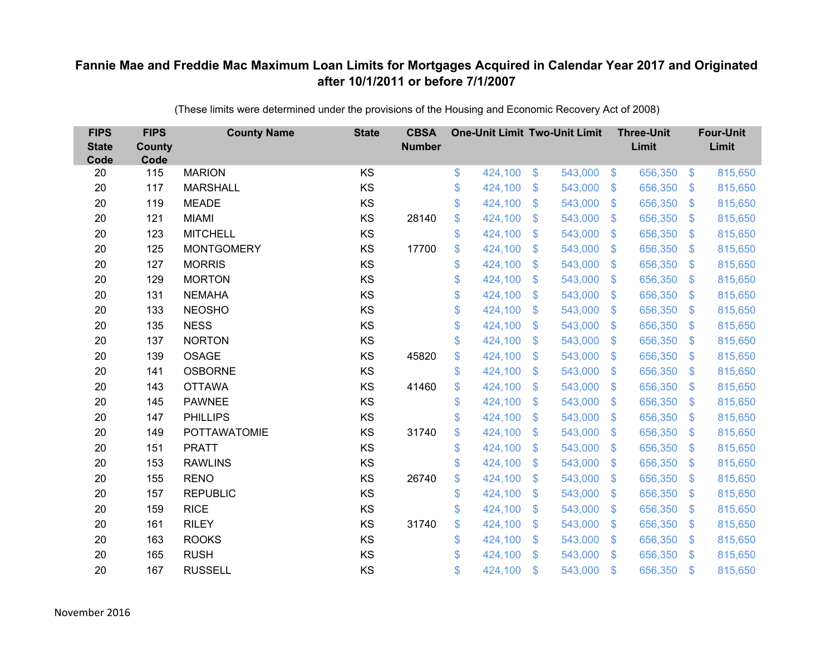| <b>FIPS</b><br><b>State</b><br>Code | <b>FIPS</b><br><b>County</b><br>Code | <b>County Name</b>  | <b>State</b> | <b>CBSA</b><br><b>Number</b> | <b>One-Unit Limit Two-Unit Limit</b> |                |         |                           | <b>Three-Unit</b><br>Limit |                | <b>Four-Unit</b><br>Limit |
|-------------------------------------|--------------------------------------|---------------------|--------------|------------------------------|--------------------------------------|----------------|---------|---------------------------|----------------------------|----------------|---------------------------|
| 20                                  | 115                                  | <b>MARION</b>       | KS           |                              | \$<br>424,100                        | \$             | 543,000 | $\sqrt[6]{3}$             | 656,350                    | $\frac{3}{2}$  | 815,650                   |
| 20                                  | 117                                  | <b>MARSHALL</b>     | KS           |                              | \$<br>424,100                        | \$             | 543,000 | $\mathbf{\$}$             | 656,350                    | $\mathcal{L}$  | 815,650                   |
| 20                                  | 119                                  | <b>MEADE</b>        | KS           |                              | \$<br>424,100                        | $\mathfrak{S}$ | 543,000 | $\mathfrak{F}$            | 656,350                    | $\mathfrak{S}$ | 815,650                   |
| 20                                  | 121                                  | <b>MIAMI</b>        | KS           | 28140                        | \$<br>424,100                        | \$             | 543,000 | $\mathcal{L}$             | 656,350                    | $\mathcal{L}$  | 815,650                   |
| 20                                  | 123                                  | <b>MITCHELL</b>     | KS           |                              | \$<br>424,100                        | \$             | 543,000 | $\mathfrak{F}$            | 656,350                    | $\mathbf{\$}$  | 815,650                   |
| 20                                  | 125                                  | <b>MONTGOMERY</b>   | KS           | 17700                        | \$<br>424,100                        | $\mathfrak{S}$ | 543,000 | $\mathbb{S}$              | 656,350                    | $\mathbb{S}$   | 815,650                   |
| 20                                  | 127                                  | <b>MORRIS</b>       | KS           |                              | \$<br>424,100                        | \$             | 543,000 | $\mathfrak{F}$            | 656,350                    | $\mathcal{L}$  | 815,650                   |
| 20                                  | 129                                  | <b>MORTON</b>       | KS           |                              | \$<br>424,100                        | \$             | 543,000 | $\mathbb{S}$              | 656,350                    | $\mathcal{L}$  | 815,650                   |
| 20                                  | 131                                  | <b>NEMAHA</b>       | KS           |                              | \$<br>424,100                        | $\mathfrak{S}$ | 543,000 | $\mathfrak{F}$            | 656,350                    | $\mathfrak{S}$ | 815,650                   |
| 20                                  | 133                                  | <b>NEOSHO</b>       | KS           |                              | \$<br>424,100                        | \$             | 543,000 | S.                        | 656,350                    | $\mathfrak{S}$ | 815,650                   |
| 20                                  | 135                                  | <b>NESS</b>         | KS           |                              | \$<br>424,100                        | $\mathfrak{S}$ | 543,000 | $\mathbb{S}$              | 656,350                    | $\mathfrak{S}$ | 815,650                   |
| 20                                  | 137                                  | <b>NORTON</b>       | KS           |                              | \$<br>424,100                        | $\mathfrak{S}$ | 543,000 | $\mathbb{S}$              | 656,350                    | $\mathbb{S}$   | 815,650                   |
| 20                                  | 139                                  | <b>OSAGE</b>        | KS           | 45820                        | \$<br>424,100                        | \$             | 543,000 | S.                        | 656,350                    | \$             | 815,650                   |
| 20                                  | 141                                  | <b>OSBORNE</b>      | KS           |                              | \$<br>424,100                        | \$             | 543,000 | S.                        | 656,350                    | $\mathfrak{S}$ | 815,650                   |
| 20                                  | 143                                  | <b>OTTAWA</b>       | KS           | 41460                        | \$<br>424,100                        | \$             | 543,000 | $\mathfrak{S}$            | 656,350                    | $\mathfrak{S}$ | 815,650                   |
| 20                                  | 145                                  | <b>PAWNEE</b>       | KS           |                              | \$<br>424,100                        | \$             | 543,000 | $\mathcal{S}$             | 656,350                    | $\mathfrak{S}$ | 815,650                   |
| 20                                  | 147                                  | <b>PHILLIPS</b>     | KS           |                              | \$<br>424,100                        | $\mathfrak{S}$ | 543,000 | $\mathbb{S}$              | 656,350                    | $\mathbb{S}$   | 815,650                   |
| 20                                  | 149                                  | <b>POTTAWATOMIE</b> | KS           | 31740                        | \$<br>424,100                        | \$             | 543,000 | $\boldsymbol{\mathsf{S}}$ | 656,350                    | $\mathfrak{S}$ | 815,650                   |
| 20                                  | 151                                  | <b>PRATT</b>        | KS           |                              | \$<br>424,100                        | \$             | 543,000 | S.                        | 656,350                    | $\mathfrak{S}$ | 815,650                   |
| 20                                  | 153                                  | <b>RAWLINS</b>      | KS           |                              | \$<br>424,100                        | $\mathfrak{S}$ | 543,000 | $\mathfrak{F}$            | 656,350                    | $\mathfrak{S}$ | 815,650                   |
| 20                                  | 155                                  | <b>RENO</b>         | KS           | 26740                        | \$<br>424,100                        | \$             | 543,000 | $\mathcal{S}$             | 656,350                    | $\mathfrak{S}$ | 815,650                   |
| 20                                  | 157                                  | <b>REPUBLIC</b>     | KS           |                              | \$<br>424,100                        | \$             | 543,000 | $\mathbf{\$}$             | 656,350                    | $\mathfrak{S}$ | 815,650                   |
| 20                                  | 159                                  | <b>RICE</b>         | KS           |                              | \$<br>424,100                        | \$             | 543,000 | $\mathbb{S}$              | 656,350                    | $\mathfrak{S}$ | 815,650                   |
| 20                                  | 161                                  | <b>RILEY</b>        | KS           | 31740                        | \$<br>424,100                        | \$             | 543,000 | $\mathcal{L}$             | 656,350                    | $\mathcal{L}$  | 815,650                   |
| 20                                  | 163                                  | <b>ROOKS</b>        | KS           |                              | \$<br>424,100                        | \$             | 543,000 | $\sqrt[6]{3}$             | 656,350                    | $\mathfrak{S}$ | 815,650                   |
| 20                                  | 165                                  | <b>RUSH</b>         | KS           |                              | \$<br>424,100                        | $\mathfrak{S}$ | 543,000 | $\mathbf{\$}$             | 656,350                    | $\mathbb{S}$   | 815,650                   |
| 20                                  | 167                                  | <b>RUSSELL</b>      | KS           |                              | \$<br>424,100                        | \$             | 543,000 | $\mathfrak{s}$            | 656,350                    | $\mathbf{\$}$  | 815,650                   |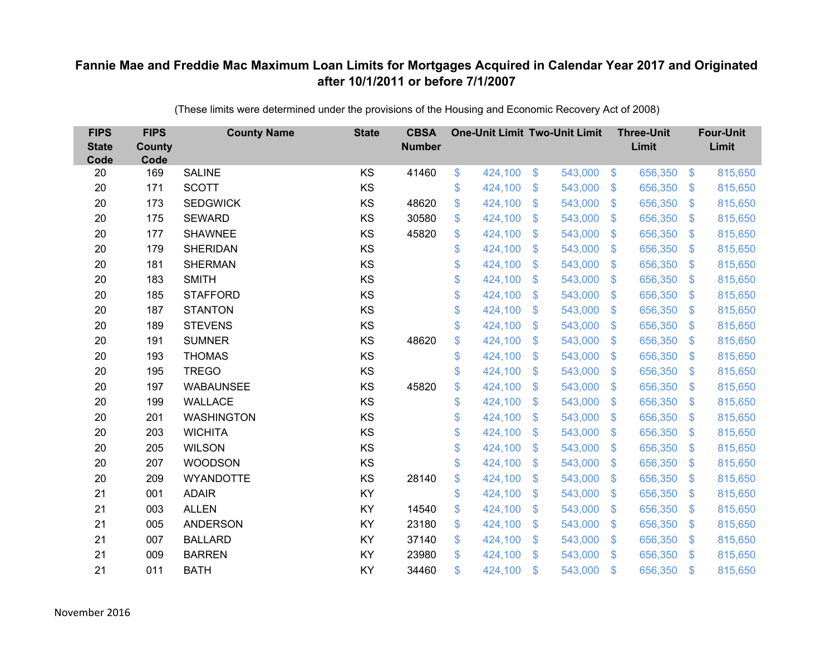| <b>FIPS</b><br><b>State</b><br>Code | <b>FIPS</b><br><b>County</b><br>Code | <b>County Name</b> | <b>State</b> | <b>CBSA</b><br><b>Number</b> | <b>One-Unit Limit Two-Unit Limit</b> |               |         |                           | <b>Three-Unit</b><br>Limit |                | <b>Four-Unit</b><br>Limit |
|-------------------------------------|--------------------------------------|--------------------|--------------|------------------------------|--------------------------------------|---------------|---------|---------------------------|----------------------------|----------------|---------------------------|
| 20                                  | 169                                  | <b>SALINE</b>      | KS           | 41460                        | \$<br>424,100                        | $\frac{3}{2}$ | 543,000 | $\sqrt[6]{3}$             | 656,350                    | $\frac{1}{2}$  | 815,650                   |
| 20                                  | 171                                  | <b>SCOTT</b>       | KS           |                              | \$<br>424,100                        | \$            | 543,000 | $\mathcal{S}$             | 656,350                    | $\mathfrak{F}$ | 815,650                   |
| 20                                  | 173                                  | <b>SEDGWICK</b>    | KS           | 48620                        | \$<br>424,100                        | \$            | 543,000 | $\mathcal{S}$             | 656,350                    | $\mathbb{S}$   | 815,650                   |
| 20                                  | 175                                  | <b>SEWARD</b>      | KS           | 30580                        | \$<br>424,100                        | \$            | 543,000 | $\mathcal{S}$             | 656,350                    | $\mathfrak{F}$ | 815,650                   |
| 20                                  | 177                                  | <b>SHAWNEE</b>     | KS           | 45820                        | \$<br>424,100                        | \$            | 543,000 | $\mathfrak{F}$            | 656,350                    | <sup>\$</sup>  | 815,650                   |
| 20                                  | 179                                  | <b>SHERIDAN</b>    | KS           |                              | \$<br>424,100                        | \$            | 543,000 | $\mathcal{S}$             | 656,350                    | S.             | 815,650                   |
| 20                                  | 181                                  | <b>SHERMAN</b>     | KS           |                              | \$<br>424,100                        | \$            | 543,000 | $\boldsymbol{\mathsf{S}}$ | 656,350                    | $\mathcal{L}$  | 815,650                   |
| 20                                  | 183                                  | <b>SMITH</b>       | KS           |                              | \$<br>424,100                        | \$            | 543,000 | $\mathfrak{F}$            | 656,350                    | $\mathfrak{F}$ | 815,650                   |
| 20                                  | 185                                  | <b>STAFFORD</b>    | KS           |                              | \$<br>424,100                        | \$            | 543,000 | $\mathfrak{F}$            | 656,350                    | $\mathfrak{F}$ | 815,650                   |
| 20                                  | 187                                  | <b>STANTON</b>     | KS           |                              | \$<br>424,100                        | \$            | 543,000 | $\mathbf{\$}$             | 656,350                    | $\mathfrak{F}$ | 815,650                   |
| 20                                  | 189                                  | <b>STEVENS</b>     | KS           |                              | \$<br>424,100                        | \$            | 543,000 | $\mathbb{S}$              | 656,350                    | $\mathfrak{F}$ | 815,650                   |
| 20                                  | 191                                  | <b>SUMNER</b>      | KS           | 48620                        | \$<br>424,100                        | \$            | 543,000 | $\mathfrak{F}$            | 656,350                    | $\mathfrak{F}$ | 815,650                   |
| 20                                  | 193                                  | <b>THOMAS</b>      | KS           |                              | \$<br>424,100                        | \$            | 543,000 | $\mathfrak{F}$            | 656,350                    | $\mathcal{L}$  | 815,650                   |
| 20                                  | 195                                  | <b>TREGO</b>       | KS           |                              | \$<br>424,100                        | \$            | 543,000 | S.                        | 656,350                    | $\mathfrak{F}$ | 815,650                   |
| 20                                  | 197                                  | <b>WABAUNSEE</b>   | KS           | 45820                        | \$<br>424,100                        | \$            | 543,000 | $\mathfrak{S}$            | 656,350                    | $\mathfrak{F}$ | 815,650                   |
| 20                                  | 199                                  | <b>WALLACE</b>     | KS           |                              | \$<br>424,100                        | \$            | 543,000 | $\mathcal{S}$             | 656,350                    | $\mathcal{L}$  | 815,650                   |
| 20                                  | 201                                  | <b>WASHINGTON</b>  | KS           |                              | \$<br>424,100                        | \$            | 543,000 | $\mathfrak{F}$            | 656,350                    | $\mathfrak{F}$ | 815,650                   |
| 20                                  | 203                                  | <b>WICHITA</b>     | KS           |                              | \$<br>424,100                        | \$            | 543,000 | $\boldsymbol{\mathsf{S}}$ | 656,350                    | $\mathcal{L}$  | 815,650                   |
| 20                                  | 205                                  | <b>WILSON</b>      | KS           |                              | \$<br>424,100                        | \$            | 543,000 | S.                        | 656,350                    | $\mathfrak{F}$ | 815,650                   |
| 20                                  | 207                                  | <b>WOODSON</b>     | KS           |                              | \$<br>424,100                        | \$            | 543,000 | $\mathfrak{F}$            | 656,350                    | $\mathfrak{F}$ | 815,650                   |
| 20                                  | 209                                  | <b>WYANDOTTE</b>   | KS           | 28140                        | \$<br>424,100                        | \$            | 543,000 | $\sqrt[6]{3}$             | 656,350                    | $\mathfrak{F}$ | 815,650                   |
| 21                                  | 001                                  | <b>ADAIR</b>       | KY           |                              | \$<br>424,100                        | \$            | 543,000 | $\mathfrak{F}$            | 656,350                    | $\mathfrak{F}$ | 815,650                   |
| 21                                  | 003                                  | <b>ALLEN</b>       | KY           | 14540                        | \$<br>424,100                        | \$            | 543,000 | $\mathcal{S}$             | 656,350                    | $\mathfrak{S}$ | 815,650                   |
| 21                                  | 005                                  | <b>ANDERSON</b>    | KY           | 23180                        | \$<br>424,100                        | \$            | 543,000 | $\boldsymbol{\mathsf{S}}$ | 656,350                    | $\mathcal{L}$  | 815,650                   |
| 21                                  | 007                                  | <b>BALLARD</b>     | KY           | 37140                        | \$<br>424,100                        | \$            | 543,000 | $\mathcal{S}$             | 656,350                    | $\mathfrak{F}$ | 815,650                   |
| 21                                  | 009                                  | <b>BARREN</b>      | KY           | 23980                        | \$<br>424,100                        | \$            | 543,000 | $\mathbf{\$}$             | 656,350                    | <sup>\$</sup>  | 815,650                   |
| 21                                  | 011                                  | <b>BATH</b>        | KY           | 34460                        | \$<br>424,100                        | \$            | 543,000 | $\mathfrak{s}$            | 656,350                    | $\mathbf{\$}$  | 815,650                   |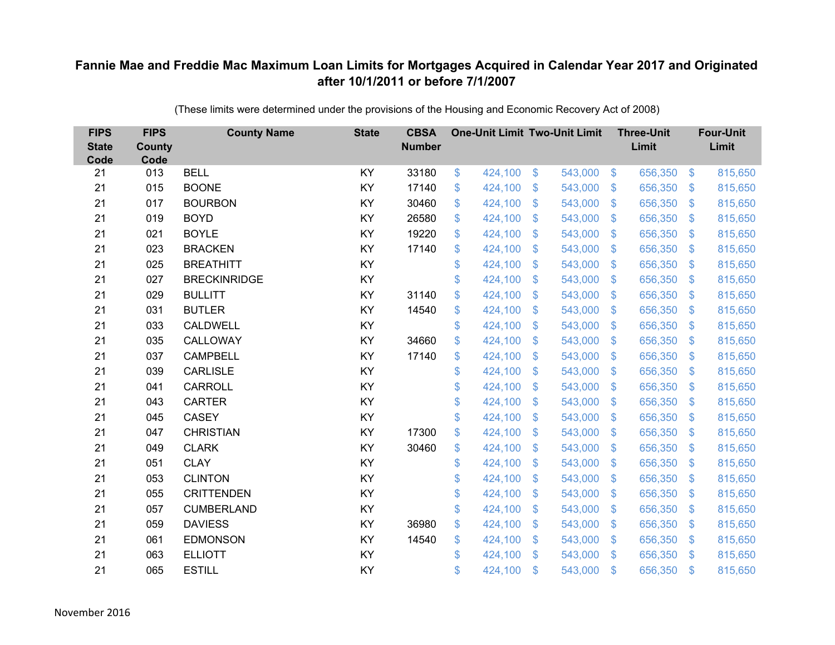| <b>FIPS</b><br><b>State</b><br>Code | <b>FIPS</b><br><b>County</b><br>Code | <b>County Name</b>  | <b>State</b> | <b>CBSA</b><br><b>Number</b> | <b>One-Unit Limit Two-Unit Limit</b> |                |         |                | <b>Three-Unit</b><br>Limit |                           | <b>Four-Unit</b><br>Limit |
|-------------------------------------|--------------------------------------|---------------------|--------------|------------------------------|--------------------------------------|----------------|---------|----------------|----------------------------|---------------------------|---------------------------|
| 21                                  | 013                                  | <b>BELL</b>         | KY           | 33180                        | \$<br>424,100                        | \$             | 543,000 | $\sqrt[3]{5}$  | 656,350                    | $\frac{1}{2}$             | 815,650                   |
| 21                                  | 015                                  | <b>BOONE</b>        | KY           | 17140                        | \$<br>424,100                        | \$             | 543,000 | $\mathbf{\$}$  | 656,350                    | $\mathfrak{F}$            | 815,650                   |
| 21                                  | 017                                  | <b>BOURBON</b>      | KY           | 30460                        | \$<br>424,100                        | \$             | 543,000 | $\sqrt{3}$     | 656,350                    | $\boldsymbol{\mathsf{S}}$ | 815,650                   |
| 21                                  | 019                                  | <b>BOYD</b>         | KY           | 26580                        | \$<br>424,100                        | \$             | 543,000 | $\sqrt{3}$     | 656,350                    | $\mathcal{L}$             | 815,650                   |
| 21                                  | 021                                  | <b>BOYLE</b>        | KY           | 19220                        | \$<br>424,100                        | $\mathfrak{S}$ | 543,000 | $\mathbf{\$}$  | 656,350                    | $\mathfrak{F}$            | 815,650                   |
| 21                                  | 023                                  | <b>BRACKEN</b>      | KY           | 17140                        | \$<br>424,100                        | \$             | 543,000 | -\$            | 656,350                    | $\mathfrak{S}$            | 815,650                   |
| 21                                  | 025                                  | <b>BREATHITT</b>    | KY           |                              | \$<br>424,100                        | \$             | 543,000 | $\mathbf{\$}$  | 656,350                    | $\mathfrak{S}$            | 815,650                   |
| 21                                  | 027                                  | <b>BRECKINRIDGE</b> | KY           |                              | \$<br>424,100                        | $\mathfrak{S}$ | 543,000 | $\mathbf{\$}$  | 656,350                    | $\mathbb{S}$              | 815,650                   |
| 21                                  | 029                                  | <b>BULLITT</b>      | KY           | 31140                        | \$<br>424,100                        | \$             | 543,000 | \$             | 656,350                    | $\mathcal{L}$             | 815,650                   |
| 21                                  | 031                                  | <b>BUTLER</b>       | KY           | 14540                        | \$<br>424,100                        | \$             | 543,000 | $\mathbf{\$}$  | 656,350                    | S.                        | 815,650                   |
| 21                                  | 033                                  | CALDWELL            | KY           |                              | \$<br>424,100                        | \$             | 543,000 | $\sqrt{3}$     | 656,350                    | $\boldsymbol{\mathsf{S}}$ | 815,650                   |
| 21                                  | 035                                  | CALLOWAY            | KY           | 34660                        | \$<br>424,100                        | \$             | 543,000 | \$             | 656,350                    | $\mathcal{L}$             | 815,650                   |
| 21                                  | 037                                  | <b>CAMPBELL</b>     | KY           | 17140                        | \$<br>424,100                        | $\mathcal{S}$  | 543,000 | $\mathfrak{S}$ | 656,350                    | $\mathfrak{F}$            | 815,650                   |
| 21                                  | 039                                  | <b>CARLISLE</b>     | KY           |                              | \$<br>424,100                        | $\mathfrak{F}$ | 543,000 | \$.            | 656,350                    | \$.                       | 815,650                   |
| 21                                  | 041                                  | <b>CARROLL</b>      | KY           |                              | \$<br>424,100                        | \$             | 543,000 | $\mathbf{\$}$  | 656,350                    | $\mathcal{S}$             | 815,650                   |
| 21                                  | 043                                  | <b>CARTER</b>       | KY           |                              | \$<br>424,100                        | \$             | 543,000 | \$             | 656,350                    | $\boldsymbol{\mathsf{S}}$ | 815,650                   |
| 21                                  | 045                                  | <b>CASEY</b>        | KY           |                              | \$<br>424,100                        | \$             | 543,000 | $\mathbf{\$}$  | 656,350                    | $\mathcal{S}$             | 815,650                   |
| 21                                  | 047                                  | <b>CHRISTIAN</b>    | <b>KY</b>    | 17300                        | \$<br>424,100                        | \$             | 543,000 | $\mathfrak{S}$ | 656,350                    | $\mathbf{\$}$             | 815,650                   |
| 21                                  | 049                                  | <b>CLARK</b>        | KY           | 30460                        | \$<br>424,100                        | $\mathfrak{F}$ | 543,000 | $\mathcal{S}$  | 656,350                    | $\mathcal{S}$             | 815,650                   |
| 21                                  | 051                                  | <b>CLAY</b>         | KY           |                              | \$<br>424,100                        | \$             | 543,000 | $\mathfrak{S}$ | 656,350                    | $\boldsymbol{\mathsf{S}}$ | 815,650                   |
| 21                                  | 053                                  | <b>CLINTON</b>      | KY           |                              | \$<br>424,100                        | $\mathfrak{S}$ | 543,000 | $\mathbf{\$}$  | 656,350                    | S.                        | 815,650                   |
| 21                                  | 055                                  | <b>CRITTENDEN</b>   | KY           |                              | \$<br>424,100                        | $\mathfrak{F}$ | 543,000 | \$.            | 656,350                    | $\mathcal{L}$             | 815,650                   |
| 21                                  | 057                                  | <b>CUMBERLAND</b>   | KY           |                              | \$<br>424,100                        | \$             | 543,000 | $\sqrt{3}$     | 656,350                    | $\mathfrak{S}$            | 815,650                   |
| 21                                  | 059                                  | <b>DAVIESS</b>      | KY           | 36980                        | \$<br>424,100                        | \$             | 543,000 | $\sqrt{3}$     | 656,350                    | $\boldsymbol{\mathsf{S}}$ | 815,650                   |
| 21                                  | 061                                  | <b>EDMONSON</b>     | KY           | 14540                        | \$<br>424,100                        | \$             | 543,000 | $\mathcal{S}$  | 656,350                    | $\mathcal{S}$             | 815,650                   |
| 21                                  | 063                                  | <b>ELLIOTT</b>      | KY           |                              | \$<br>424,100                        | $\mathfrak{S}$ | 543,000 | $\mathbf{\$}$  | 656,350                    | <sup>\$</sup>             | 815,650                   |
| 21                                  | 065                                  | <b>ESTILL</b>       | KY           |                              | \$<br>424,100                        | \$             | 543,000 | \$             | 656,350                    | $\mathfrak{s}$            | 815,650                   |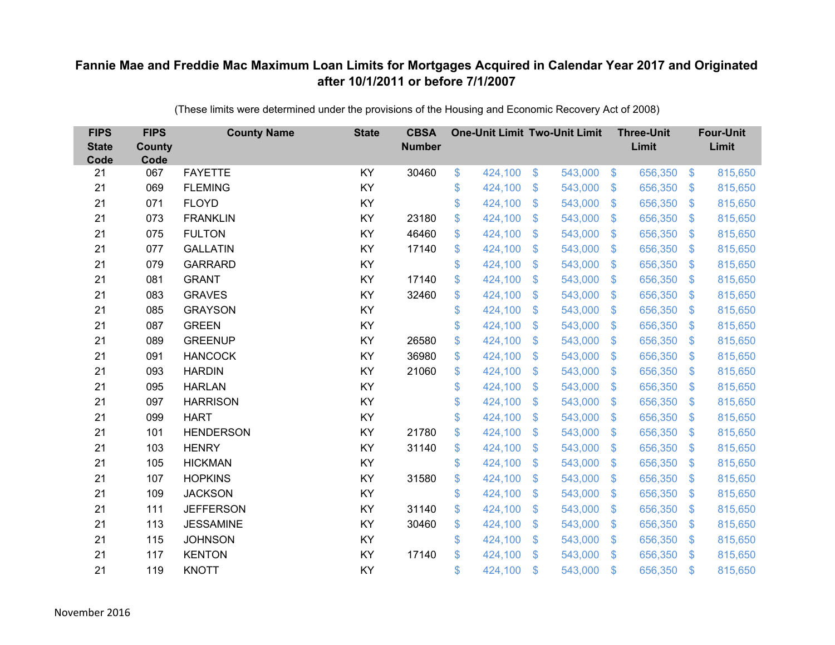| <b>FIPS</b><br><b>State</b><br>Code | <b>FIPS</b><br><b>County</b><br>Code | <b>County Name</b> | <b>State</b> | <b>CBSA</b><br><b>Number</b> | <b>One-Unit Limit Two-Unit Limit</b> |                           |         |                           | <b>Three-Unit</b><br>Limit |                | <b>Four-Unit</b><br>Limit |
|-------------------------------------|--------------------------------------|--------------------|--------------|------------------------------|--------------------------------------|---------------------------|---------|---------------------------|----------------------------|----------------|---------------------------|
| 21                                  | 067                                  | <b>FAYETTE</b>     | KY           | 30460                        | \$<br>424,100                        | $\$\$                     | 543,000 | $\sqrt{3}$                | 656,350                    | $\frac{3}{2}$  | 815,650                   |
| 21                                  | 069                                  | <b>FLEMING</b>     | KY           |                              | \$<br>424,100                        | \$                        | 543,000 | $\sqrt[6]{3}$             | 656,350                    | $\mathcal{S}$  | 815,650                   |
| 21                                  | 071                                  | <b>FLOYD</b>       | KY           |                              | \$<br>424,100                        | $\mathcal{S}$             | 543,000 | $\mathfrak{S}$            | 656,350                    | $\mathbf{\$}$  | 815,650                   |
| 21                                  | 073                                  | <b>FRANKLIN</b>    | KY           | 23180                        | \$<br>424,100                        | $\boldsymbol{\mathsf{S}}$ | 543,000 | $\mathfrak{S}$            | 656,350                    | $\mathcal{S}$  | 815,650                   |
| 21                                  | 075                                  | <b>FULTON</b>      | KY           | 46460                        | \$<br>424,100                        | $\boldsymbol{\mathsf{S}}$ | 543,000 | $\mathfrak{F}$            | 656,350                    | <sup>\$</sup>  | 815,650                   |
| 21                                  | 077                                  | <b>GALLATIN</b>    | KY           | 17140                        | \$<br>424,100                        | $\mathcal{S}$             | 543,000 | $\mathfrak{S}$            | 656,350                    | \$.            | 815,650                   |
| 21                                  | 079                                  | <b>GARRARD</b>     | KY           |                              | \$<br>424,100                        | $\boldsymbol{\mathsf{S}}$ | 543,000 | $\sqrt[6]{3}$             | 656,350                    | \$             | 815,650                   |
| 21                                  | 081                                  | <b>GRANT</b>       | KY           | 17140                        | \$<br>424,100                        | $\boldsymbol{\mathsf{S}}$ | 543,000 | $\sqrt[6]{3}$             | 656,350                    | $\mathcal{S}$  | 815,650                   |
| 21                                  | 083                                  | <b>GRAVES</b>      | KY           | 32460                        | \$<br>424,100                        | \$                        | 543,000 | $\mathfrak{S}$            | 656,350                    | $\mathfrak{S}$ | 815,650                   |
| 21                                  | 085                                  | <b>GRAYSON</b>     | KY           |                              | \$<br>424,100                        | \$                        | 543,000 | $\mathbb{S}$              | 656,350                    | $\mathcal{S}$  | 815,650                   |
| 21                                  | 087                                  | <b>GREEN</b>       | KY           |                              | \$<br>424,100                        | $\mathfrak{S}$            | 543,000 | $\mathfrak{S}$            | 656,350                    | $\mathcal{S}$  | 815,650                   |
| 21                                  | 089                                  | <b>GREENUP</b>     | KY           | 26580                        | \$<br>424,100                        | $\mathfrak{S}$            | 543,000 | $\mathfrak{S}$            | 656,350                    | $\mathbf{\$}$  | 815,650                   |
| 21                                  | 091                                  | <b>HANCOCK</b>     | KY           | 36980                        | \$<br>424,100                        | \$                        | 543,000 | $\sqrt[6]{3}$             | 656,350                    | \$             | 815,650                   |
| 21                                  | 093                                  | <b>HARDIN</b>      | KY           | 21060                        | \$<br>424,100                        | $\mathbf{\$}$             | 543,000 | $\mathbb{S}$              | 656,350                    | $\mathcal{S}$  | 815,650                   |
| 21                                  | 095                                  | <b>HARLAN</b>      | KY           |                              | \$<br>424,100                        | $\boldsymbol{\mathsf{S}}$ | 543,000 | $\sqrt[6]{3}$             | 656,350                    | $\mathfrak{F}$ | 815,650                   |
| 21                                  | 097                                  | <b>HARRISON</b>    | KY           |                              | \$<br>424,100                        | $\boldsymbol{\mathsf{S}}$ | 543,000 | $\mathfrak{S}$            | 656,350                    | $\mathcal{S}$  | 815,650                   |
| 21                                  | 099                                  | <b>HART</b>        | KY           |                              | \$<br>424,100                        | \$                        | 543,000 | $\mathfrak{S}$            | 656,350                    | $\mathbf{\$}$  | 815,650                   |
| 21                                  | 101                                  | <b>HENDERSON</b>   | KY           | 21780                        | \$<br>424,100                        | $\boldsymbol{\mathsf{S}}$ | 543,000 | \$                        | 656,350                    | $\mathcal{S}$  | 815,650                   |
| 21                                  | 103                                  | <b>HENRY</b>       | KY           | 31140                        | \$<br>424,100                        | $\boldsymbol{\mathsf{S}}$ | 543,000 | $\sqrt[6]{3}$             | 656,350                    | $\mathcal{S}$  | 815,650                   |
| 21                                  | 105                                  | <b>HICKMAN</b>     | KY           |                              | \$<br>424,100                        | $\boldsymbol{\mathsf{S}}$ | 543,000 | $\mathfrak{S}$            | 656,350                    | $\sqrt{3}$     | 815,650                   |
| 21                                  | 107                                  | <b>HOPKINS</b>     | KY           | 31580                        | \$<br>424,100                        | $\boldsymbol{\mathsf{S}}$ | 543,000 | $\mathfrak{S}$            | 656,350                    | $\mathcal{S}$  | 815,650                   |
| 21                                  | 109                                  | <b>JACKSON</b>     | KY           |                              | \$<br>424,100                        | $\boldsymbol{\mathsf{S}}$ | 543,000 | $\mathfrak{S}$            | 656,350                    | $\mathcal{S}$  | 815,650                   |
| 21                                  | 111                                  | <b>JEFFERSON</b>   | KY           | 31140                        | \$<br>424,100                        | $\boldsymbol{\mathsf{S}}$ | 543,000 | $\mathfrak{S}$            | 656,350                    | $\mathbf{\$}$  | 815,650                   |
| 21                                  | 113                                  | <b>JESSAMINE</b>   | KY           | 30460                        | \$<br>424,100                        | $\boldsymbol{\mathsf{S}}$ | 543,000 | $\boldsymbol{\mathsf{S}}$ | 656,350                    | $\mathfrak{F}$ | 815,650                   |
| 21                                  | 115                                  | <b>JOHNSON</b>     | KY           |                              | \$<br>424,100                        | $\boldsymbol{\mathsf{S}}$ | 543,000 | $\mathfrak{S}$            | 656,350                    | $\mathcal{S}$  | 815,650                   |
| 21                                  | 117                                  | <b>KENTON</b>      | KY           | 17140                        | \$<br>424,100                        | $\mathcal{S}$             | 543,000 | $\mathbf{\$}$             | 656,350                    | <sup>\$</sup>  | 815,650                   |
| 21                                  | 119                                  | <b>KNOTT</b>       | KY           |                              | \$<br>424,100                        | $\mathcal{S}$             | 543,000 | $\mathbf{\$}$             | 656,350                    | $\mathbf{\$}$  | 815,650                   |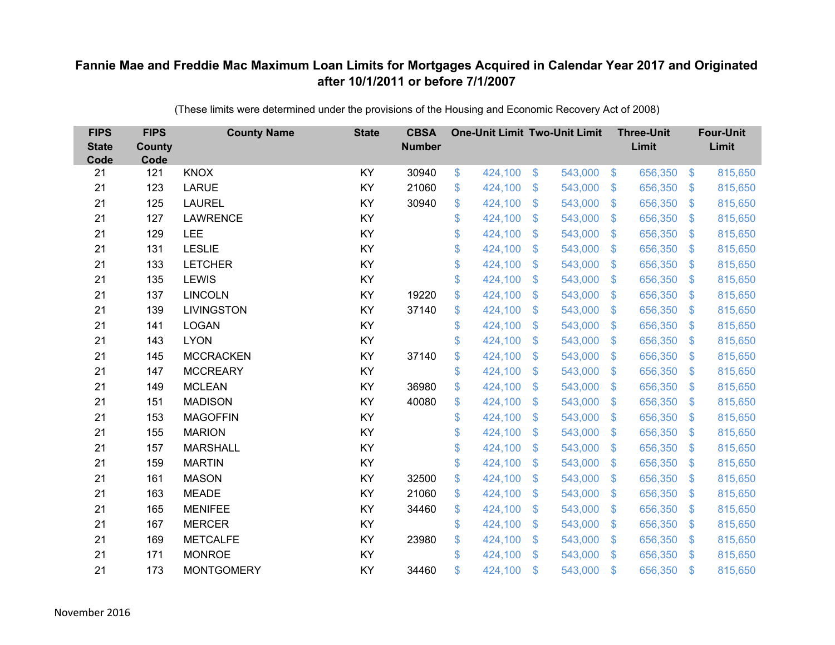| <b>FIPS</b><br><b>State</b><br>Code | <b>FIPS</b><br><b>County</b><br>Code | <b>County Name</b> | <b>State</b> | <b>CBSA</b><br><b>Number</b> | <b>One-Unit Limit Two-Unit Limit</b> |                |         |                | <b>Three-Unit</b><br>Limit |                           | <b>Four-Unit</b><br>Limit |
|-------------------------------------|--------------------------------------|--------------------|--------------|------------------------------|--------------------------------------|----------------|---------|----------------|----------------------------|---------------------------|---------------------------|
| 21                                  | 121                                  | <b>KNOX</b>        | KY           | 30940                        | \$<br>424,100                        | \$             | 543,000 | $\sqrt[3]{5}$  | 656,350                    | $\frac{1}{2}$             | 815,650                   |
| 21                                  | 123                                  | <b>LARUE</b>       | KY           | 21060                        | \$<br>424,100                        | $\mathcal{S}$  | 543,000 | $\mathbf{\$}$  | 656,350                    | $\mathcal{S}$             | 815,650                   |
| 21                                  | 125                                  | <b>LAUREL</b>      | KY           | 30940                        | \$<br>424,100                        | \$             | 543,000 | $\sqrt{3}$     | 656,350                    | $\boldsymbol{\mathsf{S}}$ | 815,650                   |
| 21                                  | 127                                  | <b>LAWRENCE</b>    | KY           |                              | \$<br>424,100                        | \$             | 543,000 | $\sqrt{3}$     | 656,350                    | $\mathcal{L}$             | 815,650                   |
| 21                                  | 129                                  | LEE                | KY           |                              | \$<br>424,100                        | $\mathsf{\$}$  | 543,000 | $\mathfrak{S}$ | 656,350                    | $\mathfrak{F}$            | 815,650                   |
| 21                                  | 131                                  | <b>LESLIE</b>      | KY           |                              | \$<br>424,100                        | \$             | 543,000 | $\mathbf{\$}$  | 656,350                    | $\mathcal{S}$             | 815,650                   |
| 21                                  | 133                                  | <b>LETCHER</b>     | KY           |                              | \$<br>424,100                        | $\mathfrak{S}$ | 543,000 | $\mathbf{\$}$  | 656,350                    | $\boldsymbol{\mathsf{S}}$ | 815,650                   |
| 21                                  | 135                                  | <b>LEWIS</b>       | KY           |                              | \$<br>424,100                        | \$             | 543,000 | \$             | 656,350                    | $\mathcal{L}$             | 815,650                   |
| 21                                  | 137                                  | <b>LINCOLN</b>     | KY           | 19220                        | \$<br>424,100                        | \$             | 543,000 | \$             | 656,350                    | $\boldsymbol{\mathsf{S}}$ | 815,650                   |
| 21                                  | 139                                  | <b>LIVINGSTON</b>  | KY           | 37140                        | \$<br>424,100                        | \$             | 543,000 | $\mathfrak{S}$ | 656,350                    | $\mathcal{S}$             | 815,650                   |
| 21                                  | 141                                  | <b>LOGAN</b>       | KY           |                              | \$<br>424,100                        | \$             | 543,000 | \$             | 656,350                    | $\mathcal{L}$             | 815,650                   |
| 21                                  | 143                                  | <b>LYON</b>        | KY           |                              | \$<br>424,100                        | $\mathcal{S}$  | 543,000 | $\mathfrak{S}$ | 656,350                    | $\mathbf{\$}$             | 815,650                   |
| 21                                  | 145                                  | <b>MCCRACKEN</b>   | KY           | 37140                        | \$<br>424,100                        | \$             | 543,000 | \$             | 656,350                    | $\mathcal{L}$             | 815,650                   |
| 21                                  | 147                                  | <b>MCCREARY</b>    | KY           |                              | \$<br>424,100                        | \$             | 543,000 | \$.            | 656,350                    | $\mathbf{\$}$             | 815,650                   |
| 21                                  | 149                                  | <b>MCLEAN</b>      | KY           | 36980                        | \$<br>424,100                        | $\mathfrak{F}$ | 543,000 | \$             | 656,350                    | $\frac{1}{2}$             | 815,650                   |
| 21                                  | 151                                  | <b>MADISON</b>     | KY           | 40080                        | \$<br>424,100                        | \$             | 543,000 | $\mathfrak{S}$ | 656,350                    | $\mathcal{L}$             | 815,650                   |
| 21                                  | 153                                  | <b>MAGOFFIN</b>    | KY           |                              | \$<br>424,100                        | \$             | 543,000 | $\sqrt{3}$     | 656,350                    | $\mathfrak{S}$            | 815,650                   |
| 21                                  | 155                                  | <b>MARION</b>      | KY           |                              | \$<br>424,100                        | $\mathfrak{F}$ | 543,000 | \$.            | 656,350                    | $\mathcal{L}$             | 815,650                   |
| 21                                  | 157                                  | <b>MARSHALL</b>    | KY           |                              | \$<br>424,100                        | \$             | 543,000 | $\mathbf{\$}$  | 656,350                    | $\mathfrak{S}$            | 815,650                   |
| 21                                  | 159                                  | <b>MARTIN</b>      | KY           |                              | \$<br>424,100                        | \$             | 543,000 | \$             | 656,350                    | $\mathcal{L}$             | 815,650                   |
| 21                                  | 161                                  | <b>MASON</b>       | KY           | 32500                        | \$<br>424,100                        | $\mathfrak{S}$ | 543,000 | $\sqrt{3}$     | 656,350                    | $\mathcal{S}$             | 815,650                   |
| 21                                  | 163                                  | <b>MEADE</b>       | KY           | 21060                        | \$<br>424,100                        | \$             | 543,000 | \$             | 656,350                    | $\boldsymbol{\mathsf{S}}$ | 815,650                   |
| 21                                  | 165                                  | <b>MENIFEE</b>     | KY           | 34460                        | \$<br>424,100                        | \$             | 543,000 | $\sqrt{3}$     | 656,350                    | $\boldsymbol{\mathsf{S}}$ | 815,650                   |
| 21                                  | 167                                  | <b>MERCER</b>      | KY           |                              | \$<br>424,100                        | \$             | 543,000 | $\frac{1}{2}$  | 656,350                    | $\mathfrak{F}$            | 815,650                   |
| 21                                  | 169                                  | <b>METCALFE</b>    | KY           | 23980                        | \$<br>424,100                        | \$             | 543,000 | $\mathcal{S}$  | 656,350                    | $\mathcal{L}$             | 815,650                   |
| 21                                  | 171                                  | <b>MONROE</b>      | KY           |                              | \$<br>424,100                        | $\mathfrak{S}$ | 543,000 | \$             | 656,350                    | $\mathfrak{s}$            | 815,650                   |
| 21                                  | 173                                  | <b>MONTGOMERY</b>  | KY           | 34460                        | \$<br>424,100                        | \$             | 543,000 | \$             | 656,350                    | $\mathfrak{s}$            | 815,650                   |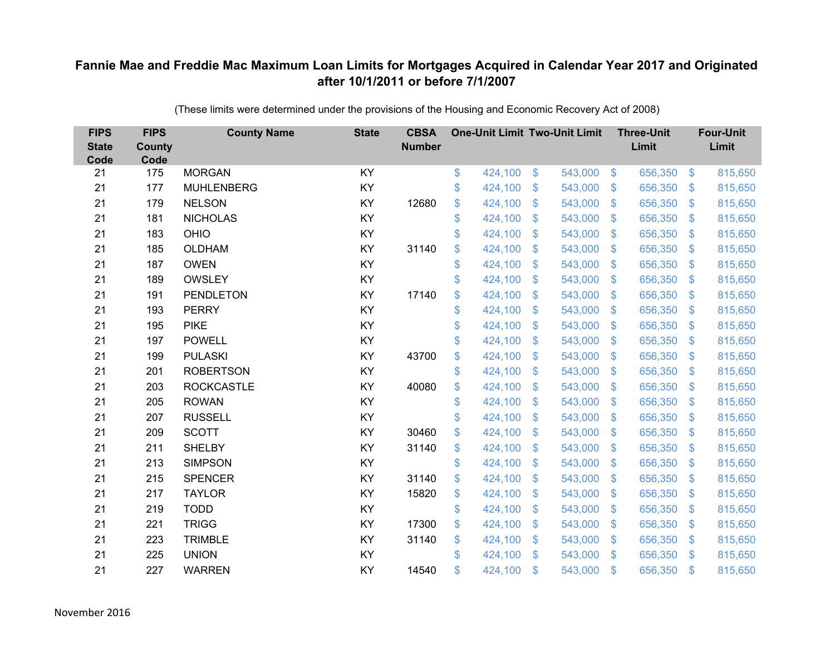| <b>FIPS</b><br><b>State</b><br>Code | <b>FIPS</b><br><b>County</b><br>Code | <b>County Name</b> | <b>State</b> | <b>CBSA</b><br><b>Number</b> | <b>One-Unit Limit Two-Unit Limit</b> |                |         |                           | <b>Three-Unit</b><br>Limit |                           | <b>Four-Unit</b><br>Limit |
|-------------------------------------|--------------------------------------|--------------------|--------------|------------------------------|--------------------------------------|----------------|---------|---------------------------|----------------------------|---------------------------|---------------------------|
| 21                                  | 175                                  | <b>MORGAN</b>      | KY           |                              | \$<br>424,100                        | \$             | 543,000 | $\sqrt[6]{3}$             | 656,350                    | $\frac{3}{2}$             | 815,650                   |
| 21                                  | 177                                  | <b>MUHLENBERG</b>  | KY           |                              | \$<br>424,100                        | \$             | 543,000 | \$                        | 656,350                    | $\mathfrak{S}$            | 815,650                   |
| 21                                  | 179                                  | <b>NELSON</b>      | KY           | 12680                        | \$<br>424,100                        | $\mathfrak{S}$ | 543,000 | $\mathfrak{F}$            | 656,350                    | $\mathfrak{S}$            | 815,650                   |
| 21                                  | 181                                  | <b>NICHOLAS</b>    | KY           |                              | \$<br>424,100                        | \$             | 543,000 | $\mathcal{L}$             | 656,350                    | $\mathfrak{S}$            | 815,650                   |
| 21                                  | 183                                  | <b>OHIO</b>        | KY           |                              | \$<br>424,100                        | \$             | 543,000 | $\mathfrak{F}$            | 656,350                    | $\mathbb{S}$              | 815,650                   |
| 21                                  | 185                                  | <b>OLDHAM</b>      | KY           | 31140                        | \$<br>424,100                        | $\mathfrak{S}$ | 543,000 | $\mathfrak{F}$            | 656,350                    | $\mathbb{S}$              | 815,650                   |
| 21                                  | 187                                  | <b>OWEN</b>        | KY           |                              | \$<br>424,100                        | \$             | 543,000 | $\mathfrak{F}$            | 656,350                    | $\mathcal{L}$             | 815,650                   |
| 21                                  | 189                                  | <b>OWSLEY</b>      | KY           |                              | \$<br>424,100                        | \$             | 543,000 | $\mathfrak{F}$            | 656,350                    | $\mathfrak{S}$            | 815,650                   |
| 21                                  | 191                                  | <b>PENDLETON</b>   | KY           | 17140                        | \$<br>424,100                        | $\mathfrak{S}$ | 543,000 | $\mathfrak{F}$            | 656,350                    | $\mathfrak{s}$            | 815,650                   |
| 21                                  | 193                                  | <b>PERRY</b>       | KY           |                              | \$<br>424,100                        | \$             | 543,000 | S.                        | 656,350                    | $\mathfrak{S}$            | 815,650                   |
| 21                                  | 195                                  | <b>PIKE</b>        | KY           |                              | \$<br>424,100                        | $\mathfrak{S}$ | 543,000 | $\mathbb{S}$              | 656,350                    | $\mathfrak{S}$            | 815,650                   |
| 21                                  | 197                                  | <b>POWELL</b>      | KY           |                              | \$<br>424,100                        | $\mathfrak{S}$ | 543,000 | $\mathfrak{F}$            | 656,350                    | $\mathbb{S}$              | 815,650                   |
| 21                                  | 199                                  | <b>PULASKI</b>     | KY           | 43700                        | \$<br>424,100                        | \$             | 543,000 | $\mathbf{\$}$             | 656,350                    | \$                        | 815,650                   |
| 21                                  | 201                                  | <b>ROBERTSON</b>   | KY           |                              | \$<br>424,100                        | \$             | 543,000 | S.                        | 656,350                    | $\mathfrak{S}$            | 815,650                   |
| 21                                  | 203                                  | <b>ROCKCASTLE</b>  | KY           | 40080                        | \$<br>424,100                        | \$             | 543,000 | $\mathfrak{S}$            | 656,350                    | $\mathfrak{S}$            | 815,650                   |
| 21                                  | 205                                  | <b>ROWAN</b>       | KY           |                              | \$<br>424,100                        | \$             | 543,000 | $\boldsymbol{\mathsf{S}}$ | 656,350                    | $\mathfrak{S}$            | 815,650                   |
| 21                                  | 207                                  | <b>RUSSELL</b>     | KY           |                              | \$<br>424,100                        | $\mathfrak{S}$ | 543,000 | $\mathfrak{F}$            | 656,350                    | $\mathbb{S}$              | 815,650                   |
| 21                                  | 209                                  | <b>SCOTT</b>       | <b>KY</b>    | 30460                        | \$<br>424,100                        | \$             | 543,000 | $\boldsymbol{\mathsf{S}}$ | 656,350                    | $\mathfrak{S}$            | 815,650                   |
| 21                                  | 211                                  | <b>SHELBY</b>      | KY           | 31140                        | \$<br>424,100                        | \$             | 543,000 | S.                        | 656,350                    | $\mathfrak{S}$            | 815,650                   |
| 21                                  | 213                                  | <b>SIMPSON</b>     | KY           |                              | \$<br>424,100                        | $\mathfrak{S}$ | 543,000 | $\mathfrak{F}$            | 656,350                    | $\mathfrak{F}$            | 815,650                   |
| 21                                  | 215                                  | <b>SPENCER</b>     | KY           | 31140                        | \$<br>424,100                        | \$             | 543,000 | $\mathcal{S}$             | 656,350                    | $\mathfrak{S}$            | 815,650                   |
| 21                                  | 217                                  | <b>TAYLOR</b>      | KY           | 15820                        | \$<br>424,100                        | \$             | 543,000 | $\mathbf{\$}$             | 656,350                    | $\mathfrak{S}$            | 815,650                   |
| 21                                  | 219                                  | <b>TODD</b>        | KY           |                              | \$<br>424,100                        | \$             | 543,000 | $\mathbb{S}$              | 656,350                    | $\mathfrak{S}$            | 815,650                   |
| 21                                  | 221                                  | <b>TRIGG</b>       | KY           | 17300                        | \$<br>424,100                        | \$             | 543,000 | $\mathcal{L}$             | 656,350                    | $\boldsymbol{\mathsf{S}}$ | 815,650                   |
| 21                                  | 223                                  | <b>TRIMBLE</b>     | KY           | 31140                        | \$<br>424,100                        | \$             | 543,000 | $\mathcal{S}$             | 656,350                    | $\mathfrak{S}$            | 815,650                   |
| 21                                  | 225                                  | <b>UNION</b>       | KY           |                              | \$<br>424,100                        | $\mathfrak{S}$ | 543,000 | $\mathbf{\$}$             | 656,350                    | <sup>\$</sup>             | 815,650                   |
| 21                                  | 227                                  | <b>WARREN</b>      | KY           | 14540                        | \$<br>424,100                        | \$             | 543,000 | $\mathfrak{s}$            | 656,350                    | $\mathbf{\$}$             | 815,650                   |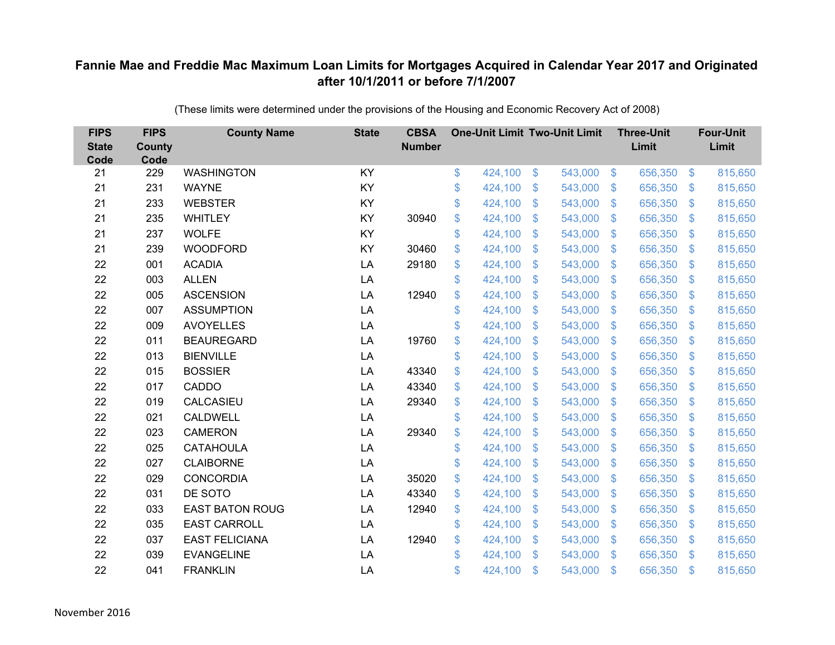| <b>FIPS</b><br><b>State</b><br>Code | <b>FIPS</b><br><b>County</b><br>Code | <b>County Name</b>     | <b>State</b> | <b>CBSA</b><br><b>Number</b> | <b>One-Unit Limit Two-Unit Limit</b> |                |         |                         | <b>Three-Unit</b><br>Limit |                | <b>Four-Unit</b><br>Limit |
|-------------------------------------|--------------------------------------|------------------------|--------------|------------------------------|--------------------------------------|----------------|---------|-------------------------|----------------------------|----------------|---------------------------|
| 21                                  | 229                                  | <b>WASHINGTON</b>      | KY           |                              | \$<br>424,100                        | $\frac{3}{2}$  | 543,000 | $\sqrt[3]{5}$           | 656,350                    | $\frac{3}{2}$  | 815,650                   |
| 21                                  | 231                                  | <b>WAYNE</b>           | KY           |                              | \$<br>424,100                        | \$             | 543,000 | \$                      | 656,350                    | $\mathcal{L}$  | 815,650                   |
| 21                                  | 233                                  | <b>WEBSTER</b>         | KY           |                              | \$<br>424,100                        | $\mathbb{S}$   | 543,000 | $\mathbb{S}$            | 656,350                    | $\mathbb{S}$   | 815,650                   |
| 21                                  | 235                                  | <b>WHITLEY</b>         | KY           | 30940                        | \$<br>424,100                        | \$             | 543,000 | $\sqrt[6]{3}$           | 656,350                    | \$             | 815,650                   |
| 21                                  | 237                                  | <b>WOLFE</b>           | KY           |                              | \$<br>424,100                        | \$             | 543,000 | $\mathcal{L}$           | 656,350                    | $\mathfrak{F}$ | 815,650                   |
| 21                                  | 239                                  | <b>WOODFORD</b>        | KY           | 30460                        | \$<br>424,100                        | $\mathfrak{S}$ | 543,000 | -\$                     | 656,350                    | $\mathfrak{F}$ | 815,650                   |
| 22                                  | 001                                  | <b>ACADIA</b>          | LA           | 29180                        | \$<br>424,100                        | $\mathfrak{S}$ | 543,000 | $\mathfrak{F}$          | 656,350                    | $\mathfrak{S}$ | 815,650                   |
| 22                                  | 003                                  | <b>ALLEN</b>           | LA           |                              | \$<br>424,100                        | \$             | 543,000 | $\sqrt[6]{3}$           | 656,350                    | $\mathfrak{F}$ | 815,650                   |
| 22                                  | 005                                  | <b>ASCENSION</b>       | LA           | 12940                        | \$<br>424,100                        | \$             | 543,000 | $\mathcal{S}$           | 656,350                    | $\mathfrak{S}$ | 815,650                   |
| 22                                  | 007                                  | <b>ASSUMPTION</b>      | LA           |                              | \$<br>424,100                        | $\mathfrak{S}$ | 543,000 | $\mathbf{\$}$           | 656,350                    | $\mathfrak{S}$ | 815,650                   |
| 22                                  | 009                                  | <b>AVOYELLES</b>       | LA           |                              | \$<br>424,100                        | $\mathfrak{S}$ | 543,000 | $\sqrt[6]{3}$           | 656,350                    | \$             | 815,650                   |
| 22                                  | 011                                  | <b>BEAUREGARD</b>      | LA           | 19760                        | \$<br>424,100                        | \$             | 543,000 | $\mathbb{S}$            | 656,350                    | \$             | 815,650                   |
| 22                                  | 013                                  | <b>BIENVILLE</b>       | LA           |                              | \$<br>424,100                        | $\mathfrak{S}$ | 543,000 | $\mathcal{S}$           | 656,350                    | $\mathfrak{S}$ | 815,650                   |
| 22                                  | 015                                  | <b>BOSSIER</b>         | LA           | 43340                        | \$<br>424,100                        | \$             | 543,000 | $\mathbb{S}$            | 656,350                    | $\mathcal{L}$  | 815,650                   |
| 22                                  | 017                                  | CADDO                  | LA           | 43340                        | \$<br>424,100                        | $\mathfrak{S}$ | 543,000 | \$                      | 656,350                    | \$             | 815,650                   |
| 22                                  | 019                                  | CALCASIEU              | LA           | 29340                        | \$<br>424,100                        | $\mathfrak{S}$ | 543,000 | \$                      | 656,350                    | \$.            | 815,650                   |
| 22                                  | 021                                  | <b>CALDWELL</b>        | LA           |                              | \$<br>424,100                        | \$             | 543,000 | $\sqrt[6]{\frac{1}{2}}$ | 656,350                    | \$             | 815,650                   |
| 22                                  | 023                                  | <b>CAMERON</b>         | LA           | 29340                        | \$<br>424,100                        | $\mathbb{S}$   | 543,000 | $\mathbb{S}$            | 656,350                    | \$.            | 815,650                   |
| 22                                  | 025                                  | <b>CATAHOULA</b>       | LA           |                              | \$<br>424,100                        | \$             | 543,000 | $\mathbb{S}$            | 656,350                    | $\mathbb{S}$   | 815,650                   |
| 22                                  | 027                                  | <b>CLAIBORNE</b>       | LA           |                              | \$<br>424,100                        | \$             | 543,000 | $\sqrt[6]{\frac{1}{2}}$ | 656,350                    | \$             | 815,650                   |
| 22                                  | 029                                  | <b>CONCORDIA</b>       | LA           | 35020                        | \$<br>424,100                        | \$             | 543,000 | $\mathbb{S}$            | 656,350                    | $\mathcal{L}$  | 815,650                   |
| 22                                  | 031                                  | DE SOTO                | LA           | 43340                        | \$<br>424,100                        | \$             | 543,000 | $\mathbb{S}$            | 656,350                    | \$.            | 815,650                   |
| 22                                  | 033                                  | <b>EAST BATON ROUG</b> | LA           | 12940                        | \$<br>424,100                        | \$             | 543,000 | $\sqrt[6]{\frac{1}{2}}$ | 656,350                    | $\frac{1}{2}$  | 815,650                   |
| 22                                  | 035                                  | <b>EAST CARROLL</b>    | LA           |                              | \$<br>424,100                        | \$             | 543,000 | $\mathcal{L}$           | 656,350                    | \$             | 815,650                   |
| 22                                  | 037                                  | <b>EAST FELICIANA</b>  | LA           | 12940                        | \$<br>424,100                        | \$             | 543,000 | \$                      | 656,350                    | \$             | 815,650                   |
| 22                                  | 039                                  | <b>EVANGELINE</b>      | LA           |                              | \$<br>424,100                        | \$             | 543,000 | $\mathfrak{F}$          | 656,350                    | \$             | 815,650                   |
| 22                                  | 041                                  | <b>FRANKLIN</b>        | LA           |                              | \$<br>424,100                        | \$             | 543,000 | $\mathfrak{s}$          | 656,350                    | \$             | 815,650                   |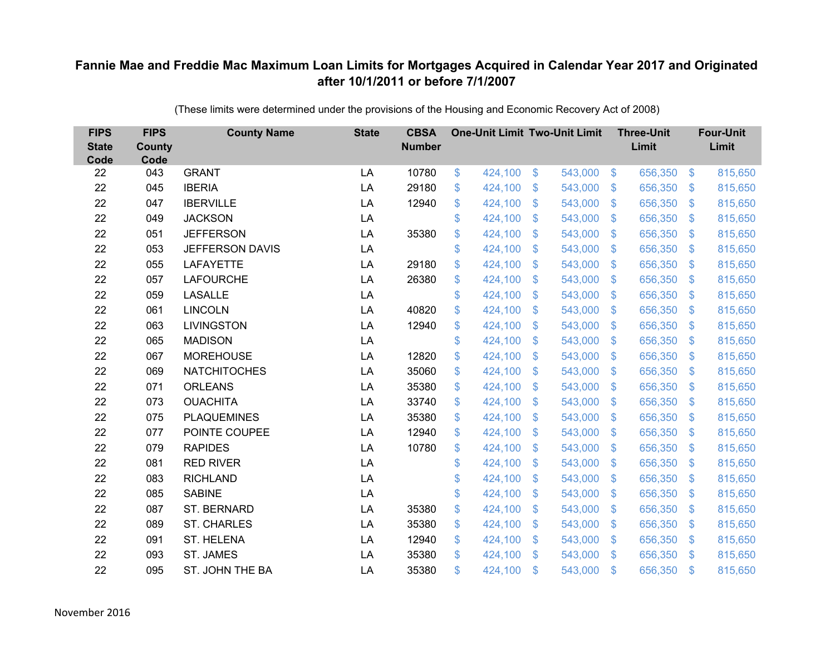| <b>FIPS</b><br><b>State</b><br>Code | <b>FIPS</b><br><b>County</b><br>Code | <b>County Name</b>     | <b>State</b> | <b>CBSA</b><br><b>Number</b> | <b>One-Unit Limit Two-Unit Limit</b> |                           |         |                | <b>Three-Unit</b><br>Limit |                | <b>Four-Unit</b><br>Limit |
|-------------------------------------|--------------------------------------|------------------------|--------------|------------------------------|--------------------------------------|---------------------------|---------|----------------|----------------------------|----------------|---------------------------|
| 22                                  | 043                                  | <b>GRANT</b>           | LA           | 10780                        | \$<br>424,100                        | $\$\$                     | 543,000 | $\sqrt[6]{3}$  | 656,350                    | $\sqrt[6]{3}$  | 815,650                   |
| 22                                  | 045                                  | <b>IBERIA</b>          | LA           | 29180                        | \$<br>424,100                        | \$                        | 543,000 | $\mathcal{S}$  | 656,350                    | S.             | 815,650                   |
| 22                                  | 047                                  | <b>IBERVILLE</b>       | LA           | 12940                        | \$<br>424,100                        | $\mathcal{S}$             | 543,000 | $\mathcal{S}$  | 656,350                    | $\mathbb{S}$   | 815,650                   |
| 22                                  | 049                                  | <b>JACKSON</b>         | LA           |                              | \$<br>424,100                        | $\boldsymbol{\mathsf{S}}$ | 543,000 | $\sqrt[6]{3}$  | 656,350                    | $\mathfrak{S}$ | 815,650                   |
| 22                                  | 051                                  | <b>JEFFERSON</b>       | LA           | 35380                        | \$<br>424,100                        | $\boldsymbol{\mathsf{S}}$ | 543,000 | $\mathcal{S}$  | 656,350                    | $\mathbb{S}$   | 815,650                   |
| 22                                  | 053                                  | <b>JEFFERSON DAVIS</b> | LA           |                              | \$<br>424,100                        | $\mathfrak{S}$            | 543,000 | $\mathcal{S}$  | 656,350                    | $\mathbb{S}$   | 815,650                   |
| 22                                  | 055                                  | <b>LAFAYETTE</b>       | LA           | 29180                        | \$<br>424,100                        | $\mathfrak{F}$            | 543,000 | $\mathcal{S}$  | 656,350                    | S.             | 815,650                   |
| 22                                  | 057                                  | <b>LAFOURCHE</b>       | LA           | 26380                        | \$<br>424,100                        | \$                        | 543,000 | $\mathcal{S}$  | 656,350                    | $\mathcal{S}$  | 815,650                   |
| 22                                  | 059                                  | <b>LASALLE</b>         | LA           |                              | \$<br>424,100                        | \$                        | 543,000 | $\mathcal{S}$  | 656,350                    | $\mathbb{S}$   | 815,650                   |
| 22                                  | 061                                  | <b>LINCOLN</b>         | LA           | 40820                        | \$<br>424,100                        | \$                        | 543,000 | $\mathbb{S}$   | 656,350                    | S.             | 815,650                   |
| 22                                  | 063                                  | <b>LIVINGSTON</b>      | LA           | 12940                        | \$<br>424,100                        | \$                        | 543,000 | $\mathfrak{S}$ | 656,350                    | $\mathbb{S}$   | 815,650                   |
| 22                                  | 065                                  | <b>MADISON</b>         | LA           |                              | \$<br>424,100                        | $\mathfrak{S}$            | 543,000 | $\mathfrak{S}$ | 656,350                    | S.             | 815,650                   |
| 22                                  | 067                                  | <b>MOREHOUSE</b>       | LA           | 12820                        | \$<br>424,100                        | \$                        | 543,000 | $\mathcal{S}$  | 656,350                    | S.             | 815,650                   |
| 22                                  | 069                                  | <b>NATCHITOCHES</b>    | LA           | 35060                        | \$<br>424,100                        | \$                        | 543,000 | $\mathcal{S}$  | 656,350                    | S.             | 815,650                   |
| 22                                  | 071                                  | <b>ORLEANS</b>         | LA           | 35380                        | \$<br>424,100                        | \$                        | 543,000 | $\sqrt{3}$     | 656,350                    | $\sqrt[6]{3}$  | 815,650                   |
| 22                                  | 073                                  | <b>OUACHITA</b>        | LA           | 33740                        | \$<br>424,100                        | $\boldsymbol{\mathsf{S}}$ | 543,000 | $\mathcal{S}$  | 656,350                    | $\sqrt[6]{3}$  | 815,650                   |
| 22                                  | 075                                  | <b>PLAQUEMINES</b>     | LA           | 35380                        | \$<br>424,100                        | $\mathcal{S}$             | 543,000 | $\mathcal{S}$  | 656,350                    | S.             | 815,650                   |
| 22                                  | 077                                  | POINTE COUPEE          | LA           | 12940                        | \$<br>424,100                        | $\boldsymbol{\mathsf{S}}$ | 543,000 | $\mathcal{S}$  | 656,350                    | $\sqrt[6]{3}$  | 815,650                   |
| 22                                  | 079                                  | <b>RAPIDES</b>         | LA           | 10780                        | \$<br>424,100                        | $\boldsymbol{\mathsf{S}}$ | 543,000 | $\sqrt{3}$     | 656,350                    | $\mathbf{\$}$  | 815,650                   |
| 22                                  | 081                                  | <b>RED RIVER</b>       | LA           |                              | \$<br>424,100                        | $\boldsymbol{\mathsf{S}}$ | 543,000 | $\mathfrak{S}$ | 656,350                    | $\mathbb{S}$   | 815,650                   |
| 22                                  | 083                                  | <b>RICHLAND</b>        | LA           |                              | \$<br>424,100                        | $\boldsymbol{\mathsf{S}}$ | 543,000 | $\sqrt[6]{3}$  | 656,350                    | $\mathfrak{S}$ | 815,650                   |
| 22                                  | 085                                  | <b>SABINE</b>          | LA           |                              | \$<br>424,100                        | $\mathcal{S}$             | 543,000 | $\mathcal{S}$  | 656,350                    | S.             | 815,650                   |
| 22                                  | 087                                  | ST. BERNARD            | LA           | 35380                        | \$<br>424,100                        | $\boldsymbol{\mathsf{S}}$ | 543,000 | $\mathcal{S}$  | 656,350                    | $\mathbb{S}$   | 815,650                   |
| 22                                  | 089                                  | <b>ST. CHARLES</b>     | LA           | 35380                        | \$<br>424,100                        | $\boldsymbol{\mathsf{S}}$ | 543,000 | $\sqrt{3}$     | 656,350                    | $\mathcal{S}$  | 815,650                   |
| 22                                  | 091                                  | ST. HELENA             | LA           | 12940                        | \$<br>424,100                        | $\boldsymbol{\mathsf{S}}$ | 543,000 | $\mathcal{S}$  | 656,350                    | S.             | 815,650                   |
| 22                                  | 093                                  | ST. JAMES              | LA           | 35380                        | \$<br>424,100                        | $\mathcal{S}$             | 543,000 | $\mathbb{S}$   | 656,350                    | $\mathfrak{L}$ | 815,650                   |
| 22                                  | 095                                  | ST. JOHN THE BA        | LA           | 35380                        | \$<br>424,100                        | $\mathfrak{s}$            | 543,000 | \$             | 656,350                    | $\mathfrak{L}$ | 815,650                   |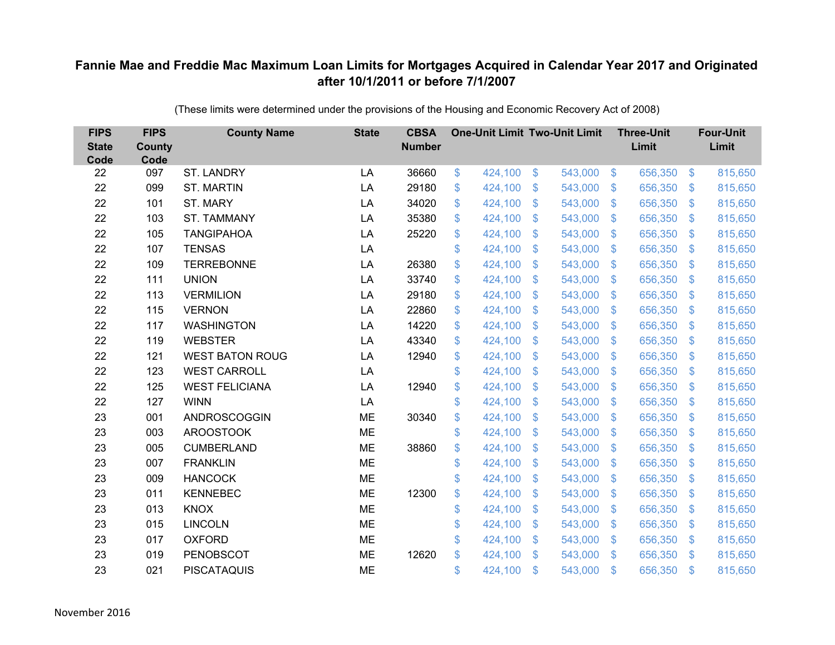| <b>FIPS</b><br><b>State</b><br>Code | <b>FIPS</b><br><b>County</b><br>Code | <b>County Name</b>     | <b>State</b> | <b>CBSA</b><br><b>Number</b> | <b>One-Unit Limit Two-Unit Limit</b> |                           |         |                | <b>Three-Unit</b><br>Limit |                | <b>Four-Unit</b><br>Limit |
|-------------------------------------|--------------------------------------|------------------------|--------------|------------------------------|--------------------------------------|---------------------------|---------|----------------|----------------------------|----------------|---------------------------|
| 22                                  | 097                                  | <b>ST. LANDRY</b>      | LA           | 36660                        | \$<br>424,100                        | $\$\$                     | 543,000 | $\sqrt[6]{3}$  | 656,350                    | $\sqrt[6]{3}$  | 815,650                   |
| 22                                  | 099                                  | <b>ST. MARTIN</b>      | LA           | 29180                        | \$<br>424,100                        | \$                        | 543,000 | $\mathcal{S}$  | 656,350                    | S.             | 815,650                   |
| 22                                  | 101                                  | ST. MARY               | LA           | 34020                        | \$<br>424,100                        | $\mathfrak{s}$            | 543,000 | $\mathcal{S}$  | 656,350                    | S.             | 815,650                   |
| 22                                  | 103                                  | <b>ST. TAMMANY</b>     | LA           | 35380                        | \$<br>424,100                        | $\boldsymbol{\mathsf{S}}$ | 543,000 | $\sqrt[6]{3}$  | 656,350                    | $\mathfrak{S}$ | 815,650                   |
| 22                                  | 105                                  | <b>TANGIPAHOA</b>      | LA           | 25220                        | \$<br>424,100                        | $\boldsymbol{\mathsf{S}}$ | 543,000 | $\mathcal{S}$  | 656,350                    | S.             | 815,650                   |
| 22                                  | 107                                  | <b>TENSAS</b>          | LA           |                              | \$<br>424,100                        | $\mathfrak{S}$            | 543,000 | $\mathcal{S}$  | 656,350                    | S.             | 815,650                   |
| 22                                  | 109                                  | <b>TERREBONNE</b>      | LA           | 26380                        | \$<br>424,100                        | $\mathfrak{F}$            | 543,000 | $\mathcal{S}$  | 656,350                    | S.             | 815,650                   |
| 22                                  | 111                                  | <b>UNION</b>           | LA           | 33740                        | \$<br>424,100                        | \$                        | 543,000 | $\sqrt[6]{3}$  | 656,350                    | $\mathcal{S}$  | 815,650                   |
| 22                                  | 113                                  | <b>VERMILION</b>       | LA           | 29180                        | \$<br>424,100                        | \$                        | 543,000 | $\mathcal{S}$  | 656,350                    | $\mathbb{S}$   | 815,650                   |
| 22                                  | 115                                  | <b>VERNON</b>          | LA           | 22860                        | \$<br>424,100                        | \$                        | 543,000 | $\mathbb{S}$   | 656,350                    | S.             | 815,650                   |
| 22                                  | 117                                  | <b>WASHINGTON</b>      | LA           | 14220                        | \$<br>424,100                        | \$                        | 543,000 | $\mathfrak{S}$ | 656,350                    | S.             | 815,650                   |
| 22                                  | 119                                  | <b>WEBSTER</b>         | LA           | 43340                        | \$<br>424,100                        | $\mathfrak{S}$            | 543,000 | $\mathfrak{S}$ | 656,350                    | S.             | 815,650                   |
| 22                                  | 121                                  | <b>WEST BATON ROUG</b> | LA           | 12940                        | \$<br>424,100                        | \$                        | 543,000 | $\mathcal{S}$  | 656,350                    | S.             | 815,650                   |
| 22                                  | 123                                  | <b>WEST CARROLL</b>    | LA           |                              | \$<br>424,100                        | \$                        | 543,000 | $\mathcal{S}$  | 656,350                    | S.             | 815,650                   |
| 22                                  | 125                                  | <b>WEST FELICIANA</b>  | LA           | 12940                        | \$<br>424,100                        | \$                        | 543,000 | $\sqrt{3}$     | 656,350                    | $\mathcal{S}$  | 815,650                   |
| 22                                  | 127                                  | <b>WINN</b>            | LA           |                              | \$<br>424,100                        | $\boldsymbol{\mathsf{S}}$ | 543,000 | $\mathcal{S}$  | 656,350                    | $\mathcal{S}$  | 815,650                   |
| 23                                  | 001                                  | ANDROSCOGGIN           | <b>ME</b>    | 30340                        | \$<br>424,100                        | $\mathfrak{s}$            | 543,000 | $\mathcal{S}$  | 656,350                    | S.             | 815,650                   |
| 23                                  | 003                                  | <b>AROOSTOOK</b>       | ME           |                              | \$<br>424,100                        | $\boldsymbol{\mathsf{S}}$ | 543,000 | $\mathfrak{S}$ | 656,350                    | $\sqrt[6]{3}$  | 815,650                   |
| 23                                  | 005                                  | <b>CUMBERLAND</b>      | <b>ME</b>    | 38860                        | \$<br>424,100                        | $\boldsymbol{\mathsf{S}}$ | 543,000 | $\sqrt[6]{3}$  | 656,350                    | $\mathbf{\$}$  | 815,650                   |
| 23                                  | 007                                  | <b>FRANKLIN</b>        | <b>ME</b>    |                              | \$<br>424,100                        | $\boldsymbol{\mathsf{S}}$ | 543,000 | $\mathfrak{S}$ | 656,350                    | $\mathbb{S}$   | 815,650                   |
| 23                                  | 009                                  | <b>HANCOCK</b>         | <b>ME</b>    |                              | \$<br>424,100                        | $\boldsymbol{\mathsf{S}}$ | 543,000 | $\sqrt[6]{3}$  | 656,350                    | $\mathfrak{S}$ | 815,650                   |
| 23                                  | 011                                  | <b>KENNEBEC</b>        | ME           | 12300                        | \$<br>424,100                        | $\boldsymbol{\mathsf{S}}$ | 543,000 | $\mathcal{S}$  | 656,350                    | S.             | 815,650                   |
| 23                                  | 013                                  | <b>KNOX</b>            | <b>ME</b>    |                              | \$<br>424,100                        | $\boldsymbol{\mathsf{S}}$ | 543,000 | $\mathcal{S}$  | 656,350                    | $\mathbb{S}$   | 815,650                   |
| 23                                  | 015                                  | <b>LINCOLN</b>         | <b>ME</b>    |                              | \$<br>424,100                        | $\boldsymbol{\mathsf{S}}$ | 543,000 | $\sqrt{3}$     | 656,350                    | $\mathcal{L}$  | 815,650                   |
| 23                                  | 017                                  | <b>OXFORD</b>          | <b>ME</b>    |                              | \$<br>424,100                        | $\boldsymbol{\mathsf{S}}$ | 543,000 | $\mathcal{S}$  | 656,350                    | S.             | 815,650                   |
| 23                                  | 019                                  | <b>PENOBSCOT</b>       | <b>ME</b>    | 12620                        | \$<br>424,100                        | $\mathfrak{s}$            | 543,000 | $\mathbb{S}$   | 656,350                    | $\mathfrak{L}$ | 815,650                   |
| 23                                  | 021                                  | <b>PISCATAQUIS</b>     | <b>ME</b>    |                              | \$<br>424,100                        | $\mathfrak{s}$            | 543,000 | \$             | 656,350                    | $\mathfrak{L}$ | 815,650                   |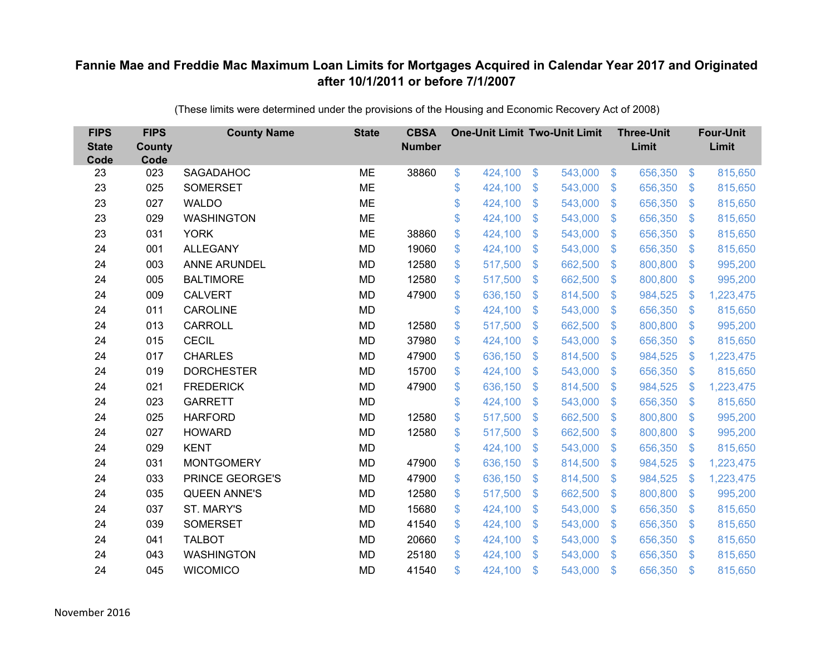| <b>FIPS</b><br><b>State</b><br>Code | <b>FIPS</b><br><b>County</b><br>Code | <b>County Name</b>  | <b>State</b> | <b>CBSA</b><br><b>Number</b> | <b>One-Unit Limit Two-Unit Limit</b> |                |         |                           | <b>Three-Unit</b><br>Limit |                           | <b>Four-Unit</b><br>Limit |
|-------------------------------------|--------------------------------------|---------------------|--------------|------------------------------|--------------------------------------|----------------|---------|---------------------------|----------------------------|---------------------------|---------------------------|
| 23                                  | 023                                  | SAGADAHOC           | <b>ME</b>    | 38860                        | \$<br>424,100                        | $\frac{1}{2}$  | 543,000 | $\sqrt[6]{3}$             | 656,350                    | $\sqrt{3}$                | 815,650                   |
| 23                                  | 025                                  | <b>SOMERSET</b>     | <b>ME</b>    |                              | \$<br>424,100                        | \$             | 543,000 | $\mathcal{S}$             | 656,350                    | $\mathfrak{S}$            | 815,650                   |
| 23                                  | 027                                  | <b>WALDO</b>        | <b>ME</b>    |                              | \$<br>424,100                        | $\mathfrak{S}$ | 543,000 | $\mathfrak{F}$            | 656,350                    | $\mathfrak{S}$            | 815,650                   |
| 23                                  | 029                                  | <b>WASHINGTON</b>   | <b>ME</b>    |                              | \$<br>424,100                        | \$             | 543,000 | $\mathfrak{F}$            | 656,350                    | $\mathfrak{S}$            | 815,650                   |
| 23                                  | 031                                  | <b>YORK</b>         | <b>ME</b>    | 38860                        | \$<br>424,100                        | \$             | 543,000 | $\mathfrak{F}$            | 656,350                    | $\mathbf{\$}$             | 815,650                   |
| 24                                  | 001                                  | <b>ALLEGANY</b>     | <b>MD</b>    | 19060                        | \$<br>424,100                        | \$             | 543,000 | $\mathbb{S}$              | 656,350                    | $\mathbb{S}$              | 815,650                   |
| 24                                  | 003                                  | <b>ANNE ARUNDEL</b> | <b>MD</b>    | 12580                        | \$<br>517,500                        | $\mathfrak{S}$ | 662,500 | $\mathfrak{F}$            | 800,800                    | $\mathfrak{S}$            | 995,200                   |
| 24                                  | 005                                  | <b>BALTIMORE</b>    | <b>MD</b>    | 12580                        | \$<br>517,500                        | $\mathfrak{F}$ | 662,500 | $\sqrt[6]{3}$             | 800,800                    | $\mathfrak{S}$            | 995,200                   |
| 24                                  | 009                                  | <b>CALVERT</b>      | <b>MD</b>    | 47900                        | \$<br>636,150                        | $\mathfrak{S}$ | 814,500 | $\mathcal{S}$             | 984,525                    | $\mathbb{S}$              | 1,223,475                 |
| 24                                  | 011                                  | <b>CAROLINE</b>     | <b>MD</b>    |                              | \$<br>424,100                        | $\mathfrak{S}$ | 543,000 | $\mathbb{S}$              | 656,350                    | $\mathbb{S}$              | 815,650                   |
| 24                                  | 013                                  | CARROLL             | <b>MD</b>    | 12580                        | \$<br>517,500                        | \$             | 662,500 | $\mathcal{S}$             | 800,800                    | $\mathfrak{S}$            | 995,200                   |
| 24                                  | 015                                  | <b>CECIL</b>        | <b>MD</b>    | 37980                        | \$<br>424,100                        | \$             | 543,000 | S.                        | 656,350                    | $\mathfrak{S}$            | 815,650                   |
| 24                                  | 017                                  | <b>CHARLES</b>      | <b>MD</b>    | 47900                        | \$<br>636,150                        | $\mathcal{S}$  | 814,500 | $\mathfrak{F}$            | 984,525                    | $\boldsymbol{\mathsf{S}}$ | 1,223,475                 |
| 24                                  | 019                                  | <b>DORCHESTER</b>   | MD           | 15700                        | \$<br>424,100                        | $\mathfrak{F}$ | 543,000 | S.                        | 656,350                    | $\mathfrak{S}$            | 815,650                   |
| 24                                  | 021                                  | <b>FREDERICK</b>    | <b>MD</b>    | 47900                        | \$<br>636,150                        | \$             | 814,500 | S.                        | 984,525                    | <sup>\$</sup>             | 1,223,475                 |
| 24                                  | 023                                  | <b>GARRETT</b>      | <b>MD</b>    |                              | \$<br>424,100                        | $\mathfrak{S}$ | 543,000 | $\mathbb{S}$              | 656,350                    | $\mathcal{L}$             | 815,650                   |
| 24                                  | 025                                  | <b>HARFORD</b>      | <b>MD</b>    | 12580                        | \$<br>517,500                        | \$             | 662,500 | $\mathfrak{S}$            | 800,800                    | $\sqrt[6]{3}$             | 995,200                   |
| 24                                  | 027                                  | <b>HOWARD</b>       | <b>MD</b>    | 12580                        | \$<br>517,500                        | \$             | 662,500 | S.                        | 800,800                    | $\mathbb{S}$              | 995,200                   |
| 24                                  | 029                                  | <b>KENT</b>         | <b>MD</b>    |                              | \$<br>424,100                        | $\mathcal{S}$  | 543,000 | $\mathbf{\$}$             | 656,350                    | $\sqrt[6]{3}$             | 815,650                   |
| 24                                  | 031                                  | <b>MONTGOMERY</b>   | <b>MD</b>    | 47900                        | \$<br>636,150                        | \$             | 814,500 | $\boldsymbol{\mathsf{S}}$ | 984,525                    | $\boldsymbol{\mathsf{S}}$ | 1,223,475                 |
| 24                                  | 033                                  | PRINCE GEORGE'S     | <b>MD</b>    | 47900                        | \$<br>636,150                        | $\mathfrak{F}$ | 814,500 | $\sqrt[6]{3}$             | 984,525                    | $\mathcal{L}$             | 1,223,475                 |
| 24                                  | 035                                  | <b>QUEEN ANNE'S</b> | <b>MD</b>    | 12580                        | \$<br>517,500                        | $\mathcal{S}$  | 662,500 | $\mathfrak{F}$            | 800,800                    | $\mathfrak{S}$            | 995,200                   |
| 24                                  | 037                                  | ST. MARY'S          | <b>MD</b>    | 15680                        | \$<br>424,100                        | \$             | 543,000 | $\mathbf{\$}$             | 656,350                    | $\mathfrak{S}$            | 815,650                   |
| 24                                  | 039                                  | <b>SOMERSET</b>     | <b>MD</b>    | 41540                        | \$<br>424,100                        | \$             | 543,000 | $\boldsymbol{\mathsf{S}}$ | 656,350                    | $\boldsymbol{\mathsf{S}}$ | 815,650                   |
| 24                                  | 041                                  | <b>TALBOT</b>       | <b>MD</b>    | 20660                        | \$<br>424,100                        | \$             | 543,000 | $\mathcal{S}$             | 656,350                    | $\mathfrak{S}$            | 815,650                   |
| 24                                  | 043                                  | <b>WASHINGTON</b>   | <b>MD</b>    | 25180                        | \$<br>424,100                        | $\mathcal{S}$  | 543,000 | $\mathbf{\$}$             | 656,350                    | $\mathbb{S}$              | 815,650                   |
| 24                                  | 045                                  | <b>WICOMICO</b>     | <b>MD</b>    | 41540                        | \$<br>424,100                        | \$             | 543,000 | \$                        | 656,350                    | $\mathbf{\$}$             | 815,650                   |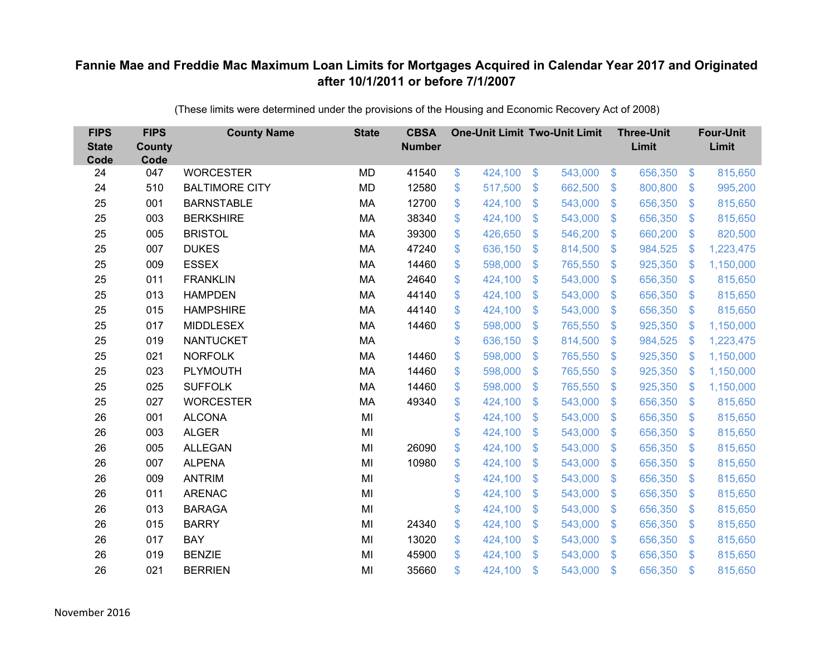| <b>FIPS</b><br><b>State</b><br>Code | <b>FIPS</b><br><b>County</b><br>Code | <b>County Name</b>    | <b>State</b> | <b>CBSA</b><br><b>Number</b> | <b>One-Unit Limit Two-Unit Limit</b> |                |         |                           | <b>Three-Unit</b><br>Limit |                           | <b>Four-Unit</b><br>Limit |
|-------------------------------------|--------------------------------------|-----------------------|--------------|------------------------------|--------------------------------------|----------------|---------|---------------------------|----------------------------|---------------------------|---------------------------|
| 24                                  | 047                                  | <b>WORCESTER</b>      | MD           | 41540                        | \$<br>424,100                        | $\frac{1}{2}$  | 543,000 | $\sqrt[6]{3}$             | 656,350                    | $\frac{3}{2}$             | 815,650                   |
| 24                                  | 510                                  | <b>BALTIMORE CITY</b> | <b>MD</b>    | 12580                        | \$<br>517,500                        | \$             | 662,500 | $\sqrt[6]{3}$             | 800,800                    | \$                        | 995,200                   |
| 25                                  | 001                                  | <b>BARNSTABLE</b>     | MA           | 12700                        | \$<br>424,100                        | \$             | 543,000 | $\frac{1}{2}$             | 656,350                    | $\sqrt[6]{3}$             | 815,650                   |
| 25                                  | 003                                  | <b>BERKSHIRE</b>      | MA           | 38340                        | \$<br>424,100                        | \$             | 543,000 | $\boldsymbol{\mathsf{S}}$ | 656,350                    | $\mathfrak{S}$            | 815,650                   |
| 25                                  | 005                                  | <b>BRISTOL</b>        | MA           | 39300                        | \$<br>426,650                        | \$             | 546,200 | $\mathfrak{F}$            | 660,200                    | $\mathfrak{S}$            | 820,500                   |
| 25                                  | 007                                  | <b>DUKES</b>          | MA           | 47240                        | \$<br>636,150                        | \$             | 814,500 | $\sqrt[6]{3}$             | 984,525                    | $\boldsymbol{\mathsf{S}}$ | 1,223,475                 |
| 25                                  | 009                                  | <b>ESSEX</b>          | MA           | 14460                        | \$<br>598,000                        | \$             | 765,550 | $\mathfrak{F}$            | 925,350                    | $\mathcal{L}$             | 1,150,000                 |
| 25                                  | 011                                  | <b>FRANKLIN</b>       | <b>MA</b>    | 24640                        | \$<br>424,100                        | $\mathfrak{S}$ | 543,000 | $\mathbb{S}$              | 656,350                    | $\sqrt[6]{3}$             | 815,650                   |
| 25                                  | 013                                  | <b>HAMPDEN</b>        | MA           | 44140                        | \$<br>424,100                        | \$             | 543,000 | $\mathfrak{S}$            | 656,350                    | $\mathfrak{S}$            | 815,650                   |
| 25                                  | 015                                  | <b>HAMPSHIRE</b>      | <b>MA</b>    | 44140                        | \$<br>424,100                        | $\mathfrak{S}$ | 543,000 | $\mathbb{S}$              | 656,350                    | $\mathfrak{S}$            | 815,650                   |
| 25                                  | 017                                  | <b>MIDDLESEX</b>      | MA           | 14460                        | \$<br>598,000                        | \$             | 765,550 | $\sqrt[6]{3}$             | 925,350                    | $\mathcal{L}$             | 1,150,000                 |
| 25                                  | 019                                  | <b>NANTUCKET</b>      | <b>MA</b>    |                              | \$<br>636,150                        | $\mathfrak{F}$ | 814,500 | $\mathcal{L}$             | 984,525                    | <sup>\$</sup>             | 1,223,475                 |
| 25                                  | 021                                  | <b>NORFOLK</b>        | <b>MA</b>    | 14460                        | \$<br>598,000                        | $\mathfrak{S}$ | 765,550 | $\mathfrak{F}$            | 925,350                    | $\mathcal{L}$             | 1,150,000                 |
| 25                                  | 023                                  | <b>PLYMOUTH</b>       | <b>MA</b>    | 14460                        | \$<br>598,000                        | \$             | 765,550 | $\mathcal{L}$             | 925,350                    | <sup>\$</sup>             | 1,150,000                 |
| 25                                  | 025                                  | <b>SUFFOLK</b>        | <b>MA</b>    | 14460                        | \$<br>598,000                        | \$             | 765,550 | $\mathcal{S}$             | 925,350                    | <sup>\$</sup>             | 1,150,000                 |
| 25                                  | 027                                  | <b>WORCESTER</b>      | <b>MA</b>    | 49340                        | \$<br>424,100                        | \$             | 543,000 | $\mathcal{L}$             | 656,350                    | $\mathfrak{S}$            | 815,650                   |
| 26                                  | 001                                  | <b>ALCONA</b>         | MI           |                              | \$<br>424,100                        | \$             | 543,000 | $\mathfrak{S}$            | 656,350                    | $\mathfrak{S}$            | 815,650                   |
| 26                                  | 003                                  | <b>ALGER</b>          | MI           |                              | \$<br>424,100                        | \$             | 543,000 | $\mathfrak{F}$            | 656,350                    | $\mathfrak{S}$            | 815,650                   |
| 26                                  | 005                                  | <b>ALLEGAN</b>        | MI           | 26090                        | \$<br>424,100                        | \$             | 543,000 | $\mathcal{S}$             | 656,350                    | $\mathfrak{S}$            | 815,650                   |
| 26                                  | 007                                  | <b>ALPENA</b>         | MI           | 10980                        | \$<br>424,100                        | \$             | 543,000 | $\mathfrak{F}$            | 656,350                    | $\sqrt[6]{3}$             | 815,650                   |
| 26                                  | 009                                  | <b>ANTRIM</b>         | MI           |                              | \$<br>424,100                        | $\mathfrak{S}$ | 543,000 | $\mathbb{S}$              | 656,350                    | $\mathfrak{S}$            | 815,650                   |
| 26                                  | 011                                  | <b>ARENAC</b>         | MI           |                              | \$<br>424,100                        | \$             | 543,000 | $\mathfrak{F}$            | 656,350                    | $\mathfrak{S}$            | 815,650                   |
| 26                                  | 013                                  | <b>BARAGA</b>         | MI           |                              | \$<br>424,100                        | \$             | 543,000 | $\mathfrak{S}$            | 656,350                    | $\sqrt[6]{3}$             | 815,650                   |
| 26                                  | 015                                  | <b>BARRY</b>          | MI           | 24340                        | \$<br>424,100                        | \$             | 543,000 | $\frac{1}{2}$             | 656,350                    | \$                        | 815,650                   |
| 26                                  | 017                                  | <b>BAY</b>            | MI           | 13020                        | \$<br>424,100                        | \$             | 543,000 | $\mathcal{S}$             | 656,350                    | $\mathfrak{S}$            | 815,650                   |
| 26                                  | 019                                  | <b>BENZIE</b>         | MI           | 45900                        | \$<br>424,100                        | $\mathfrak{S}$ | 543,000 | $\mathbf{\$}$             | 656,350                    | <sup>\$</sup>             | 815,650                   |
| 26                                  | 021                                  | <b>BERRIEN</b>        | MI           | 35660                        | \$<br>424,100                        | \$             | 543,000 | $\mathfrak{s}$            | 656,350                    | $\mathbf{\$}$             | 815,650                   |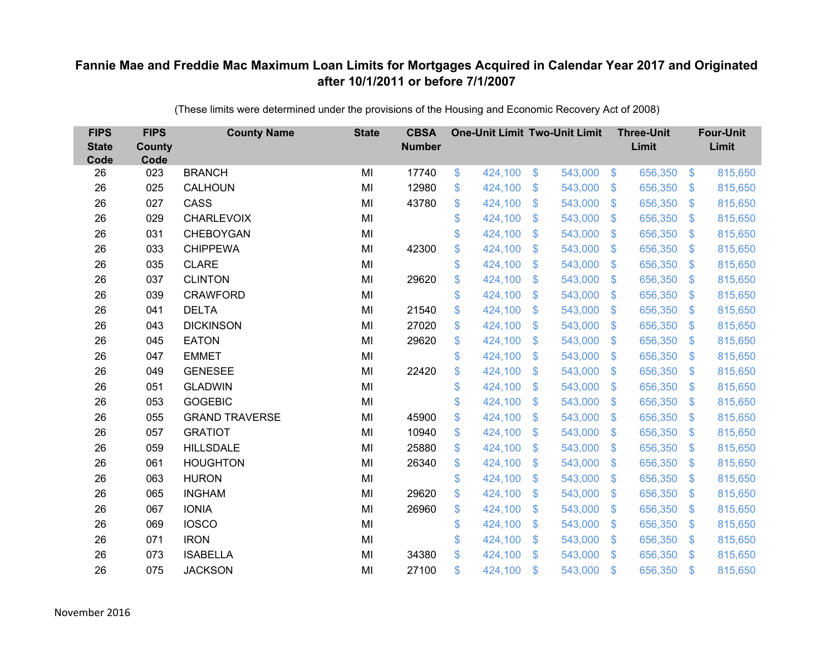| <b>FIPS</b><br><b>State</b><br>Code | <b>FIPS</b><br><b>County</b><br>Code | <b>County Name</b>    | <b>State</b> | <b>CBSA</b><br><b>Number</b> | <b>One-Unit Limit Two-Unit Limit</b> |                |         |                | <b>Three-Unit</b><br>Limit |                           | <b>Four-Unit</b><br>Limit |
|-------------------------------------|--------------------------------------|-----------------------|--------------|------------------------------|--------------------------------------|----------------|---------|----------------|----------------------------|---------------------------|---------------------------|
| 26                                  | 023                                  | <b>BRANCH</b>         | MI           | 17740                        | \$<br>424,100                        | \$             | 543,000 | $\sqrt[3]{5}$  | 656,350                    | $\frac{1}{2}$             | 815,650                   |
| 26                                  | 025                                  | CALHOUN               | MI           | 12980                        | \$<br>424,100                        | \$             | 543,000 | $\sqrt{3}$     | 656,350                    | $\mathcal{S}$             | 815,650                   |
| 26                                  | 027                                  | CASS                  | MI           | 43780                        | \$<br>424,100                        | \$             | 543,000 | $\sqrt{3}$     | 656,350                    | $\boldsymbol{\mathsf{S}}$ | 815,650                   |
| 26                                  | 029                                  | <b>CHARLEVOIX</b>     | MI           |                              | \$<br>424,100                        | \$             | 543,000 | $\sqrt{3}$     | 656,350                    | $\mathcal{L}$             | 815,650                   |
| 26                                  | 031                                  | CHEBOYGAN             | MI           |                              | \$<br>424,100                        | \$             | 543,000 | $\mathbf{\$}$  | 656,350                    | $\mathfrak{F}$            | 815,650                   |
| 26                                  | 033                                  | <b>CHIPPEWA</b>       | MI           | 42300                        | \$<br>424,100                        | \$             | 543,000 | $\sqrt{3}$     | 656,350                    | $\mathfrak{S}$            | 815,650                   |
| 26                                  | 035                                  | <b>CLARE</b>          | MI           |                              | \$<br>424,100                        | \$             | 543,000 | $\sqrt{3}$     | 656,350                    | $\boldsymbol{\mathsf{S}}$ | 815,650                   |
| 26                                  | 037                                  | <b>CLINTON</b>        | MI           | 29620                        | \$<br>424,100                        | $\mathfrak{S}$ | 543,000 | $\mathbf{\$}$  | 656,350                    | $\mathbb{S}$              | 815,650                   |
| 26                                  | 039                                  | <b>CRAWFORD</b>       | MI           |                              | \$<br>424,100                        | \$             | 543,000 | \$             | 656,350                    | $\mathcal{L}$             | 815,650                   |
| 26                                  | 041                                  | <b>DELTA</b>          | MI           | 21540                        | \$<br>424,100                        | \$             | 543,000 | \$.            | 656,350                    | S.                        | 815,650                   |
| 26                                  | 043                                  | <b>DICKINSON</b>      | MI           | 27020                        | \$<br>424,100                        | $\$\$          | 543,000 | \$             | 656,350                    | $\boldsymbol{\mathsf{S}}$ | 815,650                   |
| 26                                  | 045                                  | <b>EATON</b>          | MI           | 29620                        | \$<br>424,100                        | \$             | 543,000 | \$             | 656,350                    | $\mathcal{L}$             | 815,650                   |
| 26                                  | 047                                  | <b>EMMET</b>          | MI           |                              | \$<br>424,100                        | $\mathfrak{S}$ | 543,000 | $\mathfrak{S}$ | 656,350                    | $\mathfrak{F}$            | 815,650                   |
| 26                                  | 049                                  | <b>GENESEE</b>        | MI           | 22420                        | \$<br>424,100                        | \$             | 543,000 | \$             | 656,350                    | \$.                       | 815,650                   |
| 26                                  | 051                                  | <b>GLADWIN</b>        | MI           |                              | \$<br>424,100                        | \$             | 543,000 | \$             | 656,350                    | $\mathcal{L}$             | 815,650                   |
| 26                                  | 053                                  | <b>GOGEBIC</b>        | MI           |                              | \$<br>424,100                        | \$             | 543,000 | \$             | 656,350                    | $\boldsymbol{\mathsf{S}}$ | 815,650                   |
| 26                                  | 055                                  | <b>GRAND TRAVERSE</b> | MI           | 45900                        | \$<br>424,100                        | \$             | 543,000 | $\mathcal{S}$  | 656,350                    | $\mathcal{S}$             | 815,650                   |
| 26                                  | 057                                  | <b>GRATIOT</b>        | MI           | 10940                        | \$<br>424,100                        | \$             | 543,000 | $\mathfrak{S}$ | 656,350                    | $\mathbf{\$}$             | 815,650                   |
| 26                                  | 059                                  | <b>HILLSDALE</b>      | MI           | 25880                        | \$<br>424,100                        | $\mathfrak{F}$ | 543,000 | $\mathcal{S}$  | 656,350                    | $\mathcal{S}$             | 815,650                   |
| 26                                  | 061                                  | <b>HOUGHTON</b>       | MI           | 26340                        | \$<br>424,100                        | \$             | 543,000 | \$             | 656,350                    | $\boldsymbol{\mathsf{S}}$ | 815,650                   |
| 26                                  | 063                                  | <b>HURON</b>          | MI           |                              | \$<br>424,100                        | $\mathfrak{S}$ | 543,000 | $\mathbf{\$}$  | 656,350                    | S.                        | 815,650                   |
| 26                                  | 065                                  | <b>INGHAM</b>         | MI           | 29620                        | \$<br>424,100                        | $\mathfrak{S}$ | 543,000 | \$.            | 656,350                    | $\mathcal{L}$             | 815,650                   |
| 26                                  | 067                                  | <b>IONIA</b>          | MI           | 26960                        | \$<br>424,100                        | \$             | 543,000 | $\sqrt{3}$     | 656,350                    | $\mathfrak{S}$            | 815,650                   |
| 26                                  | 069                                  | <b>IOSCO</b>          | MI           |                              | \$<br>424,100                        | \$             | 543,000 | \$             | 656,350                    | $\boldsymbol{\mathsf{S}}$ | 815,650                   |
| 26                                  | 071                                  | <b>IRON</b>           | MI           |                              | \$<br>424,100                        | \$             | 543,000 | $\mathcal{S}$  | 656,350                    | $\mathcal{L}$             | 815,650                   |
| 26                                  | 073                                  | <b>ISABELLA</b>       | MI           | 34380                        | \$<br>424,100                        | $\mathfrak{S}$ | 543,000 | $\mathcal{S}$  | 656,350                    | $\mathbf{\$}$             | 815,650                   |
| 26                                  | 075                                  | <b>JACKSON</b>        | MI           | 27100                        | \$<br>424,100                        | \$             | 543,000 | \$             | 656,350                    | $\mathfrak{s}$            | 815,650                   |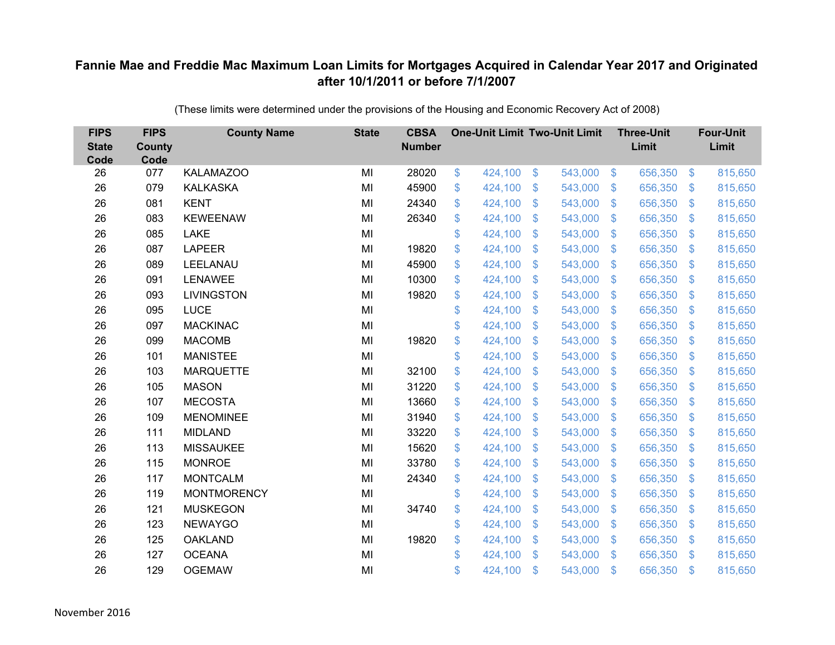| <b>FIPS</b><br><b>State</b><br>Code | <b>FIPS</b><br><b>County</b><br>Code | <b>County Name</b> | <b>State</b> | <b>CBSA</b><br><b>Number</b> | <b>One-Unit Limit Two-Unit Limit</b> |                |         |                           | <b>Three-Unit</b><br>Limit |                           | <b>Four-Unit</b><br>Limit |
|-------------------------------------|--------------------------------------|--------------------|--------------|------------------------------|--------------------------------------|----------------|---------|---------------------------|----------------------------|---------------------------|---------------------------|
| 26                                  | 077                                  | <b>KALAMAZOO</b>   | MI           | 28020                        | \$<br>424,100                        | $\frac{1}{2}$  | 543,000 | $\sqrt[6]{3}$             | 656,350                    | $\frac{3}{2}$             | 815,650                   |
| 26                                  | 079                                  | <b>KALKASKA</b>    | MI           | 45900                        | \$<br>424,100                        | \$             | 543,000 | $\mathbf{\$}$             | 656,350                    | $\mathfrak{S}$            | 815,650                   |
| 26                                  | 081                                  | <b>KENT</b>        | MI           | 24340                        | \$<br>424,100                        | \$             | 543,000 | $\boldsymbol{\mathsf{S}}$ | 656,350                    | $\sqrt[6]{3}$             | 815,650                   |
| 26                                  | 083                                  | <b>KEWEENAW</b>    | MI           | 26340                        | \$<br>424,100                        | \$             | 543,000 | $\boldsymbol{\mathsf{S}}$ | 656,350                    | $\mathfrak{S}$            | 815,650                   |
| 26                                  | 085                                  | <b>LAKE</b>        | MI           |                              | \$<br>424,100                        | \$             | 543,000 | $\mathfrak{F}$            | 656,350                    | $\mathfrak{F}$            | 815,650                   |
| 26                                  | 087                                  | <b>LAPEER</b>      | MI           | 19820                        | \$<br>424,100                        | \$             | 543,000 | $\mathfrak{S}$            | 656,350                    | $\sqrt[6]{3}$             | 815,650                   |
| 26                                  | 089                                  | LEELANAU           | MI           | 45900                        | \$<br>424,100                        | \$             | 543,000 | $\mathfrak{F}$            | 656,350                    | $\mathfrak{S}$            | 815,650                   |
| 26                                  | 091                                  | <b>LENAWEE</b>     | MI           | 10300                        | \$<br>424,100                        | $\mathfrak{S}$ | 543,000 | $\mathbb{S}$              | 656,350                    | $\mathfrak{S}$            | 815,650                   |
| 26                                  | 093                                  | <b>LIVINGSTON</b>  | MI           | 19820                        | \$<br>424,100                        | \$             | 543,000 | $\mathfrak{S}$            | 656,350                    | $\mathfrak{S}$            | 815,650                   |
| 26                                  | 095                                  | <b>LUCE</b>        | MI           |                              | \$<br>424,100                        | \$             | 543,000 | $\mathbb{S}$              | 656,350                    | $\mathbb{S}$              | 815,650                   |
| 26                                  | 097                                  | <b>MACKINAC</b>    | MI           |                              | \$<br>424,100                        | \$             | 543,000 | $\mathfrak{S}$            | 656,350                    | $\sqrt[6]{3}$             | 815,650                   |
| 26                                  | 099                                  | <b>MACOMB</b>      | MI           | 19820                        | \$<br>424,100                        | \$             | 543,000 | $\mathfrak{F}$            | 656,350                    | $\mathfrak{S}$            | 815,650                   |
| 26                                  | 101                                  | <b>MANISTEE</b>    | MI           |                              | \$<br>424,100                        | $\mathfrak{S}$ | 543,000 | $\mathfrak{F}$            | 656,350                    | \$.                       | 815,650                   |
| 26                                  | 103                                  | <b>MARQUETTE</b>   | MI           | 32100                        | \$<br>424,100                        | \$             | 543,000 | S.                        | 656,350                    | $\mathbb{S}$              | 815,650                   |
| 26                                  | 105                                  | <b>MASON</b>       | MI           | 31220                        | \$<br>424,100                        | \$             | 543,000 | S.                        | 656,350                    | $\mathfrak{S}$            | 815,650                   |
| 26                                  | 107                                  | <b>MECOSTA</b>     | MI           | 13660                        | \$<br>424,100                        | \$             | 543,000 | $\frac{1}{2}$             | 656,350                    | $\mathfrak{S}$            | 815,650                   |
| 26                                  | 109                                  | <b>MENOMINEE</b>   | MI           | 31940                        | \$<br>424,100                        | \$             | 543,000 | $\mathfrak{F}$            | 656,350                    | $\mathfrak{S}$            | 815,650                   |
| 26                                  | 111                                  | <b>MIDLAND</b>     | MI           | 33220                        | \$<br>424,100                        | \$             | 543,000 | $\mathfrak{F}$            | 656,350                    | $\mathbb{S}$              | 815,650                   |
| 26                                  | 113                                  | <b>MISSAUKEE</b>   | MI           | 15620                        | \$<br>424,100                        | \$             | 543,000 | $\mathfrak{F}$            | 656,350                    | $\mathfrak{S}$            | 815,650                   |
| 26                                  | 115                                  | <b>MONROE</b>      | MI           | 33780                        | \$<br>424,100                        | \$             | 543,000 | $\mathfrak{F}$            | 656,350                    | $\sqrt[6]{3}$             | 815,650                   |
| 26                                  | 117                                  | <b>MONTCALM</b>    | MI           | 24340                        | \$<br>424,100                        | $\mathfrak{S}$ | 543,000 | $\mathbb{S}$              | 656,350                    | $\mathfrak{S}$            | 815,650                   |
| 26                                  | 119                                  | <b>MONTMORENCY</b> | MI           |                              | \$<br>424,100                        | \$             | 543,000 | $\mathbf{\$}$             | 656,350                    | $\mathfrak{S}$            | 815,650                   |
| 26                                  | 121                                  | <b>MUSKEGON</b>    | MI           | 34740                        | \$<br>424,100                        | \$             | 543,000 | $\mathfrak{S}$            | 656,350                    | $\sqrt[6]{3}$             | 815,650                   |
| 26                                  | 123                                  | <b>NEWAYGO</b>     | MI           |                              | \$<br>424,100                        | \$             | 543,000 | $\sqrt[6]{\frac{1}{2}}$   | 656,350                    | $\boldsymbol{\mathsf{S}}$ | 815,650                   |
| 26                                  | 125                                  | <b>OAKLAND</b>     | MI           | 19820                        | \$<br>424,100                        | \$             | 543,000 | $\sqrt[6]{3}$             | 656,350                    | $\mathfrak{S}$            | 815,650                   |
| 26                                  | 127                                  | <b>OCEANA</b>      | MI           |                              | \$<br>424,100                        | $\mathfrak{S}$ | 543,000 | $\mathbf{\$}$             | 656,350                    | $\mathbb{S}$              | 815,650                   |
| 26                                  | 129                                  | <b>OGEMAW</b>      | MI           |                              | \$<br>424,100                        | \$             | 543,000 | $\mathfrak{s}$            | 656,350                    | $\mathbf{\$}$             | 815,650                   |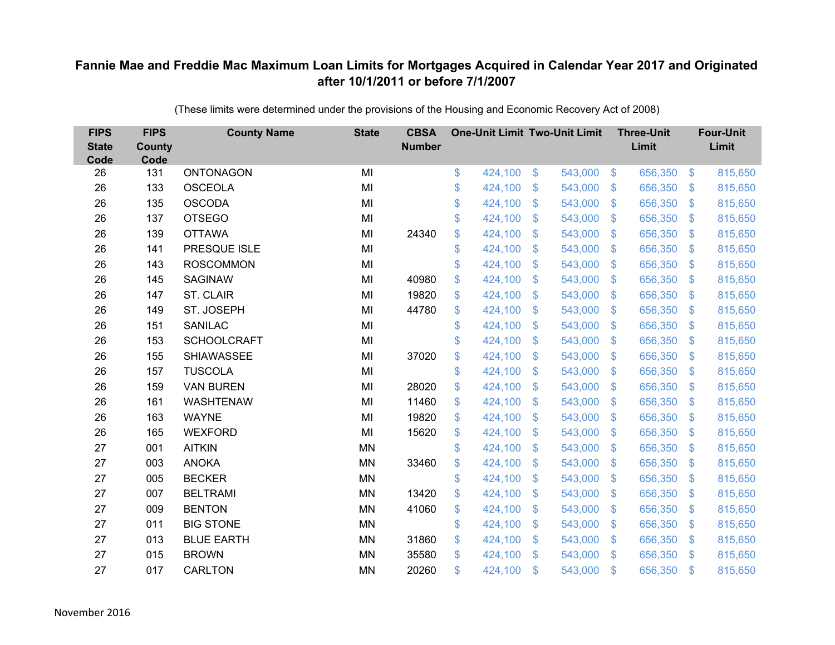| <b>FIPS</b><br><b>State</b><br>Code | <b>FIPS</b><br><b>County</b><br>Code | <b>County Name</b> | <b>State</b> | <b>CBSA</b><br><b>Number</b> | <b>One-Unit Limit Two-Unit Limit</b> |                           |         |                         | <b>Three-Unit</b><br>Limit |                           | <b>Four-Unit</b><br>Limit |
|-------------------------------------|--------------------------------------|--------------------|--------------|------------------------------|--------------------------------------|---------------------------|---------|-------------------------|----------------------------|---------------------------|---------------------------|
| 26                                  | 131                                  | ONTONAGON          | MI           |                              | \$<br>424,100                        | $\sqrt[6]{3}$             | 543,000 | $\sqrt[6]{3}$           | 656,350                    | $\sqrt[6]{3}$             | 815,650                   |
| 26                                  | 133                                  | <b>OSCEOLA</b>     | MI           |                              | \$<br>424,100                        | \$                        | 543,000 | $\mathcal{S}$           | 656,350                    | $\mathfrak{S}$            | 815,650                   |
| 26                                  | 135                                  | <b>OSCODA</b>      | MI           |                              | \$<br>424,100                        | $\mathfrak{S}$            | 543,000 | $\mathbf{\$}$           | 656,350                    | $\mathbb{S}$              | 815,650                   |
| 26                                  | 137                                  | <b>OTSEGO</b>      | MI           |                              | \$<br>424,100                        | \$                        | 543,000 | $\mathbf{\$}$           | 656,350                    | $\mathbb{S}$              | 815,650                   |
| 26                                  | 139                                  | <b>OTTAWA</b>      | MI           | 24340                        | \$<br>424,100                        | $\boldsymbol{\mathsf{S}}$ | 543,000 | $\sqrt{3}$              | 656,350                    | $\mathcal{L}$             | 815,650                   |
| 26                                  | 141                                  | PRESQUE ISLE       | MI           |                              | \$<br>424,100                        | \$                        | 543,000 | $\mathbf{\$}$           | 656,350                    | $\mathfrak{S}$            | 815,650                   |
| 26                                  | 143                                  | <b>ROSCOMMON</b>   | MI           |                              | \$<br>424,100                        | $\mathfrak{S}$            | 543,000 | $\mathbf{\$}$           | 656,350                    | $\mathfrak{F}$            | 815,650                   |
| 26                                  | 145                                  | <b>SAGINAW</b>     | MI           | 40980                        | \$<br>424,100                        | $\mathfrak{F}$            | 543,000 | $\mathcal{S}$           | 656,350                    | $\mathfrak{S}$            | 815,650                   |
| 26                                  | 147                                  | <b>ST. CLAIR</b>   | MI           | 19820                        | \$<br>424,100                        | \$                        | 543,000 | $\mathfrak{S}$          | 656,350                    | $\mathbb{S}$              | 815,650                   |
| 26                                  | 149                                  | ST. JOSEPH         | MI           | 44780                        | \$<br>424,100                        | $\mathfrak{S}$            | 543,000 | $\mathbb{S}$            | 656,350                    | $\mathbb{S}$              | 815,650                   |
| 26                                  | 151                                  | <b>SANILAC</b>     | MI           |                              | \$<br>424,100                        | $\mathfrak{F}$            | 543,000 | $\mathcal{S}$           | 656,350                    | $\mathfrak{S}$            | 815,650                   |
| 26                                  | 153                                  | <b>SCHOOLCRAFT</b> | MI           |                              | \$<br>424,100                        | $\mathfrak{F}$            | 543,000 | $\mathbb{S}$            | 656,350                    | $\mathfrak{S}$            | 815,650                   |
| 26                                  | 155                                  | <b>SHIAWASSEE</b>  | MI           | 37020                        | \$<br>424,100                        | \$                        | 543,000 | $\mathfrak{S}$          | 656,350                    | $\mathbb{S}$              | 815,650                   |
| 26                                  | 157                                  | <b>TUSCOLA</b>     | MI           |                              | \$<br>424,100                        | $\mathfrak{F}$            | 543,000 | $\mathbb{S}$            | 656,350                    | $\mathfrak{S}$            | 815,650                   |
| 26                                  | 159                                  | <b>VAN BUREN</b>   | MI           | 28020                        | \$<br>424,100                        | $\mathfrak{F}$            | 543,000 | $\mathfrak{S}$          | 656,350                    | $\mathfrak{S}$            | 815,650                   |
| 26                                  | 161                                  | <b>WASHTENAW</b>   | MI           | 11460                        | \$<br>424,100                        | $\mathfrak{S}$            | 543,000 | $\mathcal{S}$           | 656,350                    | $\mathbf{\$}$             | 815,650                   |
| 26                                  | 163                                  | <b>WAYNE</b>       | MI           | 19820                        | \$<br>424,100                        | \$                        | 543,000 | $\sqrt{3}$              | 656,350                    | $\sqrt[6]{3}$             | 815,650                   |
| 26                                  | 165                                  | <b>WEXFORD</b>     | MI           | 15620                        | \$<br>424,100                        | $\mathfrak{F}$            | 543,000 | $\mathbb{S}$            | 656,350                    | $\mathfrak{S}$            | 815,650                   |
| 27                                  | 001                                  | <b>AITKIN</b>      | <b>MN</b>    |                              | \$<br>424,100                        | \$                        | 543,000 | $\mathbf{\$}$           | 656,350                    | $\mathbb{S}$              | 815,650                   |
| 27                                  | 003                                  | <b>ANOKA</b>       | <b>MN</b>    | 33460                        | \$<br>424,100                        | \$                        | 543,000 | $\sqrt[6]{\frac{1}{2}}$ | 656,350                    | $\boldsymbol{\mathsf{S}}$ | 815,650                   |
| 27                                  | 005                                  | <b>BECKER</b>      | <b>MN</b>    |                              | \$<br>424,100                        | $\mathfrak{F}$            | 543,000 | $\mathcal{S}$           | 656,350                    | $\mathfrak{S}$            | 815,650                   |
| 27                                  | 007                                  | <b>BELTRAMI</b>    | <b>MN</b>    | 13420                        | \$<br>424,100                        | $\mathfrak{S}$            | 543,000 | $\mathbb{S}$            | 656,350                    | $\mathbb{S}$              | 815,650                   |
| 27                                  | 009                                  | <b>BENTON</b>      | <b>MN</b>    | 41060                        | \$<br>424,100                        | \$                        | 543,000 | $\mathbf{\$}$           | 656,350                    | $\mathbb{S}$              | 815,650                   |
| 27                                  | 011                                  | <b>BIG STONE</b>   | <b>MN</b>    |                              | \$<br>424,100                        | $\boldsymbol{\mathsf{S}}$ | 543,000 | $\sqrt{3}$              | 656,350                    | $\mathcal{L}$             | 815,650                   |
| 27                                  | 013                                  | <b>BLUE EARTH</b>  | <b>MN</b>    | 31860                        | \$<br>424,100                        | \$                        | 543,000 | $\mathcal{S}$           | 656,350                    | $\mathfrak{S}$            | 815,650                   |
| 27                                  | 015                                  | <b>BROWN</b>       | <b>MN</b>    | 35580                        | \$<br>424,100                        | $\mathcal{S}$             | 543,000 | $\mathbb{S}$            | 656,350                    | $\mathbb{S}$              | 815,650                   |
| 27                                  | 017                                  | <b>CARLTON</b>     | <b>MN</b>    | 20260                        | \$<br>424,100                        | $\mathcal{S}$             | 543,000 | $\mathfrak{s}$          | 656,350                    | <sup>\$</sup>             | 815,650                   |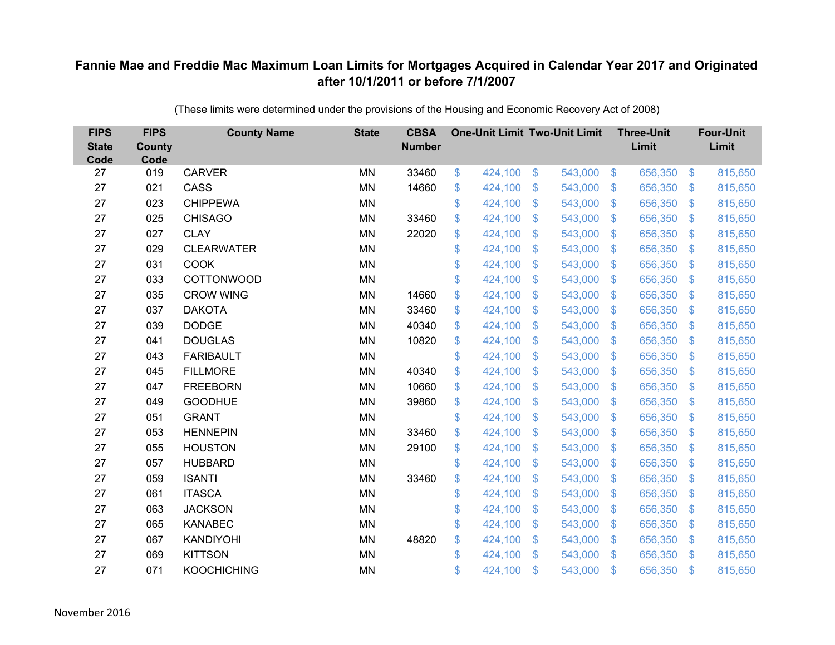| <b>FIPS</b><br><b>State</b><br>Code | <b>FIPS</b><br><b>County</b><br>Code | <b>County Name</b> | <b>State</b> | <b>CBSA</b><br><b>Number</b> | <b>One-Unit Limit Two-Unit Limit</b> |                |         |                | <b>Three-Unit</b><br>Limit |                           | <b>Four-Unit</b><br>Limit |
|-------------------------------------|--------------------------------------|--------------------|--------------|------------------------------|--------------------------------------|----------------|---------|----------------|----------------------------|---------------------------|---------------------------|
| 27                                  | 019                                  | <b>CARVER</b>      | <b>MN</b>    | 33460                        | \$<br>424,100                        | $\$\$          | 543,000 | $\sqrt[3]{5}$  | 656,350                    | $\frac{1}{2}$             | 815,650                   |
| 27                                  | 021                                  | CASS               | <b>MN</b>    | 14660                        | \$<br>424,100                        | \$             | 543,000 | $\sqrt{3}$     | 656,350                    | $\mathfrak{F}$            | 815,650                   |
| 27                                  | 023                                  | <b>CHIPPEWA</b>    | <b>MN</b>    |                              | \$<br>424,100                        | $\mathfrak{S}$ | 543,000 | $\mathbf{\$}$  | 656,350                    | $\mathfrak{F}$            | 815,650                   |
| 27                                  | 025                                  | <b>CHISAGO</b>     | <b>MN</b>    | 33460                        | \$<br>424,100                        | \$             | 543,000 | $\sqrt{3}$     | 656,350                    | $\boldsymbol{\mathsf{S}}$ | 815,650                   |
| 27                                  | 027                                  | <b>CLAY</b>        | <b>MN</b>    | 22020                        | \$<br>424,100                        | \$             | 543,000 | $\sqrt{3}$     | 656,350                    | $\mathcal{L}$             | 815,650                   |
| 27                                  | 029                                  | <b>CLEARWATER</b>  | <b>MN</b>    |                              | \$<br>424,100                        | $\mathfrak{S}$ | 543,000 | $\mathbf{\$}$  | 656,350                    | S.                        | 815,650                   |
| 27                                  | 031                                  | <b>COOK</b>        | <b>MN</b>    |                              | \$<br>424,100                        | \$             | 543,000 | $\mathcal{S}$  | 656,350                    | $\mathfrak{F}$            | 815,650                   |
| 27                                  | 033                                  | <b>COTTONWOOD</b>  | <b>MN</b>    |                              | \$<br>424,100                        | \$             | 543,000 | $\mathbf{\$}$  | 656,350                    | $\mathfrak{F}$            | 815,650                   |
| 27                                  | 035                                  | <b>CROW WING</b>   | <b>MN</b>    | 14660                        | \$<br>424,100                        | $\mathcal{S}$  | 543,000 | $\mathfrak{S}$ | 656,350                    | $\mathfrak{F}$            | 815,650                   |
| 27                                  | 037                                  | <b>DAKOTA</b>      | MN           | 33460                        | \$<br>424,100                        | $\mathfrak{F}$ | 543,000 | \$.            | 656,350                    | $\mathfrak{F}$            | 815,650                   |
| 27                                  | 039                                  | <b>DODGE</b>       | <b>MN</b>    | 40340                        | \$<br>424,100                        | \$             | 543,000 | \$             | 656,350                    | $\mathcal{L}$             | 815,650                   |
| 27                                  | 041                                  | <b>DOUGLAS</b>     | <b>MN</b>    | 10820                        | \$<br>424,100                        | $\mathcal{S}$  | 543,000 | $\mathfrak{S}$ | 656,350                    | $\mathbf{\$}$             | 815,650                   |
| 27                                  | 043                                  | <b>FARIBAULT</b>   | <b>MN</b>    |                              | \$<br>424,100                        | \$             | 543,000 | \$             | 656,350                    | $\mathcal{L}$             | 815,650                   |
| 27                                  | 045                                  | <b>FILLMORE</b>    | <b>MN</b>    | 40340                        | \$<br>424,100                        | \$             | 543,000 | \$.            | 656,350                    | $\mathcal{L}$             | 815,650                   |
| 27                                  | 047                                  | <b>FREEBORN</b>    | <b>MN</b>    | 10660                        | \$<br>424,100                        | \$             | 543,000 | \$             | 656,350                    | $\mathfrak{F}$            | 815,650                   |
| 27                                  | 049                                  | <b>GOODHUE</b>     | <b>MN</b>    | 39860                        | \$<br>424,100                        | $\mathfrak{F}$ | 543,000 | $\mathfrak{F}$ | 656,350                    | $\mathcal{L}$             | 815,650                   |
| 27                                  | 051                                  | <b>GRANT</b>       | <b>MN</b>    |                              | \$<br>424,100                        | $\mathfrak{S}$ | 543,000 | $\mathbf{\$}$  | 656,350                    | $\mathfrak{F}$            | 815,650                   |
| 27                                  | 053                                  | <b>HENNEPIN</b>    | <b>MN</b>    | 33460                        | \$<br>424,100                        | \$             | 543,000 | \$             | 656,350                    | $\mathfrak{S}$            | 815,650                   |
| 27                                  | 055                                  | <b>HOUSTON</b>     | <b>MN</b>    | 29100                        | \$<br>424,100                        | \$             | 543,000 | $\sqrt{3}$     | 656,350                    | $\mathfrak{F}$            | 815,650                   |
| 27                                  | 057                                  | <b>HUBBARD</b>     | <b>MN</b>    |                              | \$<br>424,100                        | \$             | 543,000 | $\mathfrak{S}$ | 656,350                    | $\mathfrak{F}$            | 815,650                   |
| 27                                  | 059                                  | <b>ISANTI</b>      | <b>MN</b>    | 33460                        | \$<br>424,100                        | \$             | 543,000 | $\sqrt{3}$     | 656,350                    | $\frac{1}{2}$             | 815,650                   |
| 27                                  | 061                                  | <b>ITASCA</b>      | <b>MN</b>    |                              | \$<br>424,100                        | \$             | 543,000 | $\mathfrak{S}$ | 656,350                    | $\mathcal{L}$             | 815,650                   |
| 27                                  | 063                                  | <b>JACKSON</b>     | <b>MN</b>    |                              | \$<br>424,100                        | \$             | 543,000 | $\sqrt{3}$     | 656,350                    | $\boldsymbol{\mathsf{S}}$ | 815,650                   |
| 27                                  | 065                                  | <b>KANABEC</b>     | <b>MN</b>    |                              | \$<br>424,100                        | \$             | 543,000 | $\sqrt{3}$     | 656,350                    | $\mathcal{L}$             | 815,650                   |
| 27                                  | 067                                  | <b>KANDIYOHI</b>   | <b>MN</b>    | 48820                        | \$<br>424,100                        | \$             | 543,000 | $\mathcal{S}$  | 656,350                    | $\mathcal{L}$             | 815,650                   |
| 27                                  | 069                                  | <b>KITTSON</b>     | <b>MN</b>    |                              | \$<br>424,100                        | $\mathfrak{S}$ | 543,000 | $\mathbf{\$}$  | 656,350                    | $\mathfrak{F}$            | 815,650                   |
| 27                                  | 071                                  | <b>KOOCHICHING</b> | <b>MN</b>    |                              | \$<br>424,100                        | \$             | 543,000 | \$             | 656,350                    | $\mathfrak{s}$            | 815,650                   |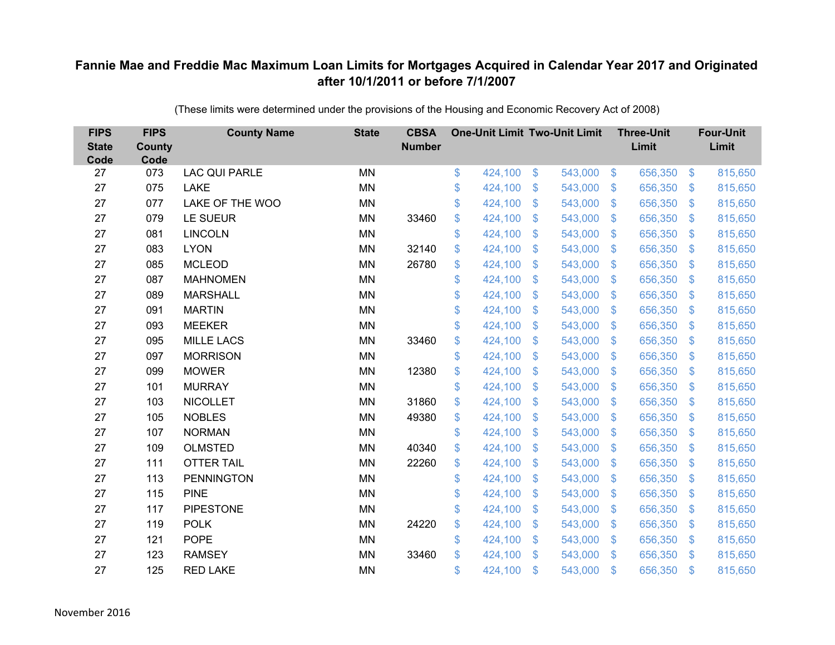| <b>FIPS</b><br><b>State</b><br>Code | <b>FIPS</b><br><b>County</b><br>Code | <b>County Name</b>   | <b>State</b> | <b>CBSA</b><br><b>Number</b> | <b>One-Unit Limit Two-Unit Limit</b> |                |         |                | <b>Three-Unit</b><br>Limit |                           | <b>Four-Unit</b><br>Limit |
|-------------------------------------|--------------------------------------|----------------------|--------------|------------------------------|--------------------------------------|----------------|---------|----------------|----------------------------|---------------------------|---------------------------|
| 27                                  | 073                                  | <b>LAC QUI PARLE</b> | <b>MN</b>    |                              | \$<br>424,100                        | $\sqrt[6]{3}$  | 543,000 | $\sqrt[6]{3}$  | 656,350                    | $\mathfrak{S}$            | 815,650                   |
| 27                                  | 075                                  | <b>LAKE</b>          | <b>MN</b>    |                              | \$<br>424,100                        | \$             | 543,000 | $\mathcal{S}$  | 656,350                    | $\mathfrak{F}$            | 815,650                   |
| 27                                  | 077                                  | LAKE OF THE WOO      | <b>MN</b>    |                              | \$<br>424,100                        | $\mathfrak{S}$ | 543,000 | $\mathbf{\$}$  | 656,350                    | $\mathfrak{F}$            | 815,650                   |
| 27                                  | 079                                  | LE SUEUR             | <b>MN</b>    | 33460                        | \$<br>424,100                        | \$             | 543,000 | $\mathbf{\$}$  | 656,350                    | $\mathfrak{F}$            | 815,650                   |
| 27                                  | 081                                  | <b>LINCOLN</b>       | <b>MN</b>    |                              | \$<br>424,100                        | $\mathfrak{S}$ | 543,000 | $\sqrt{3}$     | 656,350                    | $\mathcal{L}$             | 815,650                   |
| 27                                  | 083                                  | <b>LYON</b>          | MN           | 32140                        | \$<br>424,100                        | \$             | 543,000 | $\mathbf{\$}$  | 656,350                    | $\mathfrak{F}$            | 815,650                   |
| 27                                  | 085                                  | <b>MCLEOD</b>        | <b>MN</b>    | 26780                        | \$<br>424,100                        | $\mathfrak{S}$ | 543,000 | $\mathbf{\$}$  | 656,350                    | $\mathfrak{F}$            | 815,650                   |
| 27                                  | 087                                  | <b>MAHNOMEN</b>      | <b>MN</b>    |                              | \$<br>424,100                        | $\mathfrak{S}$ | 543,000 | $\mathcal{S}$  | 656,350                    | $\mathfrak{F}$            | 815,650                   |
| 27                                  | 089                                  | <b>MARSHALL</b>      | <b>MN</b>    |                              | \$<br>424,100                        | $\mathfrak{S}$ | 543,000 | $\mathbf{\$}$  | 656,350                    | $\mathbf{\$}$             | 815,650                   |
| 27                                  | 091                                  | <b>MARTIN</b>        | <b>MN</b>    |                              | \$<br>424,100                        | $\mathfrak{S}$ | 543,000 | $\mathbf{\$}$  | 656,350                    | S.                        | 815,650                   |
| 27                                  | 093                                  | <b>MEEKER</b>        | MN           |                              | \$<br>424,100                        | \$             | 543,000 | $\mathcal{S}$  | 656,350                    | $\mathcal{L}$             | 815,650                   |
| 27                                  | 095                                  | <b>MILLE LACS</b>    | MN           | 33460                        | \$<br>424,100                        | \$             | 543,000 | \$.            | 656,350                    | $\mathbf{\$}$             | 815,650                   |
| 27                                  | 097                                  | <b>MORRISON</b>      | <b>MN</b>    |                              | \$<br>424,100                        | $\mathcal{S}$  | 543,000 | $\mathbf{\$}$  | 656,350                    | $\mathbf{\$}$             | 815,650                   |
| 27                                  | 099                                  | <b>MOWER</b>         | MN           | 12380                        | \$<br>424,100                        | \$             | 543,000 | \$             | 656,350                    | $\mathfrak{F}$            | 815,650                   |
| 27                                  | 101                                  | <b>MURRAY</b>        | <b>MN</b>    |                              | \$<br>424,100                        | $\mathfrak{F}$ | 543,000 | \$             | 656,350                    | $\mathfrak{F}$            | 815,650                   |
| 27                                  | 103                                  | <b>NICOLLET</b>      | <b>MN</b>    | 31860                        | \$<br>424,100                        | $\mathfrak{S}$ | 543,000 | $\mathfrak{S}$ | 656,350                    | $\mathbf{\$}$             | 815,650                   |
| 27                                  | 105                                  | <b>NOBLES</b>        | <b>MN</b>    | 49380                        | \$<br>424,100                        | \$             | 543,000 | $\sqrt{3}$     | 656,350                    | $\mathfrak{S}$            | 815,650                   |
| 27                                  | 107                                  | <b>NORMAN</b>        | <b>MN</b>    |                              | \$<br>424,100                        | \$             | 543,000 | \$.            | 656,350                    | $\mathfrak{F}$            | 815,650                   |
| 27                                  | 109                                  | <b>OLMSTED</b>       | <b>MN</b>    | 40340                        | \$<br>424,100                        | $\mathfrak{S}$ | 543,000 | $\mathbf{\$}$  | 656,350                    | S.                        | 815,650                   |
| 27                                  | 111                                  | <b>OTTER TAIL</b>    | <b>MN</b>    | 22260                        | \$<br>424,100                        | \$             | 543,000 | $\sqrt{3}$     | 656,350                    | $\boldsymbol{\mathsf{S}}$ | 815,650                   |
| 27                                  | 113                                  | <b>PENNINGTON</b>    | <b>MN</b>    |                              | \$<br>424,100                        | $\mathfrak{F}$ | 543,000 | $\mathcal{S}$  | 656,350                    | $\mathfrak{F}$            | 815,650                   |
| 27                                  | 115                                  | <b>PINE</b>          | <b>MN</b>    |                              | \$<br>424,100                        | $\mathfrak{S}$ | 543,000 | $\mathbf{\$}$  | 656,350                    | $\mathbf{\$}$             | 815,650                   |
| 27                                  | 117                                  | <b>PIPESTONE</b>     | <b>MN</b>    |                              | \$<br>424,100                        | \$             | 543,000 | $\mathbf{\$}$  | 656,350                    | $\mathbb{S}$              | 815,650                   |
| 27                                  | 119                                  | <b>POLK</b>          | <b>MN</b>    | 24220                        | \$<br>424,100                        | \$             | 543,000 | $\sqrt{3}$     | 656,350                    | $\mathcal{L}$             | 815,650                   |
| 27                                  | 121                                  | <b>POPE</b>          | <b>MN</b>    |                              | \$<br>424,100                        | $\mathfrak{S}$ | 543,000 | $\sqrt[6]{3}$  | 656,350                    | $\mathfrak{F}$            | 815,650                   |
| 27                                  | 123                                  | <b>RAMSEY</b>        | <b>MN</b>    | 33460                        | \$<br>424,100                        | $\mathcal{S}$  | 543,000 | $\mathbf{\$}$  | 656,350                    | $\mathbf{\$}$             | 815,650                   |
| 27                                  | 125                                  | <b>RED LAKE</b>      | <b>MN</b>    |                              | \$<br>424,100                        | \$             | 543,000 | \$             | 656,350                    | $\mathfrak{s}$            | 815,650                   |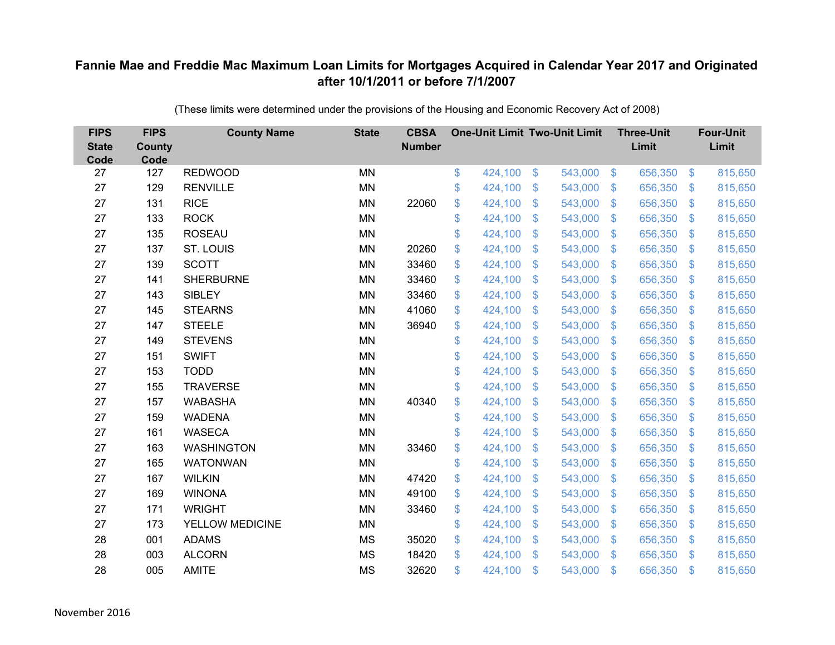| <b>FIPS</b><br><b>State</b><br>Code | <b>FIPS</b><br><b>County</b><br>Code | <b>County Name</b> | <b>State</b> | <b>CBSA</b><br><b>Number</b> | <b>One-Unit Limit Two-Unit Limit</b> |                |         |                | <b>Three-Unit</b><br>Limit |                           | <b>Four-Unit</b><br>Limit |
|-------------------------------------|--------------------------------------|--------------------|--------------|------------------------------|--------------------------------------|----------------|---------|----------------|----------------------------|---------------------------|---------------------------|
| 27                                  | 127                                  | <b>REDWOOD</b>     | <b>MN</b>    |                              | \$<br>424,100                        | $\sqrt[6]{3}$  | 543,000 | $\sqrt[6]{3}$  | 656,350                    | $\mathfrak{S}$            | 815,650                   |
| 27                                  | 129                                  | <b>RENVILLE</b>    | <b>MN</b>    |                              | \$<br>424,100                        | \$             | 543,000 | $\mathcal{S}$  | 656,350                    | $\mathcal{L}$             | 815,650                   |
| 27                                  | 131                                  | <b>RICE</b>        | <b>MN</b>    | 22060                        | \$<br>424,100                        | $\mathfrak{S}$ | 543,000 | $\mathbf{\$}$  | 656,350                    | $\mathfrak{F}$            | 815,650                   |
| 27                                  | 133                                  | <b>ROCK</b>        | <b>MN</b>    |                              | \$<br>424,100                        | \$             | 543,000 | $\mathbf{\$}$  | 656,350                    | $\mathfrak{F}$            | 815,650                   |
| 27                                  | 135                                  | <b>ROSEAU</b>      | <b>MN</b>    |                              | \$<br>424,100                        | \$             | 543,000 | $\sqrt{3}$     | 656,350                    | $\mathcal{L}$             | 815,650                   |
| 27                                  | 137                                  | ST. LOUIS          | <b>MN</b>    | 20260                        | \$<br>424,100                        | \$             | 543,000 | $\mathbf{\$}$  | 656,350                    | $\mathcal{S}$             | 815,650                   |
| 27                                  | 139                                  | <b>SCOTT</b>       | <b>MN</b>    | 33460                        | \$<br>424,100                        | $\mathfrak{S}$ | 543,000 | $\mathbf{\$}$  | 656,350                    | $\mathfrak{F}$            | 815,650                   |
| 27                                  | 141                                  | <b>SHERBURNE</b>   | <b>MN</b>    | 33460                        | \$<br>424,100                        | $\mathfrak{S}$ | 543,000 | $\mathcal{S}$  | 656,350                    | $\mathcal{S}$             | 815,650                   |
| 27                                  | 143                                  | <b>SIBLEY</b>      | <b>MN</b>    | 33460                        | \$<br>424,100                        | $\mathfrak{S}$ | 543,000 | $\mathbf{\$}$  | 656,350                    | $\mathbf{\$}$             | 815,650                   |
| 27                                  | 145                                  | <b>STEARNS</b>     | <b>MN</b>    | 41060                        | \$<br>424,100                        | $\mathfrak{S}$ | 543,000 | $\mathbf{\$}$  | 656,350                    | S.                        | 815,650                   |
| 27                                  | 147                                  | <b>STEELE</b>      | <b>MN</b>    | 36940                        | \$<br>424,100                        | $\mathfrak{F}$ | 543,000 | $\mathcal{S}$  | 656,350                    | $\mathcal{L}$             | 815,650                   |
| 27                                  | 149                                  | <b>STEVENS</b>     | MN           |                              | \$<br>424,100                        | \$             | 543,000 | \$.            | 656,350                    | $\mathbf{\$}$             | 815,650                   |
| 27                                  | 151                                  | <b>SWIFT</b>       | <b>MN</b>    |                              | \$<br>424,100                        | $\mathcal{S}$  | 543,000 | $\mathfrak{S}$ | 656,350                    | $\mathbf{\$}$             | 815,650                   |
| 27                                  | 153                                  | <b>TODD</b>        | <b>MN</b>    |                              | \$<br>424,100                        | \$             | 543,000 | \$             | 656,350                    | $\mathcal{S}$             | 815,650                   |
| 27                                  | 155                                  | <b>TRAVERSE</b>    | <b>MN</b>    |                              | \$<br>424,100                        | $\mathfrak{F}$ | 543,000 | \$             | 656,350                    | $\mathcal{S}$             | 815,650                   |
| 27                                  | 157                                  | <b>WABASHA</b>     | <b>MN</b>    | 40340                        | \$<br>424,100                        | $\mathfrak{S}$ | 543,000 | $\mathfrak{S}$ | 656,350                    | $\mathbf{\$}$             | 815,650                   |
| 27                                  | 159                                  | <b>WADENA</b>      | <b>MN</b>    |                              | \$<br>424,100                        | \$             | 543,000 | $\sqrt{3}$     | 656,350                    | $\mathfrak{S}$            | 815,650                   |
| 27                                  | 161                                  | <b>WASECA</b>      | <b>MN</b>    |                              | \$<br>424,100                        | \$             | 543,000 | \$.            | 656,350                    | $\mathcal{S}$             | 815,650                   |
| 27                                  | 163                                  | <b>WASHINGTON</b>  | <b>MN</b>    | 33460                        | \$<br>424,100                        | \$             | 543,000 | $\mathbf{\$}$  | 656,350                    | S.                        | 815,650                   |
| 27                                  | 165                                  | <b>WATONWAN</b>    | <b>MN</b>    |                              | \$<br>424,100                        | \$             | 543,000 | \$             | 656,350                    | $\boldsymbol{\mathsf{S}}$ | 815,650                   |
| 27                                  | 167                                  | <b>WILKIN</b>      | <b>MN</b>    | 47420                        | \$<br>424,100                        | $\mathfrak{F}$ | 543,000 | $\mathcal{S}$  | 656,350                    | $\mathcal{S}$             | 815,650                   |
| 27                                  | 169                                  | <b>WINONA</b>      | <b>MN</b>    | 49100                        | \$<br>424,100                        | $\mathfrak{S}$ | 543,000 | $\mathfrak{S}$ | 656,350                    | $\mathfrak{F}$            | 815,650                   |
| 27                                  | 171                                  | <b>WRIGHT</b>      | <b>MN</b>    | 33460                        | \$<br>424,100                        | \$             | 543,000 | $\mathbf{\$}$  | 656,350                    | $\mathbb{S}$              | 815,650                   |
| 27                                  | 173                                  | YELLOW MEDICINE    | <b>MN</b>    |                              | \$<br>424,100                        | \$             | 543,000 | $\sqrt{3}$     | 656,350                    | $\mathcal{L}$             | 815,650                   |
| 28                                  | 001                                  | <b>ADAMS</b>       | <b>MS</b>    | 35020                        | \$<br>424,100                        | \$             | 543,000 | $\mathcal{S}$  | 656,350                    | $\mathcal{L}$             | 815,650                   |
| 28                                  | 003                                  | <b>ALCORN</b>      | <b>MS</b>    | 18420                        | \$<br>424,100                        | $\mathcal{S}$  | 543,000 | $\mathbf{\$}$  | 656,350                    | $\mathbf{\$}$             | 815,650                   |
| 28                                  | 005                                  | <b>AMITE</b>       | <b>MS</b>    | 32620                        | \$<br>424,100                        | \$             | 543,000 | \$             | 656,350                    | $\mathfrak{s}$            | 815,650                   |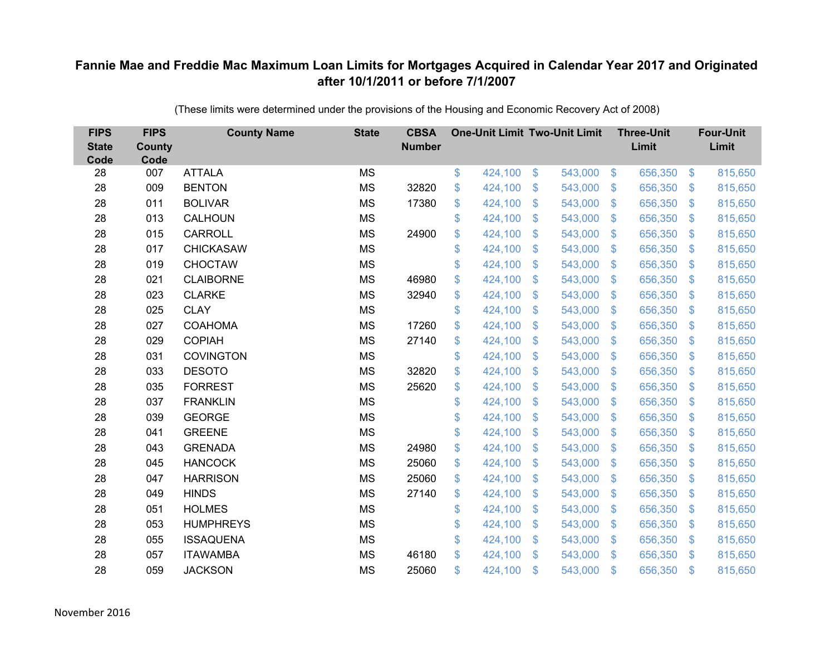| <b>FIPS</b><br><b>State</b><br>Code | <b>FIPS</b><br><b>County</b><br>Code | <b>County Name</b> | <b>State</b> | <b>CBSA</b><br><b>Number</b> | <b>One-Unit Limit Two-Unit Limit</b> |                |         |                | <b>Three-Unit</b><br>Limit |                           | <b>Four-Unit</b><br>Limit |
|-------------------------------------|--------------------------------------|--------------------|--------------|------------------------------|--------------------------------------|----------------|---------|----------------|----------------------------|---------------------------|---------------------------|
| 28                                  | 007                                  | <b>ATTALA</b>      | <b>MS</b>    |                              | \$<br>424,100                        | $\$\$          | 543,000 | $\sqrt[3]{5}$  | 656,350                    | $\frac{1}{2}$             | 815,650                   |
| 28                                  | 009                                  | <b>BENTON</b>      | <b>MS</b>    | 32820                        | \$<br>424,100                        | \$             | 543,000 | $\sqrt{3}$     | 656,350                    | $\mathcal{S}$             | 815,650                   |
| 28                                  | 011                                  | <b>BOLIVAR</b>     | <b>MS</b>    | 17380                        | \$<br>424,100                        | $\mathfrak{S}$ | 543,000 | $\mathbf{\$}$  | 656,350                    | $\mathfrak{F}$            | 815,650                   |
| 28                                  | 013                                  | CALHOUN            | <b>MS</b>    |                              | \$<br>424,100                        | \$             | 543,000 | $\sqrt{3}$     | 656,350                    | $\boldsymbol{\mathsf{S}}$ | 815,650                   |
| 28                                  | 015                                  | <b>CARROLL</b>     | <b>MS</b>    | 24900                        | \$<br>424,100                        | \$             | 543,000 | $\sqrt{3}$     | 656,350                    | $\mathcal{L}$             | 815,650                   |
| 28                                  | 017                                  | <b>CHICKASAW</b>   | <b>MS</b>    |                              | \$<br>424,100                        | $\mathfrak{S}$ | 543,000 | $\mathbf{\$}$  | 656,350                    | S.                        | 815,650                   |
| 28                                  | 019                                  | <b>CHOCTAW</b>     | <b>MS</b>    |                              | \$<br>424,100                        | \$             | 543,000 | $\mathcal{S}$  | 656,350                    | $\mathcal{L}$             | 815,650                   |
| 28                                  | 021                                  | <b>CLAIBORNE</b>   | <b>MS</b>    | 46980                        | \$<br>424,100                        | \$             | 543,000 | $\mathbf{\$}$  | 656,350                    | $\mathcal{L}$             | 815,650                   |
| 28                                  | 023                                  | <b>CLARKE</b>      | <b>MS</b>    | 32940                        | \$<br>424,100                        | $\mathcal{S}$  | 543,000 | $\mathfrak{S}$ | 656,350                    | $\mathfrak{F}$            | 815,650                   |
| 28                                  | 025                                  | <b>CLAY</b>        | <b>MS</b>    |                              | \$<br>424,100                        | $\mathfrak{F}$ | 543,000 | \$.            | 656,350                    | \$.                       | 815,650                   |
| 28                                  | 027                                  | <b>COAHOMA</b>     | <b>MS</b>    | 17260                        | \$<br>424,100                        | \$             | 543,000 | \$             | 656,350                    | $\mathcal{L}$             | 815,650                   |
| 28                                  | 029                                  | <b>COPIAH</b>      | <b>MS</b>    | 27140                        | \$<br>424,100                        | $\mathfrak{S}$ | 543,000 | $\mathfrak{S}$ | 656,350                    | $\mathbf{\$}$             | 815,650                   |
| 28                                  | 031                                  | <b>COVINGTON</b>   | <b>MS</b>    |                              | \$<br>424,100                        | \$             | 543,000 | \$             | 656,350                    | $\mathcal{L}$             | 815,650                   |
| 28                                  | 033                                  | <b>DESOTO</b>      | <b>MS</b>    | 32820                        | \$<br>424,100                        | \$             | 543,000 | \$.            | 656,350                    | $\mathcal{L}$             | 815,650                   |
| 28                                  | 035                                  | <b>FORREST</b>     | <b>MS</b>    | 25620                        | \$<br>424,100                        | \$             | 543,000 | \$             | 656,350                    | $\mathfrak{F}$            | 815,650                   |
| 28                                  | 037                                  | <b>FRANKLIN</b>    | <b>MS</b>    |                              | \$<br>424,100                        | $\mathfrak{F}$ | 543,000 | $\mathfrak{F}$ | 656,350                    | $\mathcal{L}$             | 815,650                   |
| 28                                  | 039                                  | <b>GEORGE</b>      | <b>MS</b>    |                              | \$<br>424,100                        | $\mathfrak{S}$ | 543,000 | $\mathbf{\$}$  | 656,350                    | $\mathfrak{F}$            | 815,650                   |
| 28                                  | 041                                  | <b>GREENE</b>      | <b>MS</b>    |                              | \$<br>424,100                        | \$             | 543,000 | \$             | 656,350                    | $\mathfrak{S}$            | 815,650                   |
| 28                                  | 043                                  | <b>GRENADA</b>     | <b>MS</b>    | 24980                        | \$<br>424,100                        | \$             | 543,000 | $\sqrt{3}$     | 656,350                    | $\mathfrak{F}$            | 815,650                   |
| 28                                  | 045                                  | <b>HANCOCK</b>     | <b>MS</b>    | 25060                        | \$<br>424,100                        | \$             | 543,000 | \$             | 656,350                    | $\boldsymbol{\mathsf{S}}$ | 815,650                   |
| 28                                  | 047                                  | <b>HARRISON</b>    | <b>MS</b>    | 25060                        | \$<br>424,100                        | \$             | 543,000 | $\sqrt{3}$     | 656,350                    | $\boldsymbol{\mathsf{S}}$ | 815,650                   |
| 28                                  | 049                                  | <b>HINDS</b>       | <b>MS</b>    | 27140                        | \$<br>424,100                        | \$             | 543,000 | \$             | 656,350                    | $\mathcal{L}$             | 815,650                   |
| 28                                  | 051                                  | <b>HOLMES</b>      | <b>MS</b>    |                              | \$<br>424,100                        | \$             | 543,000 | $\sqrt{3}$     | 656,350                    | $\boldsymbol{\mathsf{S}}$ | 815,650                   |
| 28                                  | 053                                  | <b>HUMPHREYS</b>   | <b>MS</b>    |                              | \$<br>424,100                        | \$             | 543,000 | $\sqrt[6]{3}$  | 656,350                    | $\mathcal{L}$             | 815,650                   |
| 28                                  | 055                                  | <b>ISSAQUENA</b>   | <b>MS</b>    |                              | \$<br>424,100                        | \$             | 543,000 | $\mathcal{S}$  | 656,350                    | $\mathcal{L}$             | 815,650                   |
| 28                                  | 057                                  | <b>ITAWAMBA</b>    | <b>MS</b>    | 46180                        | \$<br>424,100                        | $\mathfrak{S}$ | 543,000 | $\mathcal{S}$  | 656,350                    | \$                        | 815,650                   |
| 28                                  | 059                                  | <b>JACKSON</b>     | <b>MS</b>    | 25060                        | \$<br>424,100                        | \$             | 543,000 | \$             | 656,350                    | \$                        | 815,650                   |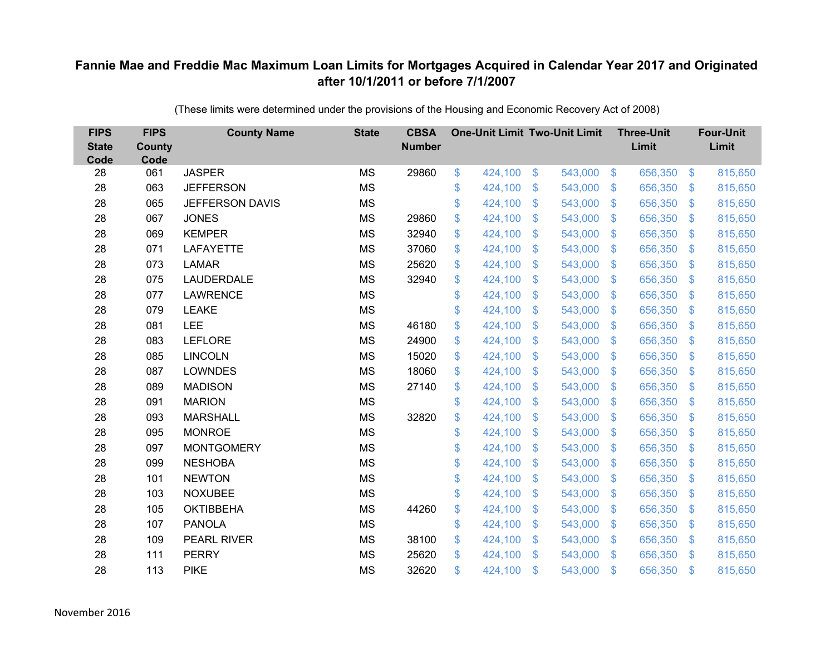| <b>FIPS</b><br><b>State</b><br>Code | <b>FIPS</b><br><b>County</b><br>Code | <b>County Name</b>     | <b>State</b> | <b>CBSA</b><br><b>Number</b> |                | <b>One-Unit Limit Two-Unit Limit</b> |                |         |                           | <b>Three-Unit</b><br>Limit |                         | <b>Four-Unit</b><br>Limit |
|-------------------------------------|--------------------------------------|------------------------|--------------|------------------------------|----------------|--------------------------------------|----------------|---------|---------------------------|----------------------------|-------------------------|---------------------------|
| 28                                  | 061                                  | <b>JASPER</b>          | <b>MS</b>    | 29860                        | $\mathfrak{F}$ | 424,100                              | $\frac{1}{2}$  | 543,000 | $\sqrt[6]{3}$             | 656,350                    | $\mathfrak{S}$          | 815,650                   |
| 28                                  | 063                                  | <b>JEFFERSON</b>       | <b>MS</b>    |                              | \$             | 424,100                              | \$             | 543,000 | $\mathfrak{F}$            | 656,350                    | $\mathfrak{S}$          | 815,650                   |
| 28                                  | 065                                  | <b>JEFFERSON DAVIS</b> | <b>MS</b>    |                              | \$             | 424,100                              | \$             | 543,000 | S.                        | 656,350                    | $\mathfrak{S}$          | 815,650                   |
| 28                                  | 067                                  | <b>JONES</b>           | <b>MS</b>    | 29860                        | \$             | 424,100                              | $\mathfrak{S}$ | 543,000 | $\mathbf{\$}$             | 656,350                    | $\mathbb{S}$            | 815,650                   |
| 28                                  | 069                                  | <b>KEMPER</b>          | <b>MS</b>    | 32940                        | \$             | 424,100                              | \$             | 543,000 | $\boldsymbol{\mathsf{S}}$ | 656,350                    | $\sqrt[6]{\frac{1}{2}}$ | 815,650                   |
| 28                                  | 071                                  | <b>LAFAYETTE</b>       | <b>MS</b>    | 37060                        | \$             | 424,100                              | \$             | 543,000 | $\sqrt[6]{3}$             | 656,350                    | $\mathfrak{S}$          | 815,650                   |
| 28                                  | 073                                  | <b>LAMAR</b>           | <b>MS</b>    | 25620                        | \$             | 424,100                              | $\mathfrak{S}$ | 543,000 | $\mathbb{S}$              | 656,350                    | $\mathfrak{S}$          | 815,650                   |
| 28                                  | 075                                  | LAUDERDALE             | <b>MS</b>    | 32940                        | \$             | 424,100                              | \$             | 543,000 | $\mathbb{S}$              | 656,350                    | $\mathfrak{S}$          | 815,650                   |
| 28                                  | 077                                  | <b>LAWRENCE</b>        | <b>MS</b>    |                              | \$             | 424,100                              | \$             | 543,000 | $\boldsymbol{\mathsf{S}}$ | 656,350                    | $\mathcal{L}$           | 815,650                   |
| 28                                  | 079                                  | <b>LEAKE</b>           | <b>MS</b>    |                              | \$             | 424,100                              | \$             | 543,000 | $\mathbf{\$}$             | 656,350                    | $\mathfrak{S}$          | 815,650                   |
| 28                                  | 081                                  | <b>LEE</b>             | <b>MS</b>    | 46180                        | \$             | 424,100                              | $\mathfrak{S}$ | 543,000 | $\mathfrak{F}$            | 656,350                    | $\mathfrak{S}$          | 815,650                   |
| 28                                  | 083                                  | <b>LEFLORE</b>         | <b>MS</b>    | 24900                        | \$             | 424,100                              | \$             | 543,000 | $\mathfrak{S}$            | 656,350                    | $\sqrt[6]{\frac{1}{2}}$ | 815,650                   |
| 28                                  | 085                                  | <b>LINCOLN</b>         | <b>MS</b>    | 15020                        | \$             | 424,100                              | $\mathfrak{S}$ | 543,000 | $\mathbb{S}$              | 656,350                    | $\mathfrak{S}$          | 815,650                   |
| 28                                  | 087                                  | <b>LOWNDES</b>         | <b>MS</b>    | 18060                        | \$             | 424,100                              | \$             | 543,000 | S.                        | 656,350                    | $\mathfrak{S}$          | 815,650                   |
| 28                                  | 089                                  | <b>MADISON</b>         | <b>MS</b>    | 27140                        | \$             | 424,100                              | $\mathfrak{S}$ | 543,000 | $\mathbb{S}$              | 656,350                    | $\mathfrak{S}$          | 815,650                   |
| 28                                  | 091                                  | <b>MARION</b>          | <b>MS</b>    |                              | \$             | 424,100                              | \$             | 543,000 | $\mathcal{S}$             | 656,350                    | $\mathfrak{S}$          | 815,650                   |
| 28                                  | 093                                  | <b>MARSHALL</b>        | <b>MS</b>    | 32820                        | \$             | 424,100                              | \$             | 543,000 | $\mathbb{S}$              | 656,350                    | $\mathfrak{S}$          | 815,650                   |
| 28                                  | 095                                  | <b>MONROE</b>          | <b>MS</b>    |                              | \$             | 424,100                              | \$             | 543,000 | S.                        | 656,350                    | $\mathbb{S}$            | 815,650                   |
| 28                                  | 097                                  | <b>MONTGOMERY</b>      | <b>MS</b>    |                              | \$             | 424,100                              | \$             | 543,000 | $\mathfrak{S}$            | 656,350                    | $\mathcal{L}$           | 815,650                   |
| 28                                  | 099                                  | <b>NESHOBA</b>         | <b>MS</b>    |                              | \$             | 424,100                              | $\mathfrak{F}$ | 543,000 | $\mathcal{L}$             | 656,350                    | $\mathcal{L}$           | 815,650                   |
| 28                                  | 101                                  | <b>NEWTON</b>          | <b>MS</b>    |                              | \$             | 424,100                              | \$             | 543,000 | S.                        | 656,350                    | $\mathcal{L}$           | 815,650                   |
| 28                                  | 103                                  | <b>NOXUBEE</b>         | <b>MS</b>    |                              | \$             | 424,100                              | $\mathfrak{S}$ | 543,000 | $\mathbb{S}$              | 656,350                    | $\mathfrak{S}$          | 815,650                   |
| 28                                  | 105                                  | <b>OKTIBBEHA</b>       | <b>MS</b>    | 44260                        | \$             | 424,100                              | \$             | 543,000 | $\mathcal{S}$             | 656,350                    | $\mathcal{L}$           | 815,650                   |
| 28                                  | 107                                  | <b>PANOLA</b>          | <b>MS</b>    |                              | \$             | 424,100                              | \$             | 543,000 | $\boldsymbol{\mathsf{S}}$ | 656,350                    | $\mathcal{L}$           | 815,650                   |
| 28                                  | 109                                  | <b>PEARL RIVER</b>     | <b>MS</b>    | 38100                        | \$             | 424,100                              | \$             | 543,000 | $\sqrt[6]{3}$             | 656,350                    | $\mathcal{L}$           | 815,650                   |
| 28                                  | 111                                  | <b>PERRY</b>           | <b>MS</b>    | 25620                        | \$             | 424,100                              | $\mathfrak{S}$ | 543,000 | $\mathfrak{F}$            | 656,350                    | $\mathbb{S}$            | 815,650                   |
| 28                                  | 113                                  | <b>PIKE</b>            | <b>MS</b>    | 32620                        | \$             | 424,100                              | $\mathfrak{S}$ | 543,000 | $\mathfrak{s}$            | 656,350                    | $\mathbf{\$}$           | 815,650                   |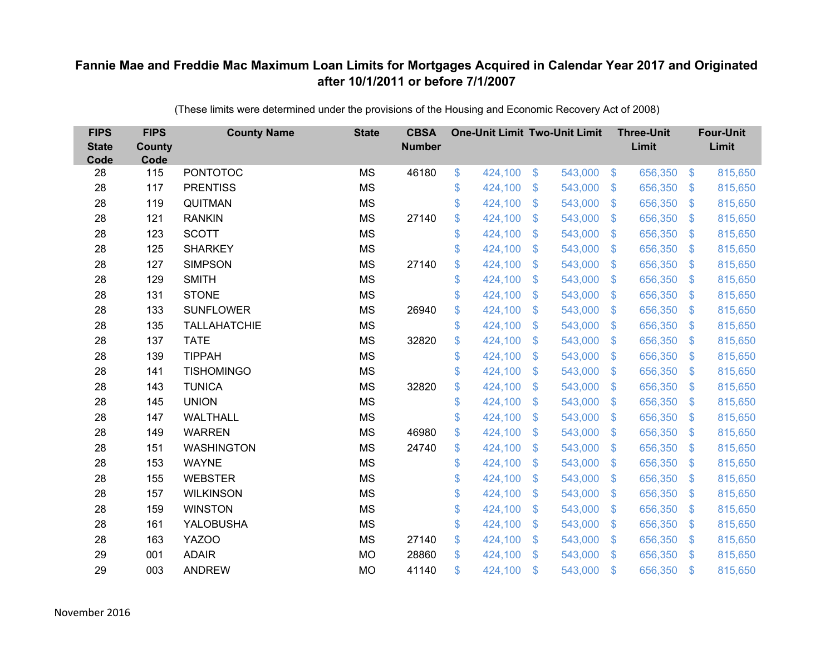| <b>FIPS</b><br><b>State</b><br>Code | <b>FIPS</b><br><b>County</b><br>Code | <b>County Name</b>  | <b>State</b> | <b>CBSA</b><br><b>Number</b> | <b>One-Unit Limit Two-Unit Limit</b> |                |         |                | <b>Three-Unit</b><br>Limit |                | <b>Four-Unit</b><br>Limit |
|-------------------------------------|--------------------------------------|---------------------|--------------|------------------------------|--------------------------------------|----------------|---------|----------------|----------------------------|----------------|---------------------------|
| 28                                  | 115                                  | <b>PONTOTOC</b>     | <b>MS</b>    | 46180                        | \$<br>424,100                        | $\frac{3}{2}$  | 543,000 | $\sqrt[6]{3}$  | 656,350                    | $\frac{1}{2}$  | 815,650                   |
| 28                                  | 117                                  | <b>PRENTISS</b>     | <b>MS</b>    |                              | \$<br>424,100                        | \$             | 543,000 | $\mathcal{S}$  | 656,350                    | $\mathcal{S}$  | 815,650                   |
| 28                                  | 119                                  | QUITMAN             | <b>MS</b>    |                              | \$<br>424,100                        | $\mathfrak{S}$ | 543,000 | $\mathbf{\$}$  | 656,350                    | $\mathfrak{F}$ | 815,650                   |
| 28                                  | 121                                  | <b>RANKIN</b>       | <b>MS</b>    | 27140                        | \$<br>424,100                        | \$             | 543,000 | $\mathcal{S}$  | 656,350                    | $\mathcal{L}$  | 815,650                   |
| 28                                  | 123                                  | <b>SCOTT</b>        | <b>MS</b>    |                              | \$<br>424,100                        | \$             | 543,000 | $\sqrt{3}$     | 656,350                    | $\mathbf{\$}$  | 815,650                   |
| 28                                  | 125                                  | <b>SHARKEY</b>      | <b>MS</b>    |                              | \$<br>424,100                        | $\mathfrak{S}$ | 543,000 | $\mathbf{\$}$  | 656,350                    | S.             | 815,650                   |
| 28                                  | 127                                  | <b>SIMPSON</b>      | <b>MS</b>    | 27140                        | \$<br>424,100                        | \$             | 543,000 | $\sqrt{3}$     | 656,350                    | $\mathcal{L}$  | 815,650                   |
| 28                                  | 129                                  | <b>SMITH</b>        | <b>MS</b>    |                              | \$<br>424,100                        | \$             | 543,000 | $\mathbf{\$}$  | 656,350                    | $\mathfrak{F}$ | 815,650                   |
| 28                                  | 131                                  | <b>STONE</b>        | <b>MS</b>    |                              | \$<br>424,100                        | $\mathfrak{S}$ | 543,000 | $\mathbf{\$}$  | 656,350                    | $\mathfrak{F}$ | 815,650                   |
| 28                                  | 133                                  | <b>SUNFLOWER</b>    | <b>MS</b>    | 26940                        | \$<br>424,100                        | \$             | 543,000 | $\mathbf{\$}$  | 656,350                    | $\mathfrak{F}$ | 815,650                   |
| 28                                  | 135                                  | <b>TALLAHATCHIE</b> | <b>MS</b>    |                              | \$<br>424,100                        | $\mathfrak{S}$ | 543,000 | $\mathbf{\$}$  | 656,350                    | $\mathcal{L}$  | 815,650                   |
| 28                                  | 137                                  | <b>TATE</b>         | <b>MS</b>    | 32820                        | \$<br>424,100                        | $\mathfrak{S}$ | 543,000 | $\mathfrak{S}$ | 656,350                    | $\mathfrak{F}$ | 815,650                   |
| 28                                  | 139                                  | <b>TIPPAH</b>       | <b>MS</b>    |                              | \$<br>424,100                        | \$             | 543,000 | $\mathcal{S}$  | 656,350                    | $\mathcal{L}$  | 815,650                   |
| 28                                  | 141                                  | <b>TISHOMINGO</b>   | <b>MS</b>    |                              | \$<br>424,100                        | \$             | 543,000 | \$.            | 656,350                    | S.             | 815,650                   |
| 28                                  | 143                                  | <b>TUNICA</b>       | <b>MS</b>    | 32820                        | \$<br>424,100                        | \$             | 543,000 | $\sqrt{3}$     | 656,350                    | $\mathcal{L}$  | 815,650                   |
| 28                                  | 145                                  | <b>UNION</b>        | <b>MS</b>    |                              | \$<br>424,100                        | $\mathfrak{F}$ | 543,000 | $\mathfrak{F}$ | 656,350                    | $\mathcal{L}$  | 815,650                   |
| 28                                  | 147                                  | <b>WALTHALL</b>     | <b>MS</b>    |                              | \$<br>424,100                        | $\mathfrak{S}$ | 543,000 | $\mathbf{\$}$  | 656,350                    | $\mathcal{S}$  | 815,650                   |
| 28                                  | 149                                  | <b>WARREN</b>       | <b>MS</b>    | 46980                        | \$<br>424,100                        | \$             | 543,000 | \$             | 656,350                    | $\mathcal{L}$  | 815,650                   |
| 28                                  | 151                                  | <b>WASHINGTON</b>   | <b>MS</b>    | 24740                        | \$<br>424,100                        | $\mathfrak{F}$ | 543,000 | $\mathcal{S}$  | 656,350                    | $\mathcal{S}$  | 815,650                   |
| 28                                  | 153                                  | <b>WAYNE</b>        | <b>MS</b>    |                              | \$<br>424,100                        | $\mathfrak{S}$ | 543,000 | $\mathfrak{S}$ | 656,350                    | $\mathfrak{F}$ | 815,650                   |
| 28                                  | 155                                  | <b>WEBSTER</b>      | <b>MS</b>    |                              | \$<br>424,100                        | $\mathfrak{F}$ | 543,000 | $\mathcal{S}$  | 656,350                    | $\mathcal{S}$  | 815,650                   |
| 28                                  | 157                                  | <b>WILKINSON</b>    | <b>MS</b>    |                              | \$<br>424,100                        | $\mathfrak{S}$ | 543,000 | $\mathbf{\$}$  | 656,350                    | $\mathcal{L}$  | 815,650                   |
| 28                                  | 159                                  | <b>WINSTON</b>      | <b>MS</b>    |                              | \$<br>424,100                        | \$             | 543,000 | $\mathbf{\$}$  | 656,350                    | $\mathfrak{S}$ | 815,650                   |
| 28                                  | 161                                  | YALOBUSHA           | <b>MS</b>    |                              | \$<br>424,100                        | \$             | 543,000 | $\mathcal{S}$  | 656,350                    | $\mathcal{L}$  | 815,650                   |
| 28                                  | 163                                  | YAZOO               | <b>MS</b>    | 27140                        | \$<br>424,100                        | \$             | 543,000 | $\mathcal{S}$  | 656,350                    | $\mathcal{S}$  | 815,650                   |
| 29                                  | 001                                  | <b>ADAIR</b>        | <b>MO</b>    | 28860                        | \$<br>424,100                        | $\mathfrak{S}$ | 543,000 | $\mathbf{\$}$  | 656,350                    | <sup>\$</sup>  | 815,650                   |
| 29                                  | 003                                  | <b>ANDREW</b>       | <b>MO</b>    | 41140                        | \$<br>424,100                        | \$             | 543,000 | \$             | 656,350                    | $\mathfrak{s}$ | 815,650                   |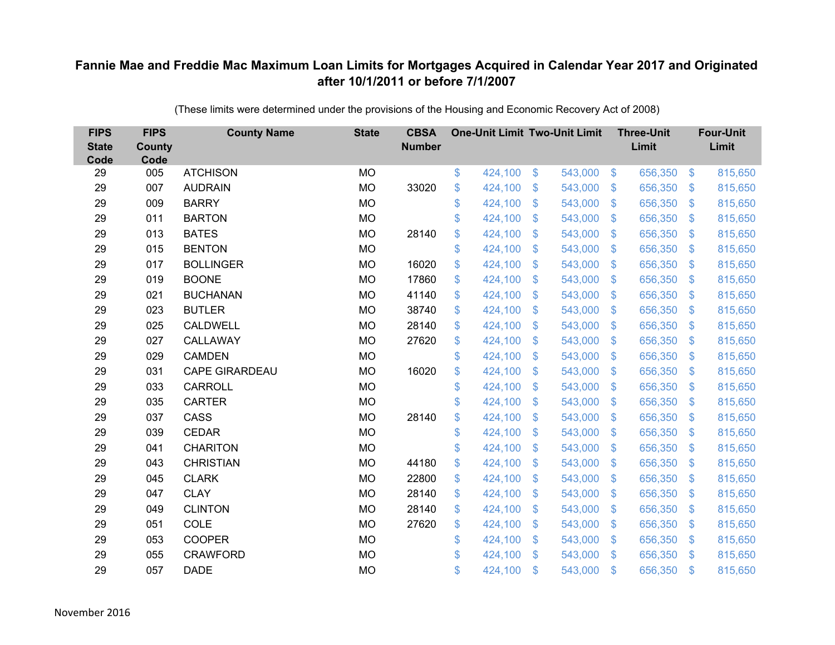| <b>FIPS</b><br><b>State</b><br>Code | <b>FIPS</b><br><b>County</b><br>Code | <b>County Name</b>    | <b>State</b> | <b>CBSA</b><br><b>Number</b> | <b>One-Unit Limit Two-Unit Limit</b> |                |         |                | <b>Three-Unit</b><br>Limit |                           | <b>Four-Unit</b><br>Limit |
|-------------------------------------|--------------------------------------|-----------------------|--------------|------------------------------|--------------------------------------|----------------|---------|----------------|----------------------------|---------------------------|---------------------------|
| 29                                  | 005                                  | <b>ATCHISON</b>       | <b>MO</b>    |                              | \$<br>424,100                        | $\sqrt[6]{3}$  | 543,000 | $\sqrt[6]{3}$  | 656,350                    | $\mathfrak{S}$            | 815,650                   |
| 29                                  | 007                                  | <b>AUDRAIN</b>        | <b>MO</b>    | 33020                        | \$<br>424,100                        | \$             | 543,000 | $\mathcal{S}$  | 656,350                    | $\mathcal{L}$             | 815,650                   |
| 29                                  | 009                                  | <b>BARRY</b>          | <b>MO</b>    |                              | \$<br>424,100                        | $\mathfrak{S}$ | 543,000 | $\mathbf{\$}$  | 656,350                    | $\boldsymbol{\mathsf{S}}$ | 815,650                   |
| 29                                  | 011                                  | <b>BARTON</b>         | <b>MO</b>    |                              | \$<br>424,100                        | \$             | 543,000 | $\mathbf{\$}$  | 656,350                    | $\mathfrak{F}$            | 815,650                   |
| 29                                  | 013                                  | <b>BATES</b>          | <b>MO</b>    | 28140                        | \$<br>424,100                        | \$             | 543,000 | $\sqrt{3}$     | 656,350                    | $\mathcal{L}$             | 815,650                   |
| 29                                  | 015                                  | <b>BENTON</b>         | <b>MO</b>    |                              | \$<br>424,100                        | \$             | 543,000 | $\mathbf{\$}$  | 656,350                    | $\mathcal{S}$             | 815,650                   |
| 29                                  | 017                                  | <b>BOLLINGER</b>      | <b>MO</b>    | 16020                        | \$<br>424,100                        | $\mathfrak{S}$ | 543,000 | $\mathbf{\$}$  | 656,350                    | $\mathfrak{F}$            | 815,650                   |
| 29                                  | 019                                  | <b>BOONE</b>          | <b>MO</b>    | 17860                        | \$<br>424,100                        | $\mathfrak{F}$ | 543,000 | $\mathcal{S}$  | 656,350                    | $\mathfrak{F}$            | 815,650                   |
| 29                                  | 021                                  | <b>BUCHANAN</b>       | <b>MO</b>    | 41140                        | \$<br>424,100                        | $\mathfrak{S}$ | 543,000 | $\mathfrak{S}$ | 656,350                    | $\mathcal{L}$             | 815,650                   |
| 29                                  | 023                                  | <b>BUTLER</b>         | <b>MO</b>    | 38740                        | \$<br>424,100                        | $\mathfrak{S}$ | 543,000 | $\mathbf{\$}$  | 656,350                    | S.                        | 815,650                   |
| 29                                  | 025                                  | <b>CALDWELL</b>       | <b>MO</b>    | 28140                        | \$<br>424,100                        | \$             | 543,000 | \$             | 656,350                    | $\mathcal{L}$             | 815,650                   |
| 29                                  | 027                                  | CALLAWAY              | <b>MO</b>    | 27620                        | \$<br>424,100                        | \$             | 543,000 | \$             | 656,350                    | $\mathcal{L}$             | 815,650                   |
| 29                                  | 029                                  | <b>CAMDEN</b>         | <b>MO</b>    |                              | \$<br>424,100                        | $\mathfrak{S}$ | 543,000 | $\mathfrak{S}$ | 656,350                    | $\mathbf{\$}$             | 815,650                   |
| 29                                  | 031                                  | <b>CAPE GIRARDEAU</b> | <b>MO</b>    | 16020                        | \$<br>424,100                        | \$             | 543,000 | \$             | 656,350                    | $\mathfrak{F}$            | 815,650                   |
| 29                                  | 033                                  | <b>CARROLL</b>        | <b>MO</b>    |                              | \$<br>424,100                        | \$             | 543,000 | \$             | 656,350                    | $\mathcal{L}$             | 815,650                   |
| 29                                  | 035                                  | <b>CARTER</b>         | <b>MO</b>    |                              | \$<br>424,100                        | $\mathfrak{S}$ | 543,000 | $\mathfrak{S}$ | 656,350                    | $\mathcal{L}$             | 815,650                   |
| 29                                  | 037                                  | CASS                  | <b>MO</b>    | 28140                        | \$<br>424,100                        | \$             | 543,000 | $\sqrt{3}$     | 656,350                    | $\mathfrak{S}$            | 815,650                   |
| 29                                  | 039                                  | <b>CEDAR</b>          | <b>MO</b>    |                              | \$<br>424,100                        | $\mathfrak{S}$ | 543,000 | \$.            | 656,350                    | $\mathcal{L}$             | 815,650                   |
| 29                                  | 041                                  | <b>CHARITON</b>       | <b>MO</b>    |                              | \$<br>424,100                        | $\mathfrak{S}$ | 543,000 | $\mathbf{\$}$  | 656,350                    | $\mathfrak{F}$            | 815,650                   |
| 29                                  | 043                                  | <b>CHRISTIAN</b>      | <b>MO</b>    | 44180                        | \$<br>424,100                        | $\$\$          | 543,000 | \$             | 656,350                    | $\boldsymbol{\mathsf{S}}$ | 815,650                   |
| 29                                  | 045                                  | <b>CLARK</b>          | <b>MO</b>    | 22800                        | \$<br>424,100                        | $\mathfrak{S}$ | 543,000 | $\mathcal{S}$  | 656,350                    | $\mathfrak{F}$            | 815,650                   |
| 29                                  | 047                                  | <b>CLAY</b>           | <b>MO</b>    | 28140                        | \$<br>424,100                        | $\mathfrak{S}$ | 543,000 | $\mathfrak{S}$ | 656,350                    | $\boldsymbol{\mathsf{S}}$ | 815,650                   |
| 29                                  | 049                                  | <b>CLINTON</b>        | <b>MO</b>    | 28140                        | \$<br>424,100                        | \$             | 543,000 | $\mathbf{\$}$  | 656,350                    | $\mathfrak{F}$            | 815,650                   |
| 29                                  | 051                                  | COLE                  | <b>MO</b>    | 27620                        | \$<br>424,100                        | \$             | 543,000 | $\sqrt[6]{3}$  | 656,350                    | $\mathcal{L}$             | 815,650                   |
| 29                                  | 053                                  | <b>COOPER</b>         | <b>MO</b>    |                              | \$<br>424,100                        | \$             | 543,000 | $\mathcal{S}$  | 656,350                    | $\mathcal{L}$             | 815,650                   |
| 29                                  | 055                                  | <b>CRAWFORD</b>       | <b>MO</b>    |                              | \$<br>424,100                        | $\mathcal{S}$  | 543,000 | \$             | 656,350                    | \$                        | 815,650                   |
| 29                                  | 057                                  | <b>DADE</b>           | <b>MO</b>    |                              | \$<br>424,100                        | \$             | 543,000 | \$             | 656,350                    | $\mathfrak{s}$            | 815,650                   |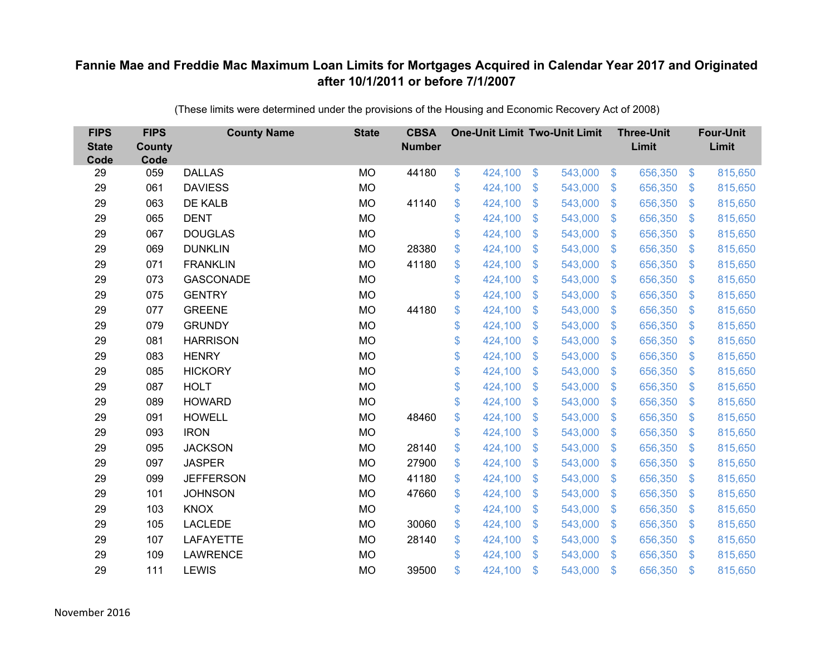| <b>FIPS</b><br><b>State</b><br>Code | <b>FIPS</b><br><b>County</b><br>Code | <b>County Name</b> | <b>State</b> | <b>CBSA</b><br><b>Number</b> | <b>One-Unit Limit Two-Unit Limit</b> |                           |         |                | <b>Three-Unit</b><br>Limit |                | <b>Four-Unit</b><br>Limit |
|-------------------------------------|--------------------------------------|--------------------|--------------|------------------------------|--------------------------------------|---------------------------|---------|----------------|----------------------------|----------------|---------------------------|
| 29                                  | 059                                  | <b>DALLAS</b>      | <b>MO</b>    | 44180                        | \$<br>424,100                        | \$                        | 543,000 | $\sqrt[6]{3}$  | 656,350                    | $\frac{3}{2}$  | 815,650                   |
| 29                                  | 061                                  | <b>DAVIESS</b>     | <b>MO</b>    |                              | \$<br>424,100                        | \$                        | 543,000 | $\mathfrak{S}$ | 656,350                    | $\mathbf{\$}$  | 815,650                   |
| 29                                  | 063                                  | DE KALB            | <b>MO</b>    | 41140                        | \$<br>424,100                        | $\mathcal{S}$             | 543,000 | $\mathfrak{S}$ | 656,350                    | $\mathbf{\$}$  | 815,650                   |
| 29                                  | 065                                  | <b>DENT</b>        | <b>MO</b>    |                              | \$<br>424,100                        | $\boldsymbol{\mathsf{S}}$ | 543,000 | $\mathcal{L}$  | 656,350                    | $\mathcal{S}$  | 815,650                   |
| 29                                  | 067                                  | <b>DOUGLAS</b>     | <b>MO</b>    |                              | \$<br>424,100                        | $\boldsymbol{\mathsf{S}}$ | 543,000 | $\mathfrak{F}$ | 656,350                    | \$.            | 815,650                   |
| 29                                  | 069                                  | <b>DUNKLIN</b>     | <b>MO</b>    | 28380                        | \$<br>424,100                        | $\mathcal{S}$             | 543,000 | $\mathfrak{S}$ | 656,350                    | \$.            | 815,650                   |
| 29                                  | 071                                  | <b>FRANKLIN</b>    | <b>MO</b>    | 41180                        | \$<br>424,100                        | $\boldsymbol{\mathsf{S}}$ | 543,000 | $\mathfrak{S}$ | 656,350                    | $\mathfrak{F}$ | 815,650                   |
| 29                                  | 073                                  | <b>GASCONADE</b>   | <b>MO</b>    |                              | \$<br>424,100                        | $\boldsymbol{\mathsf{S}}$ | 543,000 | $\mathfrak{S}$ | 656,350                    | $\mathcal{S}$  | 815,650                   |
| 29                                  | 075                                  | <b>GENTRY</b>      | <b>MO</b>    |                              | \$<br>424,100                        | $\mathcal{S}$             | 543,000 | $\mathfrak{S}$ | 656,350                    | $\mathfrak{S}$ | 815,650                   |
| 29                                  | 077                                  | <b>GREENE</b>      | <b>MO</b>    | 44180                        | \$<br>424,100                        | \$                        | 543,000 | $\mathbb{S}$   | 656,350                    | $\sqrt[6]{3}$  | 815,650                   |
| 29                                  | 079                                  | <b>GRUNDY</b>      | <b>MO</b>    |                              | \$<br>424,100                        | $\mathfrak{S}$            | 543,000 | $\mathfrak{S}$ | 656,350                    | $\mathbf{\$}$  | 815,650                   |
| 29                                  | 081                                  | <b>HARRISON</b>    | <b>MO</b>    |                              | \$<br>424,100                        | $\mathfrak{S}$            | 543,000 | $\mathfrak{S}$ | 656,350                    | $\mathbf{\$}$  | 815,650                   |
| 29                                  | 083                                  | <b>HENRY</b>       | <b>MO</b>    |                              | \$<br>424,100                        | \$                        | 543,000 | $\mathfrak{S}$ | 656,350                    | \$             | 815,650                   |
| 29                                  | 085                                  | <b>HICKORY</b>     | <b>MO</b>    |                              | \$<br>424,100                        | $\mathbf{\$}$             | 543,000 | $\mathbb{S}$   | 656,350                    | $\sqrt[6]{3}$  | 815,650                   |
| 29                                  | 087                                  | <b>HOLT</b>        | <b>MO</b>    |                              | \$<br>424,100                        | $\boldsymbol{\mathsf{S}}$ | 543,000 | $\sqrt[6]{3}$  | 656,350                    | $\mathcal{S}$  | 815,650                   |
| 29                                  | 089                                  | <b>HOWARD</b>      | <b>MO</b>    |                              | \$<br>424,100                        | $\boldsymbol{\mathsf{S}}$ | 543,000 | $\mathfrak{F}$ | 656,350                    | $\mathcal{S}$  | 815,650                   |
| 29                                  | 091                                  | <b>HOWELL</b>      | <b>MO</b>    | 48460                        | \$<br>424,100                        | \$                        | 543,000 | $\mathfrak{S}$ | 656,350                    | $\mathbf{\$}$  | 815,650                   |
| 29                                  | 093                                  | <b>IRON</b>        | <b>MO</b>    |                              | \$<br>424,100                        | $\boldsymbol{\mathsf{S}}$ | 543,000 | $\sqrt[6]{3}$  | 656,350                    | $\mathcal{S}$  | 815,650                   |
| 29                                  | 095                                  | <b>JACKSON</b>     | <b>MO</b>    | 28140                        | \$<br>424,100                        | $\boldsymbol{\mathsf{S}}$ | 543,000 | $\mathbb{S}$   | 656,350                    | $\mathcal{S}$  | 815,650                   |
| 29                                  | 097                                  | <b>JASPER</b>      | <b>MO</b>    | 27900                        | \$<br>424,100                        | $\mathcal{S}$             | 543,000 | $\mathfrak{S}$ | 656,350                    | $\mathbf{\$}$  | 815,650                   |
| 29                                  | 099                                  | <b>JEFFERSON</b>   | <b>MO</b>    | 41180                        | \$<br>424,100                        | $\boldsymbol{\mathsf{S}}$ | 543,000 | $\sqrt[6]{3}$  | 656,350                    | $\mathcal{S}$  | 815,650                   |
| 29                                  | 101                                  | <b>JOHNSON</b>     | <b>MO</b>    | 47660                        | \$<br>424,100                        | $\boldsymbol{\mathsf{S}}$ | 543,000 | $\mathfrak{S}$ | 656,350                    | $\mathcal{S}$  | 815,650                   |
| 29                                  | 103                                  | <b>KNOX</b>        | <b>MO</b>    |                              | \$<br>424,100                        | $\boldsymbol{\mathsf{S}}$ | 543,000 | $\mathfrak{S}$ | 656,350                    | $\mathbf{\$}$  | 815,650                   |
| 29                                  | 105                                  | <b>LACLEDE</b>     | <b>MO</b>    | 30060                        | \$<br>424,100                        | $\boldsymbol{\mathsf{S}}$ | 543,000 | $\sqrt[6]{3}$  | 656,350                    | \$             | 815,650                   |
| 29                                  | 107                                  | <b>LAFAYETTE</b>   | <b>MO</b>    | 28140                        | \$<br>424,100                        | $\boldsymbol{\mathsf{S}}$ | 543,000 | $\mathfrak{S}$ | 656,350                    | $\mathcal{S}$  | 815,650                   |
| 29                                  | 109                                  | <b>LAWRENCE</b>    | <b>MO</b>    |                              | \$<br>424,100                        | $\mathcal{S}$             | 543,000 | $\mathbb{S}$   | 656,350                    | <sup>\$</sup>  | 815,650                   |
| 29                                  | 111                                  | <b>LEWIS</b>       | <b>MO</b>    | 39500                        | \$<br>424,100                        | $\mathcal{S}$             | 543,000 | $\mathfrak{F}$ | 656,350                    | $\mathbf{\$}$  | 815,650                   |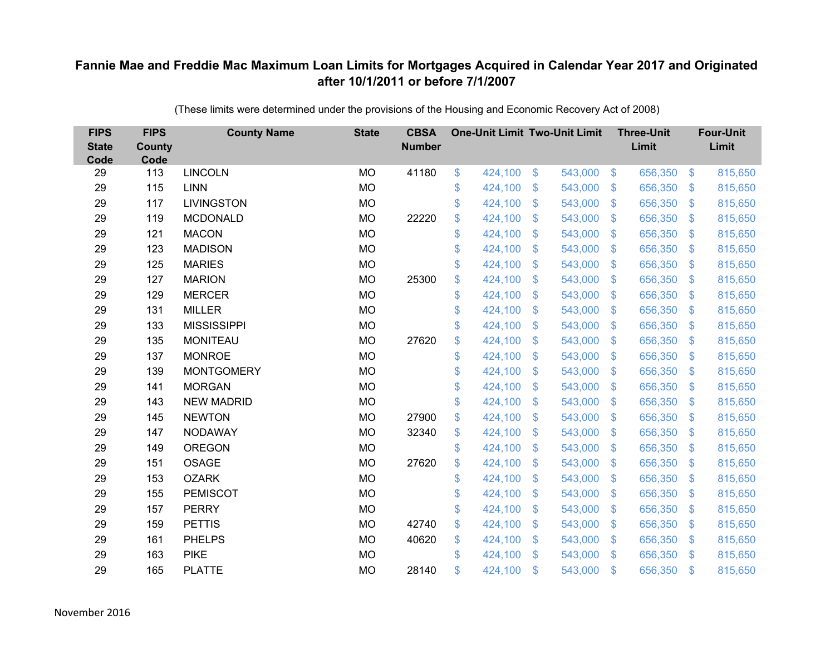| <b>FIPS</b><br><b>State</b><br>Code | <b>FIPS</b><br><b>County</b><br>Code | <b>County Name</b> | <b>State</b> | <b>CBSA</b><br><b>Number</b> | <b>One-Unit Limit Two-Unit Limit</b> |                |         |                | <b>Three-Unit</b><br>Limit |                | <b>Four-Unit</b><br>Limit |
|-------------------------------------|--------------------------------------|--------------------|--------------|------------------------------|--------------------------------------|----------------|---------|----------------|----------------------------|----------------|---------------------------|
| 29                                  | 113                                  | <b>LINCOLN</b>     | <b>MO</b>    | 41180                        | \$<br>424,100                        | $\frac{3}{2}$  | 543,000 | $\sqrt[6]{3}$  | 656,350                    | $\frac{1}{2}$  | 815,650                   |
| 29                                  | 115                                  | <b>LINN</b>        | <b>MO</b>    |                              | \$<br>424,100                        | \$             | 543,000 | $\mathcal{S}$  | 656,350                    | $\mathcal{L}$  | 815,650                   |
| 29                                  | 117                                  | <b>LIVINGSTON</b>  | <b>MO</b>    |                              | \$<br>424,100                        | $\mathfrak{S}$ | 543,000 | $\mathbf{\$}$  | 656,350                    | $\mathfrak{F}$ | 815,650                   |
| 29                                  | 119                                  | <b>MCDONALD</b>    | <b>MO</b>    | 22220                        | \$<br>424,100                        | \$             | 543,000 | $\mathcal{S}$  | 656,350                    | $\mathcal{L}$  | 815,650                   |
| 29                                  | 121                                  | <b>MACON</b>       | <b>MO</b>    |                              | \$<br>424,100                        | \$             | 543,000 | $\sqrt{3}$     | 656,350                    | $\mathbf{\$}$  | 815,650                   |
| 29                                  | 123                                  | <b>MADISON</b>     | <b>MO</b>    |                              | \$<br>424,100                        | $\mathfrak{S}$ | 543,000 | $\mathbf{\$}$  | 656,350                    | S.             | 815,650                   |
| 29                                  | 125                                  | <b>MARIES</b>      | <b>MO</b>    |                              | \$<br>424,100                        | \$             | 543,000 | $\sqrt{3}$     | 656,350                    | $\mathcal{L}$  | 815,650                   |
| 29                                  | 127                                  | <b>MARION</b>      | <b>MO</b>    | 25300                        | \$<br>424,100                        | \$             | 543,000 | $\mathbf{\$}$  | 656,350                    | $\mathcal{L}$  | 815,650                   |
| 29                                  | 129                                  | <b>MERCER</b>      | <b>MO</b>    |                              | \$<br>424,100                        | $\mathfrak{S}$ | 543,000 | $\mathbf{\$}$  | 656,350                    | $\mathfrak{F}$ | 815,650                   |
| 29                                  | 131                                  | <b>MILLER</b>      | <b>MO</b>    |                              | \$<br>424,100                        | \$             | 543,000 | $\mathbf{\$}$  | 656,350                    | $\mathcal{S}$  | 815,650                   |
| 29                                  | 133                                  | <b>MISSISSIPPI</b> | <b>MO</b>    |                              | \$<br>424,100                        | $\mathfrak{S}$ | 543,000 | $\mathbf{\$}$  | 656,350                    | $\mathcal{L}$  | 815,650                   |
| 29                                  | 135                                  | <b>MONITEAU</b>    | <b>MO</b>    | 27620                        | \$<br>424,100                        | $\mathfrak{S}$ | 543,000 | $\mathfrak{S}$ | 656,350                    | $\mathfrak{F}$ | 815,650                   |
| 29                                  | 137                                  | <b>MONROE</b>      | <b>MO</b>    |                              | \$<br>424,100                        | \$             | 543,000 | $\mathfrak{F}$ | 656,350                    | $\mathcal{L}$  | 815,650                   |
| 29                                  | 139                                  | <b>MONTGOMERY</b>  | <b>MO</b>    |                              | \$<br>424,100                        | \$             | 543,000 | \$.            | 656,350                    | S.             | 815,650                   |
| 29                                  | 141                                  | <b>MORGAN</b>      | <b>MO</b>    |                              | \$<br>424,100                        | \$             | 543,000 | $\sqrt{3}$     | 656,350                    | $\mathcal{L}$  | 815,650                   |
| 29                                  | 143                                  | <b>NEW MADRID</b>  | <b>MO</b>    |                              | \$<br>424,100                        | $\mathfrak{S}$ | 543,000 | $\mathfrak{S}$ | 656,350                    | $\mathcal{L}$  | 815,650                   |
| 29                                  | 145                                  | <b>NEWTON</b>      | <b>MO</b>    | 27900                        | \$<br>424,100                        | $\mathfrak{S}$ | 543,000 | $\mathfrak{S}$ | 656,350                    | $\mathcal{S}$  | 815,650                   |
| 29                                  | 147                                  | <b>NODAWAY</b>     | <b>MO</b>    | 32340                        | \$<br>424,100                        | \$             | 543,000 | \$             | 656,350                    | $\mathcal{L}$  | 815,650                   |
| 29                                  | 149                                  | <b>OREGON</b>      | <b>MO</b>    |                              | \$<br>424,100                        | $\mathfrak{S}$ | 543,000 | $\mathcal{S}$  | 656,350                    | $\mathcal{S}$  | 815,650                   |
| 29                                  | 151                                  | <b>OSAGE</b>       | <b>MO</b>    | 27620                        | \$<br>424,100                        | $\mathfrak{S}$ | 543,000 | $\mathfrak{S}$ | 656,350                    | $\mathfrak{F}$ | 815,650                   |
| 29                                  | 153                                  | <b>OZARK</b>       | <b>MO</b>    |                              | \$<br>424,100                        | $\mathfrak{F}$ | 543,000 | $\mathcal{S}$  | 656,350                    | $\mathcal{S}$  | 815,650                   |
| 29                                  | 155                                  | <b>PEMISCOT</b>    | <b>MO</b>    |                              | \$<br>424,100                        | $\mathfrak{S}$ | 543,000 | \$.            | 656,350                    | $\mathcal{L}$  | 815,650                   |
| 29                                  | 157                                  | <b>PERRY</b>       | <b>MO</b>    |                              | \$<br>424,100                        | \$             | 543,000 | $\mathbf{\$}$  | 656,350                    | $\mathfrak{S}$ | 815,650                   |
| 29                                  | 159                                  | <b>PETTIS</b>      | <b>MO</b>    | 42740                        | \$<br>424,100                        | \$             | 543,000 | \$             | 656,350                    | $\mathcal{L}$  | 815,650                   |
| 29                                  | 161                                  | <b>PHELPS</b>      | <b>MO</b>    | 40620                        | \$<br>424,100                        | \$             | 543,000 | $\mathcal{S}$  | 656,350                    | $\mathcal{L}$  | 815,650                   |
| 29                                  | 163                                  | <b>PIKE</b>        | <b>MO</b>    |                              | \$<br>424,100                        | $\mathfrak{S}$ | 543,000 | $\mathbf{\$}$  | 656,350                    | <sup>\$</sup>  | 815,650                   |
| 29                                  | 165                                  | <b>PLATTE</b>      | <b>MO</b>    | 28140                        | \$<br>424,100                        | \$             | 543,000 | \$             | 656,350                    | $\mathfrak{s}$ | 815,650                   |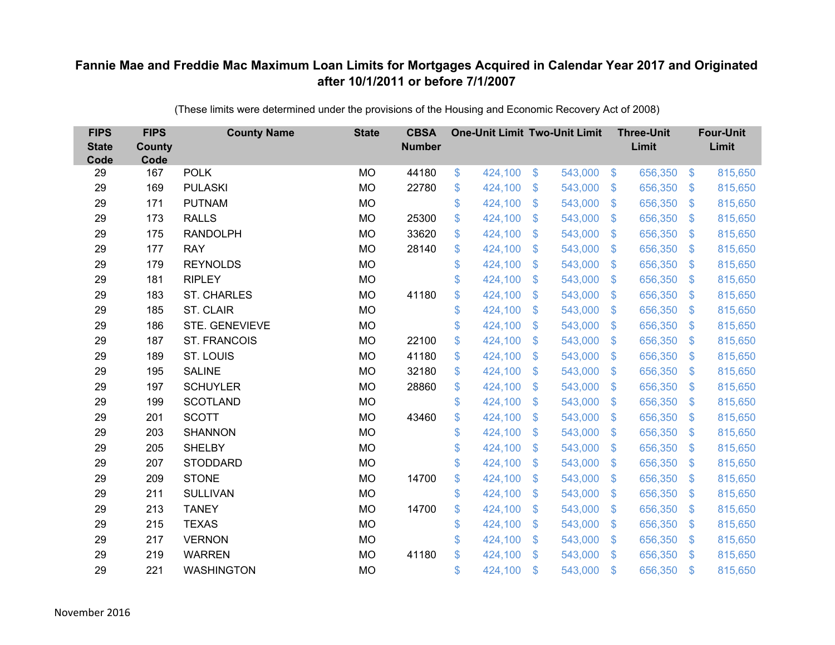| <b>FIPS</b><br><b>State</b><br>Code | <b>FIPS</b><br>County<br>Code | <b>County Name</b>  | <b>State</b> | <b>CBSA</b><br><b>Number</b> | <b>One-Unit Limit Two-Unit Limit</b> |                |         |                | <b>Three-Unit</b><br>Limit |                | <b>Four-Unit</b><br>Limit |
|-------------------------------------|-------------------------------|---------------------|--------------|------------------------------|--------------------------------------|----------------|---------|----------------|----------------------------|----------------|---------------------------|
| 29                                  | 167                           | <b>POLK</b>         | <b>MO</b>    | 44180                        | \$<br>424,100                        | $\$\$          | 543,000 | $\sqrt[6]{3}$  | 656,350                    | $\sqrt[6]{3}$  | 815,650                   |
| 29                                  | 169                           | <b>PULASKI</b>      | <b>MO</b>    | 22780                        | \$<br>424,100                        | \$             | 543,000 | $\mathcal{S}$  | 656,350                    | $\mathbb{S}$   | 815,650                   |
| 29                                  | 171                           | <b>PUTNAM</b>       | <b>MO</b>    |                              | \$<br>424,100                        | $\mathfrak{S}$ | 543,000 | $\mathbf{\$}$  | 656,350                    | $\mathbb{S}$   | 815,650                   |
| 29                                  | 173                           | <b>RALLS</b>        | <b>MO</b>    | 25300                        | \$<br>424,100                        | \$             | 543,000 | $\sqrt[6]{3}$  | 656,350                    | $\sqrt[6]{3}$  | 815,650                   |
| 29                                  | 175                           | <b>RANDOLPH</b>     | <b>MO</b>    | 33620                        | \$<br>424,100                        | $\mathfrak{S}$ | 543,000 | $\mathbf{\$}$  | 656,350                    | $\mathfrak{S}$ | 815,650                   |
| 29                                  | 177                           | <b>RAY</b>          | <b>MO</b>    | 28140                        | \$<br>424,100                        | $\mathfrak{S}$ | 543,000 | $\mathbf{\$}$  | 656,350                    | $\mathbb{S}$   | 815,650                   |
| 29                                  | 179                           | <b>REYNOLDS</b>     | <b>MO</b>    |                              | \$<br>424,100                        | \$             | 543,000 | $\mathcal{S}$  | 656,350                    | $\mathfrak{S}$ | 815,650                   |
| 29                                  | 181                           | <b>RIPLEY</b>       | <b>MO</b>    |                              | \$<br>424,100                        | \$             | 543,000 | $\mathcal{S}$  | 656,350                    | $\mathfrak{S}$ | 815,650                   |
| 29                                  | 183                           | <b>ST. CHARLES</b>  | <b>MO</b>    | 41180                        | \$<br>424,100                        | $\mathfrak{S}$ | 543,000 | $\mathbb{S}$   | 656,350                    | $\mathfrak{S}$ | 815,650                   |
| 29                                  | 185                           | ST. CLAIR           | <b>MO</b>    |                              | \$<br>424,100                        | \$             | 543,000 | S.             | 656,350                    | $\mathbb{S}$   | 815,650                   |
| 29                                  | 186                           | STE. GENEVIEVE      | <b>MO</b>    |                              | \$<br>424,100                        | $\mathfrak{S}$ | 543,000 | $\mathbb{S}$   | 656,350                    | $\mathbb{S}$   | 815,650                   |
| 29                                  | 187                           | <b>ST. FRANCOIS</b> | <b>MO</b>    | 22100                        | \$<br>424,100                        | $\mathfrak{S}$ | 543,000 | S.             | 656,350                    | $\mathbb{S}$   | 815,650                   |
| 29                                  | 189                           | ST. LOUIS           | <b>MO</b>    | 41180                        | \$<br>424,100                        | \$             | 543,000 | $\mathcal{S}$  | 656,350                    | $\mathfrak{S}$ | 815,650                   |
| 29                                  | 195                           | <b>SALINE</b>       | <b>MO</b>    | 32180                        | \$<br>424,100                        | \$             | 543,000 | S.             | 656,350                    | $\mathbb{S}$   | 815,650                   |
| 29                                  | 197                           | <b>SCHUYLER</b>     | <b>MO</b>    | 28860                        | \$<br>424,100                        | \$             | 543,000 | $\mathfrak{S}$ | 656,350                    | $\mathfrak{S}$ | 815,650                   |
| 29                                  | 199                           | <b>SCOTLAND</b>     | <b>MO</b>    |                              | \$<br>424,100                        | $\mathfrak{F}$ | 543,000 | $\mathfrak{S}$ | 656,350                    | $\mathfrak{S}$ | 815,650                   |
| 29                                  | 201                           | <b>SCOTT</b>        | <b>MO</b>    | 43460                        | \$<br>424,100                        | $\mathfrak{S}$ | 543,000 | $\mathcal{S}$  | 656,350                    | $\mathbb{S}$   | 815,650                   |
| 29                                  | 203                           | <b>SHANNON</b>      | <b>MO</b>    |                              | \$<br>424,100                        | \$             | 543,000 | $\sqrt[6]{3}$  | 656,350                    | $\mathfrak{S}$ | 815,650                   |
| 29                                  | 205                           | <b>SHELBY</b>       | <b>MO</b>    |                              | \$<br>424,100                        | \$             | 543,000 | $\sqrt[6]{3}$  | 656,350                    | $\mathfrak{S}$ | 815,650                   |
| 29                                  | 207                           | <b>STODDARD</b>     | <b>MO</b>    |                              | \$<br>424,100                        | $\mathfrak{S}$ | 543,000 | $\mathbb{S}$   | 656,350                    | $\mathfrak{S}$ | 815,650                   |
| 29                                  | 209                           | <b>STONE</b>        | <b>MO</b>    | 14700                        | \$<br>424,100                        | \$             | 543,000 | $\sqrt[6]{3}$  | 656,350                    | $\sqrt[6]{3}$  | 815,650                   |
| 29                                  | 211                           | <b>SULLIVAN</b>     | <b>MO</b>    |                              | \$<br>424,100                        | $\mathfrak{S}$ | 543,000 | S.             | 656,350                    | $\mathbb{S}$   | 815,650                   |
| 29                                  | 213                           | <b>TANEY</b>        | <b>MO</b>    | 14700                        | \$<br>424,100                        | \$             | 543,000 | $\mathbf{\$}$  | 656,350                    | $\mathfrak{S}$ | 815,650                   |
| 29                                  | 215                           | <b>TEXAS</b>        | <b>MO</b>    |                              | \$<br>424,100                        | \$             | 543,000 | $\mathfrak{F}$ | 656,350                    | \$             | 815,650                   |
| 29                                  | 217                           | <b>VERNON</b>       | <b>MO</b>    |                              | \$<br>424,100                        | \$             | 543,000 | $\sqrt[6]{3}$  | 656,350                    | $\mathbb{S}$   | 815,650                   |
| 29                                  | 219                           | <b>WARREN</b>       | <b>MO</b>    | 41180                        | \$<br>424,100                        | $\mathfrak{S}$ | 543,000 | $\mathbb{S}$   | 656,350                    | $\mathbb{S}$   | 815,650                   |
| 29                                  | 221                           | <b>WASHINGTON</b>   | <b>MO</b>    |                              | \$<br>424,100                        | \$             | 543,000 | $\mathfrak{F}$ | 656,350                    | $\mathbf{\$}$  | 815,650                   |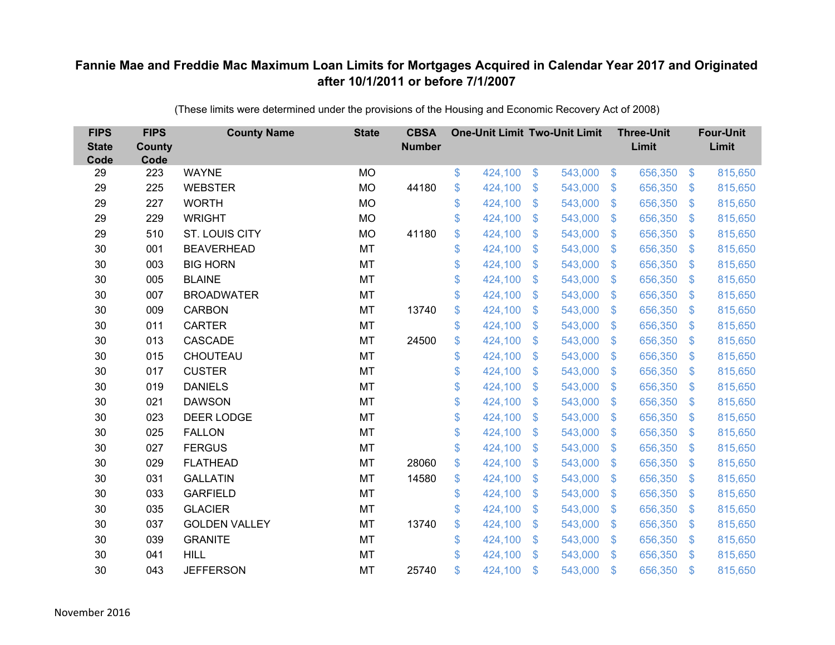| <b>FIPS</b><br><b>State</b><br>Code | <b>FIPS</b><br><b>County</b><br>Code | <b>County Name</b>   | <b>State</b> | <b>CBSA</b><br><b>Number</b> | <b>One-Unit Limit Two-Unit Limit</b> |                |         |                           | <b>Three-Unit</b><br>Limit |                           | <b>Four-Unit</b><br>Limit |
|-------------------------------------|--------------------------------------|----------------------|--------------|------------------------------|--------------------------------------|----------------|---------|---------------------------|----------------------------|---------------------------|---------------------------|
| 29                                  | 223                                  | <b>WAYNE</b>         | <b>MO</b>    |                              | \$<br>424,100                        | \$             | 543,000 | $\frac{3}{2}$             | 656,350                    | $\frac{3}{2}$             | 815,650                   |
| 29                                  | 225                                  | <b>WEBSTER</b>       | <b>MO</b>    | 44180                        | \$<br>424,100                        | \$             | 543,000 | S.                        | 656,350                    | $\mathfrak{S}$            | 815,650                   |
| 29                                  | 227                                  | <b>WORTH</b>         | <b>MO</b>    |                              | \$<br>424,100                        | $\mathfrak{S}$ | 543,000 | $\mathfrak{F}$            | 656,350                    | $\mathbb{S}$              | 815,650                   |
| 29                                  | 229                                  | <b>WRIGHT</b>        | <b>MO</b>    |                              | \$<br>424,100                        | \$             | 543,000 | $\mathfrak{S}$            | 656,350                    | $\mathfrak{S}$            | 815,650                   |
| 29                                  | 510                                  | ST. LOUIS CITY       | <b>MO</b>    | 41180                        | \$<br>424,100                        | \$             | 543,000 | $\mathfrak{F}$            | 656,350                    | $\mathbb{S}$              | 815,650                   |
| 30                                  | 001                                  | <b>BEAVERHEAD</b>    | <b>MT</b>    |                              | \$<br>424,100                        | $\mathfrak{S}$ | 543,000 | $\mathcal{S}$             | 656,350                    | $\mathbb{S}$              | 815,650                   |
| 30                                  | 003                                  | <b>BIG HORN</b>      | MT           |                              | \$<br>424,100                        | \$             | 543,000 | $\mathfrak{F}$            | 656,350                    | $\mathfrak{S}$            | 815,650                   |
| 30                                  | 005                                  | <b>BLAINE</b>        | MT           |                              | \$<br>424,100                        | \$             | 543,000 | S.                        | 656,350                    | $\mathfrak{S}$            | 815,650                   |
| 30                                  | 007                                  | <b>BROADWATER</b>    | <b>MT</b>    |                              | \$<br>424,100                        | $\mathfrak{S}$ | 543,000 | $\mathbb{S}$              | 656,350                    | $\mathfrak{S}$            | 815,650                   |
| 30                                  | 009                                  | <b>CARBON</b>        | MT           | 13740                        | \$<br>424,100                        | \$             | 543,000 | S.                        | 656,350                    | $\mathbb{S}$              | 815,650                   |
| 30                                  | 011                                  | <b>CARTER</b>        | <b>MT</b>    |                              | \$<br>424,100                        | \$             | 543,000 | S.                        | 656,350                    | $\mathcal{L}$             | 815,650                   |
| 30                                  | 013                                  | <b>CASCADE</b>       | <b>MT</b>    | 24500                        | \$<br>424,100                        | $\mathfrak{S}$ | 543,000 | $\mathfrak{F}$            | 656,350                    | $\mathbb{S}$              | 815,650                   |
| 30                                  | 015                                  | CHOUTEAU             | MT           |                              | \$<br>424,100                        | \$             | 543,000 | $\mathbf{\$}$             | 656,350                    | $\mathcal{L}$             | 815,650                   |
| 30                                  | 017                                  | <b>CUSTER</b>        | MT           |                              | \$<br>424,100                        | \$             | 543,000 | S.                        | 656,350                    | $\mathbb{S}$              | 815,650                   |
| 30                                  | 019                                  | <b>DANIELS</b>       | <b>MT</b>    |                              | \$<br>424,100                        | \$             | 543,000 | $\mathfrak{S}$            | 656,350                    | $\mathcal{L}$             | 815,650                   |
| 30                                  | 021                                  | <b>DAWSON</b>        | MT           |                              | \$<br>424,100                        | $\mathfrak{F}$ | 543,000 | $\mathfrak{S}$            | 656,350                    | $\mathcal{L}$             | 815,650                   |
| 30                                  | 023                                  | <b>DEER LODGE</b>    | <b>MT</b>    |                              | \$<br>424,100                        | $\mathfrak{S}$ | 543,000 | $\mathbb{S}$              | 656,350                    | $\mathbb{S}$              | 815,650                   |
| 30                                  | 025                                  | <b>FALLON</b>        | MT           |                              | \$<br>424,100                        | \$             | 543,000 | $\mathbb{S}$              | 656,350                    | $\mathcal{L}$             | 815,650                   |
| 30                                  | 027                                  | <b>FERGUS</b>        | MT           |                              | \$<br>424,100                        | \$             | 543,000 | $\sqrt[6]{3}$             | 656,350                    | $\mathcal{L}$             | 815,650                   |
| 30                                  | 029                                  | <b>FLATHEAD</b>      | <b>MT</b>    | 28060                        | \$<br>424,100                        | \$             | 543,000 | $\mathfrak{F}$            | 656,350                    | $\mathfrak{F}$            | 815,650                   |
| 30                                  | 031                                  | <b>GALLATIN</b>      | MT           | 14580                        | \$<br>424,100                        | \$             | 543,000 | $\mathfrak{S}$            | 656,350                    | $\sqrt[6]{\frac{1}{2}}$   | 815,650                   |
| 30                                  | 033                                  | <b>GARFIELD</b>      | MT           |                              | \$<br>424,100                        | \$             | 543,000 | $\mathbf{\$}$             | 656,350                    | $\mathbb{S}$              | 815,650                   |
| 30                                  | 035                                  | <b>GLACIER</b>       | MT           |                              | \$<br>424,100                        | \$             | 543,000 | $\mathfrak{F}$            | 656,350                    | $\mathbb{S}$              | 815,650                   |
| 30                                  | 037                                  | <b>GOLDEN VALLEY</b> | MT           | 13740                        | \$<br>424,100                        | \$             | 543,000 | $\boldsymbol{\mathsf{S}}$ | 656,350                    | $\boldsymbol{\mathsf{S}}$ | 815,650                   |
| 30                                  | 039                                  | <b>GRANITE</b>       | MT           |                              | \$<br>424,100                        | \$             | 543,000 | S.                        | 656,350                    | $\mathcal{L}$             | 815,650                   |
| 30                                  | 041                                  | <b>HILL</b>          | <b>MT</b>    |                              | \$<br>424,100                        | $\mathcal{S}$  | 543,000 | $\mathbf{\$}$             | 656,350                    | $\mathbb{S}$              | 815,650                   |
| 30                                  | 043                                  | <b>JEFFERSON</b>     | <b>MT</b>    | 25740                        | \$<br>424,100                        | $\mathcal{S}$  | 543,000 | $\mathfrak{s}$            | 656,350                    | $\mathbb{S}$              | 815,650                   |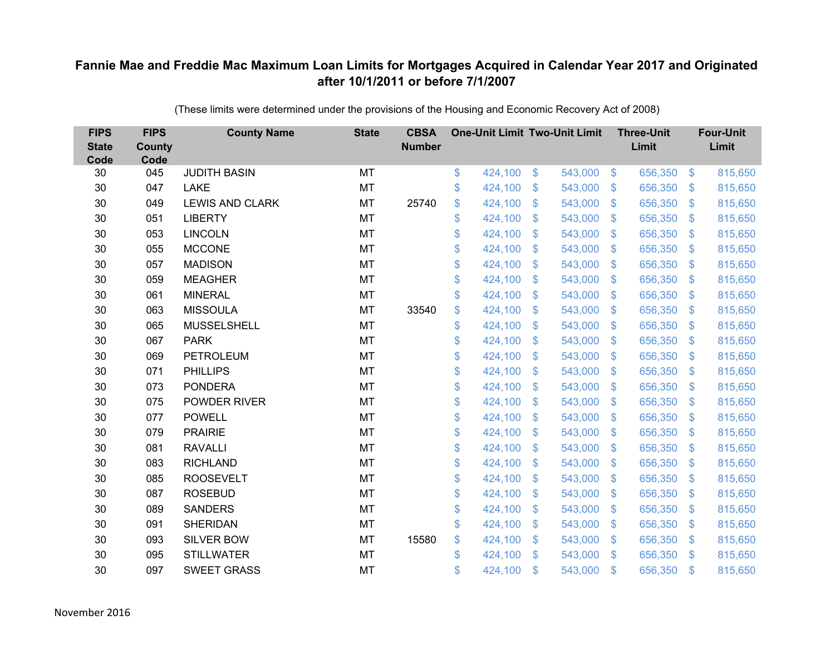| <b>FIPS</b><br><b>State</b><br>Code | <b>FIPS</b><br><b>County</b><br>Code | <b>County Name</b>     | <b>State</b> | <b>CBSA</b><br><b>Number</b> | <b>One-Unit Limit Two-Unit Limit</b> |                           |         |               | <b>Three-Unit</b><br>Limit |                           | <b>Four-Unit</b><br>Limit |
|-------------------------------------|--------------------------------------|------------------------|--------------|------------------------------|--------------------------------------|---------------------------|---------|---------------|----------------------------|---------------------------|---------------------------|
| 30                                  | 045                                  | <b>JUDITH BASIN</b>    | MT           |                              | \$<br>424,100                        | \$                        | 543,000 | $\sqrt[6]{3}$ | 656,350                    | $\sqrt[6]{3}$             | 815,650                   |
| 30                                  | 047                                  | <b>LAKE</b>            | MT           |                              | \$<br>424,100                        | \$                        | 543,000 | $\sqrt[6]{3}$ | 656,350                    | S.                        | 815,650                   |
| 30                                  | 049                                  | <b>LEWIS AND CLARK</b> | MT           | 25740                        | \$<br>424,100                        | $\mathcal{S}$             | 543,000 | $\mathcal{S}$ | 656,350                    | $\mathbb{S}$              | 815,650                   |
| 30                                  | 051                                  | <b>LIBERTY</b>         | <b>MT</b>    |                              | \$<br>424,100                        | $\boldsymbol{\mathsf{S}}$ | 543,000 | $\mathcal{S}$ | 656,350                    | $\mathbb{S}$              | 815,650                   |
| 30                                  | 053                                  | <b>LINCOLN</b>         | MT           |                              | \$<br>424,100                        | $\boldsymbol{\mathsf{S}}$ | 543,000 | $\mathbf{\$}$ | 656,350                    | $\mathbf{\$}$             | 815,650                   |
| 30                                  | 055                                  | <b>MCCONE</b>          | MT           |                              | \$<br>424,100                        | $\mathcal{S}$             | 543,000 | $\mathcal{S}$ | 656,350                    | S.                        | 815,650                   |
| 30                                  | 057                                  | <b>MADISON</b>         | <b>MT</b>    |                              | \$<br>424,100                        | $\mathcal{S}$             | 543,000 | $\mathcal{S}$ | 656,350                    | $\mathbb{S}$              | 815,650                   |
| 30                                  | 059                                  | <b>MEAGHER</b>         | MT           |                              | \$<br>424,100                        | $\mathfrak{S}$            | 543,000 | $\sqrt[6]{3}$ | 656,350                    | $\mathcal{S}$             | 815,650                   |
| 30                                  | 061                                  | <b>MINERAL</b>         | <b>MT</b>    |                              | \$<br>424,100                        | \$                        | 543,000 | $\mathcal{S}$ | 656,350                    | $\mathbb{S}$              | 815,650                   |
| 30                                  | 063                                  | <b>MISSOULA</b>        | MT           | 33540                        | \$<br>424,100                        | $\mathfrak{S}$            | 543,000 | $\mathcal{S}$ | 656,350                    | S.                        | 815,650                   |
| 30                                  | 065                                  | <b>MUSSELSHELL</b>     | MT           |                              | \$<br>424,100                        | $\mathfrak{S}$            | 543,000 | $\sqrt[6]{3}$ | 656,350                    | S.                        | 815,650                   |
| 30                                  | 067                                  | <b>PARK</b>            | MT           |                              | \$<br>424,100                        | \$                        | 543,000 | $\mathbb{S}$  | 656,350                    | S.                        | 815,650                   |
| 30                                  | 069                                  | <b>PETROLEUM</b>       | <b>MT</b>    |                              | \$<br>424,100                        | \$                        | 543,000 | $\mathcal{S}$ | 656,350                    | S.                        | 815,650                   |
| 30                                  | 071                                  | <b>PHILLIPS</b>        | MT           |                              | \$<br>424,100                        | $\boldsymbol{\mathsf{S}}$ | 543,000 | $\mathbb{S}$  | 656,350                    | $\mathcal{S}$             | 815,650                   |
| 30                                  | 073                                  | <b>PONDERA</b>         | <b>MT</b>    |                              | \$<br>424,100                        | $\boldsymbol{\mathsf{S}}$ | 543,000 | $\mathcal{S}$ | 656,350                    | $\mathcal{S}$             | 815,650                   |
| 30                                  | 075                                  | POWDER RIVER           | <b>MT</b>    |                              | \$<br>424,100                        | $\mathcal{S}$             | 543,000 | \$.           | 656,350                    | S.                        | 815,650                   |
| 30                                  | 077                                  | <b>POWELL</b>          | MT           |                              | \$<br>424,100                        | $\boldsymbol{\mathsf{S}}$ | 543,000 | $\sqrt{3}$    | 656,350                    | $\mathcal{S}$             | 815,650                   |
| 30                                  | 079                                  | <b>PRAIRIE</b>         | MT           |                              | \$<br>424,100                        | $\mathbf{\$}$             | 543,000 | $\mathbb{S}$  | 656,350                    | $\sqrt[6]{3}$             | 815,650                   |
| 30                                  | 081                                  | <b>RAVALLI</b>         | <b>MT</b>    |                              | \$<br>424,100                        | $\boldsymbol{\mathsf{S}}$ | 543,000 | $\mathcal{S}$ | 656,350                    | $\mathbf{\$}$             | 815,650                   |
| 30                                  | 083                                  | <b>RICHLAND</b>        | MT           |                              | \$<br>424,100                        | $\boldsymbol{\mathsf{S}}$ | 543,000 | $\sqrt{3}$    | 656,350                    | $\boldsymbol{\mathsf{S}}$ | 815,650                   |
| 30                                  | 085                                  | <b>ROOSEVELT</b>       | MT           |                              | \$<br>424,100                        | $\boldsymbol{\mathsf{S}}$ | 543,000 | $\sqrt[6]{3}$ | 656,350                    | $\mathcal{S}$             | 815,650                   |
| 30                                  | 087                                  | <b>ROSEBUD</b>         | <b>MT</b>    |                              | \$<br>424,100                        | $\mathcal{S}$             | 543,000 | $\mathcal{S}$ | 656,350                    | S.                        | 815,650                   |
| 30                                  | 089                                  | <b>SANDERS</b>         | <b>MT</b>    |                              | \$<br>424,100                        | $\boldsymbol{\mathsf{S}}$ | 543,000 | $\mathcal{S}$ | 656,350                    | $\mathbb{S}$              | 815,650                   |
| 30                                  | 091                                  | <b>SHERIDAN</b>        | MT           |                              | \$<br>424,100                        | $\boldsymbol{\mathsf{S}}$ | 543,000 | $\sqrt{3}$    | 656,350                    | $\mathbf{\$}$             | 815,650                   |
| 30                                  | 093                                  | <b>SILVER BOW</b>      | MT           | 15580                        | \$<br>424,100                        | $\boldsymbol{\mathsf{S}}$ | 543,000 | $\mathcal{S}$ | 656,350                    | S.                        | 815,650                   |
| 30                                  | 095                                  | <b>STILLWATER</b>      | <b>MT</b>    |                              | \$<br>424,100                        | $\mathfrak{s}$            | 543,000 | $\mathbf{\$}$ | 656,350                    | \$.                       | 815,650                   |
| 30                                  | 097                                  | <b>SWEET GRASS</b>     | <b>MT</b>    |                              | \$<br>424,100                        | $\mathfrak{s}$            | 543,000 | \$            | 656,350                    | $\mathfrak{L}$            | 815,650                   |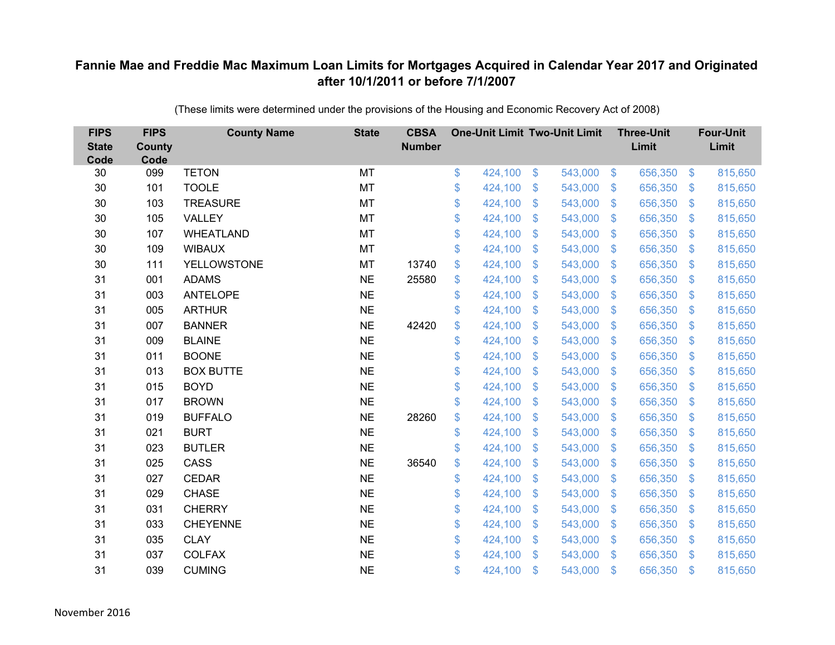| <b>FIPS</b><br><b>State</b><br>Code | <b>FIPS</b><br><b>County</b><br>Code | <b>County Name</b> | <b>State</b> | <b>CBSA</b><br><b>Number</b> | <b>One-Unit Limit Two-Unit Limit</b> |                |         |                | <b>Three-Unit</b><br>Limit |                           | <b>Four-Unit</b><br>Limit |
|-------------------------------------|--------------------------------------|--------------------|--------------|------------------------------|--------------------------------------|----------------|---------|----------------|----------------------------|---------------------------|---------------------------|
| 30                                  | 099                                  | <b>TETON</b>       | MT           |                              | \$<br>424,100                        | $\frac{1}{2}$  | 543,000 | $\sqrt[6]{3}$  | 656,350                    | $\mathfrak{F}$            | 815,650                   |
| 30                                  | 101                                  | <b>TOOLE</b>       | <b>MT</b>    |                              | \$<br>424,100                        | \$             | 543,000 | $\mathbf{\$}$  | 656,350                    | $\mathfrak{F}$            | 815,650                   |
| 30                                  | 103                                  | <b>TREASURE</b>    | MT           |                              | \$<br>424,100                        | \$             | 543,000 | $\sqrt{3}$     | 656,350                    | $\boldsymbol{\mathsf{S}}$ | 815,650                   |
| 30                                  | 105                                  | VALLEY             | MT           |                              | \$<br>424,100                        | \$             | 543,000 | $\mathcal{S}$  | 656,350                    | $\mathcal{L}$             | 815,650                   |
| 30                                  | 107                                  | <b>WHEATLAND</b>   | <b>MT</b>    |                              | \$<br>424,100                        | $\mathfrak{S}$ | 543,000 | $\mathbf{\$}$  | 656,350                    | $\mathfrak{F}$            | 815,650                   |
| 30                                  | 109                                  | <b>WIBAUX</b>      | MT           |                              | \$<br>424,100                        | \$             | 543,000 | $\mathcal{S}$  | 656,350                    | $\mathfrak{F}$            | 815,650                   |
| 30                                  | 111                                  | <b>YELLOWSTONE</b> | MT           | 13740                        | \$<br>424,100                        | $\mathfrak{S}$ | 543,000 | $\sqrt{3}$     | 656,350                    | $\mathcal{L}$             | 815,650                   |
| 31                                  | 001                                  | <b>ADAMS</b>       | <b>NE</b>    | 25580                        | \$<br>424,100                        | \$             | 543,000 | $\mathbf{\$}$  | 656,350                    | $\mathbf{\$}$             | 815,650                   |
| 31                                  | 003                                  | <b>ANTELOPE</b>    | <b>NE</b>    |                              | \$<br>424,100                        | \$             | 543,000 | $\sqrt{3}$     | 656,350                    | $\mathcal{L}$             | 815,650                   |
| 31                                  | 005                                  | <b>ARTHUR</b>      | <b>NE</b>    |                              | \$<br>424,100                        | $\mathfrak{S}$ | 543,000 | $\mathbf{\$}$  | 656,350                    | S.                        | 815,650                   |
| 31                                  | 007                                  | <b>BANNER</b>      | <b>NE</b>    | 42420                        | \$<br>424,100                        | \$             | 543,000 | $\sqrt{3}$     | 656,350                    | $\mathfrak{S}$            | 815,650                   |
| 31                                  | 009                                  | <b>BLAINE</b>      | <b>NE</b>    |                              | \$<br>424,100                        | \$             | 543,000 | $\mathbf{\$}$  | 656,350                    | $\mathfrak{F}$            | 815,650                   |
| 31                                  | 011                                  | <b>BOONE</b>       | <b>NE</b>    |                              | \$<br>424,100                        | $\mathfrak{S}$ | 543,000 | $\mathbf{\$}$  | 656,350                    | $\mathfrak{F}$            | 815,650                   |
| 31                                  | 013                                  | <b>BOX BUTTE</b>   | <b>NE</b>    |                              | \$<br>424,100                        | $\mathfrak{F}$ | 543,000 | $\mathbf{\$}$  | 656,350                    | $\mathfrak{F}$            | 815,650                   |
| 31                                  | 015                                  | <b>BOYD</b>        | <b>NE</b>    |                              | \$<br>424,100                        | \$             | 543,000 | $\mathbf{\$}$  | 656,350                    | $\mathfrak{F}$            | 815,650                   |
| 31                                  | 017                                  | <b>BROWN</b>       | <b>NE</b>    |                              | \$<br>424,100                        | \$             | 543,000 | \$             | 656,350                    | $\mathcal{L}$             | 815,650                   |
| 31                                  | 019                                  | <b>BUFFALO</b>     | <b>NE</b>    | 28260                        | \$<br>424,100                        | \$             | 543,000 | $\mathfrak{S}$ | 656,350                    | $\mathcal{L}$             | 815,650                   |
| 31                                  | 021                                  | <b>BURT</b>        | <b>NE</b>    |                              | \$<br>424,100                        | \$             | 543,000 | \$.            | 656,350                    | S.                        | 815,650                   |
| 31                                  | 023                                  | <b>BUTLER</b>      | <b>NE</b>    |                              | \$<br>424,100                        | $\mathfrak{S}$ | 543,000 | $\mathfrak{F}$ | 656,350                    | $\mathfrak{F}$            | 815,650                   |
| 31                                  | 025                                  | CASS               | <b>NE</b>    | 36540                        | \$<br>424,100                        | \$             | 543,000 | $\mathfrak{S}$ | 656,350                    | $\mathcal{L}$             | 815,650                   |
| 31                                  | 027                                  | <b>CEDAR</b>       | <b>NE</b>    |                              | \$<br>424,100                        | \$             | 543,000 | $\sqrt{3}$     | 656,350                    | $\mathfrak{F}$            | 815,650                   |
| 31                                  | 029                                  | <b>CHASE</b>       | <b>NE</b>    |                              | \$<br>424,100                        | $\mathfrak{S}$ | 543,000 | \$.            | 656,350                    | $\mathfrak{F}$            | 815,650                   |
| 31                                  | 031                                  | <b>CHERRY</b>      | <b>NE</b>    |                              | \$<br>424,100                        | \$             | 543,000 | $\mathbf{\$}$  | 656,350                    | $\mathfrak{F}$            | 815,650                   |
| 31                                  | 033                                  | <b>CHEYENNE</b>    | <b>NE</b>    |                              | \$<br>424,100                        | \$             | 543,000 | \$             | 656,350                    | $\boldsymbol{\mathsf{S}}$ | 815,650                   |
| 31                                  | 035                                  | <b>CLAY</b>        | <b>NE</b>    |                              | \$<br>424,100                        | $\mathfrak{S}$ | 543,000 | $\mathcal{S}$  | 656,350                    | $\mathfrak{F}$            | 815,650                   |
| 31                                  | 037                                  | <b>COLFAX</b>      | <b>NE</b>    |                              | \$<br>424,100                        | $\mathbb{S}$   | 543,000 | $\mathbf{\$}$  | 656,350                    | $\mathfrak{F}$            | 815,650                   |
| 31                                  | 039                                  | <b>CUMING</b>      | <b>NE</b>    |                              | \$<br>424,100                        | \$             | 543,000 | \$             | 656,350                    | $\mathfrak{s}$            | 815,650                   |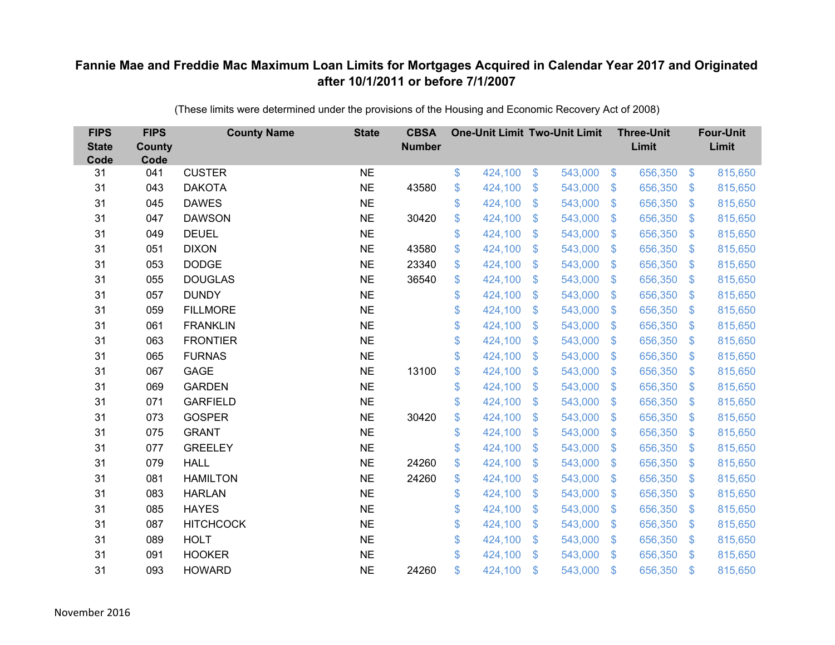| <b>FIPS</b><br><b>State</b><br>Code | <b>FIPS</b><br><b>County</b><br>Code | <b>County Name</b> | <b>State</b> | <b>CBSA</b><br><b>Number</b> | <b>One-Unit Limit Two-Unit Limit</b> |                |         |                           | <b>Three-Unit</b><br>Limit |                           | <b>Four-Unit</b><br>Limit |
|-------------------------------------|--------------------------------------|--------------------|--------------|------------------------------|--------------------------------------|----------------|---------|---------------------------|----------------------------|---------------------------|---------------------------|
| 31                                  | 041                                  | <b>CUSTER</b>      | <b>NE</b>    |                              | \$<br>424,100                        | $\frac{3}{2}$  | 543,000 | $\sqrt[6]{3}$             | 656,350                    | $\frac{1}{2}$             | 815,650                   |
| 31                                  | 043                                  | <b>DAKOTA</b>      | <b>NE</b>    | 43580                        | \$<br>424,100                        | \$             | 543,000 | $\mathcal{S}$             | 656,350                    | $\mathcal{L}$             | 815,650                   |
| 31                                  | 045                                  | <b>DAWES</b>       | <b>NE</b>    |                              | \$<br>424,100                        | $\mathfrak{S}$ | 543,000 | $\mathfrak{S}$            | 656,350                    | $\mathfrak{F}$            | 815,650                   |
| 31                                  | 047                                  | <b>DAWSON</b>      | <b>NE</b>    | 30420                        | \$<br>424,100                        | \$             | 543,000 | $\mathcal{S}$             | 656,350                    | $\mathcal{L}$             | 815,650                   |
| 31                                  | 049                                  | <b>DEUEL</b>       | <b>NE</b>    |                              | \$<br>424,100                        | \$             | 543,000 | $\sqrt[6]{3}$             | 656,350                    | $\mathbf{\$}$             | 815,650                   |
| 31                                  | 051                                  | <b>DIXON</b>       | <b>NE</b>    | 43580                        | \$<br>424,100                        | $\mathfrak{S}$ | 543,000 | $\mathbf{\$}$             | 656,350                    | $\mathbf{\$}$             | 815,650                   |
| 31                                  | 053                                  | <b>DODGE</b>       | <b>NE</b>    | 23340                        | \$<br>424,100                        | \$             | 543,000 | $\sqrt{3}$                | 656,350                    | $\mathcal{L}$             | 815,650                   |
| 31                                  | 055                                  | <b>DOUGLAS</b>     | <b>NE</b>    | 36540                        | \$<br>424,100                        | \$             | 543,000 | $\mathbf{\$}$             | 656,350                    | $\mathcal{L}$             | 815,650                   |
| 31                                  | 057                                  | <b>DUNDY</b>       | <b>NE</b>    |                              | \$<br>424,100                        | $\mathfrak{S}$ | 543,000 | $\mathfrak{S}$            | 656,350                    | $\mathfrak{F}$            | 815,650                   |
| 31                                  | 059                                  | <b>FILLMORE</b>    | <b>NE</b>    |                              | \$<br>424,100                        | \$             | 543,000 | $\mathbf{\$}$             | 656,350                    | $\mathfrak{F}$            | 815,650                   |
| 31                                  | 061                                  | <b>FRANKLIN</b>    | <b>NE</b>    |                              | \$<br>424,100                        | $\mathfrak{S}$ | 543,000 | $\mathfrak{S}$            | 656,350                    | $\mathcal{L}$             | 815,650                   |
| 31                                  | 063                                  | <b>FRONTIER</b>    | <b>NE</b>    |                              | \$<br>424,100                        | $\mathfrak{S}$ | 543,000 | $\mathfrak{S}$            | 656,350                    | $\mathfrak{F}$            | 815,650                   |
| 31                                  | 065                                  | <b>FURNAS</b>      | <b>NE</b>    |                              | \$<br>424,100                        | \$             | 543,000 | \$                        | 656,350                    | $\mathcal{L}$             | 815,650                   |
| 31                                  | 067                                  | GAGE               | <b>NE</b>    | 13100                        | \$<br>424,100                        | \$             | 543,000 | \$.                       | 656,350                    | $\mathfrak{F}$            | 815,650                   |
| 31                                  | 069                                  | <b>GARDEN</b>      | <b>NE</b>    |                              | \$<br>424,100                        | \$             | 543,000 | \$                        | 656,350                    | $\boldsymbol{\mathsf{S}}$ | 815,650                   |
| 31                                  | 071                                  | <b>GARFIELD</b>    | <b>NE</b>    |                              | \$<br>424,100                        | \$             | 543,000 | $\mathfrak{F}$            | 656,350                    | $\mathcal{L}$             | 815,650                   |
| 31                                  | 073                                  | <b>GOSPER</b>      | <b>NE</b>    | 30420                        | \$<br>424,100                        | $\mathfrak{S}$ | 543,000 | $\mathfrak{S}$            | 656,350                    | $\mathfrak{F}$            | 815,650                   |
| 31                                  | 075                                  | <b>GRANT</b>       | <b>NE</b>    |                              | \$<br>424,100                        | \$             | 543,000 | \$                        | 656,350                    | $\mathcal{L}$             | 815,650                   |
| 31                                  | 077                                  | <b>GREELEY</b>     | <b>NE</b>    |                              | \$<br>424,100                        | $\mathfrak{S}$ | 543,000 | $\mathcal{S}$             | 656,350                    | $\mathfrak{F}$            | 815,650                   |
| 31                                  | 079                                  | <b>HALL</b>        | <b>NE</b>    | 24260                        | \$<br>424,100                        | $\mathfrak{S}$ | 543,000 | $\mathfrak{S}$            | 656,350                    | $\mathfrak{F}$            | 815,650                   |
| 31                                  | 081                                  | <b>HAMILTON</b>    | <b>NE</b>    | 24260                        | \$<br>424,100                        | \$             | 543,000 | $\mathcal{S}$             | 656,350                    | $\mathfrak{F}$            | 815,650                   |
| 31                                  | 083                                  | <b>HARLAN</b>      | <b>NE</b>    |                              | \$<br>424,100                        | $\mathfrak{S}$ | 543,000 | \$.                       | 656,350                    | $\mathcal{L}$             | 815,650                   |
| 31                                  | 085                                  | <b>HAYES</b>       | <b>NE</b>    |                              | \$<br>424,100                        | \$             | 543,000 | $\mathbf{\$}$             | 656,350                    | $\boldsymbol{\mathsf{S}}$ | 815,650                   |
| 31                                  | 087                                  | <b>HITCHCOCK</b>   | <b>NE</b>    |                              | \$<br>424,100                        | \$             | 543,000 | $\boldsymbol{\mathsf{S}}$ | 656,350                    | $\mathcal{L}$             | 815,650                   |
| 31                                  | 089                                  | <b>HOLT</b>        | <b>NE</b>    |                              | \$<br>424,100                        | \$             | 543,000 | $\mathcal{S}$             | 656,350                    | $\mathcal{L}$             | 815,650                   |
| 31                                  | 091                                  | <b>HOOKER</b>      | <b>NE</b>    |                              | \$<br>424,100                        | $\mathfrak{S}$ | 543,000 | $\mathbf{\$}$             | 656,350                    | $\mathbf{\$}$             | 815,650                   |
| 31                                  | 093                                  | <b>HOWARD</b>      | <b>NE</b>    | 24260                        | \$<br>424,100                        | \$             | 543,000 | \$                        | 656,350                    | $\mathfrak{s}$            | 815,650                   |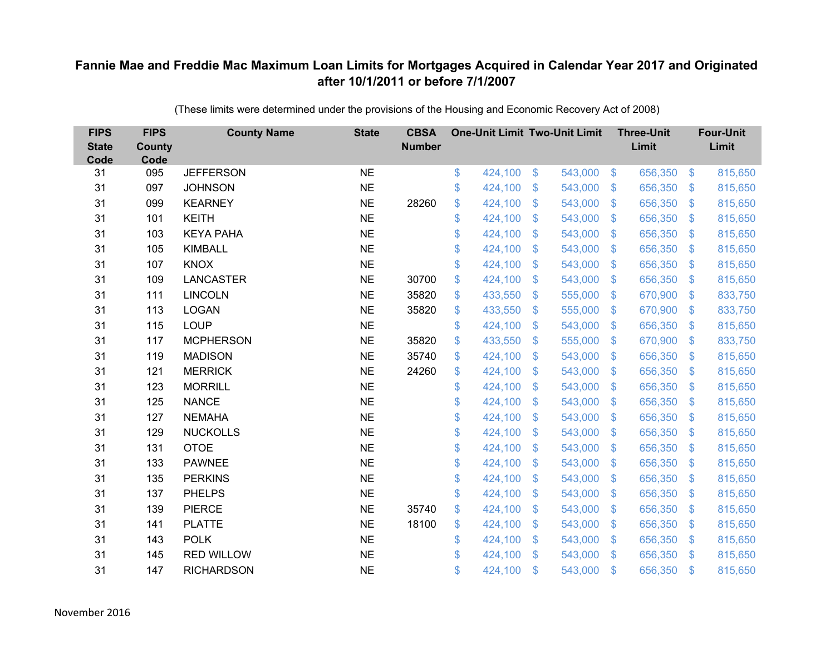| <b>FIPS</b><br><b>State</b><br>Code | <b>FIPS</b><br><b>County</b><br>Code | <b>County Name</b> | <b>State</b> | <b>CBSA</b><br><b>Number</b> | <b>One-Unit Limit Two-Unit Limit</b> |                           |         |                         | <b>Three-Unit</b><br>Limit |                   | <b>Four-Unit</b><br>Limit |
|-------------------------------------|--------------------------------------|--------------------|--------------|------------------------------|--------------------------------------|---------------------------|---------|-------------------------|----------------------------|-------------------|---------------------------|
| 31                                  | 095                                  | <b>JEFFERSON</b>   | <b>NE</b>    |                              | \$<br>424,100                        | $\boldsymbol{\mathsf{S}}$ | 543,000 | $\sqrt[6]{3}$           | 656,350                    | $\boldsymbol{\$}$ | 815,650                   |
| 31                                  | 097                                  | <b>JOHNSON</b>     | <b>NE</b>    |                              | \$<br>424,100                        | \$                        | 543,000 | $\mathcal{S}$           | 656,350                    | $\mathfrak{S}$    | 815,650                   |
| 31                                  | 099                                  | <b>KEARNEY</b>     | <b>NE</b>    | 28260                        | \$<br>424,100                        | $\mathfrak{S}$            | 543,000 | $\mathfrak{S}$          | 656,350                    | $\mathfrak{S}$    | 815,650                   |
| 31                                  | 101                                  | <b>KEITH</b>       | <b>NE</b>    |                              | \$<br>424,100                        | \$                        | 543,000 | $\mathcal{S}$           | 656,350                    | $\mathfrak{S}$    | 815,650                   |
| 31                                  | 103                                  | <b>KEYA PAHA</b>   | <b>NE</b>    |                              | \$<br>424,100                        | $\boldsymbol{\mathsf{S}}$ | 543,000 | $\sqrt{3}$              | 656,350                    | $\mathbf{\$}$     | 815,650                   |
| 31                                  | 105                                  | <b>KIMBALL</b>     | <b>NE</b>    |                              | \$<br>424,100                        | $\mathfrak{S}$            | 543,000 | $\mathbf{\$}$           | 656,350                    | $\mathbb{S}$      | 815,650                   |
| 31                                  | 107                                  | <b>KNOX</b>        | <b>NE</b>    |                              | \$<br>424,100                        | $\mathfrak{F}$            | 543,000 | $\sqrt{3}$              | 656,350                    | $\mathcal{L}$     | 815,650                   |
| 31                                  | 109                                  | <b>LANCASTER</b>   | <b>NE</b>    | 30700                        | \$<br>424,100                        | \$                        | 543,000 | $\mathbf{\$}$           | 656,350                    | $\mathfrak{S}$    | 815,650                   |
| 31                                  | 111                                  | <b>LINCOLN</b>     | <b>NE</b>    | 35820                        | \$<br>433,550                        | \$                        | 555,000 | $\mathbf{\$}$           | 670,900                    | $\mathfrak{F}$    | 833,750                   |
| 31                                  | 113                                  | <b>LOGAN</b>       | <b>NE</b>    | 35820                        | \$<br>433,550                        | $\mathfrak{F}$            | 555,000 | $\mathbf{\$}$           | 670,900                    | $\mathfrak{S}$    | 833,750                   |
| 31                                  | 115                                  | <b>LOUP</b>        | <b>NE</b>    |                              | \$<br>424,100                        | $\mathfrak{S}$            | 543,000 | $\mathbf{\$}$           | 656,350                    | $\mathfrak{S}$    | 815,650                   |
| 31                                  | 117                                  | <b>MCPHERSON</b>   | <b>NE</b>    | 35820                        | \$<br>433,550                        | $\mathfrak{S}$            | 555,000 | $\mathfrak{S}$          | 670,900                    | $\mathbb{S}$      | 833,750                   |
| 31                                  | 119                                  | <b>MADISON</b>     | <b>NE</b>    | 35740                        | \$<br>424,100                        | \$                        | 543,000 | $\mathbb{S}$            | 656,350                    | $\mathfrak{S}$    | 815,650                   |
| 31                                  | 121                                  | <b>MERRICK</b>     | <b>NE</b>    | 24260                        | \$<br>424,100                        | \$                        | 543,000 | $\mathbb{S}$            | 656,350                    | $\mathbb{S}$      | 815,650                   |
| 31                                  | 123                                  | <b>MORRILL</b>     | <b>NE</b>    |                              | \$<br>424,100                        | \$                        | 543,000 | $\sqrt[6]{\frac{1}{2}}$ | 656,350                    | $\mathfrak{S}$    | 815,650                   |
| 31                                  | 125                                  | <b>NANCE</b>       | <b>NE</b>    |                              | \$<br>424,100                        | $\mathfrak{F}$            | 543,000 | $\mathcal{S}$           | 656,350                    | $\mathcal{L}$     | 815,650                   |
| 31                                  | 127                                  | <b>NEMAHA</b>      | <b>NE</b>    |                              | \$<br>424,100                        | $\mathcal{S}$             | 543,000 | $\mathfrak{S}$          | 656,350                    | $\mathbb{S}$      | 815,650                   |
| 31                                  | 129                                  | <b>NUCKOLLS</b>    | <b>NE</b>    |                              | \$<br>424,100                        | \$                        | 543,000 | $\sqrt[6]{\frac{1}{2}}$ | 656,350                    | $\mathfrak{S}$    | 815,650                   |
| 31                                  | 131                                  | <b>OTOE</b>        | <b>NE</b>    |                              | \$<br>424,100                        | $\mathfrak{F}$            | 543,000 | $\mathbf{\$}$           | 656,350                    | $\mathfrak{S}$    | 815,650                   |
| 31                                  | 133                                  | <b>PAWNEE</b>      | <b>NE</b>    |                              | \$<br>424,100                        | $\mathfrak{S}$            | 543,000 | $\mathfrak{S}$          | 656,350                    | $\mathfrak{F}$    | 815,650                   |
| 31                                  | 135                                  | <b>PERKINS</b>     | <b>NE</b>    |                              | \$<br>424,100                        | $\mathfrak{F}$            | 543,000 | $\mathcal{S}$           | 656,350                    | $\mathfrak{S}$    | 815,650                   |
| 31                                  | 137                                  | <b>PHELPS</b>      | <b>NE</b>    |                              | \$<br>424,100                        | \$                        | 543,000 | $\mathbb{S}$            | 656,350                    | $\mathfrak{S}$    | 815,650                   |
| 31                                  | 139                                  | <b>PIERCE</b>      | <b>NE</b>    | 35740                        | \$<br>424,100                        | \$                        | 543,000 | $\mathbf{\$}$           | 656,350                    | $\mathfrak{S}$    | 815,650                   |
| 31                                  | 141                                  | <b>PLATTE</b>      | <b>NE</b>    | 18100                        | \$<br>424,100                        | \$                        | 543,000 | $\mathfrak{S}$          | 656,350                    | $\mathcal{L}$     | 815,650                   |
| 31                                  | 143                                  | <b>POLK</b>        | <b>NE</b>    |                              | \$<br>424,100                        | \$                        | 543,000 | $\mathcal{S}$           | 656,350                    | $\mathfrak{S}$    | 815,650                   |
| 31                                  | 145                                  | <b>RED WILLOW</b>  | <b>NE</b>    |                              | \$<br>424,100                        | $\mathbf{\$}$             | 543,000 | $\mathbb{S}$            | 656,350                    | $\mathbb{S}$      | 815,650                   |
| 31                                  | 147                                  | <b>RICHARDSON</b>  | <b>NE</b>    |                              | \$<br>424,100                        | $\mathcal{S}$             | 543,000 | $\mathfrak{s}$          | 656,350                    | \$                | 815,650                   |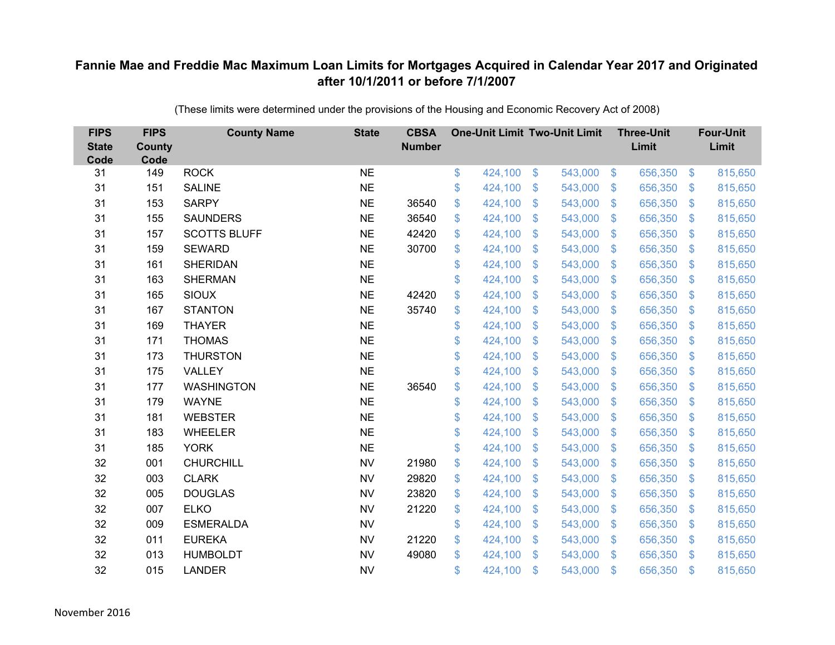| <b>FIPS</b><br><b>State</b><br>Code | <b>FIPS</b><br><b>County</b><br>Code | <b>County Name</b>  | <b>State</b> | <b>CBSA</b><br><b>Number</b> | <b>One-Unit Limit Two-Unit Limit</b> |                |         |                           | <b>Three-Unit</b><br>Limit |                | <b>Four-Unit</b><br>Limit |
|-------------------------------------|--------------------------------------|---------------------|--------------|------------------------------|--------------------------------------|----------------|---------|---------------------------|----------------------------|----------------|---------------------------|
| 31                                  | 149                                  | <b>ROCK</b>         | <b>NE</b>    |                              | \$<br>424,100                        | $\frac{3}{2}$  | 543,000 | $\sqrt[6]{3}$             | 656,350                    | \$             | 815,650                   |
| 31                                  | 151                                  | <b>SALINE</b>       | <b>NE</b>    |                              | \$<br>424,100                        | \$             | 543,000 | $\mathcal{L}$             | 656,350                    | \$             | 815,650                   |
| 31                                  | 153                                  | <b>SARPY</b>        | <b>NE</b>    | 36540                        | \$<br>424,100                        | \$             | 543,000 | $\mathfrak{F}$            | 656,350                    | $\mathfrak{S}$ | 815,650                   |
| 31                                  | 155                                  | <b>SAUNDERS</b>     | <b>NE</b>    | 36540                        | \$<br>424,100                        | \$             | 543,000 | $\mathcal{L}$             | 656,350                    | \$             | 815,650                   |
| 31                                  | 157                                  | <b>SCOTTS BLUFF</b> | <b>NE</b>    | 42420                        | \$<br>424,100                        | \$             | 543,000 | $\boldsymbol{\mathsf{S}}$ | 656,350                    | <sup>\$</sup>  | 815,650                   |
| 31                                  | 159                                  | <b>SEWARD</b>       | <b>NE</b>    | 30700                        | \$<br>424,100                        | $\mathfrak{S}$ | 543,000 | $\mathcal{S}$             | 656,350                    | \$.            | 815,650                   |
| 31                                  | 161                                  | <b>SHERIDAN</b>     | <b>NE</b>    |                              | \$<br>424,100                        | \$             | 543,000 | $\boldsymbol{\mathsf{S}}$ | 656,350                    | \$             | 815,650                   |
| 31                                  | 163                                  | <b>SHERMAN</b>      | <b>NE</b>    |                              | \$<br>424,100                        | \$             | 543,000 | \$                        | 656,350                    | \$             | 815,650                   |
| 31                                  | 165                                  | <b>SIOUX</b>        | <b>NE</b>    | 42420                        | \$<br>424,100                        | $\mathfrak{S}$ | 543,000 | $\mathfrak{F}$            | 656,350                    | $\mathfrak{S}$ | 815,650                   |
| 31                                  | 167                                  | <b>STANTON</b>      | <b>NE</b>    | 35740                        | \$<br>424,100                        | $\mathbb{S}$   | 543,000 | \$                        | 656,350                    | \$             | 815,650                   |
| 31                                  | 169                                  | <b>THAYER</b>       | <b>NE</b>    |                              | \$<br>424,100                        | $\mathfrak{S}$ | 543,000 | $\mathfrak{S}$            | 656,350                    | \$             | 815,650                   |
| 31                                  | 171                                  | <b>THOMAS</b>       | <b>NE</b>    |                              | \$<br>424,100                        | $\mathfrak{S}$ | 543,000 | $\mathfrak{S}$            | 656,350                    | $\mathfrak{S}$ | 815,650                   |
| 31                                  | 173                                  | <b>THURSTON</b>     | <b>NE</b>    |                              | \$<br>424,100                        | \$             | 543,000 | $\mathfrak{S}$            | 656,350                    | \$             | 815,650                   |
| 31                                  | 175                                  | VALLEY              | <b>NE</b>    |                              | \$<br>424,100                        | $\mathbb{S}$   | 543,000 | $\mathbb{S}$              | 656,350                    | \$             | 815,650                   |
| 31                                  | 177                                  | <b>WASHINGTON</b>   | <b>NE</b>    | 36540                        | \$<br>424,100                        | \$             | 543,000 | $\sqrt[6]{3}$             | 656,350                    | \$             | 815,650                   |
| 31                                  | 179                                  | <b>WAYNE</b>        | <b>NE</b>    |                              | \$<br>424,100                        | \$             | 543,000 | $\mathfrak{F}$            | 656,350                    | \$             | 815,650                   |
| 31                                  | 181                                  | <b>WEBSTER</b>      | <b>NE</b>    |                              | \$<br>424,100                        | \$             | 543,000 | $\mathfrak{S}$            | 656,350                    | $\mathcal{L}$  | 815,650                   |
| 31                                  | 183                                  | WHEELER             | <b>NE</b>    |                              | \$<br>424,100                        | \$             | 543,000 | $\sqrt[6]{3}$             | 656,350                    | $\mathfrak{F}$ | 815,650                   |
| 31                                  | 185                                  | <b>YORK</b>         | <b>NE</b>    |                              | \$<br>424,100                        | \$             | 543,000 | $\mathfrak{S}$            | 656,350                    | $\mathcal{L}$  | 815,650                   |
| 32                                  | 001                                  | <b>CHURCHILL</b>    | <b>NV</b>    | 21980                        | \$<br>424,100                        | $\mathfrak{S}$ | 543,000 | $\mathfrak{S}$            | 656,350                    | $\mathfrak{S}$ | 815,650                   |
| 32                                  | 003                                  | <b>CLARK</b>        | <b>NV</b>    | 29820                        | \$<br>424,100                        | \$             | 543,000 | $\mathfrak{S}$            | 656,350                    | $\mathcal{L}$  | 815,650                   |
| 32                                  | 005                                  | <b>DOUGLAS</b>      | <b>NV</b>    | 23820                        | \$<br>424,100                        | \$             | 543,000 | $\mathbf{\$}$             | 656,350                    | $\mathfrak{F}$ | 815,650                   |
| 32                                  | 007                                  | <b>ELKO</b>         | <b>NV</b>    | 21220                        | \$<br>424,100                        | \$             | 543,000 | $\mathfrak{S}$            | 656,350                    | \$             | 815,650                   |
| 32                                  | 009                                  | <b>ESMERALDA</b>    | <b>NV</b>    |                              | \$<br>424,100                        | \$             | 543,000 | $\mathcal{L}$             | 656,350                    | $\mathfrak{F}$ | 815,650                   |
| 32                                  | 011                                  | <b>EUREKA</b>       | <b>NV</b>    | 21220                        | \$<br>424,100                        | \$             | 543,000 | $\mathcal{S}$             | 656,350                    | $\mathfrak{F}$ | 815,650                   |
| 32                                  | 013                                  | <b>HUMBOLDT</b>     | <b>NV</b>    | 49080                        | \$<br>424,100                        | $\mathbf{\$}$  | 543,000 | $\mathbf{\$}$             | 656,350                    | \$             | 815,650                   |
| 32                                  | 015                                  | <b>LANDER</b>       | <b>NV</b>    |                              | \$<br>424,100                        | \$             | 543,000 | $\mathbf{\$}$             | 656,350                    | \$             | 815,650                   |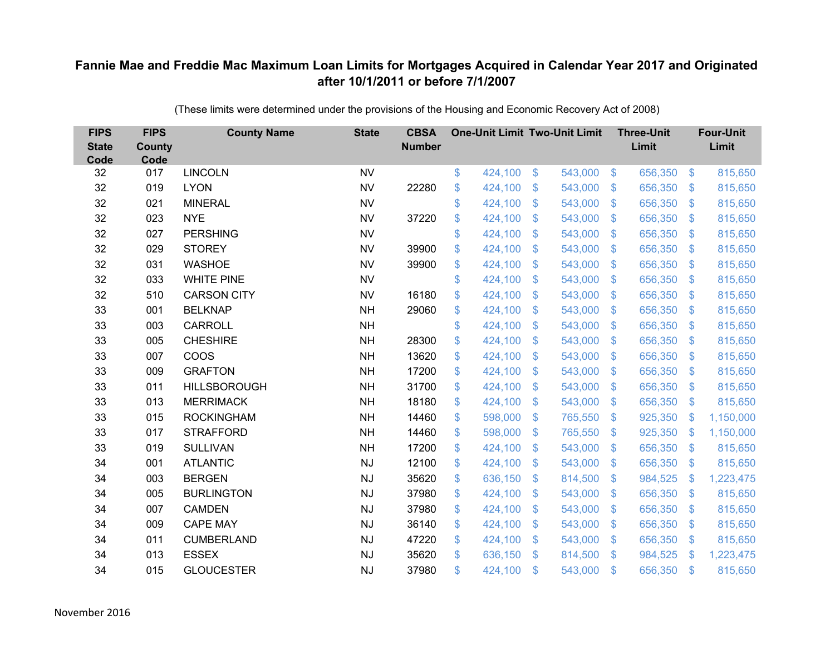| <b>FIPS</b><br><b>State</b><br>Code | <b>FIPS</b><br><b>County</b><br>Code | <b>County Name</b>  | <b>State</b> | <b>CBSA</b><br><b>Number</b> | <b>One-Unit Limit Two-Unit Limit</b> |                |         |                         | <b>Three-Unit</b><br>Limit |                         | <b>Four-Unit</b><br>Limit |
|-------------------------------------|--------------------------------------|---------------------|--------------|------------------------------|--------------------------------------|----------------|---------|-------------------------|----------------------------|-------------------------|---------------------------|
| 32                                  | 017                                  | <b>LINCOLN</b>      | <b>NV</b>    |                              | \$<br>424,100                        | $\frac{1}{2}$  | 543,000 | $\sqrt[6]{3}$           | 656,350                    | $\frac{3}{2}$           | 815,650                   |
| 32                                  | 019                                  | <b>LYON</b>         | <b>NV</b>    | 22280                        | \$<br>424,100                        | \$             | 543,000 | $\mathcal{S}$           | 656,350                    | $\mathcal{L}$           | 815,650                   |
| 32                                  | 021                                  | <b>MINERAL</b>      | <b>NV</b>    |                              | \$<br>424,100                        | \$             | 543,000 | $\sqrt[6]{3}$           | 656,350                    | $\sqrt[6]{\frac{1}{2}}$ | 815,650                   |
| 32                                  | 023                                  | <b>NYE</b>          | <b>NV</b>    | 37220                        | \$<br>424,100                        | \$             | 543,000 | $\mathfrak{S}$          | 656,350                    | $\mathcal{L}$           | 815,650                   |
| 32                                  | 027                                  | <b>PERSHING</b>     | <b>NV</b>    |                              | \$<br>424,100                        | \$             | 543,000 | $\mathfrak{F}$          | 656,350                    | $\mathfrak{S}$          | 815,650                   |
| 32                                  | 029                                  | <b>STOREY</b>       | <b>NV</b>    | 39900                        | \$<br>424,100                        | \$             | 543,000 | $\sqrt[6]{3}$           | 656,350                    | $\sqrt[6]{\frac{1}{2}}$ | 815,650                   |
| 32                                  | 031                                  | <b>WASHOE</b>       | <b>NV</b>    | 39900                        | \$<br>424,100                        | \$             | 543,000 | $\mathbb{S}$            | 656,350                    | $\sqrt[6]{\frac{1}{2}}$ | 815,650                   |
| 32                                  | 033                                  | <b>WHITE PINE</b>   | <b>NV</b>    |                              | \$<br>424,100                        | $\mathcal{S}$  | 543,000 | $\mathbb{S}$            | 656,350                    | $\mathfrak{S}$          | 815,650                   |
| 32                                  | 510                                  | <b>CARSON CITY</b>  | <b>NV</b>    | 16180                        | \$<br>424,100                        | \$             | 543,000 | $\mathbb{S}$            | 656,350                    | $\mathcal{L}$           | 815,650                   |
| 33                                  | 001                                  | <b>BELKNAP</b>      | <b>NH</b>    | 29060                        | \$<br>424,100                        | $\mathcal{S}$  | 543,000 | $\mathbb{S}$            | 656,350                    | $\mathbb{S}$            | 815,650                   |
| 33                                  | 003                                  | CARROLL             | <b>NH</b>    |                              | \$<br>424,100                        | \$             | 543,000 | $\mathfrak{S}$          | 656,350                    | $\sqrt[6]{\frac{1}{2}}$ | 815,650                   |
| 33                                  | 005                                  | <b>CHESHIRE</b>     | <b>NH</b>    | 28300                        | \$<br>424,100                        | \$             | 543,000 | S.                      | 656,350                    | $\mathcal{L}$           | 815,650                   |
| 33                                  | 007                                  | <b>COOS</b>         | <b>NH</b>    | 13620                        | \$<br>424,100                        | $\mathcal{S}$  | 543,000 | $\mathbb{S}$            | 656,350                    | \$.                     | 815,650                   |
| 33                                  | 009                                  | <b>GRAFTON</b>      | <b>NH</b>    | 17200                        | \$<br>424,100                        | \$             | 543,000 | S.                      | 656,350                    | $\mathcal{S}$           | 815,650                   |
| 33                                  | 011                                  | <b>HILLSBOROUGH</b> | <b>NH</b>    | 31700                        | \$<br>424,100                        | \$             | 543,000 | $\mathbb{S}$            | 656,350                    | $\mathcal{L}$           | 815,650                   |
| 33                                  | 013                                  | <b>MERRIMACK</b>    | <b>NH</b>    | 18180                        | \$<br>424,100                        | \$             | 543,000 | $\mathcal{L}$           | 656,350                    | $\sqrt[6]{\frac{1}{2}}$ | 815,650                   |
| 33                                  | 015                                  | <b>ROCKINGHAM</b>   | <b>NH</b>    | 14460                        | \$<br>598,000                        | \$             | 765,550 | $\sqrt[6]{3}$           | 925,350                    | $\mathcal{L}$           | 1,150,000                 |
| 33                                  | 017                                  | <b>STRAFFORD</b>    | <b>NH</b>    | 14460                        | \$<br>598,000                        | \$             | 765,550 | S.                      | 925,350                    | $\mathbf{\$}$           | 1,150,000                 |
| 33                                  | 019                                  | <b>SULLIVAN</b>     | <b>NH</b>    | 17200                        | \$<br>424,100                        | \$             | 543,000 | $\sqrt[6]{3}$           | 656,350                    | $\frac{3}{2}$           | 815,650                   |
| 34                                  | 001                                  | <b>ATLANTIC</b>     | <b>NJ</b>    | 12100                        | \$<br>424,100                        | \$             | 543,000 | $\mathbb{S}$            | 656,350                    | $\sqrt[6]{\frac{1}{2}}$ | 815,650                   |
| 34                                  | 003                                  | <b>BERGEN</b>       | <b>NJ</b>    | 35620                        | \$<br>636,150                        | $\mathfrak{S}$ | 814,500 | $\mathcal{S}$           | 984,525                    | $\mathcal{L}$           | 1,223,475                 |
| 34                                  | 005                                  | <b>BURLINGTON</b>   | NJ           | 37980                        | \$<br>424,100                        | $\mathfrak{S}$ | 543,000 | S.                      | 656,350                    | $\mathfrak{S}$          | 815,650                   |
| 34                                  | 007                                  | <b>CAMDEN</b>       | <b>NJ</b>    | 37980                        | \$<br>424,100                        | \$             | 543,000 | $\mathfrak{S}$          | 656,350                    | $\sqrt[6]{3}$           | 815,650                   |
| 34                                  | 009                                  | <b>CAPE MAY</b>     | NJ           | 36140                        | \$<br>424,100                        | \$             | 543,000 | $\sqrt[6]{\frac{1}{2}}$ | 656,350                    | $\sqrt[6]{3}$           | 815,650                   |
| 34                                  | 011                                  | <b>CUMBERLAND</b>   | <b>NJ</b>    | 47220                        | \$<br>424,100                        | \$             | 543,000 | $\sqrt[6]{3}$           | 656,350                    | $\mathfrak{S}$          | 815,650                   |
| 34                                  | 013                                  | <b>ESSEX</b>        | <b>NJ</b>    | 35620                        | \$<br>636,150                        | $\mathfrak{S}$ | 814,500 | $\mathbf{\$}$           | 984,525                    | -\$                     | 1,223,475                 |
| 34                                  | 015                                  | <b>GLOUCESTER</b>   | <b>NJ</b>    | 37980                        | \$<br>424,100                        | $\mathfrak{S}$ | 543,000 | $\mathfrak{s}$          | 656,350                    | $\mathfrak{s}$          | 815,650                   |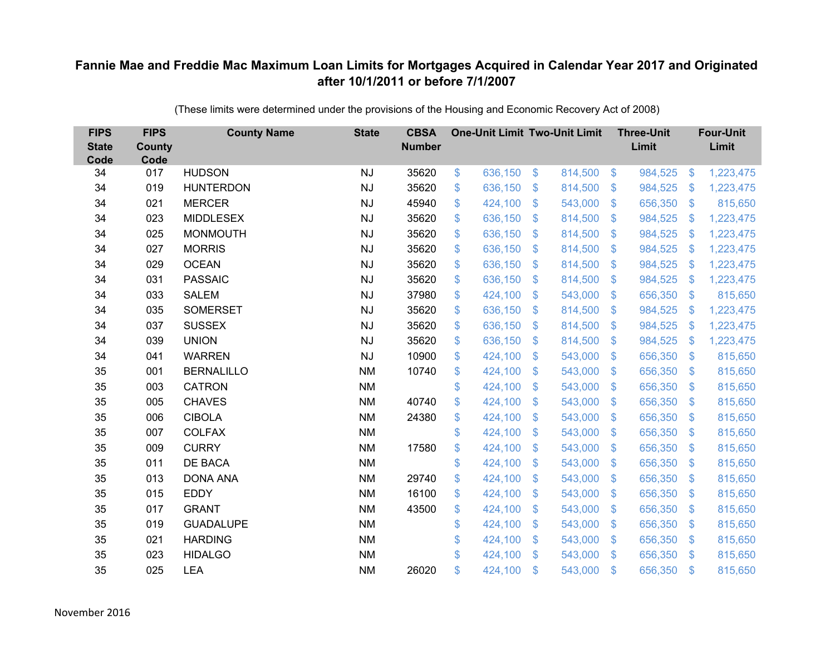| <b>FIPS</b><br><b>State</b><br>Code | <b>FIPS</b><br><b>County</b><br>Code | <b>County Name</b> | <b>State</b> | <b>CBSA</b><br><b>Number</b> | <b>One-Unit Limit Two-Unit Limit</b> |                |         |                | <b>Three-Unit</b><br>Limit |                           | <b>Four-Unit</b><br>Limit |
|-------------------------------------|--------------------------------------|--------------------|--------------|------------------------------|--------------------------------------|----------------|---------|----------------|----------------------------|---------------------------|---------------------------|
| 34                                  | 017                                  | <b>HUDSON</b>      | <b>NJ</b>    | 35620                        | \$<br>636,150                        | $\frac{3}{2}$  | 814,500 | $\sqrt[6]{3}$  | 984,525                    | $\boldsymbol{\mathsf{S}}$ | 1,223,475                 |
| 34                                  | 019                                  | <b>HUNTERDON</b>   | <b>NJ</b>    | 35620                        | \$<br>636,150                        | \$             | 814,500 | $\mathcal{S}$  | 984,525                    | -S                        | 1,223,475                 |
| 34                                  | 021                                  | <b>MERCER</b>      | <b>NJ</b>    | 45940                        | \$<br>424,100                        | $\mathfrak{S}$ | 543,000 | $\mathbf{\$}$  | 656,350                    | $\mathfrak{F}$            | 815,650                   |
| 34                                  | 023                                  | <b>MIDDLESEX</b>   | <b>NJ</b>    | 35620                        | \$<br>636,150                        | $\$\$          | 814,500 | $\mathcal{S}$  | 984,525                    | \$                        | 1,223,475                 |
| 34                                  | 025                                  | <b>MONMOUTH</b>    | <b>NJ</b>    | 35620                        | \$<br>636,150                        | \$             | 814,500 | $\sqrt{3}$     | 984,525                    | \$                        | 1,223,475                 |
| 34                                  | 027                                  | <b>MORRIS</b>      | <b>NJ</b>    | 35620                        | \$<br>636,150                        | $\mathfrak{S}$ | 814,500 | $\mathbf{\$}$  | 984,525                    | \$                        | 1,223,475                 |
| 34                                  | 029                                  | <b>OCEAN</b>       | NJ           | 35620                        | \$<br>636,150                        | \$             | 814,500 | $\sqrt{3}$     | 984,525                    | \$                        | 1,223,475                 |
| 34                                  | 031                                  | <b>PASSAIC</b>     | <b>NJ</b>    | 35620                        | \$<br>636,150                        | \$             | 814,500 | $\sqrt{3}$     | 984,525                    | \$                        | 1,223,475                 |
| 34                                  | 033                                  | <b>SALEM</b>       | <b>NJ</b>    | 37980                        | \$<br>424,100                        | $\mathsf{\$}$  | 543,000 | $\mathsf{\$}$  | 656,350                    | $\boldsymbol{\mathsf{S}}$ | 815,650                   |
| 34                                  | 035                                  | <b>SOMERSET</b>    | <b>NJ</b>    | 35620                        | \$<br>636,150                        | $\mathfrak{F}$ | 814,500 | $\mathbf{\$}$  | 984,525                    | \$                        | 1,223,475                 |
| 34                                  | 037                                  | <b>SUSSEX</b>      | <b>NJ</b>    | 35620                        | \$<br>636,150                        | $\mathfrak{S}$ | 814,500 | $\sqrt{3}$     | 984,525                    | \$                        | 1,223,475                 |
| 34                                  | 039                                  | <b>UNION</b>       | <b>NJ</b>    | 35620                        | \$<br>636,150                        | $\mathfrak{S}$ | 814,500 | $\mathfrak{S}$ | 984,525                    | \$                        | 1,223,475                 |
| 34                                  | 041                                  | <b>WARREN</b>      | <b>NJ</b>    | 10900                        | \$<br>424,100                        | \$             | 543,000 | \$             | 656,350                    | $\mathcal{L}$             | 815,650                   |
| 35                                  | 001                                  | <b>BERNALILLO</b>  | <b>NM</b>    | 10740                        | \$<br>424,100                        | \$             | 543,000 | $\mathfrak{S}$ | 656,350                    | $\mathcal{S}$             | 815,650                   |
| 35                                  | 003                                  | <b>CATRON</b>      | <b>NM</b>    |                              | \$<br>424,100                        | \$             | 543,000 | \$             | 656,350                    | $\frac{1}{2}$             | 815,650                   |
| 35                                  | 005                                  | <b>CHAVES</b>      | <b>NM</b>    | 40740                        | \$<br>424,100                        | \$             | 543,000 | \$             | 656,350                    | $\mathcal{L}$             | 815,650                   |
| 35                                  | 006                                  | <b>CIBOLA</b>      | <b>NM</b>    | 24380                        | \$<br>424,100                        | $\mathfrak{S}$ | 543,000 | $\mathfrak{S}$ | 656,350                    | $\mathcal{S}$             | 815,650                   |
| 35                                  | 007                                  | <b>COLFAX</b>      | <b>NM</b>    |                              | \$<br>424,100                        | \$             | 543,000 | \$             | 656,350                    | $\mathcal{L}$             | 815,650                   |
| 35                                  | 009                                  | <b>CURRY</b>       | <b>NM</b>    | 17580                        | \$<br>424,100                        | \$             | 543,000 | $\sqrt{3}$     | 656,350                    | $\mathcal{S}$             | 815,650                   |
| 35                                  | 011                                  | DE BACA            | <b>NM</b>    |                              | \$<br>424,100                        | $\mathfrak{S}$ | 543,000 | $\mathfrak{S}$ | 656,350                    | $\mathfrak{F}$            | 815,650                   |
| 35                                  | 013                                  | <b>DONA ANA</b>    | <b>NM</b>    | 29740                        | \$<br>424,100                        | $\mathfrak{F}$ | 543,000 | $\mathcal{S}$  | 656,350                    | $\mathcal{S}$             | 815,650                   |
| 35                                  | 015                                  | <b>EDDY</b>        | ΝM           | 16100                        | \$<br>424,100                        | $\mathfrak{S}$ | 543,000 | $\mathfrak{S}$ | 656,350                    | $\mathcal{L}$             | 815,650                   |
| 35                                  | 017                                  | <b>GRANT</b>       | <b>NM</b>    | 43500                        | \$<br>424,100                        | \$             | 543,000 | $\sqrt{3}$     | 656,350                    | $\mathfrak{S}$            | 815,650                   |
| 35                                  | 019                                  | <b>GUADALUPE</b>   | <b>NM</b>    |                              | \$<br>424,100                        | \$             | 543,000 | \$             | 656,350                    | $\mathcal{L}$             | 815,650                   |
| 35                                  | 021                                  | <b>HARDING</b>     | <b>NM</b>    |                              | \$<br>424,100                        | \$             | 543,000 | $\sqrt{3}$     | 656,350                    | $\mathcal{L}$             | 815,650                   |
| 35                                  | 023                                  | <b>HIDALGO</b>     | <b>NM</b>    |                              | \$<br>424,100                        | $\mathfrak{S}$ | 543,000 | $\mathbf{\$}$  | 656,350                    | $\mathfrak{F}$            | 815,650                   |
| 35                                  | 025                                  | <b>LEA</b>         | <b>NM</b>    | 26020                        | \$<br>424,100                        | \$             | 543,000 | \$             | 656,350                    | $\mathfrak{s}$            | 815,650                   |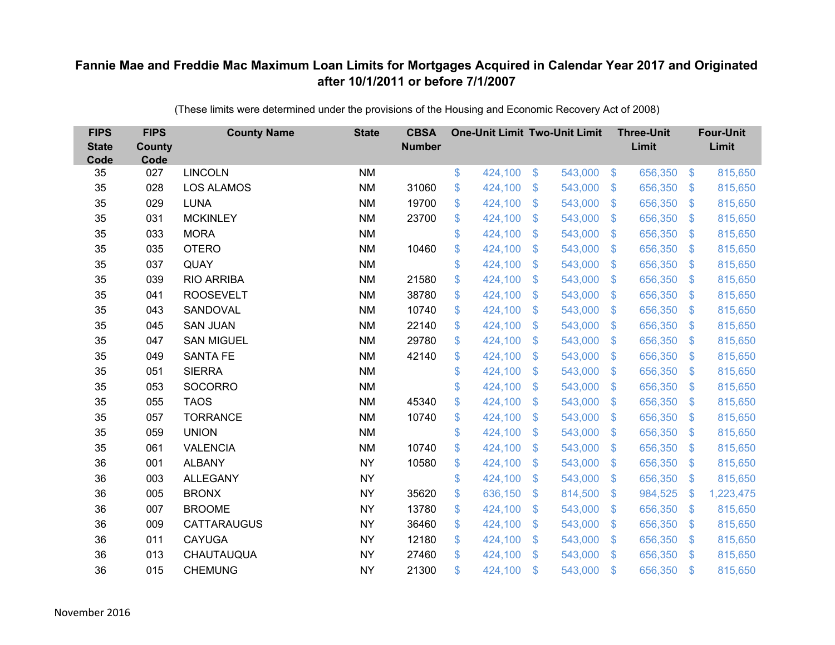| <b>FIPS</b><br><b>State</b><br>Code | <b>FIPS</b><br><b>County</b><br>Code | <b>County Name</b> | <b>State</b> | <b>CBSA</b><br><b>Number</b> | <b>One-Unit Limit Two-Unit Limit</b> |                           |         |                | <b>Three-Unit</b><br>Limit |                | <b>Four-Unit</b><br>Limit |
|-------------------------------------|--------------------------------------|--------------------|--------------|------------------------------|--------------------------------------|---------------------------|---------|----------------|----------------------------|----------------|---------------------------|
| 35                                  | 027                                  | <b>LINCOLN</b>     | <b>NM</b>    |                              | \$<br>424,100                        | $\$\$                     | 543,000 | $\sqrt{3}$     | 656,350                    | $\frac{3}{2}$  | 815,650                   |
| 35                                  | 028                                  | <b>LOS ALAMOS</b>  | <b>NM</b>    | 31060                        | \$<br>424,100                        | \$                        | 543,000 | $\mathcal{S}$  | 656,350                    | S.             | 815,650                   |
| 35                                  | 029                                  | <b>LUNA</b>        | <b>NM</b>    | 19700                        | \$<br>424,100                        | $\mathcal{S}$             | 543,000 | $\mathfrak{S}$ | 656,350                    | $\mathbb{S}$   | 815,650                   |
| 35                                  | 031                                  | <b>MCKINLEY</b>    | <b>NM</b>    | 23700                        | \$<br>424,100                        | $\boldsymbol{\mathsf{S}}$ | 543,000 | $\sqrt[6]{3}$  | 656,350                    | S.             | 815,650                   |
| 35                                  | 033                                  | <b>MORA</b>        | <b>NM</b>    |                              | \$<br>424,100                        | $\boldsymbol{\mathsf{S}}$ | 543,000 | $\mathbf{\$}$  | 656,350                    | $\mathbf{\$}$  | 815,650                   |
| 35                                  | 035                                  | <b>OTERO</b>       | <b>NM</b>    | 10460                        | \$<br>424,100                        | $\mathcal{S}$             | 543,000 | $\mathcal{S}$  | 656,350                    | S.             | 815,650                   |
| 35                                  | 037                                  | <b>QUAY</b>        | <b>NM</b>    |                              | \$<br>424,100                        | $\boldsymbol{\mathsf{S}}$ | 543,000 | $\mathbf{\$}$  | 656,350                    | S.             | 815,650                   |
| 35                                  | 039                                  | <b>RIO ARRIBA</b>  | <b>NM</b>    | 21580                        | \$<br>424,100                        | $\boldsymbol{\mathsf{S}}$ | 543,000 | $\mathcal{S}$  | 656,350                    | S.             | 815,650                   |
| 35                                  | 041                                  | <b>ROOSEVELT</b>   | <b>NM</b>    | 38780                        | \$<br>424,100                        | $\mathcal{S}$             | 543,000 | $\mathbf{\$}$  | 656,350                    | \$             | 815,650                   |
| 35                                  | 043                                  | SANDOVAL           | <b>NM</b>    | 10740                        | \$<br>424,100                        | \$                        | 543,000 | $\mathcal{S}$  | 656,350                    | $\mathfrak{F}$ | 815,650                   |
| 35                                  | 045                                  | <b>SAN JUAN</b>    | <b>NM</b>    | 22140                        | \$<br>424,100                        | $\mathfrak{S}$            | 543,000 | $\mathcal{S}$  | 656,350                    | $\mathbb{S}$   | 815,650                   |
| 35                                  | 047                                  | <b>SAN MIGUEL</b>  | <b>NM</b>    | 29780                        | \$<br>424,100                        | $\mathfrak{S}$            | 543,000 | $\mathfrak{S}$ | 656,350                    | $\mathbb{S}$   | 815,650                   |
| 35                                  | 049                                  | <b>SANTA FE</b>    | <b>NM</b>    | 42140                        | \$<br>424,100                        | \$                        | 543,000 | $\sqrt{3}$     | 656,350                    | $\mathbf{\$}$  | 815,650                   |
| 35                                  | 051                                  | <b>SIERRA</b>      | <b>NM</b>    |                              | \$<br>424,100                        | $\mathbf{\$}$             | 543,000 | $\mathfrak{S}$ | 656,350                    | S.             | 815,650                   |
| 35                                  | 053                                  | <b>SOCORRO</b>     | <b>NM</b>    |                              | \$<br>424,100                        | $\boldsymbol{\mathsf{S}}$ | 543,000 | $\sqrt{3}$     | 656,350                    | $\mathfrak{S}$ | 815,650                   |
| 35                                  | 055                                  | <b>TAOS</b>        | <b>NM</b>    | 45340                        | \$<br>424,100                        | $\boldsymbol{\mathsf{S}}$ | 543,000 | $\mathcal{S}$  | 656,350                    | $\mathfrak{F}$ | 815,650                   |
| 35                                  | 057                                  | <b>TORRANCE</b>    | <b>NM</b>    | 10740                        | \$<br>424,100                        | \$                        | 543,000 | $\mathcal{S}$  | 656,350                    | S.             | 815,650                   |
| 35                                  | 059                                  | <b>UNION</b>       | <b>NM</b>    |                              | \$<br>424,100                        | $\boldsymbol{\mathsf{S}}$ | 543,000 | $\frac{1}{2}$  | 656,350                    | $\mathfrak{F}$ | 815,650                   |
| 35                                  | 061                                  | <b>VALENCIA</b>    | <b>NM</b>    | 10740                        | \$<br>424,100                        | $\boldsymbol{\mathsf{S}}$ | 543,000 | $\sqrt[6]{3}$  | 656,350                    | $\sqrt[6]{3}$  | 815,650                   |
| 36                                  | 001                                  | <b>ALBANY</b>      | <b>NY</b>    | 10580                        | \$<br>424,100                        | $\mathcal{S}$             | 543,000 | $\mathcal{S}$  | 656,350                    | $\mathbb{S}$   | 815,650                   |
| 36                                  | 003                                  | <b>ALLEGANY</b>    | <b>NY</b>    |                              | \$<br>424,100                        | $\boldsymbol{\mathsf{S}}$ | 543,000 | $\sqrt[6]{3}$  | 656,350                    | $\mathfrak{F}$ | 815,650                   |
| 36                                  | 005                                  | <b>BRONX</b>       | <b>NY</b>    | 35620                        | \$<br>636,150                        | $\mathbf{\$}$             | 814,500 | $\mathbb{S}$   | 984,525                    | $\mathbf{\$}$  | 1,223,475                 |
| 36                                  | 007                                  | <b>BROOME</b>      | <b>NY</b>    | 13780                        | \$<br>424,100                        | $\boldsymbol{\mathsf{S}}$ | 543,000 | $\mathcal{S}$  | 656,350                    | $\mathbb{S}$   | 815,650                   |
| 36                                  | 009                                  | CATTARAUGUS        | <b>NY</b>    | 36460                        | \$<br>424,100                        | $\boldsymbol{\mathsf{S}}$ | 543,000 | \$             | 656,350                    | $\mathfrak{F}$ | 815,650                   |
| 36                                  | 011                                  | <b>CAYUGA</b>      | <b>NY</b>    | 12180                        | \$<br>424,100                        | $\boldsymbol{\mathsf{S}}$ | 543,000 | $\sqrt{3}$     | 656,350                    | S.             | 815,650                   |
| 36                                  | 013                                  | CHAUTAUQUA         | <b>NY</b>    | 27460                        | \$<br>424,100                        | $\mathcal{S}$             | 543,000 | $\mathbb{S}$   | 656,350                    | \$.            | 815,650                   |
| 36                                  | 015                                  | <b>CHEMUNG</b>     | <b>NY</b>    | 21300                        | \$<br>424,100                        | \$                        | 543,000 | \$             | 656,350                    | $\mathfrak{L}$ | 815,650                   |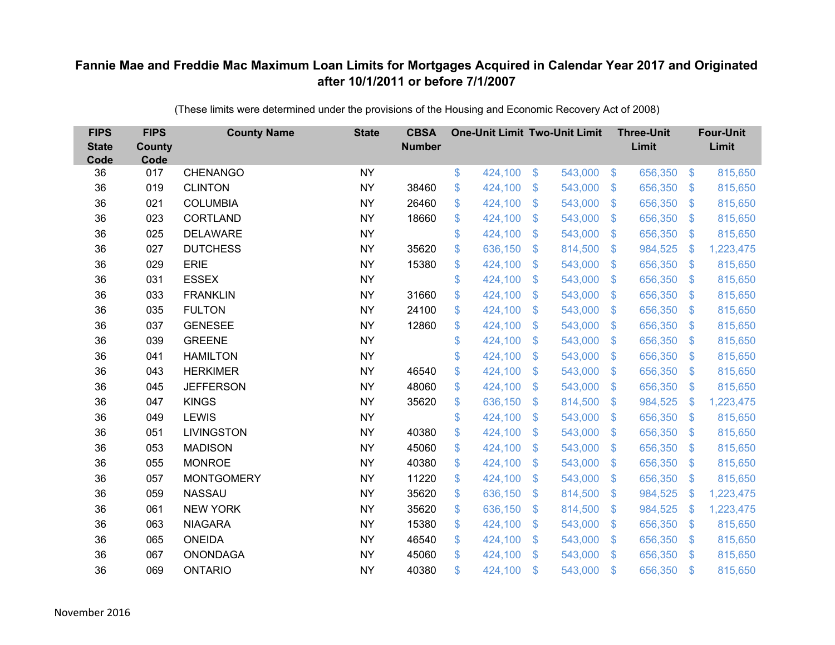| <b>FIPS</b><br><b>State</b><br>Code | <b>FIPS</b><br><b>County</b><br>Code | <b>County Name</b> | <b>State</b> | <b>CBSA</b><br><b>Number</b> | <b>One-Unit Limit Two-Unit Limit</b> |                |         |                           | <b>Three-Unit</b><br>Limit |                           | <b>Four-Unit</b><br>Limit |
|-------------------------------------|--------------------------------------|--------------------|--------------|------------------------------|--------------------------------------|----------------|---------|---------------------------|----------------------------|---------------------------|---------------------------|
| 36                                  | 017                                  | <b>CHENANGO</b>    | <b>NY</b>    |                              | \$<br>424,100                        | $\frac{3}{2}$  | 543,000 | $\sqrt[3]{5}$             | 656,350                    | $\frac{1}{2}$             | 815,650                   |
| 36                                  | 019                                  | <b>CLINTON</b>     | <b>NY</b>    | 38460                        | \$<br>424,100                        | \$             | 543,000 | $\sqrt{3}$                | 656,350                    | $\mathcal{L}$             | 815,650                   |
| 36                                  | 021                                  | <b>COLUMBIA</b>    | <b>NY</b>    | 26460                        | \$<br>424,100                        | $\mathfrak{S}$ | 543,000 | $\mathfrak{S}$            | 656,350                    | $\mathfrak{F}$            | 815,650                   |
| 36                                  | 023                                  | <b>CORTLAND</b>    | <b>NY</b>    | 18660                        | \$<br>424,100                        | \$             | 543,000 | $\mathcal{S}$             | 656,350                    | $\mathcal{L}$             | 815,650                   |
| 36                                  | 025                                  | <b>DELAWARE</b>    | <b>NY</b>    |                              | \$<br>424,100                        | \$             | 543,000 | $\boldsymbol{\mathsf{S}}$ | 656,350                    | $\boldsymbol{\mathsf{S}}$ | 815,650                   |
| 36                                  | 027                                  | <b>DUTCHESS</b>    | <b>NY</b>    | 35620                        | \$<br>636,150                        | $\mathfrak{S}$ | 814,500 | $\mathbf{\$}$             | 984,525                    | \$                        | 1,223,475                 |
| 36                                  | 029                                  | <b>ERIE</b>        | <b>NY</b>    | 15380                        | \$<br>424,100                        | \$             | 543,000 | $\sqrt{3}$                | 656,350                    | $\mathcal{L}$             | 815,650                   |
| 36                                  | 031                                  | <b>ESSEX</b>       | <b>NY</b>    |                              | \$<br>424,100                        | \$             | 543,000 | $\sqrt{3}$                | 656,350                    | $\mathcal{L}$             | 815,650                   |
| 36                                  | 033                                  | <b>FRANKLIN</b>    | <b>NY</b>    | 31660                        | \$<br>424,100                        | $\mathsf{\$}$  | 543,000 | $\mathsf{\$}$             | 656,350                    | $\mathfrak{F}$            | 815,650                   |
| 36                                  | 035                                  | <b>FULTON</b>      | <b>NY</b>    | 24100                        | \$<br>424,100                        | \$             | 543,000 | $\mathbf{\$}$             | 656,350                    | $\mathfrak{F}$            | 815,650                   |
| 36                                  | 037                                  | <b>GENESEE</b>     | <b>NY</b>    | 12860                        | \$<br>424,100                        | $\mathfrak{S}$ | 543,000 | $\mathfrak{S}$            | 656,350                    | $\boldsymbol{\mathsf{S}}$ | 815,650                   |
| 36                                  | 039                                  | <b>GREENE</b>      | <b>NY</b>    |                              | \$<br>424,100                        | $\mathfrak{S}$ | 543,000 | $\mathfrak{S}$            | 656,350                    | $\mathfrak{F}$            | 815,650                   |
| 36                                  | 041                                  | <b>HAMILTON</b>    | <b>NY</b>    |                              | \$<br>424,100                        | \$             | 543,000 | \$                        | 656,350                    | $\mathcal{L}$             | 815,650                   |
| 36                                  | 043                                  | <b>HERKIMER</b>    | <b>NY</b>    | 46540                        | \$<br>424,100                        | \$             | 543,000 | \$.                       | 656,350                    | $\mathfrak{F}$            | 815,650                   |
| 36                                  | 045                                  | <b>JEFFERSON</b>   | <b>NY</b>    | 48060                        | \$<br>424,100                        | \$             | 543,000 | \$                        | 656,350                    | $\boldsymbol{\mathsf{S}}$ | 815,650                   |
| 36                                  | 047                                  | <b>KINGS</b>       | <b>NY</b>    | 35620                        | \$<br>636,150                        | $\mathfrak{F}$ | 814,500 | $\mathfrak{F}$            | 984,525                    | \$                        | 1,223,475                 |
| 36                                  | 049                                  | <b>LEWIS</b>       | <b>NY</b>    |                              | \$<br>424,100                        | $\mathfrak{S}$ | 543,000 | $\mathfrak{S}$            | 656,350                    | $\mathfrak{F}$            | 815,650                   |
| 36                                  | 051                                  | LIVINGSTON         | <b>NY</b>    | 40380                        | \$<br>424,100                        | \$             | 543,000 | \$                        | 656,350                    | $\mathcal{L}$             | 815,650                   |
| 36                                  | 053                                  | <b>MADISON</b>     | <b>NY</b>    | 45060                        | \$<br>424,100                        | \$             | 543,000 | $\sqrt{3}$                | 656,350                    | $\mathfrak{F}$            | 815,650                   |
| 36                                  | 055                                  | <b>MONROE</b>      | <b>NY</b>    | 40380                        | \$<br>424,100                        | $\mathfrak{S}$ | 543,000 | $\mathfrak{S}$            | 656,350                    | $\mathfrak{F}$            | 815,650                   |
| 36                                  | 057                                  | <b>MONTGOMERY</b>  | <b>NY</b>    | 11220                        | \$<br>424,100                        | $\mathfrak{F}$ | 543,000 | $\mathcal{S}$             | 656,350                    | $\frac{1}{2}$             | 815,650                   |
| 36                                  | 059                                  | <b>NASSAU</b>      | <b>NY</b>    | 35620                        | \$<br>636,150                        | $\mathfrak{S}$ | 814,500 | $\mathfrak{S}$            | 984,525                    | \$                        | 1,223,475                 |
| 36                                  | 061                                  | <b>NEW YORK</b>    | <b>NY</b>    | 35620                        | \$<br>636,150                        | \$             | 814,500 | $\sqrt{3}$                | 984,525                    | $\mathcal{L}$             | 1,223,475                 |
| 36                                  | 063                                  | <b>NIAGARA</b>     | <b>NY</b>    | 15380                        | \$<br>424,100                        | \$             | 543,000 | \$                        | 656,350                    | $\mathcal{L}$             | 815,650                   |
| 36                                  | 065                                  | <b>ONEIDA</b>      | <b>NY</b>    | 46540                        | \$<br>424,100                        | \$             | 543,000 | $\mathcal{S}$             | 656,350                    | $\mathcal{S}$             | 815,650                   |
| 36                                  | 067                                  | <b>ONONDAGA</b>    | <b>NY</b>    | 45060                        | \$<br>424,100                        | $\mathfrak{S}$ | 543,000 | $\mathbf{\$}$             | 656,350                    | $\mathfrak{F}$            | 815,650                   |
| 36                                  | 069                                  | <b>ONTARIO</b>     | <b>NY</b>    | 40380                        | \$<br>424,100                        | \$             | 543,000 | \$                        | 656,350                    | $\mathbf{\$}$             | 815,650                   |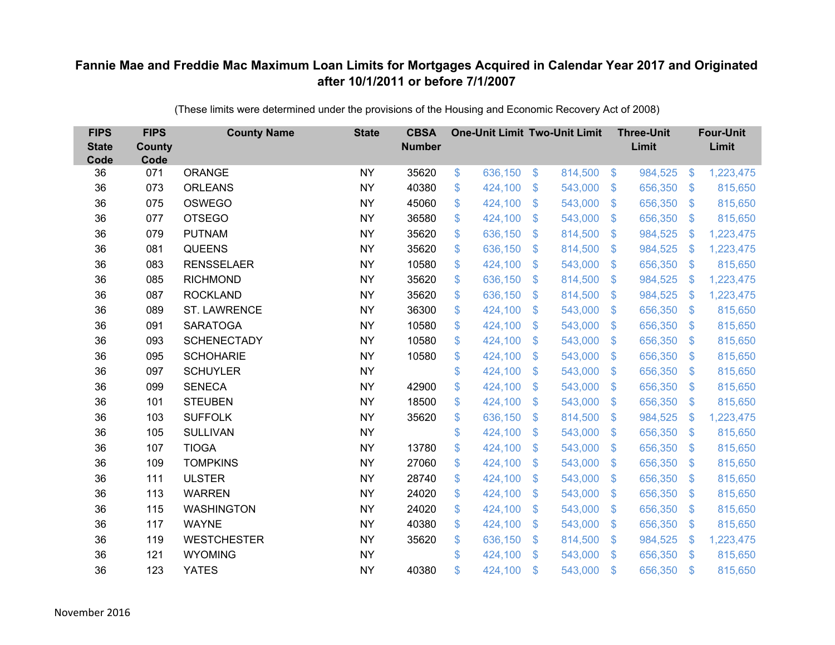| <b>FIPS</b><br><b>State</b><br>Code | <b>FIPS</b><br><b>County</b><br>Code | <b>County Name</b>  | <b>State</b> | <b>CBSA</b><br><b>Number</b> | <b>One-Unit Limit Two-Unit Limit</b> |                |         |                | <b>Three-Unit</b><br>Limit |                           | <b>Four-Unit</b><br>Limit |
|-------------------------------------|--------------------------------------|---------------------|--------------|------------------------------|--------------------------------------|----------------|---------|----------------|----------------------------|---------------------------|---------------------------|
| 36                                  | 071                                  | <b>ORANGE</b>       | <b>NY</b>    | 35620                        | \$<br>636,150                        | $\$\$          | 814,500 | $\sqrt[3]{5}$  | 984,525                    | $\boldsymbol{\mathsf{S}}$ | 1,223,475                 |
| 36                                  | 073                                  | <b>ORLEANS</b>      | <b>NY</b>    | 40380                        | \$<br>424,100                        | \$             | 543,000 | $\sqrt{3}$     | 656,350                    | $\mathcal{L}$             | 815,650                   |
| 36                                  | 075                                  | <b>OSWEGO</b>       | <b>NY</b>    | 45060                        | \$<br>424,100                        | $\mathfrak{S}$ | 543,000 | $\mathbf{\$}$  | 656,350                    | $\mathfrak{F}$            | 815,650                   |
| 36                                  | 077                                  | <b>OTSEGO</b>       | <b>NY</b>    | 36580                        | \$<br>424,100                        | \$             | 543,000 | $\sqrt{3}$     | 656,350                    | $\boldsymbol{\mathsf{S}}$ | 815,650                   |
| 36                                  | 079                                  | <b>PUTNAM</b>       | <b>NY</b>    | 35620                        | \$<br>636,150                        | \$             | 814,500 | $\sqrt{3}$     | 984,525                    | \$                        | 1,223,475                 |
| 36                                  | 081                                  | <b>QUEENS</b>       | <b>NY</b>    | 35620                        | \$<br>636,150                        | $\mathfrak{S}$ | 814,500 | $\mathbf{\$}$  | 984,525                    | $\mathbf{\$}$             | 1,223,475                 |
| 36                                  | 083                                  | <b>RENSSELAER</b>   | <b>NY</b>    | 10580                        | \$<br>424,100                        | \$             | 543,000 | $\mathcal{S}$  | 656,350                    | $\mathcal{L}$             | 815,650                   |
| 36                                  | 085                                  | <b>RICHMOND</b>     | <b>NY</b>    | 35620                        | \$<br>636,150                        | \$             | 814,500 | $\sqrt{3}$     | 984,525                    | \$                        | 1,223,475                 |
| 36                                  | 087                                  | <b>ROCKLAND</b>     | <b>NY</b>    | 35620                        | \$<br>636,150                        | $\mathsf{\$}$  | 814,500 | $\mathbf{\$}$  | 984,525                    | \$                        | 1,223,475                 |
| 36                                  | 089                                  | <b>ST. LAWRENCE</b> | <b>NY</b>    | 36300                        | \$<br>424,100                        | $\mathfrak{F}$ | 543,000 | \$.            | 656,350                    | $\mathcal{L}$             | 815,650                   |
| 36                                  | 091                                  | <b>SARATOGA</b>     | <b>NY</b>    | 10580                        | \$<br>424,100                        | \$             | 543,000 | \$             | 656,350                    | $\mathfrak{S}$            | 815,650                   |
| 36                                  | 093                                  | <b>SCHENECTADY</b>  | <b>NY</b>    | 10580                        | \$<br>424,100                        | $\mathfrak{S}$ | 543,000 | $\mathfrak{S}$ | 656,350                    | $\mathbf{\$}$             | 815,650                   |
| 36                                  | 095                                  | <b>SCHOHARIE</b>    | <b>NY</b>    | 10580                        | \$<br>424,100                        | \$             | 543,000 | \$             | 656,350                    | $\mathcal{L}$             | 815,650                   |
| 36                                  | 097                                  | <b>SCHUYLER</b>     | <b>NY</b>    |                              | \$<br>424,100                        | \$             | 543,000 | \$.            | 656,350                    | $\mathcal{S}$             | 815,650                   |
| 36                                  | 099                                  | <b>SENECA</b>       | <b>NY</b>    | 42900                        | \$<br>424,100                        | \$             | 543,000 | \$             | 656,350                    | $\mathfrak{S}$            | 815,650                   |
| 36                                  | 101                                  | <b>STEUBEN</b>      | <b>NY</b>    | 18500                        | \$<br>424,100                        | \$             | 543,000 | $\mathfrak{F}$ | 656,350                    | $\mathcal{L}$             | 815,650                   |
| 36                                  | 103                                  | <b>SUFFOLK</b>      | <b>NY</b>    | 35620                        | \$<br>636,150                        | $\mathfrak{S}$ | 814,500 | $\mathbf{\$}$  | 984,525                    | $\mathcal{L}$             | 1,223,475                 |
| 36                                  | 105                                  | <b>SULLIVAN</b>     | <b>NY</b>    |                              | \$<br>424,100                        | \$             | 543,000 | \$             | 656,350                    | $\boldsymbol{\mathsf{S}}$ | 815,650                   |
| 36                                  | 107                                  | <b>TIOGA</b>        | <b>NY</b>    | 13780                        | \$<br>424,100                        | \$             | 543,000 | $\sqrt{3}$     | 656,350                    | $\mathcal{S}$             | 815,650                   |
| 36                                  | 109                                  | <b>TOMPKINS</b>     | <b>NY</b>    | 27060                        | \$<br>424,100                        | \$             | 543,000 | $\mathfrak{S}$ | 656,350                    | $\boldsymbol{\mathsf{S}}$ | 815,650                   |
| 36                                  | 111                                  | <b>ULSTER</b>       | <b>NY</b>    | 28740                        | \$<br>424,100                        | \$             | 543,000 | $\sqrt{3}$     | 656,350                    | $\frac{1}{2}$             | 815,650                   |
| 36                                  | 113                                  | <b>WARREN</b>       | <b>NY</b>    | 24020                        | \$<br>424,100                        | \$             | 543,000 | $\mathfrak{S}$ | 656,350                    | $\boldsymbol{\mathsf{S}}$ | 815,650                   |
| 36                                  | 115                                  | <b>WASHINGTON</b>   | <b>NY</b>    | 24020                        | \$<br>424,100                        | \$             | 543,000 | $\sqrt{3}$     | 656,350                    | $\mathfrak{S}$            | 815,650                   |
| 36                                  | 117                                  | <b>WAYNE</b>        | <b>NY</b>    | 40380                        | \$<br>424,100                        | \$             | 543,000 | $\sqrt{3}$     | 656,350                    | $\mathcal{L}$             | 815,650                   |
| 36                                  | 119                                  | <b>WESTCHESTER</b>  | <b>NY</b>    | 35620                        | \$<br>636,150                        | $\mathfrak{S}$ | 814,500 | $\mathcal{S}$  | 984,525                    | $\mathcal{L}$             | 1,223,475                 |
| 36                                  | 121                                  | <b>WYOMING</b>      | <b>NY</b>    |                              | \$<br>424,100                        | $\mathfrak{S}$ | 543,000 | $\mathcal{S}$  | 656,350                    | $\mathfrak{F}$            | 815,650                   |
| 36                                  | 123                                  | <b>YATES</b>        | <b>NY</b>    | 40380                        | \$<br>424,100                        | \$             | 543,000 | \$             | 656,350                    | \$                        | 815,650                   |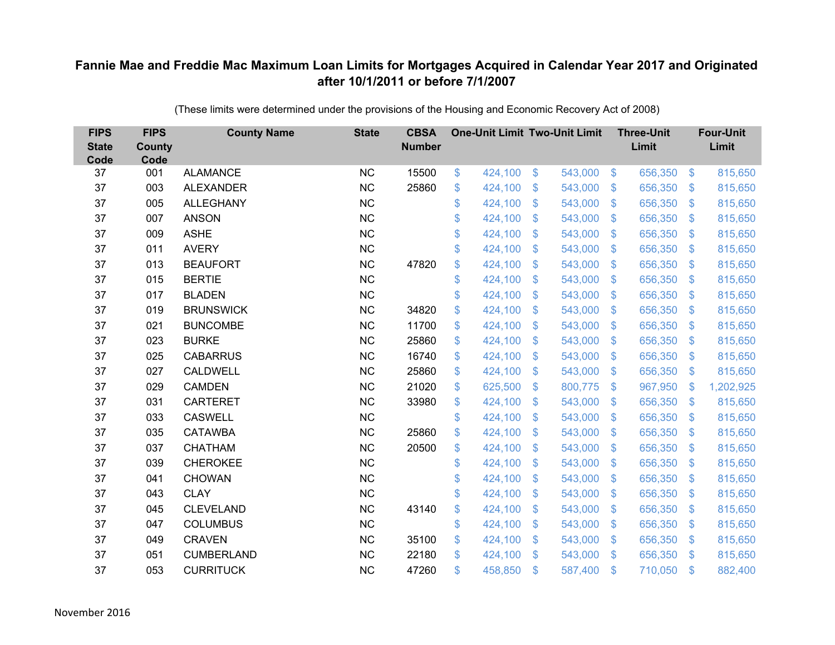| <b>FIPS</b><br><b>State</b><br>Code | <b>FIPS</b><br><b>County</b><br>Code | <b>County Name</b> | <b>State</b> | <b>CBSA</b><br><b>Number</b> | <b>One-Unit Limit Two-Unit Limit</b> |                           |         |                           | <b>Three-Unit</b><br>Limit |                | <b>Four-Unit</b><br>Limit |
|-------------------------------------|--------------------------------------|--------------------|--------------|------------------------------|--------------------------------------|---------------------------|---------|---------------------------|----------------------------|----------------|---------------------------|
| 37                                  | 001                                  | <b>ALAMANCE</b>    | NC           | 15500                        | \$<br>424,100                        | \$                        | 543,000 | $\sqrt{3}$                | 656,350                    | $\frac{3}{2}$  | 815,650                   |
| 37                                  | 003                                  | <b>ALEXANDER</b>   | <b>NC</b>    | 25860                        | \$<br>424,100                        | \$                        | 543,000 | $\mathfrak{S}$            | 656,350                    | $\mathcal{S}$  | 815,650                   |
| 37                                  | 005                                  | <b>ALLEGHANY</b>   | <b>NC</b>    |                              | \$<br>424,100                        | $\mathcal{S}$             | 543,000 | $\mathfrak{S}$            | 656,350                    | $\mathbf{\$}$  | 815,650                   |
| 37                                  | 007                                  | <b>ANSON</b>       | NC           |                              | \$<br>424,100                        | $\boldsymbol{\mathsf{S}}$ | 543,000 | $\sqrt[6]{3}$             | 656,350                    | $\mathcal{S}$  | 815,650                   |
| 37                                  | 009                                  | <b>ASHE</b>        | <b>NC</b>    |                              | \$<br>424,100                        | $\boldsymbol{\mathsf{S}}$ | 543,000 | $\mathfrak{S}$            | 656,350                    | \$.            | 815,650                   |
| 37                                  | 011                                  | <b>AVERY</b>       | <b>NC</b>    |                              | \$<br>424,100                        | $\mathcal{S}$             | 543,000 | $\mathfrak{S}$            | 656,350                    | $\mathcal{S}$  | 815,650                   |
| 37                                  | 013                                  | <b>BEAUFORT</b>    | NC           | 47820                        | \$<br>424,100                        | $\boldsymbol{\mathsf{S}}$ | 543,000 | $\mathfrak{S}$            | 656,350                    | $\mathcal{S}$  | 815,650                   |
| 37                                  | 015                                  | <b>BERTIE</b>      | <b>NC</b>    |                              | \$<br>424,100                        | \$                        | 543,000 | $\mathbb{S}$              | 656,350                    | $\mathcal{S}$  | 815,650                   |
| 37                                  | 017                                  | <b>BLADEN</b>      | <b>NC</b>    |                              | \$<br>424,100                        | \$                        | 543,000 | $\mathfrak{S}$            | 656,350                    | $\mathfrak{S}$ | 815,650                   |
| 37                                  | 019                                  | <b>BRUNSWICK</b>   | NC           | 34820                        | \$<br>424,100                        | $\boldsymbol{\mathsf{S}}$ | 543,000 | $\mathbb{S}$              | 656,350                    | <sup>\$</sup>  | 815,650                   |
| 37                                  | 021                                  | <b>BUNCOMBE</b>    | <b>NC</b>    | 11700                        | \$<br>424,100                        | $\boldsymbol{\mathsf{S}}$ | 543,000 | $\sqrt[6]{3}$             | 656,350                    | $\mathfrak{F}$ | 815,650                   |
| 37                                  | 023                                  | <b>BURKE</b>       | <b>NC</b>    | 25860                        | \$<br>424,100                        | $\mathcal{S}$             | 543,000 | $\mathfrak{S}$            | 656,350                    | $\mathbf{\$}$  | 815,650                   |
| 37                                  | 025                                  | <b>CABARRUS</b>    | <b>NC</b>    | 16740                        | \$<br>424,100                        | \$                        | 543,000 | $\mathfrak{S}$            | 656,350                    | $\mathfrak{F}$ | 815,650                   |
| 37                                  | 027                                  | <b>CALDWELL</b>    | <b>NC</b>    | 25860                        | \$<br>424,100                        | $\mathbf{\$}$             | 543,000 | $\mathbb{S}$              | 656,350                    | $\mathcal{S}$  | 815,650                   |
| 37                                  | 029                                  | <b>CAMDEN</b>      | <b>NC</b>    | 21020                        | \$<br>625,500                        | $\boldsymbol{\mathsf{S}}$ | 800,775 | $\sqrt[6]{3}$             | 967,950                    | $\mathcal{S}$  | 1,202,925                 |
| 37                                  | 031                                  | <b>CARTERET</b>    | <b>NC</b>    | 33980                        | \$<br>424,100                        | $\boldsymbol{\mathsf{S}}$ | 543,000 | $\mathfrak{S}$            | 656,350                    | $\mathcal{S}$  | 815,650                   |
| 37                                  | 033                                  | <b>CASWELL</b>     | <b>NC</b>    |                              | \$<br>424,100                        | $\mathcal{S}$             | 543,000 | $\mathfrak{S}$            | 656,350                    | $\mathcal{S}$  | 815,650                   |
| 37                                  | 035                                  | <b>CATAWBA</b>     | <b>NC</b>    | 25860                        | \$<br>424,100                        | $\boldsymbol{\mathsf{S}}$ | 543,000 | $\sqrt[6]{\frac{1}{2}}$   | 656,350                    | $\mathcal{S}$  | 815,650                   |
| 37                                  | 037                                  | <b>CHATHAM</b>     | <b>NC</b>    | 20500                        | \$<br>424,100                        | $\boldsymbol{\mathsf{S}}$ | 543,000 | $\sqrt[6]{2}$             | 656,350                    | $\mathcal{S}$  | 815,650                   |
| 37                                  | 039                                  | <b>CHEROKEE</b>    | <b>NC</b>    |                              | \$<br>424,100                        | $\boldsymbol{\mathsf{S}}$ | 543,000 | $\mathfrak{S}$            | 656,350                    | $\mathbf{\$}$  | 815,650                   |
| 37                                  | 041                                  | <b>CHOWAN</b>      | NC           |                              | \$<br>424,100                        | $\boldsymbol{\mathsf{S}}$ | 543,000 | $\sqrt[6]{\frac{1}{2}}$   | 656,350                    | $\sqrt{3}$     | 815,650                   |
| 37                                  | 043                                  | <b>CLAY</b>        | NC           |                              | \$<br>424,100                        | $\boldsymbol{\mathsf{S}}$ | 543,000 | $\mathfrak{S}$            | 656,350                    | $\mathbf{\$}$  | 815,650                   |
| 37                                  | 045                                  | <b>CLEVELAND</b>   | <b>NC</b>    | 43140                        | \$<br>424,100                        | $\boldsymbol{\mathsf{S}}$ | 543,000 | $\sqrt[6]{\frac{1}{2}}$   | 656,350                    | $\mathbf{\$}$  | 815,650                   |
| 37                                  | 047                                  | <b>COLUMBUS</b>    | NC           |                              | \$<br>424,100                        | $\boldsymbol{\mathsf{S}}$ | 543,000 | $\boldsymbol{\mathsf{S}}$ | 656,350                    | $\mathfrak{F}$ | 815,650                   |
| 37                                  | 049                                  | <b>CRAVEN</b>      | <b>NC</b>    | 35100                        | \$<br>424,100                        | $\boldsymbol{\mathsf{S}}$ | 543,000 | $\mathbb{S}$              | 656,350                    | $\mathcal{S}$  | 815,650                   |
| 37                                  | 051                                  | <b>CUMBERLAND</b>  | <b>NC</b>    | 22180                        | \$<br>424,100                        | $\mathcal{S}$             | 543,000 | $\mathbf{\$}$             | 656,350                    | <sup>\$</sup>  | 815,650                   |
| 37                                  | 053                                  | <b>CURRITUCK</b>   | <b>NC</b>    | 47260                        | \$<br>458,850                        | $\mathcal{S}$             | 587,400 | $\mathbf{\$}$             | 710,050                    | $\mathbf{\$}$  | 882,400                   |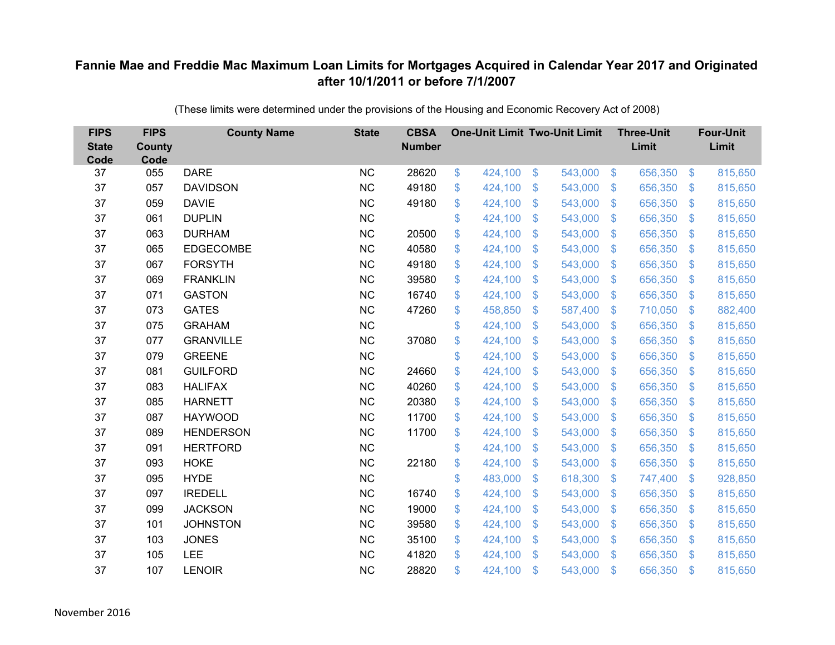| <b>FIPS</b><br><b>State</b><br>Code | <b>FIPS</b><br><b>County</b><br>Code | <b>County Name</b> | <b>State</b> | <b>CBSA</b><br><b>Number</b> | <b>One-Unit Limit Two-Unit Limit</b> |                |         |                           | <b>Three-Unit</b><br>Limit |                           | <b>Four-Unit</b><br>Limit |
|-------------------------------------|--------------------------------------|--------------------|--------------|------------------------------|--------------------------------------|----------------|---------|---------------------------|----------------------------|---------------------------|---------------------------|
| 37                                  | 055                                  | <b>DARE</b>        | <b>NC</b>    | 28620                        | \$<br>424,100                        | $\sqrt[6]{3}$  | 543,000 | $\sqrt[6]{3}$             | 656,350                    | $\mathfrak{S}$            | 815,650                   |
| 37                                  | 057                                  | <b>DAVIDSON</b>    | <b>NC</b>    | 49180                        | \$<br>424,100                        | \$             | 543,000 | $\mathcal{S}$             | 656,350                    | $\mathcal{L}$             | 815,650                   |
| 37                                  | 059                                  | <b>DAVIE</b>       | <b>NC</b>    | 49180                        | \$<br>424,100                        | $\mathfrak{S}$ | 543,000 | $\mathfrak{S}$            | 656,350                    | $\boldsymbol{\mathsf{S}}$ | 815,650                   |
| 37                                  | 061                                  | <b>DUPLIN</b>      | <b>NC</b>    |                              | \$<br>424,100                        | \$             | 543,000 | $\mathbf{\$}$             | 656,350                    | $\boldsymbol{\mathsf{S}}$ | 815,650                   |
| 37                                  | 063                                  | <b>DURHAM</b>      | <b>NC</b>    | 20500                        | \$<br>424,100                        | \$             | 543,000 | $\sqrt[6]{3}$             | 656,350                    | \$                        | 815,650                   |
| 37                                  | 065                                  | <b>EDGECOMBE</b>   | <b>NC</b>    | 40580                        | \$<br>424,100                        | \$             | 543,000 | $\mathbf{\$}$             | 656,350                    | $\mathcal{S}$             | 815,650                   |
| 37                                  | 067                                  | <b>FORSYTH</b>     | <b>NC</b>    | 49180                        | \$<br>424,100                        | $\mathfrak{S}$ | 543,000 | $\mathbf{\$}$             | 656,350                    | $\mathfrak{F}$            | 815,650                   |
| 37                                  | 069                                  | <b>FRANKLIN</b>    | <b>NC</b>    | 39580                        | \$<br>424,100                        | \$             | 543,000 | $\mathcal{S}$             | 656,350                    | $\mathcal{L}$             | 815,650                   |
| 37                                  | 071                                  | <b>GASTON</b>      | <b>NC</b>    | 16740                        | \$<br>424,100                        | $\mathfrak{S}$ | 543,000 | $\mathfrak{S}$            | 656,350                    | $\mathcal{L}$             | 815,650                   |
| 37                                  | 073                                  | <b>GATES</b>       | <b>NC</b>    | 47260                        | \$<br>458,850                        | $\mathfrak{S}$ | 587,400 | $\mathfrak{S}$            | 710,050                    | S.                        | 882,400                   |
| 37                                  | 075                                  | <b>GRAHAM</b>      | <b>NC</b>    |                              | \$<br>424,100                        | \$             | 543,000 | $\mathfrak{F}$            | 656,350                    | $\mathcal{L}$             | 815,650                   |
| 37                                  | 077                                  | <b>GRANVILLE</b>   | <b>NC</b>    | 37080                        | \$<br>424,100                        | \$             | 543,000 | $\mathfrak{F}$            | 656,350                    | $\mathcal{L}$             | 815,650                   |
| 37                                  | 079                                  | <b>GREENE</b>      | <b>NC</b>    |                              | \$<br>424,100                        | $\mathfrak{S}$ | 543,000 | $\mathfrak{S}$            | 656,350                    | $\mathbf{\$}$             | 815,650                   |
| 37                                  | 081                                  | <b>GUILFORD</b>    | <b>NC</b>    | 24660                        | \$<br>424,100                        | \$             | 543,000 | \$                        | 656,350                    | $\mathcal{L}$             | 815,650                   |
| 37                                  | 083                                  | <b>HALIFAX</b>     | <b>NC</b>    | 40260                        | \$<br>424,100                        | \$             | 543,000 | \$                        | 656,350                    | $\mathcal{L}$             | 815,650                   |
| 37                                  | 085                                  | <b>HARNETT</b>     | <b>NC</b>    | 20380                        | \$<br>424,100                        | \$             | 543,000 | $\mathfrak{S}$            | 656,350                    | $\mathcal{L}$             | 815,650                   |
| 37                                  | 087                                  | <b>HAYWOOD</b>     | <b>NC</b>    | 11700                        | \$<br>424,100                        | \$             | 543,000 | $\sqrt{3}$                | 656,350                    | $\mathfrak{S}$            | 815,650                   |
| 37                                  | 089                                  | <b>HENDERSON</b>   | <b>NC</b>    | 11700                        | \$<br>424,100                        | $\mathfrak{F}$ | 543,000 | \$.                       | 656,350                    | $\mathcal{L}$             | 815,650                   |
| 37                                  | 091                                  | <b>HERTFORD</b>    | <b>NC</b>    |                              | \$<br>424,100                        | \$             | 543,000 | $\mathbf{\$}$             | 656,350                    | $\mathcal{S}$             | 815,650                   |
| 37                                  | 093                                  | <b>HOKE</b>        | <b>NC</b>    | 22180                        | \$<br>424,100                        | \$             | 543,000 | \$                        | 656,350                    | $\boldsymbol{\mathsf{S}}$ | 815,650                   |
| 37                                  | 095                                  | <b>HYDE</b>        | NC           |                              | \$<br>483,000                        | \$             | 618,300 | $\mathcal{S}$             | 747,400                    | $\mathcal{L}$             | 928,850                   |
| 37                                  | 097                                  | <b>IREDELL</b>     | <b>NC</b>    | 16740                        | \$<br>424,100                        | \$             | 543,000 | $\mathfrak{S}$            | 656,350                    | $\boldsymbol{\mathsf{S}}$ | 815,650                   |
| 37                                  | 099                                  | <b>JACKSON</b>     | <b>NC</b>    | 19000                        | \$<br>424,100                        | \$             | 543,000 | $\sqrt{3}$                | 656,350                    | $\mathfrak{F}$            | 815,650                   |
| 37                                  | 101                                  | <b>JOHNSTON</b>    | <b>NC</b>    | 39580                        | \$<br>424,100                        | \$             | 543,000 | $\boldsymbol{\mathsf{S}}$ | 656,350                    | $\mathcal{L}$             | 815,650                   |
| 37                                  | 103                                  | <b>JONES</b>       | <b>NC</b>    | 35100                        | \$<br>424,100                        | \$             | 543,000 | $\mathcal{S}$             | 656,350                    | $\mathcal{L}$             | 815,650                   |
| 37                                  | 105                                  | LEE                | <b>NC</b>    | 41820                        | \$<br>424,100                        | $\mathfrak{S}$ | 543,000 | \$                        | 656,350                    | $\mathfrak{s}$            | 815,650                   |
| 37                                  | 107                                  | <b>LENOIR</b>      | <b>NC</b>    | 28820                        | \$<br>424,100                        | \$             | 543,000 | \$                        | 656,350                    | \$                        | 815,650                   |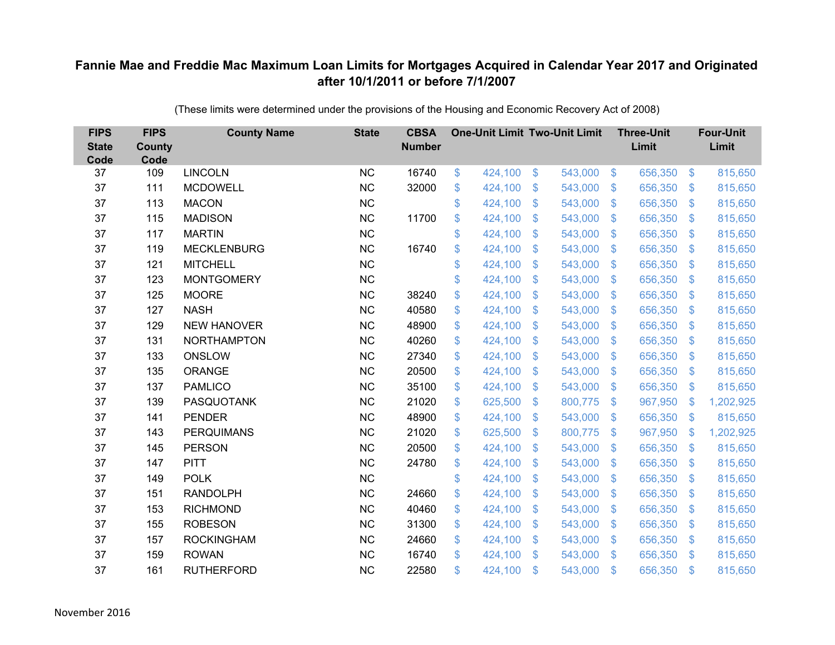| <b>FIPS</b><br><b>State</b><br>Code | <b>FIPS</b><br><b>County</b><br>Code | <b>County Name</b> | <b>State</b> | <b>CBSA</b><br><b>Number</b> | <b>One-Unit Limit Two-Unit Limit</b> |                |         |                | <b>Three-Unit</b><br>Limit |                           | <b>Four-Unit</b><br>Limit |
|-------------------------------------|--------------------------------------|--------------------|--------------|------------------------------|--------------------------------------|----------------|---------|----------------|----------------------------|---------------------------|---------------------------|
| 37                                  | 109                                  | <b>LINCOLN</b>     | <b>NC</b>    | 16740                        | \$<br>424,100                        | \$             | 543,000 | $\sqrt[6]{3}$  | 656,350                    | $\frac{1}{2}$             | 815,650                   |
| 37                                  | 111                                  | <b>MCDOWELL</b>    | <b>NC</b>    | 32000                        | \$<br>424,100                        | \$             | 543,000 | $\sqrt{3}$     | 656,350                    | $\mathcal{S}$             | 815,650                   |
| 37                                  | 113                                  | <b>MACON</b>       | <b>NC</b>    |                              | \$<br>424,100                        | $\mathfrak{S}$ | 543,000 | $\mathbf{\$}$  | 656,350                    | $\mathbf{\$}$             | 815,650                   |
| 37                                  | 115                                  | <b>MADISON</b>     | <b>NC</b>    | 11700                        | \$<br>424,100                        | \$             | 543,000 | $\sqrt{3}$     | 656,350                    | $\mathfrak{S}$            | 815,650                   |
| 37                                  | 117                                  | <b>MARTIN</b>      | <b>NC</b>    |                              | \$<br>424,100                        | \$             | 543,000 | $\mathbf{\$}$  | 656,350                    | $\mathcal{L}$             | 815,650                   |
| 37                                  | 119                                  | <b>MECKLENBURG</b> | <b>NC</b>    | 16740                        | \$<br>424,100                        | $\mathfrak{S}$ | 543,000 | $\mathbf{\$}$  | 656,350                    | S.                        | 815,650                   |
| 37                                  | 121                                  | <b>MITCHELL</b>    | <b>NC</b>    |                              | \$<br>424,100                        | \$             | 543,000 | $\mathcal{S}$  | 656,350                    | $\mathcal{S}$             | 815,650                   |
| 37                                  | 123                                  | <b>MONTGOMERY</b>  | <b>NC</b>    |                              | \$<br>424,100                        | \$             | 543,000 | $\mathbf{\$}$  | 656,350                    | $\mathcal{S}$             | 815,650                   |
| 37                                  | 125                                  | <b>MOORE</b>       | <b>NC</b>    | 38240                        | \$<br>424,100                        | $\mathfrak{S}$ | 543,000 | $\mathbf{\$}$  | 656,350                    | $\mathbf{\$}$             | 815,650                   |
| 37                                  | 127                                  | <b>NASH</b>        | <b>NC</b>    | 40580                        | \$<br>424,100                        | \$             | 543,000 | \$.            | 656,350                    | $\mathcal{S}$             | 815,650                   |
| 37                                  | 129                                  | <b>NEW HANOVER</b> | <b>NC</b>    | 48900                        | \$<br>424,100                        | \$             | 543,000 | \$             | 656,350                    | $\mathcal{S}$             | 815,650                   |
| 37                                  | 131                                  | <b>NORTHAMPTON</b> | <b>NC</b>    | 40260                        | \$<br>424,100                        | $\mathfrak{S}$ | 543,000 | $\mathfrak{S}$ | 656,350                    | $\mathbf{\$}$             | 815,650                   |
| 37                                  | 133                                  | <b>ONSLOW</b>      | <b>NC</b>    | 27340                        | \$<br>424,100                        | \$             | 543,000 | \$             | 656,350                    | $\mathcal{S}$             | 815,650                   |
| 37                                  | 135                                  | ORANGE             | <b>NC</b>    | 20500                        | \$<br>424,100                        | \$             | 543,000 | \$.            | 656,350                    | S.                        | 815,650                   |
| 37                                  | 137                                  | <b>PAMLICO</b>     | <b>NC</b>    | 35100                        | \$<br>424,100                        | \$             | 543,000 | $\sqrt{3}$     | 656,350                    | $\mathfrak{S}$            | 815,650                   |
| 37                                  | 139                                  | <b>PASQUOTANK</b>  | <b>NC</b>    | 21020                        | \$<br>625,500                        | $\mathfrak{F}$ | 800,775 | $\mathfrak{F}$ | 967,950                    | \$                        | 1,202,925                 |
| 37                                  | 141                                  | <b>PENDER</b>      | <b>NC</b>    | 48900                        | \$<br>424,100                        | $\mathfrak{S}$ | 543,000 | $\mathcal{S}$  | 656,350                    | $\mathcal{S}$             | 815,650                   |
| 37                                  | 143                                  | <b>PERQUIMANS</b>  | <b>NC</b>    | 21020                        | \$<br>625,500                        | \$             | 800,775 | $\sqrt{3}$     | 967,950                    | $\boldsymbol{\mathsf{S}}$ | 1,202,925                 |
| 37                                  | 145                                  | <b>PERSON</b>      | <b>NC</b>    | 20500                        | \$<br>424,100                        | \$             | 543,000 | $\sqrt{3}$     | 656,350                    | $\mathcal{S}$             | 815,650                   |
| 37                                  | 147                                  | <b>PITT</b>        | <b>NC</b>    | 24780                        | \$<br>424,100                        | \$             | 543,000 | $\mathfrak{S}$ | 656,350                    | $\mathfrak{F}$            | 815,650                   |
| 37                                  | 149                                  | <b>POLK</b>        | NC           |                              | \$<br>424,100                        | \$             | 543,000 | $\sqrt{3}$     | 656,350                    | $\mathfrak{S}$            | 815,650                   |
| 37                                  | 151                                  | <b>RANDOLPH</b>    | <b>NC</b>    | 24660                        | \$<br>424,100                        | \$             | 543,000 | $\mathfrak{S}$ | 656,350                    | $\mathcal{L}$             | 815,650                   |
| 37                                  | 153                                  | <b>RICHMOND</b>    | <b>NC</b>    | 40460                        | \$<br>424,100                        | \$             | 543,000 | $\sqrt{3}$     | 656,350                    | $\mathfrak{S}$            | 815,650                   |
| 37                                  | 155                                  | <b>ROBESON</b>     | <b>NC</b>    | 31300                        | \$<br>424,100                        | \$             | 543,000 | $\sqrt{3}$     | 656,350                    | $\mathcal{L}$             | 815,650                   |
| 37                                  | 157                                  | <b>ROCKINGHAM</b>  | <b>NC</b>    | 24660                        | \$<br>424,100                        | \$             | 543,000 | $\sqrt[6]{3}$  | 656,350                    | $\mathcal{S}$             | 815,650                   |
| 37                                  | 159                                  | <b>ROWAN</b>       | <b>NC</b>    | 16740                        | \$<br>424,100                        | $\mathfrak{S}$ | 543,000 | $\mathbf{\$}$  | 656,350                    | $\mathfrak{F}$            | 815,650                   |
| 37                                  | 161                                  | <b>RUTHERFORD</b>  | <b>NC</b>    | 22580                        | \$<br>424,100                        | \$             | 543,000 | \$             | 656,350                    | $\mathfrak{s}$            | 815,650                   |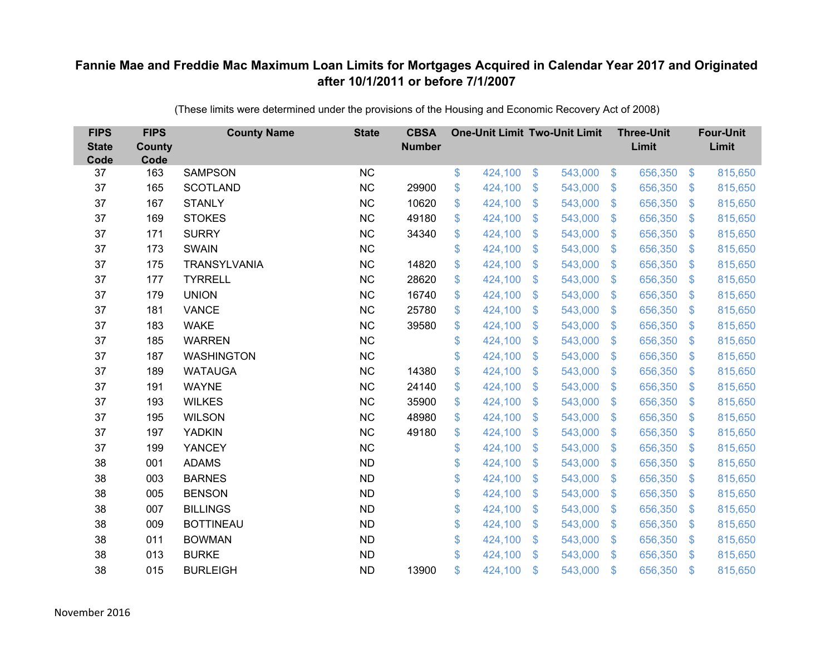| <b>FIPS</b><br><b>State</b><br>Code | <b>FIPS</b><br>County<br>Code | <b>County Name</b>  | <b>State</b> | <b>CBSA</b><br><b>Number</b> | <b>One-Unit Limit Two-Unit Limit</b> |                |         |                | <b>Three-Unit</b><br>Limit |                         | <b>Four-Unit</b><br>Limit |
|-------------------------------------|-------------------------------|---------------------|--------------|------------------------------|--------------------------------------|----------------|---------|----------------|----------------------------|-------------------------|---------------------------|
| 37                                  | 163                           | <b>SAMPSON</b>      | <b>NC</b>    |                              | \$<br>424,100                        | $\$\$          | 543,000 | $\sqrt[6]{3}$  | 656,350                    | $\frac{3}{2}$           | 815,650                   |
| 37                                  | 165                           | <b>SCOTLAND</b>     | <b>NC</b>    | 29900                        | \$<br>424,100                        | \$             | 543,000 | $\sqrt[6]{3}$  | 656,350                    | $\mathbb{S}$            | 815,650                   |
| 37                                  | 167                           | <b>STANLY</b>       | <b>NC</b>    | 10620                        | \$<br>424,100                        | $\mathfrak{S}$ | 543,000 | $\mathbb{S}$   | 656,350                    | $\mathfrak{S}$          | 815,650                   |
| 37                                  | 169                           | <b>STOKES</b>       | <b>NC</b>    | 49180                        | \$<br>424,100                        | \$             | 543,000 | $\sqrt[6]{3}$  | 656,350                    | $\mathcal{L}$           | 815,650                   |
| 37                                  | 171                           | <b>SURRY</b>        | <b>NC</b>    | 34340                        | \$<br>424,100                        | \$             | 543,000 | $\mathfrak{F}$ | 656,350                    | $\mathbb{S}$            | 815,650                   |
| 37                                  | 173                           | <b>SWAIN</b>        | <b>NC</b>    |                              | \$<br>424,100                        | $\mathfrak{S}$ | 543,000 | $\mathcal{S}$  | 656,350                    | $\mathfrak{S}$          | 815,650                   |
| 37                                  | 175                           | <b>TRANSYLVANIA</b> | NC           | 14820                        | \$<br>424,100                        | \$             | 543,000 | $\mathcal{S}$  | 656,350                    | $\mathbb{S}$            | 815,650                   |
| 37                                  | 177                           | <b>TYRRELL</b>      | NC           | 28620                        | \$<br>424,100                        | \$             | 543,000 | $\mathcal{S}$  | 656,350                    | $\mathbb{S}$            | 815,650                   |
| 37                                  | 179                           | <b>UNION</b>        | <b>NC</b>    | 16740                        | \$<br>424,100                        | $\mathfrak{S}$ | 543,000 | $\mathbb{S}$   | 656,350                    | $\mathfrak{S}$          | 815,650                   |
| 37                                  | 181                           | <b>VANCE</b>        | <b>NC</b>    | 25780                        | \$<br>424,100                        | \$             | 543,000 | $\mathcal{S}$  | 656,350                    | $\mathcal{L}$           | 815,650                   |
| 37                                  | 183                           | <b>WAKE</b>         | <b>NC</b>    | 39580                        | \$<br>424,100                        | $\mathfrak{S}$ | 543,000 | $\mathbb{S}$   | 656,350                    | $\mathfrak{S}$          | 815,650                   |
| 37                                  | 185                           | <b>WARREN</b>       | <b>NC</b>    |                              | \$<br>424,100                        | $\mathfrak{S}$ | 543,000 | $\mathbb{S}$   | 656,350                    | $\mathfrak{S}$          | 815,650                   |
| 37                                  | 187                           | <b>WASHINGTON</b>   | <b>NC</b>    |                              | \$<br>424,100                        | \$             | 543,000 | $\mathbb{S}$   | 656,350                    | $\mathbb{S}$            | 815,650                   |
| 37                                  | 189                           | <b>WATAUGA</b>      | <b>NC</b>    | 14380                        | \$<br>424,100                        | \$             | 543,000 | S.             | 656,350                    | $\mathbb{S}$            | 815,650                   |
| 37                                  | 191                           | <b>WAYNE</b>        | <b>NC</b>    | 24140                        | \$<br>424,100                        | \$             | 543,000 | $\mathfrak{S}$ | 656,350                    | $\sqrt[6]{\frac{1}{2}}$ | 815,650                   |
| 37                                  | 193                           | <b>WILKES</b>       | <b>NC</b>    | 35900                        | \$<br>424,100                        | \$             | 543,000 | $\mathfrak{S}$ | 656,350                    | $\mathcal{L}$           | 815,650                   |
| 37                                  | 195                           | <b>WILSON</b>       | <b>NC</b>    | 48980                        | \$<br>424,100                        | $\mathcal{S}$  | 543,000 | $\mathcal{S}$  | 656,350                    | $\mathbb{S}$            | 815,650                   |
| 37                                  | 197                           | <b>YADKIN</b>       | <b>NC</b>    | 49180                        | \$<br>424,100                        | \$             | 543,000 | $\mathfrak{S}$ | 656,350                    | $\mathcal{L}$           | 815,650                   |
| 37                                  | 199                           | <b>YANCEY</b>       | NC           |                              | \$<br>424,100                        | \$             | 543,000 | $\sqrt[6]{3}$  | 656,350                    | $\mathcal{L}$           | 815,650                   |
| 38                                  | 001                           | <b>ADAMS</b>        | <b>ND</b>    |                              | \$<br>424,100                        | $\mathcal{S}$  | 543,000 | $\mathbb{S}$   | 656,350                    | $\mathfrak{S}$          | 815,650                   |
| 38                                  | 003                           | <b>BARNES</b>       | <b>ND</b>    |                              | \$<br>424,100                        | \$             | 543,000 | $\sqrt[6]{3}$  | 656,350                    | $\mathcal{L}$           | 815,650                   |
| 38                                  | 005                           | <b>BENSON</b>       | <b>ND</b>    |                              | \$<br>424,100                        | \$             | 543,000 | $\mathbb{S}$   | 656,350                    | $\mathbb{S}$            | 815,650                   |
| 38                                  | 007                           | <b>BILLINGS</b>     | <b>ND</b>    |                              | \$<br>424,100                        | \$             | 543,000 | $\mathbf{\$}$  | 656,350                    | $\mathfrak{S}$          | 815,650                   |
| 38                                  | 009                           | <b>BOTTINEAU</b>    | <b>ND</b>    |                              | \$<br>424,100                        | \$             | 543,000 | $\mathfrak{S}$ | 656,350                    | \$                      | 815,650                   |
| 38                                  | 011                           | <b>BOWMAN</b>       | <b>ND</b>    |                              | \$<br>424,100                        | \$             | 543,000 | $\sqrt[6]{3}$  | 656,350                    | $\mathbb{S}$            | 815,650                   |
| 38                                  | 013                           | <b>BURKE</b>        | <b>ND</b>    |                              | \$<br>424,100                        | \$             | 543,000 | $\mathbf{\$}$  | 656,350                    | <sup>\$</sup>           | 815,650                   |
| 38                                  | 015                           | <b>BURLEIGH</b>     | <b>ND</b>    | 13900                        | \$<br>424,100                        | \$             | 543,000 | $\mathfrak{s}$ | 656,350                    | $\mathbf{\$}$           | 815,650                   |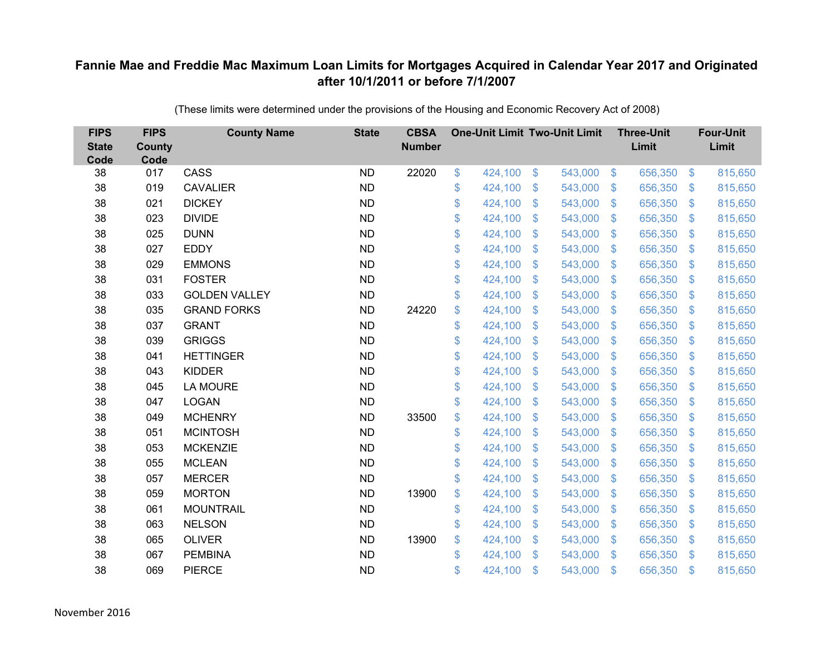| <b>FIPS</b><br><b>State</b><br>Code | <b>FIPS</b><br><b>County</b><br>Code | <b>County Name</b>   | <b>State</b> | <b>CBSA</b><br><b>Number</b> | <b>One-Unit Limit Two-Unit Limit</b> |                |         |                | <b>Three-Unit</b><br>Limit |                           | <b>Four-Unit</b><br>Limit |
|-------------------------------------|--------------------------------------|----------------------|--------------|------------------------------|--------------------------------------|----------------|---------|----------------|----------------------------|---------------------------|---------------------------|
| 38                                  | 017                                  | CASS                 | <b>ND</b>    | 22020                        | \$<br>424,100                        | \$             | 543,000 | $\sqrt[6]{3}$  | 656,350                    | $\mathfrak{F}$            | 815,650                   |
| 38                                  | 019                                  | <b>CAVALIER</b>      | <b>ND</b>    |                              | \$<br>424,100                        | \$             | 543,000 | $\sqrt{3}$     | 656,350                    | $\mathcal{S}$             | 815,650                   |
| 38                                  | 021                                  | <b>DICKEY</b>        | <b>ND</b>    |                              | \$<br>424,100                        | \$             | 543,000 | $\sqrt{3}$     | 656,350                    | $\boldsymbol{\mathsf{S}}$ | 815,650                   |
| 38                                  | 023                                  | <b>DIVIDE</b>        | <b>ND</b>    |                              | \$<br>424,100                        | \$             | 543,000 | $\sqrt{3}$     | 656,350                    | $\mathcal{L}$             | 815,650                   |
| 38                                  | 025                                  | <b>DUNN</b>          | <b>ND</b>    |                              | \$<br>424,100                        | $\mathfrak{S}$ | 543,000 | $\mathbf{\$}$  | 656,350                    | $\mathfrak{F}$            | 815,650                   |
| 38                                  | 027                                  | <b>EDDY</b>          | <b>ND</b>    |                              | \$<br>424,100                        | \$             | 543,000 | $\sqrt{3}$     | 656,350                    | $\mathfrak{S}$            | 815,650                   |
| 38                                  | 029                                  | <b>EMMONS</b>        | <b>ND</b>    |                              | \$<br>424,100                        | \$             | 543,000 | $\sqrt{3}$     | 656,350                    | $\boldsymbol{\mathsf{S}}$ | 815,650                   |
| 38                                  | 031                                  | <b>FOSTER</b>        | <b>ND</b>    |                              | \$<br>424,100                        | $\mathfrak{S}$ | 543,000 | $\mathbf{\$}$  | 656,350                    | $\mathbb{S}$              | 815,650                   |
| 38                                  | 033                                  | <b>GOLDEN VALLEY</b> | <b>ND</b>    |                              | \$<br>424,100                        | \$             | 543,000 | \$             | 656,350                    | $\mathcal{L}$             | 815,650                   |
| 38                                  | 035                                  | <b>GRAND FORKS</b>   | <b>ND</b>    | 24220                        | \$<br>424,100                        | \$             | 543,000 | \$.            | 656,350                    | S.                        | 815,650                   |
| 38                                  | 037                                  | <b>GRANT</b>         | <b>ND</b>    |                              | \$<br>424,100                        | \$             | 543,000 | \$             | 656,350                    | $\boldsymbol{\mathsf{S}}$ | 815,650                   |
| 38                                  | 039                                  | <b>GRIGGS</b>        | <b>ND</b>    |                              | \$<br>424,100                        | \$             | 543,000 | \$             | 656,350                    | $\mathcal{L}$             | 815,650                   |
| 38                                  | 041                                  | <b>HETTINGER</b>     | <b>ND</b>    |                              | \$<br>424,100                        | $\mathcal{S}$  | 543,000 | $\mathfrak{S}$ | 656,350                    | $\mathfrak{F}$            | 815,650                   |
| 38                                  | 043                                  | <b>KIDDER</b>        | <b>ND</b>    |                              | \$<br>424,100                        | \$             | 543,000 | \$             | 656,350                    | \$.                       | 815,650                   |
| 38                                  | 045                                  | <b>LA MOURE</b>      | <b>ND</b>    |                              | \$<br>424,100                        | $\mathfrak{F}$ | 543,000 | \$             | 656,350                    | $\mathcal{S}$             | 815,650                   |
| 38                                  | 047                                  | <b>LOGAN</b>         | <b>ND</b>    |                              | \$<br>424,100                        | \$             | 543,000 | \$             | 656,350                    | $\mathcal{L}$             | 815,650                   |
| 38                                  | 049                                  | <b>MCHENRY</b>       | <b>ND</b>    | 33500                        | \$<br>424,100                        | \$             | 543,000 | $\mathcal{S}$  | 656,350                    | $\mathcal{S}$             | 815,650                   |
| 38                                  | 051                                  | <b>MCINTOSH</b>      | <b>ND</b>    |                              | \$<br>424,100                        | \$             | 543,000 | \$.            | 656,350                    | $\mathbf{\$}$             | 815,650                   |
| 38                                  | 053                                  | <b>MCKENZIE</b>      | <b>ND</b>    |                              | \$<br>424,100                        | $\mathfrak{S}$ | 543,000 | $\mathcal{S}$  | 656,350                    | $\mathcal{S}$             | 815,650                   |
| 38                                  | 055                                  | <b>MCLEAN</b>        | <b>ND</b>    |                              | \$<br>424,100                        | \$             | 543,000 | \$             | 656,350                    | $\boldsymbol{\mathsf{S}}$ | 815,650                   |
| 38                                  | 057                                  | <b>MERCER</b>        | <b>ND</b>    |                              | \$<br>424,100                        | $\mathfrak{S}$ | 543,000 | $\mathbf{\$}$  | 656,350                    | $\mathcal{S}$             | 815,650                   |
| 38                                  | 059                                  | <b>MORTON</b>        | <b>ND</b>    | 13900                        | \$<br>424,100                        | $\mathfrak{S}$ | 543,000 | \$.            | 656,350                    | $\mathcal{L}$             | 815,650                   |
| 38                                  | 061                                  | <b>MOUNTRAIL</b>     | <b>ND</b>    |                              | \$<br>424,100                        | \$             | 543,000 | $\sqrt{3}$     | 656,350                    | $\mathfrak{S}$            | 815,650                   |
| 38                                  | 063                                  | <b>NELSON</b>        | <b>ND</b>    |                              | \$<br>424,100                        | \$             | 543,000 | \$             | 656,350                    | $\boldsymbol{\mathsf{S}}$ | 815,650                   |
| 38                                  | 065                                  | <b>OLIVER</b>        | <b>ND</b>    | 13900                        | \$<br>424,100                        | \$             | 543,000 | $\mathcal{S}$  | 656,350                    | $\mathcal{L}$             | 815,650                   |
| 38                                  | 067                                  | <b>PEMBINA</b>       | <b>ND</b>    |                              | \$<br>424,100                        | $\mathcal{S}$  | 543,000 | $\mathbf{\$}$  | 656,350                    | $\mathbf{\$}$             | 815,650                   |
| 38                                  | 069                                  | <b>PIERCE</b>        | <b>ND</b>    |                              | \$<br>424,100                        | \$             | 543,000 | \$             | 656,350                    | $\mathfrak{s}$            | 815,650                   |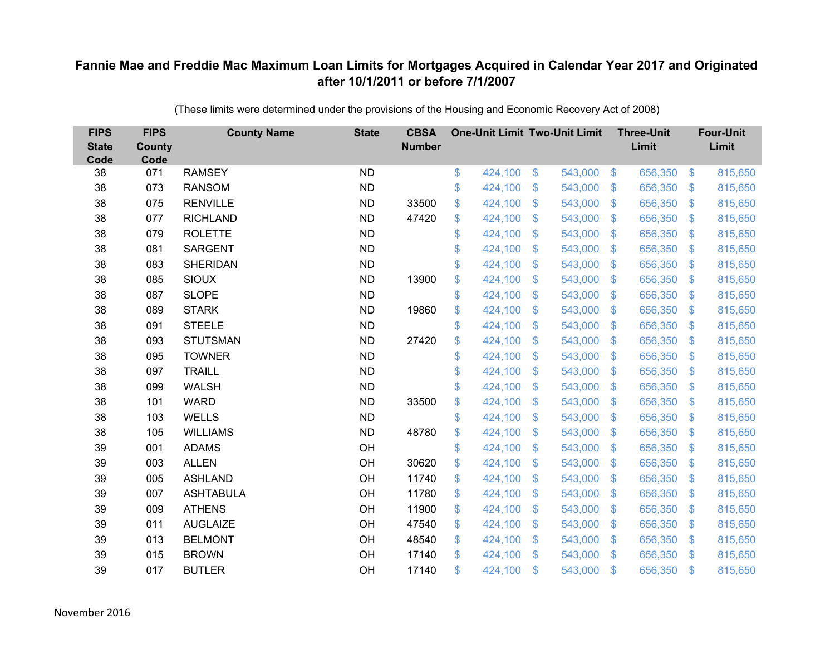| <b>FIPS</b><br><b>State</b><br>Code | <b>FIPS</b><br><b>County</b><br>Code | <b>County Name</b> | <b>State</b> | <b>CBSA</b><br><b>Number</b> | <b>One-Unit Limit Two-Unit Limit</b> |                |         |                | <b>Three-Unit</b><br>Limit |                           | <b>Four-Unit</b><br>Limit |
|-------------------------------------|--------------------------------------|--------------------|--------------|------------------------------|--------------------------------------|----------------|---------|----------------|----------------------------|---------------------------|---------------------------|
| 38                                  | 071                                  | <b>RAMSEY</b>      | <b>ND</b>    |                              | \$<br>424,100                        | $\frac{3}{2}$  | 543,000 | $\sqrt[6]{3}$  | 656,350                    | $\frac{1}{2}$             | 815,650                   |
| 38                                  | 073                                  | <b>RANSOM</b>      | <b>ND</b>    |                              | \$<br>424,100                        | \$             | 543,000 | $\sqrt{3}$     | 656,350                    | $\mathcal{L}$             | 815,650                   |
| 38                                  | 075                                  | <b>RENVILLE</b>    | <b>ND</b>    | 33500                        | \$<br>424,100                        | $\mathfrak{S}$ | 543,000 | $\mathfrak{S}$ | 656,350                    | $\mathfrak{F}$            | 815,650                   |
| 38                                  | 077                                  | <b>RICHLAND</b>    | <b>ND</b>    | 47420                        | \$<br>424,100                        | \$             | 543,000 | $\mathcal{S}$  | 656,350                    | $\mathcal{L}$             | 815,650                   |
| 38                                  | 079                                  | <b>ROLETTE</b>     | <b>ND</b>    |                              | \$<br>424,100                        | \$             | 543,000 | $\sqrt[6]{3}$  | 656,350                    | $\mathcal{L}$             | 815,650                   |
| 38                                  | 081                                  | <b>SARGENT</b>     | <b>ND</b>    |                              | \$<br>424,100                        | $\mathcal{S}$  | 543,000 | $\mathbf{\$}$  | 656,350                    | $\mathcal{L}$             | 815,650                   |
| 38                                  | 083                                  | <b>SHERIDAN</b>    | <b>ND</b>    |                              | \$<br>424,100                        | \$             | 543,000 | $\sqrt{3}$     | 656,350                    | $\mathcal{L}$             | 815,650                   |
| 38                                  | 085                                  | <b>SIOUX</b>       | <b>ND</b>    | 13900                        | \$<br>424,100                        | \$             | 543,000 | $\sqrt{3}$     | 656,350                    | $\mathcal{L}$             | 815,650                   |
| 38                                  | 087                                  | <b>SLOPE</b>       | <b>ND</b>    |                              | \$<br>424,100                        | $\mathcal{S}$  | 543,000 | $\mathsf{\$}$  | 656,350                    | $\mathfrak{F}$            | 815,650                   |
| 38                                  | 089                                  | <b>STARK</b>       | <b>ND</b>    | 19860                        | \$<br>424,100                        | $\mathfrak{F}$ | 543,000 | $\mathbf{\$}$  | 656,350                    | $\mathcal{S}$             | 815,650                   |
| 38                                  | 091                                  | <b>STEELE</b>      | <b>ND</b>    |                              | \$<br>424,100                        | $\mathfrak{S}$ | 543,000 | \$             | 656,350                    | $\boldsymbol{\mathsf{S}}$ | 815,650                   |
| 38                                  | 093                                  | <b>STUTSMAN</b>    | <b>ND</b>    | 27420                        | \$<br>424,100                        | $\mathfrak{S}$ | 543,000 | $\mathfrak{S}$ | 656,350                    | $\mathfrak{F}$            | 815,650                   |
| 38                                  | 095                                  | <b>TOWNER</b>      | <b>ND</b>    |                              | \$<br>424,100                        | \$             | 543,000 | \$             | 656,350                    | $\mathcal{L}$             | 815,650                   |
| 38                                  | 097                                  | <b>TRAILL</b>      | <b>ND</b>    |                              | \$<br>424,100                        | \$             | 543,000 | \$.            | 656,350                    | $\mathcal{L}$             | 815,650                   |
| 38                                  | 099                                  | <b>WALSH</b>       | <b>ND</b>    |                              | \$<br>424,100                        | \$             | 543,000 | \$             | 656,350                    | $\boldsymbol{\theta}$     | 815,650                   |
| 38                                  | 101                                  | <b>WARD</b>        | <b>ND</b>    | 33500                        | \$<br>424,100                        | \$             | 543,000 | \$             | 656,350                    | $\mathcal{L}$             | 815,650                   |
| 38                                  | 103                                  | <b>WELLS</b>       | <b>ND</b>    |                              | \$<br>424,100                        | $\mathcal{S}$  | 543,000 | $\mathfrak{S}$ | 656,350                    | $\mathcal{L}$             | 815,650                   |
| 38                                  | 105                                  | <b>WILLIAMS</b>    | <b>ND</b>    | 48780                        | \$<br>424,100                        | \$             | 543,000 | \$             | 656,350                    | $\mathcal{L}$             | 815,650                   |
| 39                                  | 001                                  | <b>ADAMS</b>       | OH           |                              | \$<br>424,100                        | \$             | 543,000 | $\mathcal{S}$  | 656,350                    | $\mathfrak{F}$            | 815,650                   |
| 39                                  | 003                                  | <b>ALLEN</b>       | OH           | 30620                        | \$<br>424,100                        | $\mathfrak{S}$ | 543,000 | $\mathfrak{S}$ | 656,350                    | $\boldsymbol{\mathsf{S}}$ | 815,650                   |
| 39                                  | 005                                  | <b>ASHLAND</b>     | OH           | 11740                        | \$<br>424,100                        | \$             | 543,000 | $\mathcal{S}$  | 656,350                    | $\mathfrak{F}$            | 815,650                   |
| 39                                  | 007                                  | <b>ASHTABULA</b>   | OH           | 11780                        | \$<br>424,100                        | $\mathfrak{S}$ | 543,000 | $\mathfrak{S}$ | 656,350                    | $\mathcal{L}$             | 815,650                   |
| 39                                  | 009                                  | <b>ATHENS</b>      | OH           | 11900                        | \$<br>424,100                        | \$             | 543,000 | $\sqrt{3}$     | 656,350                    | $\boldsymbol{\mathsf{S}}$ | 815,650                   |
| 39                                  | 011                                  | <b>AUGLAIZE</b>    | OH           | 47540                        | \$<br>424,100                        | \$             | 543,000 | \$             | 656,350                    | $\mathcal{L}$             | 815,650                   |
| 39                                  | 013                                  | <b>BELMONT</b>     | OH           | 48540                        | \$<br>424,100                        | \$             | 543,000 | $\mathcal{S}$  | 656,350                    | $\mathcal{L}$             | 815,650                   |
| 39                                  | 015                                  | <b>BROWN</b>       | OH           | 17140                        | \$<br>424,100                        | $\mathcal{S}$  | 543,000 | \$             | 656,350                    | $\mathfrak{F}$            | 815,650                   |
| 39                                  | 017                                  | <b>BUTLER</b>      | OH           | 17140                        | \$<br>424,100                        | \$             | 543,000 | \$             | 656,350                    | $\mathfrak{s}$            | 815,650                   |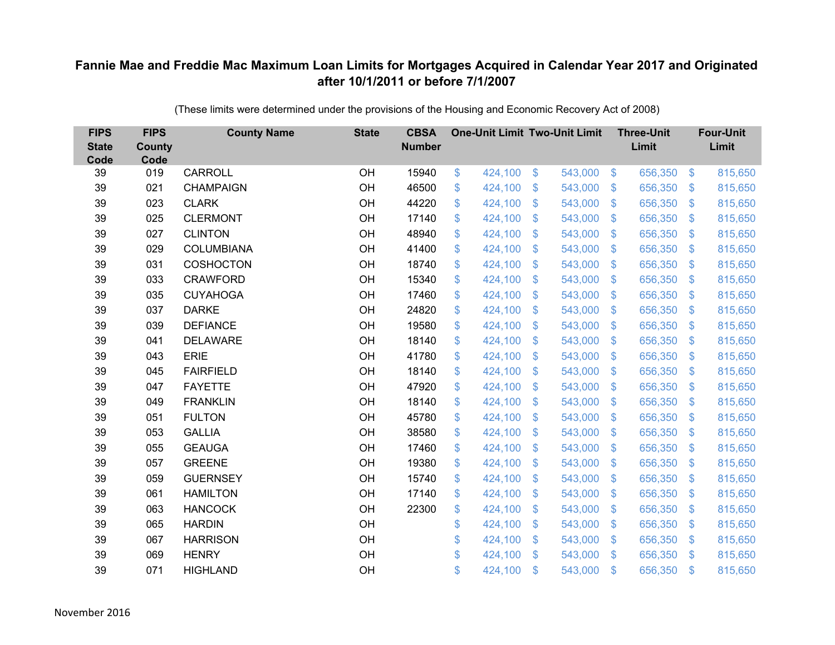| <b>FIPS</b><br><b>State</b><br>Code | <b>FIPS</b><br><b>County</b><br>Code | <b>County Name</b> | <b>State</b> | <b>CBSA</b><br><b>Number</b> | <b>One-Unit Limit Two-Unit Limit</b> |                |         |                | <b>Three-Unit</b><br>Limit |                           | <b>Four-Unit</b><br>Limit |
|-------------------------------------|--------------------------------------|--------------------|--------------|------------------------------|--------------------------------------|----------------|---------|----------------|----------------------------|---------------------------|---------------------------|
| 39                                  | 019                                  | <b>CARROLL</b>     | OH           | 15940                        | \$<br>424,100                        | \$             | 543,000 | $\sqrt[6]{3}$  | 656,350                    | $\frac{1}{2}$             | 815,650                   |
| 39                                  | 021                                  | <b>CHAMPAIGN</b>   | OH           | 46500                        | \$<br>424,100                        | \$             | 543,000 | $\sqrt{3}$     | 656,350                    | $\mathfrak{F}$            | 815,650                   |
| 39                                  | 023                                  | <b>CLARK</b>       | OH           | 44220                        | \$<br>424,100                        | \$             | 543,000 | $\sqrt[6]{3}$  | 656,350                    | $\boldsymbol{\mathsf{S}}$ | 815,650                   |
| 39                                  | 025                                  | <b>CLERMONT</b>    | OH           | 17140                        | \$<br>424,100                        | \$             | 543,000 | $\sqrt{3}$     | 656,350                    | $\mathcal{L}$             | 815,650                   |
| 39                                  | 027                                  | <b>CLINTON</b>     | OH           | 48940                        | \$<br>424,100                        | \$             | 543,000 | $\sqrt{3}$     | 656,350                    | $\boldsymbol{\mathsf{S}}$ | 815,650                   |
| 39                                  | 029                                  | <b>COLUMBIANA</b>  | OH           | 41400                        | \$<br>424,100                        | \$             | 543,000 | $\sqrt{3}$     | 656,350                    | $\mathfrak{S}$            | 815,650                   |
| 39                                  | 031                                  | <b>COSHOCTON</b>   | OH           | 18740                        | \$<br>424,100                        | \$             | 543,000 | $\sqrt{3}$     | 656,350                    | $\boldsymbol{\mathsf{S}}$ | 815,650                   |
| 39                                  | 033                                  | <b>CRAWFORD</b>    | OH           | 15340                        | \$<br>424,100                        | \$             | 543,000 | $\mathbf{\$}$  | 656,350                    | $\mathfrak{S}$            | 815,650                   |
| 39                                  | 035                                  | <b>CUYAHOGA</b>    | OH           | 17460                        | \$<br>424,100                        | \$             | 543,000 | \$             | 656,350                    | $\mathcal{L}$             | 815,650                   |
| 39                                  | 037                                  | <b>DARKE</b>       | OH           | 24820                        | \$<br>424,100                        | $\mathfrak{S}$ | 543,000 | $\mathfrak{S}$ | 656,350                    | $\mathfrak{F}$            | 815,650                   |
| 39                                  | 039                                  | <b>DEFIANCE</b>    | OH           | 19580                        | \$<br>424,100                        | \$             | 543,000 | \$             | 656,350                    | $\boldsymbol{\mathsf{S}}$ | 815,650                   |
| 39                                  | 041                                  | <b>DELAWARE</b>    | OH           | 18140                        | \$<br>424,100                        | \$             | 543,000 | \$             | 656,350                    | $\mathcal{L}$             | 815,650                   |
| 39                                  | 043                                  | <b>ERIE</b>        | OH           | 41780                        | \$<br>424,100                        | $\mathcal{S}$  | 543,000 | $\mathfrak{S}$ | 656,350                    | $\boldsymbol{\mathsf{S}}$ | 815,650                   |
| 39                                  | 045                                  | <b>FAIRFIELD</b>   | OH           | 18140                        | \$<br>424,100                        | \$             | 543,000 | \$             | 656,350                    | \$.                       | 815,650                   |
| 39                                  | 047                                  | <b>FAYETTE</b>     | OH           | 47920                        | \$<br>424,100                        | \$             | 543,000 | \$             | 656,350                    | $\mathfrak{F}$            | 815,650                   |
| 39                                  | 049                                  | <b>FRANKLIN</b>    | OH           | 18140                        | \$<br>424,100                        | \$             | 543,000 | \$             | 656,350                    | $\boldsymbol{\mathsf{S}}$ | 815,650                   |
| 39                                  | 051                                  | <b>FULTON</b>      | OH           | 45780                        | \$<br>424,100                        | \$             | 543,000 | $\sqrt{3}$     | 656,350                    | $\mathfrak{F}$            | 815,650                   |
| 39                                  | 053                                  | <b>GALLIA</b>      | OH           | 38580                        | \$<br>424,100                        | $\mathfrak{S}$ | 543,000 | $\mathfrak{S}$ | 656,350                    | $\mathcal{L}$             | 815,650                   |
| 39                                  | 055                                  | <b>GEAUGA</b>      | OH           | 17460                        | \$<br>424,100                        | $\mathfrak{S}$ | 543,000 | $\mathcal{S}$  | 656,350                    | $\mathfrak{F}$            | 815,650                   |
| 39                                  | 057                                  | <b>GREENE</b>      | OH           | 19380                        | \$<br>424,100                        | \$             | 543,000 | \$             | 656,350                    | $\boldsymbol{\mathsf{S}}$ | 815,650                   |
| 39                                  | 059                                  | <b>GUERNSEY</b>    | OH           | 15740                        | \$<br>424,100                        | $\mathfrak{S}$ | 543,000 | $\mathbf{\$}$  | 656,350                    | $\mathfrak{F}$            | 815,650                   |
| 39                                  | 061                                  | <b>HAMILTON</b>    | OH           | 17140                        | \$<br>424,100                        | \$             | 543,000 | \$             | 656,350                    | $\mathcal{L}$             | 815,650                   |
| 39                                  | 063                                  | <b>HANCOCK</b>     | OH           | 22300                        | \$<br>424,100                        | \$             | 543,000 | $\sqrt{3}$     | 656,350                    | $\mathfrak{S}$            | 815,650                   |
| 39                                  | 065                                  | <b>HARDIN</b>      | OH           |                              | \$<br>424,100                        | \$             | 543,000 | \$             | 656,350                    | $\boldsymbol{\mathsf{S}}$ | 815,650                   |
| 39                                  | 067                                  | <b>HARRISON</b>    | OH           |                              | \$<br>424,100                        | \$             | 543,000 | $\mathcal{S}$  | 656,350                    | $\mathcal{L}$             | 815,650                   |
| 39                                  | 069                                  | <b>HENRY</b>       | OH           |                              | \$<br>424,100                        | $\mathfrak{S}$ | 543,000 | \$             | 656,350                    | $\mathfrak{F}$            | 815,650                   |
| 39                                  | 071                                  | <b>HIGHLAND</b>    | OH           |                              | \$<br>424,100                        | \$             | 543,000 | \$             | 656,350                    | $\mathfrak{s}$            | 815,650                   |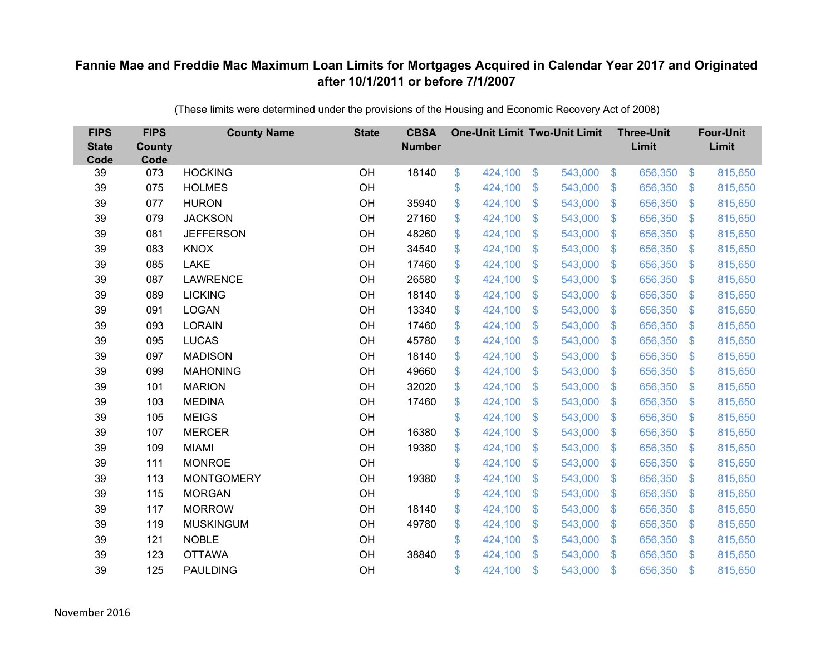| <b>FIPS</b><br><b>State</b><br>Code | <b>FIPS</b><br>County<br>Code | <b>County Name</b> | <b>State</b> | <b>CBSA</b><br><b>Number</b> | <b>One-Unit Limit Two-Unit Limit</b> |                |         |                | <b>Three-Unit</b><br>Limit |                         | <b>Four-Unit</b><br>Limit |
|-------------------------------------|-------------------------------|--------------------|--------------|------------------------------|--------------------------------------|----------------|---------|----------------|----------------------------|-------------------------|---------------------------|
| 39                                  | 073                           | <b>HOCKING</b>     | OH           | 18140                        | \$<br>424,100                        | \$             | 543,000 | $\sqrt[6]{5}$  | 656,350                    | $\sqrt[6]{3}$           | 815,650                   |
| 39                                  | 075                           | <b>HOLMES</b>      | OH           |                              | \$<br>424,100                        | \$             | 543,000 | $\sqrt[6]{3}$  | 656,350                    | $\mathbb{S}$            | 815,650                   |
| 39                                  | 077                           | <b>HURON</b>       | OH           | 35940                        | \$<br>424,100                        | $\mathfrak{S}$ | 543,000 | $\mathbb{S}$   | 656,350                    | $\mathfrak{S}$          | 815,650                   |
| 39                                  | 079                           | <b>JACKSON</b>     | OH           | 27160                        | \$<br>424,100                        | $\mathfrak{S}$ | 543,000 | $\mathbf{\$}$  | 656,350                    | $\mathfrak{S}$          | 815,650                   |
| 39                                  | 081                           | <b>JEFFERSON</b>   | OH           | 48260                        | \$<br>424,100                        | \$             | 543,000 | $\mathfrak{S}$ | 656,350                    | $\mathbb{S}$            | 815,650                   |
| 39                                  | 083                           | <b>KNOX</b>        | OH           | 34540                        | \$<br>424,100                        | $\mathfrak{S}$ | 543,000 | $\mathbf{\$}$  | 656,350                    | $\mathbb{S}$            | 815,650                   |
| 39                                  | 085                           | <b>LAKE</b>        | OH           | 17460                        | \$<br>424,100                        | $\mathfrak{S}$ | 543,000 | $\mathbb{S}$   | 656,350                    | $\mathfrak{S}$          | 815,650                   |
| 39                                  | 087                           | <b>LAWRENCE</b>    | OH           | 26580                        | \$<br>424,100                        | \$             | 543,000 | $\mathcal{S}$  | 656,350                    | $\mathfrak{S}$          | 815,650                   |
| 39                                  | 089                           | <b>LICKING</b>     | OH           | 18140                        | \$<br>424,100                        | $\mathfrak{S}$ | 543,000 | $\mathbb{S}$   | 656,350                    | $\mathfrak{S}$          | 815,650                   |
| 39                                  | 091                           | <b>LOGAN</b>       | OH           | 13340                        | \$<br>424,100                        | $\mathfrak{S}$ | 543,000 | $\mathbb{S}$   | 656,350                    | $\mathfrak{S}$          | 815,650                   |
| 39                                  | 093                           | <b>LORAIN</b>      | OH           | 17460                        | \$<br>424,100                        | \$             | 543,000 | $\mathcal{S}$  | 656,350                    | $\mathfrak{S}$          | 815,650                   |
| 39                                  | 095                           | <b>LUCAS</b>       | OH           | 45780                        | \$<br>424,100                        | \$             | 543,000 | $\mathcal{S}$  | 656,350                    | $\mathfrak{S}$          | 815,650                   |
| 39                                  | 097                           | <b>MADISON</b>     | OH           | 18140                        | \$<br>424,100                        | $\mathfrak{S}$ | 543,000 | $\mathbb{S}$   | 656,350                    | $\mathfrak{S}$          | 815,650                   |
| 39                                  | 099                           | <b>MAHONING</b>    | OH           | 49660                        | \$<br>424,100                        | \$             | 543,000 | $\mathcal{S}$  | 656,350                    | $\mathcal{L}$           | 815,650                   |
| 39                                  | 101                           | <b>MARION</b>      | OH           | 32020                        | \$<br>424,100                        | \$             | 543,000 | $\mathcal{S}$  | 656,350                    | $\mathcal{L}$           | 815,650                   |
| 39                                  | 103                           | <b>MEDINA</b>      | OH           | 17460                        | \$<br>424,100                        | $\mathfrak{S}$ | 543,000 | $\mathbb{S}$   | 656,350                    | $\sqrt[6]{\frac{1}{2}}$ | 815,650                   |
| 39                                  | 105                           | <b>MEIGS</b>       | OH           |                              | \$<br>424,100                        | \$             | 543,000 | $\sqrt{3}$     | 656,350                    | $\sqrt[6]{\frac{1}{2}}$ | 815,650                   |
| 39                                  | 107                           | <b>MERCER</b>      | OH           | 16380                        | \$<br>424,100                        | \$             | 543,000 | S.             | 656,350                    | $\mathcal{L}$           | 815,650                   |
| 39                                  | 109                           | <b>MIAMI</b>       | OH           | 19380                        | \$<br>424,100                        | $\mathfrak{S}$ | 543,000 | $\mathcal{S}$  | 656,350                    | $\mathbb{S}$            | 815,650                   |
| 39                                  | 111                           | <b>MONROE</b>      | OH           |                              | \$<br>424,100                        | \$             | 543,000 | $\mathfrak{S}$ | 656,350                    | $\sqrt[6]{\frac{1}{2}}$ | 815,650                   |
| 39                                  | 113                           | <b>MONTGOMERY</b>  | OH           | 19380                        | \$<br>424,100                        | \$             | 543,000 | $\sqrt[6]{3}$  | 656,350                    | $\mathcal{L}$           | 815,650                   |
| 39                                  | 115                           | <b>MORGAN</b>      | OH           |                              | \$<br>424,100                        | $\mathfrak{S}$ | 543,000 | $\mathbb{S}$   | 656,350                    | $\mathfrak{S}$          | 815,650                   |
| 39                                  | 117                           | <b>MORROW</b>      | OH           | 18140                        | \$<br>424,100                        | \$             | 543,000 | $\mathbf{\$}$  | 656,350                    | $\mathfrak{S}$          | 815,650                   |
| 39                                  | 119                           | <b>MUSKINGUM</b>   | OH           | 49780                        | \$<br>424,100                        | \$             | 543,000 | $\mathfrak{S}$ | 656,350                    | $\mathfrak{F}$          | 815,650                   |
| 39                                  | 121                           | <b>NOBLE</b>       | OH           |                              | \$<br>424,100                        | \$             | 543,000 | $\sqrt[6]{3}$  | 656,350                    | $\mathbb{S}$            | 815,650                   |
| 39                                  | 123                           | <b>OTTAWA</b>      | OH           | 38840                        | \$<br>424,100                        | $\mathfrak{S}$ | 543,000 | $\mathbb{S}$   | 656,350                    | $\mathbf{\$}$           | 815,650                   |
| 39                                  | 125                           | <b>PAULDING</b>    | OH           |                              | \$<br>424,100                        | \$             | 543,000 | $\mathfrak{s}$ | 656,350                    | \$                      | 815,650                   |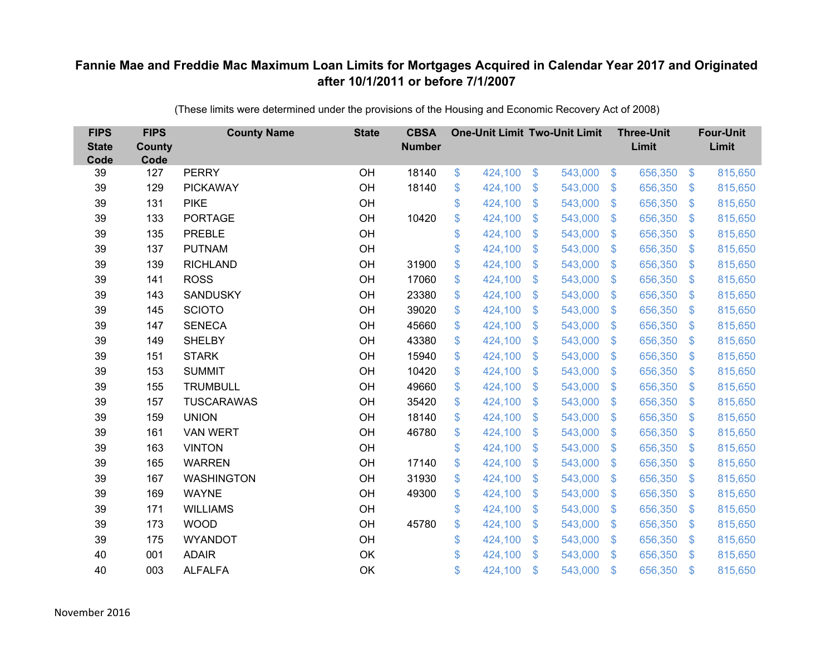| <b>FIPS</b><br><b>State</b><br>Code | <b>FIPS</b><br><b>County</b><br>Code | <b>County Name</b> | <b>State</b> | <b>CBSA</b><br><b>Number</b> | <b>One-Unit Limit Two-Unit Limit</b> |                |         |                | <b>Three-Unit</b><br>Limit |                         | <b>Four-Unit</b><br>Limit |
|-------------------------------------|--------------------------------------|--------------------|--------------|------------------------------|--------------------------------------|----------------|---------|----------------|----------------------------|-------------------------|---------------------------|
| 39                                  | 127                                  | <b>PERRY</b>       | OH           | 18140                        | \$<br>424,100                        | \$             | 543,000 | $\sqrt[3]{5}$  | 656,350                    | $\frac{3}{2}$           | 815,650                   |
| 39                                  | 129                                  | <b>PICKAWAY</b>    | OH           | 18140                        | \$<br>424,100                        | \$             | 543,000 | $\sqrt[6]{3}$  | 656,350                    | $\mathbb{S}$            | 815,650                   |
| 39                                  | 131                                  | <b>PIKE</b>        | OH           |                              | \$<br>424,100                        | $\mathcal{S}$  | 543,000 | $\mathbb{S}$   | 656,350                    | $\mathfrak{S}$          | 815,650                   |
| 39                                  | 133                                  | <b>PORTAGE</b>     | OH           | 10420                        | \$<br>424,100                        | \$             | 543,000 | $\sqrt[6]{3}$  | 656,350                    | $\mathcal{L}$           | 815,650                   |
| 39                                  | 135                                  | PREBLE             | OH           |                              | \$<br>424,100                        | \$             | 543,000 | $\mathbb{S}$   | 656,350                    | $\mathfrak{S}$          | 815,650                   |
| 39                                  | 137                                  | <b>PUTNAM</b>      | OH           |                              | \$<br>424,100                        | $\mathcal{S}$  | 543,000 | $\mathbf{\$}$  | 656,350                    | $\mathfrak{S}$          | 815,650                   |
| 39                                  | 139                                  | <b>RICHLAND</b>    | OH           | 31900                        | \$<br>424,100                        | \$             | 543,000 | $\sqrt[6]{3}$  | 656,350                    | $\mathbb{S}$            | 815,650                   |
| 39                                  | 141                                  | <b>ROSS</b>        | OH           | 17060                        | \$<br>424,100                        | \$             | 543,000 | $\sqrt[6]{3}$  | 656,350                    | $\mathbb{S}$            | 815,650                   |
| 39                                  | 143                                  | <b>SANDUSKY</b>    | OH           | 23380                        | \$<br>424,100                        | $\mathcal{S}$  | 543,000 | $\mathbf{\$}$  | 656,350                    | $\mathfrak{S}$          | 815,650                   |
| 39                                  | 145                                  | <b>SCIOTO</b>      | OH           | 39020                        | \$<br>424,100                        | \$             | 543,000 | $\mathcal{S}$  | 656,350                    | $\mathcal{L}$           | 815,650                   |
| 39                                  | 147                                  | <b>SENECA</b>      | OH           | 45660                        | \$<br>424,100                        | $\mathcal{S}$  | 543,000 | $\mathcal{S}$  | 656,350                    | $\mathfrak{S}$          | 815,650                   |
| 39                                  | 149                                  | <b>SHELBY</b>      | OH           | 43380                        | \$<br>424,100                        | $\mathcal{S}$  | 543,000 | $\mathbb{S}$   | 656,350                    | $\mathfrak{S}$          | 815,650                   |
| 39                                  | 151                                  | <b>STARK</b>       | OH           | 15940                        | \$<br>424,100                        | $\mathcal{S}$  | 543,000 | $\mathbb{S}$   | 656,350                    | $\mathfrak{S}$          | 815,650                   |
| 39                                  | 153                                  | <b>SUMMIT</b>      | OH           | 10420                        | \$<br>424,100                        | \$             | 543,000 | S.             | 656,350                    | $\mathbb{S}$            | 815,650                   |
| 39                                  | 155                                  | <b>TRUMBULL</b>    | OH           | 49660                        | \$<br>424,100                        | \$             | 543,000 | $\mathfrak{S}$ | 656,350                    | $\sqrt[6]{\frac{1}{2}}$ | 815,650                   |
| 39                                  | 157                                  | <b>TUSCARAWAS</b>  | OH           | 35420                        | \$<br>424,100                        | \$             | 543,000 | $\mathfrak{S}$ | 656,350                    | $\mathcal{L}$           | 815,650                   |
| 39                                  | 159                                  | <b>UNION</b>       | OH           | 18140                        | \$<br>424,100                        | $\mathcal{S}$  | 543,000 | $\mathbf{\$}$  | 656,350                    | $\mathbb{S}$            | 815,650                   |
| 39                                  | 161                                  | <b>VAN WERT</b>    | OH           | 46780                        | \$<br>424,100                        | \$             | 543,000 | $\mathfrak{S}$ | 656,350                    | $\sqrt[6]{\frac{1}{2}}$ | 815,650                   |
| 39                                  | 163                                  | <b>VINTON</b>      | OH           |                              | \$<br>424,100                        | \$             | 543,000 | $\sqrt[6]{3}$  | 656,350                    | $\mathcal{L}$           | 815,650                   |
| 39                                  | 165                                  | <b>WARREN</b>      | OH           | 17140                        | \$<br>424,100                        | $\mathcal{S}$  | 543,000 | $\mathbb{S}$   | 656,350                    | $\mathfrak{S}$          | 815,650                   |
| 39                                  | 167                                  | <b>WASHINGTON</b>  | OH           | 31930                        | \$<br>424,100                        | \$             | 543,000 | $\sqrt[6]{3}$  | 656,350                    | $\mathcal{L}$           | 815,650                   |
| 39                                  | 169                                  | <b>WAYNE</b>       | OH           | 49300                        | \$<br>424,100                        | $\mathcal{S}$  | 543,000 | $\mathbb{S}$   | 656,350                    | $\mathbb{S}$            | 815,650                   |
| 39                                  | 171                                  | <b>WILLIAMS</b>    | OH           |                              | \$<br>424,100                        | \$             | 543,000 | $\mathbf{\$}$  | 656,350                    | $\mathfrak{S}$          | 815,650                   |
| 39                                  | 173                                  | <b>WOOD</b>        | OH           | 45780                        | \$<br>424,100                        | \$             | 543,000 | $\mathfrak{S}$ | 656,350                    | $\mathcal{L}$           | 815,650                   |
| 39                                  | 175                                  | <b>WYANDOT</b>     | OH           |                              | \$<br>424,100                        | \$             | 543,000 | $\sqrt[6]{3}$  | 656,350                    | $\mathbb{S}$            | 815,650                   |
| 40                                  | 001                                  | <b>ADAIR</b>       | OK           |                              | \$<br>424,100                        | $\mathfrak{S}$ | 543,000 | $\mathbb{S}$   | 656,350                    | $\mathbf{\$}$           | 815,650                   |
| 40                                  | 003                                  | <b>ALFALFA</b>     | OK           |                              | \$<br>424,100                        | \$             | 543,000 | $\mathfrak{s}$ | 656,350                    | $\mathbf{\$}$           | 815,650                   |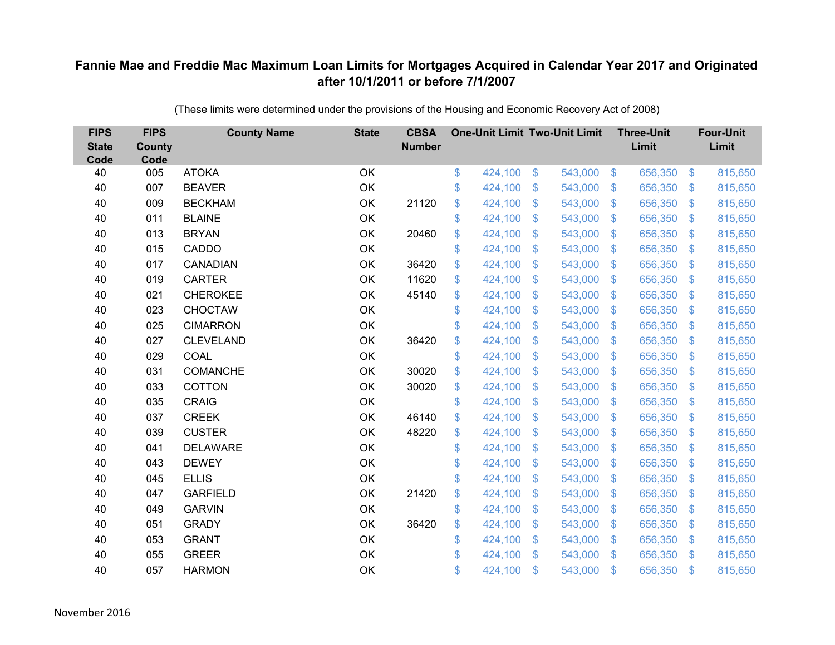| <b>FIPS</b><br><b>State</b><br>Code | <b>FIPS</b><br><b>County</b><br>Code | <b>County Name</b> | <b>State</b> | <b>CBSA</b><br><b>Number</b> | <b>One-Unit Limit Two-Unit Limit</b> |               |         |                           | <b>Three-Unit</b><br>Limit |                | <b>Four-Unit</b><br>Limit |
|-------------------------------------|--------------------------------------|--------------------|--------------|------------------------------|--------------------------------------|---------------|---------|---------------------------|----------------------------|----------------|---------------------------|
| 40                                  | 005                                  | <b>ATOKA</b>       | OK           |                              | \$<br>424,100                        | $\frac{3}{2}$ | 543,000 | $\sqrt[6]{3}$             | 656,350                    | $\frac{1}{2}$  | 815,650                   |
| 40                                  | 007                                  | <b>BEAVER</b>      | OK           |                              | \$<br>424,100                        | \$            | 543,000 | $\mathbf{\$}$             | 656,350                    | $\mathfrak{F}$ | 815,650                   |
| 40                                  | 009                                  | <b>BECKHAM</b>     | OK           | 21120                        | \$<br>424,100                        | \$            | 543,000 | $\mathfrak{F}$            | 656,350                    | $\mathfrak{F}$ | 815,650                   |
| 40                                  | 011                                  | <b>BLAINE</b>      | OK           |                              | \$<br>424,100                        | \$            | 543,000 | $\mathcal{S}$             | 656,350                    | $\mathfrak{F}$ | 815,650                   |
| 40                                  | 013                                  | <b>BRYAN</b>       | OK           | 20460                        | \$<br>424,100                        | \$            | 543,000 | $\mathfrak{F}$            | 656,350                    | $\mathbf{\$}$  | 815,650                   |
| 40                                  | 015                                  | CADDO              | OK           |                              | \$<br>424,100                        | \$            | 543,000 | $\mathbf{\$}$             | 656,350                    | S.             | 815,650                   |
| 40                                  | 017                                  | CANADIAN           | OK           | 36420                        | \$<br>424,100                        | \$            | 543,000 | $\boldsymbol{\mathsf{S}}$ | 656,350                    | $\mathcal{L}$  | 815,650                   |
| 40                                  | 019                                  | <b>CARTER</b>      | OK           | 11620                        | \$<br>424,100                        | \$            | 543,000 | $\mathfrak{F}$            | 656,350                    | $\mathfrak{F}$ | 815,650                   |
| 40                                  | 021                                  | <b>CHEROKEE</b>    | OK           | 45140                        | \$<br>424,100                        | \$            | 543,000 | $\mathfrak{F}$            | 656,350                    | $\mathfrak{F}$ | 815,650                   |
| 40                                  | 023                                  | <b>CHOCTAW</b>     | OK           |                              | \$<br>424,100                        | \$            | 543,000 | $\mathcal{S}$             | 656,350                    | $\mathfrak{F}$ | 815,650                   |
| 40                                  | 025                                  | <b>CIMARRON</b>    | OK           |                              | \$<br>424,100                        | \$            | 543,000 | $\mathbb{S}$              | 656,350                    | $\mathfrak{F}$ | 815,650                   |
| 40                                  | 027                                  | <b>CLEVELAND</b>   | OK           | 36420                        | \$<br>424,100                        | \$            | 543,000 | $\mathfrak{F}$            | 656,350                    | $\mathfrak{F}$ | 815,650                   |
| 40                                  | 029                                  | COAL               | OK           |                              | \$<br>424,100                        | \$            | 543,000 | $\boldsymbol{\mathsf{S}}$ | 656,350                    | $\mathcal{L}$  | 815,650                   |
| 40                                  | 031                                  | <b>COMANCHE</b>    | OK           | 30020                        | \$<br>424,100                        | \$            | 543,000 | S.                        | 656,350                    | $\mathfrak{F}$ | 815,650                   |
| 40                                  | 033                                  | <b>COTTON</b>      | OK           | 30020                        | \$<br>424,100                        | \$            | 543,000 | $\mathfrak{S}$            | 656,350                    | $\mathfrak{F}$ | 815,650                   |
| 40                                  | 035                                  | <b>CRAIG</b>       | OK           |                              | \$<br>424,100                        | \$            | 543,000 | $\boldsymbol{\mathsf{S}}$ | 656,350                    | $\mathcal{L}$  | 815,650                   |
| 40                                  | 037                                  | <b>CREEK</b>       | OK           | 46140                        | \$<br>424,100                        | \$            | 543,000 | $\mathfrak{F}$            | 656,350                    | $\mathfrak{F}$ | 815,650                   |
| 40                                  | 039                                  | <b>CUSTER</b>      | OK           | 48220                        | \$<br>424,100                        | \$            | 543,000 | $\boldsymbol{\mathsf{S}}$ | 656,350                    | $\mathcal{L}$  | 815,650                   |
| 40                                  | 041                                  | <b>DELAWARE</b>    | OK           |                              | \$<br>424,100                        | \$            | 543,000 | $\mathbb{S}$              | 656,350                    | $\mathfrak{F}$ | 815,650                   |
| 40                                  | 043                                  | <b>DEWEY</b>       | OK           |                              | \$<br>424,100                        | \$            | 543,000 | $\mathfrak{F}$            | 656,350                    | $\mathfrak{F}$ | 815,650                   |
| 40                                  | 045                                  | <b>ELLIS</b>       | OK           |                              | \$<br>424,100                        | \$            | 543,000 | $\sqrt[6]{3}$             | 656,350                    | $\mathfrak{F}$ | 815,650                   |
| 40                                  | 047                                  | <b>GARFIELD</b>    | OK           | 21420                        | \$<br>424,100                        | \$            | 543,000 | $\mathfrak{F}$            | 656,350                    | $\mathfrak{F}$ | 815,650                   |
| 40                                  | 049                                  | <b>GARVIN</b>      | OK           |                              | \$<br>424,100                        | \$            | 543,000 | $\mathbf{\$}$             | 656,350                    | $\mathfrak{S}$ | 815,650                   |
| 40                                  | 051                                  | <b>GRADY</b>       | OK           | 36420                        | \$<br>424,100                        | \$            | 543,000 | $\boldsymbol{\mathsf{S}}$ | 656,350                    | $\mathcal{L}$  | 815,650                   |
| 40                                  | 053                                  | <b>GRANT</b>       | OK           |                              | \$<br>424,100                        | \$            | 543,000 | $\mathcal{S}$             | 656,350                    | $\mathfrak{F}$ | 815,650                   |
| 40                                  | 055                                  | <b>GREER</b>       | OK           |                              | \$<br>424,100                        | \$            | 543,000 | $\mathbf{\$}$             | 656,350                    | <sup>\$</sup>  | 815,650                   |
| 40                                  | 057                                  | <b>HARMON</b>      | OK           |                              | \$<br>424,100                        | \$            | 543,000 | $\mathfrak{s}$            | 656,350                    | $\mathbf{\$}$  | 815,650                   |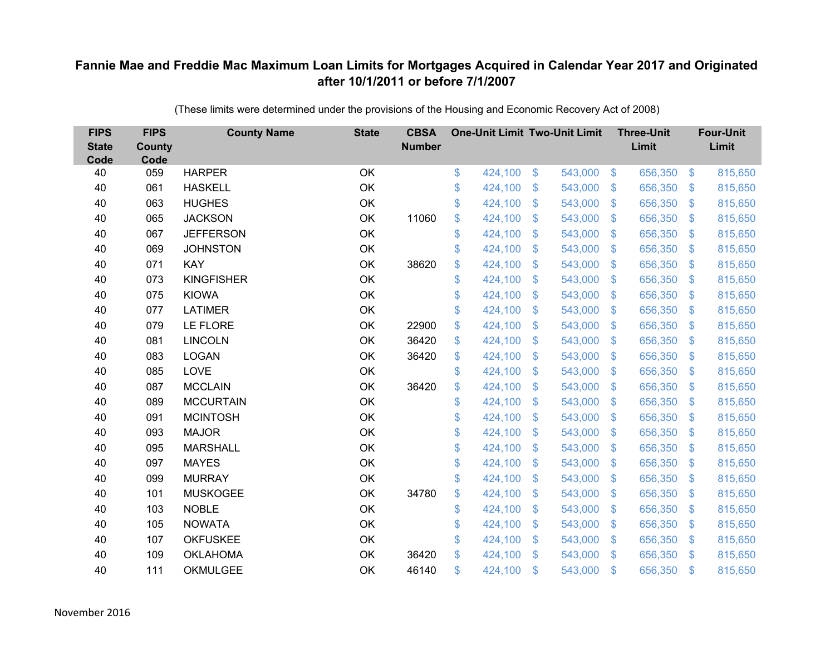| <b>FIPS</b><br><b>State</b><br>Code | <b>FIPS</b><br><b>County</b><br>Code | <b>County Name</b> | <b>State</b> | <b>CBSA</b><br><b>Number</b> | <b>One-Unit Limit Two-Unit Limit</b> |                           |         |                           | <b>Three-Unit</b><br>Limit |                | <b>Four-Unit</b><br>Limit |
|-------------------------------------|--------------------------------------|--------------------|--------------|------------------------------|--------------------------------------|---------------------------|---------|---------------------------|----------------------------|----------------|---------------------------|
| 40                                  | 059                                  | <b>HARPER</b>      | OK           |                              | \$<br>424,100                        | \$                        | 543,000 | $\sqrt[6]{3}$             | 656,350                    | $\sqrt{3}$     | 815,650                   |
| 40                                  | 061                                  | <b>HASKELL</b>     | OK           |                              | \$<br>424,100                        | \$                        | 543,000 | $\mathcal{L}$             | 656,350                    | \$             | 815,650                   |
| 40                                  | 063                                  | <b>HUGHES</b>      | OK           |                              | \$<br>424,100                        | $\mathcal{S}$             | 543,000 | $\mathfrak{S}$            | 656,350                    | $\mathbf{\$}$  | 815,650                   |
| 40                                  | 065                                  | <b>JACKSON</b>     | OK           | 11060                        | \$<br>424,100                        | $\boldsymbol{\mathsf{S}}$ | 543,000 | $\mathfrak{S}$            | 656,350                    | $\mathbf{\$}$  | 815,650                   |
| 40                                  | 067                                  | <b>JEFFERSON</b>   | OK           |                              | \$<br>424,100                        | $\boldsymbol{\mathsf{S}}$ | 543,000 | $\boldsymbol{\mathsf{S}}$ | 656,350                    | \$             | 815,650                   |
| 40                                  | 069                                  | <b>JOHNSTON</b>    | OK           |                              | \$<br>424,100                        | $\mathcal{S}$             | 543,000 | $\mathfrak{S}$            | 656,350                    | \$.            | 815,650                   |
| 40                                  | 071                                  | <b>KAY</b>         | OK           | 38620                        | \$<br>424,100                        | $\mathcal{S}$             | 543,000 | $\mathfrak{S}$            | 656,350                    | $\mathfrak{S}$ | 815,650                   |
| 40                                  | 073                                  | <b>KINGFISHER</b>  | OK           |                              | \$<br>424,100                        | $\boldsymbol{\mathsf{S}}$ | 543,000 | $\mathcal{L}$             | 656,350                    | $\mathcal{S}$  | 815,650                   |
| 40                                  | 075                                  | <b>KIOWA</b>       | OK           |                              | \$<br>424,100                        | \$                        | 543,000 | $\mathfrak{S}$            | 656,350                    | $\mathfrak{S}$ | 815,650                   |
| 40                                  | 077                                  | <b>LATIMER</b>     | OK           |                              | \$<br>424,100                        | $\mathcal{S}$             | 543,000 | $\mathfrak{S}$            | 656,350                    | $\mathbf{\$}$  | 815,650                   |
| 40                                  | 079                                  | LE FLORE           | OK           | 22900                        | \$<br>424,100                        | $\boldsymbol{\mathsf{S}}$ | 543,000 | $\mathcal{L}$             | 656,350                    | $\mathcal{S}$  | 815,650                   |
| 40                                  | 081                                  | <b>LINCOLN</b>     | OK           | 36420                        | \$<br>424,100                        | $\boldsymbol{\mathsf{S}}$ | 543,000 | \$                        | 656,350                    | $\mathcal{S}$  | 815,650                   |
| 40                                  | 083                                  | <b>LOGAN</b>       | OK           | 36420                        | \$<br>424,100                        | \$                        | 543,000 | $\mathfrak{S}$            | 656,350                    | \$.            | 815,650                   |
| 40                                  | 085                                  | LOVE               | OK           |                              | \$<br>424,100                        | $\boldsymbol{\mathsf{S}}$ | 543,000 | \$                        | 656,350                    | $\mathcal{S}$  | 815,650                   |
| 40                                  | 087                                  | <b>MCCLAIN</b>     | OK           | 36420                        | \$<br>424,100                        | \$                        | 543,000 | $\mathcal{L}$             | 656,350                    | $\mathcal{S}$  | 815,650                   |
| 40                                  | 089                                  | <b>MCCURTAIN</b>   | OK           |                              | \$<br>424,100                        | $\boldsymbol{\mathsf{S}}$ | 543,000 | $\mathfrak{S}$            | 656,350                    | $\mathcal{S}$  | 815,650                   |
| 40                                  | 091                                  | <b>MCINTOSH</b>    | OK           |                              | \$<br>424,100                        | \$                        | 543,000 | $\sqrt{2}$                | 656,350                    | $\sqrt{3}$     | 815,650                   |
| 40                                  | 093                                  | <b>MAJOR</b>       | OK           |                              | \$<br>424,100                        | $\boldsymbol{\mathsf{S}}$ | 543,000 | $\mathbb{S}$              | 656,350                    | $\mathcal{S}$  | 815,650                   |
| 40                                  | 095                                  | <b>MARSHALL</b>    | OK           |                              | \$<br>424,100                        | $\boldsymbol{\mathsf{S}}$ | 543,000 | $\mathfrak{S}$            | 656,350                    | $\mathcal{S}$  | 815,650                   |
| 40                                  | 097                                  | <b>MAYES</b>       | OK           |                              | \$<br>424,100                        | $\$\$                     | 543,000 | $\sqrt[6]{\frac{1}{2}}$   | 656,350                    | $\sqrt{3}$     | 815,650                   |
| 40                                  | 099                                  | <b>MURRAY</b>      | OK           |                              | \$<br>424,100                        | $\boldsymbol{\mathsf{S}}$ | 543,000 | $\mathcal{L}$             | 656,350                    | $\mathcal{S}$  | 815,650                   |
| 40                                  | 101                                  | <b>MUSKOGEE</b>    | OK           | 34780                        | \$<br>424,100                        | $\boldsymbol{\mathsf{S}}$ | 543,000 | $\mathfrak{S}$            | 656,350                    | $\mathbf{\$}$  | 815,650                   |
| 40                                  | 103                                  | <b>NOBLE</b>       | OK           |                              | \$<br>424,100                        | $\$\$                     | 543,000 | $\mathfrak{S}$            | 656,350                    | $\mathbf{\$}$  | 815,650                   |
| 40                                  | 105                                  | <b>NOWATA</b>      | OK           |                              | \$<br>424,100                        | $\boldsymbol{\mathsf{S}}$ | 543,000 | $\boldsymbol{\mathsf{S}}$ | 656,350                    | \$             | 815,650                   |
| 40                                  | 107                                  | <b>OKFUSKEE</b>    | OK           |                              | \$<br>424,100                        | $\boldsymbol{\mathsf{S}}$ | 543,000 | $\mathbb{S}$              | 656,350                    | \$             | 815,650                   |
| 40                                  | 109                                  | <b>OKLAHOMA</b>    | OK           | 36420                        | \$<br>424,100                        | $\mathfrak{s}$            | 543,000 | $\mathbf{\$}$             | 656,350                    | <sup>\$</sup>  | 815,650                   |
| 40                                  | 111                                  | <b>OKMULGEE</b>    | OK           | 46140                        | \$<br>424,100                        | $\mathfrak{s}$            | 543,000 | $\mathbf{\$}$             | 656,350                    | $\mathbf{\$}$  | 815,650                   |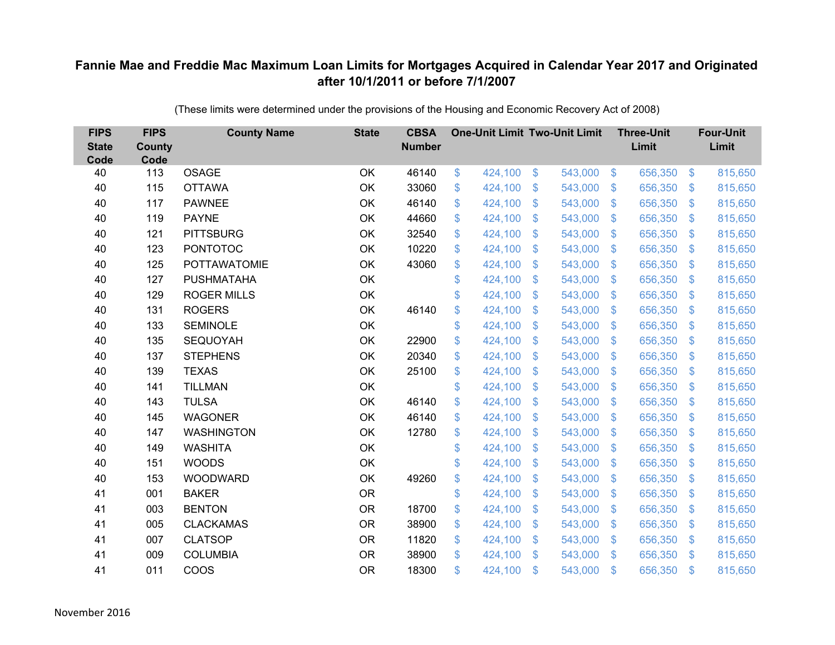| <b>FIPS</b><br><b>State</b><br>Code | <b>FIPS</b><br><b>County</b><br>Code | <b>County Name</b>  | <b>State</b> | <b>CBSA</b><br><b>Number</b> | <b>One-Unit Limit Two-Unit Limit</b> |               |         |                           | <b>Three-Unit</b><br>Limit |                | <b>Four-Unit</b><br>Limit |
|-------------------------------------|--------------------------------------|---------------------|--------------|------------------------------|--------------------------------------|---------------|---------|---------------------------|----------------------------|----------------|---------------------------|
| 40                                  | 113                                  | <b>OSAGE</b>        | OK           | 46140                        | \$<br>424,100                        | $\frac{3}{2}$ | 543,000 | $\sqrt[6]{3}$             | 656,350                    | $\frac{1}{2}$  | 815,650                   |
| 40                                  | 115                                  | <b>OTTAWA</b>       | OK           | 33060                        | \$<br>424,100                        | \$            | 543,000 | $\mathbf{\$}$             | 656,350                    | $\mathfrak{F}$ | 815,650                   |
| 40                                  | 117                                  | <b>PAWNEE</b>       | OK           | 46140                        | \$<br>424,100                        | \$            | 543,000 | $\mathbf{\$}$             | 656,350                    | $\mathfrak{F}$ | 815,650                   |
| 40                                  | 119                                  | <b>PAYNE</b>        | OK           | 44660                        | \$<br>424,100                        | \$            | 543,000 | $\sqrt[6]{3}$             | 656,350                    | $\mathfrak{S}$ | 815,650                   |
| 40                                  | 121                                  | <b>PITTSBURG</b>    | OK           | 32540                        | \$<br>424,100                        | \$            | 543,000 | $\mathbf{\$}$             | 656,350                    | $\mathcal{L}$  | 815,650                   |
| 40                                  | 123                                  | <b>PONTOTOC</b>     | OK           | 10220                        | \$<br>424,100                        | \$            | 543,000 | $\mathbf{\$}$             | 656,350                    | S.             | 815,650                   |
| 40                                  | 125                                  | <b>POTTAWATOMIE</b> | OK           | 43060                        | \$<br>424,100                        | \$            | 543,000 | $\sqrt[6]{3}$             | 656,350                    | $\mathfrak{F}$ | 815,650                   |
| 40                                  | 127                                  | <b>PUSHMATAHA</b>   | OK           |                              | \$<br>424,100                        | \$            | 543,000 | $\mathbb{S}$              | 656,350                    | $\mathfrak{F}$ | 815,650                   |
| 40                                  | 129                                  | <b>ROGER MILLS</b>  | OK           |                              | \$<br>424,100                        | \$            | 543,000 | $\mathbb{S}$              | 656,350                    | $\mathfrak{F}$ | 815,650                   |
| 40                                  | 131                                  | <b>ROGERS</b>       | OK           | 46140                        | \$<br>424,100                        | \$            | 543,000 | S.                        | 656,350                    | \$.            | 815,650                   |
| 40                                  | 133                                  | <b>SEMINOLE</b>     | OK           |                              | \$<br>424,100                        | \$            | 543,000 | $\mathfrak{S}$            | 656,350                    | $\mathfrak{F}$ | 815,650                   |
| 40                                  | 135                                  | SEQUOYAH            | OK           | 22900                        | \$<br>424,100                        | \$            | 543,000 | $\mathfrak{F}$            | 656,350                    | $\mathbf{\$}$  | 815,650                   |
| 40                                  | 137                                  | <b>STEPHENS</b>     | OK           | 20340                        | \$<br>424,100                        | \$            | 543,000 | $\mathbf{\$}$             | 656,350                    | $\mathfrak{F}$ | 815,650                   |
| 40                                  | 139                                  | <b>TEXAS</b>        | OK           | 25100                        | \$<br>424,100                        | \$            | 543,000 | $\mathbf{\$}$             | 656,350                    | S.             | 815,650                   |
| 40                                  | 141                                  | <b>TILLMAN</b>      | OK           |                              | \$<br>424,100                        | \$            | 543,000 | $\mathfrak{S}$            | 656,350                    | $\mathfrak{F}$ | 815,650                   |
| 40                                  | 143                                  | <b>TULSA</b>        | OK           | 46140                        | \$<br>424,100                        | \$            | 543,000 | $\mathfrak{S}$            | 656,350                    | $\mathcal{L}$  | 815,650                   |
| 40                                  | 145                                  | <b>WAGONER</b>      | OK           | 46140                        | \$<br>424,100                        | \$            | 543,000 | $\mathbf{\$}$             | 656,350                    | $\mathfrak{F}$ | 815,650                   |
| 40                                  | 147                                  | <b>WASHINGTON</b>   | OK           | 12780                        | \$<br>424,100                        | \$            | 543,000 | $\mathfrak{S}$            | 656,350                    | $\mathfrak{S}$ | 815,650                   |
| 40                                  | 149                                  | <b>WASHITA</b>      | OK           |                              | \$<br>424,100                        | \$            | 543,000 | $\sqrt[6]{3}$             | 656,350                    | $\mathfrak{F}$ | 815,650                   |
| 40                                  | 151                                  | <b>WOODS</b>        | OK           |                              | \$<br>424,100                        | \$            | 543,000 | $\mathfrak{F}$            | 656,350                    | $\mathfrak{F}$ | 815,650                   |
| 40                                  | 153                                  | WOODWARD            | OK           | 49260                        | \$<br>424,100                        | \$            | 543,000 | $\sqrt[6]{3}$             | 656,350                    | $\mathfrak{S}$ | 815,650                   |
| 41                                  | 001                                  | <b>BAKER</b>        | <b>OR</b>    |                              | \$<br>424,100                        | \$            | 543,000 | $\mathfrak{F}$            | 656,350                    | $\mathcal{L}$  | 815,650                   |
| 41                                  | 003                                  | <b>BENTON</b>       | <b>OR</b>    | 18700                        | \$<br>424,100                        | \$            | 543,000 | $\sqrt[6]{3}$             | 656,350                    | $\mathbb{S}$   | 815,650                   |
| 41                                  | 005                                  | <b>CLACKAMAS</b>    | <b>OR</b>    | 38900                        | \$<br>424,100                        | \$            | 543,000 | $\boldsymbol{\mathsf{S}}$ | 656,350                    | $\mathcal{L}$  | 815,650                   |
| 41                                  | 007                                  | <b>CLATSOP</b>      | <b>OR</b>    | 11820                        | \$<br>424,100                        | \$            | 543,000 | $\sqrt[6]{3}$             | 656,350                    | $\mathfrak{F}$ | 815,650                   |
| 41                                  | 009                                  | <b>COLUMBIA</b>     | <b>OR</b>    | 38900                        | \$<br>424,100                        | \$            | 543,000 | $\mathbf{\$}$             | 656,350                    | $\mathbf{\$}$  | 815,650                   |
| 41                                  | 011                                  | COOS                | <b>OR</b>    | 18300                        | \$<br>424,100                        | \$            | 543,000 | $\mathfrak{s}$            | 656,350                    | -S             | 815,650                   |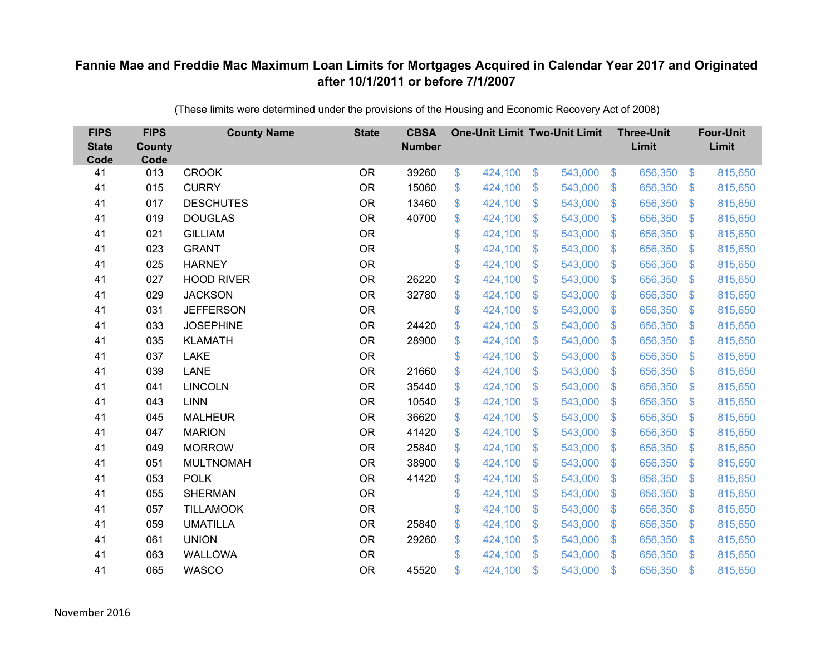| <b>FIPS</b><br><b>State</b><br>Code | <b>FIPS</b><br><b>County</b><br>Code | <b>County Name</b> | <b>State</b> | <b>CBSA</b><br><b>Number</b> |               | <b>One-Unit Limit Two-Unit Limit</b> |                           |         |                         | <b>Three-Unit</b><br>Limit |                   | <b>Four-Unit</b><br>Limit |
|-------------------------------------|--------------------------------------|--------------------|--------------|------------------------------|---------------|--------------------------------------|---------------------------|---------|-------------------------|----------------------------|-------------------|---------------------------|
| 41                                  | 013                                  | <b>CROOK</b>       | <b>OR</b>    | 39260                        | \$            | 424,100                              | $\boldsymbol{\mathsf{S}}$ | 543,000 | $\sqrt{3}$              | 656,350                    | $\boldsymbol{\$}$ | 815,650                   |
| 41                                  | 015                                  | <b>CURRY</b>       | <b>OR</b>    | 15060                        | \$            | 424,100                              | \$                        | 543,000 | $\sqrt[6]{\frac{1}{2}}$ | 656,350                    | $\mathbb{S}$      | 815,650                   |
| 41                                  | 017                                  | <b>DESCHUTES</b>   | <b>OR</b>    | 13460                        | \$            | 424,100                              | $\boldsymbol{\mathsf{S}}$ | 543,000 | $\sqrt[6]{3}$           | 656,350                    | $\sqrt[6]{3}$     | 815,650                   |
| 41                                  | 019                                  | <b>DOUGLAS</b>     | <b>OR</b>    | 40700                        | \$            | 424,100                              | \$                        | 543,000 | $\sqrt[6]{3}$           | 656,350                    | $\mathfrak{S}$    | 815,650                   |
| 41                                  | 021                                  | <b>GILLIAM</b>     | <b>OR</b>    |                              | \$            | 424,100                              | $\mathcal{S}$             | 543,000 | $\mathfrak{S}$          | 656,350                    | $\mathfrak{S}$    | 815,650                   |
| 41                                  | 023                                  | <b>GRANT</b>       | <b>OR</b>    |                              | \$            | 424,100                              | \$                        | 543,000 | $\sqrt[6]{3}$           | 656,350                    | $\sqrt[6]{3}$     | 815,650                   |
| 41                                  | 025                                  | <b>HARNEY</b>      | <b>OR</b>    |                              | \$            | 424,100                              | $\mathfrak{S}$            | 543,000 | $\mathfrak{S}$          | 656,350                    | $\mathfrak{S}$    | 815,650                   |
| 41                                  | 027                                  | <b>HOOD RIVER</b>  | <b>OR</b>    | 26220                        | \$            | 424,100                              | $\mathfrak{S}$            | 543,000 | $\mathfrak{S}$          | 656,350                    | $\mathfrak{S}$    | 815,650                   |
| 41                                  | 029                                  | <b>JACKSON</b>     | <b>OR</b>    | 32780                        | \$            | 424,100                              | $\mathcal{S}$             | 543,000 | $\sqrt[6]{3}$           | 656,350                    | $\mathfrak{S}$    | 815,650                   |
| 41                                  | 031                                  | <b>JEFFERSON</b>   | <b>OR</b>    |                              | \$            | 424,100                              | $\mathfrak{S}$            | 543,000 | $\mathfrak{S}$          | 656,350                    | $\mathfrak{S}$    | 815,650                   |
| 41                                  | 033                                  | <b>JOSEPHINE</b>   | <b>OR</b>    | 24420                        | \$            | 424,100                              | \$                        | 543,000 | $\sqrt[6]{2}$           | 656,350                    | $\sqrt[6]{3}$     | 815,650                   |
| 41                                  | 035                                  | <b>KLAMATH</b>     | <b>OR</b>    | 28900                        | \$            | 424,100                              | \$                        | 543,000 | $\sqrt[6]{3}$           | 656,350                    | $\sqrt[6]{3}$     | 815,650                   |
| 41                                  | 037                                  | <b>LAKE</b>        | <b>OR</b>    |                              | \$            | 424,100                              | $\mathcal{S}$             | 543,000 | $\mathfrak{S}$          | 656,350                    | $\mathfrak{S}$    | 815,650                   |
| 41                                  | 039                                  | LANE               | <b>OR</b>    | 21660                        | \$            | 424,100                              | $\mathfrak{F}$            | 543,000 | $\sqrt[6]{3}$           | 656,350                    | $\mathbb{S}$      | 815,650                   |
| 41                                  | 041                                  | <b>LINCOLN</b>     | <b>OR</b>    | 35440                        | \$            | 424,100                              | $\boldsymbol{\mathsf{S}}$ | 543,000 | $\sqrt[6]{2}$           | 656,350                    | $\mathfrak{S}$    | 815,650                   |
| 41                                  | 043                                  | <b>LINN</b>        | <b>OR</b>    | 10540                        | \$            | 424,100                              | $\boldsymbol{\mathsf{S}}$ | 543,000 | $\sqrt[6]{3}$           | 656,350                    | $\sqrt[6]{3}$     | 815,650                   |
| 41                                  | 045                                  | <b>MALHEUR</b>     | <b>OR</b>    | 36620                        | \$            | 424,100                              | $\mathfrak{F}$            | 543,000 | $\sqrt{3}$              | 656,350                    | $\mathfrak{S}$    | 815,650                   |
| 41                                  | 047                                  | <b>MARION</b>      | <b>OR</b>    | 41420                        | \$            | 424,100                              | $\mathfrak{S}$            | 543,000 | $\mathfrak{S}$          | 656,350                    | $\mathfrak{S}$    | 815,650                   |
| 41                                  | 049                                  | <b>MORROW</b>      | <b>OR</b>    | 25840                        | \$            | 424,100                              | $\mathfrak{F}$            | 543,000 | $\sqrt[6]{3}$           | 656,350                    | $\mathfrak{S}$    | 815,650                   |
| 41                                  | 051                                  | <b>MULTNOMAH</b>   | <b>OR</b>    | 38900                        | \$            | 424,100                              | \$                        | 543,000 | $\mathfrak{S}$          | 656,350                    | $\sqrt[6]{3}$     | 815,650                   |
| 41                                  | 053                                  | <b>POLK</b>        | <b>OR</b>    | 41420                        | \$            | 424,100                              | $\mathfrak{S}$            | 543,000 | $\mathcal{S}$           | 656,350                    | $\mathbb{S}$      | 815,650                   |
| 41                                  | 055                                  | <b>SHERMAN</b>     | <b>OR</b>    |                              | \$            | 424,100                              | $\boldsymbol{\mathsf{S}}$ | 543,000 | $\mathfrak{S}$          | 656,350                    | $\mathfrak{S}$    | 815,650                   |
| 41                                  | 057                                  | <b>TILLAMOOK</b>   | <b>OR</b>    |                              | \$            | 424,100                              | \$                        | 543,000 | $\sqrt[6]{3}$           | 656,350                    | $\mathfrak{S}$    | 815,650                   |
| 41                                  | 059                                  | <b>UMATILLA</b>    | <b>OR</b>    | 25840                        | \$            | 424,100                              | $\$\$                     | 543,000 | $\$\$                   | 656,350                    | \$                | 815,650                   |
| 41                                  | 061                                  | <b>UNION</b>       | <b>OR</b>    | 29260                        | \$            | 424,100                              | $\boldsymbol{\mathsf{S}}$ | 543,000 | $\sqrt[6]{3}$           | 656,350                    | $\mathbb{S}$      | 815,650                   |
| 41                                  | 063                                  | <b>WALLOWA</b>     | <b>OR</b>    |                              | \$            | 424,100                              | $\mathcal{S}$             | 543,000 | $\mathbb{S}$            | 656,350                    | $\mathbf{\$}$     | 815,650                   |
| 41                                  | 065                                  | <b>WASCO</b>       | <b>OR</b>    | 45520                        | $\mathbf{\$}$ | 424,100                              | $\mathcal{S}$             | 543,000 | $\mathfrak{F}$          | 656,350                    | $\mathbf{\$}$     | 815,650                   |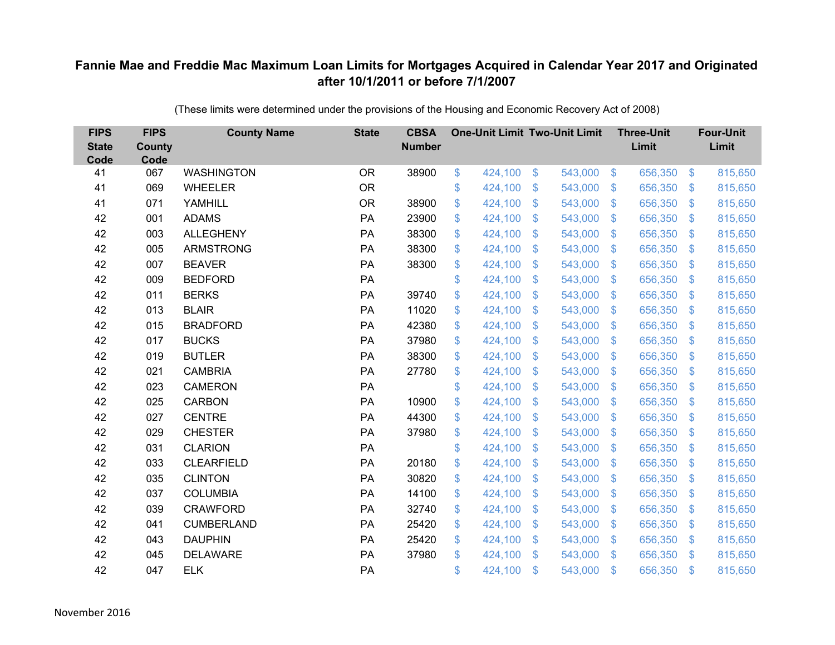| <b>FIPS</b><br><b>State</b><br>Code | <b>FIPS</b><br><b>County</b><br>Code | <b>County Name</b> | <b>State</b> | <b>CBSA</b><br><b>Number</b> | <b>One-Unit Limit Two-Unit Limit</b> |               |         |                           | <b>Three-Unit</b><br>Limit |                           | <b>Four-Unit</b><br>Limit |
|-------------------------------------|--------------------------------------|--------------------|--------------|------------------------------|--------------------------------------|---------------|---------|---------------------------|----------------------------|---------------------------|---------------------------|
| 41                                  | 067                                  | <b>WASHINGTON</b>  | <b>OR</b>    | 38900                        | \$<br>424,100                        | $\mathcal{L}$ | 543,000 | $\sqrt[6]{3}$             | 656,350                    | $\sqrt[6]{3}$             | 815,650                   |
| 41                                  | 069                                  | <b>WHEELER</b>     | <b>OR</b>    |                              | \$<br>424,100                        | \$            | 543,000 | $\sqrt[6]{3}$             | 656,350                    | $\mathfrak{F}$            | 815,650                   |
| 41                                  | 071                                  | YAMHILL            | <b>OR</b>    | 38900                        | \$<br>424,100                        | \$            | 543,000 | $\mathcal{S}$             | 656,350                    | $\mathfrak{F}$            | 815,650                   |
| 42                                  | 001                                  | <b>ADAMS</b>       | PA           | 23900                        | \$<br>424,100                        | \$            | 543,000 | $\mathcal{S}$             | 656,350                    | $\mathfrak{S}$            | 815,650                   |
| 42                                  | 003                                  | <b>ALLEGHENY</b>   | PA           | 38300                        | \$<br>424,100                        | \$            | 543,000 | $\sqrt[6]{\frac{1}{2}}$   | 656,350                    | $\boldsymbol{\mathsf{S}}$ | 815,650                   |
| 42                                  | 005                                  | <b>ARMSTRONG</b>   | PA           | 38300                        | \$<br>424,100                        | \$            | 543,000 | $\sqrt[6]{3}$             | 656,350                    | $\mathfrak{F}$            | 815,650                   |
| 42                                  | 007                                  | <b>BEAVER</b>      | PA           | 38300                        | \$<br>424,100                        | \$            | 543,000 | $\mathcal{S}$             | 656,350                    | $\mathcal{L}$             | 815,650                   |
| 42                                  | 009                                  | <b>BEDFORD</b>     | PA           |                              | \$<br>424,100                        | \$            | 543,000 | $\mathcal{S}$             | 656,350                    | $\mathbb{S}$              | 815,650                   |
| 42                                  | 011                                  | <b>BERKS</b>       | PA           | 39740                        | \$<br>424,100                        | \$            | 543,000 | $\sqrt[6]{3}$             | 656,350                    | $\mathcal{L}$             | 815,650                   |
| 42                                  | 013                                  | <b>BLAIR</b>       | PA           | 11020                        | \$<br>424,100                        | \$            | 543,000 | $\mathcal{S}$             | 656,350                    | $\mathfrak{F}$            | 815,650                   |
| 42                                  | 015                                  | <b>BRADFORD</b>    | PA           | 42380                        | \$<br>424,100                        | \$            | 543,000 | $\mathcal{S}$             | 656,350                    | $\mathfrak{S}$            | 815,650                   |
| 42                                  | 017                                  | <b>BUCKS</b>       | PA           | 37980                        | \$<br>424,100                        | \$            | 543,000 | $\mathfrak{S}$            | 656,350                    | $\mathfrak{S}$            | 815,650                   |
| 42                                  | 019                                  | <b>BUTLER</b>      | PA           | 38300                        | \$<br>424,100                        | \$            | 543,000 | $\sqrt[6]{3}$             | 656,350                    | $\mathfrak{F}$            | 815,650                   |
| 42                                  | 021                                  | <b>CAMBRIA</b>     | PA           | 27780                        | \$<br>424,100                        | \$            | 543,000 | S.                        | 656,350                    | $\mathfrak{F}$            | 815,650                   |
| 42                                  | 023                                  | <b>CAMERON</b>     | PA           |                              | \$<br>424,100                        | \$            | 543,000 | $\mathcal{S}$             | 656,350                    | $\mathfrak{F}$            | 815,650                   |
| 42                                  | 025                                  | <b>CARBON</b>      | PA           | 10900                        | \$<br>424,100                        | \$            | 543,000 | $\mathfrak{S}$            | 656,350                    | $\mathcal{L}$             | 815,650                   |
| 42                                  | 027                                  | <b>CENTRE</b>      | PA           | 44300                        | \$<br>424,100                        | \$            | 543,000 | $\mathcal{S}$             | 656,350                    | $\mathfrak{F}$            | 815,650                   |
| 42                                  | 029                                  | <b>CHESTER</b>     | PA           | 37980                        | \$<br>424,100                        | \$            | 543,000 | $\mathbb{S}$              | 656,350                    | $\mathfrak{F}$            | 815,650                   |
| 42                                  | 031                                  | <b>CLARION</b>     | PA           |                              | \$<br>424,100                        | \$            | 543,000 | $\mathcal{S}$             | 656,350                    | $\mathbb{S}$              | 815,650                   |
| 42                                  | 033                                  | <b>CLEARFIELD</b>  | PA           | 20180                        | \$<br>424,100                        | \$            | 543,000 | $\boldsymbol{\mathsf{S}}$ | 656,350                    | $\mathcal{L}$             | 815,650                   |
| 42                                  | 035                                  | <b>CLINTON</b>     | PA           | 30820                        | \$<br>424,100                        | \$            | 543,000 | $\sqrt[6]{3}$             | 656,350                    | $\mathfrak{F}$            | 815,650                   |
| 42                                  | 037                                  | <b>COLUMBIA</b>    | PA           | 14100                        | \$<br>424,100                        | \$            | 543,000 | $\mathbb{S}$              | 656,350                    | $\mathbb{S}$              | 815,650                   |
| 42                                  | 039                                  | <b>CRAWFORD</b>    | PA           | 32740                        | \$<br>424,100                        | \$            | 543,000 | $\sqrt[6]{3}$             | 656,350                    | $\mathfrak{S}$            | 815,650                   |
| 42                                  | 041                                  | <b>CUMBERLAND</b>  | PA           | 25420                        | \$<br>424,100                        | \$            | 543,000 | $\boldsymbol{\mathsf{S}}$ | 656,350                    | $\mathcal{L}$             | 815,650                   |
| 42                                  | 043                                  | <b>DAUPHIN</b>     | PA           | 25420                        | \$<br>424,100                        | \$            | 543,000 | $\mathcal{S}$             | 656,350                    | $\mathfrak{F}$            | 815,650                   |
| 42                                  | 045                                  | <b>DELAWARE</b>    | PA           | 37980                        | \$<br>424,100                        | \$            | 543,000 | $\mathbf{\$}$             | 656,350                    | $\mathfrak{F}$            | 815,650                   |
| 42                                  | 047                                  | <b>ELK</b>         | PA           |                              | \$<br>424,100                        | \$            | 543,000 | $\mathfrak{s}$            | 656,350                    | -S                        | 815,650                   |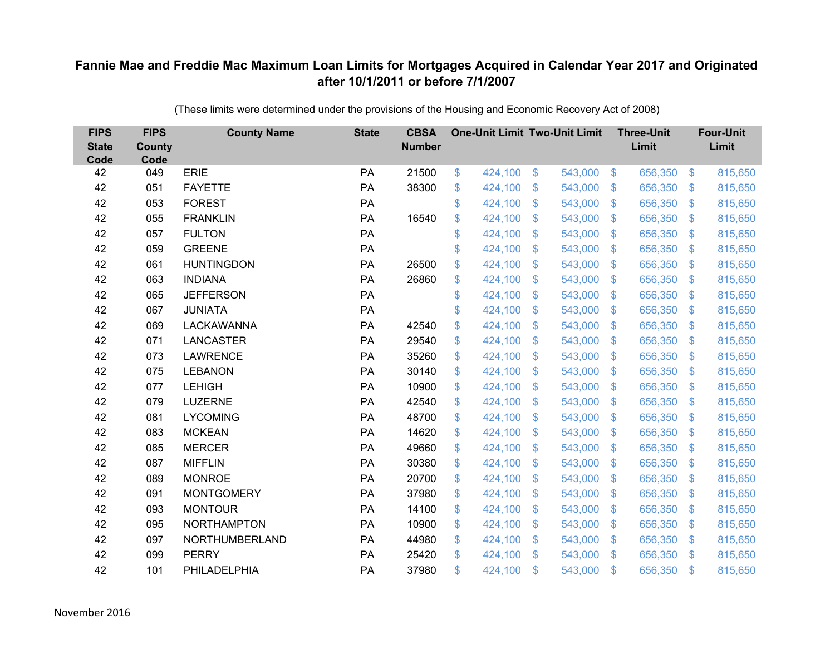| <b>FIPS</b><br><b>State</b><br>Code | <b>FIPS</b><br><b>County</b><br>Code | <b>County Name</b> | <b>State</b> | <b>CBSA</b><br><b>Number</b> | <b>One-Unit Limit Two-Unit Limit</b> |                           |         |                           | <b>Three-Unit</b><br>Limit |                | <b>Four-Unit</b><br>Limit |
|-------------------------------------|--------------------------------------|--------------------|--------------|------------------------------|--------------------------------------|---------------------------|---------|---------------------------|----------------------------|----------------|---------------------------|
| 42                                  | 049                                  | <b>ERIE</b>        | PA           | 21500                        | \$<br>424,100                        | \$                        | 543,000 | $\sqrt{3}$                | 656,350                    | $\frac{3}{2}$  | 815,650                   |
| 42                                  | 051                                  | <b>FAYETTE</b>     | PA           | 38300                        | \$<br>424,100                        | \$                        | 543,000 | $\mathfrak{S}$            | 656,350                    | $\mathcal{S}$  | 815,650                   |
| 42                                  | 053                                  | <b>FOREST</b>      | PA           |                              | \$<br>424,100                        | $\mathcal{S}$             | 543,000 | $\mathfrak{S}$            | 656,350                    | $\mathbf{\$}$  | 815,650                   |
| 42                                  | 055                                  | <b>FRANKLIN</b>    | PA           | 16540                        | \$<br>424,100                        | $\boldsymbol{\mathsf{S}}$ | 543,000 | $\sqrt[6]{\frac{1}{2}}$   | 656,350                    | $\sqrt{3}$     | 815,650                   |
| 42                                  | 057                                  | <b>FULTON</b>      | PA           |                              | \$<br>424,100                        | $\boldsymbol{\mathsf{S}}$ | 543,000 | $\mathfrak{S}$            | 656,350                    | $\mathfrak{S}$ | 815,650                   |
| 42                                  | 059                                  | <b>GREENE</b>      | PA           |                              | \$<br>424,100                        | $\mathfrak{S}$            | 543,000 | $\mathfrak{S}$            | 656,350                    | $\mathcal{S}$  | 815,650                   |
| 42                                  | 061                                  | <b>HUNTINGDON</b>  | PA           | 26500                        | \$<br>424,100                        | \$                        | 543,000 | $\sqrt[6]{\frac{1}{2}}$   | 656,350                    | $\mathcal{S}$  | 815,650                   |
| 42                                  | 063                                  | <b>INDIANA</b>     | PA           | 26860                        | \$<br>424,100                        | \$                        | 543,000 | $\sqrt[6]{\frac{1}{2}}$   | 656,350                    | $\mathcal{S}$  | 815,650                   |
| 42                                  | 065                                  | <b>JEFFERSON</b>   | PA           |                              | \$<br>424,100                        | \$                        | 543,000 | $\mathfrak{S}$            | 656,350                    | $\mathfrak{S}$ | 815,650                   |
| 42                                  | 067                                  | <b>JUNIATA</b>     | PA           |                              | \$<br>424,100                        | $\boldsymbol{\mathsf{S}}$ | 543,000 | $\mathbb{S}$              | 656,350                    | <sup>\$</sup>  | 815,650                   |
| 42                                  | 069                                  | <b>LACKAWANNA</b>  | PA           | 42540                        | \$<br>424,100                        | \$                        | 543,000 | $\sqrt[6]{2}$             | 656,350                    | $\mathfrak{F}$ | 815,650                   |
| 42                                  | 071                                  | <b>LANCASTER</b>   | PA           | 29540                        | \$<br>424,100                        | \$                        | 543,000 | $\mathfrak{S}$            | 656,350                    | $\mathbf{\$}$  | 815,650                   |
| 42                                  | 073                                  | <b>LAWRENCE</b>    | PA           | 35260                        | \$<br>424,100                        | \$                        | 543,000 | $\sqrt[6]{\frac{1}{2}}$   | 656,350                    | $\mathfrak{F}$ | 815,650                   |
| 42                                  | 075                                  | <b>LEBANON</b>     | PA           | 30140                        | \$<br>424,100                        | $\mathbf{\$}$             | 543,000 | $\mathbb{S}$              | 656,350                    | $\mathcal{S}$  | 815,650                   |
| 42                                  | 077                                  | <b>LEHIGH</b>      | PA           | 10900                        | \$<br>424,100                        | \$                        | 543,000 | $\sqrt[6]{2}$             | 656,350                    | $\mathcal{S}$  | 815,650                   |
| 42                                  | 079                                  | <b>LUZERNE</b>     | PA           | 42540                        | \$<br>424,100                        | $\boldsymbol{\mathsf{S}}$ | 543,000 | $\mathfrak{S}$            | 656,350                    | $\mathcal{S}$  | 815,650                   |
| 42                                  | 081                                  | <b>LYCOMING</b>    | PA           | 48700                        | \$<br>424,100                        | $\mathcal{S}$             | 543,000 | $\mathfrak{S}$            | 656,350                    | $\mathbf{\$}$  | 815,650                   |
| 42                                  | 083                                  | <b>MCKEAN</b>      | PA           | 14620                        | \$<br>424,100                        | $\boldsymbol{\mathsf{S}}$ | 543,000 | $\sqrt[6]{\frac{1}{2}}$   | 656,350                    | $\sqrt{3}$     | 815,650                   |
| 42                                  | 085                                  | <b>MERCER</b>      | PA           | 49660                        | \$<br>424,100                        | $\boldsymbol{\mathsf{S}}$ | 543,000 | $\sqrt[6]{2}$             | 656,350                    | $\mathcal{S}$  | 815,650                   |
| 42                                  | 087                                  | <b>MIFFLIN</b>     | PA           | 30380                        | \$<br>424,100                        | $\boldsymbol{\mathsf{S}}$ | 543,000 | $\mathfrak{S}$            | 656,350                    | $\mathbf{\$}$  | 815,650                   |
| 42                                  | 089                                  | <b>MONROE</b>      | PA           | 20700                        | \$<br>424,100                        | $\boldsymbol{\mathsf{S}}$ | 543,000 | $\sqrt[6]{3}$             | 656,350                    | $\sqrt{3}$     | 815,650                   |
| 42                                  | 091                                  | <b>MONTGOMERY</b>  | PA           | 37980                        | \$<br>424,100                        | $\boldsymbol{\mathsf{S}}$ | 543,000 | $\mathfrak{S}$            | 656,350                    | $\mathbf{\$}$  | 815,650                   |
| 42                                  | 093                                  | <b>MONTOUR</b>     | PA           | 14100                        | \$<br>424,100                        | $\$\$                     | 543,000 | $\sqrt[6]{\frac{1}{2}}$   | 656,350                    | $\mathbf{\$}$  | 815,650                   |
| 42                                  | 095                                  | <b>NORTHAMPTON</b> | PA           | 10900                        | \$<br>424,100                        | $\boldsymbol{\mathsf{S}}$ | 543,000 | $\boldsymbol{\mathsf{S}}$ | 656,350                    | $\mathfrak{F}$ | 815,650                   |
| 42                                  | 097                                  | NORTHUMBERLAND     | PA           | 44980                        | \$<br>424,100                        | $\boldsymbol{\mathsf{S}}$ | 543,000 | $\sqrt[6]{\frac{1}{2}}$   | 656,350                    | $\mathcal{S}$  | 815,650                   |
| 42                                  | 099                                  | <b>PERRY</b>       | PA           | 25420                        | \$<br>424,100                        | $\mathcal{S}$             | 543,000 | $\mathbb{S}$              | 656,350                    | $\mathfrak{S}$ | 815,650                   |
| 42                                  | 101                                  | PHILADELPHIA       | PA           | 37980                        | \$<br>424,100                        | $\mathcal{S}$             | 543,000 | $\mathfrak{s}$            | 656,350                    | $\mathbf{\$}$  | 815,650                   |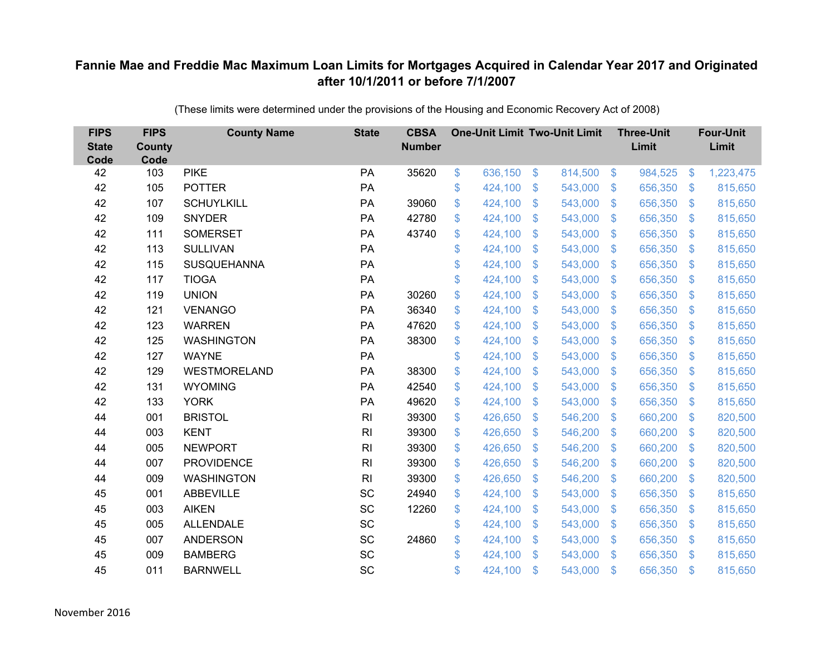| <b>FIPS</b><br><b>State</b><br>Code | <b>FIPS</b><br><b>County</b><br>Code | <b>County Name</b>  | <b>State</b>   | <b>CBSA</b><br><b>Number</b> | <b>One-Unit Limit Two-Unit Limit</b> |               |         |                           | <b>Three-Unit</b><br>Limit |                           | <b>Four-Unit</b><br>Limit |
|-------------------------------------|--------------------------------------|---------------------|----------------|------------------------------|--------------------------------------|---------------|---------|---------------------------|----------------------------|---------------------------|---------------------------|
| 42                                  | 103                                  | <b>PIKE</b>         | PA             | 35620                        | \$<br>636,150                        | $\frac{3}{2}$ | 814,500 | $\sqrt[6]{3}$             | 984,525                    | $\boldsymbol{\mathsf{S}}$ | 1,223,475                 |
| 42                                  | 105                                  | <b>POTTER</b>       | PA             |                              | \$<br>424,100                        | \$            | 543,000 | $\mathcal{S}$             | 656,350                    | $\mathfrak{F}$            | 815,650                   |
| 42                                  | 107                                  | <b>SCHUYLKILL</b>   | PA             | 39060                        | \$<br>424,100                        | \$            | 543,000 | $\mathcal{S}$             | 656,350                    | $\mathbb{S}$              | 815,650                   |
| 42                                  | 109                                  | <b>SNYDER</b>       | PA             | 42780                        | \$<br>424,100                        | \$            | 543,000 | $\sqrt[6]{3}$             | 656,350                    | $\mathfrak{F}$            | 815,650                   |
| 42                                  | 111                                  | <b>SOMERSET</b>     | PA             | 43740                        | \$<br>424,100                        | \$            | 543,000 | $\mathcal{S}$             | 656,350                    | $\mathbf{\$}$             | 815,650                   |
| 42                                  | 113                                  | <b>SULLIVAN</b>     | PA             |                              | \$<br>424,100                        | \$            | 543,000 | $\mathcal{S}$             | 656,350                    | $\mathbb{S}$              | 815,650                   |
| 42                                  | 115                                  | SUSQUEHANNA         | PA             |                              | \$<br>424,100                        | \$            | 543,000 | $\boldsymbol{\mathsf{S}}$ | 656,350                    | $\mathcal{L}$             | 815,650                   |
| 42                                  | 117                                  | <b>TIOGA</b>        | PA             |                              | \$<br>424,100                        | \$            | 543,000 | $\mathcal{S}$             | 656,350                    | $\mathfrak{F}$            | 815,650                   |
| 42                                  | 119                                  | <b>UNION</b>        | PA             | 30260                        | \$<br>424,100                        | $\mathsf{\$}$ | 543,000 | $\mathcal{S}$             | 656,350                    | $\mathfrak{F}$            | 815,650                   |
| 42                                  | 121                                  | <b>VENANGO</b>      | PA             | 36340                        | \$<br>424,100                        | \$            | 543,000 | $\mathcal{S}$             | 656,350                    | $\mathfrak{F}$            | 815,650                   |
| 42                                  | 123                                  | <b>WARREN</b>       | PA             | 47620                        | \$<br>424,100                        | \$            | 543,000 | $\mathcal{S}$             | 656,350                    | $\mathfrak{S}$            | 815,650                   |
| 42                                  | 125                                  | <b>WASHINGTON</b>   | PA             | 38300                        | \$<br>424,100                        | \$            | 543,000 | $\mathbb{S}$              | 656,350                    | $\mathbb{S}$              | 815,650                   |
| 42                                  | 127                                  | <b>WAYNE</b>        | PA             |                              | \$<br>424,100                        | \$            | 543,000 | $\mathcal{S}$             | 656,350                    | $\mathfrak{F}$            | 815,650                   |
| 42                                  | 129                                  | <b>WESTMORELAND</b> | PA             | 38300                        | \$<br>424,100                        | \$            | 543,000 | S.                        | 656,350                    | S.                        | 815,650                   |
| 42                                  | 131                                  | <b>WYOMING</b>      | PA             | 42540                        | \$<br>424,100                        | \$            | 543,000 | $\mathfrak{S}$            | 656,350                    | $\mathfrak{S}$            | 815,650                   |
| 42                                  | 133                                  | <b>YORK</b>         | PA             | 49620                        | \$<br>424,100                        | \$            | 543,000 | $\boldsymbol{\mathsf{S}}$ | 656,350                    | $\mathcal{L}$             | 815,650                   |
| 44                                  | 001                                  | <b>BRISTOL</b>      | R <sub>l</sub> | 39300                        | \$<br>426,650                        | \$            | 546,200 | $\mathbb{S}$              | 660,200                    | $\mathbb{S}$              | 820,500                   |
| 44                                  | 003                                  | <b>KENT</b>         | R <sub>l</sub> | 39300                        | \$<br>426,650                        | \$            | 546,200 | $\boldsymbol{\mathsf{S}}$ | 660,200                    | $\boldsymbol{\mathsf{S}}$ | 820,500                   |
| 44                                  | 005                                  | <b>NEWPORT</b>      | R <sub>l</sub> | 39300                        | \$<br>426,650                        | \$            | 546,200 | $\mathcal{S}$             | 660,200                    | $\mathfrak{F}$            | 820,500                   |
| 44                                  | 007                                  | <b>PROVIDENCE</b>   | R <sub>l</sub> | 39300                        | \$<br>426,650                        | \$            | 546,200 | $\mathfrak{F}$            | 660,200                    | $\mathfrak{F}$            | 820,500                   |
| 44                                  | 009                                  | <b>WASHINGTON</b>   | R <sub>l</sub> | 39300                        | \$<br>426,650                        | \$            | 546,200 | $\sqrt[6]{3}$             | 660,200                    | $\mathfrak{F}$            | 820,500                   |
| 45                                  | 001                                  | <b>ABBEVILLE</b>    | SC             | 24940                        | \$<br>424,100                        | \$            | 543,000 | $\mathbb{S}$              | 656,350                    | $\mathbb{S}$              | 815,650                   |
| 45                                  | 003                                  | <b>AIKEN</b>        | SC             | 12260                        | \$<br>424,100                        | \$            | 543,000 | $\mathcal{S}$             | 656,350                    | $\mathbb{S}$              | 815,650                   |
| 45                                  | 005                                  | <b>ALLENDALE</b>    | SC             |                              | \$<br>424,100                        | \$            | 543,000 | $\boldsymbol{\mathsf{S}}$ | 656,350                    | $\mathcal{L}$             | 815,650                   |
| 45                                  | 007                                  | <b>ANDERSON</b>     | SC             | 24860                        | \$<br>424,100                        | \$            | 543,000 | $\sqrt[6]{3}$             | 656,350                    | $\mathfrak{F}$            | 815,650                   |
| 45                                  | 009                                  | <b>BAMBERG</b>      | SC             |                              | \$<br>424,100                        | \$            | 543,000 | $\mathbf{\$}$             | 656,350                    | $\mathbf{\$}$             | 815,650                   |
| 45                                  | 011                                  | <b>BARNWELL</b>     | SC             |                              | \$<br>424,100                        | \$            | 543,000 | $\mathfrak{s}$            | 656,350                    | $\mathbf{\$}$             | 815,650                   |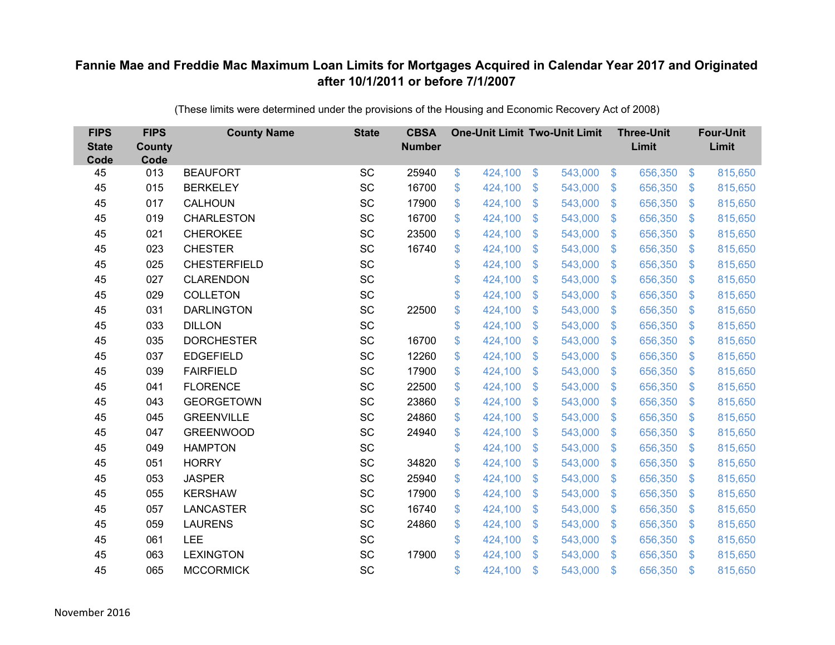| <b>FIPS</b><br><b>State</b><br>Code | <b>FIPS</b><br><b>County</b><br>Code | <b>County Name</b>  | <b>State</b> | <b>CBSA</b><br><b>Number</b> |             | <b>One-Unit Limit Two-Unit Limit</b> |                           |         |                | <b>Three-Unit</b><br>Limit |                | <b>Four-Unit</b><br>Limit |
|-------------------------------------|--------------------------------------|---------------------|--------------|------------------------------|-------------|--------------------------------------|---------------------------|---------|----------------|----------------------------|----------------|---------------------------|
| 45                                  | 013                                  | <b>BEAUFORT</b>     | SC           | 25940                        | \$          | 424,100                              | \$                        | 543,000 | $\sqrt{3}$     | 656,350                    | $\sqrt{3}$     | 815,650                   |
| 45                                  | 015                                  | <b>BERKELEY</b>     | SC           | 16700                        | \$          | 424,100                              | \$                        | 543,000 | $\mathfrak{S}$ | 656,350                    | $\mathbf{\$}$  | 815,650                   |
| 45                                  | 017                                  | CALHOUN             | SC           | 17900                        | \$          | 424,100                              | $\mathcal{S}$             | 543,000 | $\mathfrak{S}$ | 656,350                    | $\mathbf{\$}$  | 815,650                   |
| 45                                  | 019                                  | <b>CHARLESTON</b>   | SC           | 16700                        | \$          | 424,100                              | $\boldsymbol{\mathsf{S}}$ | 543,000 | $\sqrt[6]{3}$  | 656,350                    | $\sqrt{3}$     | 815,650                   |
| 45                                  | 021                                  | <b>CHEROKEE</b>     | SC           | 23500                        | \$          | 424,100                              | $\boldsymbol{\mathsf{S}}$ | 543,000 | $\mathfrak{S}$ | 656,350                    | $\mathbf{\$}$  | 815,650                   |
| 45                                  | 023                                  | <b>CHESTER</b>      | SC           | 16740                        | \$          | 424,100                              | $\mathfrak{S}$            | 543,000 | $\mathfrak{S}$ | 656,350                    | $\mathcal{S}$  | 815,650                   |
| 45                                  | 025                                  | <b>CHESTERFIELD</b> | SC           |                              | \$          | 424,100                              | \$                        | 543,000 | $\mathfrak{S}$ | 656,350                    | $\mathcal{S}$  | 815,650                   |
| 45                                  | 027                                  | <b>CLARENDON</b>    | SC           |                              | \$          | 424,100                              | \$                        | 543,000 | $\mathfrak{S}$ | 656,350                    | $\sqrt[6]{3}$  | 815,650                   |
| 45                                  | 029                                  | <b>COLLETON</b>     | SC           |                              | \$          | 424,100                              | \$                        | 543,000 | $\mathfrak{S}$ | 656,350                    | $\mathfrak{S}$ | 815,650                   |
| 45                                  | 031                                  | <b>DARLINGTON</b>   | SC           | 22500                        | \$          | 424,100                              | $\boldsymbol{\mathsf{S}}$ | 543,000 | $\mathbb{S}$   | 656,350                    | $\mathcal{S}$  | 815,650                   |
| 45                                  | 033                                  | <b>DILLON</b>       | SC           |                              | \$          | 424,100                              | \$                        | 543,000 | $\mathfrak{S}$ | 656,350                    | $\sqrt{3}$     | 815,650                   |
| 45                                  | 035                                  | <b>DORCHESTER</b>   | SC           | 16700                        | $\mathbb S$ | 424,100                              | $\mathfrak{S}$            | 543,000 | $\mathfrak{S}$ | 656,350                    | $\mathbf{\$}$  | 815,650                   |
| 45                                  | 037                                  | <b>EDGEFIELD</b>    | SC           | 12260                        | \$          | 424,100                              | \$                        | 543,000 | $\mathfrak{S}$ | 656,350                    | $\mathcal{S}$  | 815,650                   |
| 45                                  | 039                                  | <b>FAIRFIELD</b>    | SC           | 17900                        | \$          | 424,100                              | $\mathbf{\$}$             | 543,000 | $\mathbb{S}$   | 656,350                    | $\mathbf{\$}$  | 815,650                   |
| 45                                  | 041                                  | <b>FLORENCE</b>     | SC           | 22500                        | \$          | 424,100                              | \$                        | 543,000 | $\sqrt[6]{2}$  | 656,350                    | $\sqrt[6]{3}$  | 815,650                   |
| 45                                  | 043                                  | <b>GEORGETOWN</b>   | SC           | 23860                        | \$          | 424,100                              | \$                        | 543,000 | $\sqrt{2}$     | 656,350                    | $\mathcal{S}$  | 815,650                   |
| 45                                  | 045                                  | <b>GREENVILLE</b>   | <b>SC</b>    | 24860                        | \$          | 424,100                              | $\mathfrak{s}$            | 543,000 | $\mathfrak{S}$ | 656,350                    | $\mathbf{\$}$  | 815,650                   |
| 45                                  | 047                                  | <b>GREENWOOD</b>    | SC           | 24940                        | \$          | 424,100                              | $\boldsymbol{\mathsf{S}}$ | 543,000 | $\mathfrak{S}$ | 656,350                    | $\sqrt{3}$     | 815,650                   |
| 45                                  | 049                                  | <b>HAMPTON</b>      | SC           |                              | \$          | 424,100                              | \$                        | 543,000 | $\sqrt[6]{2}$  | 656,350                    | $\sqrt[6]{3}$  | 815,650                   |
| 45                                  | 051                                  | <b>HORRY</b>        | SC           | 34820                        | $\mathbb S$ | 424,100                              | $\boldsymbol{\mathsf{S}}$ | 543,000 | $\mathfrak{S}$ | 656,350                    | $\mathbf{\$}$  | 815,650                   |
| 45                                  | 053                                  | <b>JASPER</b>       | SC           | 25940                        | \$          | 424,100                              | $\boldsymbol{\mathsf{S}}$ | 543,000 | $\sqrt[6]{3}$  | 656,350                    | $\sqrt{3}$     | 815,650                   |
| 45                                  | 055                                  | <b>KERSHAW</b>      | SC           | 17900                        | \$          | 424,100                              | $\boldsymbol{\mathsf{S}}$ | 543,000 | $\mathfrak{S}$ | 656,350                    | $\mathbf{\$}$  | 815,650                   |
| 45                                  | 057                                  | <b>LANCASTER</b>    | SC           | 16740                        | \$          | 424,100                              | $\$\$                     | 543,000 | $\mathfrak{S}$ | 656,350                    | $\mathbf{\$}$  | 815,650                   |
| 45                                  | 059                                  | <b>LAURENS</b>      | SC           | 24860                        | \$          | 424,100                              | $\boldsymbol{\mathsf{S}}$ | 543,000 | $\sqrt[6]{3}$  | 656,350                    | \$             | 815,650                   |
| 45                                  | 061                                  | LEE                 | SC           |                              | \$          | 424,100                              | $\boldsymbol{\mathsf{S}}$ | 543,000 | $\mathfrak{S}$ | 656,350                    | $\mathcal{S}$  | 815,650                   |
| 45                                  | 063                                  | <b>LEXINGTON</b>    | SC           | 17900                        | \$          | 424,100                              | $\mathfrak{s}$            | 543,000 | $\mathbb{S}$   | 656,350                    | \$.            | 815,650                   |
| 45                                  | 065                                  | <b>MCCORMICK</b>    | SC           |                              | \$          | 424,100                              | $\mathcal{S}$             | 543,000 | $\mathfrak{s}$ | 656,350                    | $\mathbf{\$}$  | 815,650                   |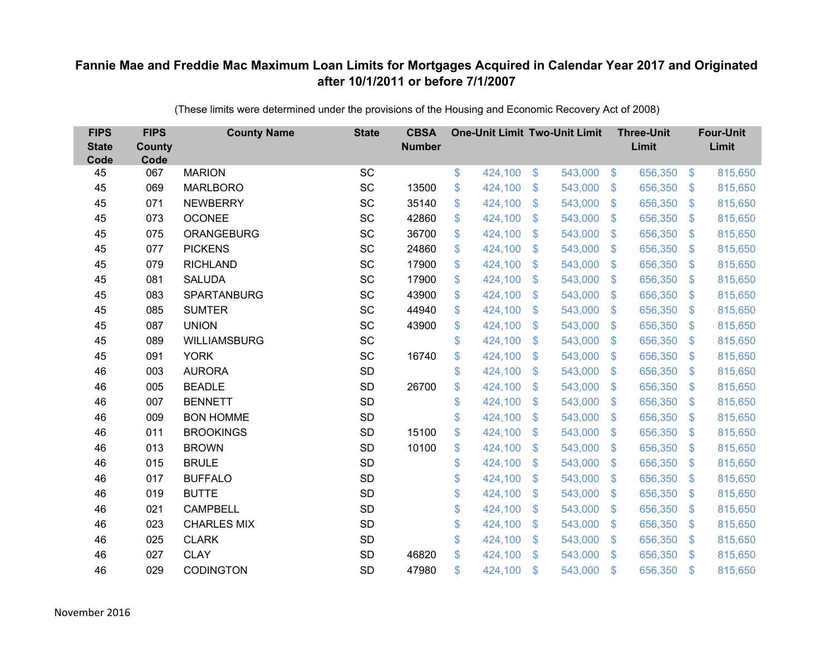| <b>FIPS</b><br><b>State</b><br>Code | <b>FIPS</b><br><b>County</b><br>Code | <b>County Name</b>  | <b>State</b> | <b>CBSA</b><br><b>Number</b> | <b>One-Unit Limit Two-Unit Limit</b> |                |         |                | <b>Three-Unit</b><br>Limit |                | <b>Four-Unit</b><br>Limit |
|-------------------------------------|--------------------------------------|---------------------|--------------|------------------------------|--------------------------------------|----------------|---------|----------------|----------------------------|----------------|---------------------------|
| 45                                  | 067                                  | <b>MARION</b>       | <b>SC</b>    |                              | \$<br>424,100                        | $\$\$          | 543,000 | $\sqrt[6]{3}$  | 656,350                    | $\frac{3}{2}$  | 815,650                   |
| 45                                  | 069                                  | <b>MARLBORO</b>     | SC           | 13500                        | \$<br>424,100                        | \$             | 543,000 | $\mathcal{S}$  | 656,350                    | $\mathbb{S}$   | 815,650                   |
| 45                                  | 071                                  | <b>NEWBERRY</b>     | SC           | 35140                        | \$<br>424,100                        | $\mathfrak{S}$ | 543,000 | $\mathbb{S}$   | 656,350                    | $\mathfrak{S}$ | 815,650                   |
| 45                                  | 073                                  | <b>OCONEE</b>       | SC           | 42860                        | \$<br>424,100                        | \$             | 543,000 | $\sqrt[6]{3}$  | 656,350                    | $\mathbb{S}$   | 815,650                   |
| 45                                  | 075                                  | <b>ORANGEBURG</b>   | SC           | 36700                        | \$<br>424,100                        | \$             | 543,000 | $\mathbb{S}$   | 656,350                    | $\mathfrak{S}$ | 815,650                   |
| 45                                  | 077                                  | <b>PICKENS</b>      | SC           | 24860                        | \$<br>424,100                        | $\mathfrak{S}$ | 543,000 | $\mathcal{S}$  | 656,350                    | $\mathfrak{S}$ | 815,650                   |
| 45                                  | 079                                  | <b>RICHLAND</b>     | SC           | 17900                        | \$<br>424,100                        | \$             | 543,000 | $\mathcal{S}$  | 656,350                    | $\mathbb{S}$   | 815,650                   |
| 45                                  | 081                                  | <b>SALUDA</b>       | <b>SC</b>    | 17900                        | \$<br>424,100                        | $\mathfrak{S}$ | 543,000 | $\mathfrak{S}$ | 656,350                    | $\mathbb{S}$   | 815,650                   |
| 45                                  | 083                                  | <b>SPARTANBURG</b>  | SC           | 43900                        | \$<br>424,100                        | $\mathfrak{S}$ | 543,000 | $\mathcal{S}$  | 656,350                    | $\mathfrak{S}$ | 815,650                   |
| 45                                  | 085                                  | <b>SUMTER</b>       | <b>SC</b>    | 44940                        | \$<br>424,100                        | \$             | 543,000 | $\mathbf{\$}$  | 656,350                    | $\mathfrak{S}$ | 815,650                   |
| 45                                  | 087                                  | <b>UNION</b>        | SC           | 43900                        | \$<br>424,100                        | $\mathfrak{S}$ | 543,000 | $\mathcal{S}$  | 656,350                    | $\mathfrak{S}$ | 815,650                   |
| 45                                  | 089                                  | <b>WILLIAMSBURG</b> | <b>SC</b>    |                              | \$<br>424,100                        | $\mathfrak{S}$ | 543,000 | $\mathbb{S}$   | 656,350                    | $\mathfrak{S}$ | 815,650                   |
| 45                                  | 091                                  | <b>YORK</b>         | SC           | 16740                        | \$<br>424,100                        | $\mathfrak{S}$ | 543,000 | $\mathbb{S}$   | 656,350                    | $\mathfrak{S}$ | 815,650                   |
| 46                                  | 003                                  | <b>AURORA</b>       | <b>SD</b>    |                              | \$<br>424,100                        | \$             | 543,000 | S.             | 656,350                    | $\mathbb{S}$   | 815,650                   |
| 46                                  | 005                                  | <b>BEADLE</b>       | <b>SD</b>    | 26700                        | \$<br>424,100                        | \$             | 543,000 | $\mathfrak{S}$ | 656,350                    | $\sqrt[6]{3}$  | 815,650                   |
| 46                                  | 007                                  | <b>BENNETT</b>      | <b>SD</b>    |                              | \$<br>424,100                        | \$             | 543,000 | $\mathfrak{S}$ | 656,350                    | $\mathfrak{S}$ | 815,650                   |
| 46                                  | 009                                  | <b>BON HOMME</b>    | <b>SD</b>    |                              | \$<br>424,100                        | $\mathfrak{S}$ | 543,000 | $\mathcal{S}$  | 656,350                    | $\mathbb{S}$   | 815,650                   |
| 46                                  | 011                                  | <b>BROOKINGS</b>    | <b>SD</b>    | 15100                        | \$<br>424,100                        | \$             | 543,000 | $\mathfrak{S}$ | 656,350                    | $\sqrt[6]{3}$  | 815,650                   |
| 46                                  | 013                                  | <b>BROWN</b>        | <b>SD</b>    | 10100                        | \$<br>424,100                        | \$             | 543,000 | $\sqrt[6]{3}$  | 656,350                    | $\mathfrak{S}$ | 815,650                   |
| 46                                  | 015                                  | <b>BRULE</b>        | <b>SD</b>    |                              | \$<br>424,100                        | $\mathfrak{S}$ | 543,000 | $\mathbb{S}$   | 656,350                    | $\mathfrak{S}$ | 815,650                   |
| 46                                  | 017                                  | <b>BUFFALO</b>      | <b>SD</b>    |                              | \$<br>424,100                        | \$             | 543,000 | $\sqrt[6]{3}$  | 656,350                    | $\mathfrak{S}$ | 815,650                   |
| 46                                  | 019                                  | <b>BUTTE</b>        | <b>SD</b>    |                              | \$<br>424,100                        | $\mathcal{S}$  | 543,000 | $\mathbb{S}$   | 656,350                    | $\mathbb{S}$   | 815,650                   |
| 46                                  | 021                                  | <b>CAMPBELL</b>     | <b>SD</b>    |                              | \$<br>424,100                        | \$             | 543,000 | $\mathcal{S}$  | 656,350                    | $\mathfrak{S}$ | 815,650                   |
| 46                                  | 023                                  | <b>CHARLES MIX</b>  | <b>SD</b>    |                              | \$<br>424,100                        | \$             | 543,000 | $\mathfrak{S}$ | 656,350                    | $\mathfrak{S}$ | 815,650                   |
| 46                                  | 025                                  | <b>CLARK</b>        | <b>SD</b>    |                              | \$<br>424,100                        | \$             | 543,000 | $\sqrt[6]{3}$  | 656,350                    | $\mathbb{S}$   | 815,650                   |
| 46                                  | 027                                  | <b>CLAY</b>         | <b>SD</b>    | 46820                        | \$<br>424,100                        | $\mathbb{S}$   | 543,000 | $\mathbb{S}$   | 656,350                    | $\mathbb{S}$   | 815,650                   |
| 46                                  | 029                                  | <b>CODINGTON</b>    | <b>SD</b>    | 47980                        | \$<br>424,100                        | \$             | 543,000 | $\mathfrak{s}$ | 656,350                    | $\mathbf{\$}$  | 815,650                   |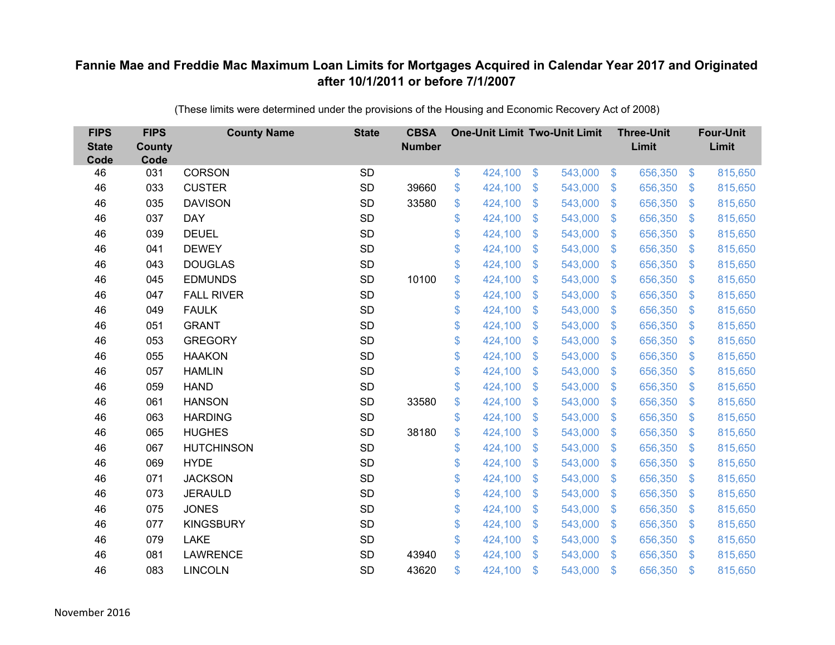| <b>FIPS</b><br><b>State</b><br>Code | <b>FIPS</b><br><b>County</b><br>Code | <b>County Name</b> | <b>State</b> | <b>CBSA</b><br><b>Number</b> |              | <b>One-Unit Limit Two-Unit Limit</b> |                           |         |                         | <b>Three-Unit</b><br>Limit |                | <b>Four-Unit</b><br>Limit |
|-------------------------------------|--------------------------------------|--------------------|--------------|------------------------------|--------------|--------------------------------------|---------------------------|---------|-------------------------|----------------------------|----------------|---------------------------|
| 46                                  | 031                                  | <b>CORSON</b>      | <b>SD</b>    |                              | \$           | 424,100                              | $\$\$                     | 543,000 | $\sqrt{3}$              | 656,350                    | $\frac{3}{2}$  | 815,650                   |
| 46                                  | 033                                  | <b>CUSTER</b>      | <b>SD</b>    | 39660                        | \$           | 424,100                              | \$                        | 543,000 | $\mathfrak{S}$          | 656,350                    | \$.            | 815,650                   |
| 46                                  | 035                                  | <b>DAVISON</b>     | <b>SD</b>    | 33580                        | \$           | 424,100                              | $\mathcal{S}$             | 543,000 | $\mathfrak{S}$          | 656,350                    | $\mathbf{\$}$  | 815,650                   |
| 46                                  | 037                                  | <b>DAY</b>         | <b>SD</b>    |                              | \$           | 424,100                              | $\frac{1}{2}$             | 543,000 | $\mathfrak{S}$          | 656,350                    | $\mathcal{S}$  | 815,650                   |
| 46                                  | 039                                  | <b>DEUEL</b>       | <b>SD</b>    |                              | \$           | 424,100                              | $\boldsymbol{\mathsf{S}}$ | 543,000 | $\mathfrak{F}$          | 656,350                    | \$.            | 815,650                   |
| 46                                  | 041                                  | <b>DEWEY</b>       | <b>SD</b>    |                              | \$           | 424,100                              | $\mathcal{S}$             | 543,000 | $\mathfrak{S}$          | 656,350                    | \$.            | 815,650                   |
| 46                                  | 043                                  | <b>DOUGLAS</b>     | SD           |                              | \$           | 424,100                              | $\boldsymbol{\mathsf{S}}$ | 543,000 | $\mathfrak{S}$          | 656,350                    | $\mathfrak{F}$ | 815,650                   |
| 46                                  | 045                                  | <b>EDMUNDS</b>     | <b>SD</b>    | 10100                        | \$           | 424,100                              | $\boldsymbol{\mathsf{S}}$ | 543,000 | $\mathfrak{S}$          | 656,350                    | $\mathcal{S}$  | 815,650                   |
| 46                                  | 047                                  | <b>FALL RIVER</b>  | <b>SD</b>    |                              | \$           | 424,100                              | $\mathcal{S}$             | 543,000 | $\mathbf{\$}$           | 656,350                    | $\mathfrak{S}$ | 815,650                   |
| 46                                  | 049                                  | <b>FAULK</b>       | <b>SD</b>    |                              | \$           | 424,100                              | \$                        | 543,000 | $\mathbb{S}$            | 656,350                    | $\sqrt[6]{3}$  | 815,650                   |
| 46                                  | 051                                  | <b>GRANT</b>       | <b>SD</b>    |                              | \$           | 424,100                              | $\mathfrak{S}$            | 543,000 | $\mathfrak{S}$          | 656,350                    | $\mathbf{\$}$  | 815,650                   |
| 46                                  | 053                                  | <b>GREGORY</b>     | <b>SD</b>    |                              | \$           | 424,100                              | $\mathfrak{S}$            | 543,000 | $\mathfrak{S}$          | 656,350                    | $\mathbf{\$}$  | 815,650                   |
| 46                                  | 055                                  | <b>HAAKON</b>      | <b>SD</b>    |                              | \$           | 424,100                              | \$                        | 543,000 | $\mathfrak{S}$          | 656,350                    | $\mathfrak{F}$ | 815,650                   |
| 46                                  | 057                                  | <b>HAMLIN</b>      | <b>SD</b>    |                              | \$           | 424,100                              | $\mathbf{\$}$             | 543,000 | $\mathbb{S}$            | 656,350                    | $\sqrt[6]{3}$  | 815,650                   |
| 46                                  | 059                                  | <b>HAND</b>        | SD           |                              | \$           | 424,100                              | $\boldsymbol{\mathsf{S}}$ | 543,000 | $\sqrt[6]{2}$           | 656,350                    | $\sqrt{3}$     | 815,650                   |
| 46                                  | 061                                  | <b>HANSON</b>      | <b>SD</b>    | 33580                        | \$           | 424,100                              | $\boldsymbol{\mathsf{S}}$ | 543,000 | $\mathfrak{S}$          | 656,350                    | $\mathcal{S}$  | 815,650                   |
| 46                                  | 063                                  | <b>HARDING</b>     | <b>SD</b>    |                              | \$           | 424,100                              | \$                        | 543,000 | $\mathfrak{S}$          | 656,350                    | $\mathbf{\$}$  | 815,650                   |
| 46                                  | 065                                  | <b>HUGHES</b>      | SD           | 38180                        | \$           | 424,100                              | $\boldsymbol{\mathsf{S}}$ | 543,000 | $\sqrt[6]{\frac{1}{2}}$ | 656,350                    | $\mathcal{S}$  | 815,650                   |
| 46                                  | 067                                  | <b>HUTCHINSON</b>  | <b>SD</b>    |                              | \$           | 424,100                              | $\boldsymbol{\mathsf{S}}$ | 543,000 | $\mathfrak{S}$          | 656,350                    | $\mathcal{S}$  | 815,650                   |
| 46                                  | 069                                  | <b>HYDE</b>        | <b>SD</b>    |                              | \$           | 424,100                              | $\mathcal{S}$             | 543,000 | $\mathfrak{S}$          | 656,350                    | $\mathbf{\$}$  | 815,650                   |
| 46                                  | 071                                  | <b>JACKSON</b>     | <b>SD</b>    |                              | \$           | 424,100                              | $\boldsymbol{\mathsf{S}}$ | 543,000 | $\sqrt[6]{3}$           | 656,350                    | $\mathcal{S}$  | 815,650                   |
| 46                                  | 073                                  | <b>JERAULD</b>     | <b>SD</b>    |                              | \$           | 424,100                              | $\boldsymbol{\mathsf{S}}$ | 543,000 | $\mathfrak{S}$          | 656,350                    | $\mathcal{S}$  | 815,650                   |
| 46                                  | 075                                  | <b>JONES</b>       | <b>SD</b>    |                              | \$           | 424,100                              | $\boldsymbol{\mathsf{S}}$ | 543,000 | $\mathfrak{S}$          | 656,350                    | $\mathbf{\$}$  | 815,650                   |
| 46                                  | 077                                  | <b>KINGSBURY</b>   | SD           |                              | \$           | 424,100                              | $\boldsymbol{\mathsf{S}}$ | 543,000 | $\sqrt[6]{\frac{1}{2}}$ | 656,350                    | $\mathfrak{F}$ | 815,650                   |
| 46                                  | 079                                  | <b>LAKE</b>        | <b>SD</b>    |                              | \$           | 424,100                              | $\boldsymbol{\mathsf{S}}$ | 543,000 | $\sqrt[6]{\frac{1}{2}}$ | 656,350                    | $\mathcal{S}$  | 815,650                   |
| 46                                  | 081                                  | <b>LAWRENCE</b>    | <b>SD</b>    | 43940                        | $\mathbb{S}$ | 424,100                              | $\mathcal{S}$             | 543,000 | $\mathbb{S}$            | 656,350                    | <sup>\$</sup>  | 815,650                   |
| 46                                  | 083                                  | <b>LINCOLN</b>     | <b>SD</b>    | 43620                        | \$           | 424,100                              | $\mathcal{S}$             | 543,000 | $\mathfrak{F}$          | 656,350                    | $\mathbf{\$}$  | 815,650                   |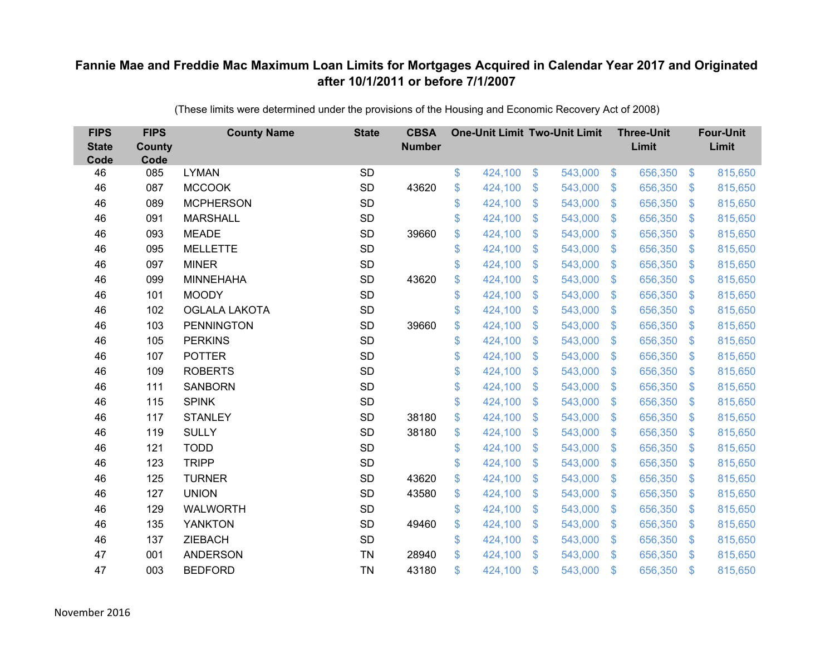| <b>FIPS</b><br><b>State</b><br>Code | <b>FIPS</b><br>County<br>Code | <b>County Name</b>   | <b>State</b> | <b>CBSA</b><br><b>Number</b> | <b>One-Unit Limit Two-Unit Limit</b> |                |         |                           | <b>Three-Unit</b><br>Limit |                         | <b>Four-Unit</b><br>Limit |
|-------------------------------------|-------------------------------|----------------------|--------------|------------------------------|--------------------------------------|----------------|---------|---------------------------|----------------------------|-------------------------|---------------------------|
| 46                                  | 085                           | <b>LYMAN</b>         | <b>SD</b>    |                              | \$<br>424,100                        | \$             | 543,000 | $\sqrt[6]{3}$             | 656,350                    | $\sqrt[6]{3}$           | 815,650                   |
| 46                                  | 087                           | <b>MCCOOK</b>        | <b>SD</b>    | 43620                        | \$<br>424,100                        | \$             | 543,000 | $\sqrt[6]{3}$             | 656,350                    | $\mathbb{S}$            | 815,650                   |
| 46                                  | 089                           | <b>MCPHERSON</b>     | <b>SD</b>    |                              | \$<br>424,100                        | $\mathfrak{S}$ | 543,000 | $\mathbb{S}$              | 656,350                    | $\mathfrak{S}$          | 815,650                   |
| 46                                  | 091                           | <b>MARSHALL</b>      | <b>SD</b>    |                              | \$<br>424,100                        | $\mathfrak{S}$ | 543,000 | $\mathbb{S}$              | 656,350                    | $\mathfrak{S}$          | 815,650                   |
| 46                                  | 093                           | <b>MEADE</b>         | <b>SD</b>    | 39660                        | \$<br>424,100                        | \$             | 543,000 | $\mathfrak{S}$            | 656,350                    | $\mathbb{S}$            | 815,650                   |
| 46                                  | 095                           | <b>MELLETTE</b>      | <b>SD</b>    |                              | \$<br>424,100                        | $\mathfrak{S}$ | 543,000 | $\mathbf{\$}$             | 656,350                    | $\mathbb{S}$            | 815,650                   |
| 46                                  | 097                           | <b>MINER</b>         | <b>SD</b>    |                              | \$<br>424,100                        | $\mathfrak{S}$ | 543,000 | $\mathbb{S}$              | 656,350                    | $\mathfrak{S}$          | 815,650                   |
| 46                                  | 099                           | <b>MINNEHAHA</b>     | <b>SD</b>    | 43620                        | \$<br>424,100                        | \$             | 543,000 | $\mathfrak{F}$            | 656,350                    | $\mathcal{L}$           | 815,650                   |
| 46                                  | 101                           | <b>MOODY</b>         | <b>SD</b>    |                              | \$<br>424,100                        | $\mathfrak{S}$ | 543,000 | $\mathbb{S}$              | 656,350                    | $\mathfrak{S}$          | 815,650                   |
| 46                                  | 102                           | <b>OGLALA LAKOTA</b> | <b>SD</b>    |                              | \$<br>424,100                        | $\mathfrak{S}$ | 543,000 | $\mathbb{S}$              | 656,350                    | $\mathfrak{S}$          | 815,650                   |
| 46                                  | 103                           | <b>PENNINGTON</b>    | SD           | 39660                        | \$<br>424,100                        | \$             | 543,000 | $\mathfrak{F}$            | 656,350                    | $\mathcal{L}$           | 815,650                   |
| 46                                  | 105                           | <b>PERKINS</b>       | <b>SD</b>    |                              | \$<br>424,100                        | \$             | 543,000 | S.                        | 656,350                    | $\mathcal{L}$           | 815,650                   |
| 46                                  | 107                           | <b>POTTER</b>        | <b>SD</b>    |                              | \$<br>424,100                        | $\mathfrak{S}$ | 543,000 | $\mathbb{S}$              | 656,350                    | $\mathfrak{S}$          | 815,650                   |
| 46                                  | 109                           | <b>ROBERTS</b>       | SD           |                              | \$<br>424,100                        | \$             | 543,000 | $\mathfrak{F}$            | 656,350                    | $\mathcal{L}$           | 815,650                   |
| 46                                  | 111                           | <b>SANBORN</b>       | <b>SD</b>    |                              | \$<br>424,100                        | \$             | 543,000 | $\mathfrak{F}$            | 656,350                    | $\mathcal{L}$           | 815,650                   |
| 46                                  | 115                           | <b>SPINK</b>         | <b>SD</b>    |                              | \$<br>424,100                        | $\mathfrak{S}$ | 543,000 | $\mathbb{S}$              | 656,350                    | $\sqrt[6]{\frac{1}{2}}$ | 815,650                   |
| 46                                  | 117                           | <b>STANLEY</b>       | SD           | 38180                        | \$<br>424,100                        | \$             | 543,000 | $\sqrt[6]{3}$             | 656,350                    | $\sqrt[6]{\frac{1}{2}}$ | 815,650                   |
| 46                                  | 119                           | <b>SULLY</b>         | SD           | 38180                        | \$<br>424,100                        | \$             | 543,000 | S.                        | 656,350                    | $\mathcal{L}$           | 815,650                   |
| 46                                  | 121                           | <b>TODD</b>          | <b>SD</b>    |                              | \$<br>424,100                        | $\mathfrak{S}$ | 543,000 | $\mathbf{\$}$             | 656,350                    | $\mathbb{S}$            | 815,650                   |
| 46                                  | 123                           | <b>TRIPP</b>         | <b>SD</b>    |                              | \$<br>424,100                        | \$             | 543,000 | $\mathfrak{S}$            | 656,350                    | $\sqrt[6]{\frac{1}{2}}$ | 815,650                   |
| 46                                  | 125                           | <b>TURNER</b>        | SD           | 43620                        | \$<br>424,100                        | \$             | 543,000 | $\sqrt[6]{3}$             | 656,350                    | $\mathcal{L}$           | 815,650                   |
| 46                                  | 127                           | <b>UNION</b>         | <b>SD</b>    | 43580                        | \$<br>424,100                        | $\mathfrak{S}$ | 543,000 | $\mathbb{S}$              | 656,350                    | $\mathfrak{S}$          | 815,650                   |
| 46                                  | 129                           | <b>WALWORTH</b>      | <b>SD</b>    |                              | \$<br>424,100                        | \$             | 543,000 | $\mathbb{S}$              | 656,350                    | $\mathfrak{S}$          | 815,650                   |
| 46                                  | 135                           | <b>YANKTON</b>       | SD           | 49460                        | \$<br>424,100                        | \$             | 543,000 | $\boldsymbol{\mathsf{S}}$ | 656,350                    | $\mathbb{S}$            | 815,650                   |
| 46                                  | 137                           | <b>ZIEBACH</b>       | <b>SD</b>    |                              | \$<br>424,100                        | \$             | 543,000 | $\sqrt[6]{3}$             | 656,350                    | $\mathbb{S}$            | 815,650                   |
| 47                                  | 001                           | <b>ANDERSON</b>      | <b>TN</b>    | 28940                        | \$<br>424,100                        | $\mathfrak{S}$ | 543,000 | $\mathbb{S}$              | 656,350                    | $\mathbf{\$}$           | 815,650                   |
| 47                                  | 003                           | <b>BEDFORD</b>       | <b>TN</b>    | 43180                        | \$<br>424,100                        | \$             | 543,000 | $\mathfrak{s}$            | 656,350                    | \$                      | 815,650                   |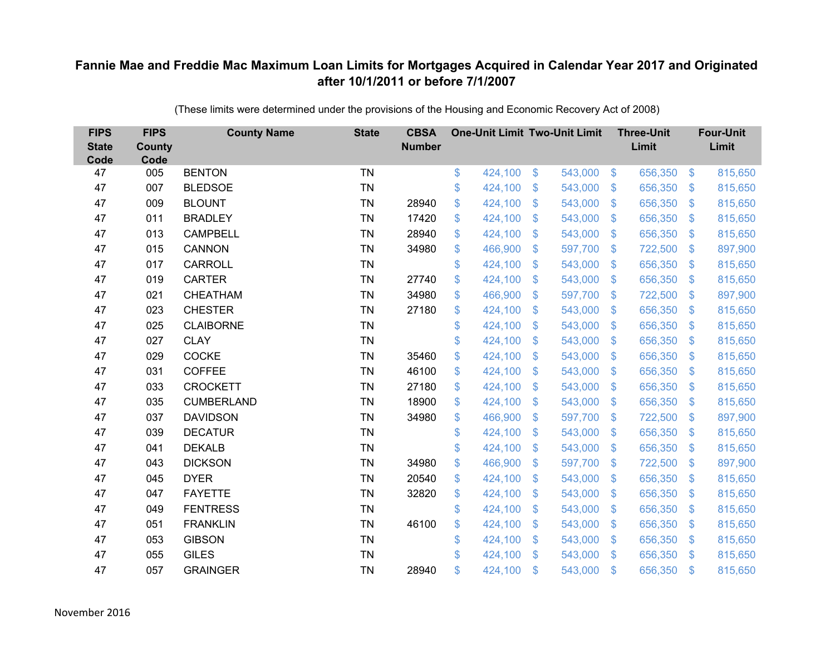| <b>FIPS</b><br><b>State</b><br>Code | <b>FIPS</b><br>County<br>Code | <b>County Name</b> | <b>State</b> | <b>CBSA</b><br><b>Number</b> | <b>One-Unit Limit Two-Unit Limit</b> |               |         |                           | <b>Three-Unit</b><br>Limit |                           | <b>Four-Unit</b><br>Limit |
|-------------------------------------|-------------------------------|--------------------|--------------|------------------------------|--------------------------------------|---------------|---------|---------------------------|----------------------------|---------------------------|---------------------------|
| 47                                  | 005                           | <b>BENTON</b>      | <b>TN</b>    |                              | \$<br>424,100                        | $\mathcal{L}$ | 543,000 | $\sqrt[6]{3}$             | 656,350                    | $\mathfrak{S}$            | 815,650                   |
| 47                                  | 007                           | <b>BLEDSOE</b>     | <b>TN</b>    |                              | \$<br>424,100                        | \$            | 543,000 | $\mathcal{S}$             | 656,350                    | $\mathfrak{F}$            | 815,650                   |
| 47                                  | 009                           | <b>BLOUNT</b>      | <b>TN</b>    | 28940                        | \$<br>424,100                        | \$            | 543,000 | $\mathfrak{F}$            | 656,350                    | $\mathbf{\$}$             | 815,650                   |
| 47                                  | 011                           | <b>BRADLEY</b>     | <b>TN</b>    | 17420                        | \$<br>424,100                        | \$            | 543,000 | $\mathbf{\$}$             | 656,350                    | $\mathfrak{F}$            | 815,650                   |
| 47                                  | 013                           | <b>CAMPBELL</b>    | <b>TN</b>    | 28940                        | \$<br>424,100                        | \$            | 543,000 | $\mathfrak{F}$            | 656,350                    | $\mathfrak{F}$            | 815,650                   |
| 47                                  | 015                           | <b>CANNON</b>      | <b>TN</b>    | 34980                        | \$<br>466,900                        | \$            | 597,700 | $\mathcal{S}$             | 722,500                    | $\mathfrak{F}$            | 897,900                   |
| 47                                  | 017                           | <b>CARROLL</b>     | <b>TN</b>    |                              | \$<br>424,100                        | \$            | 543,000 | $\mathfrak{F}$            | 656,350                    | $\mathfrak{F}$            | 815,650                   |
| 47                                  | 019                           | <b>CARTER</b>      | <b>TN</b>    | 27740                        | \$<br>424,100                        | \$            | 543,000 | $\mathbb{S}$              | 656,350                    | S.                        | 815,650                   |
| 47                                  | 021                           | CHEATHAM           | <b>TN</b>    | 34980                        | \$<br>466,900                        | \$            | 597,700 | $\mathcal{L}$             | 722,500                    | $\mathcal{L}$             | 897,900                   |
| 47                                  | 023                           | <b>CHESTER</b>     | <b>TN</b>    | 27180                        | \$<br>424,100                        | \$            | 543,000 | $\mathbf{\$}$             | 656,350                    | S.                        | 815,650                   |
| 47                                  | 025                           | <b>CLAIBORNE</b>   | <b>TN</b>    |                              | \$<br>424,100                        | \$            | 543,000 | $\mathbb{S}$              | 656,350                    | $\mathfrak{F}$            | 815,650                   |
| 47                                  | 027                           | <b>CLAY</b>        | <b>TN</b>    |                              | \$<br>424,100                        | \$            | 543,000 | $\mathfrak{F}$            | 656,350                    | $\mathbf{\$}$             | 815,650                   |
| 47                                  | 029                           | <b>COCKE</b>       | <b>TN</b>    | 35460                        | \$<br>424,100                        | \$            | 543,000 | $\mathbf{\$}$             | 656,350                    | $\mathcal{L}$             | 815,650                   |
| 47                                  | 031                           | <b>COFFEE</b>      | <b>TN</b>    | 46100                        | \$<br>424,100                        | \$            | 543,000 | $\mathbf{\$}$             | 656,350                    | S.                        | 815,650                   |
| 47                                  | 033                           | <b>CROCKETT</b>    | <b>TN</b>    | 27180                        | \$<br>424,100                        | \$            | 543,000 | $\mathbb{S}$              | 656,350                    | $\mathcal{S}$             | 815,650                   |
| 47                                  | 035                           | <b>CUMBERLAND</b>  | <b>TN</b>    | 18900                        | \$<br>424,100                        | \$            | 543,000 | $\mathcal{L}$             | 656,350                    | $\boldsymbol{\mathsf{S}}$ | 815,650                   |
| 47                                  | 037                           | <b>DAVIDSON</b>    | <b>TN</b>    | 34980                        | \$<br>466,900                        | \$            | 597,700 | $\sqrt[6]{3}$             | 722,500                    | $\mathcal{S}$             | 897,900                   |
| 47                                  | 039                           | <b>DECATUR</b>     | <b>TN</b>    |                              | \$<br>424,100                        | \$            | 543,000 | $\mathfrak{F}$            | 656,350                    | S.                        | 815,650                   |
| 47                                  | 041                           | <b>DEKALB</b>      | <b>TN</b>    |                              | \$<br>424,100                        | \$            | 543,000 | $\mathbf{\$}$             | 656,350                    | $\mathbb{S}$              | 815,650                   |
| 47                                  | 043                           | <b>DICKSON</b>     | <b>TN</b>    | 34980                        | \$<br>466,900                        | \$            | 597,700 | $\mathcal{S}$             | 722,500                    | $\mathcal{L}$             | 897,900                   |
| 47                                  | 045                           | <b>DYER</b>        | <b>TN</b>    | 20540                        | \$<br>424,100                        | \$            | 543,000 | \$                        | 656,350                    | $\mathcal{S}$             | 815,650                   |
| 47                                  | 047                           | <b>FAYETTE</b>     | <b>TN</b>    | 32820                        | \$<br>424,100                        | \$            | 543,000 | $\mathfrak{F}$            | 656,350                    | $\mathbf{\$}$             | 815,650                   |
| 47                                  | 049                           | <b>FENTRESS</b>    | <b>TN</b>    |                              | \$<br>424,100                        | \$            | 543,000 | $\boldsymbol{\mathsf{S}}$ | 656,350                    | $\mathfrak{S}$            | 815,650                   |
| 47                                  | 051                           | <b>FRANKLIN</b>    | <b>TN</b>    | 46100                        | \$<br>424,100                        | \$            | 543,000 | $\boldsymbol{\mathsf{S}}$ | 656,350                    | $\mathcal{L}$             | 815,650                   |
| 47                                  | 053                           | <b>GIBSON</b>      | <b>TN</b>    |                              | \$<br>424,100                        | \$            | 543,000 | $\mathbf{\$}$             | 656,350                    | $\mathcal{S}$             | 815,650                   |
| 47                                  | 055                           | <b>GILES</b>       | <b>TN</b>    |                              | \$<br>424,100                        | \$            | 543,000 | $\mathbf{\$}$             | 656,350                    | $\mathfrak{F}$            | 815,650                   |
| 47                                  | 057                           | <b>GRAINGER</b>    | <b>TN</b>    | 28940                        | \$<br>424,100                        | $\mathbf{\$}$ | 543,000 | \$                        | 656,350                    | \$                        | 815,650                   |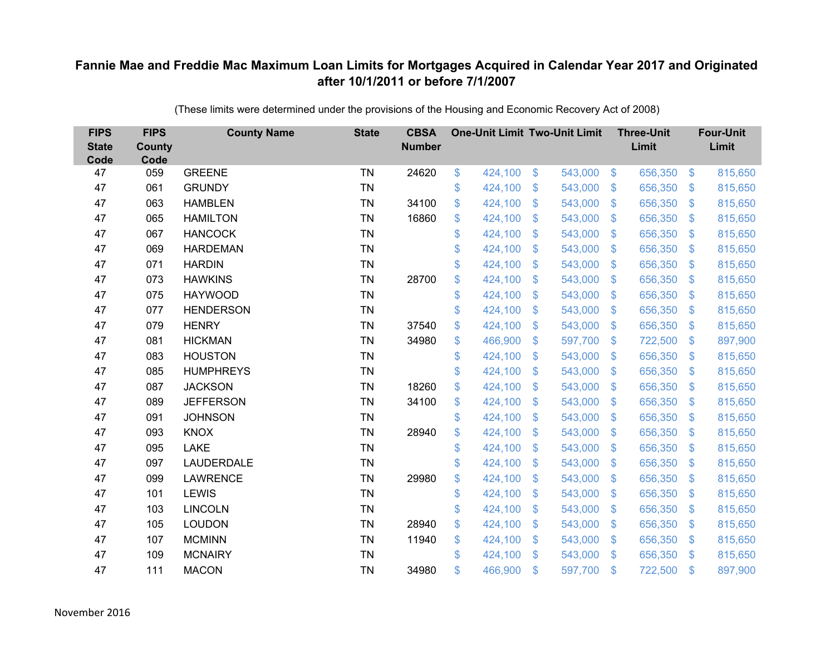| <b>FIPS</b><br><b>State</b><br>Code | <b>FIPS</b><br><b>County</b><br>Code | <b>County Name</b> | <b>State</b> | <b>CBSA</b><br><b>Number</b> |               | <b>One-Unit Limit Two-Unit Limit</b> |                           |         |                         | <b>Three-Unit</b><br>Limit |                         | <b>Four-Unit</b><br>Limit |
|-------------------------------------|--------------------------------------|--------------------|--------------|------------------------------|---------------|--------------------------------------|---------------------------|---------|-------------------------|----------------------------|-------------------------|---------------------------|
| 47                                  | 059                                  | <b>GREENE</b>      | <b>TN</b>    | 24620                        | \$            | 424,100                              | $\boldsymbol{\mathsf{S}}$ | 543,000 | $\sqrt[6]{3}$           | 656,350                    | $\frac{3}{2}$           | 815,650                   |
| 47                                  | 061                                  | <b>GRUNDY</b>      | <b>TN</b>    |                              | \$            | 424,100                              | $\boldsymbol{\mathsf{S}}$ | 543,000 | $\sqrt[6]{3}$           | 656,350                    | \$.                     | 815,650                   |
| 47                                  | 063                                  | <b>HAMBLEN</b>     | <b>TN</b>    | 34100                        | \$            | 424,100                              | $\mathcal{S}$             | 543,000 | $\mathfrak{S}$          | 656,350                    | $\mathfrak{S}$          | 815,650                   |
| 47                                  | 065                                  | <b>HAMILTON</b>    | <b>TN</b>    | 16860                        | \$            | 424,100                              | $\boldsymbol{\mathsf{S}}$ | 543,000 | $\mathfrak{S}$          | 656,350                    | $\mathfrak{S}$          | 815,650                   |
| 47                                  | 067                                  | <b>HANCOCK</b>     | <b>TN</b>    |                              | \$            | 424,100                              | $\boldsymbol{\mathsf{S}}$ | 543,000 | $\mathfrak{S}$          | 656,350                    | $\mathfrak{S}$          | 815,650                   |
| 47                                  | 069                                  | <b>HARDEMAN</b>    | <b>TN</b>    |                              | \$            | 424,100                              | $\mathcal{S}$             | 543,000 | $\mathcal{S}$           | 656,350                    | $\mathfrak{S}$          | 815,650                   |
| 47                                  | 071                                  | <b>HARDIN</b>      | <b>TN</b>    |                              | \$            | 424,100                              | $\boldsymbol{\mathsf{S}}$ | 543,000 | $\sqrt[6]{3}$           | 656,350                    | \$.                     | 815,650                   |
| 47                                  | 073                                  | <b>HAWKINS</b>     | <b>TN</b>    | 28700                        | \$            | 424,100                              | \$                        | 543,000 | $\sqrt[6]{3}$           | 656,350                    | $\mathbb{S}$            | 815,650                   |
| 47                                  | 075                                  | <b>HAYWOOD</b>     | <b>TN</b>    |                              | \$            | 424,100                              | $\mathcal{S}$             | 543,000 | $\mathfrak{S}$          | 656,350                    | $\mathfrak{S}$          | 815,650                   |
| 47                                  | 077                                  | <b>HENDERSON</b>   | <b>TN</b>    |                              | \$            | 424,100                              | \$                        | 543,000 | $\mathfrak{S}$          | 656,350                    | $\mathfrak{S}$          | 815,650                   |
| 47                                  | 079                                  | <b>HENRY</b>       | <b>TN</b>    | 37540                        | \$            | 424,100                              | $\mathfrak{S}$            | 543,000 | $\mathfrak{S}$          | 656,350                    | $\mathfrak{S}$          | 815,650                   |
| 47                                  | 081                                  | <b>HICKMAN</b>     | <b>TN</b>    | 34980                        | \$            | 466,900                              | $\mathfrak{S}$            | 597,700 | $\mathfrak{S}$          | 722,500                    | $\mathfrak{S}$          | 897,900                   |
| 47                                  | 083                                  | <b>HOUSTON</b>     | <b>TN</b>    |                              | \$            | 424,100                              | $\boldsymbol{\mathsf{S}}$ | 543,000 | $\mathfrak{S}$          | 656,350                    | $\mathfrak{S}$          | 815,650                   |
| 47                                  | 085                                  | <b>HUMPHREYS</b>   | <b>TN</b>    |                              | \$            | 424,100                              | \$                        | 543,000 | $\mathbb{S}$            | 656,350                    | $\mathcal{L}$           | 815,650                   |
| 47                                  | 087                                  | <b>JACKSON</b>     | <b>TN</b>    | 18260                        | \$            | 424,100                              | $\boldsymbol{\mathsf{S}}$ | 543,000 | $\sqrt{2}$              | 656,350                    | $\sqrt[6]{\frac{1}{2}}$ | 815,650                   |
| 47                                  | 089                                  | <b>JEFFERSON</b>   | <b>TN</b>    | 34100                        | \$            | 424,100                              | $\boldsymbol{\mathsf{S}}$ | 543,000 | $\mathcal{L}$           | 656,350                    | $\mathcal{L}$           | 815,650                   |
| 47                                  | 091                                  | <b>JOHNSON</b>     | <b>TN</b>    |                              | \$            | 424,100                              | $\mathcal{S}$             | 543,000 | $\mathfrak{S}$          | 656,350                    | $\mathbb{S}$            | 815,650                   |
| 47                                  | 093                                  | <b>KNOX</b>        | <b>TN</b>    | 28940                        | \$            | 424,100                              | $\boldsymbol{\mathsf{S}}$ | 543,000 | $\sqrt[6]{\frac{1}{2}}$ | 656,350                    | $\sqrt[6]{\frac{1}{2}}$ | 815,650                   |
| 47                                  | 095                                  | <b>LAKE</b>        | <b>TN</b>    |                              | \$            | 424,100                              | $\mathfrak{F}$            | 543,000 | $\mathcal{L}$           | 656,350                    | $\mathcal{L}$           | 815,650                   |
| 47                                  | 097                                  | LAUDERDALE         | <b>TN</b>    |                              | $\mathsf{\$}$ | 424,100                              | $\mathcal{S}$             | 543,000 | $\mathfrak{S}$          | 656,350                    | $\mathfrak{S}$          | 815,650                   |
| 47                                  | 099                                  | <b>LAWRENCE</b>    | <b>TN</b>    | 29980                        | \$            | 424,100                              | $\mathfrak{F}$            | 543,000 | $\sqrt[6]{3}$           | 656,350                    | $\mathcal{L}$           | 815,650                   |
| 47                                  | 101                                  | <b>LEWIS</b>       | <b>TN</b>    |                              | \$            | 424,100                              | $\mathcal{S}$             | 543,000 | $\mathfrak{S}$          | 656,350                    | $\mathfrak{S}$          | 815,650                   |
| 47                                  | 103                                  | <b>LINCOLN</b>     | <b>TN</b>    |                              | \$            | 424,100                              | \$                        | 543,000 | $\mathfrak{S}$          | 656,350                    | $\mathfrak{S}$          | 815,650                   |
| 47                                  | 105                                  | <b>LOUDON</b>      | <b>TN</b>    | 28940                        | \$            | 424,100                              | $\boldsymbol{\mathsf{S}}$ | 543,000 | $\sqrt[6]{\frac{1}{2}}$ | 656,350                    | \$                      | 815,650                   |
| 47                                  | 107                                  | <b>MCMINN</b>      | <b>TN</b>    | 11940                        | \$            | 424,100                              | $\boldsymbol{\mathsf{S}}$ | 543,000 | $\sqrt[6]{3}$           | 656,350                    | $\mathbb{S}$            | 815,650                   |
| 47                                  | 109                                  | <b>MCNAIRY</b>     | <b>TN</b>    |                              | \$            | 424,100                              | $\mathcal{S}$             | 543,000 | $\mathbb{S}$            | 656,350                    | $\mathbb{S}$            | 815,650                   |
| 47                                  | 111                                  | <b>MACON</b>       | <b>TN</b>    | 34980                        | $\mathsf{\$}$ | 466,900                              | $\mathcal{S}$             | 597,700 | $\mathfrak{F}$          | 722,500                    | $\mathbf{\$}$           | 897,900                   |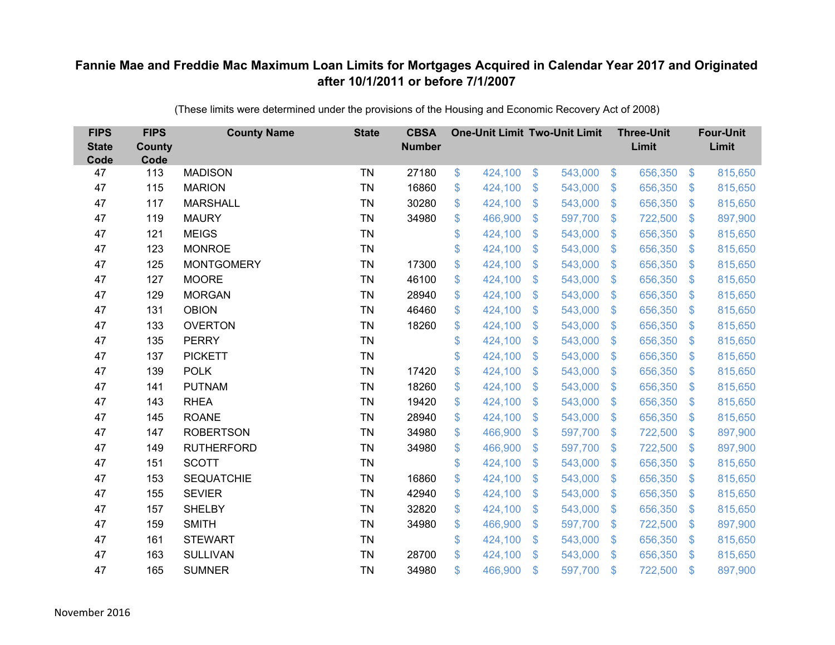| <b>FIPS</b><br><b>State</b><br>Code | <b>FIPS</b><br><b>County</b><br>Code | <b>County Name</b> | <b>State</b> | <b>CBSA</b><br><b>Number</b> | <b>One-Unit Limit Two-Unit Limit</b> |                |         |                | <b>Three-Unit</b><br>Limit |                | <b>Four-Unit</b><br>Limit |
|-------------------------------------|--------------------------------------|--------------------|--------------|------------------------------|--------------------------------------|----------------|---------|----------------|----------------------------|----------------|---------------------------|
| 47                                  | 113                                  | <b>MADISON</b>     | <b>TN</b>    | 27180                        | \$<br>424,100                        | \$             | 543,000 | $\sqrt[6]{3}$  | 656,350                    | $\frac{3}{2}$  | 815,650                   |
| 47                                  | 115                                  | <b>MARION</b>      | <b>TN</b>    | 16860                        | \$<br>424,100                        | \$             | 543,000 | $\sqrt{3}$     | 656,350                    | \$             | 815,650                   |
| 47                                  | 117                                  | <b>MARSHALL</b>    | <b>TN</b>    | 30280                        | \$<br>424,100                        | $\mathfrak{S}$ | 543,000 | $\mathcal{S}$  | 656,350                    | $\mathbf{\$}$  | 815,650                   |
| 47                                  | 119                                  | <b>MAURY</b>       | <b>TN</b>    | 34980                        | \$<br>466,900                        | \$             | 597,700 | $\sqrt[6]{3}$  | 722,500                    | $\sqrt{3}$     | 897,900                   |
| 47                                  | 121                                  | <b>MEIGS</b>       | <b>TN</b>    |                              | \$<br>424,100                        | \$             | 543,000 | $\mathcal{S}$  | 656,350                    | $\mathfrak{S}$ | 815,650                   |
| 47                                  | 123                                  | <b>MONROE</b>      | <b>TN</b>    |                              | \$<br>424,100                        | $\mathfrak{S}$ | 543,000 | $\mathcal{S}$  | 656,350                    | $\mathcal{S}$  | 815,650                   |
| 47                                  | 125                                  | <b>MONTGOMERY</b>  | <b>TN</b>    | 17300                        | \$<br>424,100                        | $\mathfrak{F}$ | 543,000 | $\sqrt{3}$     | 656,350                    | \$             | 815,650                   |
| 47                                  | 127                                  | <b>MOORE</b>       | <b>TN</b>    | 46100                        | \$<br>424,100                        | \$             | 543,000 | $\sqrt{3}$     | 656,350                    | $\sqrt[6]{3}$  | 815,650                   |
| 47                                  | 129                                  | <b>MORGAN</b>      | <b>TN</b>    | 28940                        | \$<br>424,100                        | $\mathfrak{S}$ | 543,000 | $\mathcal{S}$  | 656,350                    | $\mathfrak{S}$ | 815,650                   |
| 47                                  | 131                                  | <b>OBION</b>       | <b>TN</b>    | 46460                        | \$<br>424,100                        | \$             | 543,000 | $\mathbb{S}$   | 656,350                    | $\mathcal{S}$  | 815,650                   |
| 47                                  | 133                                  | <b>OVERTON</b>     | <b>TN</b>    | 18260                        | \$<br>424,100                        | \$             | 543,000 | $\frac{1}{2}$  | 656,350                    | $\mathcal{L}$  | 815,650                   |
| 47                                  | 135                                  | <b>PERRY</b>       | <b>TN</b>    |                              | \$<br>424,100                        | $\mathfrak{S}$ | 543,000 | $\mathfrak{S}$ | 656,350                    | $\mathbf{\$}$  | 815,650                   |
| 47                                  | 137                                  | <b>PICKETT</b>     | <b>TN</b>    |                              | \$<br>424,100                        | \$             | 543,000 | $\sqrt{3}$     | 656,350                    | \$             | 815,650                   |
| 47                                  | 139                                  | <b>POLK</b>        | <b>TN</b>    | 17420                        | \$<br>424,100                        | \$             | 543,000 | $\mathbb{S}$   | 656,350                    | $\mathcal{S}$  | 815,650                   |
| 47                                  | 141                                  | <b>PUTNAM</b>      | <b>TN</b>    | 18260                        | \$<br>424,100                        | \$             | 543,000 | $\sqrt{3}$     | 656,350                    | $\sqrt[6]{3}$  | 815,650                   |
| 47                                  | 143                                  | <b>RHEA</b>        | <b>TN</b>    | 19420                        | \$<br>424,100                        | $\mathfrak{F}$ | 543,000 | $\mathcal{S}$  | 656,350                    | $\mathcal{S}$  | 815,650                   |
| 47                                  | 145                                  | <b>ROANE</b>       | <b>TN</b>    | 28940                        | \$<br>424,100                        | $\mathfrak{S}$ | 543,000 | $\mathcal{S}$  | 656,350                    | $\mathcal{S}$  | 815,650                   |
| 47                                  | 147                                  | <b>ROBERTSON</b>   | <b>TN</b>    | 34980                        | \$<br>466,900                        | \$             | 597,700 | $\sqrt{3}$     | 722,500                    | $\sqrt{3}$     | 897,900                   |
| 47                                  | 149                                  | <b>RUTHERFORD</b>  | <b>TN</b>    | 34980                        | \$<br>466,900                        | \$             | 597,700 | $\sqrt{3}$     | 722,500                    | $\sqrt[6]{3}$  | 897,900                   |
| 47                                  | 151                                  | <b>SCOTT</b>       | <b>TN</b>    |                              | \$<br>424,100                        | \$             | 543,000 | $\mathfrak{S}$ | 656,350                    | $\mathbf{\$}$  | 815,650                   |
| 47                                  | 153                                  | <b>SEQUATCHIE</b>  | <b>TN</b>    | 16860                        | \$<br>424,100                        | \$             | 543,000 | $\sqrt[6]{3}$  | 656,350                    | $\sqrt[6]{3}$  | 815,650                   |
| 47                                  | 155                                  | <b>SEVIER</b>      | <b>TN</b>    | 42940                        | \$<br>424,100                        | \$             | 543,000 | $\mathfrak{S}$ | 656,350                    | $\mathcal{S}$  | 815,650                   |
| 47                                  | 157                                  | <b>SHELBY</b>      | <b>TN</b>    | 32820                        | \$<br>424,100                        | \$             | 543,000 | $\sqrt{3}$     | 656,350                    | $\mathbf{\$}$  | 815,650                   |
| 47                                  | 159                                  | <b>SMITH</b>       | <b>TN</b>    | 34980                        | \$<br>466,900                        | \$             | 597,700 | $\sqrt{3}$     | 722,500                    | \$             | 897,900                   |
| 47                                  | 161                                  | <b>STEWART</b>     | <b>TN</b>    |                              | \$<br>424,100                        | \$             | 543,000 | $\sqrt{3}$     | 656,350                    | $\mathcal{S}$  | 815,650                   |
| 47                                  | 163                                  | <b>SULLIVAN</b>    | <b>TN</b>    | 28700                        | \$<br>424,100                        | $\mathcal{S}$  | 543,000 | $\mathbf{\$}$  | 656,350                    | $\mathfrak{S}$ | 815,650                   |
| 47                                  | 165                                  | <b>SUMNER</b>      | <b>TN</b>    | 34980                        | \$<br>466,900                        | \$             | 597,700 | \$             | 722,500                    | $\mathbf{\$}$  | 897,900                   |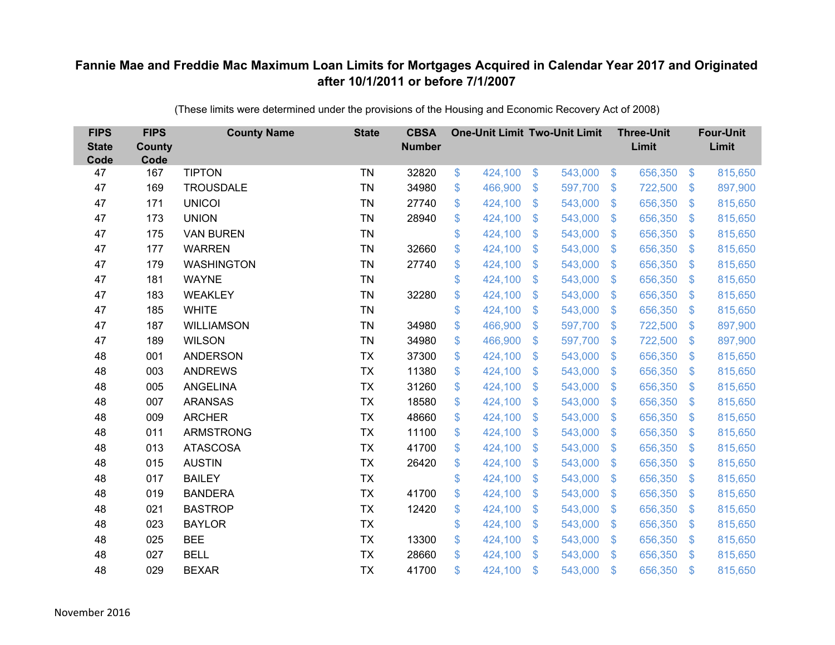| <b>FIPS</b><br><b>State</b><br>Code | <b>FIPS</b><br><b>County</b><br>Code | <b>County Name</b> | <b>State</b> | <b>CBSA</b><br><b>Number</b> | <b>One-Unit Limit Two-Unit Limit</b> |                           |         |                         | <b>Three-Unit</b><br>Limit |                         | <b>Four-Unit</b><br>Limit |
|-------------------------------------|--------------------------------------|--------------------|--------------|------------------------------|--------------------------------------|---------------------------|---------|-------------------------|----------------------------|-------------------------|---------------------------|
| 47                                  | 167                                  | <b>TIPTON</b>      | <b>TN</b>    | 32820                        | \$<br>424,100                        | $\frac{1}{2}$             | 543,000 | $\frac{1}{2}$           | 656,350                    | $\boldsymbol{\$}$       | 815,650                   |
| 47                                  | 169                                  | <b>TROUSDALE</b>   | <b>TN</b>    | 34980                        | \$<br>466,900                        | \$                        | 597,700 | $\sqrt[6]{\frac{1}{2}}$ | 722,500                    | $\mathfrak{S}$          | 897,900                   |
| 47                                  | 171                                  | <b>UNICOI</b>      | <b>TN</b>    | 27740                        | \$<br>424,100                        | $\mathcal{S}$             | 543,000 | $\mathfrak{S}$          | 656,350                    | $\mathfrak{S}$          | 815,650                   |
| 47                                  | 173                                  | <b>UNION</b>       | <b>TN</b>    | 28940                        | \$<br>424,100                        | \$                        | 543,000 | $\sqrt[6]{\frac{1}{2}}$ | 656,350                    | $\sqrt[6]{\frac{1}{2}}$ | 815,650                   |
| 47                                  | 175                                  | <b>VAN BUREN</b>   | <b>TN</b>    |                              | \$<br>424,100                        | $\boldsymbol{\mathsf{S}}$ | 543,000 | $\sqrt[6]{\frac{1}{2}}$ | 656,350                    | $\mathfrak{S}$          | 815,650                   |
| 47                                  | 177                                  | <b>WARREN</b>      | <b>TN</b>    | 32660                        | \$<br>424,100                        | $\mathfrak{S}$            | 543,000 | $\mathfrak{S}$          | 656,350                    | $\mathfrak{S}$          | 815,650                   |
| 47                                  | 179                                  | <b>WASHINGTON</b>  | <b>TN</b>    | 27740                        | \$<br>424,100                        | $\mathfrak{F}$            | 543,000 | $\sqrt[6]{\frac{1}{2}}$ | 656,350                    | $\sqrt[6]{3}$           | 815,650                   |
| 47                                  | 181                                  | <b>WAYNE</b>       | <b>TN</b>    |                              | \$<br>424,100                        | \$                        | 543,000 | $\sqrt[6]{3}$           | 656,350                    | $\sqrt[6]{3}$           | 815,650                   |
| 47                                  | 183                                  | <b>WEAKLEY</b>     | <b>TN</b>    | 32280                        | \$<br>424,100                        | $\mathcal{S}$             | 543,000 | $\mathfrak{S}$          | 656,350                    | $\mathfrak{S}$          | 815,650                   |
| 47                                  | 185                                  | <b>WHITE</b>       | <b>TN</b>    |                              | \$<br>424,100                        | $\boldsymbol{\mathsf{S}}$ | 543,000 | $\mathfrak{S}$          | 656,350                    | $\mathfrak{S}$          | 815,650                   |
| 47                                  | 187                                  | <b>WILLIAMSON</b>  | <b>TN</b>    | 34980                        | \$<br>466,900                        | \$                        | 597,700 | $\sqrt[6]{3}$           | 722,500                    | $\sqrt[6]{3}$           | 897,900                   |
| 47                                  | 189                                  | <b>WILSON</b>      | <b>TN</b>    | 34980                        | \$<br>466,900                        | $\boldsymbol{\mathsf{S}}$ | 597,700 | $\mathfrak{S}$          | 722,500                    | $\mathfrak{S}$          | 897,900                   |
| 48                                  | 001                                  | <b>ANDERSON</b>    | <b>TX</b>    | 37300                        | \$<br>424,100                        | $\boldsymbol{\mathsf{S}}$ | 543,000 | $\sqrt[6]{3}$           | 656,350                    | $\mathfrak{S}$          | 815,650                   |
| 48                                  | 003                                  | <b>ANDREWS</b>     | <b>TX</b>    | 11380                        | \$<br>424,100                        | $\mathbf{\$}$             | 543,000 | $\mathbb{S}$            | 656,350                    | $\mathfrak{S}$          | 815,650                   |
| 48                                  | 005                                  | <b>ANGELINA</b>    | <b>TX</b>    | 31260                        | \$<br>424,100                        | \$                        | 543,000 | $\sqrt[6]{3}$           | 656,350                    | $\sqrt[6]{3}$           | 815,650                   |
| 48                                  | 007                                  | <b>ARANSAS</b>     | <b>TX</b>    | 18580                        | \$<br>424,100                        | $\boldsymbol{\mathsf{S}}$ | 543,000 | $\mathcal{S}$           | 656,350                    | $\mathfrak{S}$          | 815,650                   |
| 48                                  | 009                                  | <b>ARCHER</b>      | <b>TX</b>    | 48660                        | \$<br>424,100                        | $\mathfrak{S}$            | 543,000 | $\sqrt{3}$              | 656,350                    | $\mathbb{S}$            | 815,650                   |
| 48                                  | 011                                  | <b>ARMSTRONG</b>   | <b>TX</b>    | 11100                        | \$<br>424,100                        | $\boldsymbol{\mathsf{S}}$ | 543,000 | $\sqrt{2}$              | 656,350                    | $\sqrt[6]{3}$           | 815,650                   |
| 48                                  | 013                                  | <b>ATASCOSA</b>    | <b>TX</b>    | 41700                        | \$<br>424,100                        | \$                        | 543,000 | $\sqrt[6]{3}$           | 656,350                    | $\mathfrak{S}$          | 815,650                   |
| 48                                  | 015                                  | <b>AUSTIN</b>      | <b>TX</b>    | 26420                        | \$<br>424,100                        | $\boldsymbol{\mathsf{S}}$ | 543,000 | $\mathfrak{S}$          | 656,350                    | $\mathfrak{S}$          | 815,650                   |
| 48                                  | 017                                  | <b>BAILEY</b>      | <b>TX</b>    |                              | \$<br>424,100                        | \$                        | 543,000 | $\sqrt[6]{3}$           | 656,350                    | $\sqrt[6]{3}$           | 815,650                   |
| 48                                  | 019                                  | <b>BANDERA</b>     | <b>TX</b>    | 41700                        | \$<br>424,100                        | $\boldsymbol{\mathsf{S}}$ | 543,000 | $\mathfrak{S}$          | 656,350                    | $\mathfrak{S}$          | 815,650                   |
| 48                                  | 021                                  | <b>BASTROP</b>     | <b>TX</b>    | 12420                        | \$<br>424,100                        | \$                        | 543,000 | $\sqrt[6]{3}$           | 656,350                    | $\mathfrak{S}$          | 815,650                   |
| 48                                  | 023                                  | <b>BAYLOR</b>      | <b>TX</b>    |                              | \$<br>424,100                        | $\boldsymbol{\mathsf{S}}$ | 543,000 | $\sqrt[6]{3}$           | 656,350                    | $\mathfrak{F}$          | 815,650                   |
| 48                                  | 025                                  | <b>BEE</b>         | <b>TX</b>    | 13300                        | \$<br>424,100                        | $\mathfrak{S}$            | 543,000 | $\sqrt[6]{3}$           | 656,350                    | $\mathcal{L}$           | 815,650                   |
| 48                                  | 027                                  | <b>BELL</b>        | <b>TX</b>    | 28660                        | \$<br>424,100                        | $\mathcal{S}$             | 543,000 | $\mathbb{S}$            | 656,350                    | $\mathfrak{S}$          | 815,650                   |
| 48                                  | 029                                  | <b>BEXAR</b>       | <b>TX</b>    | 41700                        | \$<br>424,100                        | $\mathcal{S}$             | 543,000 | $\mathfrak{F}$          | 656,350                    | \$                      | 815,650                   |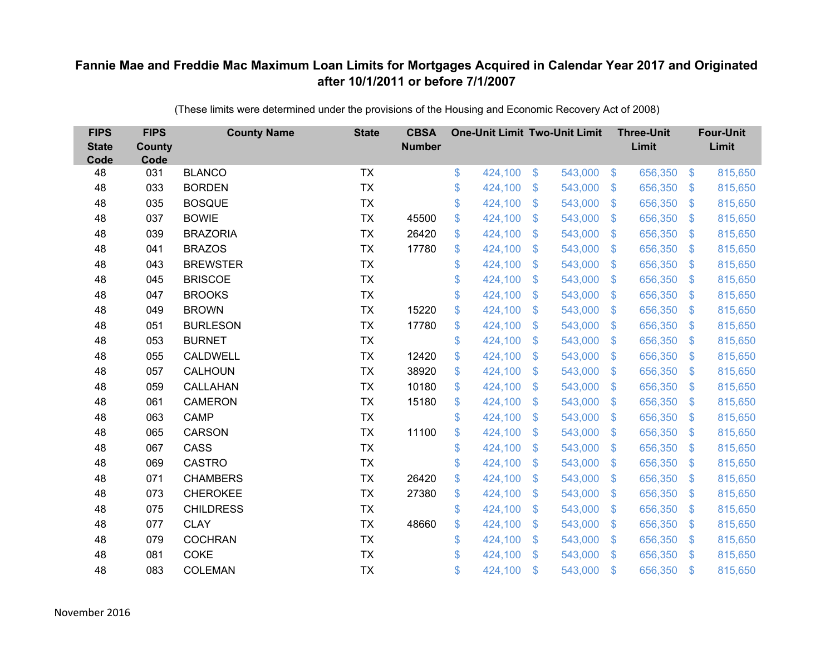| <b>FIPS</b><br><b>State</b><br>Code | <b>FIPS</b><br><b>County</b><br>Code | <b>County Name</b> | <b>State</b> | <b>CBSA</b><br><b>Number</b> | <b>One-Unit Limit Two-Unit Limit</b> |                |         |                | <b>Three-Unit</b><br>Limit |                | <b>Four-Unit</b><br>Limit |
|-------------------------------------|--------------------------------------|--------------------|--------------|------------------------------|--------------------------------------|----------------|---------|----------------|----------------------------|----------------|---------------------------|
| 48                                  | 031                                  | <b>BLANCO</b>      | <b>TX</b>    |                              | \$<br>424,100                        | \$             | 543,000 | $\sqrt[6]{3}$  | 656,350                    | $\frac{3}{2}$  | 815,650                   |
| 48                                  | 033                                  | <b>BORDEN</b>      | <b>TX</b>    |                              | \$<br>424,100                        | \$             | 543,000 | $\sqrt[6]{3}$  | 656,350                    | $\mathbb{S}$   | 815,650                   |
| 48                                  | 035                                  | <b>BOSQUE</b>      | <b>TX</b>    |                              | \$<br>424,100                        | $\mathfrak{S}$ | 543,000 | $\mathbb{S}$   | 656,350                    | $\mathfrak{S}$ | 815,650                   |
| 48                                  | 037                                  | <b>BOWIE</b>       | <b>TX</b>    | 45500                        | \$<br>424,100                        | \$             | 543,000 | $\mathfrak{F}$ | 656,350                    | $\mathcal{L}$  | 815,650                   |
| 48                                  | 039                                  | <b>BRAZORIA</b>    | <b>TX</b>    | 26420                        | \$<br>424,100                        | \$             | 543,000 | $\mathfrak{F}$ | 656,350                    | $\mathbb{S}$   | 815,650                   |
| 48                                  | 041                                  | <b>BRAZOS</b>      | <b>TX</b>    | 17780                        | \$<br>424,100                        | $\mathfrak{S}$ | 543,000 | $\mathbf{\$}$  | 656,350                    | $\mathfrak{S}$ | 815,650                   |
| 48                                  | 043                                  | <b>BREWSTER</b>    | <b>TX</b>    |                              | \$<br>424,100                        | \$             | 543,000 | $\mathfrak{S}$ | 656,350                    | $\mathbb{S}$   | 815,650                   |
| 48                                  | 045                                  | <b>BRISCOE</b>     | <b>TX</b>    |                              | \$<br>424,100                        | \$             | 543,000 | $\mathfrak{F}$ | 656,350                    | $\mathbb{S}$   | 815,650                   |
| 48                                  | 047                                  | <b>BROOKS</b>      | <b>TX</b>    |                              | \$<br>424,100                        | $\mathfrak{S}$ | 543,000 | $\mathbb{S}$   | 656,350                    | $\mathfrak{S}$ | 815,650                   |
| 48                                  | 049                                  | <b>BROWN</b>       | <b>TX</b>    | 15220                        | \$<br>424,100                        | \$             | 543,000 | $\mathcal{S}$  | 656,350                    | $\mathfrak{S}$ | 815,650                   |
| 48                                  | 051                                  | <b>BURLESON</b>    | <b>TX</b>    | 17780                        | \$<br>424,100                        | $\mathfrak{S}$ | 543,000 | $\mathbb{S}$   | 656,350                    | $\mathfrak{S}$ | 815,650                   |
| 48                                  | 053                                  | <b>BURNET</b>      | <b>TX</b>    |                              | \$<br>424,100                        | $\mathfrak{S}$ | 543,000 | $\mathbb{S}$   | 656,350                    | $\mathfrak{S}$ | 815,650                   |
| 48                                  | 055                                  | <b>CALDWELL</b>    | <b>TX</b>    | 12420                        | \$<br>424,100                        | $\mathfrak{S}$ | 543,000 | $\mathfrak{S}$ | 656,350                    | $\mathfrak{S}$ | 815,650                   |
| 48                                  | 057                                  | <b>CALHOUN</b>     | <b>TX</b>    | 38920                        | \$<br>424,100                        | \$             | 543,000 | S.             | 656,350                    | $\mathbb{S}$   | 815,650                   |
| 48                                  | 059                                  | CALLAHAN           | <b>TX</b>    | 10180                        | \$<br>424,100                        | \$             | 543,000 | $\mathfrak{S}$ | 656,350                    | $\sqrt[6]{3}$  | 815,650                   |
| 48                                  | 061                                  | <b>CAMERON</b>     | <b>TX</b>    | 15180                        | \$<br>424,100                        | \$             | 543,000 | $\mathfrak{S}$ | 656,350                    | $\mathfrak{S}$ | 815,650                   |
| 48                                  | 063                                  | <b>CAMP</b>        | <b>TX</b>    |                              | \$<br>424,100                        | $\mathfrak{S}$ | 543,000 | $\mathbf{\$}$  | 656,350                    | $\mathbb{S}$   | 815,650                   |
| 48                                  | 065                                  | CARSON             | <b>TX</b>    | 11100                        | \$<br>424,100                        | \$             | 543,000 | $\mathfrak{S}$ | 656,350                    | $\mathfrak{S}$ | 815,650                   |
| 48                                  | 067                                  | CASS               | <b>TX</b>    |                              | \$<br>424,100                        | \$             | 543,000 | $\sqrt[6]{3}$  | 656,350                    | $\mathfrak{S}$ | 815,650                   |
| 48                                  | 069                                  | <b>CASTRO</b>      | <b>TX</b>    |                              | \$<br>424,100                        | $\mathfrak{S}$ | 543,000 | $\mathbb{S}$   | 656,350                    | $\mathfrak{S}$ | 815,650                   |
| 48                                  | 071                                  | <b>CHAMBERS</b>    | <b>TX</b>    | 26420                        | \$<br>424,100                        | \$             | 543,000 | $\sqrt[6]{3}$  | 656,350                    | $\mathfrak{S}$ | 815,650                   |
| 48                                  | 073                                  | <b>CHEROKEE</b>    | <b>TX</b>    | 27380                        | \$<br>424,100                        | $\mathfrak{S}$ | 543,000 | $\mathbb{S}$   | 656,350                    | $\mathbb{S}$   | 815,650                   |
| 48                                  | 075                                  | <b>CHILDRESS</b>   | <b>TX</b>    |                              | \$<br>424,100                        | \$             | 543,000 | $\mathbb{S}$   | 656,350                    | $\mathfrak{S}$ | 815,650                   |
| 48                                  | 077                                  | <b>CLAY</b>        | <b>TX</b>    | 48660                        | \$<br>424,100                        | \$             | 543,000 | $\mathfrak{S}$ | 656,350                    | $\mathfrak{F}$ | 815,650                   |
| 48                                  | 079                                  | <b>COCHRAN</b>     | <b>TX</b>    |                              | \$<br>424,100                        | \$             | 543,000 | $\sqrt[6]{3}$  | 656,350                    | $\mathbb{S}$   | 815,650                   |
| 48                                  | 081                                  | <b>COKE</b>        | <b>TX</b>    |                              | \$<br>424,100                        | $\mathfrak{S}$ | 543,000 | $\mathbb{S}$   | 656,350                    | $\mathbf{\$}$  | 815,650                   |
| 48                                  | 083                                  | <b>COLEMAN</b>     | <b>TX</b>    |                              | \$<br>424,100                        | \$             | 543,000 | $\mathfrak{s}$ | 656,350                    | $\mathbf{\$}$  | 815,650                   |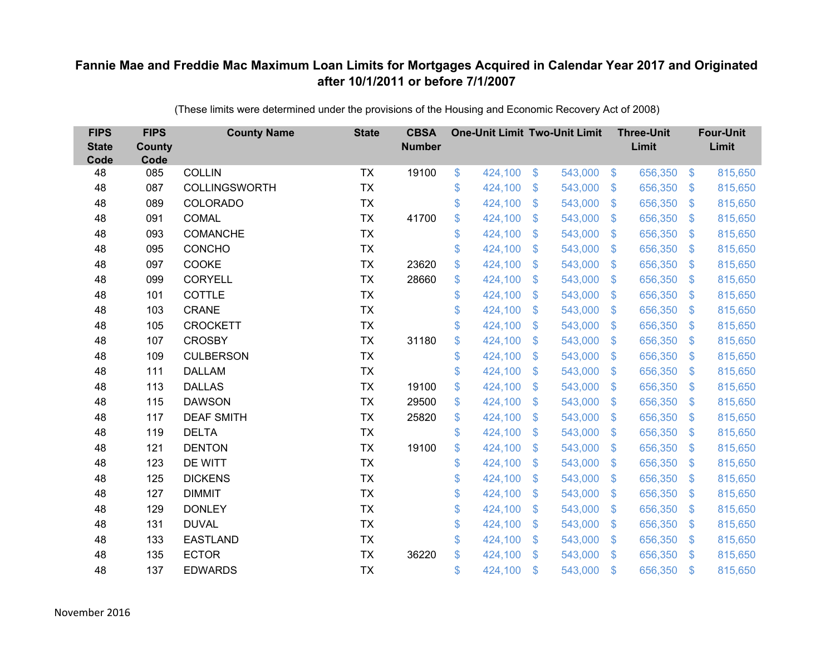| <b>FIPS</b><br><b>State</b><br>Code | <b>FIPS</b><br><b>County</b><br>Code | <b>County Name</b>   | <b>State</b> | <b>CBSA</b><br><b>Number</b> | <b>One-Unit Limit Two-Unit Limit</b> |                           |         |                | <b>Three-Unit</b><br>Limit |                | <b>Four-Unit</b><br>Limit |
|-------------------------------------|--------------------------------------|----------------------|--------------|------------------------------|--------------------------------------|---------------------------|---------|----------------|----------------------------|----------------|---------------------------|
| 48                                  | 085                                  | <b>COLLIN</b>        | <b>TX</b>    | 19100                        | \$<br>424,100                        | \$                        | 543,000 | $\sqrt{3}$     | 656,350                    | $\frac{3}{2}$  | 815,650                   |
| 48                                  | 087                                  | <b>COLLINGSWORTH</b> | <b>TX</b>    |                              | \$<br>424,100                        | \$                        | 543,000 | $\sqrt[6]{3}$  | 656,350                    | $\mathfrak{F}$ | 815,650                   |
| 48                                  | 089                                  | <b>COLORADO</b>      | <b>TX</b>    |                              | \$<br>424,100                        | $\mathcal{S}$             | 543,000 | $\mathfrak{S}$ | 656,350                    | $\mathbf{\$}$  | 815,650                   |
| 48                                  | 091                                  | <b>COMAL</b>         | <b>TX</b>    | 41700                        | \$<br>424,100                        | $\frac{1}{2}$             | 543,000 | $\mathfrak{S}$ | 656,350                    | $\mathcal{S}$  | 815,650                   |
| 48                                  | 093                                  | COMANCHE             | <b>TX</b>    |                              | \$<br>424,100                        | $\boldsymbol{\mathsf{S}}$ | 543,000 | $\mathfrak{F}$ | 656,350                    | <sup>\$</sup>  | 815,650                   |
| 48                                  | 095                                  | <b>CONCHO</b>        | <b>TX</b>    |                              | \$<br>424,100                        | $\mathcal{S}$             | 543,000 | $\mathfrak{S}$ | 656,350                    | \$.            | 815,650                   |
| 48                                  | 097                                  | COOKE                | <b>TX</b>    | 23620                        | \$<br>424,100                        | $\boldsymbol{\mathsf{S}}$ | 543,000 | $\sqrt[6]{3}$  | 656,350                    | $\mathfrak{F}$ | 815,650                   |
| 48                                  | 099                                  | <b>CORYELL</b>       | <b>TX</b>    | 28660                        | \$<br>424,100                        | $\boldsymbol{\mathsf{S}}$ | 543,000 | $\sqrt[6]{3}$  | 656,350                    | $\mathcal{S}$  | 815,650                   |
| 48                                  | 101                                  | COTTLE               | <b>TX</b>    |                              | \$<br>424,100                        | $\mathcal{S}$             | 543,000 | $\mathfrak{S}$ | 656,350                    | $\mathfrak{S}$ | 815,650                   |
| 48                                  | 103                                  | <b>CRANE</b>         | <b>TX</b>    |                              | \$<br>424,100                        | $\mathfrak{S}$            | 543,000 | $\mathbb{S}$   | 656,350                    | $\mathcal{S}$  | 815,650                   |
| 48                                  | 105                                  | <b>CROCKETT</b>      | <b>TX</b>    |                              | \$<br>424,100                        | \$                        | 543,000 | $\mathfrak{S}$ | 656,350                    | $\mathcal{S}$  | 815,650                   |
| 48                                  | 107                                  | <b>CROSBY</b>        | <b>TX</b>    | 31180                        | \$<br>424,100                        | $\mathfrak{S}$            | 543,000 | $\mathfrak{S}$ | 656,350                    | $\mathbf{\$}$  | 815,650                   |
| 48                                  | 109                                  | <b>CULBERSON</b>     | <b>TX</b>    |                              | \$<br>424,100                        | \$                        | 543,000 | $\sqrt[6]{3}$  | 656,350                    | $\mathfrak{F}$ | 815,650                   |
| 48                                  | 111                                  | <b>DALLAM</b>        | <b>TX</b>    |                              | \$<br>424,100                        | $\mathbf{\$}$             | 543,000 | $\mathbb{S}$   | 656,350                    | $\mathcal{S}$  | 815,650                   |
| 48                                  | 113                                  | <b>DALLAS</b>        | <b>TX</b>    | 19100                        | \$<br>424,100                        | $\boldsymbol{\mathsf{S}}$ | 543,000 | $\sqrt[6]{3}$  | 656,350                    | $\mathcal{S}$  | 815,650                   |
| 48                                  | 115                                  | <b>DAWSON</b>        | <b>TX</b>    | 29500                        | \$<br>424,100                        | $\boldsymbol{\mathsf{S}}$ | 543,000 | $\mathfrak{S}$ | 656,350                    | $\mathcal{S}$  | 815,650                   |
| 48                                  | 117                                  | <b>DEAF SMITH</b>    | <b>TX</b>    | 25820                        | \$<br>424,100                        | \$                        | 543,000 | $\mathfrak{S}$ | 656,350                    | $\mathbf{\$}$  | 815,650                   |
| 48                                  | 119                                  | <b>DELTA</b>         | <b>TX</b>    |                              | \$<br>424,100                        | $\boldsymbol{\mathsf{S}}$ | 543,000 | $\sqrt[6]{3}$  | 656,350                    | $\mathcal{S}$  | 815,650                   |
| 48                                  | 121                                  | <b>DENTON</b>        | <b>TX</b>    | 19100                        | \$<br>424,100                        | $\boldsymbol{\mathsf{S}}$ | 543,000 | $\sqrt[6]{3}$  | 656,350                    | $\mathcal{S}$  | 815,650                   |
| 48                                  | 123                                  | DE WITT              | <b>TX</b>    |                              | \$<br>424,100                        | $\boldsymbol{\mathsf{S}}$ | 543,000 | $\mathfrak{S}$ | 656,350                    | $\sqrt{3}$     | 815,650                   |
| 48                                  | 125                                  | <b>DICKENS</b>       | <b>TX</b>    |                              | \$<br>424,100                        | $\boldsymbol{\mathsf{S}}$ | 543,000 | $\sqrt[6]{3}$  | 656,350                    | $\mathcal{S}$  | 815,650                   |
| 48                                  | 127                                  | <b>DIMMIT</b>        | <b>TX</b>    |                              | \$<br>424,100                        | $\boldsymbol{\mathsf{S}}$ | 543,000 | $\mathfrak{S}$ | 656,350                    | $\mathcal{S}$  | 815,650                   |
| 48                                  | 129                                  | <b>DONLEY</b>        | <b>TX</b>    |                              | \$<br>424,100                        | $\boldsymbol{\mathsf{S}}$ | 543,000 | $\mathfrak{S}$ | 656,350                    | $\mathbf{\$}$  | 815,650                   |
| 48                                  | 131                                  | <b>DUVAL</b>         | <b>TX</b>    |                              | \$<br>424,100                        | $\boldsymbol{\mathsf{S}}$ | 543,000 | $\sqrt[6]{3}$  | 656,350                    | $\mathfrak{F}$ | 815,650                   |
| 48                                  | 133                                  | <b>EASTLAND</b>      | <b>TX</b>    |                              | \$<br>424,100                        | $\boldsymbol{\mathsf{S}}$ | 543,000 | $\sqrt[6]{3}$  | 656,350                    | $\mathcal{S}$  | 815,650                   |
| 48                                  | 135                                  | <b>ECTOR</b>         | <b>TX</b>    | 36220                        | \$<br>424,100                        | $\mathcal{S}$             | 543,000 | $\mathbb{S}$   | 656,350                    | <sup>\$</sup>  | 815,650                   |
| 48                                  | 137                                  | <b>EDWARDS</b>       | <b>TX</b>    |                              | \$<br>424,100                        | $\mathcal{S}$             | 543,000 | $\mathfrak{F}$ | 656,350                    | \$             | 815,650                   |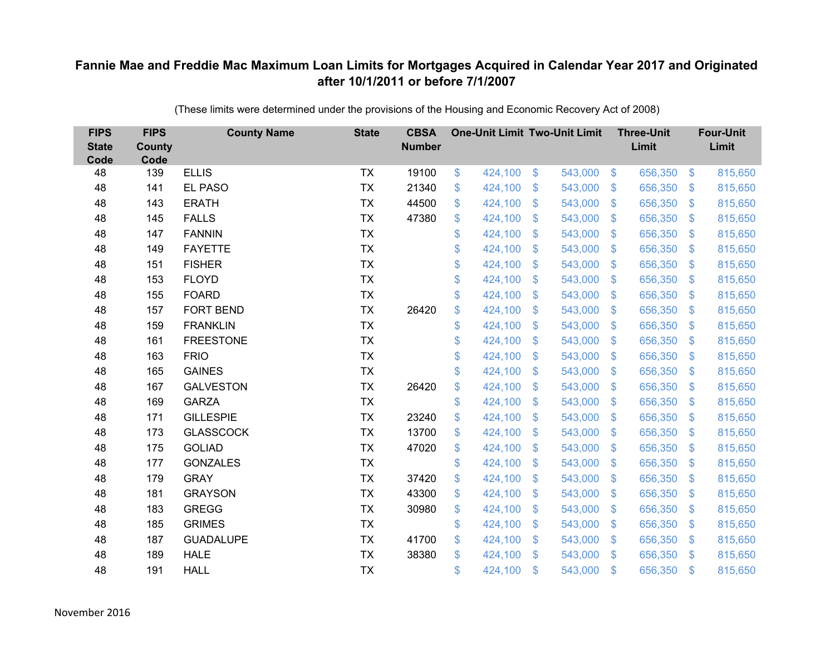| <b>FIPS</b><br><b>State</b><br>Code | <b>FIPS</b><br><b>County</b><br>Code | <b>County Name</b> | <b>State</b> | <b>CBSA</b><br><b>Number</b> | <b>One-Unit Limit Two-Unit Limit</b> |                |         |                           | <b>Three-Unit</b><br>Limit |                           | <b>Four-Unit</b><br>Limit |
|-------------------------------------|--------------------------------------|--------------------|--------------|------------------------------|--------------------------------------|----------------|---------|---------------------------|----------------------------|---------------------------|---------------------------|
| 48                                  | 139                                  | <b>ELLIS</b>       | <b>TX</b>    | 19100                        | \$<br>424,100                        | $\mathfrak{F}$ | 543,000 | $\sqrt[6]{3}$             | 656,350                    | $\mathfrak{F}$            | 815,650                   |
| 48                                  | 141                                  | <b>EL PASO</b>     | <b>TX</b>    | 21340                        | \$<br>424,100                        | \$             | 543,000 | $\mathcal{S}$             | 656,350                    | $\mathcal{S}$             | 815,650                   |
| 48                                  | 143                                  | <b>ERATH</b>       | <b>TX</b>    | 44500                        | \$<br>424,100                        | \$             | 543,000 | $\sqrt[6]{\frac{1}{2}}$   | 656,350                    | $\boldsymbol{\mathsf{S}}$ | 815,650                   |
| 48                                  | 145                                  | <b>FALLS</b>       | <b>TX</b>    | 47380                        | \$<br>424,100                        | \$             | 543,000 | $\sqrt[6]{3}$             | 656,350                    | $\mathcal{L}$             | 815,650                   |
| 48                                  | 147                                  | <b>FANNIN</b>      | <b>TX</b>    |                              | \$<br>424,100                        | \$             | 543,000 | $\mathfrak{F}$            | 656,350                    | $\mathfrak{F}$            | 815,650                   |
| 48                                  | 149                                  | <b>FAYETTE</b>     | <b>TX</b>    |                              | \$<br>424,100                        | \$             | 543,000 | $\sqrt[6]{3}$             | 656,350                    | $\mathfrak{S}$            | 815,650                   |
| 48                                  | 151                                  | <b>FISHER</b>      | <b>TX</b>    |                              | \$<br>424,100                        | \$             | 543,000 | $\mathfrak{F}$            | 656,350                    | $\mathfrak{F}$            | 815,650                   |
| 48                                  | 153                                  | <b>FLOYD</b>       | <b>TX</b>    |                              | \$<br>424,100                        | \$             | 543,000 | $\mathbf{\$}$             | 656,350                    | $\mathfrak{S}$            | 815,650                   |
| 48                                  | 155                                  | <b>FOARD</b>       | <b>TX</b>    |                              | \$<br>424,100                        | \$             | 543,000 | $\boldsymbol{\mathsf{S}}$ | 656,350                    | $\mathcal{L}$             | 815,650                   |
| 48                                  | 157                                  | <b>FORT BEND</b>   | <b>TX</b>    | 26420                        | \$<br>424,100                        | \$             | 543,000 | $\mathbb{S}$              | 656,350                    | S.                        | 815,650                   |
| 48                                  | 159                                  | <b>FRANKLIN</b>    | <b>TX</b>    |                              | \$<br>424,100                        | \$             | 543,000 | $\mathfrak{S}$            | 656,350                    | $\frac{1}{2}$             | 815,650                   |
| 48                                  | 161                                  | <b>FREESTONE</b>   | <b>TX</b>    |                              | \$<br>424,100                        | \$             | 543,000 | $\mathcal{L}$             | 656,350                    | $\mathcal{L}$             | 815,650                   |
| 48                                  | 163                                  | <b>FRIO</b>        | <b>TX</b>    |                              | \$<br>424,100                        | \$             | 543,000 | $\mathfrak{F}$            | 656,350                    | $\mathfrak{F}$            | 815,650                   |
| 48                                  | 165                                  | <b>GAINES</b>      | <b>TX</b>    |                              | \$<br>424,100                        | \$             | 543,000 | $\mathfrak{F}$            | 656,350                    | \$.                       | 815,650                   |
| 48                                  | 167                                  | <b>GALVESTON</b>   | <b>TX</b>    | 26420                        | \$<br>424,100                        | \$             | 543,000 | $\mathfrak{S}$            | 656,350                    | $\mathfrak{F}$            | 815,650                   |
| 48                                  | 169                                  | <b>GARZA</b>       | <b>TX</b>    |                              | \$<br>424,100                        | \$             | 543,000 | $\mathcal{L}$             | 656,350                    | $\boldsymbol{\mathsf{S}}$ | 815,650                   |
| 48                                  | 171                                  | <b>GILLESPIE</b>   | <b>TX</b>    | 23240                        | \$<br>424,100                        | \$             | 543,000 | $\mathfrak{S}$            | 656,350                    | $\mathfrak{F}$            | 815,650                   |
| 48                                  | 173                                  | <b>GLASSCOCK</b>   | <b>TX</b>    | 13700                        | \$<br>424,100                        | \$             | 543,000 | $\mathfrak{F}$            | 656,350                    | $\mathcal{L}$             | 815,650                   |
| 48                                  | 175                                  | <b>GOLIAD</b>      | <b>TX</b>    | 47020                        | \$<br>424,100                        | \$             | 543,000 | $\sqrt[6]{3}$             | 656,350                    | $\mathfrak{F}$            | 815,650                   |
| 48                                  | 177                                  | <b>GONZALES</b>    | <b>TX</b>    |                              | \$<br>424,100                        | \$             | 543,000 | $\mathfrak{F}$            | 656,350                    | $\boldsymbol{\mathsf{S}}$ | 815,650                   |
| 48                                  | 179                                  | <b>GRAY</b>        | <b>TX</b>    | 37420                        | \$<br>424,100                        | \$             | 543,000 | $\mathbf{\$}$             | 656,350                    | $\mathfrak{F}$            | 815,650                   |
| 48                                  | 181                                  | <b>GRAYSON</b>     | <b>TX</b>    | 43300                        | \$<br>424,100                        | \$             | 543,000 | $\mathbf{\$}$             | 656,350                    | $\mathcal{L}$             | 815,650                   |
| 48                                  | 183                                  | <b>GREGG</b>       | <b>TX</b>    | 30980                        | \$<br>424,100                        | \$             | 543,000 | $\sqrt[6]{3}$             | 656,350                    | $\mathfrak{S}$            | 815,650                   |
| 48                                  | 185                                  | <b>GRIMES</b>      | <b>TX</b>    |                              | \$<br>424,100                        | \$             | 543,000 | $\sqrt[6]{\frac{1}{2}}$   | 656,350                    | $\boldsymbol{\mathsf{S}}$ | 815,650                   |
| 48                                  | 187                                  | <b>GUADALUPE</b>   | <b>TX</b>    | 41700                        | \$<br>424,100                        | \$             | 543,000 | $\mathcal{S}$             | 656,350                    | $\mathfrak{F}$            | 815,650                   |
| 48                                  | 189                                  | <b>HALE</b>        | <b>TX</b>    | 38380                        | \$<br>424,100                        | \$             | 543,000 | $\mathbf{\$}$             | 656,350                    | $\mathbf{\$}$             | 815,650                   |
| 48                                  | 191                                  | <b>HALL</b>        | <b>TX</b>    |                              | \$<br>424,100                        | \$             | 543,000 | $\mathfrak{s}$            | 656,350                    | $\mathfrak{s}$            | 815,650                   |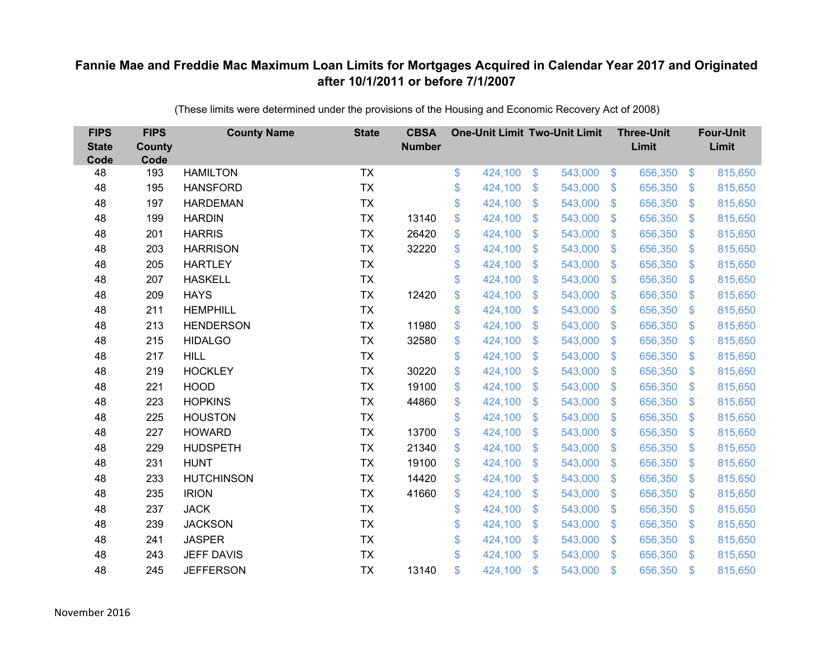| <b>FIPS</b><br><b>State</b><br>Code | <b>FIPS</b><br><b>County</b><br>Code | <b>County Name</b> | <b>State</b> | <b>CBSA</b><br><b>Number</b> | <b>One-Unit Limit Two-Unit Limit</b> |                |         |                | <b>Three-Unit</b><br>Limit |                           | <b>Four-Unit</b><br>Limit |
|-------------------------------------|--------------------------------------|--------------------|--------------|------------------------------|--------------------------------------|----------------|---------|----------------|----------------------------|---------------------------|---------------------------|
| 48                                  | 193                                  | <b>HAMILTON</b>    | <b>TX</b>    |                              | \$<br>424,100                        | $\frac{1}{2}$  | 543,000 | $\sqrt[6]{3}$  | 656,350                    | $\mathfrak{F}$            | 815,650                   |
| 48                                  | 195                                  | <b>HANSFORD</b>    | <b>TX</b>    |                              | \$<br>424,100                        | \$             | 543,000 | $\sqrt{3}$     | 656,350                    | $\mathcal{L}$             | 815,650                   |
| 48                                  | 197                                  | <b>HARDEMAN</b>    | <b>TX</b>    |                              | \$<br>424,100                        | \$             | 543,000 | $\sqrt{3}$     | 656,350                    | $\boldsymbol{\mathsf{S}}$ | 815,650                   |
| 48                                  | 199                                  | <b>HARDIN</b>      | <b>TX</b>    | 13140                        | \$<br>424,100                        | \$             | 543,000 | $\sqrt{3}$     | 656,350                    | $\mathcal{L}$             | 815,650                   |
| 48                                  | 201                                  | <b>HARRIS</b>      | <b>TX</b>    | 26420                        | \$<br>424,100                        | \$             | 543,000 | $\mathbf{\$}$  | 656,350                    | $\mathfrak{F}$            | 815,650                   |
| 48                                  | 203                                  | <b>HARRISON</b>    | <b>TX</b>    | 32220                        | \$<br>424,100                        | \$             | 543,000 | $\mathcal{S}$  | 656,350                    | $\mathcal{L}$             | 815,650                   |
| 48                                  | 205                                  | <b>HARTLEY</b>     | <b>TX</b>    |                              | \$<br>424,100                        | \$             | 543,000 | $\sqrt{3}$     | 656,350                    | $\mathcal{L}$             | 815,650                   |
| 48                                  | 207                                  | <b>HASKELL</b>     | <b>TX</b>    |                              | \$<br>424,100                        | \$             | 543,000 | $\mathbf{\$}$  | 656,350                    | $\mathbf{\$}$             | 815,650                   |
| 48                                  | 209                                  | <b>HAYS</b>        | <b>TX</b>    | 12420                        | \$<br>424,100                        | \$             | 543,000 | $\sqrt{3}$     | 656,350                    | $\mathcal{L}$             | 815,650                   |
| 48                                  | 211                                  | <b>HEMPHILL</b>    | <b>TX</b>    |                              | \$<br>424,100                        | $\mathfrak{S}$ | 543,000 | $\mathbf{\$}$  | 656,350                    | S.                        | 815,650                   |
| 48                                  | 213                                  | <b>HENDERSON</b>   | <b>TX</b>    | 11980                        | \$<br>424,100                        | \$             | 543,000 | $\sqrt{3}$     | 656,350                    | $\boldsymbol{\mathsf{S}}$ | 815,650                   |
| 48                                  | 215                                  | <b>HIDALGO</b>     | <b>TX</b>    | 32580                        | \$<br>424,100                        | \$             | 543,000 | $\mathbf{\$}$  | 656,350                    | $\mathfrak{F}$            | 815,650                   |
| 48                                  | 217                                  | <b>HILL</b>        | <b>TX</b>    |                              | \$<br>424,100                        | $\mathfrak{S}$ | 543,000 | $\mathbf{\$}$  | 656,350                    | $\mathfrak{F}$            | 815,650                   |
| 48                                  | 219                                  | <b>HOCKLEY</b>     | <b>TX</b>    | 30220                        | \$<br>424,100                        | $\mathfrak{F}$ | 543,000 | $\mathbf{\$}$  | 656,350                    | $\mathfrak{F}$            | 815,650                   |
| 48                                  | 221                                  | <b>HOOD</b>        | <b>TX</b>    | 19100                        | \$<br>424,100                        | \$             | 543,000 | $\sqrt{3}$     | 656,350                    | $\mathcal{L}$             | 815,650                   |
| 48                                  | 223                                  | <b>HOPKINS</b>     | <b>TX</b>    | 44860                        | \$<br>424,100                        | \$             | 543,000 | \$             | 656,350                    | $\boldsymbol{\mathsf{S}}$ | 815,650                   |
| 48                                  | 225                                  | <b>HOUSTON</b>     | <b>TX</b>    |                              | \$<br>424,100                        | \$             | 543,000 | \$             | 656,350                    | $\mathcal{L}$             | 815,650                   |
| 48                                  | 227                                  | <b>HOWARD</b>      | <b>TX</b>    | 13700                        | \$<br>424,100                        | \$             | 543,000 | \$.            | 656,350                    | S.                        | 815,650                   |
| 48                                  | 229                                  | <b>HUDSPETH</b>    | <b>TX</b>    | 21340                        | \$<br>424,100                        | $\mathfrak{F}$ | 543,000 | $\mathcal{S}$  | 656,350                    | $\mathfrak{F}$            | 815,650                   |
| 48                                  | 231                                  | <b>HUNT</b>        | <b>TX</b>    | 19100                        | \$<br>424,100                        | \$             | 543,000 | $\mathfrak{S}$ | 656,350                    | $\mathcal{L}$             | 815,650                   |
| 48                                  | 233                                  | <b>HUTCHINSON</b>  | <b>TX</b>    | 14420                        | \$<br>424,100                        | \$             | 543,000 | $\sqrt{3}$     | 656,350                    | $\mathfrak{F}$            | 815,650                   |
| 48                                  | 235                                  | <b>IRION</b>       | <b>TX</b>    | 41660                        | \$<br>424,100                        | $\mathfrak{S}$ | 543,000 | \$.            | 656,350                    | $\mathfrak{F}$            | 815,650                   |
| 48                                  | 237                                  | <b>JACK</b>        | <b>TX</b>    |                              | \$<br>424,100                        | \$             | 543,000 | $\mathbf{\$}$  | 656,350                    | $\mathfrak{F}$            | 815,650                   |
| 48                                  | 239                                  | <b>JACKSON</b>     | <b>TX</b>    |                              | \$<br>424,100                        | \$             | 543,000 | \$             | 656,350                    | $\boldsymbol{\mathsf{S}}$ | 815,650                   |
| 48                                  | 241                                  | <b>JASPER</b>      | <b>TX</b>    |                              | \$<br>424,100                        | $\mathfrak{S}$ | 543,000 | $\mathcal{S}$  | 656,350                    | $\mathfrak{F}$            | 815,650                   |
| 48                                  | 243                                  | <b>JEFF DAVIS</b>  | <b>TX</b>    |                              | \$<br>424,100                        | $\mathbb{S}$   | 543,000 | $\mathbf{\$}$  | 656,350                    | $\mathfrak{F}$            | 815,650                   |
| 48                                  | 245                                  | <b>JEFFERSON</b>   | <b>TX</b>    | 13140                        | \$<br>424,100                        | \$             | 543,000 | \$             | 656,350                    | $\mathfrak{s}$            | 815,650                   |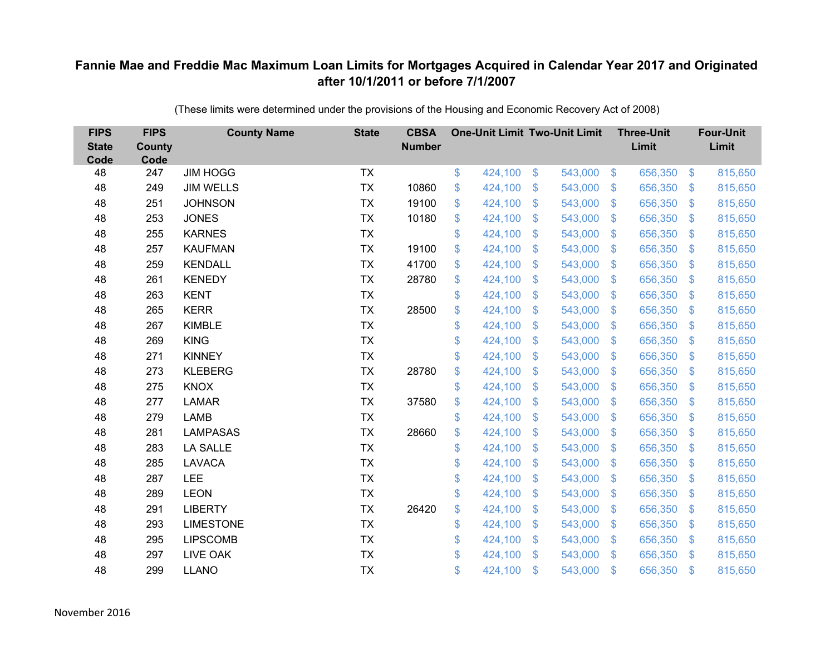| <b>FIPS</b><br><b>State</b><br>Code | <b>FIPS</b><br><b>County</b><br>Code | <b>County Name</b> | <b>State</b> | <b>CBSA</b><br><b>Number</b> | <b>One-Unit Limit Two-Unit Limit</b> |                           |         |                           | <b>Three-Unit</b><br>Limit |                | <b>Four-Unit</b><br>Limit |
|-------------------------------------|--------------------------------------|--------------------|--------------|------------------------------|--------------------------------------|---------------------------|---------|---------------------------|----------------------------|----------------|---------------------------|
| 48                                  | 247                                  | <b>JIM HOGG</b>    | <b>TX</b>    |                              | \$<br>424,100                        | \$                        | 543,000 | $\sqrt[6]{3}$             | 656,350                    | $\frac{3}{2}$  | 815,650                   |
| 48                                  | 249                                  | <b>JIM WELLS</b>   | <b>TX</b>    | 10860                        | \$<br>424,100                        | \$                        | 543,000 | $\mathfrak{S}$            | 656,350                    | $\mathbf{\$}$  | 815,650                   |
| 48                                  | 251                                  | <b>JOHNSON</b>     | <b>TX</b>    | 19100                        | \$<br>424,100                        | $\boldsymbol{\mathsf{S}}$ | 543,000 | $\mathbb{S}$              | 656,350                    | $\mathcal{S}$  | 815,650                   |
| 48                                  | 253                                  | <b>JONES</b>       | <b>TX</b>    | 10180                        | \$<br>424,100                        | $\boldsymbol{\mathsf{S}}$ | 543,000 | $\mathfrak{S}$            | 656,350                    | $\mathcal{S}$  | 815,650                   |
| 48                                  | 255                                  | <b>KARNES</b>      | <b>TX</b>    |                              | \$<br>424,100                        | $\boldsymbol{\mathsf{S}}$ | 543,000 | $\boldsymbol{\mathsf{S}}$ | 656,350                    | \$             | 815,650                   |
| 48                                  | 257                                  | <b>KAUFMAN</b>     | <b>TX</b>    | 19100                        | \$<br>424,100                        | $\boldsymbol{\mathsf{S}}$ | 543,000 | $\mathfrak{S}$            | 656,350                    | $\mathfrak{F}$ | 815,650                   |
| 48                                  | 259                                  | <b>KENDALL</b>     | <b>TX</b>    | 41700                        | \$<br>424,100                        | $\mathcal{S}$             | 543,000 | $\mathfrak{S}$            | 656,350                    | $\mathbf{\$}$  | 815,650                   |
| 48                                  | 261                                  | <b>KENEDY</b>      | <b>TX</b>    | 28780                        | \$<br>424,100                        | $\boldsymbol{\mathsf{S}}$ | 543,000 | $\sqrt[6]{\frac{1}{2}}$   | 656,350                    | $\mathcal{S}$  | 815,650                   |
| 48                                  | 263                                  | <b>KENT</b>        | <b>TX</b>    |                              | \$<br>424,100                        | $\mathcal{S}$             | 543,000 | $\mathfrak{F}$            | 656,350                    | \$             | 815,650                   |
| 48                                  | 265                                  | <b>KERR</b>        | <b>TX</b>    | 28500                        | \$<br>424,100                        | $\boldsymbol{\mathsf{S}}$ | 543,000 | $\sqrt[6]{\frac{1}{2}}$   | 656,350                    | $\sqrt{3}$     | 815,650                   |
| 48                                  | 267                                  | <b>KIMBLE</b>      | <b>TX</b>    |                              | \$<br>424,100                        | $\boldsymbol{\mathsf{S}}$ | 543,000 | $\mathfrak{S}$            | 656,350                    | $\mathfrak{F}$ | 815,650                   |
| 48                                  | 269                                  | <b>KING</b>        | <b>TX</b>    |                              | \$<br>424,100                        | \$                        | 543,000 | $\sqrt[6]{\frac{1}{2}}$   | 656,350                    | $\sqrt{3}$     | 815,650                   |
| 48                                  | 271                                  | <b>KINNEY</b>      | <b>TX</b>    |                              | \$<br>424,100                        | $\boldsymbol{\mathsf{S}}$ | 543,000 | $\mathfrak{S}$            | 656,350                    | \$.            | 815,650                   |
| 48                                  | 273                                  | <b>KLEBERG</b>     | <b>TX</b>    | 28780                        | \$<br>424,100                        | $\mathcal{S}$             | 543,000 | $\mathfrak{S}$            | 656,350                    | $\mathcal{S}$  | 815,650                   |
| 48                                  | 275                                  | <b>KNOX</b>        | <b>TX</b>    |                              | \$<br>424,100                        | $\boldsymbol{\mathsf{S}}$ | 543,000 | $\mathcal{L}$             | 656,350                    | $\mathcal{S}$  | 815,650                   |
| 48                                  | 277                                  | <b>LAMAR</b>       | <b>TX</b>    | 37580                        | \$<br>424,100                        | $\boldsymbol{\mathsf{S}}$ | 543,000 | $\mathfrak{S}$            | 656,350                    | $\mathcal{S}$  | 815,650                   |
| 48                                  | 279                                  | <b>LAMB</b>        | <b>TX</b>    |                              | \$<br>424,100                        | \$                        | 543,000 | $\sqrt[6]{\frac{1}{2}}$   | 656,350                    | \$             | 815,650                   |
| 48                                  | 281                                  | <b>LAMPASAS</b>    | <b>TX</b>    | 28660                        | \$<br>424,100                        | $\mathbf{\$}$             | 543,000 | \$.                       | 656,350                    | <sup>\$</sup>  | 815,650                   |
| 48                                  | 283                                  | <b>LA SALLE</b>    | <b>TX</b>    |                              | \$<br>424,100                        | $\boldsymbol{\mathsf{S}}$ | 543,000 | $\mathfrak{S}$            | 656,350                    | \$.            | 815,650                   |
| 48                                  | 285                                  | <b>LAVACA</b>      | <b>TX</b>    |                              | \$<br>424,100                        | $\boldsymbol{\mathsf{S}}$ | 543,000 | $\mathfrak{F}$            | 656,350                    | $\mathcal{S}$  | 815,650                   |
| 48                                  | 287                                  | LEE                | <b>TX</b>    |                              | \$<br>424,100                        | \$                        | 543,000 | $\mathfrak{S}$            | 656,350                    | $\mathfrak{F}$ | 815,650                   |
| 48                                  | 289                                  | <b>LEON</b>        | <b>TX</b>    |                              | \$<br>424,100                        | $\boldsymbol{\mathsf{S}}$ | 543,000 | $\mathbb{S}$              | 656,350                    | <sup>\$</sup>  | 815,650                   |
| 48                                  | 291                                  | <b>LIBERTY</b>     | <b>TX</b>    | 26420                        | \$<br>424,100                        | $\boldsymbol{\mathsf{S}}$ | 543,000 | $\mathfrak{S}$            | 656,350                    | $\mathcal{S}$  | 815,650                   |
| 48                                  | 293                                  | <b>LIMESTONE</b>   | <b>TX</b>    |                              | \$<br>424,100                        | $\boldsymbol{\mathsf{S}}$ | 543,000 | $\sqrt[6]{\frac{1}{2}}$   | 656,350                    | $\sqrt{3}$     | 815,650                   |
| 48                                  | 295                                  | <b>LIPSCOMB</b>    | <b>TX</b>    |                              | \$<br>424,100                        | \$                        | 543,000 | $\mathcal{L}$             | 656,350                    | $\mathcal{S}$  | 815,650                   |
| 48                                  | 297                                  | <b>LIVE OAK</b>    | <b>TX</b>    |                              | \$<br>424,100                        | $\mathbf{\$}$             | 543,000 | $\mathbb{S}$              | 656,350                    | $\mathbf{\$}$  | 815,650                   |
| 48                                  | 299                                  | <b>LLANO</b>       | <b>TX</b>    |                              | \$<br>424,100                        | $\mathcal{S}$             | 543,000 | $\mathfrak{F}$            | 656,350                    | \$             | 815,650                   |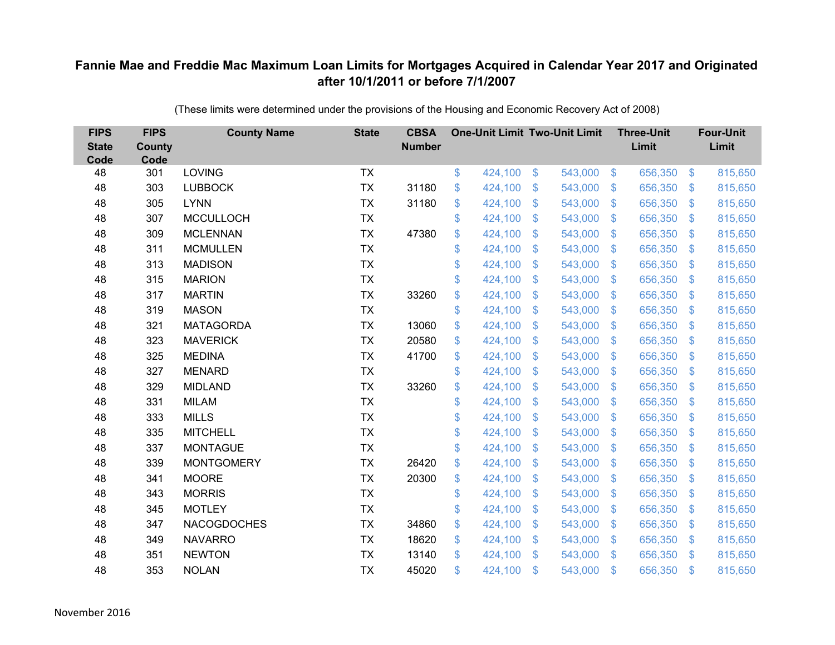| <b>FIPS</b><br><b>State</b><br>Code | <b>FIPS</b><br><b>County</b><br>Code | <b>County Name</b> | <b>State</b> | <b>CBSA</b><br><b>Number</b> | <b>One-Unit Limit Two-Unit Limit</b> |                |         |                   | <b>Three-Unit</b><br>Limit |                           | <b>Four-Unit</b><br>Limit |
|-------------------------------------|--------------------------------------|--------------------|--------------|------------------------------|--------------------------------------|----------------|---------|-------------------|----------------------------|---------------------------|---------------------------|
| 48                                  | 301                                  | <b>LOVING</b>      | <b>TX</b>    |                              | \$<br>424,100                        | \$             | 543,000 | $\sqrt[6]{3}$     | 656,350                    | $\frac{1}{2}$             | 815,650                   |
| 48                                  | 303                                  | <b>LUBBOCK</b>     | <b>TX</b>    | 31180                        | \$<br>424,100                        | \$             | 543,000 | $\sqrt{3}$        | 656,350                    | $\mathcal{S}$             | 815,650                   |
| 48                                  | 305                                  | <b>LYNN</b>        | <b>TX</b>    | 31180                        | \$<br>424,100                        | \$             | 543,000 | $\sqrt{3}$        | 656,350                    | $\boldsymbol{\mathsf{S}}$ | 815,650                   |
| 48                                  | 307                                  | <b>MCCULLOCH</b>   | <b>TX</b>    |                              | \$<br>424,100                        | \$             | 543,000 | $\sqrt{3}$        | 656,350                    | $\mathcal{L}$             | 815,650                   |
| 48                                  | 309                                  | <b>MCLENNAN</b>    | <b>TX</b>    | 47380                        | \$<br>424,100                        | \$             | 543,000 | $\mathbf{\$}$     | 656,350                    | $\mathfrak{F}$            | 815,650                   |
| 48                                  | 311                                  | <b>MCMULLEN</b>    | <b>TX</b>    |                              | \$<br>424,100                        | \$             | 543,000 | $\sqrt{3}$        | 656,350                    | $\mathfrak{S}$            | 815,650                   |
| 48                                  | 313                                  | <b>MADISON</b>     | <b>TX</b>    |                              | \$<br>424,100                        | \$             | 543,000 | $\sqrt{3}$        | 656,350                    | $\boldsymbol{\mathsf{S}}$ | 815,650                   |
| 48                                  | 315                                  | <b>MARION</b>      | <b>TX</b>    |                              | \$<br>424,100                        | $\mathfrak{S}$ | 543,000 | $\mathbf{\$}$     | 656,350                    | $\mathbb{S}$              | 815,650                   |
| 48                                  | 317                                  | <b>MARTIN</b>      | <b>TX</b>    | 33260                        | \$<br>424,100                        | \$             | 543,000 | \$                | 656,350                    | $\mathcal{L}$             | 815,650                   |
| 48                                  | 319                                  | <b>MASON</b>       | <b>TX</b>    |                              | \$<br>424,100                        | \$             | 543,000 | $\mathfrak{S}$    | 656,350                    | S.                        | 815,650                   |
| 48                                  | 321                                  | <b>MATAGORDA</b>   | <b>TX</b>    | 13060                        | \$<br>424,100                        | $\$\$          | 543,000 | \$                | 656,350                    | $\boldsymbol{\theta}$     | 815,650                   |
| 48                                  | 323                                  | <b>MAVERICK</b>    | <b>TX</b>    | 20580                        | \$<br>424,100                        | \$             | 543,000 | \$                | 656,350                    | $\mathcal{L}$             | 815,650                   |
| 48                                  | 325                                  | <b>MEDINA</b>      | <b>TX</b>    | 41700                        | \$<br>424,100                        | $\mathfrak{S}$ | 543,000 | $\mathfrak{S}$    | 656,350                    | $\mathfrak{F}$            | 815,650                   |
| 48                                  | 327                                  | <b>MENARD</b>      | <b>TX</b>    |                              | \$<br>424,100                        | \$             | 543,000 | $\mathfrak{F}$    | 656,350                    | \$.                       | 815,650                   |
| 48                                  | 329                                  | <b>MIDLAND</b>     | <b>TX</b>    | 33260                        | \$<br>424,100                        | \$             | 543,000 | \$                | 656,350                    | $\mathcal{S}$             | 815,650                   |
| 48                                  | 331                                  | <b>MILAM</b>       | <b>TX</b>    |                              | \$<br>424,100                        | \$             | 543,000 | \$                | 656,350                    | $\boldsymbol{\mathsf{S}}$ | 815,650                   |
| 48                                  | 333                                  | <b>MILLS</b>       | <b>TX</b>    |                              | \$<br>424,100                        | \$             | 543,000 | $\mathcal{S}$     | 656,350                    | $\mathcal{S}$             | 815,650                   |
| 48                                  | 335                                  | <b>MITCHELL</b>    | <b>TX</b>    |                              | \$<br>424,100                        | $\mathfrak{S}$ | 543,000 | $\mathfrak{S}$    | 656,350                    | <sup>\$</sup>             | 815,650                   |
| 48                                  | 337                                  | <b>MONTAGUE</b>    | <b>TX</b>    |                              | \$<br>424,100                        | $\mathfrak{F}$ | 543,000 | $\mathcal{S}$     | 656,350                    | $\mathcal{S}$             | 815,650                   |
| 48                                  | 339                                  | <b>MONTGOMERY</b>  | <b>TX</b>    | 26420                        | \$<br>424,100                        | \$             | 543,000 | \$                | 656,350                    | $\boldsymbol{\mathsf{S}}$ | 815,650                   |
| 48                                  | 341                                  | <b>MOORE</b>       | <b>TX</b>    | 20300                        | \$<br>424,100                        | $\mathfrak{S}$ | 543,000 | $\mathbf{\$}$     | 656,350                    | S.                        | 815,650                   |
| 48                                  | 343                                  | <b>MORRIS</b>      | <b>TX</b>    |                              | \$<br>424,100                        | $\mathfrak{F}$ | 543,000 | \$.               | 656,350                    | $\mathcal{L}$             | 815,650                   |
| 48                                  | 345                                  | <b>MOTLEY</b>      | <b>TX</b>    |                              | \$<br>424,100                        | \$             | 543,000 | $\sqrt{3}$        | 656,350                    | $\mathfrak{S}$            | 815,650                   |
| 48                                  | 347                                  | <b>NACOGDOCHES</b> | <b>TX</b>    | 34860                        | \$<br>424,100                        | \$             | 543,000 | $\boldsymbol{\$}$ | 656,350                    | $\boldsymbol{\mathsf{S}}$ | 815,650                   |
| 48                                  | 349                                  | <b>NAVARRO</b>     | <b>TX</b>    | 18620                        | \$<br>424,100                        | \$             | 543,000 | $\mathcal{S}$     | 656,350                    | $\mathcal{S}$             | 815,650                   |
| 48                                  | 351                                  | <b>NEWTON</b>      | <b>TX</b>    | 13140                        | \$<br>424,100                        | $\mathfrak{S}$ | 543,000 | \$                | 656,350                    | $\mathfrak{F}$            | 815,650                   |
| 48                                  | 353                                  | <b>NOLAN</b>       | <b>TX</b>    | 45020                        | \$<br>424,100                        | \$             | 543,000 | \$                | 656,350                    | $\mathfrak{s}$            | 815,650                   |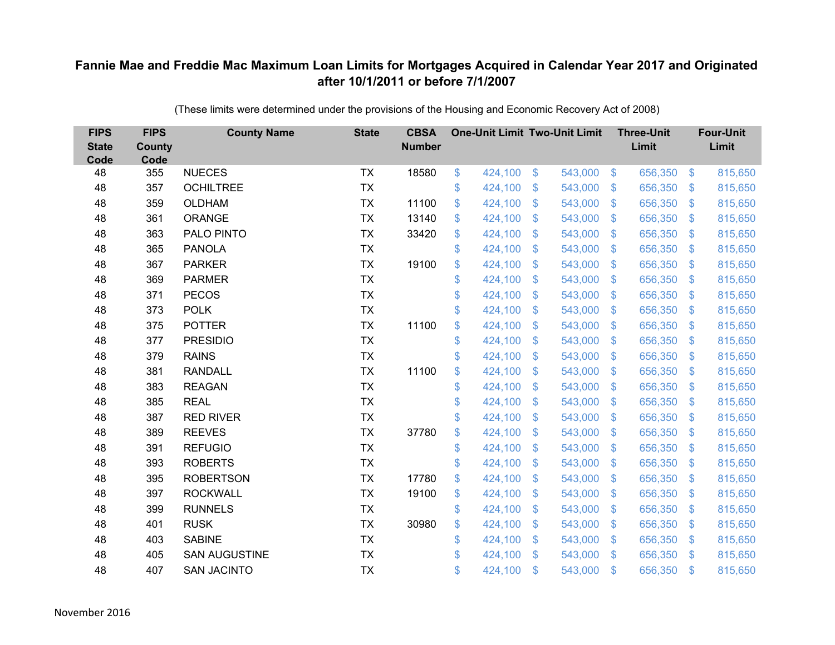| <b>FIPS</b><br><b>State</b><br>Code | <b>FIPS</b><br><b>County</b><br>Code | <b>County Name</b>   | <b>State</b> | <b>CBSA</b><br><b>Number</b> | <b>One-Unit Limit Two-Unit Limit</b> |                           |         |                         | <b>Three-Unit</b><br>Limit |                | <b>Four-Unit</b><br>Limit |
|-------------------------------------|--------------------------------------|----------------------|--------------|------------------------------|--------------------------------------|---------------------------|---------|-------------------------|----------------------------|----------------|---------------------------|
| 48                                  | 355                                  | <b>NUECES</b>        | <b>TX</b>    | 18580                        | \$<br>424,100                        | $\$\$                     | 543,000 | $\sqrt{3}$              | 656,350                    | $\frac{3}{2}$  | 815,650                   |
| 48                                  | 357                                  | <b>OCHILTREE</b>     | <b>TX</b>    |                              | \$<br>424,100                        | \$                        | 543,000 | $\sqrt[6]{\frac{1}{2}}$ | 656,350                    | $\mathcal{S}$  | 815,650                   |
| 48                                  | 359                                  | <b>OLDHAM</b>        | <b>TX</b>    | 11100                        | \$<br>424,100                        | $\mathcal{S}$             | 543,000 | $\mathfrak{S}$          | 656,350                    | $\mathbf{\$}$  | 815,650                   |
| 48                                  | 361                                  | <b>ORANGE</b>        | <b>TX</b>    | 13140                        | \$<br>424,100                        | $\boldsymbol{\mathsf{S}}$ | 543,000 | $\mathcal{L}$           | 656,350                    | $\mathcal{S}$  | 815,650                   |
| 48                                  | 363                                  | PALO PINTO           | <b>TX</b>    | 33420                        | \$<br>424,100                        | $\boldsymbol{\mathsf{S}}$ | 543,000 | $\mathfrak{F}$          | 656,350                    | \$.            | 815,650                   |
| 48                                  | 365                                  | <b>PANOLA</b>        | <b>TX</b>    |                              | \$<br>424,100                        | $\mathcal{S}$             | 543,000 | $\mathfrak{S}$          | 656,350                    | \$.            | 815,650                   |
| 48                                  | 367                                  | <b>PARKER</b>        | <b>TX</b>    | 19100                        | \$<br>424,100                        | $\boldsymbol{\mathsf{S}}$ | 543,000 | $\mathfrak{S}$          | 656,350                    | \$             | 815,650                   |
| 48                                  | 369                                  | <b>PARMER</b>        | <b>TX</b>    |                              | \$<br>424,100                        | $\boldsymbol{\mathsf{S}}$ | 543,000 | $\sqrt[6]{3}$           | 656,350                    | $\mathcal{S}$  | 815,650                   |
| 48                                  | 371                                  | <b>PECOS</b>         | <b>TX</b>    |                              | \$<br>424,100                        | $\mathcal{S}$             | 543,000 | $\mathfrak{S}$          | 656,350                    | $\mathfrak{S}$ | 815,650                   |
| 48                                  | 373                                  | <b>POLK</b>          | <b>TX</b>    |                              | \$<br>424,100                        | \$                        | 543,000 | $\mathbb{S}$            | 656,350                    | $\mathcal{S}$  | 815,650                   |
| 48                                  | 375                                  | <b>POTTER</b>        | <b>TX</b>    | 11100                        | \$<br>424,100                        | $\mathfrak{S}$            | 543,000 | $\mathfrak{S}$          | 656,350                    | $\mathbf{\$}$  | 815,650                   |
| 48                                  | 377                                  | <b>PRESIDIO</b>      | <b>TX</b>    |                              | \$<br>424,100                        | $\mathfrak{S}$            | 543,000 | $\mathfrak{S}$          | 656,350                    | $\mathbf{\$}$  | 815,650                   |
| 48                                  | 379                                  | <b>RAINS</b>         | <b>TX</b>    |                              | \$<br>424,100                        | \$                        | 543,000 | $\mathfrak{S}$          | 656,350                    | \$             | 815,650                   |
| 48                                  | 381                                  | <b>RANDALL</b>       | <b>TX</b>    | 11100                        | \$<br>424,100                        | $\mathbf{\$}$             | 543,000 | $\mathbb{S}$            | 656,350                    | $\sqrt[6]{3}$  | 815,650                   |
| 48                                  | 383                                  | <b>REAGAN</b>        | <b>TX</b>    |                              | \$<br>424,100                        | $\boldsymbol{\mathsf{S}}$ | 543,000 | $\sqrt{2}$              | 656,350                    | $\mathcal{S}$  | 815,650                   |
| 48                                  | 385                                  | <b>REAL</b>          | <b>TX</b>    |                              | \$<br>424,100                        | $\boldsymbol{\mathsf{S}}$ | 543,000 | $\mathfrak{F}$          | 656,350                    | $\mathcal{S}$  | 815,650                   |
| 48                                  | 387                                  | <b>RED RIVER</b>     | <b>TX</b>    |                              | \$<br>424,100                        | \$                        | 543,000 | $\mathfrak{S}$          | 656,350                    | $\mathbf{\$}$  | 815,650                   |
| 48                                  | 389                                  | <b>REEVES</b>        | <b>TX</b>    | 37780                        | \$<br>424,100                        | $\boldsymbol{\mathsf{S}}$ | 543,000 | $\sqrt[6]{3}$           | 656,350                    | $\mathcal{S}$  | 815,650                   |
| 48                                  | 391                                  | <b>REFUGIO</b>       | <b>TX</b>    |                              | \$<br>424,100                        | $\boldsymbol{\mathsf{S}}$ | 543,000 | $\mathbb{S}$            | 656,350                    | $\mathcal{S}$  | 815,650                   |
| 48                                  | 393                                  | <b>ROBERTS</b>       | <b>TX</b>    |                              | \$<br>424,100                        | $\mathcal{S}$             | 543,000 | $\mathfrak{S}$          | 656,350                    | $\mathbf{\$}$  | 815,650                   |
| 48                                  | 395                                  | <b>ROBERTSON</b>     | <b>TX</b>    | 17780                        | \$<br>424,100                        | $\boldsymbol{\mathsf{S}}$ | 543,000 | $\sqrt[6]{3}$           | 656,350                    | $\mathcal{S}$  | 815,650                   |
| 48                                  | 397                                  | <b>ROCKWALL</b>      | <b>TX</b>    | 19100                        | \$<br>424,100                        | $\boldsymbol{\mathsf{S}}$ | 543,000 | $\mathfrak{S}$          | 656,350                    | $\mathcal{S}$  | 815,650                   |
| 48                                  | 399                                  | <b>RUNNELS</b>       | <b>TX</b>    |                              | \$<br>424,100                        | $\boldsymbol{\mathsf{S}}$ | 543,000 | $\mathfrak{S}$          | 656,350                    | $\mathbf{\$}$  | 815,650                   |
| 48                                  | 401                                  | <b>RUSK</b>          | <b>TX</b>    | 30980                        | \$<br>424,100                        | $\boldsymbol{\mathsf{S}}$ | 543,000 | $\sqrt[6]{3}$           | 656,350                    | \$             | 815,650                   |
| 48                                  | 403                                  | <b>SABINE</b>        | <b>TX</b>    |                              | \$<br>424,100                        | $\boldsymbol{\mathsf{S}}$ | 543,000 | $\mathfrak{S}$          | 656,350                    | $\mathcal{S}$  | 815,650                   |
| 48                                  | 405                                  | <b>SAN AUGUSTINE</b> | <b>TX</b>    |                              | \$<br>424,100                        | $\mathcal{S}$             | 543,000 | $\mathbb{S}$            | 656,350                    | <sup>\$</sup>  | 815,650                   |
| 48                                  | 407                                  | <b>SAN JACINTO</b>   | <b>TX</b>    |                              | \$<br>424,100                        | $\mathcal{S}$             | 543,000 | $\mathfrak{F}$          | 656,350                    | $\mathbf{\$}$  | 815,650                   |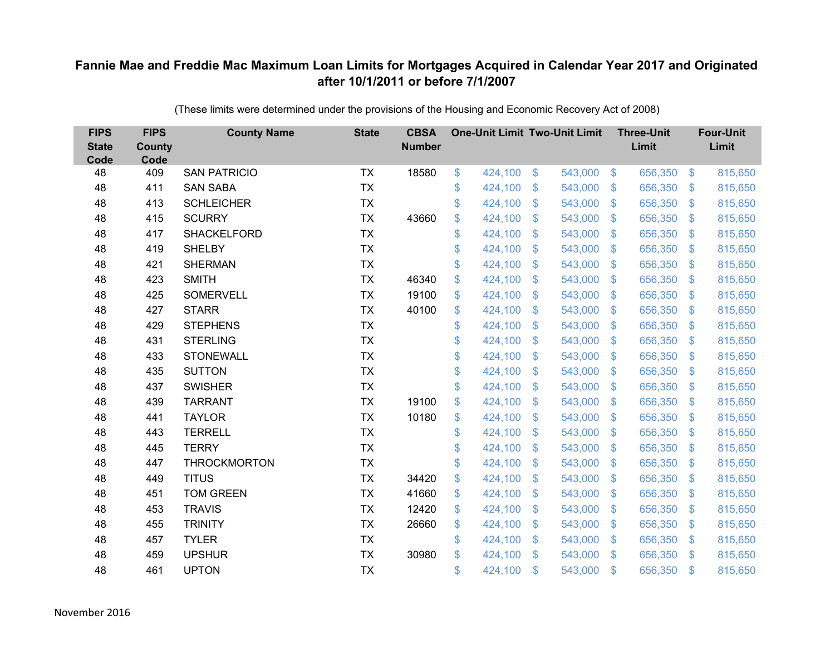| <b>FIPS</b><br><b>State</b><br>Code | <b>FIPS</b><br><b>County</b><br>Code | <b>County Name</b>  | <b>State</b> | <b>CBSA</b><br><b>Number</b> |              | <b>One-Unit Limit Two-Unit Limit</b> |                           |         |                | <b>Three-Unit</b><br>Limit |                | <b>Four-Unit</b><br>Limit |
|-------------------------------------|--------------------------------------|---------------------|--------------|------------------------------|--------------|--------------------------------------|---------------------------|---------|----------------|----------------------------|----------------|---------------------------|
| 48                                  | 409                                  | <b>SAN PATRICIO</b> | <b>TX</b>    | 18580                        | \$           | 424,100                              | $\$\$                     | 543,000 | $\sqrt[6]{3}$  | 656,350                    | $\frac{3}{2}$  | 815,650                   |
| 48                                  | 411                                  | <b>SAN SABA</b>     | <b>TX</b>    |                              | \$           | 424,100                              | \$                        | 543,000 | $\mathfrak{S}$ | 656,350                    | $\mathbf{\$}$  | 815,650                   |
| 48                                  | 413                                  | <b>SCHLEICHER</b>   | <b>TX</b>    |                              | \$           | 424,100                              | $\mathcal{S}$             | 543,000 | $\mathbb{S}$   | 656,350                    | $\mathbf{\$}$  | 815,650                   |
| 48                                  | 415                                  | <b>SCURRY</b>       | <b>TX</b>    | 43660                        | \$           | 424,100                              | $\boldsymbol{\mathsf{S}}$ | 543,000 | $\sqrt[6]{3}$  | 656,350                    | $\mathcal{S}$  | 815,650                   |
| 48                                  | 417                                  | <b>SHACKELFORD</b>  | <b>TX</b>    |                              | \$           | 424,100                              | $\boldsymbol{\mathsf{S}}$ | 543,000 | $\mathfrak{S}$ | 656,350                    | $\mathbf{\$}$  | 815,650                   |
| 48                                  | 419                                  | <b>SHELBY</b>       | <b>TX</b>    |                              | \$           | 424,100                              | $\mathcal{S}$             | 543,000 | $\mathfrak{S}$ | 656,350                    | $\mathbf{\$}$  | 815,650                   |
| 48                                  | 421                                  | <b>SHERMAN</b>      | <b>TX</b>    |                              | \$           | 424,100                              | $\boldsymbol{\mathsf{S}}$ | 543,000 | $\mathfrak{S}$ | 656,350                    | \$             | 815,650                   |
| 48                                  | 423                                  | <b>SMITH</b>        | <b>TX</b>    | 46340                        | \$           | 424,100                              | \$                        | 543,000 | $\sqrt[6]{2}$  | 656,350                    | $\mathcal{S}$  | 815,650                   |
| 48                                  | 425                                  | <b>SOMERVELL</b>    | <b>TX</b>    | 19100                        | \$           | 424,100                              | $\mathcal{S}$             | 543,000 | $\mathfrak{S}$ | 656,350                    | $\mathfrak{S}$ | 815,650                   |
| 48                                  | 427                                  | <b>STARR</b>        | <b>TX</b>    | 40100                        | \$           | 424,100                              | \$                        | 543,000 | $\mathbb{S}$   | 656,350                    | $\sqrt[6]{3}$  | 815,650                   |
| 48                                  | 429                                  | <b>STEPHENS</b>     | <b>TX</b>    |                              | \$           | 424,100                              | $\mathfrak{S}$            | 543,000 | $\mathfrak{S}$ | 656,350                    | $\mathbf{\$}$  | 815,650                   |
| 48                                  | 431                                  | <b>STERLING</b>     | <b>TX</b>    |                              | \$           | 424,100                              | $\mathfrak{S}$            | 543,000 | $\mathfrak{S}$ | 656,350                    | $\mathbf{\$}$  | 815,650                   |
| 48                                  | 433                                  | <b>STONEWALL</b>    | <b>TX</b>    |                              | \$           | 424,100                              | $\boldsymbol{\mathsf{S}}$ | 543,000 | $\mathfrak{S}$ | 656,350                    | \$.            | 815,650                   |
| 48                                  | 435                                  | <b>SUTTON</b>       | <b>TX</b>    |                              | \$           | 424,100                              | \$                        | 543,000 | $\mathbb{S}$   | 656,350                    | $\mathcal{S}$  | 815,650                   |
| 48                                  | 437                                  | <b>SWISHER</b>      | <b>TX</b>    |                              | \$           | 424,100                              | \$                        | 543,000 | $\sqrt[6]{2}$  | 656,350                    | $\sqrt{3}$     | 815,650                   |
| 48                                  | 439                                  | <b>TARRANT</b>      | <b>TX</b>    | 19100                        | \$           | 424,100                              | $\mathfrak{F}$            | 543,000 | $\mathcal{S}$  | 656,350                    | $\mathcal{S}$  | 815,650                   |
| 48                                  | 441                                  | <b>TAYLOR</b>       | <b>TX</b>    | 10180                        | \$           | 424,100                              | $\mathcal{S}$             | 543,000 | $\mathfrak{S}$ | 656,350                    | $\mathbf{\$}$  | 815,650                   |
| 48                                  | 443                                  | <b>TERRELL</b>      | <b>TX</b>    |                              | \$           | 424,100                              | $\boldsymbol{\mathsf{S}}$ | 543,000 | $\sqrt[6]{3}$  | 656,350                    | $\mathcal{S}$  | 815,650                   |
| 48                                  | 445                                  | <b>TERRY</b>        | <b>TX</b>    |                              | \$           | 424,100                              | $\mathfrak{F}$            | 543,000 | $\mathbb{S}$   | 656,350                    | $\sqrt[6]{3}$  | 815,650                   |
| 48                                  | 447                                  | <b>THROCKMORTON</b> | <b>TX</b>    |                              | \$           | 424,100                              | $\mathfrak{S}$            | 543,000 | $\mathfrak{S}$ | 656,350                    | $\mathbf{\$}$  | 815,650                   |
| 48                                  | 449                                  | <b>TITUS</b>        | <b>TX</b>    | 34420                        | \$           | 424,100                              | $\boldsymbol{\mathsf{S}}$ | 543,000 | $\sqrt[6]{3}$  | 656,350                    | $\mathcal{S}$  | 815,650                   |
| 48                                  | 451                                  | <b>TOM GREEN</b>    | <b>TX</b>    | 41660                        | \$           | 424,100                              | $\mathcal{S}$             | 543,000 | $\mathfrak{S}$ | 656,350                    | $\mathbf{\$}$  | 815,650                   |
| 48                                  | 453                                  | <b>TRAVIS</b>       | <b>TX</b>    | 12420                        | \$           | 424,100                              | $\boldsymbol{\mathsf{S}}$ | 543,000 | $\mathfrak{S}$ | 656,350                    | $\mathbf{\$}$  | 815,650                   |
| 48                                  | 455                                  | <b>TRINITY</b>      | <b>TX</b>    | 26660                        | \$           | 424,100                              | $\boldsymbol{\mathsf{S}}$ | 543,000 | $\sqrt[6]{3}$  | 656,350                    | $\mathcal{S}$  | 815,650                   |
| 48                                  | 457                                  | <b>TYLER</b>        | <b>TX</b>    |                              | \$           | 424,100                              | $\boldsymbol{\mathsf{S}}$ | 543,000 | $\sqrt[6]{3}$  | 656,350                    | $\mathcal{S}$  | 815,650                   |
| 48                                  | 459                                  | <b>UPSHUR</b>       | <b>TX</b>    | 30980                        | $\mathbb{S}$ | 424,100                              | $\mathcal{S}$             | 543,000 | $\mathbb{S}$   | 656,350                    | <sup>\$</sup>  | 815,650                   |
| 48                                  | 461                                  | <b>UPTON</b>        | <b>TX</b>    |                              | \$           | 424,100                              | $\mathcal{S}$             | 543,000 | $\mathfrak{F}$ | 656,350                    | $\mathbf{\$}$  | 815,650                   |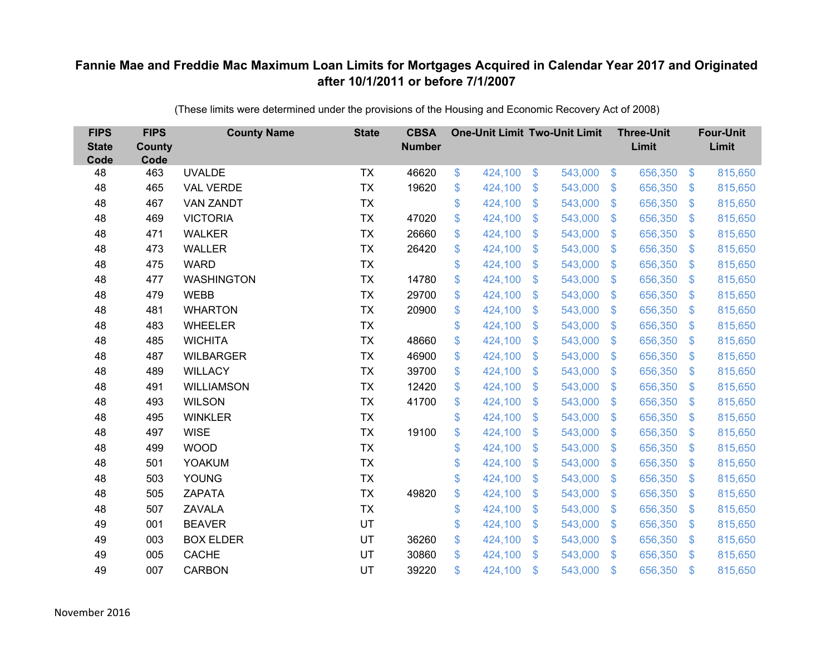| <b>FIPS</b><br><b>State</b><br>Code | <b>FIPS</b><br><b>County</b><br>Code | <b>County Name</b> | <b>State</b> | <b>CBSA</b><br><b>Number</b> | <b>One-Unit Limit Two-Unit Limit</b> |                           |         |                         | <b>Three-Unit</b><br>Limit |                | <b>Four-Unit</b><br>Limit |
|-------------------------------------|--------------------------------------|--------------------|--------------|------------------------------|--------------------------------------|---------------------------|---------|-------------------------|----------------------------|----------------|---------------------------|
| 48                                  | 463                                  | <b>UVALDE</b>      | <b>TX</b>    | 46620                        | \$<br>424,100                        | $\$\$                     | 543,000 | $\sqrt[6]{3}$           | 656,350                    | $\frac{3}{2}$  | 815,650                   |
| 48                                  | 465                                  | <b>VAL VERDE</b>   | <b>TX</b>    | 19620                        | \$<br>424,100                        | $\mathcal{S}$             | 543,000 | $\mathfrak{S}$          | 656,350                    | \$             | 815,650                   |
| 48                                  | 467                                  | <b>VAN ZANDT</b>   | <b>TX</b>    |                              | \$<br>424,100                        | $\boldsymbol{\mathsf{S}}$ | 543,000 | $\sqrt[6]{\frac{1}{2}}$ | 656,350                    | \$             | 815,650                   |
| 48                                  | 469                                  | <b>VICTORIA</b>    | <b>TX</b>    | 47020                        | \$<br>424,100                        | $\boldsymbol{\mathsf{S}}$ | 543,000 | $\sqrt[6]{\frac{1}{2}}$ | 656,350                    | $\mathcal{S}$  | 815,650                   |
| 48                                  | 471                                  | <b>WALKER</b>      | <b>TX</b>    | 26660                        | \$<br>424,100                        | $\mathsf{\$}$             | 543,000 | $\mathbf{\$}$           | 656,350                    | $\mathfrak{S}$ | 815,650                   |
| 48                                  | 473                                  | <b>WALLER</b>      | <b>TX</b>    | 26420                        | \$<br>424,100                        | $\mathbf{\$}$             | 543,000 | $\mathfrak{S}$          | 656,350                    | $\mathcal{S}$  | 815,650                   |
| 48                                  | 475                                  | <b>WARD</b>        | <b>TX</b>    |                              | \$<br>424,100                        | $\mathfrak{S}$            | 543,000 | $\mathfrak{S}$          | 656,350                    | $\mathbf{\$}$  | 815,650                   |
| 48                                  | 477                                  | <b>WASHINGTON</b>  | <b>TX</b>    | 14780                        | \$<br>424,100                        | \$                        | 543,000 | $\mathcal{L}$           | 656,350                    | $\mathcal{S}$  | 815,650                   |
| 48                                  | 479                                  | <b>WEBB</b>        | <b>TX</b>    | 29700                        | \$<br>424,100                        | \$                        | 543,000 | $\sqrt[6]{\frac{1}{2}}$ | 656,350                    | \$             | 815,650                   |
| 48                                  | 481                                  | <b>WHARTON</b>     | <b>TX</b>    | 20900                        | \$<br>424,100                        | $\boldsymbol{\mathsf{S}}$ | 543,000 | \$                      | 656,350                    | $\mathcal{S}$  | 815,650                   |
| 48                                  | 483                                  | <b>WHEELER</b>     | <b>TX</b>    |                              | \$<br>424,100                        | \$                        | 543,000 | $\sqrt[6]{\frac{1}{2}}$ | 656,350                    | \$             | 815,650                   |
| 48                                  | 485                                  | <b>WICHITA</b>     | <b>TX</b>    | 48660                        | \$<br>424,100                        | $\boldsymbol{\mathsf{S}}$ | 543,000 | \$                      | 656,350                    | $\mathcal{S}$  | 815,650                   |
| 48                                  | 487                                  | <b>WILBARGER</b>   | <b>TX</b>    | 46900                        | \$<br>424,100                        | \$                        | 543,000 | $\sqrt[6]{\frac{1}{2}}$ | 656,350                    | \$             | 815,650                   |
| 48                                  | 489                                  | <b>WILLACY</b>     | <b>TX</b>    | 39700                        | \$<br>424,100                        | $\mathbf{\$}$             | 543,000 | $\mathfrak{S}$          | 656,350                    | $\mathcal{S}$  | 815,650                   |
| 48                                  | 491                                  | <b>WILLIAMSON</b>  | <b>TX</b>    | 12420                        | \$<br>424,100                        | $\boldsymbol{\mathsf{S}}$ | 543,000 | $\mathcal{L}$           | 656,350                    | $\mathcal{S}$  | 815,650                   |
| 48                                  | 493                                  | <b>WILSON</b>      | <b>TX</b>    | 41700                        | \$<br>424,100                        | $\boldsymbol{\mathsf{S}}$ | 543,000 | $\mathfrak{S}$          | 656,350                    | $\mathcal{S}$  | 815,650                   |
| 48                                  | 495                                  | <b>WINKLER</b>     | <b>TX</b>    |                              | \$<br>424,100                        | $\boldsymbol{\mathsf{S}}$ | 543,000 | $\sqrt[6]{2}$           | 656,350                    | $\sqrt{3}$     | 815,650                   |
| 48                                  | 497                                  | <b>WISE</b>        | <b>TX</b>    | 19100                        | \$<br>424,100                        | $\boldsymbol{\mathsf{S}}$ | 543,000 | $\mathfrak{S}$          | 656,350                    | $\mathcal{S}$  | 815,650                   |
| 48                                  | 499                                  | <b>WOOD</b>        | <b>TX</b>    |                              | \$<br>424,100                        | $\boldsymbol{\mathsf{S}}$ | 543,000 | $\mathfrak{S}$          | 656,350                    | $\sqrt{3}$     | 815,650                   |
| 48                                  | 501                                  | <b>YOAKUM</b>      | <b>TX</b>    |                              | \$<br>424,100                        | $\boldsymbol{\mathsf{S}}$ | 543,000 | $\sqrt[6]{\frac{1}{2}}$ | 656,350                    | $\mathcal{S}$  | 815,650                   |
| 48                                  | 503                                  | YOUNG              | <b>TX</b>    |                              | \$<br>424,100                        | $\boldsymbol{\mathsf{S}}$ | 543,000 | $\sqrt[6]{2}$           | 656,350                    | $\mathcal{S}$  | 815,650                   |
| 48                                  | 505                                  | <b>ZAPATA</b>      | <b>TX</b>    | 49820                        | \$<br>424,100                        | $\boldsymbol{\mathsf{S}}$ | 543,000 | $\sqrt[6]{\frac{1}{2}}$ | 656,350                    | $\sqrt{3}$     | 815,650                   |
| 48                                  | 507                                  | <b>ZAVALA</b>      | <b>TX</b>    |                              | \$<br>424,100                        | $\frac{1}{2}$             | 543,000 | $\sqrt[6]{\frac{1}{2}}$ | 656,350                    | $\sqrt{3}$     | 815,650                   |
| 49                                  | 001                                  | <b>BEAVER</b>      | UT           |                              | \$<br>424,100                        | $\frac{1}{2}$             | 543,000 | $\mathsf{\$}$           | 656,350                    | $\mathfrak{S}$ | 815,650                   |
| 49                                  | 003                                  | <b>BOX ELDER</b>   | UT           | 36260                        | \$<br>424,100                        | $\boldsymbol{\mathsf{S}}$ | 543,000 | $\mathcal{L}$           | 656,350                    | $\mathcal{S}$  | 815,650                   |
| 49                                  | 005                                  | <b>CACHE</b>       | UT           | 30860                        | \$<br>424,100                        | $\mathcal{S}$             | 543,000 | $\mathbf{\$}$           | 656,350                    | <sup>\$</sup>  | 815,650                   |
| 49                                  | 007                                  | <b>CARBON</b>      | UT           | 39220                        | \$<br>424,100                        | $\mathcal{S}$             | 543,000 | $\mathbf{\$}$           | 656,350                    | \$             | 815,650                   |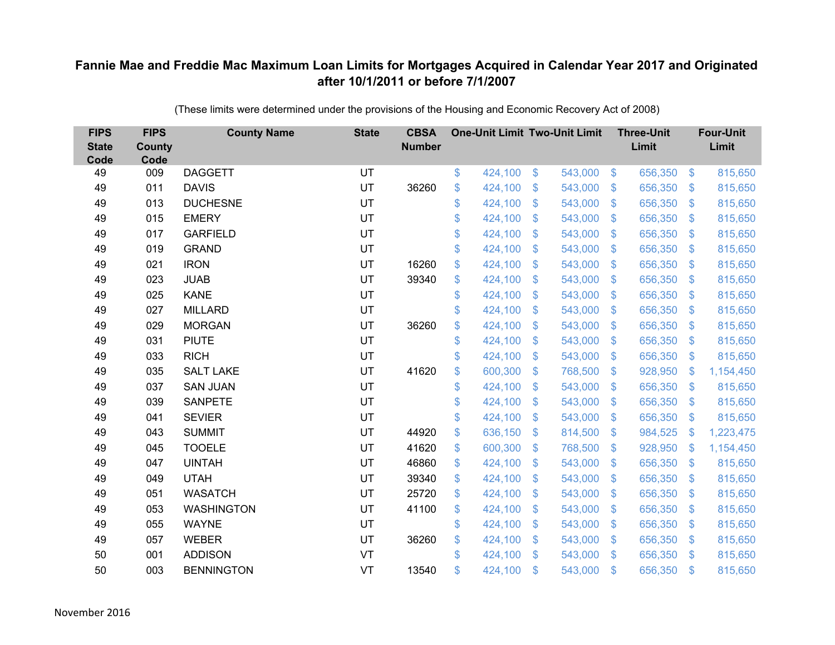| <b>FIPS</b><br><b>State</b><br>Code | <b>FIPS</b><br><b>County</b><br>Code | <b>County Name</b> | <b>State</b> | <b>CBSA</b><br><b>Number</b> | <b>One-Unit Limit Two-Unit Limit</b> |                           |         |                         | <b>Three-Unit</b><br>Limit |                | <b>Four-Unit</b><br>Limit |
|-------------------------------------|--------------------------------------|--------------------|--------------|------------------------------|--------------------------------------|---------------------------|---------|-------------------------|----------------------------|----------------|---------------------------|
| 49                                  | 009                                  | <b>DAGGETT</b>     | UT           |                              | \$<br>424,100                        | $\$\$                     | 543,000 | $\sqrt{3}$              | 656,350                    | $\frac{3}{2}$  | 815,650                   |
| 49                                  | 011                                  | <b>DAVIS</b>       | UT           | 36260                        | \$<br>424,100                        | \$                        | 543,000 | $\mathfrak{S}$          | 656,350                    | \$             | 815,650                   |
| 49                                  | 013                                  | <b>DUCHESNE</b>    | UT           |                              | \$<br>424,100                        | $\boldsymbol{\mathsf{S}}$ | 543,000 | $\sqrt[6]{\frac{1}{2}}$ | 656,350                    | $\sqrt{3}$     | 815,650                   |
| 49                                  | 015                                  | <b>EMERY</b>       | UT           |                              | \$<br>424,100                        | $\boldsymbol{\mathsf{S}}$ | 543,000 | $\sqrt[6]{\frac{1}{2}}$ | 656,350                    | $\mathcal{S}$  | 815,650                   |
| 49                                  | 017                                  | <b>GARFIELD</b>    | UT           |                              | \$<br>424,100                        | $\boldsymbol{\mathsf{S}}$ | 543,000 | $\mathfrak{F}$          | 656,350                    | $\mathfrak{S}$ | 815,650                   |
| 49                                  | 019                                  | <b>GRAND</b>       | UT           |                              | \$<br>424,100                        | $\boldsymbol{\mathsf{S}}$ | 543,000 | $\sqrt[6]{\frac{1}{2}}$ | 656,350                    | $\sqrt{3}$     | 815,650                   |
| 49                                  | 021                                  | <b>IRON</b>        | UT           | 16260                        | \$<br>424,100                        | $\boldsymbol{\mathsf{S}}$ | 543,000 | $\mathfrak{S}$          | 656,350                    | \$             | 815,650                   |
| 49                                  | 023                                  | <b>JUAB</b>        | UT           | 39340                        | \$<br>424,100                        | \$                        | 543,000 | $\mathfrak{S}$          | 656,350                    | $\mathbf{\$}$  | 815,650                   |
| 49                                  | 025                                  | <b>KANE</b>        | UT           |                              | \$<br>424,100                        | \$                        | 543,000 | $\sqrt[6]{3}$           | 656,350                    | $\mathfrak{F}$ | 815,650                   |
| 49                                  | 027                                  | <b>MILLARD</b>     | UT           |                              | \$<br>424,100                        | $\mathcal{S}$             | 543,000 | $\mathfrak{S}$          | 656,350                    | $\mathcal{S}$  | 815,650                   |
| 49                                  | 029                                  | <b>MORGAN</b>      | UT           | 36260                        | \$<br>424,100                        | \$                        | 543,000 | $\sqrt[6]{3}$           | 656,350                    | $\sqrt{3}$     | 815,650                   |
| 49                                  | 031                                  | <b>PIUTE</b>       | UT           |                              | \$<br>424,100                        | \$                        | 543,000 | \$                      | 656,350                    | $\mathcal{S}$  | 815,650                   |
| 49                                  | 033                                  | <b>RICH</b>        | UT           |                              | \$<br>424,100                        | \$                        | 543,000 | $\mathfrak{S}$          | 656,350                    | \$             | 815,650                   |
| 49                                  | 035                                  | <b>SALT LAKE</b>   | UT           | 41620                        | \$<br>600,300                        | $\boldsymbol{\mathsf{S}}$ | 768,500 | $\mathcal{L}$           | 928,950                    | <sup>\$</sup>  | 1,154,450                 |
| 49                                  | 037                                  | <b>SAN JUAN</b>    | UT           |                              | \$<br>424,100                        | $\boldsymbol{\mathsf{S}}$ | 543,000 | $\sqrt[6]{3}$           | 656,350                    | $\mathcal{S}$  | 815,650                   |
| 49                                  | 039                                  | <b>SANPETE</b>     | UT           |                              | \$<br>424,100                        | $\boldsymbol{\mathsf{S}}$ | 543,000 | \$                      | 656,350                    | $\mathcal{S}$  | 815,650                   |
| 49                                  | 041                                  | <b>SEVIER</b>      | UT           |                              | \$<br>424,100                        | $\boldsymbol{\mathsf{S}}$ | 543,000 | $\sqrt[6]{3}$           | 656,350                    | $\frac{1}{2}$  | 815,650                   |
| 49                                  | 043                                  | <b>SUMMIT</b>      | UT           | 44920                        | \$<br>636,150                        | $\mathbf{\$}$             | 814,500 | $\mathfrak{S}$          | 984,525                    | $\mathcal{S}$  | 1,223,475                 |
| 49                                  | 045                                  | <b>TOOELE</b>      | UT           | 41620                        | \$<br>600,300                        | $\mathfrak{S}$            | 768,500 | $\mathcal{L}$           | 928,950                    | $\mathcal{S}$  | 1,154,450                 |
| 49                                  | 047                                  | <b>UINTAH</b>      | UT           | 46860                        | \$<br>424,100                        | $\boldsymbol{\mathsf{S}}$ | 543,000 | $\sqrt[6]{3}$           | 656,350                    | $\mathcal{S}$  | 815,650                   |
| 49                                  | 049                                  | <b>UTAH</b>        | UT           | 39340                        | \$<br>424,100                        | $\mathcal{S}$             | 543,000 | $\mathfrak{S}$          | 656,350                    | $\mathcal{S}$  | 815,650                   |
| 49                                  | 051                                  | <b>WASATCH</b>     | UT           | 25720                        | \$<br>424,100                        | $\boldsymbol{\mathsf{S}}$ | 543,000 | $\mathfrak{S}$          | 656,350                    | $\mathcal{S}$  | 815,650                   |
| 49                                  | 053                                  | <b>WASHINGTON</b>  | UT           | 41100                        | \$<br>424,100                        | $\boldsymbol{\mathsf{S}}$ | 543,000 | $\sqrt[6]{3}$           | 656,350                    | $\sqrt{3}$     | 815,650                   |
| 49                                  | 055                                  | <b>WAYNE</b>       | UT           |                              | \$<br>424,100                        | $\frac{1}{2}$             | 543,000 | $\sqrt[6]{\frac{1}{2}}$ | 656,350                    | \$             | 815,650                   |
| 49                                  | 057                                  | <b>WEBER</b>       | UT           | 36260                        | \$<br>424,100                        | $\boldsymbol{\mathsf{S}}$ | 543,000 | $\mathcal{L}$           | 656,350                    | $\mathcal{S}$  | 815,650                   |
| 50                                  | 001                                  | <b>ADDISON</b>     | VT           |                              | \$<br>424,100                        | $\mathcal{S}$             | 543,000 | $\mathbf{\$}$           | 656,350                    | <sup>\$</sup>  | 815,650                   |
| 50                                  | 003                                  | <b>BENNINGTON</b>  | VT           | 13540                        | \$<br>424,100                        | $\mathcal{S}$             | 543,000 | $\mathfrak{F}$          | 656,350                    | $\mathbf{\$}$  | 815,650                   |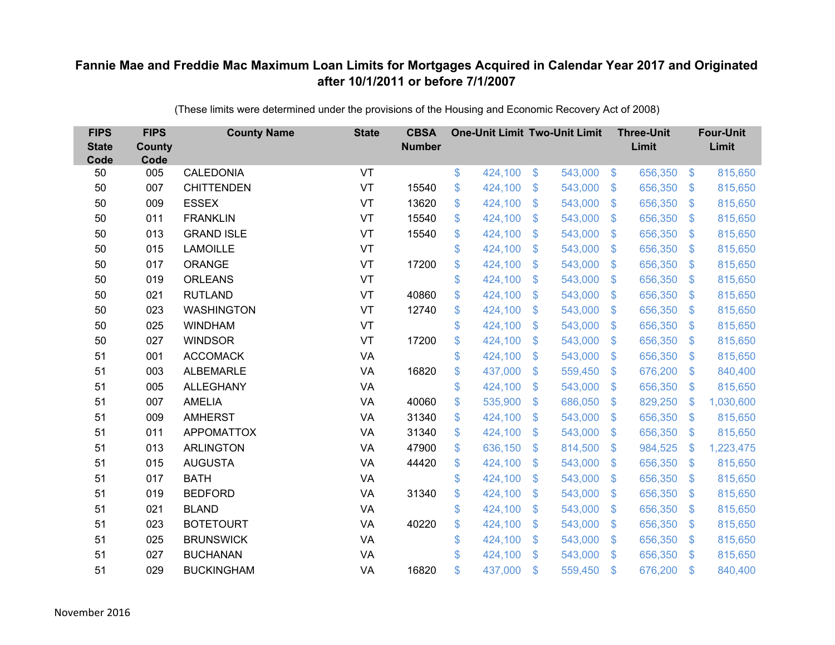| <b>FIPS</b><br><b>State</b><br>Code | <b>FIPS</b><br><b>County</b><br>Code | <b>County Name</b> | <b>State</b> | <b>CBSA</b><br><b>Number</b> | <b>One-Unit Limit Two-Unit Limit</b> |                |         |                | <b>Three-Unit</b><br>Limit |                           | <b>Four-Unit</b><br>Limit |
|-------------------------------------|--------------------------------------|--------------------|--------------|------------------------------|--------------------------------------|----------------|---------|----------------|----------------------------|---------------------------|---------------------------|
| 50                                  | 005                                  | <b>CALEDONIA</b>   | VT           |                              | \$<br>424,100                        | $\frac{3}{2}$  | 543,000 | $\sqrt[6]{3}$  | 656,350                    | $\frac{1}{2}$             | 815,650                   |
| 50                                  | 007                                  | <b>CHITTENDEN</b>  | VT           | 15540                        | \$<br>424,100                        | \$             | 543,000 | $\sqrt{3}$     | 656,350                    | $\mathcal{L}$             | 815,650                   |
| 50                                  | 009                                  | <b>ESSEX</b>       | VT           | 13620                        | \$<br>424,100                        | $\mathfrak{S}$ | 543,000 | $\mathfrak{S}$ | 656,350                    | $\mathfrak{F}$            | 815,650                   |
| 50                                  | 011                                  | <b>FRANKLIN</b>    | VT           | 15540                        | \$<br>424,100                        | \$             | 543,000 | $\mathcal{S}$  | 656,350                    | $\mathcal{L}$             | 815,650                   |
| 50                                  | 013                                  | <b>GRAND ISLE</b>  | VT           | 15540                        | \$<br>424,100                        | \$             | 543,000 | $\sqrt[6]{3}$  | 656,350                    | $\mathbf{\$}$             | 815,650                   |
| 50                                  | 015                                  | <b>LAMOILLE</b>    | VT           |                              | \$<br>424,100                        | $\mathcal{S}$  | 543,000 | $\mathbf{\$}$  | 656,350                    | $\mathbf{\$}$             | 815,650                   |
| 50                                  | 017                                  | ORANGE             | VT           | 17200                        | \$<br>424,100                        | \$             | 543,000 | $\sqrt{3}$     | 656,350                    | $\mathcal{L}$             | 815,650                   |
| 50                                  | 019                                  | <b>ORLEANS</b>     | VT           |                              | \$<br>424,100                        | \$             | 543,000 | $\mathbf{\$}$  | 656,350                    | $\mathcal{L}$             | 815,650                   |
| 50                                  | 021                                  | <b>RUTLAND</b>     | VT           | 40860                        | \$<br>424,100                        | $\mathcal{S}$  | 543,000 | $\mathsf{\$}$  | 656,350                    | $\mathfrak{F}$            | 815,650                   |
| 50                                  | 023                                  | <b>WASHINGTON</b>  | VT           | 12740                        | \$<br>424,100                        | \$             | 543,000 | $\mathbf{\$}$  | 656,350                    | $\mathfrak{F}$            | 815,650                   |
| 50                                  | 025                                  | <b>WINDHAM</b>     | VT           |                              | \$<br>424,100                        | $\mathfrak{S}$ | 543,000 | $\mathfrak{S}$ | 656,350                    | $\mathcal{L}$             | 815,650                   |
| 50                                  | 027                                  | <b>WINDSOR</b>     | VT           | 17200                        | \$<br>424,100                        | $\mathfrak{S}$ | 543,000 | $\mathfrak{S}$ | 656,350                    | $\mathfrak{F}$            | 815,650                   |
| 51                                  | 001                                  | <b>ACCOMACK</b>    | VA           |                              | \$<br>424,100                        | \$             | 543,000 | \$             | 656,350                    | $\mathcal{L}$             | 815,650                   |
| 51                                  | 003                                  | <b>ALBEMARLE</b>   | VA           | 16820                        | \$<br>437,000                        | \$             | 559,450 | \$.            | 676,200                    | $\mathbf{\$}$             | 840,400                   |
| 51                                  | 005                                  | <b>ALLEGHANY</b>   | VA           |                              | \$<br>424,100                        | \$             | 543,000 | \$             | 656,350                    | $\boldsymbol{\mathsf{S}}$ | 815,650                   |
| 51                                  | 007                                  | <b>AMELIA</b>      | VA           | 40060                        | \$<br>535,900                        | \$             | 686,050 | $\mathfrak{F}$ | 829,250                    | \$                        | 1,030,600                 |
| 51                                  | 009                                  | <b>AMHERST</b>     | VA           | 31340                        | \$<br>424,100                        | $\mathfrak{S}$ | 543,000 | $\mathfrak{S}$ | 656,350                    | $\mathfrak{F}$            | 815,650                   |
| 51                                  | 011                                  | <b>APPOMATTOX</b>  | <b>VA</b>    | 31340                        | \$<br>424,100                        | \$             | 543,000 | \$             | 656,350                    | $\boldsymbol{\mathsf{S}}$ | 815,650                   |
| 51                                  | 013                                  | <b>ARLINGTON</b>   | <b>VA</b>    | 47900                        | \$<br>636,150                        | $\mathfrak{S}$ | 814,500 | $\mathcal{S}$  | 984,525                    | $\mathcal{L}$             | 1,223,475                 |
| 51                                  | 015                                  | <b>AUGUSTA</b>     | VA           | 44420                        | \$<br>424,100                        | $\mathfrak{S}$ | 543,000 | $\mathfrak{S}$ | 656,350                    | $\boldsymbol{\mathsf{S}}$ | 815,650                   |
| 51                                  | 017                                  | <b>BATH</b>        | <b>VA</b>    |                              | \$<br>424,100                        | \$             | 543,000 | $\mathcal{S}$  | 656,350                    | $\mathfrak{F}$            | 815,650                   |
| 51                                  | 019                                  | <b>BEDFORD</b>     | <b>VA</b>    | 31340                        | \$<br>424,100                        | $\mathfrak{S}$ | 543,000 | $\mathfrak{S}$ | 656,350                    | $\mathcal{L}$             | 815,650                   |
| 51                                  | 021                                  | <b>BLAND</b>       | VA           |                              | \$<br>424,100                        | \$             | 543,000 | $\mathbf{\$}$  | 656,350                    | $\boldsymbol{\mathsf{S}}$ | 815,650                   |
| 51                                  | 023                                  | <b>BOTETOURT</b>   | VA           | 40220                        | \$<br>424,100                        | \$             | 543,000 | \$             | 656,350                    | $\mathcal{L}$             | 815,650                   |
| 51                                  | 025                                  | <b>BRUNSWICK</b>   | VA           |                              | \$<br>424,100                        | \$             | 543,000 | $\mathcal{S}$  | 656,350                    | $\mathcal{L}$             | 815,650                   |
| 51                                  | 027                                  | <b>BUCHANAN</b>    | VA           |                              | \$<br>424,100                        | $\mathfrak{S}$ | 543,000 | $\mathbf{\$}$  | 656,350                    | $\mathbf{\$}$             | 815,650                   |
| 51                                  | 029                                  | <b>BUCKINGHAM</b>  | VA           | 16820                        | \$<br>437,000                        | \$             | 559,450 | \$             | 676,200                    | $\mathbf{\$}$             | 840,400                   |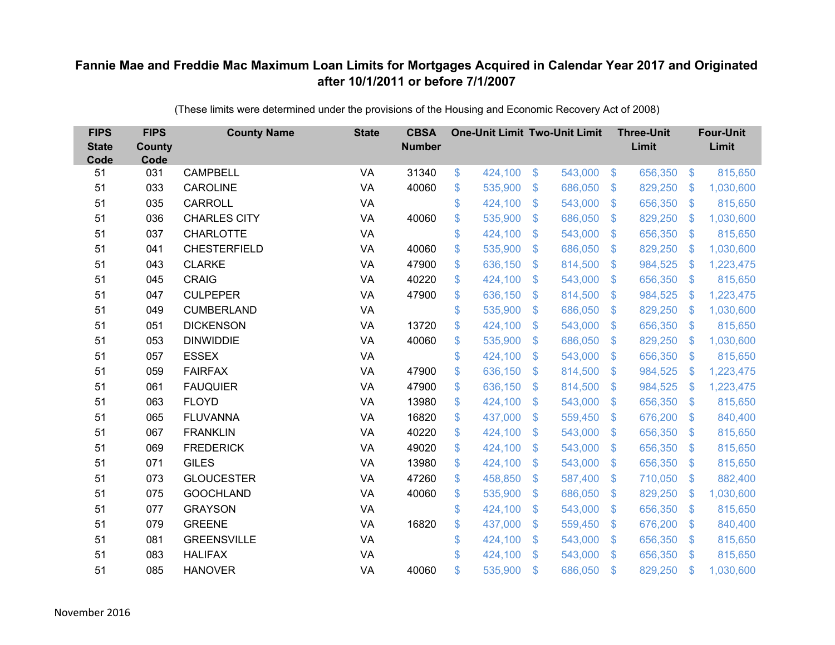| <b>FIPS</b><br><b>State</b><br>Code | <b>FIPS</b><br><b>County</b><br>Code | <b>County Name</b>  | <b>State</b> | <b>CBSA</b><br><b>Number</b> | <b>One-Unit Limit Two-Unit Limit</b> |                |         |                           | <b>Three-Unit</b><br>Limit |                           | <b>Four-Unit</b><br>Limit |
|-------------------------------------|--------------------------------------|---------------------|--------------|------------------------------|--------------------------------------|----------------|---------|---------------------------|----------------------------|---------------------------|---------------------------|
| 51                                  | 031                                  | <b>CAMPBELL</b>     | VA           | 31340                        | \$<br>424,100                        | $\frac{1}{2}$  | 543,000 | $\sqrt[6]{3}$             | 656,350                    | $\frac{3}{2}$             | 815,650                   |
| 51                                  | 033                                  | <b>CAROLINE</b>     | VA           | 40060                        | \$<br>535,900                        | \$             | 686,050 | $\sqrt[6]{3}$             | 829,250                    | $\mathcal{L}$             | 1,030,600                 |
| 51                                  | 035                                  | <b>CARROLL</b>      | VA           |                              | \$<br>424,100                        | \$             | 543,000 | $\boldsymbol{\mathsf{S}}$ | 656,350                    | $\mathcal{L}$             | 815,650                   |
| 51                                  | 036                                  | <b>CHARLES CITY</b> | VA           | 40060                        | \$<br>535,900                        | \$             | 686,050 | $\boldsymbol{\mathsf{S}}$ | 829,250                    | $\mathcal{L}$             | 1,030,600                 |
| 51                                  | 037                                  | <b>CHARLOTTE</b>    | VA           |                              | \$<br>424,100                        | \$             | 543,000 | $\mathfrak{F}$            | 656,350                    | $\mathcal{L}$             | 815,650                   |
| 51                                  | 041                                  | <b>CHESTERFIELD</b> | <b>VA</b>    | 40060                        | \$<br>535,900                        | \$             | 686,050 | $\mathfrak{S}$            | 829,250                    | $\boldsymbol{\mathsf{S}}$ | 1,030,600                 |
| 51                                  | 043                                  | <b>CLARKE</b>       | VA           | 47900                        | \$<br>636,150                        | \$             | 814,500 | $\mathfrak{F}$            | 984,525                    | $\boldsymbol{\mathsf{S}}$ | 1,223,475                 |
| 51                                  | 045                                  | <b>CRAIG</b>        | VA           | 40220                        | \$<br>424,100                        | $\mathfrak{S}$ | 543,000 | $\mathbb{S}$              | 656,350                    | $\sqrt[6]{3}$             | 815,650                   |
| 51                                  | 047                                  | <b>CULPEPER</b>     | VA           | 47900                        | \$<br>636,150                        | \$             | 814,500 | $\boldsymbol{\mathsf{S}}$ | 984,525                    | $\boldsymbol{\mathsf{S}}$ | 1,223,475                 |
| 51                                  | 049                                  | <b>CUMBERLAND</b>   | VA           |                              | \$<br>535,900                        | \$             | 686,050 | $\mathbf{\$}$             | 829,250                    | $\mathbf{\$}$             | 1,030,600                 |
| 51                                  | 051                                  | <b>DICKENSON</b>    | <b>VA</b>    | 13720                        | \$<br>424,100                        | \$             | 543,000 | $\mathfrak{S}$            | 656,350                    | $\boldsymbol{\$}$         | 815,650                   |
| 51                                  | 053                                  | <b>DINWIDDIE</b>    | VA           | 40060                        | \$<br>535,900                        | \$             | 686,050 | $\mathcal{L}$             | 829,250                    | $\mathcal{L}$             | 1,030,600                 |
| 51                                  | 057                                  | <b>ESSEX</b>        | VA           |                              | \$<br>424,100                        | $\mathfrak{S}$ | 543,000 | $\mathfrak{F}$            | 656,350                    | $\mathcal{L}$             | 815,650                   |
| 51                                  | 059                                  | <b>FAIRFAX</b>      | <b>VA</b>    | 47900                        | \$<br>636,150                        | $\mathfrak{F}$ | 814,500 | $\mathcal{S}$             | 984,525                    | <sup>\$</sup>             | 1,223,475                 |
| 51                                  | 061                                  | <b>FAUQUIER</b>     | VA           | 47900                        | \$<br>636,150                        | \$             | 814,500 | $\mathfrak{S}$            | 984,525                    | $\mathcal{L}$             | 1,223,475                 |
| 51                                  | 063                                  | <b>FLOYD</b>        | VA           | 13980                        | \$<br>424,100                        | \$             | 543,000 | $\frac{1}{2}$             | 656,350                    | $\boldsymbol{\mathsf{S}}$ | 815,650                   |
| 51                                  | 065                                  | <b>FLUVANNA</b>     | VA           | 16820                        | \$<br>437,000                        | \$             | 559,450 | $\mathcal{S}$             | 676,200                    | $\mathcal{L}$             | 840,400                   |
| 51                                  | 067                                  | <b>FRANKLIN</b>     | <b>VA</b>    | 40220                        | \$<br>424,100                        | $\mathfrak{S}$ | 543,000 | $\mathfrak{F}$            | 656,350                    | $\mathcal{L}$             | 815,650                   |
| 51                                  | 069                                  | <b>FREDERICK</b>    | <b>VA</b>    | 49020                        | \$<br>424,100                        | \$             | 543,000 | $\mathcal{S}$             | 656,350                    | $\mathcal{L}$             | 815,650                   |
| 51                                  | 071                                  | <b>GILES</b>        | <b>VA</b>    | 13980                        | \$<br>424,100                        | \$             | 543,000 | $\mathfrak{F}$            | 656,350                    | $\sqrt[6]{3}$             | 815,650                   |
| 51                                  | 073                                  | <b>GLOUCESTER</b>   | VA           | 47260                        | \$<br>458,850                        | $\mathfrak{S}$ | 587,400 | $\mathbb{S}$              | 710,050                    | $\sqrt[6]{3}$             | 882,400                   |
| 51                                  | 075                                  | <b>GOOCHLAND</b>    | <b>VA</b>    | 40060                        | \$<br>535,900                        | \$             | 686,050 | $\mathfrak{F}$            | 829,250                    | $\mathcal{L}$             | 1,030,600                 |
| 51                                  | 077                                  | <b>GRAYSON</b>      | VA           |                              | \$<br>424,100                        | \$             | 543,000 | $\boldsymbol{\mathsf{S}}$ | 656,350                    | $\sqrt[6]{3}$             | 815,650                   |
| 51                                  | 079                                  | <b>GREENE</b>       | <b>VA</b>    | 16820                        | \$<br>437,000                        | \$             | 559,450 | $\frac{1}{2}$             | 676,200                    | \$                        | 840,400                   |
| 51                                  | 081                                  | <b>GREENSVILLE</b>  | VA           |                              | \$<br>424,100                        | \$             | 543,000 | $\mathcal{S}$             | 656,350                    | $\mathcal{L}$             | 815,650                   |
| 51                                  | 083                                  | <b>HALIFAX</b>      | VA           |                              | \$<br>424,100                        | $\mathfrak{S}$ | 543,000 | $\mathbf{\$}$             | 656,350                    | $\mathfrak{s}$            | 815,650                   |
| 51                                  | 085                                  | <b>HANOVER</b>      | VA           | 40060                        | \$<br>535,900                        | $\mathfrak{S}$ | 686,050 | $\mathfrak{s}$            | 829,250                    | <sup>\$</sup>             | 1,030,600                 |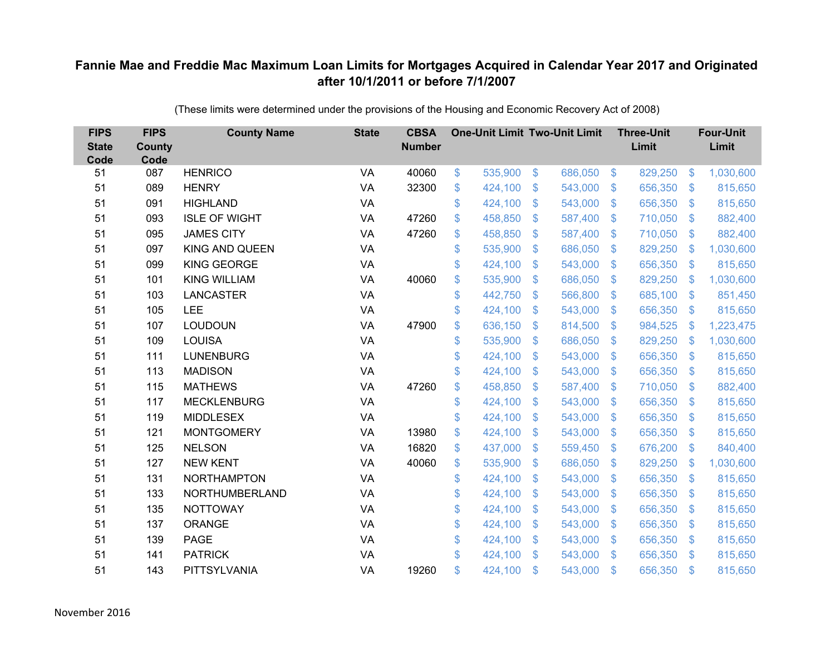| <b>FIPS</b><br><b>State</b><br>Code | <b>FIPS</b><br><b>County</b><br>Code | <b>County Name</b>    | <b>State</b> | <b>CBSA</b><br><b>Number</b> | <b>One-Unit Limit Two-Unit Limit</b> |                |         |               | <b>Three-Unit</b><br>Limit |                           | <b>Four-Unit</b><br>Limit |
|-------------------------------------|--------------------------------------|-----------------------|--------------|------------------------------|--------------------------------------|----------------|---------|---------------|----------------------------|---------------------------|---------------------------|
| 51                                  | 087                                  | <b>HENRICO</b>        | VA           | 40060                        | \$<br>535,900                        | $\$\$          | 686,050 | $\sqrt[6]{3}$ | 829,250                    | $\sqrt[6]{3}$             | 1,030,600                 |
| 51                                  | 089                                  | <b>HENRY</b>          | VA           | 32300                        | \$<br>424,100                        | \$             | 543,000 | $\mathcal{S}$ | 656,350                    | $\mathcal{S}$             | 815,650                   |
| 51                                  | 091                                  | <b>HIGHLAND</b>       | VA           |                              | \$<br>424,100                        | $\mathfrak{S}$ | 543,000 | $\mathbf{\$}$ | 656,350                    | $\mathbf{\$}$             | 815,650                   |
| 51                                  | 093                                  | <b>ISLE OF WIGHT</b>  | <b>VA</b>    | 47260                        | \$<br>458,850                        | \$             | 587,400 | $\sqrt{3}$    | 710,050                    | $\mathcal{S}$             | 882,400                   |
| 51                                  | 095                                  | <b>JAMES CITY</b>     | VA           | 47260                        | \$<br>458,850                        | \$             | 587,400 | $\mathbf{\$}$ | 710,050                    | $\boldsymbol{\mathsf{S}}$ | 882,400                   |
| 51                                  | 097                                  | <b>KING AND QUEEN</b> | VA           |                              | \$<br>535,900                        | $\mathfrak{S}$ | 686,050 | $\mathbf{\$}$ | 829,250                    | $\mathbf{\$}$             | 1,030,600                 |
| 51                                  | 099                                  | <b>KING GEORGE</b>    | VA           |                              | \$<br>424,100                        | \$             | 543,000 | $\mathcal{S}$ | 656,350                    | $\mathcal{S}$             | 815,650                   |
| 51                                  | 101                                  | <b>KING WILLIAM</b>   | VA           | 40060                        | \$<br>535,900                        | \$             | 686,050 | $\mathbf{\$}$ | 829,250                    | $\mathcal{L}$             | 1,030,600                 |
| 51                                  | 103                                  | <b>LANCASTER</b>      | VA           |                              | \$<br>442,750                        | $\mathfrak{S}$ | 566,800 | $\mathbf{\$}$ | 685,100                    | S.                        | 851,450                   |
| 51                                  | 105                                  | LEE                   | <b>VA</b>    |                              | \$<br>424,100                        | \$             | 543,000 | $\mathbf{\$}$ | 656,350                    | $\mathcal{S}$             | 815,650                   |
| 51                                  | 107                                  | <b>LOUDOUN</b>        | VA           | 47900                        | \$<br>636,150                        | \$             | 814,500 | $\mathbf{\$}$ | 984,525                    | \$                        | 1,223,475                 |
| 51                                  | 109                                  | <b>LOUISA</b>         | VA           |                              | \$<br>535,900                        | $\mathfrak{S}$ | 686,050 | \$.           | 829,250                    | \$                        | 1,030,600                 |
| 51                                  | 111                                  | <b>LUNENBURG</b>      | VA           |                              | \$<br>424,100                        | \$             | 543,000 | $\mathbf{\$}$ | 656,350                    | $\mathfrak{F}$            | 815,650                   |
| 51                                  | 113                                  | <b>MADISON</b>        | VA           |                              | \$<br>424,100                        | \$             | 543,000 | \$.           | 656,350                    | S.                        | 815,650                   |
| 51                                  | 115                                  | <b>MATHEWS</b>        | VA           | 47260                        | \$<br>458,850                        | \$             | 587,400 | $\sqrt{3}$    | 710,050                    | $\mathfrak{F}$            | 882,400                   |
| 51                                  | 117                                  | <b>MECKLENBURG</b>    | VA           |                              | \$<br>424,100                        | $\mathfrak{F}$ | 543,000 | \$            | 656,350                    | $\mathcal{L}$             | 815,650                   |
| 51                                  | 119                                  | <b>MIDDLESEX</b>      | VA           |                              | \$<br>424,100                        | $\mathfrak{S}$ | 543,000 | $\mathbf{\$}$ | 656,350                    | S.                        | 815,650                   |
| 51                                  | 121                                  | <b>MONTGOMERY</b>     | <b>VA</b>    | 13980                        | \$<br>424,100                        | \$             | 543,000 | $\mathbf{\$}$ | 656,350                    | $\mathfrak{S}$            | 815,650                   |
| 51                                  | 125                                  | <b>NELSON</b>         | VA           | 16820                        | \$<br>437,000                        | \$             | 559,450 | $\sqrt[6]{3}$ | 676,200                    | $\mathfrak{S}$            | 840,400                   |
| 51                                  | 127                                  | <b>NEW KENT</b>       | VA           | 40060                        | \$<br>535,900                        | \$             | 686,050 | $\mathbf{\$}$ | 829,250                    | $\mathfrak{s}$            | 1,030,600                 |
| 51                                  | 131                                  | <b>NORTHAMPTON</b>    | <b>VA</b>    |                              | \$<br>424,100                        | \$             | 543,000 | $\sqrt{3}$    | 656,350                    | $\mathfrak{S}$            | 815,650                   |
| 51                                  | 133                                  | NORTHUMBERLAND        | <b>VA</b>    |                              | \$<br>424,100                        | \$             | 543,000 | $\mathbf{\$}$ | 656,350                    | $\mathcal{L}$             | 815,650                   |
| 51                                  | 135                                  | <b>NOTTOWAY</b>       | VA           |                              | \$<br>424,100                        | \$             | 543,000 | $\sqrt{3}$    | 656,350                    | $\mathbb{S}$              | 815,650                   |
| 51                                  | 137                                  | ORANGE                | VA           |                              | \$<br>424,100                        | \$             | 543,000 | $\sqrt{3}$    | 656,350                    | $\mathcal{L}$             | 815,650                   |
| 51                                  | 139                                  | <b>PAGE</b>           | VA           |                              | \$<br>424,100                        | \$             | 543,000 | -\$           | 656,350                    | $\mathfrak{F}$            | 815,650                   |
| 51                                  | 141                                  | <b>PATRICK</b>        | VA           |                              | \$<br>424,100                        | $\mathfrak{S}$ | 543,000 | $\mathbf{\$}$ | 656,350                    | $\mathfrak{F}$            | 815,650                   |
| 51                                  | 143                                  | PITTSYLVANIA          | VA           | 19260                        | \$<br>424,100                        | \$             | 543,000 | \$            | 656,350                    | $\mathfrak{s}$            | 815,650                   |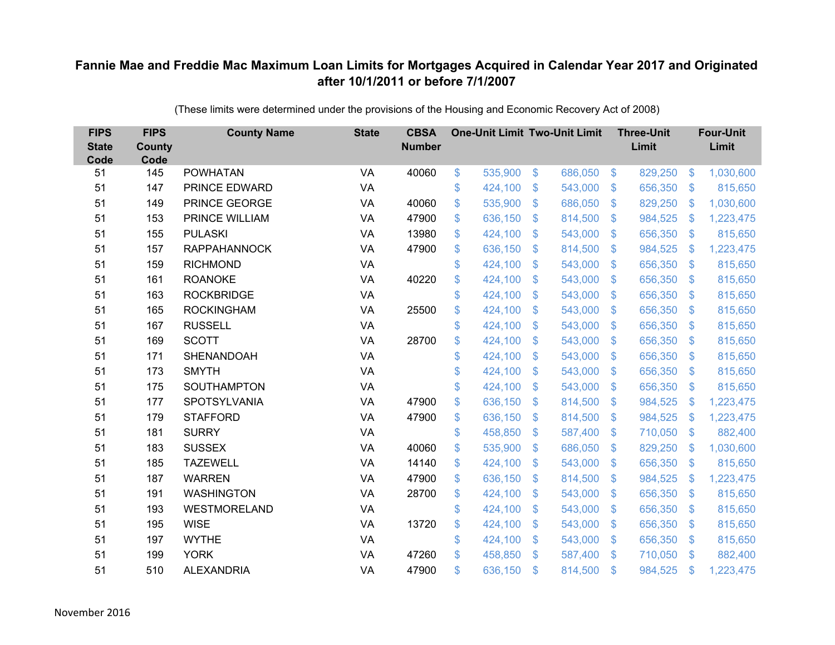| <b>FIPS</b><br><b>State</b><br>Code | <b>FIPS</b><br><b>County</b><br>Code | <b>County Name</b>  | <b>State</b> | <b>CBSA</b><br><b>Number</b> |              | <b>One-Unit Limit Two-Unit Limit</b> |                |         |                | <b>Three-Unit</b><br>Limit |                           | <b>Four-Unit</b><br>Limit |
|-------------------------------------|--------------------------------------|---------------------|--------------|------------------------------|--------------|--------------------------------------|----------------|---------|----------------|----------------------------|---------------------------|---------------------------|
| 51                                  | 145                                  | <b>POWHATAN</b>     | VA           | 40060                        | \$           | 535,900                              | $\sqrt[6]{3}$  | 686,050 | $\sqrt[6]{3}$  | 829,250                    | $\sqrt[6]{3}$             | 1,030,600                 |
| 51                                  | 147                                  | PRINCE EDWARD       | VA           |                              | \$           | 424,100                              | \$             | 543,000 | $\mathcal{S}$  | 656,350                    | $\mathfrak{F}$            | 815,650                   |
| 51                                  | 149                                  | PRINCE GEORGE       | <b>VA</b>    | 40060                        | \$           | 535,900                              | $\mathfrak{S}$ | 686,050 | $\mathbf{\$}$  | 829,250                    | \$                        | 1,030,600                 |
| 51                                  | 153                                  | PRINCE WILLIAM      | VA           | 47900                        | \$           | 636,150                              | $\mathfrak{S}$ | 814,500 | $\mathbf{\$}$  | 984,525                    | $\mathcal{L}$             | 1,223,475                 |
| 51                                  | 155                                  | <b>PULASKI</b>      | VA           | 13980                        | \$           | 424,100                              | \$             | 543,000 | $\sqrt{3}$     | 656,350                    | $\mathcal{L}$             | 815,650                   |
| 51                                  | 157                                  | <b>RAPPAHANNOCK</b> | VA           | 47900                        | \$           | 636,150                              | \$             | 814,500 | $\mathbf{\$}$  | 984,525                    | $\mathcal{L}$             | 1,223,475                 |
| 51                                  | 159                                  | <b>RICHMOND</b>     | VA           |                              | \$           | 424,100                              | $\mathfrak{S}$ | 543,000 | $\mathbf{\$}$  | 656,350                    | $\mathfrak{F}$            | 815,650                   |
| 51                                  | 161                                  | <b>ROANOKE</b>      | VA           | 40220                        | \$           | 424,100                              | $\mathfrak{F}$ | 543,000 | $\mathcal{S}$  | 656,350                    | $\mathfrak{F}$            | 815,650                   |
| 51                                  | 163                                  | <b>ROCKBRIDGE</b>   | VA           |                              | \$           | 424,100                              | $\mathfrak{S}$ | 543,000 | $\mathbf{\$}$  | 656,350                    | $\mathfrak{F}$            | 815,650                   |
| 51                                  | 165                                  | <b>ROCKINGHAM</b>   | VA           | 25500                        | \$           | 424,100                              | $\mathfrak{S}$ | 543,000 | $\mathbf{\$}$  | 656,350                    | $\mathbb{S}$              | 815,650                   |
| 51                                  | 167                                  | <b>RUSSELL</b>      | <b>VA</b>    |                              | \$           | 424,100                              | \$             | 543,000 | $\mathcal{S}$  | 656,350                    | $\mathfrak{F}$            | 815,650                   |
| 51                                  | 169                                  | <b>SCOTT</b>        | VA           | 28700                        | \$           | 424,100                              | \$             | 543,000 | \$.            | 656,350                    | S.                        | 815,650                   |
| 51                                  | 171                                  | SHENANDOAH          | VA           |                              | \$           | 424,100                              | $\mathfrak{S}$ | 543,000 | $\mathbf{\$}$  | 656,350                    | S.                        | 815,650                   |
| 51                                  | 173                                  | <b>SMYTH</b>        | VA           |                              | \$           | 424,100                              | \$             | 543,000 | \$.            | 656,350                    | $\mathfrak{F}$            | 815,650                   |
| 51                                  | 175                                  | SOUTHAMPTON         | VA           |                              | \$           | 424,100                              | $\mathfrak{F}$ | 543,000 | \$.            | 656,350                    | $\mathcal{L}$             | 815,650                   |
| 51                                  | 177                                  | SPOTSYLVANIA        | VA           | 47900                        | $\mathbb{S}$ | 636,150                              | $\mathfrak{S}$ | 814,500 | $\mathfrak{S}$ | 984,525                    | \$                        | 1,223,475                 |
| 51                                  | 179                                  | <b>STAFFORD</b>     | <b>VA</b>    | 47900                        | \$           | 636,150                              | \$             | 814,500 | $\sqrt{3}$     | 984,525                    | $\mathcal{L}$             | 1,223,475                 |
| 51                                  | 181                                  | <b>SURRY</b>        | <b>VA</b>    |                              | \$           | 458,850                              | \$             | 587,400 | \$.            | 710,050                    | $\mathbf{\$}$             | 882,400                   |
| 51                                  | 183                                  | <b>SUSSEX</b>       | VA           | 40060                        | \$           | 535,900                              | $\mathfrak{S}$ | 686,050 | $\mathbf{\$}$  | 829,250                    | $\mathcal{L}$             | 1,030,600                 |
| 51                                  | 185                                  | <b>TAZEWELL</b>     | VA           | 14140                        | \$           | 424,100                              | \$             | 543,000 | $\sqrt{3}$     | 656,350                    | $\boldsymbol{\mathsf{S}}$ | 815,650                   |
| 51                                  | 187                                  | <b>WARREN</b>       | <b>VA</b>    | 47900                        | \$           | 636,150                              | $\mathfrak{F}$ | 814,500 | $\mathcal{S}$  | 984,525                    | $\mathcal{L}$             | 1,223,475                 |
| 51                                  | 191                                  | <b>WASHINGTON</b>   | <b>VA</b>    | 28700                        | \$           | 424,100                              | $\mathfrak{S}$ | 543,000 | $\mathbf{\$}$  | 656,350                    | $\mathfrak{F}$            | 815,650                   |
| 51                                  | 193                                  | WESTMORELAND        | VA           |                              | \$           | 424,100                              | \$             | 543,000 | $\mathbf{\$}$  | 656,350                    | $\mathbb{S}$              | 815,650                   |
| 51                                  | 195                                  | <b>WISE</b>         | VA           | 13720                        | \$           | 424,100                              | \$             | 543,000 | $\sqrt{3}$     | 656,350                    | $\mathcal{L}$             | 815,650                   |
| 51                                  | 197                                  | <b>WYTHE</b>        | VA           |                              | \$           | 424,100                              | \$             | 543,000 | $\mathbf{\$}$  | 656,350                    | $\mathfrak{F}$            | 815,650                   |
| 51                                  | 199                                  | <b>YORK</b>         | VA           | 47260                        | \$           | 458,850                              | $\mathfrak{S}$ | 587,400 | $\mathbb{S}$   | 710,050                    | $\mathfrak{s}$            | 882,400                   |
| 51                                  | 510                                  | <b>ALEXANDRIA</b>   | VA           | 47900                        | \$           | 636,150                              | \$             | 814,500 | \$             | 984,525                    | \$                        | 1,223,475                 |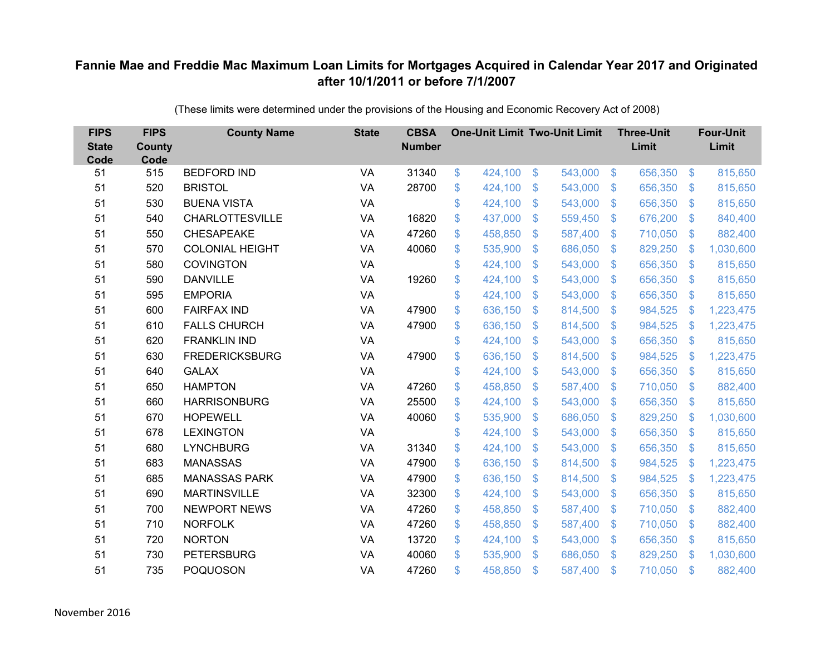| <b>FIPS</b><br><b>State</b><br>Code | <b>FIPS</b><br><b>County</b><br>Code | <b>County Name</b>     | <b>State</b> | <b>CBSA</b><br><b>Number</b> | <b>One-Unit Limit Two-Unit Limit</b> |                |         |                           | <b>Three-Unit</b><br>Limit |                           | <b>Four-Unit</b><br>Limit |
|-------------------------------------|--------------------------------------|------------------------|--------------|------------------------------|--------------------------------------|----------------|---------|---------------------------|----------------------------|---------------------------|---------------------------|
| 51                                  | 515                                  | <b>BEDFORD IND</b>     | VA           | 31340                        | \$<br>424,100                        | \$             | 543,000 | $\sqrt[6]{3}$             | 656,350                    | $\frac{3}{2}$             | 815,650                   |
| 51                                  | 520                                  | <b>BRISTOL</b>         | VA           | 28700                        | \$<br>424,100                        | \$             | 543,000 | $\mathbb{S}$              | 656,350                    | $\mathbb{S}$              | 815,650                   |
| 51                                  | 530                                  | <b>BUENA VISTA</b>     | VA           |                              | \$<br>424,100                        | $\mathfrak{S}$ | 543,000 | $\mathbb{S}$              | 656,350                    | $\mathfrak{S}$            | 815,650                   |
| 51                                  | 540                                  | <b>CHARLOTTESVILLE</b> | VA           | 16820                        | \$<br>437,000                        | \$             | 559,450 | $\sqrt[6]{3}$             | 676,200                    | $\mathcal{L}$             | 840,400                   |
| 51                                  | 550                                  | <b>CHESAPEAKE</b>      | VA           | 47260                        | \$<br>458,850                        | \$             | 587,400 | $\mathfrak{F}$            | 710,050                    | $\mathfrak{S}$            | 882,400                   |
| 51                                  | 570                                  | <b>COLONIAL HEIGHT</b> | VA           | 40060                        | \$<br>535,900                        | $\mathfrak{S}$ | 686,050 | $\mathbb{S}$              | 829,250                    | $\mathbf{\$}$             | 1,030,600                 |
| 51                                  | 580                                  | <b>COVINGTON</b>       | <b>VA</b>    |                              | \$<br>424,100                        | \$             | 543,000 | $\mathfrak{F}$            | 656,350                    | $\mathcal{L}$             | 815,650                   |
| 51                                  | 590                                  | <b>DANVILLE</b>        | VA           | 19260                        | \$<br>424,100                        | \$             | 543,000 | $\mathbb{S}$              | 656,350                    | $\mathcal{L}$             | 815,650                   |
| 51                                  | 595                                  | <b>EMPORIA</b>         | VA           |                              | \$<br>424,100                        | $\mathfrak{S}$ | 543,000 | $\mathbb{S}$              | 656,350                    | $\mathfrak{S}$            | 815,650                   |
| 51                                  | 600                                  | <b>FAIRFAX IND</b>     | <b>VA</b>    | 47900                        | \$<br>636,150                        | \$             | 814,500 | S.                        | 984,525                    | $\mathcal{L}$             | 1,223,475                 |
| 51                                  | 610                                  | <b>FALLS CHURCH</b>    | VA           | 47900                        | \$<br>636,150                        | $\mathfrak{S}$ | 814,500 | $\mathbb{S}$              | 984,525                    | $\mathbf{\$}$             | 1,223,475                 |
| 51                                  | 620                                  | <b>FRANKLIN IND</b>    | VA           |                              | \$<br>424,100                        | $\mathfrak{S}$ | 543,000 | $\mathbb{S}$              | 656,350                    | $\mathfrak{S}$            | 815,650                   |
| 51                                  | 630                                  | <b>FREDERICKSBURG</b>  | VA           | 47900                        | \$<br>636,150                        | \$             | 814,500 | $\mathbb{S}$              | 984,525                    | $\boldsymbol{\mathsf{S}}$ | 1,223,475                 |
| 51                                  | 640                                  | <b>GALAX</b>           | VA           |                              | \$<br>424,100                        | $\mathfrak{S}$ | 543,000 | S.                        | 656,350                    | $\mathbb{S}$              | 815,650                   |
| 51                                  | 650                                  | <b>HAMPTON</b>         | VA           | 47260                        | \$<br>458,850                        | \$             | 587,400 | $\mathfrak{S}$            | 710,050                    | $\sqrt[6]{\frac{1}{2}}$   | 882,400                   |
| 51                                  | 660                                  | <b>HARRISONBURG</b>    | VA           | 25500                        | \$<br>424,100                        | \$             | 543,000 | \$.                       | 656,350                    | $\mathcal{L}$             | 815,650                   |
| 51                                  | 670                                  | <b>HOPEWELL</b>        | VA           | 40060                        | \$<br>535,900                        | $\mathfrak{S}$ | 686,050 | $\mathbb{S}$              | 829,250                    | $\mathcal{L}$             | 1,030,600                 |
| 51                                  | 678                                  | <b>LEXINGTON</b>       | <b>VA</b>    |                              | \$<br>424,100                        | \$             | 543,000 | $\mathbb{S}$              | 656,350                    | $\mathcal{L}$             | 815,650                   |
| 51                                  | 680                                  | <b>LYNCHBURG</b>       | <b>VA</b>    | 31340                        | \$<br>424,100                        | \$             | 543,000 | S.                        | 656,350                    | $\mathcal{L}$             | 815,650                   |
| 51                                  | 683                                  | <b>MANASSAS</b>        | VA           | 47900                        | \$<br>636,150                        | $\mathfrak{S}$ | 814,500 | $\mathfrak{F}$            | 984,525                    | -\$                       | 1,223,475                 |
| 51                                  | 685                                  | <b>MANASSAS PARK</b>   | VA           | 47900                        | \$<br>636,150                        | \$             | 814,500 | $\mathcal{S}$             | 984,525                    | $\frac{1}{2}$             | 1,223,475                 |
| 51                                  | 690                                  | <b>MARTINSVILLE</b>    | <b>VA</b>    | 32300                        | \$<br>424,100                        | $\mathfrak{S}$ | 543,000 | $\mathbb{S}$              | 656,350                    | $\mathbb{S}$              | 815,650                   |
| 51                                  | 700                                  | <b>NEWPORT NEWS</b>    | VA           | 47260                        | \$<br>458,850                        | \$             | 587,400 | $\mathbb{S}$              | 710,050                    | $\mathfrak{S}$            | 882,400                   |
| 51                                  | 710                                  | <b>NORFOLK</b>         | VA           | 47260                        | \$<br>458,850                        | \$             | 587,400 | $\boldsymbol{\mathsf{S}}$ | 710,050                    | $\mathfrak{S}$            | 882,400                   |
| 51                                  | 720                                  | <b>NORTON</b>          | <b>VA</b>    | 13720                        | \$<br>424,100                        | \$             | 543,000 | $\mathcal{S}$             | 656,350                    | $\mathfrak{S}$            | 815,650                   |
| 51                                  | 730                                  | <b>PETERSBURG</b>      | VA           | 40060                        | \$<br>535,900                        | $\mathfrak{S}$ | 686,050 | $\mathbf{\$}$             | 829,250                    | -\$                       | 1,030,600                 |
| 51                                  | 735                                  | <b>POQUOSON</b>        | VA           | 47260                        | \$<br>458,850                        | $\mathfrak{S}$ | 587,400 | $\mathfrak{s}$            | 710,050                    | $\mathbf{\$}$             | 882,400                   |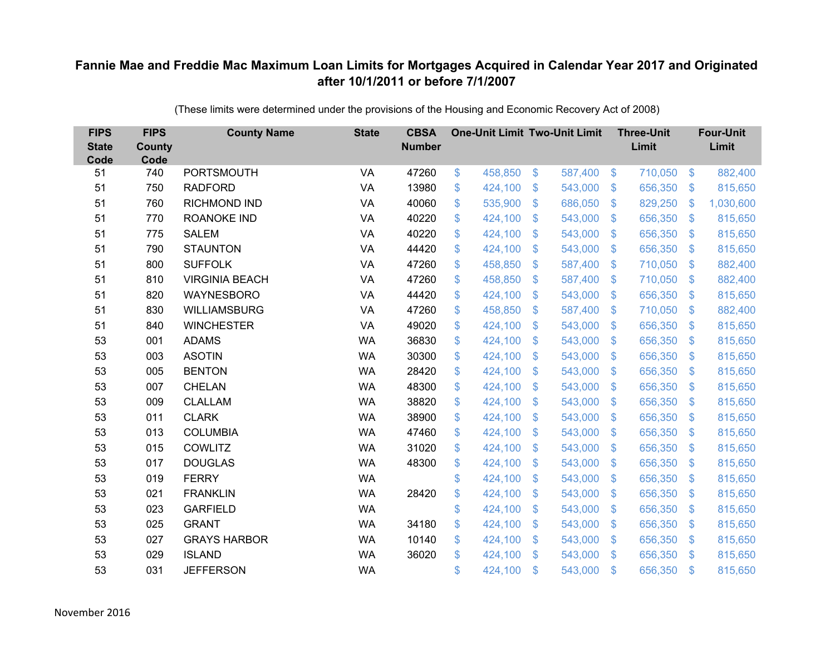| <b>FIPS</b><br><b>State</b><br>Code | <b>FIPS</b><br><b>County</b><br>Code | <b>County Name</b>    | <b>State</b> | <b>CBSA</b><br><b>Number</b> | <b>One-Unit Limit Two-Unit Limit</b> |                |         |                           | <b>Three-Unit</b><br>Limit |                           | <b>Four-Unit</b><br>Limit |
|-------------------------------------|--------------------------------------|-----------------------|--------------|------------------------------|--------------------------------------|----------------|---------|---------------------------|----------------------------|---------------------------|---------------------------|
| 51                                  | 740                                  | PORTSMOUTH            | VA           | 47260                        | \$<br>458,850                        | \$             | 587,400 | $\sqrt[6]{3}$             | 710,050                    | $\frac{3}{2}$             | 882,400                   |
| 51                                  | 750                                  | <b>RADFORD</b>        | VA           | 13980                        | \$<br>424,100                        | \$             | 543,000 | $\mathfrak{S}$            | 656,350                    | $\mathfrak{S}$            | 815,650                   |
| 51                                  | 760                                  | <b>RICHMOND IND</b>   | VA           | 40060                        | \$<br>535,900                        | $\mathfrak{S}$ | 686,050 | $\mathcal{S}$             | 829,250                    | $\mathbf{\$}$             | 1,030,600                 |
| 51                                  | 770                                  | <b>ROANOKE IND</b>    | VA           | 40220                        | \$<br>424,100                        | \$             | 543,000 | $\mathfrak{S}$            | 656,350                    | $\sqrt[6]{3}$             | 815,650                   |
| 51                                  | 775                                  | <b>SALEM</b>          | <b>VA</b>    | 40220                        | \$<br>424,100                        | \$             | 543,000 | $\mathfrak{F}$            | 656,350                    | $\mathfrak{S}$            | 815,650                   |
| 51                                  | 790                                  | <b>STAUNTON</b>       | VA           | 44420                        | \$<br>424,100                        | $\mathcal{S}$  | 543,000 | $\mathcal{S}$             | 656,350                    | $\mathbb{S}$              | 815,650                   |
| 51                                  | 800                                  | <b>SUFFOLK</b>        | <b>VA</b>    | 47260                        | \$<br>458,850                        | \$             | 587,400 | $\mathfrak{S}$            | 710,050                    | $\mathfrak{S}$            | 882,400                   |
| 51                                  | 810                                  | <b>VIRGINIA BEACH</b> | VA           | 47260                        | \$<br>458,850                        | \$             | 587,400 | $\mathfrak{S}$            | 710,050                    | $\mathfrak{S}$            | 882,400                   |
| 51                                  | 820                                  | WAYNESBORO            | VA           | 44420                        | \$<br>424,100                        | $\mathcal{S}$  | 543,000 | $\mathbb{S}$              | 656,350                    | $\mathfrak{S}$            | 815,650                   |
| 51                                  | 830                                  | <b>WILLIAMSBURG</b>   | <b>VA</b>    | 47260                        | \$<br>458,850                        | \$             | 587,400 | S.                        | 710,050                    | $\mathfrak{S}$            | 882,400                   |
| 51                                  | 840                                  | <b>WINCHESTER</b>     | <b>VA</b>    | 49020                        | \$<br>424,100                        | \$             | 543,000 | $\mathbb{S}$              | 656,350                    | $\mathfrak{S}$            | 815,650                   |
| 53                                  | 001                                  | <b>ADAMS</b>          | <b>WA</b>    | 36830                        | \$<br>424,100                        | $\mathcal{S}$  | 543,000 | $\mathfrak{F}$            | 656,350                    | $\mathbb{S}$              | 815,650                   |
| 53                                  | 003                                  | <b>ASOTIN</b>         | <b>WA</b>    | 30300                        | \$<br>424,100                        | \$             | 543,000 | S.                        | 656,350                    | $\mathfrak{S}$            | 815,650                   |
| 53                                  | 005                                  | <b>BENTON</b>         | <b>WA</b>    | 28420                        | \$<br>424,100                        | \$             | 543,000 | S.                        | 656,350                    | $\mathfrak{S}$            | 815,650                   |
| 53                                  | 007                                  | <b>CHELAN</b>         | <b>WA</b>    | 48300                        | \$<br>424,100                        | \$             | 543,000 | $\mathfrak{S}$            | 656,350                    | $\mathfrak{S}$            | 815,650                   |
| 53                                  | 009                                  | <b>CLALLAM</b>        | <b>WA</b>    | 38820                        | \$<br>424,100                        | $\mathfrak{F}$ | 543,000 | $\mathcal{L}$             | 656,350                    | $\mathfrak{S}$            | 815,650                   |
| 53                                  | 011                                  | <b>CLARK</b>          | <b>WA</b>    | 38900                        | \$<br>424,100                        | $\mathcal{S}$  | 543,000 | $\mathbb{S}$              | 656,350                    | $\mathbb{S}$              | 815,650                   |
| 53                                  | 013                                  | <b>COLUMBIA</b>       | <b>WA</b>    | 47460                        | \$<br>424,100                        | \$             | 543,000 | $\mathfrak{S}$            | 656,350                    | $\sqrt[6]{3}$             | 815,650                   |
| 53                                  | 015                                  | <b>COWLITZ</b>        | <b>WA</b>    | 31020                        | \$<br>424,100                        | \$             | 543,000 | $\sqrt[6]{3}$             | 656,350                    | $\mathfrak{S}$            | 815,650                   |
| 53                                  | 017                                  | <b>DOUGLAS</b>        | <b>WA</b>    | 48300                        | \$<br>424,100                        | \$             | 543,000 | $\mathfrak{F}$            | 656,350                    | $\mathfrak{S}$            | 815,650                   |
| 53                                  | 019                                  | <b>FERRY</b>          | <b>WA</b>    |                              | \$<br>424,100                        | \$             | 543,000 | $\sqrt[6]{3}$             | 656,350                    | $\sqrt[6]{\frac{1}{2}}$   | 815,650                   |
| 53                                  | 021                                  | <b>FRANKLIN</b>       | <b>WA</b>    | 28420                        | \$<br>424,100                        | \$             | 543,000 | $\mathfrak{F}$            | 656,350                    | $\mathcal{L}$             | 815,650                   |
| 53                                  | 023                                  | <b>GARFIELD</b>       | <b>WA</b>    |                              | \$<br>424,100                        | \$             | 543,000 | $\mathfrak{S}$            | 656,350                    | $\mathfrak{S}$            | 815,650                   |
| 53                                  | 025                                  | <b>GRANT</b>          | <b>WA</b>    | 34180                        | \$<br>424,100                        | \$             | 543,000 | $\boldsymbol{\mathsf{S}}$ | 656,350                    | $\boldsymbol{\mathsf{S}}$ | 815,650                   |
| 53                                  | 027                                  | <b>GRAYS HARBOR</b>   | <b>WA</b>    | 10140                        | \$<br>424,100                        | \$             | 543,000 | $\sqrt[6]{3}$             | 656,350                    | $\mathcal{L}$             | 815,650                   |
| 53                                  | 029                                  | <b>ISLAND</b>         | <b>WA</b>    | 36020                        | \$<br>424,100                        | $\mathfrak{S}$ | 543,000 | $\mathbf{\$}$             | 656,350                    | $\mathbb{S}$              | 815,650                   |
| 53                                  | 031                                  | <b>JEFFERSON</b>      | <b>WA</b>    |                              | \$<br>424,100                        | $\mathfrak{S}$ | 543,000 | $\mathfrak{s}$            | 656,350                    | $\mathbf{\$}$             | 815,650                   |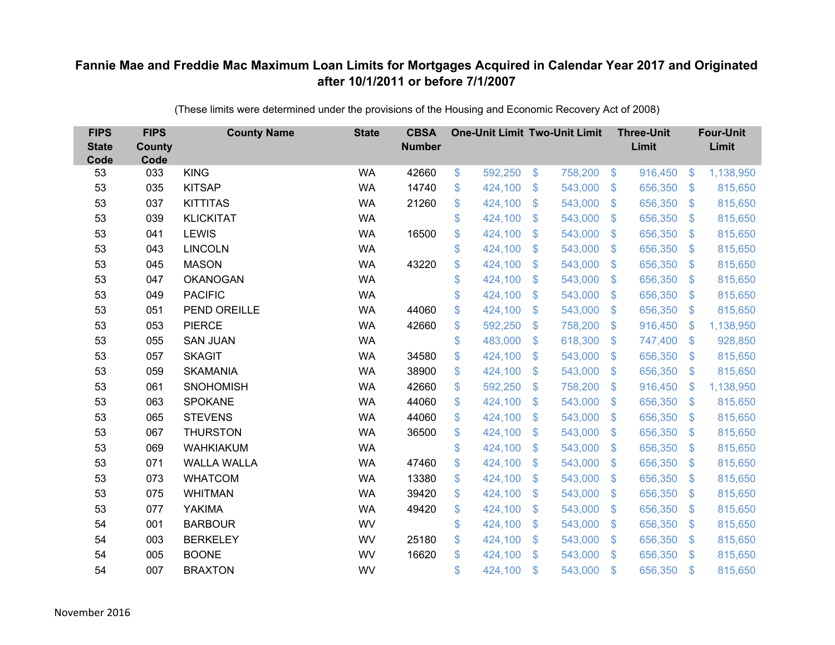| <b>FIPS</b><br><b>State</b><br>Code | <b>FIPS</b><br><b>County</b><br>Code | <b>County Name</b> | <b>State</b> | <b>CBSA</b><br><b>Number</b> | <b>One-Unit Limit Two-Unit Limit</b> |                           |         |                         | <b>Three-Unit</b><br>Limit |                | <b>Four-Unit</b><br>Limit |
|-------------------------------------|--------------------------------------|--------------------|--------------|------------------------------|--------------------------------------|---------------------------|---------|-------------------------|----------------------------|----------------|---------------------------|
| 53                                  | 033                                  | <b>KING</b>        | <b>WA</b>    | 42660                        | \$<br>592,250                        | \$                        | 758,200 | $\sqrt{3}$              | 916,450                    | $\sqrt[6]{3}$  | 1,138,950                 |
| 53                                  | 035                                  | <b>KITSAP</b>      | <b>WA</b>    | 14740                        | \$<br>424,100                        | \$                        | 543,000 | $\sqrt[6]{\frac{1}{2}}$ | 656,350                    | $\mathcal{S}$  | 815,650                   |
| 53                                  | 037                                  | <b>KITTITAS</b>    | <b>WA</b>    | 21260                        | \$<br>424,100                        | $\mathcal{S}$             | 543,000 | $\mathfrak{S}$          | 656,350                    | $\mathbf{\$}$  | 815,650                   |
| 53                                  | 039                                  | <b>KLICKITAT</b>   | <b>WA</b>    |                              | \$<br>424,100                        | $\boldsymbol{\mathsf{S}}$ | 543,000 | $\sqrt[6]{\frac{1}{2}}$ | 656,350                    | $\mathcal{S}$  | 815,650                   |
| 53                                  | 041                                  | <b>LEWIS</b>       | <b>WA</b>    | 16500                        | \$<br>424,100                        | $\boldsymbol{\mathsf{S}}$ | 543,000 | $\mathfrak{S}$          | 656,350                    | \$.            | 815,650                   |
| 53                                  | 043                                  | <b>LINCOLN</b>     | <b>WA</b>    |                              | \$<br>424,100                        | $\mathcal{S}$             | 543,000 | $\mathfrak{S}$          | 656,350                    | $\mathcal{S}$  | 815,650                   |
| 53                                  | 045                                  | <b>MASON</b>       | <b>WA</b>    | 43220                        | \$<br>424,100                        | \$                        | 543,000 | $\sqrt[6]{\frac{1}{2}}$ | 656,350                    | $\mathcal{S}$  | 815,650                   |
| 53                                  | 047                                  | <b>OKANOGAN</b>    | <b>WA</b>    |                              | \$<br>424,100                        | \$                        | 543,000 | $\sqrt[6]{\frac{1}{2}}$ | 656,350                    | $\mathcal{S}$  | 815,650                   |
| 53                                  | 049                                  | <b>PACIFIC</b>     | <b>WA</b>    |                              | \$<br>424,100                        | \$                        | 543,000 | $\mathfrak{S}$          | 656,350                    | $\mathfrak{S}$ | 815,650                   |
| 53                                  | 051                                  | PEND OREILLE       | <b>WA</b>    | 44060                        | \$<br>424,100                        | $\boldsymbol{\mathsf{S}}$ | 543,000 | $\mathbb{S}$            | 656,350                    | $\mathcal{S}$  | 815,650                   |
| 53                                  | 053                                  | <b>PIERCE</b>      | <b>WA</b>    | 42660                        | \$<br>592,250                        | \$                        | 758,200 | $\sqrt[6]{\frac{1}{2}}$ | 916,450                    | $\mathcal{S}$  | 1,138,950                 |
| 53                                  | 055                                  | <b>SAN JUAN</b>    | <b>WA</b>    |                              | \$<br>483,000                        | \$                        | 618,300 | $\mathfrak{S}$          | 747,400                    | $\mathcal{S}$  | 928,850                   |
| 53                                  | 057                                  | <b>SKAGIT</b>      | <b>WA</b>    | 34580                        | \$<br>424,100                        | \$                        | 543,000 | $\sqrt[6]{\frac{1}{2}}$ | 656,350                    | $\mathfrak{F}$ | 815,650                   |
| 53                                  | 059                                  | <b>SKAMANIA</b>    | <b>WA</b>    | 38900                        | \$<br>424,100                        | $\boldsymbol{\mathsf{S}}$ | 543,000 | $\mathbb{S}$            | 656,350                    | $\mathcal{S}$  | 815,650                   |
| 53                                  | 061                                  | <b>SNOHOMISH</b>   | <b>WA</b>    | 42660                        | \$<br>592,250                        | \$                        | 758,200 | $\sqrt[6]{3}$           | 916,450                    | $\mathcal{S}$  | 1,138,950                 |
| 53                                  | 063                                  | <b>SPOKANE</b>     | <b>WA</b>    | 44060                        | \$<br>424,100                        | $\boldsymbol{\mathsf{S}}$ | 543,000 | $\sqrt[6]{3}$           | 656,350                    | $\mathcal{S}$  | 815,650                   |
| 53                                  | 065                                  | <b>STEVENS</b>     | <b>WA</b>    | 44060                        | \$<br>424,100                        | $\mathcal{S}$             | 543,000 | $\mathfrak{S}$          | 656,350                    | $\mathcal{S}$  | 815,650                   |
| 53                                  | 067                                  | <b>THURSTON</b>    | <b>WA</b>    | 36500                        | \$<br>424,100                        | $\boldsymbol{\mathsf{S}}$ | 543,000 | $\sqrt[6]{\frac{1}{2}}$ | 656,350                    | $\sqrt{3}$     | 815,650                   |
| 53                                  | 069                                  | <b>WAHKIAKUM</b>   | <b>WA</b>    |                              | \$<br>424,100                        | $\boldsymbol{\mathsf{S}}$ | 543,000 | $\sqrt[6]{3}$           | 656,350                    | $\mathcal{S}$  | 815,650                   |
| 53                                  | 071                                  | <b>WALLA WALLA</b> | <b>WA</b>    | 47460                        | \$<br>424,100                        | $\boldsymbol{\mathsf{S}}$ | 543,000 | $\mathfrak{S}$          | 656,350                    | $\mathbf{\$}$  | 815,650                   |
| 53                                  | 073                                  | <b>WHATCOM</b>     | <b>WA</b>    | 13380                        | \$<br>424,100                        | $\boldsymbol{\mathsf{S}}$ | 543,000 | $\sqrt[6]{3}$           | 656,350                    | $\sqrt{3}$     | 815,650                   |
| 53                                  | 075                                  | <b>WHITMAN</b>     | <b>WA</b>    | 39420                        | \$<br>424,100                        | $\boldsymbol{\mathsf{S}}$ | 543,000 | $\mathfrak{S}$          | 656,350                    | $\mathcal{S}$  | 815,650                   |
| 53                                  | 077                                  | <b>YAKIMA</b>      | <b>WA</b>    | 49420                        | \$<br>424,100                        | $\boldsymbol{\mathsf{S}}$ | 543,000 | $\sqrt[6]{\frac{1}{2}}$ | 656,350                    | $\mathbf{\$}$  | 815,650                   |
| 54                                  | 001                                  | <b>BARBOUR</b>     | WV           |                              | \$<br>424,100                        | $\boldsymbol{\mathsf{S}}$ | 543,000 | $\sqrt[6]{\frac{1}{2}}$ | 656,350                    | $\mathfrak{F}$ | 815,650                   |
| 54                                  | 003                                  | <b>BERKELEY</b>    | WV           | 25180                        | \$<br>424,100                        | $\boldsymbol{\mathsf{S}}$ | 543,000 | $\sqrt[6]{\frac{1}{2}}$ | 656,350                    | $\mathcal{S}$  | 815,650                   |
| 54                                  | 005                                  | <b>BOONE</b>       | WV           | 16620                        | \$<br>424,100                        | $\mathcal{S}$             | 543,000 | $\mathbb{S}$            | 656,350                    | \$.            | 815,650                   |
| 54                                  | 007                                  | <b>BRAXTON</b>     | WV           |                              | \$<br>424,100                        | $\mathcal{S}$             | 543,000 | $\mathbf{\$}$           | 656,350                    | $\mathbf{\$}$  | 815,650                   |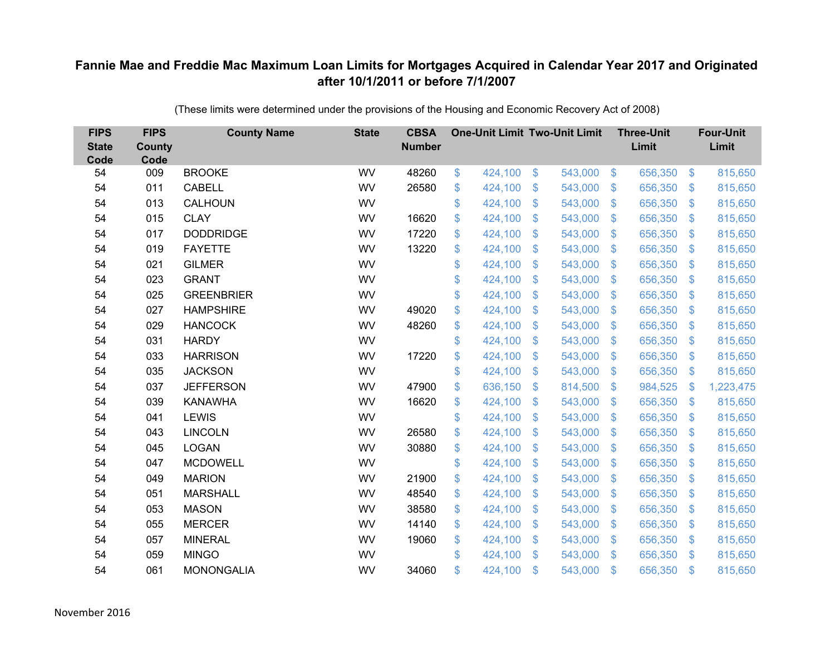| <b>FIPS</b><br><b>State</b><br>Code | <b>FIPS</b><br><b>County</b><br>Code | <b>County Name</b> | <b>State</b> | <b>CBSA</b><br><b>Number</b> | <b>One-Unit Limit Two-Unit Limit</b> |                           |         |                           | <b>Three-Unit</b><br>Limit |                | <b>Four-Unit</b><br>Limit |
|-------------------------------------|--------------------------------------|--------------------|--------------|------------------------------|--------------------------------------|---------------------------|---------|---------------------------|----------------------------|----------------|---------------------------|
| 54                                  | 009                                  | <b>BROOKE</b>      | WV           | 48260                        | \$<br>424,100                        | $\$\$                     | 543,000 | $\sqrt{3}$                | 656,350                    | $\frac{3}{2}$  | 815,650                   |
| 54                                  | 011                                  | <b>CABELL</b>      | WV           | 26580                        | \$<br>424,100                        | \$                        | 543,000 | $\sqrt[6]{\frac{1}{2}}$   | 656,350                    | $\mathfrak{F}$ | 815,650                   |
| 54                                  | 013                                  | CALHOUN            | WV           |                              | \$<br>424,100                        | $\mathcal{S}$             | 543,000 | $\mathfrak{S}$            | 656,350                    | $\mathbf{\$}$  | 815,650                   |
| 54                                  | 015                                  | <b>CLAY</b>        | WV           | 16620                        | \$<br>424,100                        | $\boldsymbol{\mathsf{S}}$ | 543,000 | $\sqrt[6]{\frac{1}{2}}$   | 656,350                    | $\sqrt{3}$     | 815,650                   |
| 54                                  | 017                                  | <b>DODDRIDGE</b>   | WV           | 17220                        | \$<br>424,100                        | $\boldsymbol{\mathsf{S}}$ | 543,000 | $\mathfrak{S}$            | 656,350                    | $\mathfrak{S}$ | 815,650                   |
| 54                                  | 019                                  | <b>FAYETTE</b>     | WV           | 13220                        | \$<br>424,100                        | $\mathcal{S}$             | 543,000 | $\mathfrak{S}$            | 656,350                    | $\mathbf{\$}$  | 815,650                   |
| 54                                  | 021                                  | <b>GILMER</b>      | WV           |                              | \$<br>424,100                        | $\boldsymbol{\mathsf{S}}$ | 543,000 | $\sqrt[6]{\frac{1}{2}}$   | 656,350                    | $\mathcal{S}$  | 815,650                   |
| 54                                  | 023                                  | <b>GRANT</b>       | WV           |                              | \$<br>424,100                        | \$                        | 543,000 | $\sqrt[6]{\frac{1}{2}}$   | 656,350                    | $\mathcal{S}$  | 815,650                   |
| 54                                  | 025                                  | <b>GREENBRIER</b>  | WV           |                              | \$<br>424,100                        | \$                        | 543,000 | $\mathfrak{S}$            | 656,350                    | $\mathfrak{S}$ | 815,650                   |
| 54                                  | 027                                  | <b>HAMPSHIRE</b>   | WV           | 49020                        | \$<br>424,100                        | $\boldsymbol{\mathsf{S}}$ | 543,000 | \$.                       | 656,350                    | <sup>\$</sup>  | 815,650                   |
| 54                                  | 029                                  | <b>HANCOCK</b>     | WV           | 48260                        | \$<br>424,100                        | \$                        | 543,000 | $\sqrt{2}$                | 656,350                    | $\mathfrak{F}$ | 815,650                   |
| 54                                  | 031                                  | <b>HARDY</b>       | WV           |                              | \$<br>424,100                        | $\boldsymbol{\mathsf{S}}$ | 543,000 | $\mathfrak{S}$            | 656,350                    | $\mathbf{\$}$  | 815,650                   |
| 54                                  | 033                                  | <b>HARRISON</b>    | WV           | 17220                        | \$<br>424,100                        | \$                        | 543,000 | $\sqrt[6]{\frac{1}{2}}$   | 656,350                    | $\mathfrak{F}$ | 815,650                   |
| 54                                  | 035                                  | <b>JACKSON</b>     | WV           |                              | \$<br>424,100                        | $\boldsymbol{\mathsf{S}}$ | 543,000 | $\mathbb{S}$              | 656,350                    | $\mathcal{S}$  | 815,650                   |
| 54                                  | 037                                  | <b>JEFFERSON</b>   | WV           | 47900                        | \$<br>636,150                        | $\boldsymbol{\mathsf{S}}$ | 814,500 | $\sqrt[6]{\frac{1}{2}}$   | 984,525                    | $\mathcal{S}$  | 1,223,475                 |
| 54                                  | 039                                  | <b>KANAWHA</b>     | WV           | 16620                        | \$<br>424,100                        | $\boldsymbol{\mathsf{S}}$ | 543,000 | $\mathcal{S}$             | 656,350                    | $\mathcal{S}$  | 815,650                   |
| 54                                  | 041                                  | <b>LEWIS</b>       | WV           |                              | \$<br>424,100                        | $\mathfrak{s}$            | 543,000 | $\mathfrak{S}$            | 656,350                    | $\mathcal{S}$  | 815,650                   |
| 54                                  | 043                                  | <b>LINCOLN</b>     | WV           | 26580                        | \$<br>424,100                        | $\boldsymbol{\mathsf{S}}$ | 543,000 | $\sqrt[6]{\frac{1}{2}}$   | 656,350                    | $\sqrt{3}$     | 815,650                   |
| 54                                  | 045                                  | <b>LOGAN</b>       | WV           | 30880                        | \$<br>424,100                        | $\boldsymbol{\mathsf{S}}$ | 543,000 | $\sqrt{2}$                | 656,350                    | $\mathcal{S}$  | 815,650                   |
| 54                                  | 047                                  | <b>MCDOWELL</b>    | WV           |                              | \$<br>424,100                        | $\boldsymbol{\mathsf{S}}$ | 543,000 | $\mathfrak{S}$            | 656,350                    | $\mathbf{\$}$  | 815,650                   |
| 54                                  | 049                                  | <b>MARION</b>      | WV           | 21900                        | \$<br>424,100                        | $\boldsymbol{\mathsf{S}}$ | 543,000 | $\sqrt[6]{\frac{1}{2}}$   | 656,350                    | $\sqrt{3}$     | 815,650                   |
| 54                                  | 051                                  | <b>MARSHALL</b>    | WV           | 48540                        | \$<br>424,100                        | $\boldsymbol{\mathsf{S}}$ | 543,000 | $\mathfrak{S}$            | 656,350                    | $\mathcal{S}$  | 815,650                   |
| 54                                  | 053                                  | <b>MASON</b>       | WV           | 38580                        | \$<br>424,100                        | $\$\$                     | 543,000 | $\$\$                     | 656,350                    | $\mathbf{\$}$  | 815,650                   |
| 54                                  | 055                                  | <b>MERCER</b>      | WV           | 14140                        | \$<br>424,100                        | $\boldsymbol{\mathsf{S}}$ | 543,000 | $\boldsymbol{\mathsf{S}}$ | 656,350                    | $\mathfrak{F}$ | 815,650                   |
| 54                                  | 057                                  | <b>MINERAL</b>     | WV           | 19060                        | \$<br>424,100                        | $\boldsymbol{\mathsf{S}}$ | 543,000 | $\sqrt[6]{\frac{1}{2}}$   | 656,350                    | $\mathcal{S}$  | 815,650                   |
| 54                                  | 059                                  | <b>MINGO</b>       | WV           |                              | \$<br>424,100                        | $\mathfrak{s}$            | 543,000 | $\mathfrak{S}$            | 656,350                    | \$.            | 815,650                   |
| 54                                  | 061                                  | <b>MONONGALIA</b>  | WV           | 34060                        | \$<br>424,100                        | $\mathfrak{s}$            | 543,000 | $\mathfrak{s}$            | 656,350                    | $\mathbf{\$}$  | 815,650                   |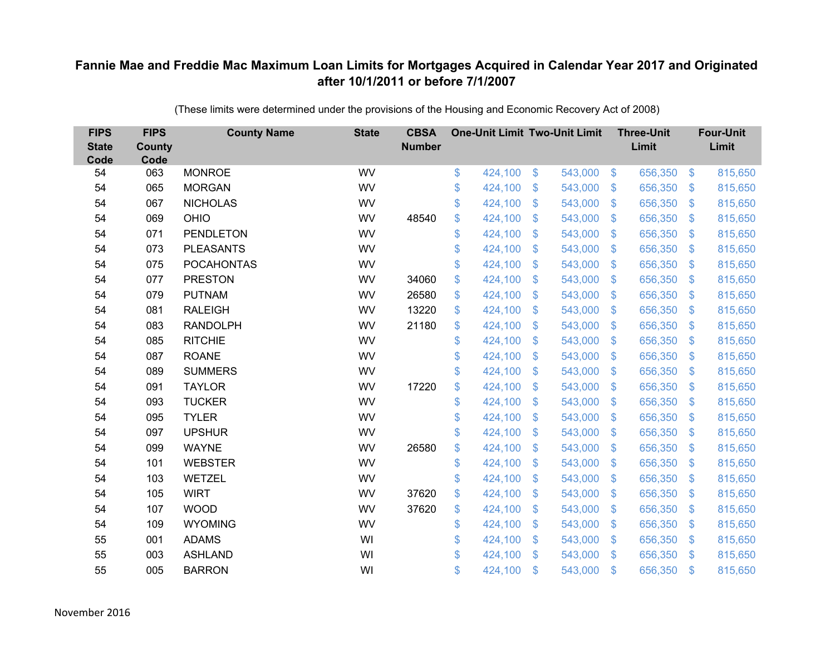| <b>FIPS</b><br><b>State</b><br>Code | <b>FIPS</b><br>County<br>Code | <b>County Name</b> | <b>State</b> | <b>CBSA</b><br><b>Number</b> | <b>One-Unit Limit Two-Unit Limit</b> |                |         |                | <b>Three-Unit</b><br>Limit |                         | <b>Four-Unit</b><br>Limit |
|-------------------------------------|-------------------------------|--------------------|--------------|------------------------------|--------------------------------------|----------------|---------|----------------|----------------------------|-------------------------|---------------------------|
| 54                                  | 063                           | <b>MONROE</b>      | WV           |                              | \$<br>424,100                        | $\$\$          | 543,000 | $\sqrt[6]{3}$  | 656,350                    | $\frac{3}{2}$           | 815,650                   |
| 54                                  | 065                           | <b>MORGAN</b>      | WV           |                              | \$<br>424,100                        | \$             | 543,000 | $\mathbf{\$}$  | 656,350                    | $\mathfrak{S}$          | 815,650                   |
| 54                                  | 067                           | <b>NICHOLAS</b>    | WV           |                              | \$<br>424,100                        | \$             | 543,000 | $\mathfrak{S}$ | 656,350                    | $\sqrt[6]{\frac{1}{2}}$ | 815,650                   |
| 54                                  | 069                           | <b>OHIO</b>        | WV           | 48540                        | \$<br>424,100                        | \$             | 543,000 | $\sqrt[6]{3}$  | 656,350                    | $\mathbb{S}$            | 815,650                   |
| 54                                  | 071                           | <b>PENDLETON</b>   | WV           |                              | \$<br>424,100                        | $\mathfrak{S}$ | 543,000 | $\mathbb{S}$   | 656,350                    | $\mathfrak{S}$          | 815,650                   |
| 54                                  | 073                           | <b>PLEASANTS</b>   | WV           |                              | \$<br>424,100                        | \$             | 543,000 | $\sqrt[6]{3}$  | 656,350                    | $\mathfrak{S}$          | 815,650                   |
| 54                                  | 075                           | <b>POCAHONTAS</b>  | WV           |                              | \$<br>424,100                        | \$             | 543,000 | $\mathbf{\$}$  | 656,350                    | $\mathbb{S}$            | 815,650                   |
| 54                                  | 077                           | <b>PRESTON</b>     | WV           | 34060                        | \$<br>424,100                        | $\mathfrak{S}$ | 543,000 | $\mathbf{\$}$  | 656,350                    | $\mathfrak{S}$          | 815,650                   |
| 54                                  | 079                           | <b>PUTNAM</b>      | WV           | 26580                        | \$<br>424,100                        | \$             | 543,000 | $\mathbf{\$}$  | 656,350                    | $\mathfrak{S}$          | 815,650                   |
| 54                                  | 081                           | <b>RALEIGH</b>     | WV           | 13220                        | \$<br>424,100                        | $\mathfrak{S}$ | 543,000 | $\mathbf{\$}$  | 656,350                    | $\mathfrak{S}$          | 815,650                   |
| 54                                  | 083                           | <b>RANDOLPH</b>    | WV           | 21180                        | \$<br>424,100                        | \$             | 543,000 | $\mathfrak{S}$ | 656,350                    | $\sqrt[6]{\frac{1}{2}}$ | 815,650                   |
| 54                                  | 085                           | <b>RITCHIE</b>     | WV           |                              | \$<br>424,100                        | \$             | 543,000 | $\mathfrak{S}$ | 656,350                    | $\sqrt[6]{\frac{1}{2}}$ | 815,650                   |
| 54                                  | 087                           | <b>ROANE</b>       | WV           |                              | \$<br>424,100                        | $\mathfrak{S}$ | 543,000 | $\mathbb{S}$   | 656,350                    | $\mathfrak{S}$          | 815,650                   |
| 54                                  | 089                           | <b>SUMMERS</b>     | WV           |                              | \$<br>424,100                        | \$             | 543,000 | $\sqrt[6]{3}$  | 656,350                    | $\mathfrak{S}$          | 815,650                   |
| 54                                  | 091                           | <b>TAYLOR</b>      | WV           | 17220                        | \$<br>424,100                        | $\mathfrak{S}$ | 543,000 | $\mathbb{S}$   | 656,350                    | $\mathfrak{S}$          | 815,650                   |
| 54                                  | 093                           | <b>TUCKER</b>      | WV           |                              | \$<br>424,100                        | \$             | 543,000 | $\mathcal{L}$  | 656,350                    | $\sqrt[6]{\frac{1}{2}}$ | 815,650                   |
| 54                                  | 095                           | <b>TYLER</b>       | WV           |                              | \$<br>424,100                        | \$             | 543,000 | $\sqrt[6]{3}$  | 656,350                    | $\mathfrak{S}$          | 815,650                   |
| 54                                  | 097                           | <b>UPSHUR</b>      | WV           |                              | \$<br>424,100                        | \$             | 543,000 | S.             | 656,350                    | $\mathbb{S}$            | 815,650                   |
| 54                                  | 099                           | <b>WAYNE</b>       | WV           | 26580                        | \$<br>424,100                        | \$             | 543,000 | $\mathfrak{F}$ | 656,350                    | $\mathfrak{S}$          | 815,650                   |
| 54                                  | 101                           | <b>WEBSTER</b>     | WV           |                              | \$<br>424,100                        | \$             | 543,000 | $\mathfrak{S}$ | 656,350                    | $\mathfrak{S}$          | 815,650                   |
| 54                                  | 103                           | <b>WETZEL</b>      | WV           |                              | \$<br>424,100                        | \$             | 543,000 | $\sqrt[6]{3}$  | 656,350                    | $\mathfrak{S}$          | 815,650                   |
| 54                                  | 105                           | <b>WIRT</b>        | WV           | 37620                        | \$<br>424,100                        | \$             | 543,000 | S.             | 656,350                    | $\mathfrak{S}$          | 815,650                   |
| 54                                  | 107                           | <b>WOOD</b>        | WV           | 37620                        | \$<br>424,100                        | $\mathfrak{S}$ | 543,000 | $\mathbf{\$}$  | 656,350                    | $\mathfrak{S}$          | 815,650                   |
| 54                                  | 109                           | <b>WYOMING</b>     | WV           |                              | \$<br>424,100                        | \$             | 543,000 | $\mathfrak{S}$ | 656,350                    | $\sqrt[6]{\frac{1}{2}}$ | 815,650                   |
| 55                                  | 001                           | <b>ADAMS</b>       | WI           |                              | \$<br>424,100                        | \$             | 543,000 | $\sqrt[6]{3}$  | 656,350                    | $\mathcal{L}$           | 815,650                   |
| 55                                  | 003                           | <b>ASHLAND</b>     | WI           |                              | \$<br>424,100                        | \$             | 543,000 | $\mathbb{S}$   | 656,350                    | $\mathbf{\$}$           | 815,650                   |
| 55                                  | 005                           | <b>BARRON</b>      | WI           |                              | \$<br>424,100                        | \$             | 543,000 | $\mathfrak{F}$ | 656,350                    | $\mathbf{\$}$           | 815,650                   |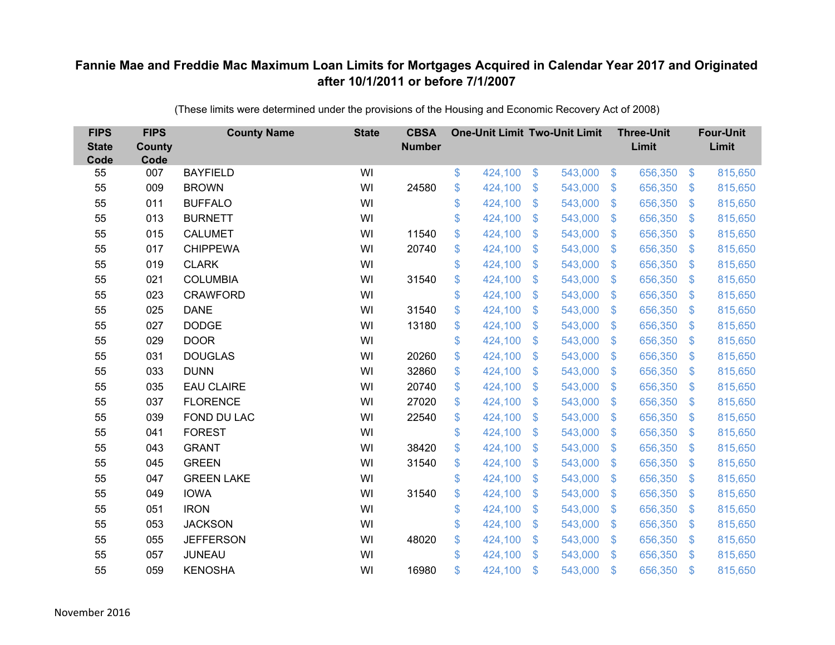| <b>FIPS</b><br><b>State</b><br>Code | <b>FIPS</b><br><b>County</b><br>Code | <b>County Name</b> | <b>State</b> | <b>CBSA</b><br><b>Number</b> | <b>One-Unit Limit Two-Unit Limit</b> |                |         |                | <b>Three-Unit</b><br>Limit |                           | <b>Four-Unit</b><br>Limit |
|-------------------------------------|--------------------------------------|--------------------|--------------|------------------------------|--------------------------------------|----------------|---------|----------------|----------------------------|---------------------------|---------------------------|
| 55                                  | 007                                  | <b>BAYFIELD</b>    | WI           |                              | \$<br>424,100                        | $\frac{3}{2}$  | 543,000 | $\sqrt[6]{3}$  | 656,350                    | $\frac{1}{2}$             | 815,650                   |
| 55                                  | 009                                  | <b>BROWN</b>       | WI           | 24580                        | \$<br>424,100                        | \$             | 543,000 | $\sqrt{3}$     | 656,350                    | $\mathcal{L}$             | 815,650                   |
| 55                                  | 011                                  | <b>BUFFALO</b>     | WI           |                              | \$<br>424,100                        | $\mathfrak{S}$ | 543,000 | $\mathbf{\$}$  | 656,350                    | $\mathfrak{F}$            | 815,650                   |
| 55                                  | 013                                  | <b>BURNETT</b>     | WI           |                              | \$<br>424,100                        | \$             | 543,000 | $\mathcal{S}$  | 656,350                    | $\mathcal{L}$             | 815,650                   |
| 55                                  | 015                                  | <b>CALUMET</b>     | WI           | 11540                        | \$<br>424,100                        | \$             | 543,000 | $\sqrt{3}$     | 656,350                    | <sup>\$</sup>             | 815,650                   |
| 55                                  | 017                                  | <b>CHIPPEWA</b>    | WI           | 20740                        | \$<br>424,100                        | $\mathfrak{S}$ | 543,000 | $\mathbf{\$}$  | 656,350                    | S.                        | 815,650                   |
| 55                                  | 019                                  | <b>CLARK</b>       | WI           |                              | \$<br>424,100                        | \$             | 543,000 | $\sqrt{3}$     | 656,350                    | $\mathcal{L}$             | 815,650                   |
| 55                                  | 021                                  | <b>COLUMBIA</b>    | WI           | 31540                        | \$<br>424,100                        | \$             | 543,000 | $\mathbf{\$}$  | 656,350                    | $\mathcal{L}$             | 815,650                   |
| 55                                  | 023                                  | <b>CRAWFORD</b>    | WI           |                              | \$<br>424,100                        | $\mathfrak{S}$ | 543,000 | $\mathbf{\$}$  | 656,350                    | $\mathfrak{F}$            | 815,650                   |
| 55                                  | 025                                  | <b>DANE</b>        | WI           | 31540                        | \$<br>424,100                        | $\mathbb{S}$   | 543,000 | $\mathbf{\$}$  | 656,350                    | $\mathfrak{F}$            | 815,650                   |
| 55                                  | 027                                  | <b>DODGE</b>       | WI           | 13180                        | \$<br>424,100                        | $\mathfrak{S}$ | 543,000 | $\mathbf{\$}$  | 656,350                    | $\mathcal{L}$             | 815,650                   |
| 55                                  | 029                                  | <b>DOOR</b>        | WI           |                              | \$<br>424,100                        | $\mathfrak{S}$ | 543,000 | $\mathfrak{S}$ | 656,350                    | $\mathfrak{F}$            | 815,650                   |
| 55                                  | 031                                  | <b>DOUGLAS</b>     | WI           | 20260                        | \$<br>424,100                        | \$             | 543,000 | \$             | 656,350                    | $\mathcal{L}$             | 815,650                   |
| 55                                  | 033                                  | <b>DUNN</b>        | WI           | 32860                        | \$<br>424,100                        | \$             | 543,000 | \$.            | 656,350                    | $\mathfrak{F}$            | 815,650                   |
| 55                                  | 035                                  | <b>EAU CLAIRE</b>  | WI           | 20740                        | \$<br>424,100                        | \$             | 543,000 | \$             | 656,350                    | $\boldsymbol{\mathsf{S}}$ | 815,650                   |
| 55                                  | 037                                  | <b>FLORENCE</b>    | WI           | 27020                        | \$<br>424,100                        | $\mathfrak{F}$ | 543,000 | \$             | 656,350                    | $\mathcal{L}$             | 815,650                   |
| 55                                  | 039                                  | FOND DU LAC        | WI           | 22540                        | \$<br>424,100                        | $\mathfrak{S}$ | 543,000 | $\mathfrak{S}$ | 656,350                    | $\mathfrak{F}$            | 815,650                   |
| 55                                  | 041                                  | <b>FOREST</b>      | WI           |                              | \$<br>424,100                        | \$             | 543,000 | \$             | 656,350                    | $\mathcal{L}$             | 815,650                   |
| 55                                  | 043                                  | <b>GRANT</b>       | WI           | 38420                        | \$<br>424,100                        | $\mathfrak{F}$ | 543,000 | $\mathcal{S}$  | 656,350                    | $\mathfrak{F}$            | 815,650                   |
| 55                                  | 045                                  | <b>GREEN</b>       | WI           | 31540                        | \$<br>424,100                        | $\mathfrak{S}$ | 543,000 | $\mathfrak{S}$ | 656,350                    | $\mathfrak{F}$            | 815,650                   |
| 55                                  | 047                                  | <b>GREEN LAKE</b>  | WI           |                              | \$<br>424,100                        | $\mathfrak{F}$ | 543,000 | $\mathcal{S}$  | 656,350                    | $\mathcal{S}$             | 815,650                   |
| 55                                  | 049                                  | <b>IOWA</b>        | WI           | 31540                        | \$<br>424,100                        | $\mathfrak{S}$ | 543,000 | $\mathfrak{S}$ | 656,350                    | $\mathcal{L}$             | 815,650                   |
| 55                                  | 051                                  | <b>IRON</b>        | WI           |                              | \$<br>424,100                        | \$             | 543,000 | $\mathbf{\$}$  | 656,350                    | $\mathfrak{S}$            | 815,650                   |
| 55                                  | 053                                  | <b>JACKSON</b>     | WI           |                              | \$<br>424,100                        | \$             | 543,000 | \$             | 656,350                    | $\mathcal{L}$             | 815,650                   |
| 55                                  | 055                                  | <b>JEFFERSON</b>   | WI           | 48020                        | \$<br>424,100                        | \$             | 543,000 | $\mathcal{S}$  | 656,350                    | $\mathcal{L}$             | 815,650                   |
| 55                                  | 057                                  | <b>JUNEAU</b>      | WI           |                              | \$<br>424,100                        | $\mathfrak{S}$ | 543,000 | $\mathbf{\$}$  | 656,350                    | $\mathfrak{F}$            | 815,650                   |
| 55                                  | 059                                  | <b>KENOSHA</b>     | WI           | 16980                        | \$<br>424,100                        | \$             | 543,000 | \$             | 656,350                    | $\mathfrak{s}$            | 815,650                   |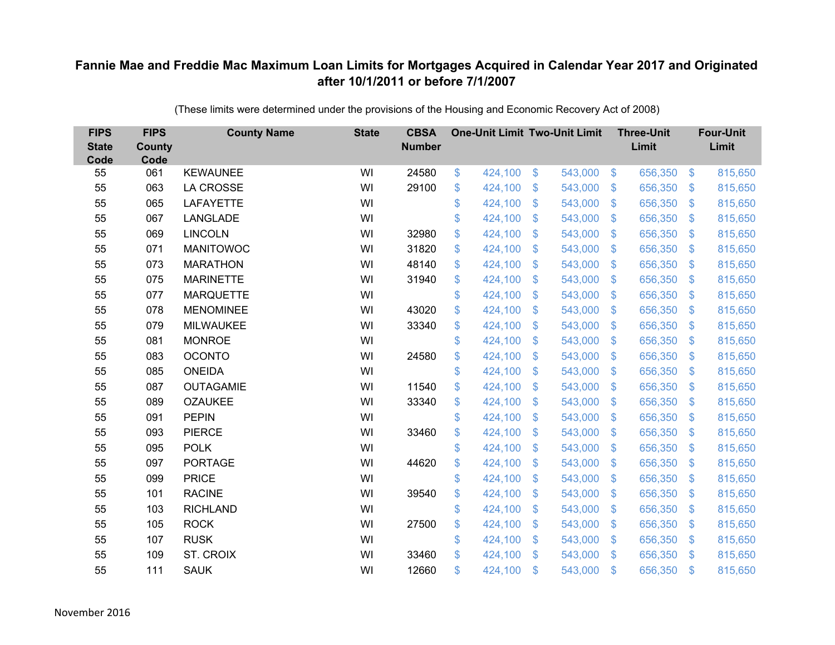| <b>FIPS</b><br><b>State</b><br>Code | <b>FIPS</b><br><b>County</b><br>Code | <b>County Name</b> | <b>State</b> | <b>CBSA</b><br><b>Number</b> | <b>One-Unit Limit Two-Unit Limit</b> |                |         |                | <b>Three-Unit</b><br>Limit |                   | <b>Four-Unit</b><br>Limit |
|-------------------------------------|--------------------------------------|--------------------|--------------|------------------------------|--------------------------------------|----------------|---------|----------------|----------------------------|-------------------|---------------------------|
| 55                                  | 061                                  | <b>KEWAUNEE</b>    | WI           | 24580                        | \$<br>424,100                        | \$             | 543,000 | $\sqrt[6]{3}$  | 656,350                    | $\boldsymbol{\$}$ | 815,650                   |
| 55                                  | 063                                  | <b>LA CROSSE</b>   | WI           | 29100                        | \$<br>424,100                        | \$             | 543,000 | $\sqrt[6]{3}$  | 656,350                    | $\mathcal{L}$     | 815,650                   |
| 55                                  | 065                                  | <b>LAFAYETTE</b>   | WI           |                              | \$<br>424,100                        | $\mathfrak{S}$ | 543,000 | $\mathbf{\$}$  | 656,350                    | $\mathfrak{S}$    | 815,650                   |
| 55                                  | 067                                  | <b>LANGLADE</b>    | WI           |                              | \$<br>424,100                        | \$             | 543,000 | $\sqrt[6]{3}$  | 656,350                    | $\sqrt[6]{3}$     | 815,650                   |
| 55                                  | 069                                  | <b>LINCOLN</b>     | WI           | 32980                        | \$<br>424,100                        | $\mathfrak{S}$ | 543,000 | $\mathbf{\$}$  | 656,350                    | $\mathfrak{S}$    | 815,650                   |
| 55                                  | 071                                  | <b>MANITOWOC</b>   | WI           | 31820                        | \$<br>424,100                        | $\mathfrak{S}$ | 543,000 | $\mathbf{\$}$  | 656,350                    | $\mathfrak{S}$    | 815,650                   |
| 55                                  | 073                                  | <b>MARATHON</b>    | WI           | 48140                        | \$<br>424,100                        | \$             | 543,000 | $\mathfrak{S}$ | 656,350                    | $\mathcal{L}$     | 815,650                   |
| 55                                  | 075                                  | <b>MARINETTE</b>   | WI           | 31940                        | \$<br>424,100                        | \$             | 543,000 | $\mathfrak{S}$ | 656,350                    | $\mathcal{L}$     | 815,650                   |
| 55                                  | 077                                  | <b>MARQUETTE</b>   | WI           |                              | \$<br>424,100                        | $\mathfrak{S}$ | 543,000 | $\mathbb{S}$   | 656,350                    | $\mathfrak{S}$    | 815,650                   |
| 55                                  | 078                                  | <b>MENOMINEE</b>   | WI           | 43020                        | \$<br>424,100                        | \$             | 543,000 | S.             | 656,350                    | $\mathcal{L}$     | 815,650                   |
| 55                                  | 079                                  | <b>MILWAUKEE</b>   | WI           | 33340                        | \$<br>424,100                        | \$             | 543,000 | $\mathfrak{S}$ | 656,350                    | $\mathfrak{S}$    | 815,650                   |
| 55                                  | 081                                  | <b>MONROE</b>      | WI           |                              | \$<br>424,100                        | $\mathfrak{S}$ | 543,000 | $\mathbb{S}$   | 656,350                    | $\mathbb{S}$      | 815,650                   |
| 55                                  | 083                                  | <b>OCONTO</b>      | WI           | 24580                        | \$<br>424,100                        | \$             | 543,000 | $\mathcal{S}$  | 656,350                    | $\mathfrak{S}$    | 815,650                   |
| 55                                  | 085                                  | <b>ONEIDA</b>      | WI           |                              | \$<br>424,100                        | \$             | 543,000 | S.             | 656,350                    | $\mathbb{S}$      | 815,650                   |
| 55                                  | 087                                  | <b>OUTAGAMIE</b>   | WI           | 11540                        | \$<br>424,100                        | \$             | 543,000 | $\mathfrak{S}$ | 656,350                    | $\sqrt[6]{3}$     | 815,650                   |
| 55                                  | 089                                  | <b>OZAUKEE</b>     | WI           | 33340                        | \$<br>424,100                        | \$             | 543,000 | $\mathfrak{S}$ | 656,350                    | $\mathfrak{S}$    | 815,650                   |
| 55                                  | 091                                  | <b>PEPIN</b>       | WI           |                              | \$<br>424,100                        | $\mathfrak{S}$ | 543,000 | $\mathcal{S}$  | 656,350                    | $\mathbb{S}$      | 815,650                   |
| 55                                  | 093                                  | <b>PIERCE</b>      | WI           | 33460                        | \$<br>424,100                        | \$             | 543,000 | $\sqrt[6]{3}$  | 656,350                    | $\sqrt[6]{3}$     | 815,650                   |
| 55                                  | 095                                  | <b>POLK</b>        | WI           |                              | \$<br>424,100                        | \$             | 543,000 | $\sqrt[6]{3}$  | 656,350                    | $\mathfrak{S}$    | 815,650                   |
| 55                                  | 097                                  | <b>PORTAGE</b>     | WI           | 44620                        | \$<br>424,100                        | $\mathfrak{S}$ | 543,000 | $\mathbb{S}$   | 656,350                    | $\mathfrak{S}$    | 815,650                   |
| 55                                  | 099                                  | <b>PRICE</b>       | WI           |                              | \$<br>424,100                        | \$             | 543,000 | $\sqrt[6]{3}$  | 656,350                    | $\sqrt[6]{3}$     | 815,650                   |
| 55                                  | 101                                  | <b>RACINE</b>      | WI           | 39540                        | \$<br>424,100                        | \$             | 543,000 | $\mathbb{S}$   | 656,350                    | $\mathbb{S}$      | 815,650                   |
| 55                                  | 103                                  | <b>RICHLAND</b>    | WI           |                              | \$<br>424,100                        | \$             | 543,000 | $\sqrt[6]{3}$  | 656,350                    | $\mathfrak{S}$    | 815,650                   |
| 55                                  | 105                                  | <b>ROCK</b>        | WI           | 27500                        | \$<br>424,100                        | \$             | 543,000 | $\mathfrak{S}$ | 656,350                    | \$                | 815,650                   |
| 55                                  | 107                                  | <b>RUSK</b>        | WI           |                              | \$<br>424,100                        | \$             | 543,000 | $\sqrt[6]{3}$  | 656,350                    | $\mathbb{S}$      | 815,650                   |
| 55                                  | 109                                  | ST. CROIX          | WI           | 33460                        | \$<br>424,100                        | $\mathfrak{S}$ | 543,000 | $\mathbb{S}$   | 656,350                    | $\mathbf{\$}$     | 815,650                   |
| 55                                  | 111                                  | <b>SAUK</b>        | WI           | 12660                        | \$<br>424,100                        | \$             | 543,000 | $\mathfrak{F}$ | 656,350                    | \$                | 815,650                   |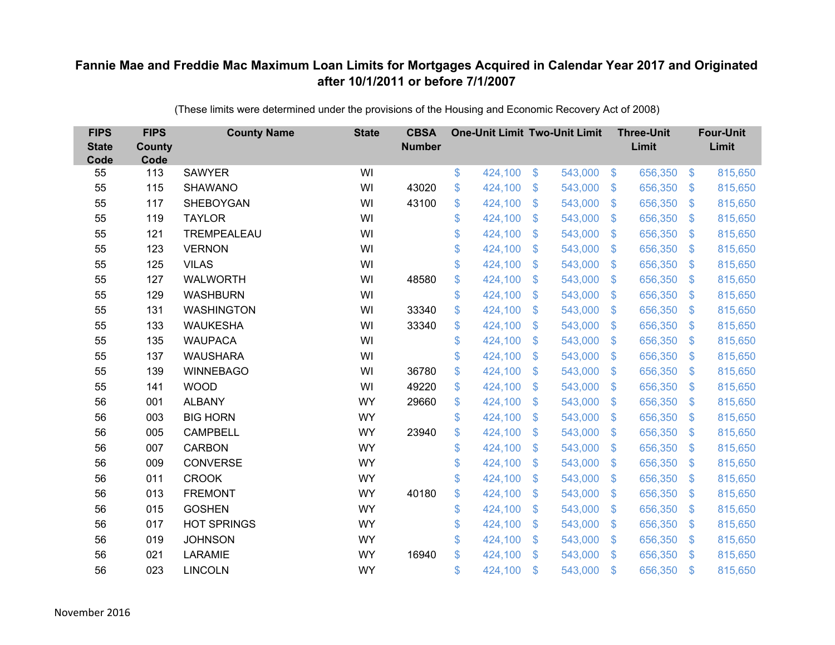| <b>FIPS</b><br><b>State</b><br>Code | <b>FIPS</b><br><b>County</b><br>Code | <b>County Name</b> | <b>State</b> | <b>CBSA</b><br><b>Number</b> | <b>One-Unit Limit Two-Unit Limit</b> |                |         |                           | <b>Three-Unit</b><br>Limit |                           | <b>Four-Unit</b><br>Limit |
|-------------------------------------|--------------------------------------|--------------------|--------------|------------------------------|--------------------------------------|----------------|---------|---------------------------|----------------------------|---------------------------|---------------------------|
| 55                                  | 113                                  | <b>SAWYER</b>      | WI           |                              | \$<br>424,100                        | \$             | 543,000 | $\sqrt[6]{3}$             | 656,350                    | $\frac{3}{2}$             | 815,650                   |
| 55                                  | 115                                  | <b>SHAWANO</b>     | WI           | 43020                        | \$<br>424,100                        | \$             | 543,000 | $\mathbf{\$}$             | 656,350                    | $\mathfrak{S}$            | 815,650                   |
| 55                                  | 117                                  | <b>SHEBOYGAN</b>   | WI           | 43100                        | \$<br>424,100                        | $\mathfrak{S}$ | 543,000 | $\mathbb{S}$              | 656,350                    | $\mathfrak{S}$            | 815,650                   |
| 55                                  | 119                                  | <b>TAYLOR</b>      | WI           |                              | \$<br>424,100                        | \$             | 543,000 | $\mathcal{S}$             | 656,350                    | $\mathfrak{S}$            | 815,650                   |
| 55                                  | 121                                  | TREMPEALEAU        | WI           |                              | \$<br>424,100                        | \$             | 543,000 | $\mathfrak{F}$            | 656,350                    | $\mathbf{\$}$             | 815,650                   |
| 55                                  | 123                                  | <b>VERNON</b>      | WI           |                              | \$<br>424,100                        | $\mathfrak{S}$ | 543,000 | $\mathbb{S}$              | 656,350                    | $\mathbb{S}$              | 815,650                   |
| 55                                  | 125                                  | <b>VILAS</b>       | WI           |                              | \$<br>424,100                        | \$             | 543,000 | $\mathfrak{F}$            | 656,350                    | $\mathfrak{S}$            | 815,650                   |
| 55                                  | 127                                  | <b>WALWORTH</b>    | WI           | 48580                        | \$<br>424,100                        | \$             | 543,000 | $\mathbb{S}$              | 656,350                    | $\mathfrak{S}$            | 815,650                   |
| 55                                  | 129                                  | <b>WASHBURN</b>    | WI           |                              | \$<br>424,100                        | $\mathfrak{S}$ | 543,000 | $\mathfrak{F}$            | 656,350                    | $\mathfrak{S}$            | 815,650                   |
| 55                                  | 131                                  | <b>WASHINGTON</b>  | WI           | 33340                        | \$<br>424,100                        | \$             | 543,000 | $\mathbf{\$}$             | 656,350                    | $\mathfrak{S}$            | 815,650                   |
| 55                                  | 133                                  | <b>WAUKESHA</b>    | WI           | 33340                        | \$<br>424,100                        | $\mathfrak{S}$ | 543,000 | $\mathbb{S}$              | 656,350                    | $\mathbb{S}$              | 815,650                   |
| 55                                  | 135                                  | <b>WAUPACA</b>     | WI           |                              | \$<br>424,100                        | $\mathfrak{S}$ | 543,000 | $\mathbb{S}$              | 656,350                    | $\mathfrak{S}$            | 815,650                   |
| 55                                  | 137                                  | <b>WAUSHARA</b>    | WI           |                              | \$<br>424,100                        | \$             | 543,000 | S.                        | 656,350                    | \$                        | 815,650                   |
| 55                                  | 139                                  | <b>WINNEBAGO</b>   | WI           | 36780                        | \$<br>424,100                        | \$             | 543,000 | S.                        | 656,350                    | $\mathfrak{S}$            | 815,650                   |
| 55                                  | 141                                  | <b>WOOD</b>        | WI           | 49220                        | \$<br>424,100                        | \$             | 543,000 | $\mathfrak{S}$            | 656,350                    | $\mathfrak{S}$            | 815,650                   |
| 56                                  | 001                                  | <b>ALBANY</b>      | <b>WY</b>    | 29660                        | \$<br>424,100                        | \$             | 543,000 | $\mathcal{S}$             | 656,350                    | $\mathfrak{S}$            | 815,650                   |
| 56                                  | 003                                  | <b>BIG HORN</b>    | <b>WY</b>    |                              | \$<br>424,100                        | \$             | 543,000 | $\mathbb{S}$              | 656,350                    | $\mathbb{S}$              | 815,650                   |
| 56                                  | 005                                  | <b>CAMPBELL</b>    | <b>WY</b>    | 23940                        | \$<br>424,100                        | \$             | 543,000 | $\boldsymbol{\mathsf{S}}$ | 656,350                    | $\mathfrak{S}$            | 815,650                   |
| 56                                  | 007                                  | <b>CARBON</b>      | <b>WY</b>    |                              | \$<br>424,100                        | \$             | 543,000 | S.                        | 656,350                    | $\mathfrak{S}$            | 815,650                   |
| 56                                  | 009                                  | <b>CONVERSE</b>    | <b>WY</b>    |                              | \$<br>424,100                        | $\mathfrak{S}$ | 543,000 | $\mathfrak{F}$            | 656,350                    | $\mathfrak{S}$            | 815,650                   |
| 56                                  | 011                                  | <b>CROOK</b>       | <b>WY</b>    |                              | \$<br>424,100                        | \$             | 543,000 | $\mathcal{S}$             | 656,350                    | $\mathfrak{S}$            | 815,650                   |
| 56                                  | 013                                  | <b>FREMONT</b>     | <b>WY</b>    | 40180                        | \$<br>424,100                        | \$             | 543,000 | S.                        | 656,350                    | $\mathfrak{S}$            | 815,650                   |
| 56                                  | 015                                  | <b>GOSHEN</b>      | <b>WY</b>    |                              | \$<br>424,100                        | \$             | 543,000 | $\mathbb{S}$              | 656,350                    | $\mathfrak{S}$            | 815,650                   |
| 56                                  | 017                                  | <b>HOT SPRINGS</b> | <b>WY</b>    |                              | \$<br>424,100                        | \$             | 543,000 | $\boldsymbol{\mathsf{S}}$ | 656,350                    | $\boldsymbol{\mathsf{S}}$ | 815,650                   |
| 56                                  | 019                                  | <b>JOHNSON</b>     | <b>WY</b>    |                              | \$<br>424,100                        | \$             | 543,000 | $\mathbf{\$}$             | 656,350                    | $\mathcal{L}$             | 815,650                   |
| 56                                  | 021                                  | <b>LARAMIE</b>     | <b>WY</b>    | 16940                        | \$<br>424,100                        | $\mathfrak{S}$ | 543,000 | $\mathbf{\$}$             | 656,350                    | $\mathbb{S}$              | 815,650                   |
| 56                                  | 023                                  | <b>LINCOLN</b>     | <b>WY</b>    |                              | \$<br>424,100                        | \$             | 543,000 | $\mathfrak{s}$            | 656,350                    | $\mathbf{\$}$             | 815,650                   |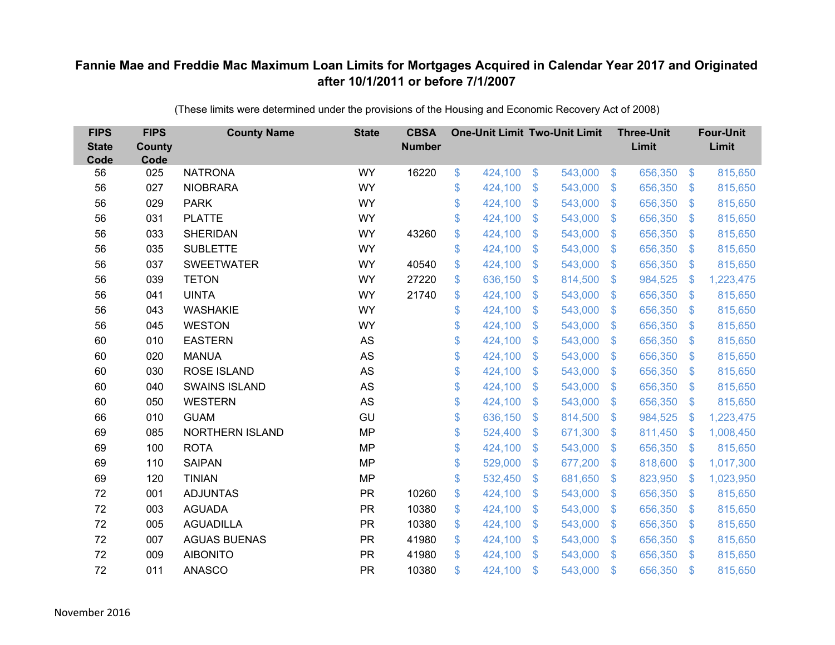| <b>FIPS</b><br><b>State</b><br>Code | <b>FIPS</b><br><b>County</b><br>Code | <b>County Name</b>   | <b>State</b> | <b>CBSA</b><br><b>Number</b> | <b>One-Unit Limit Two-Unit Limit</b> |                |         |                | <b>Three-Unit</b><br>Limit |                         | <b>Four-Unit</b><br>Limit |
|-------------------------------------|--------------------------------------|----------------------|--------------|------------------------------|--------------------------------------|----------------|---------|----------------|----------------------------|-------------------------|---------------------------|
| 56                                  | 025                                  | <b>NATRONA</b>       | <b>WY</b>    | 16220                        | \$<br>424,100                        | $\$\$          | 543,000 | $\sqrt[6]{3}$  | 656,350                    | $\boldsymbol{\$}$       | 815,650                   |
| 56                                  | 027                                  | <b>NIOBRARA</b>      | <b>WY</b>    |                              | \$<br>424,100                        | \$             | 543,000 | $\mathbf{\$}$  | 656,350                    | $\mathbb{S}$            | 815,650                   |
| 56                                  | 029                                  | <b>PARK</b>          | <b>WY</b>    |                              | \$<br>424,100                        | $\mathfrak{S}$ | 543,000 | $\mathcal{S}$  | 656,350                    | $\mathfrak{S}$          | 815,650                   |
| 56                                  | 031                                  | <b>PLATTE</b>        | <b>WY</b>    |                              | \$<br>424,100                        | \$             | 543,000 | $\sqrt[6]{3}$  | 656,350                    | $\sqrt[6]{\frac{1}{2}}$ | 815,650                   |
| 56                                  | 033                                  | <b>SHERIDAN</b>      | <b>WY</b>    | 43260                        | \$<br>424,100                        | $\mathcal{S}$  | 543,000 | $\mathcal{S}$  | 656,350                    | $\mathfrak{S}$          | 815,650                   |
| 56                                  | 035                                  | <b>SUBLETTE</b>      | <b>WY</b>    |                              | \$<br>424,100                        | $\mathfrak{S}$ | 543,000 | $\mathcal{S}$  | 656,350                    | $\mathbb{S}$            | 815,650                   |
| 56                                  | 037                                  | <b>SWEETWATER</b>    | <b>WY</b>    | 40540                        | \$<br>424,100                        | $\mathfrak{F}$ | 543,000 | $\mathfrak{S}$ | 656,350                    | $\mathcal{L}$           | 815,650                   |
| 56                                  | 039                                  | <b>TETON</b>         | <b>WY</b>    | 27220                        | \$<br>636,150                        | $\mathfrak{F}$ | 814,500 | $\mathfrak{F}$ | 984,525                    | $\mathcal{L}$           | 1,223,475                 |
| 56                                  | 041                                  | <b>UINTA</b>         | <b>WY</b>    | 21740                        | \$<br>424,100                        | $\mathcal{S}$  | 543,000 | $\mathbb{S}$   | 656,350                    | $\mathfrak{S}$          | 815,650                   |
| 56                                  | 043                                  | <b>WASHAKIE</b>      | <b>WY</b>    |                              | \$<br>424,100                        | \$             | 543,000 | S.             | 656,350                    | $\mathbb{S}$            | 815,650                   |
| 56                                  | 045                                  | <b>WESTON</b>        | <b>WY</b>    |                              | \$<br>424,100                        | $\mathcal{S}$  | 543,000 | $\mathbb{S}$   | 656,350                    | $\mathbb{S}$            | 815,650                   |
| 60                                  | 010                                  | <b>EASTERN</b>       | <b>AS</b>    |                              | \$<br>424,100                        | $\mathcal{S}$  | 543,000 | $\mathbb{S}$   | 656,350                    | $\mathbb{S}$            | 815,650                   |
| 60                                  | 020                                  | <b>MANUA</b>         | <b>AS</b>    |                              | \$<br>424,100                        | \$             | 543,000 | $\sqrt[6]{3}$  | 656,350                    | $\mathcal{L}$           | 815,650                   |
| 60                                  | 030                                  | <b>ROSE ISLAND</b>   | AS           |                              | \$<br>424,100                        | \$             | 543,000 | S.             | 656,350                    | $\mathbb{S}$            | 815,650                   |
| 60                                  | 040                                  | <b>SWAINS ISLAND</b> | <b>AS</b>    |                              | \$<br>424,100                        | \$             | 543,000 | $\mathfrak{S}$ | 656,350                    | $\mathcal{L}$           | 815,650                   |
| 60                                  | 050                                  | <b>WESTERN</b>       | <b>AS</b>    |                              | \$<br>424,100                        | $\mathfrak{F}$ | 543,000 | $\mathfrak{S}$ | 656,350                    | $\mathcal{L}$           | 815,650                   |
| 66                                  | 010                                  | <b>GUAM</b>          | GU           |                              | \$<br>636,150                        | $\mathfrak{S}$ | 814,500 | $\mathcal{S}$  | 984,525                    | $\mathcal{L}$           | 1,223,475                 |
| 69                                  | 085                                  | NORTHERN ISLAND      | <b>MP</b>    |                              | \$<br>524,400                        | \$             | 671,300 | $\sqrt[6]{3}$  | 811,450                    | $\mathcal{S}$           | 1,008,450                 |
| 69                                  | 100                                  | <b>ROTA</b>          | <b>MP</b>    |                              | \$<br>424,100                        | \$             | 543,000 | $\sqrt[6]{3}$  | 656,350                    | $\mathcal{L}$           | 815,650                   |
| 69                                  | 110                                  | <b>SAIPAN</b>        | <b>MP</b>    |                              | \$<br>529,000                        | $\mathcal{S}$  | 677,200 | $\mathcal{S}$  | 818,600                    | $\mathfrak{F}$          | 1,017,300                 |
| 69                                  | 120                                  | <b>TINIAN</b>        | <b>MP</b>    |                              | \$<br>532,450                        | \$             | 681,650 | $\sqrt[6]{3}$  | 823,950                    | $\mathcal{L}$           | 1,023,950                 |
| 72                                  | 001                                  | <b>ADJUNTAS</b>      | <b>PR</b>    | 10260                        | \$<br>424,100                        | $\mathcal{S}$  | 543,000 | $\mathbb{S}$   | 656,350                    | $\mathbb{S}$            | 815,650                   |
| 72                                  | 003                                  | <b>AGUADA</b>        | <b>PR</b>    | 10380                        | \$<br>424,100                        | \$             | 543,000 | $\mathcal{S}$  | 656,350                    | $\mathfrak{S}$          | 815,650                   |
| 72                                  | 005                                  | <b>AGUADILLA</b>     | <b>PR</b>    | 10380                        | \$<br>424,100                        | \$             | 543,000 | $\mathfrak{S}$ | 656,350                    | \$                      | 815,650                   |
| 72                                  | 007                                  | <b>AGUAS BUENAS</b>  | <b>PR</b>    | 41980                        | \$<br>424,100                        | \$             | 543,000 | $\sqrt[6]{3}$  | 656,350                    | $\mathbb{S}$            | 815,650                   |
| 72                                  | 009                                  | <b>AIBONITO</b>      | <b>PR</b>    | 41980                        | \$<br>424,100                        | $\mathcal{S}$  | 543,000 | $\mathbb{S}$   | 656,350                    | $\mathbf{\$}$           | 815,650                   |
| 72                                  | 011                                  | <b>ANASCO</b>        | <b>PR</b>    | 10380                        | \$<br>424,100                        | \$             | 543,000 | $\mathfrak{s}$ | 656,350                    | \$                      | 815,650                   |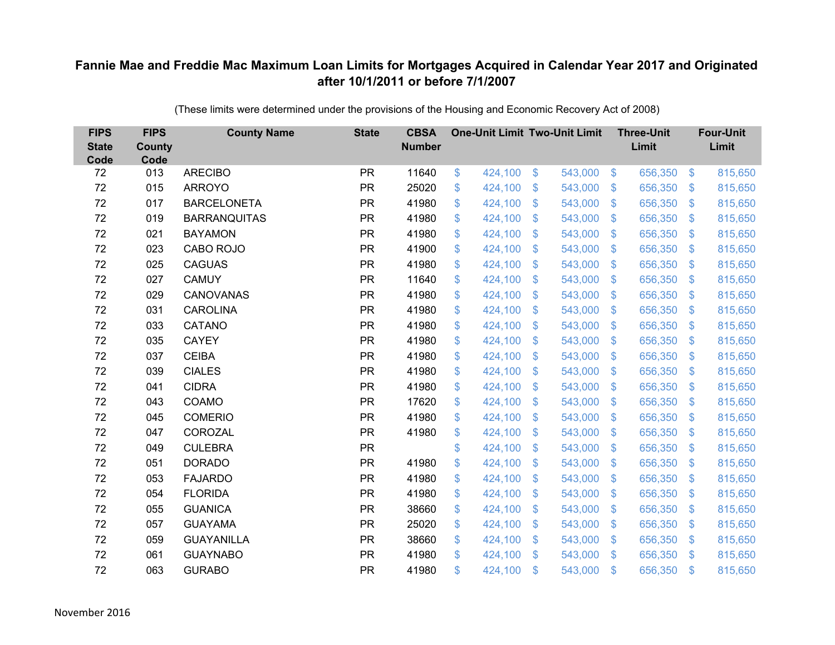| <b>FIPS</b><br><b>State</b><br>Code | <b>FIPS</b><br><b>County</b><br>Code | <b>County Name</b>  | <b>State</b> | <b>CBSA</b><br><b>Number</b> | <b>One-Unit Limit Two-Unit Limit</b> |                |         |                           | <b>Three-Unit</b><br>Limit |                           | <b>Four-Unit</b><br>Limit |
|-------------------------------------|--------------------------------------|---------------------|--------------|------------------------------|--------------------------------------|----------------|---------|---------------------------|----------------------------|---------------------------|---------------------------|
| 72                                  | 013                                  | <b>ARECIBO</b>      | <b>PR</b>    | 11640                        | \$<br>424,100                        | $\mathfrak{F}$ | 543,000 | $\sqrt[6]{3}$             | 656,350                    | $\frac{1}{2}$             | 815,650                   |
| 72                                  | 015                                  | <b>ARROYO</b>       | <b>PR</b>    | 25020                        | \$<br>424,100                        | \$             | 543,000 | $\mathbf{\$}$             | 656,350                    | $\mathfrak{F}$            | 815,650                   |
| 72                                  | 017                                  | <b>BARCELONETA</b>  | <b>PR</b>    | 41980                        | \$<br>424,100                        | \$             | 543,000 | $\boldsymbol{\mathsf{S}}$ | 656,350                    | $\boldsymbol{\mathsf{S}}$ | 815,650                   |
| 72                                  | 019                                  | <b>BARRANQUITAS</b> | <b>PR</b>    | 41980                        | \$<br>424,100                        | \$             | 543,000 | $\sqrt[6]{3}$             | 656,350                    | $\mathcal{L}$             | 815,650                   |
| 72                                  | 021                                  | <b>BAYAMON</b>      | <b>PR</b>    | 41980                        | \$<br>424,100                        | \$             | 543,000 | $\mathfrak{F}$            | 656,350                    | $\mathfrak{F}$            | 815,650                   |
| 72                                  | 023                                  | CABO ROJO           | <b>PR</b>    | 41900                        | \$<br>424,100                        | \$             | 543,000 | $\sqrt[6]{3}$             | 656,350                    | $\mathfrak{S}$            | 815,650                   |
| 72                                  | 025                                  | <b>CAGUAS</b>       | <b>PR</b>    | 41980                        | \$<br>424,100                        | \$             | 543,000 | $\mathbf{\$}$             | 656,350                    | $\mathfrak{F}$            | 815,650                   |
| 72                                  | 027                                  | <b>CAMUY</b>        | <b>PR</b>    | 11640                        | \$<br>424,100                        | \$             | 543,000 | $\mathbf{\$}$             | 656,350                    | S.                        | 815,650                   |
| 72                                  | 029                                  | CANOVANAS           | <b>PR</b>    | 41980                        | \$<br>424,100                        | \$             | 543,000 | $\boldsymbol{\mathsf{S}}$ | 656,350                    | $\mathcal{L}$             | 815,650                   |
| 72                                  | 031                                  | <b>CAROLINA</b>     | <b>PR</b>    | 41980                        | \$<br>424,100                        | \$             | 543,000 | $\mathfrak{F}$            | 656,350                    | S.                        | 815,650                   |
| 72                                  | 033                                  | CATANO              | <b>PR</b>    | 41980                        | \$<br>424,100                        | \$             | 543,000 | $\mathfrak{S}$            | 656,350                    | $\frac{1}{2}$             | 815,650                   |
| 72                                  | 035                                  | <b>CAYEY</b>        | <b>PR</b>    | 41980                        | \$<br>424,100                        | \$             | 543,000 | $\mathcal{L}$             | 656,350                    | $\mathcal{L}$             | 815,650                   |
| 72                                  | 037                                  | <b>CEIBA</b>        | <b>PR</b>    | 41980                        | \$<br>424,100                        | \$             | 543,000 | $\mathfrak{F}$            | 656,350                    | $\mathfrak{F}$            | 815,650                   |
| 72                                  | 039                                  | <b>CIALES</b>       | <b>PR</b>    | 41980                        | \$<br>424,100                        | \$             | 543,000 | $\mathcal{L}$             | 656,350                    | \$.                       | 815,650                   |
| 72                                  | 041                                  | <b>CIDRA</b>        | <b>PR</b>    | 41980                        | \$<br>424,100                        | \$             | 543,000 | $\mathfrak{S}$            | 656,350                    | $\mathfrak{F}$            | 815,650                   |
| 72                                  | 043                                  | COAMO               | <b>PR</b>    | 17620                        | \$<br>424,100                        | \$             | 543,000 | $\boldsymbol{\mathsf{S}}$ | 656,350                    | $\boldsymbol{\mathsf{S}}$ | 815,650                   |
| 72                                  | 045                                  | <b>COMERIO</b>      | <b>PR</b>    | 41980                        | \$<br>424,100                        | \$             | 543,000 | $\mathfrak{F}$            | 656,350                    | $\mathfrak{F}$            | 815,650                   |
| 72                                  | 047                                  | COROZAL             | <b>PR</b>    | 41980                        | \$<br>424,100                        | \$             | 543,000 | $\mathfrak{F}$            | 656,350                    | $\mathcal{L}$             | 815,650                   |
| 72                                  | 049                                  | <b>CULEBRA</b>      | <b>PR</b>    |                              | \$<br>424,100                        | \$             | 543,000 | $\sqrt[6]{3}$             | 656,350                    | $\mathfrak{F}$            | 815,650                   |
| 72                                  | 051                                  | <b>DORADO</b>       | <b>PR</b>    | 41980                        | \$<br>424,100                        | \$             | 543,000 | $\mathfrak{F}$            | 656,350                    | $\boldsymbol{\mathsf{S}}$ | 815,650                   |
| 72                                  | 053                                  | <b>FAJARDO</b>      | <b>PR</b>    | 41980                        | \$<br>424,100                        | \$             | 543,000 | $\mathcal{S}$             | 656,350                    | $\mathfrak{F}$            | 815,650                   |
| 72                                  | 054                                  | <b>FLORIDA</b>      | <b>PR</b>    | 41980                        | \$<br>424,100                        | \$             | 543,000 | $\mathbf{\$}$             | 656,350                    | $\mathcal{L}$             | 815,650                   |
| 72                                  | 055                                  | <b>GUANICA</b>      | <b>PR</b>    | 38660                        | \$<br>424,100                        | \$             | 543,000 | $\mathcal{S}$             | 656,350                    | $\mathfrak{S}$            | 815,650                   |
| 72                                  | 057                                  | <b>GUAYAMA</b>      | <b>PR</b>    | 25020                        | \$<br>424,100                        | \$             | 543,000 | $\sqrt[6]{\frac{1}{2}}$   | 656,350                    | $\boldsymbol{\mathsf{S}}$ | 815,650                   |
| 72                                  | 059                                  | <b>GUAYANILLA</b>   | <b>PR</b>    | 38660                        | \$<br>424,100                        | \$             | 543,000 | $\mathcal{S}$             | 656,350                    | $\mathfrak{F}$            | 815,650                   |
| 72                                  | 061                                  | <b>GUAYNABO</b>     | <b>PR</b>    | 41980                        | \$<br>424,100                        | \$             | 543,000 | $\mathbf{\$}$             | 656,350                    | $\mathbf{\$}$             | 815,650                   |
| 72                                  | 063                                  | <b>GURABO</b>       | <b>PR</b>    | 41980                        | \$<br>424,100                        | \$             | 543,000 | $\mathfrak{s}$            | 656,350                    | $\mathbf{\$}$             | 815,650                   |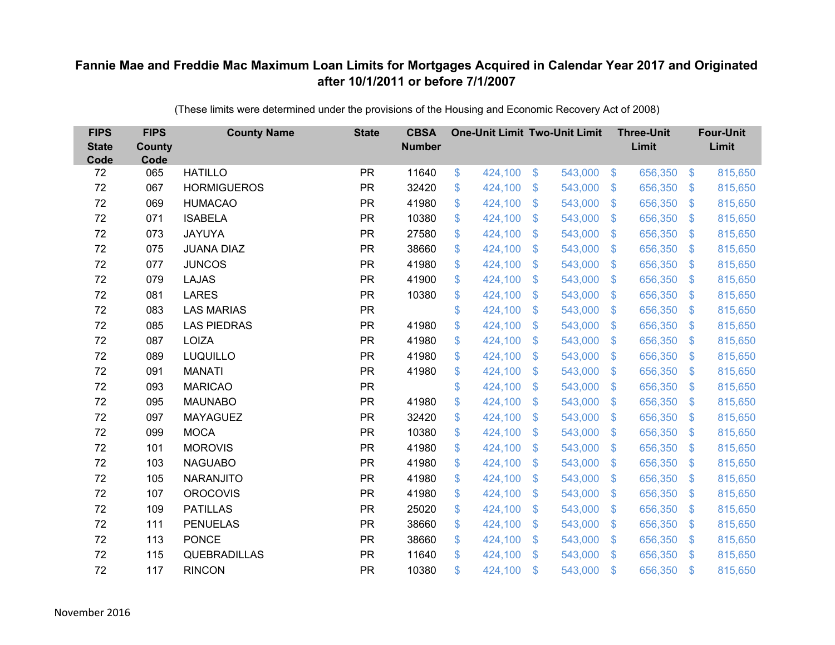| <b>FIPS</b><br><b>State</b><br>Code | <b>FIPS</b><br>County<br>Code | <b>County Name</b>  | <b>State</b> | <b>CBSA</b><br><b>Number</b> | <b>One-Unit Limit Two-Unit Limit</b> |               |         |                           | <b>Three-Unit</b><br>Limit |                           | <b>Four-Unit</b><br>Limit |
|-------------------------------------|-------------------------------|---------------------|--------------|------------------------------|--------------------------------------|---------------|---------|---------------------------|----------------------------|---------------------------|---------------------------|
| 72                                  | 065                           | <b>HATILLO</b>      | <b>PR</b>    | 11640                        | \$<br>424,100                        | \$            | 543,000 | $\sqrt[6]{5}$             | 656,350                    | $\sqrt[6]{3}$             | 815,650                   |
| 72                                  | 067                           | <b>HORMIGUEROS</b>  | <b>PR</b>    | 32420                        | \$<br>424,100                        | \$            | 543,000 | $\sqrt[6]{3}$             | 656,350                    | $\mathbb{S}$              | 815,650                   |
| 72                                  | 069                           | <b>HUMACAO</b>      | <b>PR</b>    | 41980                        | \$<br>424,100                        | $\mathcal{S}$ | 543,000 | $\mathbb{S}$              | 656,350                    | $\mathfrak{S}$            | 815,650                   |
| 72                                  | 071                           | <b>ISABELA</b>      | <b>PR</b>    | 10380                        | \$<br>424,100                        | $\mathcal{S}$ | 543,000 | $\mathcal{S}$             | 656,350                    | $\mathfrak{S}$            | 815,650                   |
| 72                                  | 073                           | <b>JAYUYA</b>       | <b>PR</b>    | 27580                        | \$<br>424,100                        | \$            | 543,000 | $\boldsymbol{\mathsf{S}}$ | 656,350                    | $\mathbf{\$}$             | 815,650                   |
| 72                                  | 075                           | <b>JUANA DIAZ</b>   | <b>PR</b>    | 38660                        | \$<br>424,100                        | $\mathcal{S}$ | 543,000 | $\mathbb{S}$              | 656,350                    | $\mathbb{S}$              | 815,650                   |
| 72                                  | 077                           | <b>JUNCOS</b>       | <b>PR</b>    | 41980                        | \$<br>424,100                        | $\mathcal{S}$ | 543,000 | $\mathbb{S}$              | 656,350                    | $\mathfrak{S}$            | 815,650                   |
| 72                                  | 079                           | <b>LAJAS</b>        | <b>PR</b>    | 41900                        | \$<br>424,100                        | \$            | 543,000 | $\mathcal{S}$             | 656,350                    | $\mathcal{L}$             | 815,650                   |
| 72                                  | 081                           | <b>LARES</b>        | <b>PR</b>    | 10380                        | \$<br>424,100                        | $\mathcal{S}$ | 543,000 | $\mathbb{S}$              | 656,350                    | $\mathfrak{S}$            | 815,650                   |
| 72                                  | 083                           | <b>LAS MARIAS</b>   | <b>PR</b>    |                              | \$<br>424,100                        | $\mathcal{S}$ | 543,000 | $\mathbb{S}$              | 656,350                    | $\mathfrak{S}$            | 815,650                   |
| 72                                  | 085                           | <b>LAS PIEDRAS</b>  | <b>PR</b>    | 41980                        | \$<br>424,100                        | \$            | 543,000 | $\mathcal{S}$             | 656,350                    | $\mathcal{L}$             | 815,650                   |
| 72                                  | 087                           | <b>LOIZA</b>        | <b>PR</b>    | 41980                        | \$<br>424,100                        | \$            | 543,000 | $\mathcal{S}$             | 656,350                    | $\mathcal{L}$             | 815,650                   |
| 72                                  | 089                           | <b>LUQUILLO</b>     | <b>PR</b>    | 41980                        | \$<br>424,100                        | $\mathcal{S}$ | 543,000 | $\mathbb{S}$              | 656,350                    | $\mathfrak{S}$            | 815,650                   |
| 72                                  | 091                           | <b>MANATI</b>       | <b>PR</b>    | 41980                        | \$<br>424,100                        | \$            | 543,000 | $\mathcal{S}$             | 656,350                    | $\mathcal{L}$             | 815,650                   |
| 72                                  | 093                           | <b>MARICAO</b>      | <b>PR</b>    |                              | \$<br>424,100                        | \$            | 543,000 | $\mathcal{S}$             | 656,350                    | $\mathcal{L}$             | 815,650                   |
| 72                                  | 095                           | <b>MAUNABO</b>      | <b>PR</b>    | 41980                        | \$<br>424,100                        | $\mathcal{S}$ | 543,000 | $\mathbb{S}$              | 656,350                    | $\sqrt[6]{3}$             | 815,650                   |
| 72                                  | 097                           | <b>MAYAGUEZ</b>     | <b>PR</b>    | 32420                        | \$<br>424,100                        | \$            | 543,000 | $\sqrt[6]{3}$             | 656,350                    | $\sqrt[6]{3}$             | 815,650                   |
| 72                                  | 099                           | <b>MOCA</b>         | <b>PR</b>    | 10380                        | \$<br>424,100                        | \$            | 543,000 | S.                        | 656,350                    | $\mathcal{L}$             | 815,650                   |
| 72                                  | 101                           | <b>MOROVIS</b>      | <b>PR</b>    | 41980                        | \$<br>424,100                        | $\mathcal{S}$ | 543,000 | $\mathcal{S}$             | 656,350                    | $\mathbb{S}$              | 815,650                   |
| 72                                  | 103                           | <b>NAGUABO</b>      | <b>PR</b>    | 41980                        | \$<br>424,100                        | \$            | 543,000 | $\mathfrak{S}$            | 656,350                    | $\sqrt[6]{3}$             | 815,650                   |
| 72                                  | 105                           | <b>NARANJITO</b>    | <b>PR</b>    | 41980                        | \$<br>424,100                        | \$            | 543,000 | $\sqrt[6]{3}$             | 656,350                    | $\mathcal{L}$             | 815,650                   |
| 72                                  | 107                           | <b>OROCOVIS</b>     | <b>PR</b>    | 41980                        | \$<br>424,100                        | $\mathcal{S}$ | 543,000 | $\mathbb{S}$              | 656,350                    | $\mathfrak{S}$            | 815,650                   |
| 72                                  | 109                           | <b>PATILLAS</b>     | <b>PR</b>    | 25020                        | \$<br>424,100                        | \$            | 543,000 | $\mathbb{S}$              | 656,350                    | $\mathfrak{S}$            | 815,650                   |
| 72                                  | 111                           | <b>PENUELAS</b>     | <b>PR</b>    | 38660                        | \$<br>424,100                        | \$            | 543,000 | $\boldsymbol{\mathsf{S}}$ | 656,350                    | $\boldsymbol{\mathsf{S}}$ | 815,650                   |
| 72                                  | 113                           | <b>PONCE</b>        | <b>PR</b>    | 38660                        | \$<br>424,100                        | \$            | 543,000 | $\sqrt[6]{3}$             | 656,350                    | $\mathbb{S}$              | 815,650                   |
| 72                                  | 115                           | <b>QUEBRADILLAS</b> | <b>PR</b>    | 11640                        | \$<br>424,100                        | \$            | 543,000 | $\mathbf{\$}$             | 656,350                    | $\mathbf{\$}$             | 815,650                   |
| 72                                  | 117                           | <b>RINCON</b>       | <b>PR</b>    | 10380                        | \$<br>424,100                        | \$            | 543,000 | $\mathfrak{s}$            | 656,350                    | \$                        | 815,650                   |